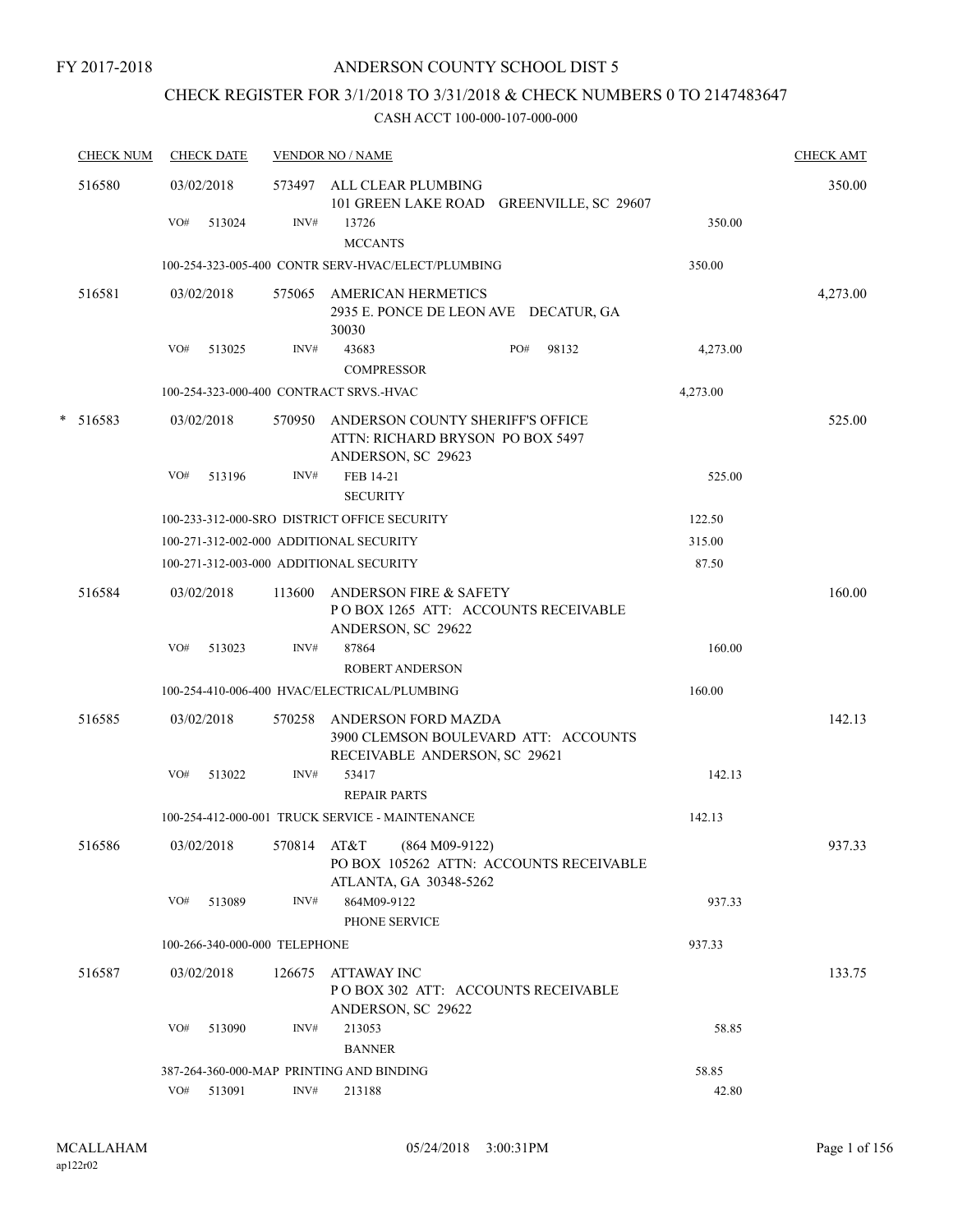# CHECK REGISTER FOR 3/1/2018 TO 3/31/2018 & CHECK NUMBERS 0 TO 2147483647

| <b>CHECK NUM</b> | <b>CHECK DATE</b>                       |        | <b>VENDOR NO / NAME</b>                                                                           |          | <b>CHECK AMT</b> |
|------------------|-----------------------------------------|--------|---------------------------------------------------------------------------------------------------|----------|------------------|
| 516580           | 03/02/2018                              |        | 573497 ALL CLEAR PLUMBING<br>101 GREEN LAKE ROAD GREENVILLE, SC 29607                             |          | 350.00           |
|                  | VO#<br>513024                           | INV#   | 13726<br><b>MCCANTS</b>                                                                           | 350.00   |                  |
|                  |                                         |        | 100-254-323-005-400 CONTR SERV-HVAC/ELECT/PLUMBING                                                | 350.00   |                  |
| 516581           | 03/02/2018                              |        | 575065 AMERICAN HERMETICS<br>2935 E. PONCE DE LEON AVE DECATUR, GA<br>30030                       |          | 4,273.00         |
|                  | VO#<br>513025                           | INV#   | 43683<br>PO#<br>98132<br><b>COMPRESSOR</b>                                                        | 4,273.00 |                  |
|                  | 100-254-323-000-400 CONTRACT SRVS.-HVAC |        |                                                                                                   | 4,273.00 |                  |
| $*$ 516583       | 03/02/2018                              |        | 570950 ANDERSON COUNTY SHERIFF'S OFFICE<br>ATTN: RICHARD BRYSON PO BOX 5497<br>ANDERSON, SC 29623 |          | 525.00           |
|                  | VO#<br>513196                           | INV#   | FEB 14-21<br><b>SECURITY</b>                                                                      | 525.00   |                  |
|                  |                                         |        | 100-233-312-000-SRO DISTRICT OFFICE SECURITY                                                      | 122.50   |                  |
|                  | 100-271-312-002-000 ADDITIONAL SECURITY |        |                                                                                                   | 315.00   |                  |
|                  | 100-271-312-003-000 ADDITIONAL SECURITY |        |                                                                                                   | 87.50    |                  |
| 516584           | 03/02/2018                              | 113600 | ANDERSON FIRE & SAFETY<br>POBOX 1265 ATT: ACCOUNTS RECEIVABLE<br>ANDERSON, SC 29622               |          | 160.00           |
|                  | VO#<br>513023                           | INV#   | 87864<br><b>ROBERT ANDERSON</b>                                                                   | 160.00   |                  |
|                  |                                         |        | 100-254-410-006-400 HVAC/ELECTRICAL/PLUMBING                                                      | 160.00   |                  |
| 516585           | 03/02/2018                              | 570258 | ANDERSON FORD MAZDA<br>3900 CLEMSON BOULEVARD ATT: ACCOUNTS<br>RECEIVABLE ANDERSON, SC 29621      |          | 142.13           |
|                  | VO#<br>513022                           | INV#   | 53417<br><b>REPAIR PARTS</b>                                                                      | 142.13   |                  |
|                  |                                         |        | 100-254-412-000-001 TRUCK SERVICE - MAINTENANCE                                                   | 142.13   |                  |
| 516586           | 03/02/2018                              |        | 570814 AT&T (864 M09-9122)<br>PO BOX 105262 ATTN: ACCOUNTS RECEIVABLE<br>ATLANTA, GA 30348-5262   |          | 937.33           |
|                  | VO# 513089                              | INV#   | 864M09-9122<br>PHONE SERVICE                                                                      | 937.33   |                  |
|                  | 100-266-340-000-000 TELEPHONE           |        |                                                                                                   | 937.33   |                  |
| 516587           | 03/02/2018                              | 126675 | <b>ATTAWAY INC</b><br>PO BOX 302 ATT: ACCOUNTS RECEIVABLE<br>ANDERSON, SC 29622                   |          | 133.75           |
|                  | VO#<br>513090                           | INV#   | 213053<br><b>BANNER</b>                                                                           | 58.85    |                  |
|                  |                                         |        | 387-264-360-000-MAP PRINTING AND BINDING                                                          | 58.85    |                  |
|                  | VO# 513091                              | INV#   | 213188                                                                                            | 42.80    |                  |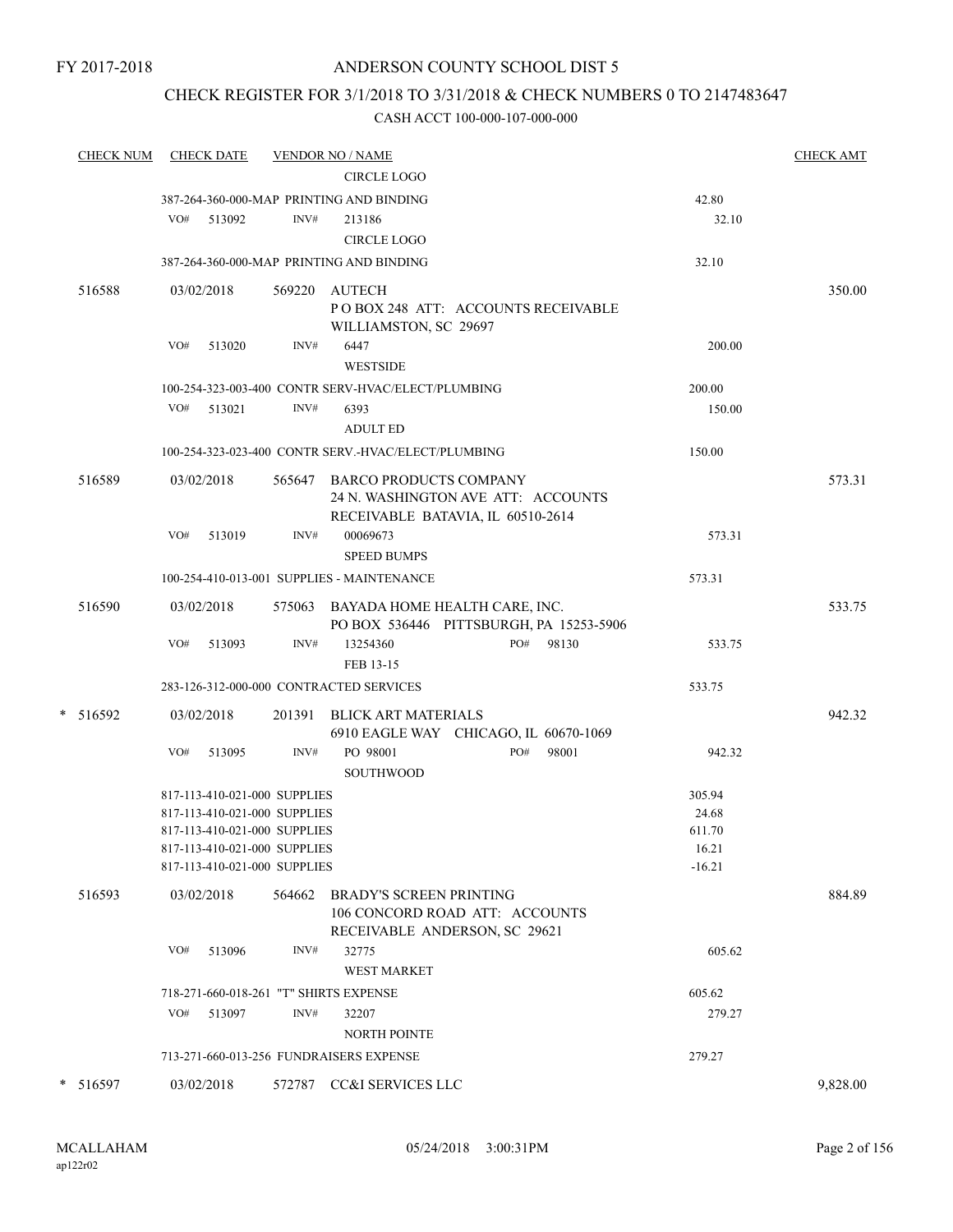# CHECK REGISTER FOR 3/1/2018 TO 3/31/2018 & CHECK NUMBERS 0 TO 2147483647

| <b>CHECK NUM</b> | <b>CHECK DATE</b>                      |        | <b>VENDOR NO / NAME</b>                             |              |          | <b>CHECK AMT</b> |
|------------------|----------------------------------------|--------|-----------------------------------------------------|--------------|----------|------------------|
|                  |                                        |        | <b>CIRCLE LOGO</b>                                  |              |          |                  |
|                  |                                        |        | 387-264-360-000-MAP PRINTING AND BINDING            |              | 42.80    |                  |
|                  | VO#<br>513092                          | INV#   | 213186                                              |              | 32.10    |                  |
|                  |                                        |        | <b>CIRCLE LOGO</b>                                  |              |          |                  |
|                  |                                        |        | 387-264-360-000-MAP PRINTING AND BINDING            |              | 32.10    |                  |
| 516588           | 03/02/2018                             |        | 569220 AUTECH                                       |              |          | 350.00           |
|                  |                                        |        | POBOX 248 ATT: ACCOUNTS RECEIVABLE                  |              |          |                  |
|                  |                                        |        | WILLIAMSTON, SC 29697                               |              |          |                  |
|                  | VO#<br>513020                          | INV#   | 6447                                                |              | 200.00   |                  |
|                  |                                        |        | <b>WESTSIDE</b>                                     |              |          |                  |
|                  |                                        |        | 100-254-323-003-400 CONTR SERV-HVAC/ELECT/PLUMBING  |              | 200.00   |                  |
|                  | VO# 513021                             | INV#   | 6393                                                |              | 150.00   |                  |
|                  |                                        |        | <b>ADULT ED</b>                                     |              |          |                  |
|                  |                                        |        | 100-254-323-023-400 CONTR SERV.-HVAC/ELECT/PLUMBING |              | 150.00   |                  |
| 516589           | 03/02/2018                             |        | 565647 BARCO PRODUCTS COMPANY                       |              |          | 573.31           |
|                  |                                        |        | 24 N. WASHINGTON AVE ATT: ACCOUNTS                  |              |          |                  |
|                  |                                        |        | RECEIVABLE BATAVIA, IL 60510-2614                   |              |          |                  |
|                  | VO#<br>513019                          | INV#   | 00069673                                            |              | 573.31   |                  |
|                  |                                        |        | <b>SPEED BUMPS</b>                                  |              |          |                  |
|                  |                                        |        | 100-254-410-013-001 SUPPLIES - MAINTENANCE          |              | 573.31   |                  |
| 516590           | 03/02/2018                             |        | 575063 BAYADA HOME HEALTH CARE, INC.                |              |          | 533.75           |
|                  |                                        |        | PO BOX 536446 PITTSBURGH, PA 15253-5906             |              |          |                  |
|                  | VO#<br>513093                          | INV#   | 13254360                                            | PO#<br>98130 | 533.75   |                  |
|                  |                                        |        | FEB 13-15                                           |              |          |                  |
|                  |                                        |        | 283-126-312-000-000 CONTRACTED SERVICES             |              | 533.75   |                  |
| * 516592         | 03/02/2018                             |        | 201391 BLICK ART MATERIALS                          |              |          | 942.32           |
|                  |                                        |        | 6910 EAGLE WAY CHICAGO, IL 60670-1069               |              |          |                  |
|                  | VO#<br>513095                          | INV#   | PO 98001                                            | PO#<br>98001 | 942.32   |                  |
|                  |                                        |        | <b>SOUTHWOOD</b>                                    |              |          |                  |
|                  | 817-113-410-021-000 SUPPLIES           |        |                                                     |              | 305.94   |                  |
|                  | 817-113-410-021-000 SUPPLIES           |        |                                                     |              | 24.68    |                  |
|                  | 817-113-410-021-000 SUPPLIES           |        |                                                     |              | 611.70   |                  |
|                  | 817-113-410-021-000 SUPPLIES           |        |                                                     |              | 16.21    |                  |
|                  | 817-113-410-021-000 SUPPLIES           |        |                                                     |              | $-16.21$ |                  |
| 516593           | 03/02/2018                             | 564662 | <b>BRADY'S SCREEN PRINTING</b>                      |              |          | 884.89           |
|                  |                                        |        | 106 CONCORD ROAD ATT: ACCOUNTS                      |              |          |                  |
|                  |                                        |        | RECEIVABLE ANDERSON, SC 29621                       |              |          |                  |
|                  | VO#<br>513096                          | INV#   | 32775                                               |              | 605.62   |                  |
|                  |                                        |        | <b>WEST MARKET</b>                                  |              |          |                  |
|                  | 718-271-660-018-261 "T" SHIRTS EXPENSE |        |                                                     |              | 605.62   |                  |
|                  | VO#<br>513097                          | INV#   | 32207                                               |              | 279.27   |                  |
|                  |                                        |        | <b>NORTH POINTE</b>                                 |              |          |                  |
|                  |                                        |        | 713-271-660-013-256 FUNDRAISERS EXPENSE             |              | 279.27   |                  |
| * 516597         | 03/02/2018                             | 572787 | CC&I SERVICES LLC                                   |              |          | 9,828.00         |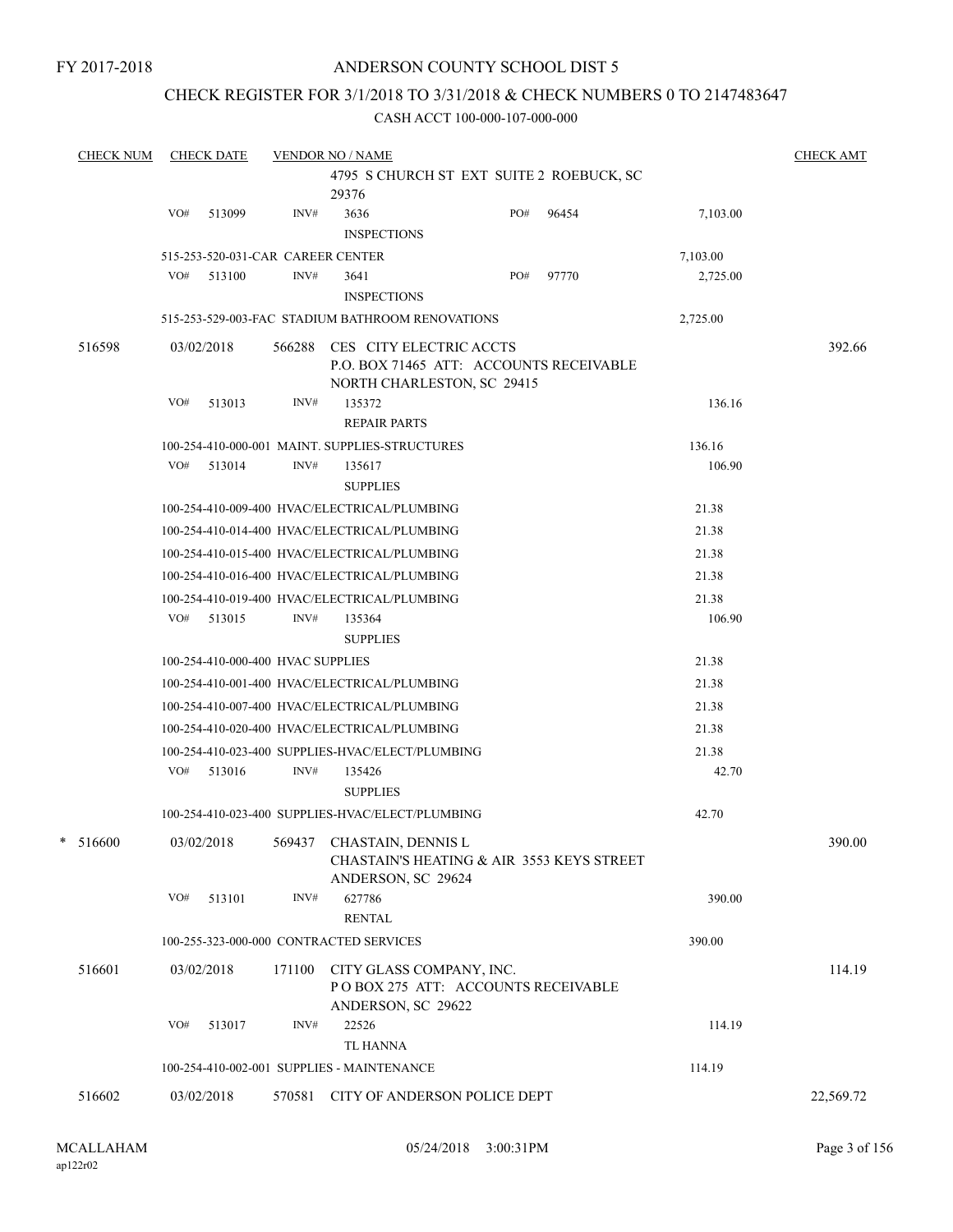### CHECK REGISTER FOR 3/1/2018 TO 3/31/2018 & CHECK NUMBERS 0 TO 2147483647

| <b>CHECK NUM</b> |     | <b>CHECK DATE</b>                 |        | <b>VENDOR NO / NAME</b>                          |                                                                       |     |                                           |          | <b>CHECK AMT</b> |
|------------------|-----|-----------------------------------|--------|--------------------------------------------------|-----------------------------------------------------------------------|-----|-------------------------------------------|----------|------------------|
|                  |     |                                   |        |                                                  |                                                                       |     | 4795 S CHURCH ST EXT SUITE 2 ROEBUCK, SC  |          |                  |
|                  |     |                                   |        | 29376                                            |                                                                       |     |                                           |          |                  |
|                  | VO# | 513099                            | INV#   | 3636                                             |                                                                       | PO# | 96454                                     | 7,103.00 |                  |
|                  |     |                                   |        | <b>INSPECTIONS</b>                               |                                                                       |     |                                           |          |                  |
|                  |     | 515-253-520-031-CAR CAREER CENTER |        |                                                  |                                                                       |     |                                           | 7,103.00 |                  |
|                  | VO# | 513100                            | INV#   | 3641                                             |                                                                       | PO# | 97770                                     | 2,725.00 |                  |
|                  |     |                                   |        | <b>INSPECTIONS</b>                               |                                                                       |     |                                           |          |                  |
|                  |     |                                   |        |                                                  | 515-253-529-003-FAC STADIUM BATHROOM RENOVATIONS                      |     |                                           | 2,725.00 |                  |
| 516598           |     | 03/02/2018                        |        |                                                  | 566288 CES CITY ELECTRIC ACCTS<br>NORTH CHARLESTON, SC 29415          |     | P.O. BOX 71465 ATT: ACCOUNTS RECEIVABLE   |          | 392.66           |
|                  | VO# | 513013                            | INV#   | 135372<br><b>REPAIR PARTS</b>                    |                                                                       |     |                                           | 136.16   |                  |
|                  |     |                                   |        | 100-254-410-000-001 MAINT. SUPPLIES-STRUCTURES   |                                                                       |     |                                           | 136.16   |                  |
|                  | VO# | 513014                            | INV#   | 135617                                           |                                                                       |     |                                           | 106.90   |                  |
|                  |     |                                   |        | <b>SUPPLIES</b>                                  |                                                                       |     |                                           |          |                  |
|                  |     |                                   |        | 100-254-410-009-400 HVAC/ELECTRICAL/PLUMBING     |                                                                       |     |                                           | 21.38    |                  |
|                  |     |                                   |        | 100-254-410-014-400 HVAC/ELECTRICAL/PLUMBING     |                                                                       |     |                                           | 21.38    |                  |
|                  |     |                                   |        | 100-254-410-015-400 HVAC/ELECTRICAL/PLUMBING     |                                                                       |     |                                           | 21.38    |                  |
|                  |     |                                   |        | 100-254-410-016-400 HVAC/ELECTRICAL/PLUMBING     |                                                                       |     |                                           | 21.38    |                  |
|                  |     |                                   |        | 100-254-410-019-400 HVAC/ELECTRICAL/PLUMBING     |                                                                       |     |                                           | 21.38    |                  |
|                  |     | $VO#$ 513015                      | INV#   | 135364                                           |                                                                       |     |                                           | 106.90   |                  |
|                  |     |                                   |        | <b>SUPPLIES</b>                                  |                                                                       |     |                                           |          |                  |
|                  |     | 100-254-410-000-400 HVAC SUPPLIES |        |                                                  |                                                                       |     |                                           | 21.38    |                  |
|                  |     |                                   |        | 100-254-410-001-400 HVAC/ELECTRICAL/PLUMBING     |                                                                       |     |                                           | 21.38    |                  |
|                  |     |                                   |        | 100-254-410-007-400 HVAC/ELECTRICAL/PLUMBING     |                                                                       |     |                                           | 21.38    |                  |
|                  |     |                                   |        | 100-254-410-020-400 HVAC/ELECTRICAL/PLUMBING     |                                                                       |     |                                           | 21.38    |                  |
|                  |     |                                   |        | 100-254-410-023-400 SUPPLIES-HVAC/ELECT/PLUMBING |                                                                       |     |                                           | 21.38    |                  |
|                  |     | VO# 513016                        | INV#   | 135426<br><b>SUPPLIES</b>                        |                                                                       |     |                                           | 42.70    |                  |
|                  |     |                                   |        | 100-254-410-023-400 SUPPLIES-HVAC/ELECT/PLUMBING |                                                                       |     |                                           | 42.70    |                  |
| $* 516600$       |     | 03/02/2018                        |        | 569437 CHASTAIN, DENNIS L<br>ANDERSON, SC 29624  |                                                                       |     | CHASTAIN'S HEATING & AIR 3553 KEYS STREET |          | 390.00           |
|                  | VO# | 513101                            | INV#   | 627786<br><b>RENTAL</b>                          |                                                                       |     |                                           | 390.00   |                  |
|                  |     |                                   |        | 100-255-323-000-000 CONTRACTED SERVICES          |                                                                       |     |                                           | 390.00   |                  |
| 516601           |     | 03/02/2018                        |        | ANDERSON, SC 29622                               | 171100 CITY GLASS COMPANY, INC.<br>POBOX 275 ATT: ACCOUNTS RECEIVABLE |     |                                           |          | 114.19           |
|                  | VO# | 513017                            | INV#   | 22526                                            |                                                                       |     |                                           | 114.19   |                  |
|                  |     |                                   |        | <b>TL HANNA</b>                                  |                                                                       |     |                                           |          |                  |
|                  |     |                                   |        | 100-254-410-002-001 SUPPLIES - MAINTENANCE       |                                                                       |     |                                           | 114.19   |                  |
| 516602           |     | 03/02/2018                        | 570581 |                                                  | CITY OF ANDERSON POLICE DEPT                                          |     |                                           |          | 22,569.72        |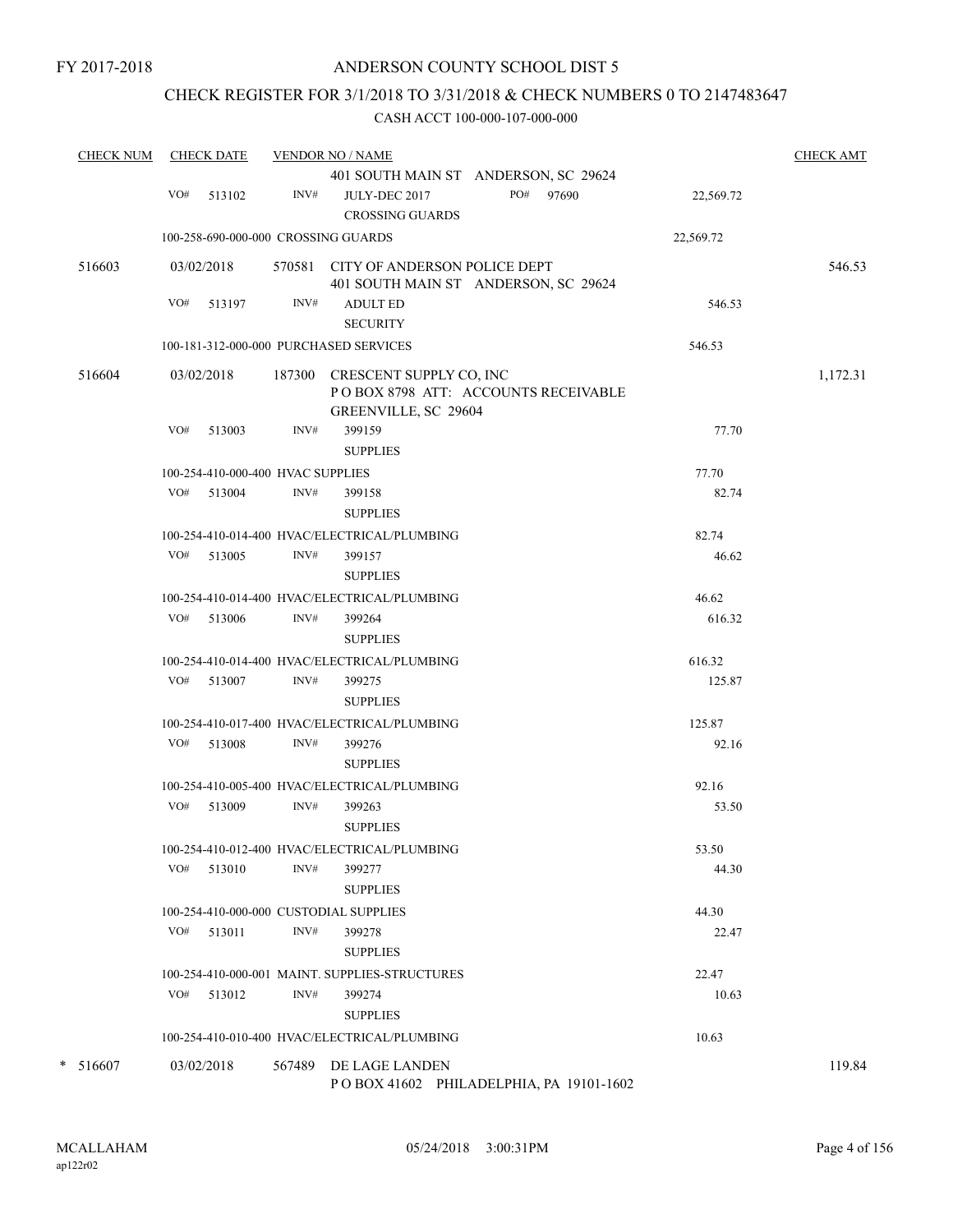# CHECK REGISTER FOR 3/1/2018 TO 3/31/2018 & CHECK NUMBERS 0 TO 2147483647

| <b>CHECK NUM</b> |     | <b>CHECK DATE</b>                 |        | <b>VENDOR NO / NAME</b>                                                                       |           |           | <b>CHECK AMT</b> |
|------------------|-----|-----------------------------------|--------|-----------------------------------------------------------------------------------------------|-----------|-----------|------------------|
|                  |     |                                   |        | 401 SOUTH MAIN ST ANDERSON, SC 29624                                                          |           |           |                  |
|                  |     | VO# 513102                        | INV#   | JULY-DEC 2017<br><b>CROSSING GUARDS</b>                                                       | PO# 97690 | 22,569.72 |                  |
|                  |     |                                   |        | 100-258-690-000-000 CROSSING GUARDS                                                           |           | 22,569.72 |                  |
| 516603           |     | 03/02/2018                        |        | 570581 CITY OF ANDERSON POLICE DEPT<br>401 SOUTH MAIN ST ANDERSON, SC 29624                   |           |           | 546.53           |
|                  | VO# | 513197                            | INV#   | <b>ADULT ED</b><br><b>SECURITY</b>                                                            |           | 546.53    |                  |
|                  |     |                                   |        | 100-181-312-000-000 PURCHASED SERVICES                                                        |           | 546.53    |                  |
| 516604           |     | 03/02/2018                        |        | 187300 CRESCENT SUPPLY CO, INC<br>POBOX 8798 ATT: ACCOUNTS RECEIVABLE<br>GREENVILLE, SC 29604 |           |           | 1,172.31         |
|                  | VO# | 513003                            | INV#   | 399159<br><b>SUPPLIES</b>                                                                     |           | 77.70     |                  |
|                  |     | 100-254-410-000-400 HVAC SUPPLIES |        |                                                                                               |           | 77.70     |                  |
|                  |     | $VO#$ 513004                      | INV#   | 399158<br><b>SUPPLIES</b>                                                                     |           | 82.74     |                  |
|                  |     |                                   |        | 100-254-410-014-400 HVAC/ELECTRICAL/PLUMBING                                                  |           | 82.74     |                  |
|                  |     | VO# 513005                        | INV#   | 399157<br><b>SUPPLIES</b>                                                                     |           | 46.62     |                  |
|                  |     |                                   |        | 100-254-410-014-400 HVAC/ELECTRICAL/PLUMBING                                                  |           | 46.62     |                  |
|                  |     | VO# 513006                        | INV#   | 399264<br><b>SUPPLIES</b>                                                                     |           | 616.32    |                  |
|                  |     |                                   |        | 100-254-410-014-400 HVAC/ELECTRICAL/PLUMBING                                                  |           | 616.32    |                  |
|                  |     | VO# 513007                        | INV#   | 399275                                                                                        |           | 125.87    |                  |
|                  |     |                                   |        | <b>SUPPLIES</b>                                                                               |           |           |                  |
|                  |     |                                   |        | 100-254-410-017-400 HVAC/ELECTRICAL/PLUMBING                                                  |           | 125.87    |                  |
|                  |     | VO# 513008                        | INV#   | 399276<br><b>SUPPLIES</b>                                                                     |           | 92.16     |                  |
|                  |     |                                   |        | 100-254-410-005-400 HVAC/ELECTRICAL/PLUMBING                                                  |           | 92.16     |                  |
|                  |     | VO# 513009                        | INV#   | 399263<br><b>SUPPLIES</b>                                                                     |           | 53.50     |                  |
|                  |     |                                   |        | 100-254-410-012-400 HVAC/ELECTRICAL/PLUMBING                                                  |           | 53.50     |                  |
|                  | VO# | 513010                            | INV#   | 399277<br><b>SUPPLIES</b>                                                                     |           | 44.30     |                  |
|                  |     |                                   |        | 100-254-410-000-000 CUSTODIAL SUPPLIES                                                        |           | 44.30     |                  |
|                  |     | VO# 513011                        | INV#   | 399278<br><b>SUPPLIES</b>                                                                     |           | 22.47     |                  |
|                  |     |                                   |        | 100-254-410-000-001 MAINT. SUPPLIES-STRUCTURES                                                |           | 22.47     |                  |
|                  | VO# | 513012                            | INV#   | 399274                                                                                        |           | 10.63     |                  |
|                  |     |                                   |        | <b>SUPPLIES</b>                                                                               |           |           |                  |
|                  |     |                                   |        | 100-254-410-010-400 HVAC/ELECTRICAL/PLUMBING                                                  |           | 10.63     |                  |
| $* 516607$       |     | 03/02/2018                        | 567489 | DE LAGE LANDEN<br>POBOX 41602 PHILADELPHIA, PA 19101-1602                                     |           |           | 119.84           |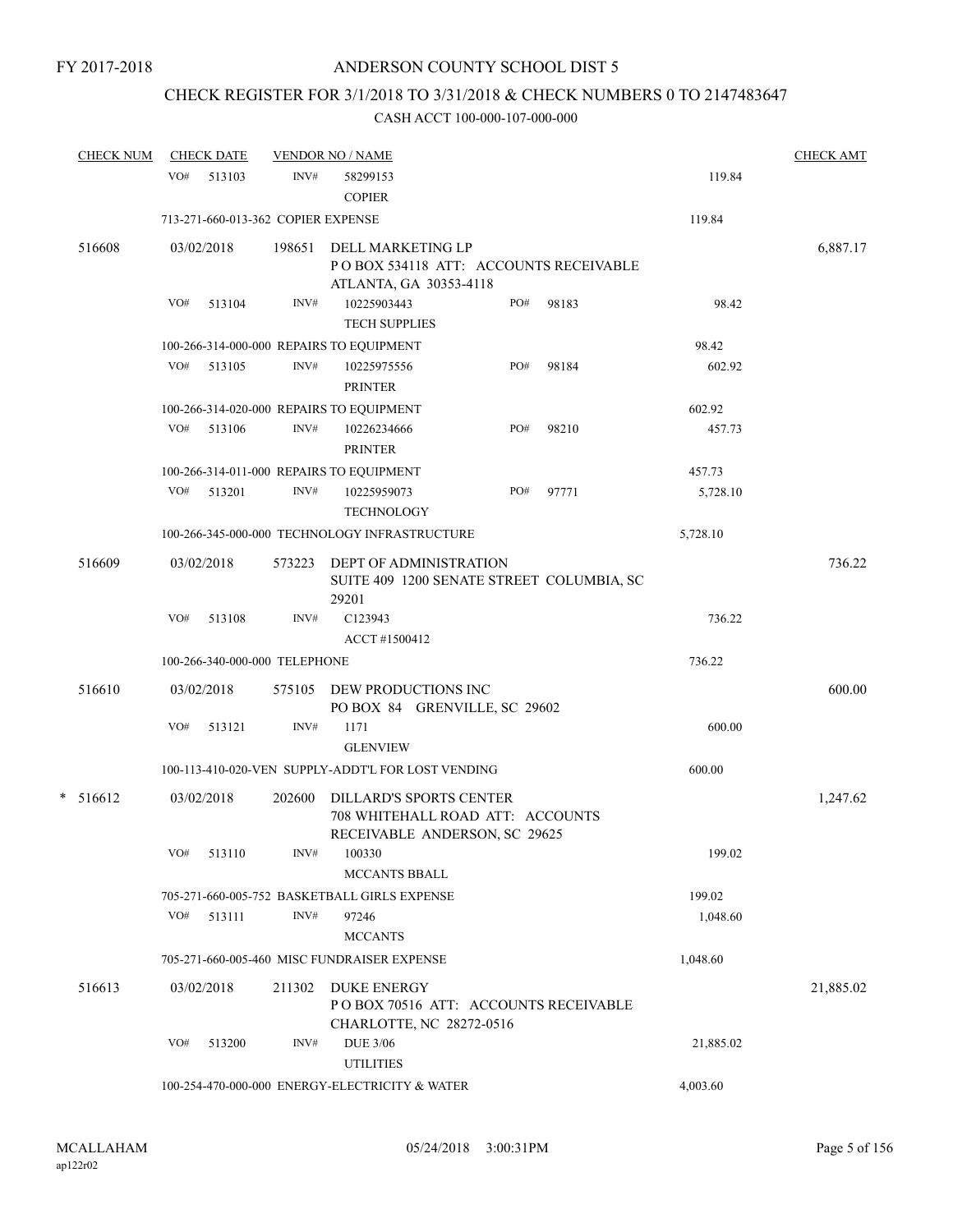# CHECK REGISTER FOR 3/1/2018 TO 3/31/2018 & CHECK NUMBERS 0 TO 2147483647

| <b>CHECK NUM</b> |     | <b>CHECK DATE</b>                  |        | <b>VENDOR NO / NAME</b>                                                                             |     |       |           | <b>CHECK AMT</b> |
|------------------|-----|------------------------------------|--------|-----------------------------------------------------------------------------------------------------|-----|-------|-----------|------------------|
|                  | VO# | 513103                             | INV#   | 58299153<br><b>COPIER</b>                                                                           |     |       | 119.84    |                  |
|                  |     | 713-271-660-013-362 COPIER EXPENSE |        |                                                                                                     |     |       | 119.84    |                  |
| 516608           |     | 03/02/2018                         | 198651 | DELL MARKETING LP<br>POBOX 534118 ATT: ACCOUNTS RECEIVABLE<br>ATLANTA, GA 30353-4118                |     |       |           | 6,887.17         |
|                  | VO# | 513104                             | INV#   | 10225903443<br><b>TECH SUPPLIES</b>                                                                 | PO# | 98183 | 98.42     |                  |
|                  |     |                                    |        | 100-266-314-000-000 REPAIRS TO EQUIPMENT                                                            |     |       | 98.42     |                  |
|                  | VO# | 513105                             | INV#   | 10225975556<br><b>PRINTER</b>                                                                       | PO# | 98184 | 602.92    |                  |
|                  |     |                                    |        | 100-266-314-020-000 REPAIRS TO EQUIPMENT                                                            |     |       | 602.92    |                  |
|                  | VO# | 513106                             | INV#   | 10226234666<br><b>PRINTER</b>                                                                       | PO# | 98210 | 457.73    |                  |
|                  |     |                                    |        | 100-266-314-011-000 REPAIRS TO EQUIPMENT                                                            |     |       | 457.73    |                  |
|                  | VO# | 513201                             | INV#   | 10225959073<br><b>TECHNOLOGY</b>                                                                    | PO# | 97771 | 5,728.10  |                  |
|                  |     |                                    |        | 100-266-345-000-000 TECHNOLOGY INFRASTRUCTURE                                                       |     |       | 5,728.10  |                  |
| 516609           |     | 03/02/2018                         | 573223 | <b>DEPT OF ADMINISTRATION</b><br>SUITE 409 1200 SENATE STREET COLUMBIA, SC<br>29201                 |     |       |           | 736.22           |
|                  | VO# | 513108                             | INV#   | C123943<br>ACCT #1500412                                                                            |     |       | 736.22    |                  |
|                  |     | 100-266-340-000-000 TELEPHONE      |        |                                                                                                     |     |       | 736.22    |                  |
| 516610           |     | 03/02/2018                         |        | 575105 DEW PRODUCTIONS INC                                                                          |     |       |           | 600.00           |
|                  | VO# | 513121                             | INV#   | PO BOX 84 GRENVILLE, SC 29602<br>1171<br><b>GLENVIEW</b>                                            |     |       | 600.00    |                  |
|                  |     |                                    |        | 100-113-410-020-VEN SUPPLY-ADDT'L FOR LOST VENDING                                                  |     |       | 600.00    |                  |
|                  |     |                                    |        |                                                                                                     |     |       |           |                  |
| $* 516612$       |     | 03/02/2018                         | 202600 | <b>DILLARD'S SPORTS CENTER</b><br>708 WHITEHALL ROAD ATT: ACCOUNTS<br>RECEIVABLE ANDERSON, SC 29625 |     |       |           | 1,247.62         |
|                  | VO# | 513110                             | INV#   | 100330<br><b>MCCANTS BBALL</b>                                                                      |     |       | 199.02    |                  |
|                  |     |                                    |        | 705-271-660-005-752 BASKETBALL GIRLS EXPENSE                                                        |     |       | 199.02    |                  |
|                  | VO# | 513111                             | INV#   | 97246<br><b>MCCANTS</b>                                                                             |     |       | 1,048.60  |                  |
|                  |     |                                    |        | 705-271-660-005-460 MISC FUNDRAISER EXPENSE                                                         |     |       | 1,048.60  |                  |
| 516613           |     | 03/02/2018                         | 211302 | <b>DUKE ENERGY</b><br>PO BOX 70516 ATT: ACCOUNTS RECEIVABLE<br>CHARLOTTE, NC 28272-0516             |     |       |           | 21,885.02        |
|                  | VO# | 513200                             | INV#   | <b>DUE 3/06</b><br><b>UTILITIES</b>                                                                 |     |       | 21,885.02 |                  |
|                  |     |                                    |        | 100-254-470-000-000 ENERGY-ELECTRICITY & WATER                                                      |     |       | 4,003.60  |                  |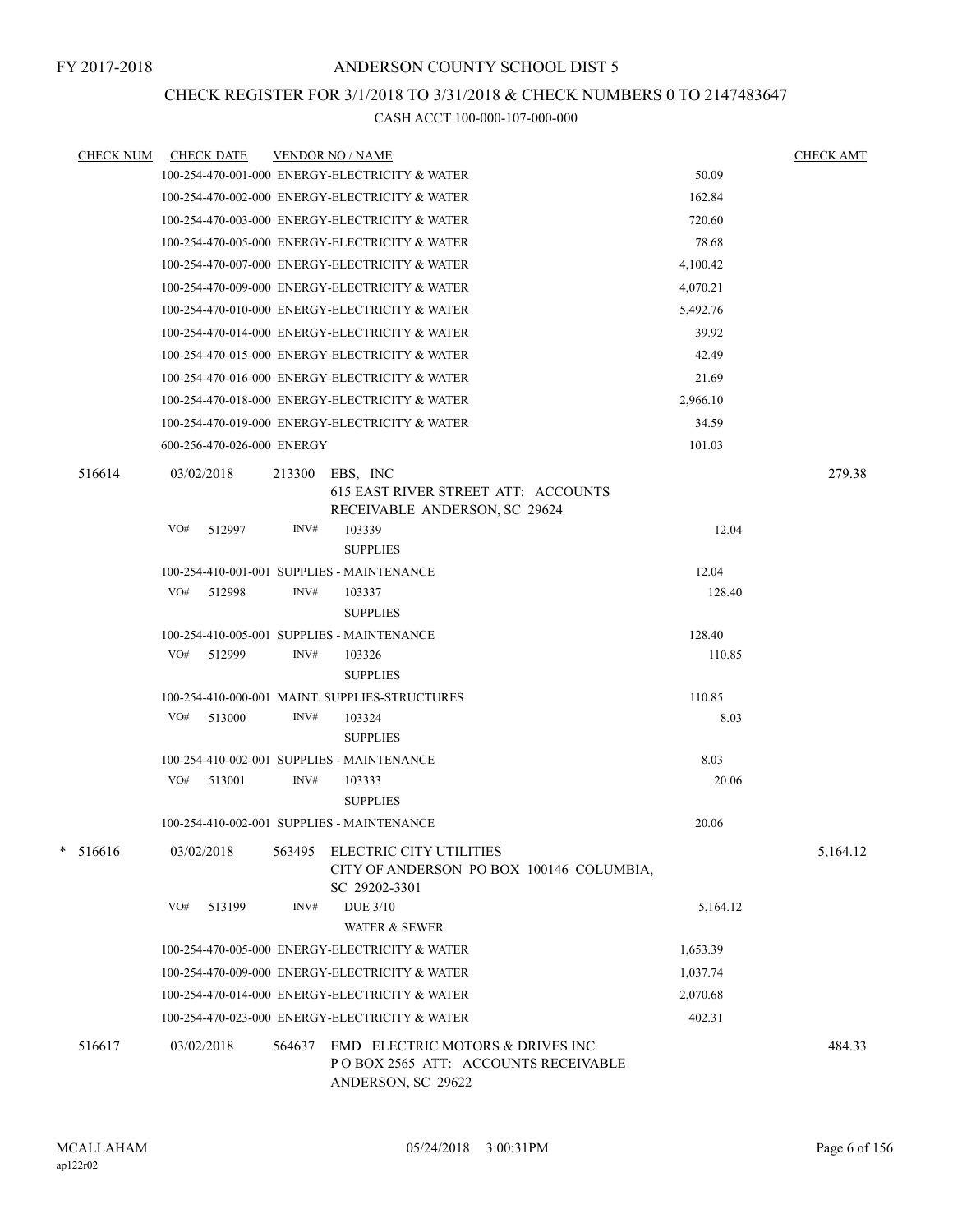# CHECK REGISTER FOR 3/1/2018 TO 3/31/2018 & CHECK NUMBERS 0 TO 2147483647

| <b>CHECK NUM</b> | <b>CHECK DATE</b>          |        | <b>VENDOR NO / NAME</b>                                                                       |          | <b>CHECK AMT</b> |
|------------------|----------------------------|--------|-----------------------------------------------------------------------------------------------|----------|------------------|
|                  |                            |        | 100-254-470-001-000 ENERGY-ELECTRICITY & WATER                                                | 50.09    |                  |
|                  |                            |        | 100-254-470-002-000 ENERGY-ELECTRICITY & WATER                                                | 162.84   |                  |
|                  |                            |        | 100-254-470-003-000 ENERGY-ELECTRICITY & WATER                                                | 720.60   |                  |
|                  |                            |        | 100-254-470-005-000 ENERGY-ELECTRICITY & WATER                                                | 78.68    |                  |
|                  |                            |        | 100-254-470-007-000 ENERGY-ELECTRICITY & WATER                                                | 4,100.42 |                  |
|                  |                            |        | 100-254-470-009-000 ENERGY-ELECTRICITY & WATER                                                | 4,070.21 |                  |
|                  |                            |        | 100-254-470-010-000 ENERGY-ELECTRICITY & WATER                                                | 5,492.76 |                  |
|                  |                            |        | 100-254-470-014-000 ENERGY-ELECTRICITY & WATER                                                | 39.92    |                  |
|                  |                            |        | 100-254-470-015-000 ENERGY-ELECTRICITY & WATER                                                | 42.49    |                  |
|                  |                            |        | 100-254-470-016-000 ENERGY-ELECTRICITY & WATER                                                | 21.69    |                  |
|                  |                            |        | 100-254-470-018-000 ENERGY-ELECTRICITY & WATER                                                | 2,966.10 |                  |
|                  |                            |        | 100-254-470-019-000 ENERGY-ELECTRICITY & WATER                                                | 34.59    |                  |
|                  | 600-256-470-026-000 ENERGY |        |                                                                                               | 101.03   |                  |
| 516614           | 03/02/2018                 | 213300 | EBS, INC<br><b>615 EAST RIVER STREET ATT: ACCOUNTS</b><br>RECEIVABLE ANDERSON, SC 29624       |          | 279.38           |
|                  | VO#<br>512997              | INV#   | 103339<br><b>SUPPLIES</b>                                                                     | 12.04    |                  |
|                  |                            |        | 100-254-410-001-001 SUPPLIES - MAINTENANCE                                                    | 12.04    |                  |
|                  | VO#<br>512998              | INV#   | 103337<br><b>SUPPLIES</b>                                                                     | 128.40   |                  |
|                  |                            |        | 100-254-410-005-001 SUPPLIES - MAINTENANCE                                                    | 128.40   |                  |
|                  | VO#<br>512999              | INV#   | 103326<br><b>SUPPLIES</b>                                                                     | 110.85   |                  |
|                  |                            |        | 100-254-410-000-001 MAINT. SUPPLIES-STRUCTURES                                                | 110.85   |                  |
|                  | VO# 513000                 | INV#   | 103324<br><b>SUPPLIES</b>                                                                     | 8.03     |                  |
|                  |                            |        | 100-254-410-002-001 SUPPLIES - MAINTENANCE                                                    | 8.03     |                  |
|                  | VO#<br>513001              | INV#   | 103333<br><b>SUPPLIES</b>                                                                     | 20.06    |                  |
|                  |                            |        | 100-254-410-002-001 SUPPLIES - MAINTENANCE                                                    | 20.06    |                  |
| 516616           | 03/02/2018                 |        | 563495 ELECTRIC CITY UTILITIES<br>CITY OF ANDERSON PO BOX 100146 COLUMBIA,<br>SC 29202-3301   |          | 5,164.12         |
|                  | VO#<br>513199              | INV#   | <b>DUE 3/10</b><br><b>WATER &amp; SEWER</b>                                                   | 5,164.12 |                  |
|                  |                            |        | 100-254-470-005-000 ENERGY-ELECTRICITY & WATER                                                | 1,653.39 |                  |
|                  |                            |        | 100-254-470-009-000 ENERGY-ELECTRICITY & WATER                                                | 1,037.74 |                  |
|                  |                            |        | 100-254-470-014-000 ENERGY-ELECTRICITY & WATER                                                | 2,070.68 |                  |
|                  |                            |        | 100-254-470-023-000 ENERGY-ELECTRICITY & WATER                                                | 402.31   |                  |
| 516617           | 03/02/2018                 | 564637 | EMD ELECTRIC MOTORS & DRIVES INC<br>POBOX 2565 ATT: ACCOUNTS RECEIVABLE<br>ANDERSON, SC 29622 |          | 484.33           |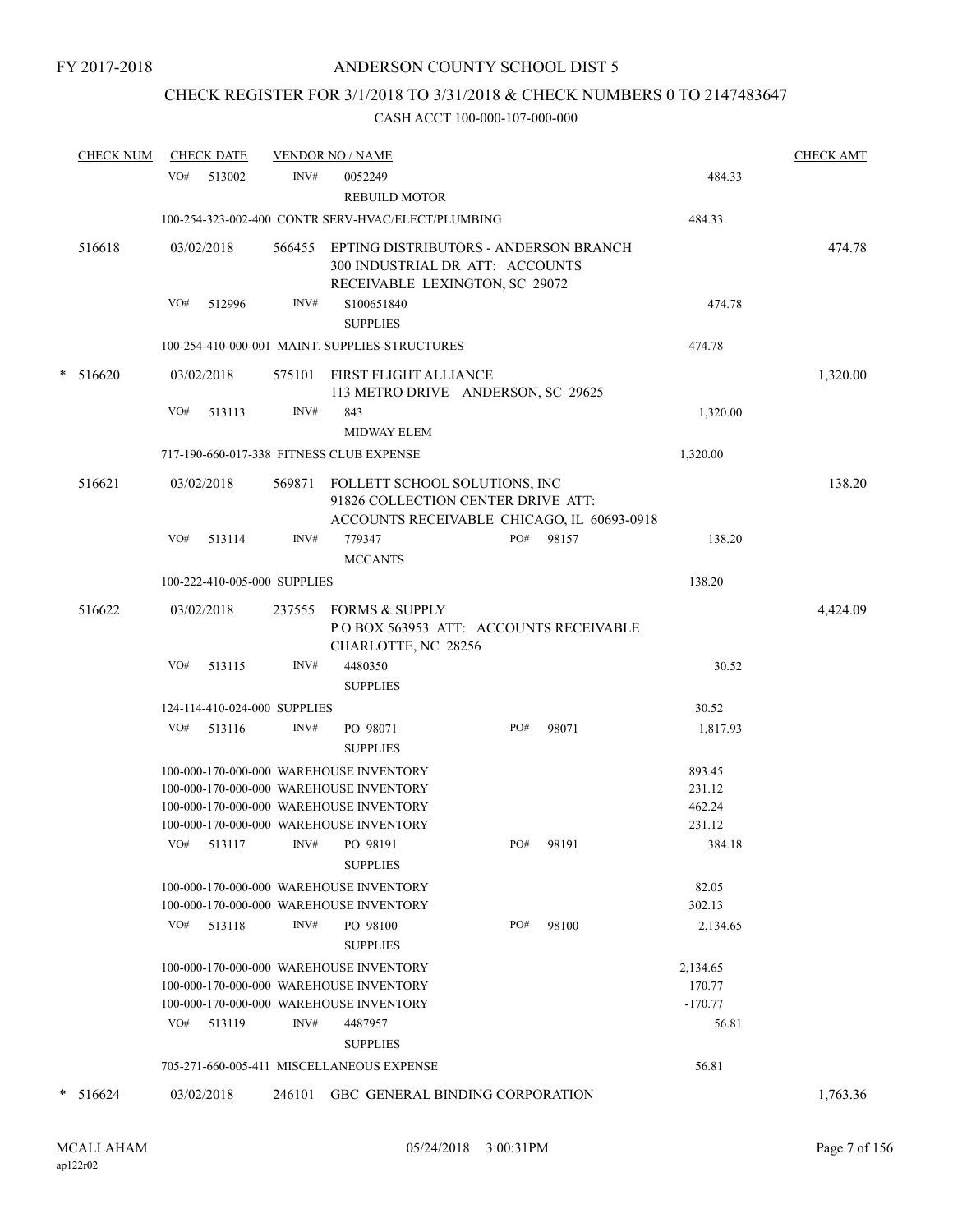# CHECK REGISTER FOR 3/1/2018 TO 3/31/2018 & CHECK NUMBERS 0 TO 2147483647

|   | <b>CHECK NUM</b> |     | <b>CHECK DATE</b>            |        | <b>VENDOR NO / NAME</b>                                                                                                                  |     |           |       |                                          | <b>CHECK AMT</b> |
|---|------------------|-----|------------------------------|--------|------------------------------------------------------------------------------------------------------------------------------------------|-----|-----------|-------|------------------------------------------|------------------|
|   |                  |     | VO# 513002                   | INV#   | 0052249<br><b>REBUILD MOTOR</b>                                                                                                          |     |           |       | 484.33                                   |                  |
|   |                  |     |                              |        | 100-254-323-002-400 CONTR SERV-HVAC/ELECT/PLUMBING                                                                                       |     |           |       | 484.33                                   |                  |
|   | 516618           |     | 03/02/2018                   | 566455 | EPTING DISTRIBUTORS - ANDERSON BRANCH<br>300 INDUSTRIAL DR ATT: ACCOUNTS                                                                 |     |           |       |                                          | 474.78           |
|   |                  | VO# | 512996                       | INV#   | RECEIVABLE LEXINGTON, SC 29072<br>S100651840<br><b>SUPPLIES</b>                                                                          |     |           |       | 474.78                                   |                  |
|   |                  |     |                              |        | 100-254-410-000-001 MAINT. SUPPLIES-STRUCTURES                                                                                           |     |           |       | 474.78                                   |                  |
| * | 516620           |     | 03/02/2018                   |        | 575101 FIRST FLIGHT ALLIANCE<br>113 METRO DRIVE ANDERSON, SC 29625                                                                       |     |           |       |                                          | 1,320.00         |
|   |                  | VO# | 513113                       | INV#   | 843<br><b>MIDWAY ELEM</b>                                                                                                                |     |           |       | 1,320.00                                 |                  |
|   |                  |     |                              |        | 717-190-660-017-338 FITNESS CLUB EXPENSE                                                                                                 |     |           |       | 1,320.00                                 |                  |
|   | 516621           |     | 03/02/2018                   |        | 569871 FOLLETT SCHOOL SOLUTIONS, INC<br>91826 COLLECTION CENTER DRIVE ATT:<br>ACCOUNTS RECEIVABLE CHICAGO, IL 60693-0918                 |     |           |       |                                          | 138.20           |
|   |                  | VO# | 513114                       | INV#   | 779347<br><b>MCCANTS</b>                                                                                                                 | PO# |           | 98157 | 138.20                                   |                  |
|   |                  |     | 100-222-410-005-000 SUPPLIES |        |                                                                                                                                          |     |           |       | 138.20                                   |                  |
|   | 516622           |     | 03/02/2018                   | 237555 | <b>FORMS &amp; SUPPLY</b><br>POBOX 563953 ATT: ACCOUNTS RECEIVABLE<br>CHARLOTTE, NC 28256                                                |     |           |       |                                          | 4,424.09         |
|   |                  | VO# | 513115                       | INV#   | 4480350<br><b>SUPPLIES</b>                                                                                                               |     |           |       | 30.52                                    |                  |
|   |                  |     | 124-114-410-024-000 SUPPLIES |        |                                                                                                                                          |     |           |       | 30.52                                    |                  |
|   |                  | VO# | 513116                       | INV#   | PO 98071<br><b>SUPPLIES</b>                                                                                                              | PO# |           | 98071 | 1,817.93                                 |                  |
|   |                  |     |                              |        | 100-000-170-000-000 WAREHOUSE INVENTORY                                                                                                  |     |           |       | 893.45                                   |                  |
|   |                  |     |                              |        | 100-000-170-000-000 WAREHOUSE INVENTORY                                                                                                  |     |           |       | 231.12                                   |                  |
|   |                  |     |                              |        | 100-000-170-000-000 WAREHOUSE INVENTORY<br>100-000-170-000-000 WAREHOUSE INVENTORY                                                       |     |           |       | 462.24<br>231.12                         |                  |
|   |                  |     | VO# 513117                   |        | INV# PO 98191<br><b>SUPPLIES</b>                                                                                                         |     | PO# 98191 |       | 384.18                                   |                  |
|   |                  |     |                              |        | 100-000-170-000-000 WAREHOUSE INVENTORY<br>100-000-170-000-000 WAREHOUSE INVENTORY                                                       |     |           |       | 82.05<br>302.13                          |                  |
|   |                  | VO# | 513118                       | INV#   | PO 98100<br><b>SUPPLIES</b>                                                                                                              | PO# |           | 98100 | 2,134.65                                 |                  |
|   |                  |     | VO# 513119                   | INV#   | 100-000-170-000-000 WAREHOUSE INVENTORY<br>100-000-170-000-000 WAREHOUSE INVENTORY<br>100-000-170-000-000 WAREHOUSE INVENTORY<br>4487957 |     |           |       | 2,134.65<br>170.77<br>$-170.77$<br>56.81 |                  |
|   |                  |     |                              |        | <b>SUPPLIES</b>                                                                                                                          |     |           |       |                                          |                  |
|   |                  |     |                              |        | 705-271-660-005-411 MISCELLANEOUS EXPENSE                                                                                                |     |           |       | 56.81                                    |                  |
| * | 516624           |     | 03/02/2018                   | 246101 | GBC GENERAL BINDING CORPORATION                                                                                                          |     |           |       |                                          | 1,763.36         |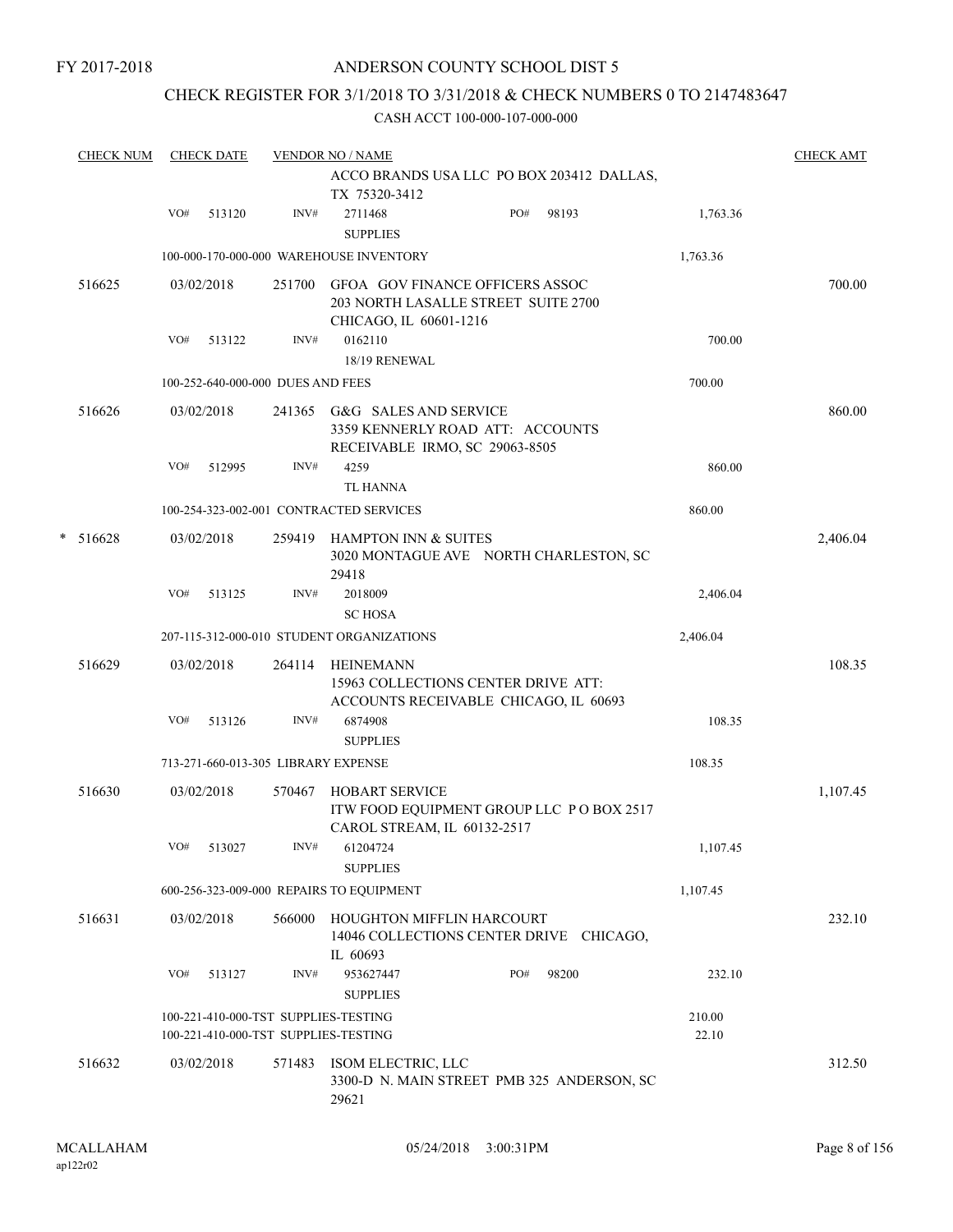FY 2017-2018

# ANDERSON COUNTY SCHOOL DIST 5

# CHECK REGISTER FOR 3/1/2018 TO 3/31/2018 & CHECK NUMBERS 0 TO 2147483647

|                 |              |                              |                                                                                                                                                                                                                                                                                                                                                                                                                                                                                                         |                                                                                                                                                                                 |     | <b>CHECK NUM</b>                                                                                                                                                                                                  |                                                                                                                                                                                                                                                         |
|-----------------|--------------|------------------------------|---------------------------------------------------------------------------------------------------------------------------------------------------------------------------------------------------------------------------------------------------------------------------------------------------------------------------------------------------------------------------------------------------------------------------------------------------------------------------------------------------------|---------------------------------------------------------------------------------------------------------------------------------------------------------------------------------|-----|-------------------------------------------------------------------------------------------------------------------------------------------------------------------------------------------------------------------|---------------------------------------------------------------------------------------------------------------------------------------------------------------------------------------------------------------------------------------------------------|
|                 |              | TX 75320-3412                |                                                                                                                                                                                                                                                                                                                                                                                                                                                                                                         |                                                                                                                                                                                 |     |                                                                                                                                                                                                                   |                                                                                                                                                                                                                                                         |
| 1,763.36        | PO#<br>98193 | 2711468<br><b>SUPPLIES</b>   | INV#                                                                                                                                                                                                                                                                                                                                                                                                                                                                                                    | 513120                                                                                                                                                                          | VO# |                                                                                                                                                                                                                   |                                                                                                                                                                                                                                                         |
| 1,763.36        |              |                              |                                                                                                                                                                                                                                                                                                                                                                                                                                                                                                         |                                                                                                                                                                                 |     |                                                                                                                                                                                                                   |                                                                                                                                                                                                                                                         |
|                 |              |                              | 251700                                                                                                                                                                                                                                                                                                                                                                                                                                                                                                  |                                                                                                                                                                                 |     | 516625                                                                                                                                                                                                            |                                                                                                                                                                                                                                                         |
| 700.00          |              | 0162110<br>18/19 RENEWAL     | INV#                                                                                                                                                                                                                                                                                                                                                                                                                                                                                                    | 513122                                                                                                                                                                          | VO# |                                                                                                                                                                                                                   |                                                                                                                                                                                                                                                         |
| 700.00          |              |                              |                                                                                                                                                                                                                                                                                                                                                                                                                                                                                                         |                                                                                                                                                                                 |     |                                                                                                                                                                                                                   |                                                                                                                                                                                                                                                         |
|                 |              |                              | 241365                                                                                                                                                                                                                                                                                                                                                                                                                                                                                                  |                                                                                                                                                                                 |     | 516626                                                                                                                                                                                                            |                                                                                                                                                                                                                                                         |
| 860.00          |              | 4259<br><b>TL HANNA</b>      | INV#                                                                                                                                                                                                                                                                                                                                                                                                                                                                                                    | 512995                                                                                                                                                                          | VO# |                                                                                                                                                                                                                   |                                                                                                                                                                                                                                                         |
| 860.00          |              |                              |                                                                                                                                                                                                                                                                                                                                                                                                                                                                                                         |                                                                                                                                                                                 |     |                                                                                                                                                                                                                   |                                                                                                                                                                                                                                                         |
|                 |              | 29418                        | 259419                                                                                                                                                                                                                                                                                                                                                                                                                                                                                                  |                                                                                                                                                                                 |     | 516628                                                                                                                                                                                                            | *                                                                                                                                                                                                                                                       |
| 2,406.04        |              | 2018009<br><b>SC HOSA</b>    | INV#                                                                                                                                                                                                                                                                                                                                                                                                                                                                                                    | 513125                                                                                                                                                                          | VO# |                                                                                                                                                                                                                   |                                                                                                                                                                                                                                                         |
| 2,406.04        |              |                              |                                                                                                                                                                                                                                                                                                                                                                                                                                                                                                         |                                                                                                                                                                                 |     |                                                                                                                                                                                                                   |                                                                                                                                                                                                                                                         |
|                 |              | HEINEMANN                    | 264114                                                                                                                                                                                                                                                                                                                                                                                                                                                                                                  |                                                                                                                                                                                 |     | 516629                                                                                                                                                                                                            |                                                                                                                                                                                                                                                         |
| 108.35          |              | 6874908<br><b>SUPPLIES</b>   | INV#                                                                                                                                                                                                                                                                                                                                                                                                                                                                                                    | 513126                                                                                                                                                                          | VO# |                                                                                                                                                                                                                   |                                                                                                                                                                                                                                                         |
| 108.35          |              |                              |                                                                                                                                                                                                                                                                                                                                                                                                                                                                                                         |                                                                                                                                                                                 |     |                                                                                                                                                                                                                   |                                                                                                                                                                                                                                                         |
|                 |              | <b>HOBART SERVICE</b>        | 570467                                                                                                                                                                                                                                                                                                                                                                                                                                                                                                  |                                                                                                                                                                                 |     | 516630                                                                                                                                                                                                            |                                                                                                                                                                                                                                                         |
| 1,107.45        |              | <b>SUPPLIES</b>              |                                                                                                                                                                                                                                                                                                                                                                                                                                                                                                         |                                                                                                                                                                                 |     |                                                                                                                                                                                                                   |                                                                                                                                                                                                                                                         |
| 1,107.45        |              |                              |                                                                                                                                                                                                                                                                                                                                                                                                                                                                                                         |                                                                                                                                                                                 |     |                                                                                                                                                                                                                   |                                                                                                                                                                                                                                                         |
|                 |              | IL 60693                     | 566000                                                                                                                                                                                                                                                                                                                                                                                                                                                                                                  |                                                                                                                                                                                 |     | 516631                                                                                                                                                                                                            |                                                                                                                                                                                                                                                         |
| 232.10          | 98200<br>PO# | 953627447<br><b>SUPPLIES</b> | INV#                                                                                                                                                                                                                                                                                                                                                                                                                                                                                                    | 513127                                                                                                                                                                          | VO# |                                                                                                                                                                                                                   |                                                                                                                                                                                                                                                         |
| 210.00<br>22.10 |              |                              |                                                                                                                                                                                                                                                                                                                                                                                                                                                                                                         |                                                                                                                                                                                 |     |                                                                                                                                                                                                                   |                                                                                                                                                                                                                                                         |
|                 |              | 29621                        |                                                                                                                                                                                                                                                                                                                                                                                                                                                                                                         |                                                                                                                                                                                 |     | 516632                                                                                                                                                                                                            |                                                                                                                                                                                                                                                         |
|                 |              |                              | ACCO BRANDS USA LLC PO BOX 203412 DALLAS,<br>203 NORTH LASALLE STREET SUITE 2700<br>CHICAGO, IL 60601-1216<br>G&G SALES AND SERVICE<br>3359 KENNERLY ROAD ATT: ACCOUNTS<br>RECEIVABLE IRMO, SC 29063-8505<br>3020 MONTAGUE AVE NORTH CHARLESTON, SC<br>15963 COLLECTIONS CENTER DRIVE ATT:<br>ACCOUNTS RECEIVABLE CHICAGO, IL 60693<br>ITW FOOD EQUIPMENT GROUP LLC PO BOX 2517<br>CAROL STREAM, IL 60132-2517<br>14046 COLLECTIONS CENTER DRIVE CHICAGO,<br>3300-D N. MAIN STREET PMB 325 ANDERSON, SC | <b>VENDOR NO / NAME</b><br><b>GFOA GOV FINANCE OFFICERS ASSOC</b><br><b>HAMPTON INN &amp; SUITES</b><br>INV# 61204724<br>HOUGHTON MIFFLIN HARCOURT<br>571483 ISOM ELECTRIC, LLC |     | <b>CHECK DATE</b><br>100-000-170-000-000 WAREHOUSE INVENTORY<br>03/02/2018<br>100-252-640-000-000 DUES AND FEES<br>03/02/2018<br>03/02/2018<br>03/02/2018<br>03/02/2018<br>VO# 513027<br>03/02/2018<br>03/02/2018 | 100-254-323-002-001 CONTRACTED SERVICES<br>207-115-312-000-010 STUDENT ORGANIZATIONS<br>713-271-660-013-305 LIBRARY EXPENSE<br>600-256-323-009-000 REPAIRS TO EQUIPMENT<br>100-221-410-000-TST SUPPLIES-TESTING<br>100-221-410-000-TST SUPPLIES-TESTING |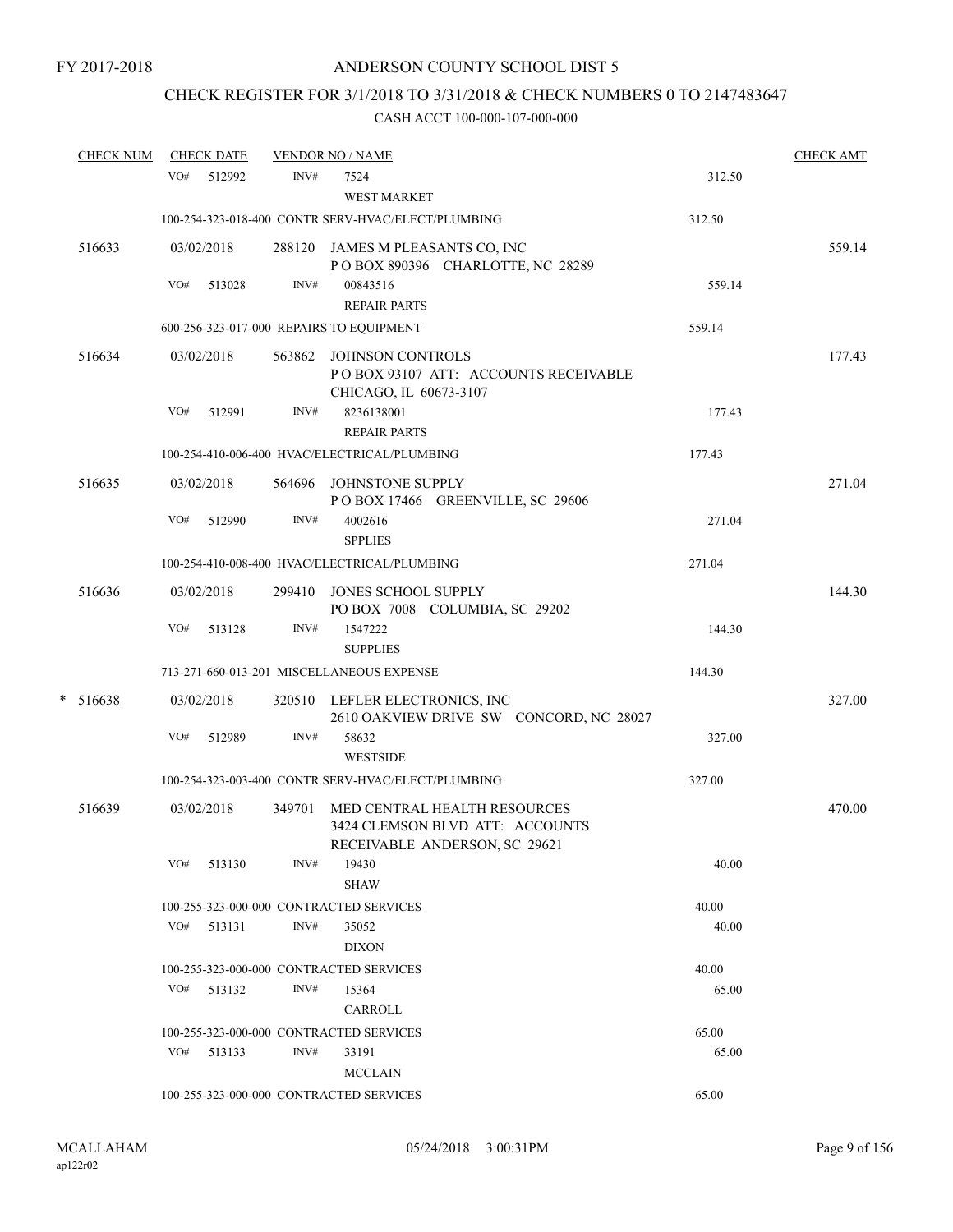# CHECK REGISTER FOR 3/1/2018 TO 3/31/2018 & CHECK NUMBERS 0 TO 2147483647

| <b>CHECK NUM</b> |     | <b>CHECK DATE</b> |        | <b>VENDOR NO / NAME</b>                                                                          |        | <b>CHECK AMT</b> |
|------------------|-----|-------------------|--------|--------------------------------------------------------------------------------------------------|--------|------------------|
|                  |     | VO# 512992        | INV#   | 7524                                                                                             | 312.50 |                  |
|                  |     |                   |        | WEST MARKET                                                                                      |        |                  |
|                  |     |                   |        | 100-254-323-018-400 CONTR SERV-HVAC/ELECT/PLUMBING                                               | 312.50 |                  |
| 516633           |     | 03/02/2018        |        | 288120 JAMES M PLEASANTS CO, INC<br>POBOX 890396 CHARLOTTE, NC 28289                             |        | 559.14           |
|                  | VO# | 513028            | INV#   | 00843516<br><b>REPAIR PARTS</b>                                                                  | 559.14 |                  |
|                  |     |                   |        | 600-256-323-017-000 REPAIRS TO EQUIPMENT                                                         | 559.14 |                  |
| 516634           |     | 03/02/2018        |        | 563862 JOHNSON CONTROLS<br>POBOX 93107 ATT: ACCOUNTS RECEIVABLE<br>CHICAGO, IL 60673-3107        |        | 177.43           |
|                  | VO# | 512991            | INV#   | 8236138001<br><b>REPAIR PARTS</b>                                                                | 177.43 |                  |
|                  |     |                   |        | 100-254-410-006-400 HVAC/ELECTRICAL/PLUMBING                                                     | 177.43 |                  |
| 516635           |     | 03/02/2018        |        | 564696 JOHNSTONE SUPPLY<br>POBOX 17466 GREENVILLE, SC 29606                                      |        | 271.04           |
|                  | VO# | 512990            | INV#   | 4002616<br><b>SPPLIES</b>                                                                        | 271.04 |                  |
|                  |     |                   |        | 100-254-410-008-400 HVAC/ELECTRICAL/PLUMBING                                                     | 271.04 |                  |
| 516636           |     | 03/02/2018        |        | 299410 JONES SCHOOL SUPPLY<br>PO BOX 7008 COLUMBIA, SC 29202                                     |        | 144.30           |
|                  | VO# | 513128            | INV#   | 1547222<br><b>SUPPLIES</b>                                                                       | 144.30 |                  |
|                  |     |                   |        | 713-271-660-013-201 MISCELLANEOUS EXPENSE                                                        | 144.30 |                  |
| $* 516638$       |     | 03/02/2018        |        | 320510 LEFLER ELECTRONICS, INC<br>2610 OAKVIEW DRIVE SW CONCORD, NC 28027                        |        | 327.00           |
|                  | VO# | 512989            | INV#   | 58632<br><b>WESTSIDE</b>                                                                         | 327.00 |                  |
|                  |     |                   |        | 100-254-323-003-400 CONTR SERV-HVAC/ELECT/PLUMBING                                               | 327.00 |                  |
| 516639           |     | 03/02/2018        | 349701 | MED CENTRAL HEALTH RESOURCES<br>3424 CLEMSON BLVD ATT: ACCOUNTS<br>RECEIVABLE ANDERSON, SC 29621 |        | 470.00           |
|                  | VO# | 513130            | INV#   | 19430<br><b>SHAW</b>                                                                             | 40.00  |                  |
|                  |     |                   |        | 100-255-323-000-000 CONTRACTED SERVICES                                                          | 40.00  |                  |
|                  |     | $VO#$ 513131      | INV#   | 35052<br><b>DIXON</b>                                                                            | 40.00  |                  |
|                  |     |                   |        | 100-255-323-000-000 CONTRACTED SERVICES                                                          | 40.00  |                  |
|                  | VO# | 513132            | INV#   | 15364<br>CARROLL                                                                                 | 65.00  |                  |
|                  |     |                   |        | 100-255-323-000-000 CONTRACTED SERVICES                                                          | 65.00  |                  |
|                  | VO# | 513133            | INV#   | 33191<br><b>MCCLAIN</b>                                                                          | 65.00  |                  |
|                  |     |                   |        | 100-255-323-000-000 CONTRACTED SERVICES                                                          | 65.00  |                  |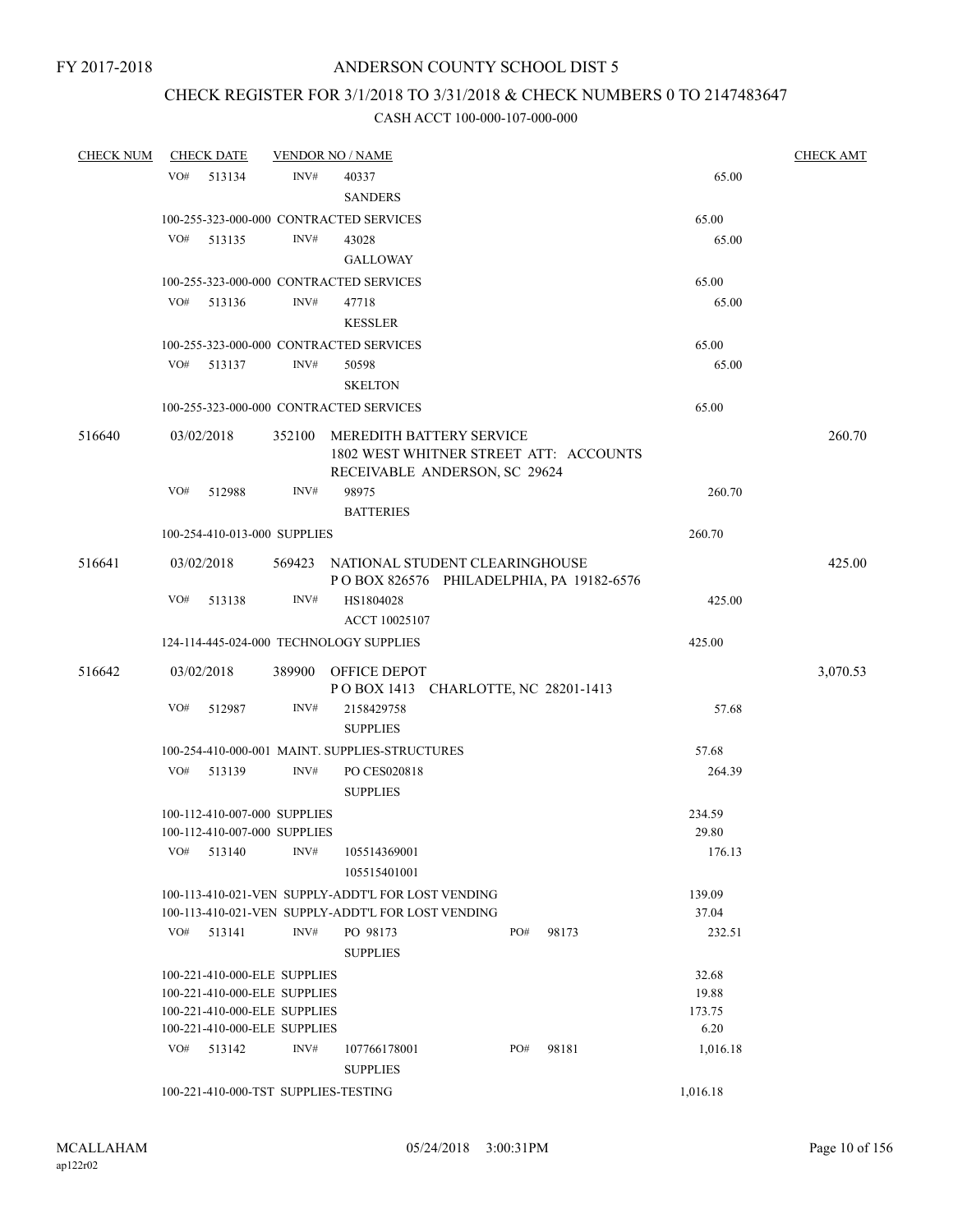# CHECK REGISTER FOR 3/1/2018 TO 3/31/2018 & CHECK NUMBERS 0 TO 2147483647

| <b>CHECK NUM</b> |     | <b>CHECK DATE</b>            |                | <b>VENDOR NO / NAME</b>                            |     |       |          |          | <b>CHECK AMT</b> |
|------------------|-----|------------------------------|----------------|----------------------------------------------------|-----|-------|----------|----------|------------------|
|                  | VO# | 513134                       | INV#           | 40337                                              |     |       |          | 65.00    |                  |
|                  |     |                              |                | <b>SANDERS</b>                                     |     |       |          |          |                  |
|                  |     |                              |                | 100-255-323-000-000 CONTRACTED SERVICES            |     |       | 65.00    |          |                  |
|                  | VO# | 513135                       | INV#           | 43028                                              |     |       |          | 65.00    |                  |
|                  |     |                              |                | <b>GALLOWAY</b>                                    |     |       |          |          |                  |
|                  |     |                              |                | 100-255-323-000-000 CONTRACTED SERVICES            |     |       | 65.00    |          |                  |
|                  | VO# | 513136                       | INV#           | 47718                                              |     |       |          | 65.00    |                  |
|                  |     |                              |                | <b>KESSLER</b>                                     |     |       |          |          |                  |
|                  |     |                              |                |                                                    |     |       |          |          |                  |
|                  |     |                              |                | 100-255-323-000-000 CONTRACTED SERVICES            |     |       | 65.00    |          |                  |
|                  | VO# | 513137                       | INV#           | 50598                                              |     |       |          | 65.00    |                  |
|                  |     |                              |                | <b>SKELTON</b>                                     |     |       |          |          |                  |
|                  |     |                              |                | 100-255-323-000-000 CONTRACTED SERVICES            |     |       | 65.00    |          |                  |
| 516640           |     | 03/02/2018                   | 352100         | MEREDITH BATTERY SERVICE                           |     |       |          |          | 260.70           |
|                  |     |                              |                | 1802 WEST WHITNER STREET ATT: ACCOUNTS             |     |       |          |          |                  |
|                  |     |                              |                | RECEIVABLE ANDERSON, SC 29624                      |     |       |          |          |                  |
|                  | VO# | 512988                       | $\text{INV}\#$ | 98975                                              |     |       |          | 260.70   |                  |
|                  |     |                              |                | <b>BATTERIES</b>                                   |     |       |          |          |                  |
|                  |     | 100-254-410-013-000 SUPPLIES |                |                                                    |     |       | 260.70   |          |                  |
| 516641           |     | 03/02/2018                   |                | 569423 NATIONAL STUDENT CLEARINGHOUSE              |     |       |          |          | 425.00           |
|                  |     |                              |                | POBOX 826576 PHILADELPHIA, PA 19182-6576           |     |       |          |          |                  |
|                  | VO# | 513138                       | INV#           | HS1804028                                          |     |       |          | 425.00   |                  |
|                  |     |                              |                | ACCT 10025107                                      |     |       |          |          |                  |
|                  |     |                              |                | 124-114-445-024-000 TECHNOLOGY SUPPLIES            |     |       | 425.00   |          |                  |
|                  |     |                              |                |                                                    |     |       |          |          |                  |
| 516642           |     | 03/02/2018                   |                | 389900 OFFICE DEPOT                                |     |       |          |          | 3,070.53         |
|                  |     |                              |                | POBOX 1413 CHARLOTTE, NC 28201-1413                |     |       |          |          |                  |
|                  | VO# | 512987                       | INV#           | 2158429758                                         |     |       |          | 57.68    |                  |
|                  |     |                              |                | <b>SUPPLIES</b>                                    |     |       |          |          |                  |
|                  |     |                              |                | 100-254-410-000-001 MAINT. SUPPLIES-STRUCTURES     |     |       | 57.68    |          |                  |
|                  | VO# | 513139                       | INV#           | PO CES020818                                       |     |       |          | 264.39   |                  |
|                  |     |                              |                | <b>SUPPLIES</b>                                    |     |       |          |          |                  |
|                  |     | 100-112-410-007-000 SUPPLIES |                |                                                    |     |       | 234.59   |          |                  |
|                  |     | 100-112-410-007-000 SUPPLIES |                |                                                    |     |       | 29.80    |          |                  |
|                  | VO# | 513140                       | INV#           | 105514369001                                       |     |       |          | 176.13   |                  |
|                  |     |                              |                | 105515401001                                       |     |       |          |          |                  |
|                  |     |                              |                | 100-113-410-021-VEN SUPPLY-ADDT'L FOR LOST VENDING |     |       | 139.09   |          |                  |
|                  |     |                              |                | 100-113-410-021-VEN SUPPLY-ADDT'L FOR LOST VENDING |     |       | 37.04    |          |                  |
|                  | VO# | 513141                       | INV#           | PO 98173                                           | PO# | 98173 |          | 232.51   |                  |
|                  |     |                              |                | <b>SUPPLIES</b>                                    |     |       |          |          |                  |
|                  |     | 100-221-410-000-ELE SUPPLIES |                |                                                    |     |       | 32.68    |          |                  |
|                  |     | 100-221-410-000-ELE SUPPLIES |                |                                                    |     |       | 19.88    |          |                  |
|                  |     | 100-221-410-000-ELE SUPPLIES |                |                                                    |     |       | 173.75   |          |                  |
|                  |     | 100-221-410-000-ELE SUPPLIES |                |                                                    |     |       | 6.20     |          |                  |
|                  | VO# | 513142                       | INV#           | 107766178001                                       | PO# | 98181 |          | 1,016.18 |                  |
|                  |     |                              |                | <b>SUPPLIES</b>                                    |     |       |          |          |                  |
|                  |     |                              |                | 100-221-410-000-TST SUPPLIES-TESTING               |     |       | 1,016.18 |          |                  |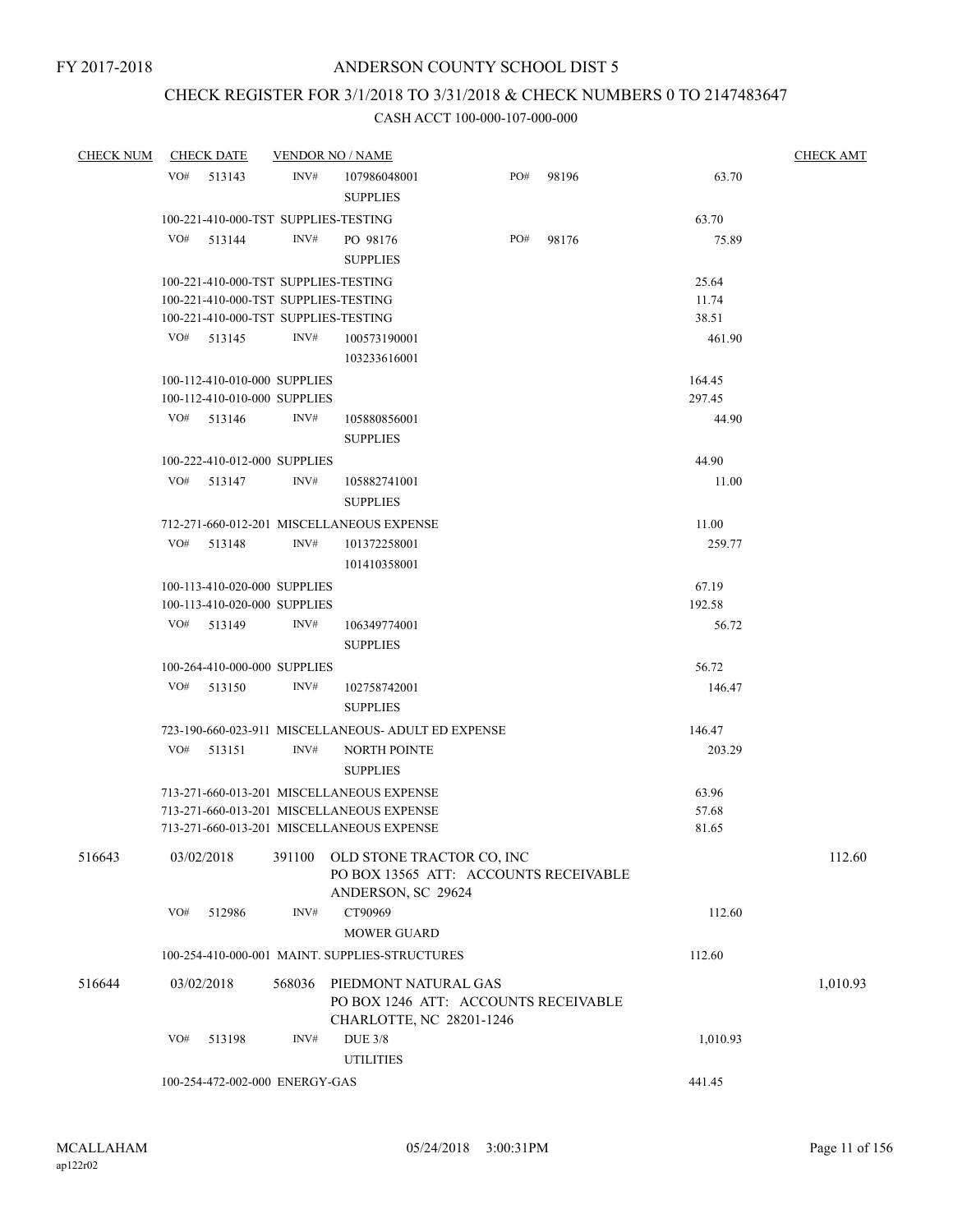# CHECK REGISTER FOR 3/1/2018 TO 3/31/2018 & CHECK NUMBERS 0 TO 2147483647

| <b>CHECK NUM</b> |     | <b>CHECK DATE</b>                    |        | <b>VENDOR NO / NAME</b>                                            |     |       |          | <b>CHECK AMT</b> |
|------------------|-----|--------------------------------------|--------|--------------------------------------------------------------------|-----|-------|----------|------------------|
|                  | VO# | 513143                               | INV#   | 107986048001                                                       | PO# | 98196 | 63.70    |                  |
|                  |     |                                      |        | <b>SUPPLIES</b>                                                    |     |       |          |                  |
|                  |     | 100-221-410-000-TST SUPPLIES-TESTING |        |                                                                    |     |       | 63.70    |                  |
|                  | VO# | 513144                               | INV#   | PO 98176                                                           | PO# | 98176 | 75.89    |                  |
|                  |     |                                      |        | <b>SUPPLIES</b>                                                    |     |       |          |                  |
|                  |     | 100-221-410-000-TST SUPPLIES-TESTING |        |                                                                    |     |       | 25.64    |                  |
|                  |     | 100-221-410-000-TST SUPPLIES-TESTING |        |                                                                    |     |       | 11.74    |                  |
|                  |     | 100-221-410-000-TST SUPPLIES-TESTING |        |                                                                    |     |       | 38.51    |                  |
|                  |     | VO# 513145                           | INV#   | 100573190001                                                       |     |       | 461.90   |                  |
|                  |     |                                      |        | 103233616001                                                       |     |       |          |                  |
|                  |     | 100-112-410-010-000 SUPPLIES         |        |                                                                    |     |       | 164.45   |                  |
|                  |     | 100-112-410-010-000 SUPPLIES         |        |                                                                    |     |       | 297.45   |                  |
|                  |     | VO# 513146                           | INV#   | 105880856001                                                       |     |       | 44.90    |                  |
|                  |     |                                      |        | <b>SUPPLIES</b>                                                    |     |       |          |                  |
|                  |     | 100-222-410-012-000 SUPPLIES         |        |                                                                    |     |       | 44.90    |                  |
|                  |     | VO# 513147                           | INV#   | 105882741001                                                       |     |       | 11.00    |                  |
|                  |     |                                      |        | <b>SUPPLIES</b>                                                    |     |       |          |                  |
|                  |     |                                      |        | 712-271-660-012-201 MISCELLANEOUS EXPENSE                          |     |       | 11.00    |                  |
|                  | VO# | 513148                               | INV#   | 101372258001                                                       |     |       | 259.77   |                  |
|                  |     |                                      |        | 101410358001                                                       |     |       |          |                  |
|                  |     | 100-113-410-020-000 SUPPLIES         |        |                                                                    |     |       | 67.19    |                  |
|                  |     | 100-113-410-020-000 SUPPLIES         |        |                                                                    |     |       | 192.58   |                  |
|                  |     | VO# 513149                           | INV#   | 106349774001                                                       |     |       | 56.72    |                  |
|                  |     |                                      |        | <b>SUPPLIES</b>                                                    |     |       |          |                  |
|                  |     | 100-264-410-000-000 SUPPLIES         |        |                                                                    |     |       | 56.72    |                  |
|                  | VO# | 513150                               | INV#   | 102758742001                                                       |     |       | 146.47   |                  |
|                  |     |                                      |        | <b>SUPPLIES</b>                                                    |     |       |          |                  |
|                  |     |                                      |        | 723-190-660-023-911 MISCELLANEOUS- ADULT ED EXPENSE                |     |       | 146.47   |                  |
|                  | VO# | 513151                               | INV#   | <b>NORTH POINTE</b>                                                |     |       | 203.29   |                  |
|                  |     |                                      |        | <b>SUPPLIES</b>                                                    |     |       |          |                  |
|                  |     |                                      |        | 713-271-660-013-201 MISCELLANEOUS EXPENSE                          |     |       | 63.96    |                  |
|                  |     |                                      |        | 713-271-660-013-201 MISCELLANEOUS EXPENSE                          |     |       | 57.68    |                  |
|                  |     |                                      |        | 713-271-660-013-201 MISCELLANEOUS EXPENSE                          |     |       | 81.65    |                  |
|                  |     |                                      |        |                                                                    |     |       |          |                  |
| 516643           |     | 03/02/2018                           | 391100 | OLD STONE TRACTOR CO, INC<br>PO BOX 13565 ATT: ACCOUNTS RECEIVABLE |     |       |          | 112.60           |
|                  |     |                                      |        | ANDERSON, SC 29624                                                 |     |       |          |                  |
|                  | VO# | 512986                               | INV#   | CT90969                                                            |     |       | 112.60   |                  |
|                  |     |                                      |        | <b>MOWER GUARD</b>                                                 |     |       |          |                  |
|                  |     |                                      |        | 100-254-410-000-001 MAINT. SUPPLIES-STRUCTURES                     |     |       | 112.60   |                  |
|                  |     |                                      |        |                                                                    |     |       |          |                  |
| 516644           |     | 03/02/2018                           | 568036 | PIEDMONT NATURAL GAS<br>PO BOX 1246 ATT: ACCOUNTS RECEIVABLE       |     |       |          | 1,010.93         |
|                  |     |                                      |        | CHARLOTTE, NC 28201-1246                                           |     |       |          |                  |
|                  | VO# | 513198                               | INV#   | <b>DUE 3/8</b>                                                     |     |       | 1,010.93 |                  |
|                  |     |                                      |        | <b>UTILITIES</b>                                                   |     |       |          |                  |
|                  |     | 100-254-472-002-000 ENERGY-GAS       |        |                                                                    |     |       | 441.45   |                  |
|                  |     |                                      |        |                                                                    |     |       |          |                  |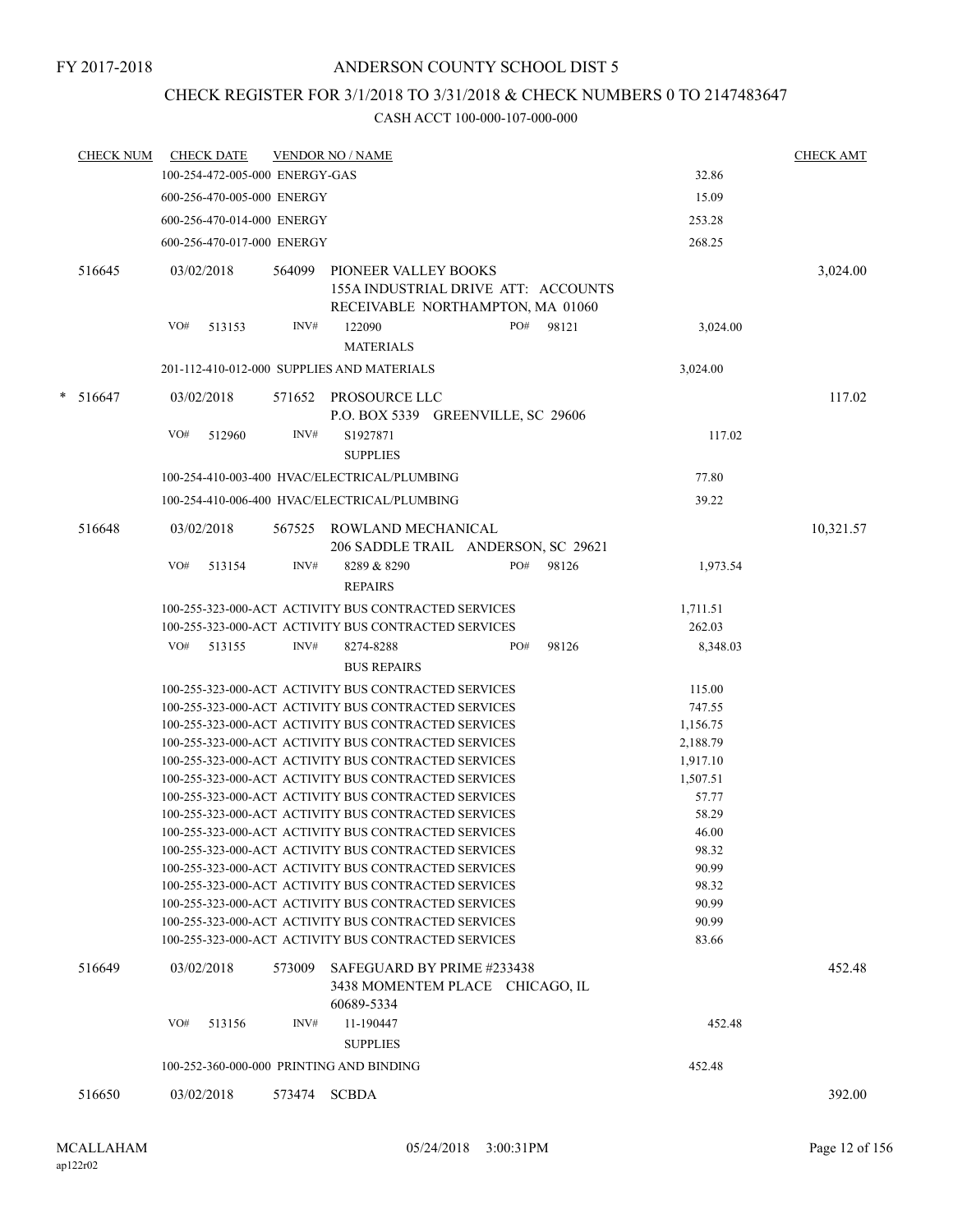# CHECK REGISTER FOR 3/1/2018 TO 3/31/2018 & CHECK NUMBERS 0 TO 2147483647

| <b>CHECK NUM</b> | <b>CHECK DATE</b>                        |        | <b>VENDOR NO / NAME</b>                                                                                      |                    | <b>CHECK AMT</b> |
|------------------|------------------------------------------|--------|--------------------------------------------------------------------------------------------------------------|--------------------|------------------|
|                  | 100-254-472-005-000 ENERGY-GAS           |        |                                                                                                              | 32.86              |                  |
|                  | 600-256-470-005-000 ENERGY               |        |                                                                                                              | 15.09              |                  |
|                  | 600-256-470-014-000 ENERGY               |        |                                                                                                              | 253.28             |                  |
|                  | 600-256-470-017-000 ENERGY               |        |                                                                                                              | 268.25             |                  |
| 516645           | 03/02/2018                               | 564099 | <b>PIONEER VALLEY BOOKS</b><br>155A INDUSTRIAL DRIVE ATT: ACCOUNTS                                           |                    | 3,024.00         |
|                  | VO#<br>513153                            | INV#   | RECEIVABLE NORTHAMPTON, MA 01060<br>122090<br>PO#<br>98121<br><b>MATERIALS</b>                               | 3,024.00           |                  |
|                  |                                          |        | 201-112-410-012-000 SUPPLIES AND MATERIALS                                                                   | 3,024.00           |                  |
| * 516647         | 03/02/2018                               |        | 571652 PROSOURCE LLC<br>P.O. BOX 5339 GREENVILLE, SC 29606                                                   |                    | 117.02           |
|                  | VO#<br>512960                            | INV#   | S1927871<br><b>SUPPLIES</b>                                                                                  | 117.02             |                  |
|                  |                                          |        | 100-254-410-003-400 HVAC/ELECTRICAL/PLUMBING                                                                 | 77.80              |                  |
|                  |                                          |        | 100-254-410-006-400 HVAC/ELECTRICAL/PLUMBING                                                                 | 39.22              |                  |
| 516648           | 03/02/2018                               | 567525 | ROWLAND MECHANICAL<br>206 SADDLE TRAIL ANDERSON, SC 29621                                                    |                    | 10,321.57        |
|                  | VO#<br>513154                            | INV#   | PO#<br>98126<br>8289 & 8290<br><b>REPAIRS</b>                                                                | 1,973.54           |                  |
|                  |                                          |        | 100-255-323-000-ACT ACTIVITY BUS CONTRACTED SERVICES<br>100-255-323-000-ACT ACTIVITY BUS CONTRACTED SERVICES | 1,711.51<br>262.03 |                  |
|                  | VO#<br>513155                            | INV#   | PO#<br>98126<br>8274-8288                                                                                    | 8,348.03           |                  |
|                  |                                          |        | <b>BUS REPAIRS</b>                                                                                           |                    |                  |
|                  |                                          |        | 100-255-323-000-ACT ACTIVITY BUS CONTRACTED SERVICES                                                         | 115.00             |                  |
|                  |                                          |        | 100-255-323-000-ACT ACTIVITY BUS CONTRACTED SERVICES                                                         | 747.55             |                  |
|                  |                                          |        | 100-255-323-000-ACT ACTIVITY BUS CONTRACTED SERVICES                                                         | 1,156.75           |                  |
|                  |                                          |        | 100-255-323-000-ACT ACTIVITY BUS CONTRACTED SERVICES                                                         | 2,188.79           |                  |
|                  |                                          |        | 100-255-323-000-ACT ACTIVITY BUS CONTRACTED SERVICES                                                         | 1,917.10           |                  |
|                  |                                          |        | 100-255-323-000-ACT ACTIVITY BUS CONTRACTED SERVICES                                                         | 1,507.51           |                  |
|                  |                                          |        | 100-255-323-000-ACT ACTIVITY BUS CONTRACTED SERVICES                                                         | 57.77              |                  |
|                  |                                          |        | 100-255-323-000-ACT ACTIVITY BUS CONTRACTED SERVICES                                                         | 58.29              |                  |
|                  |                                          |        | 100-255-323-000-ACT ACTIVITY BUS CONTRACTED SERVICES                                                         | 46.00              |                  |
|                  |                                          |        | 100-255-323-000-ACT ACTIVITY BUS CONTRACTED SERVICES                                                         | 98.32              |                  |
|                  |                                          |        | 100-255-323-000-ACT ACTIVITY BUS CONTRACTED SERVICES                                                         | 90.99              |                  |
|                  |                                          |        | 100-255-323-000-ACT ACTIVITY BUS CONTRACTED SERVICES                                                         | 98.32              |                  |
|                  |                                          |        | 100-255-323-000-ACT ACTIVITY BUS CONTRACTED SERVICES                                                         | 90.99              |                  |
|                  |                                          |        | 100-255-323-000-ACT ACTIVITY BUS CONTRACTED SERVICES                                                         | 90.99              |                  |
|                  |                                          |        | 100-255-323-000-ACT ACTIVITY BUS CONTRACTED SERVICES                                                         | 83.66              |                  |
| 516649           | 03/02/2018                               | 573009 | SAFEGUARD BY PRIME #233438<br>3438 MOMENTEM PLACE CHICAGO, IL<br>60689-5334                                  |                    | 452.48           |
|                  | VO#<br>513156                            | INV#   | 11-190447<br><b>SUPPLIES</b>                                                                                 | 452.48             |                  |
|                  | 100-252-360-000-000 PRINTING AND BINDING |        |                                                                                                              | 452.48             |                  |
| 516650           | 03/02/2018                               | 573474 | <b>SCBDA</b>                                                                                                 |                    | 392.00           |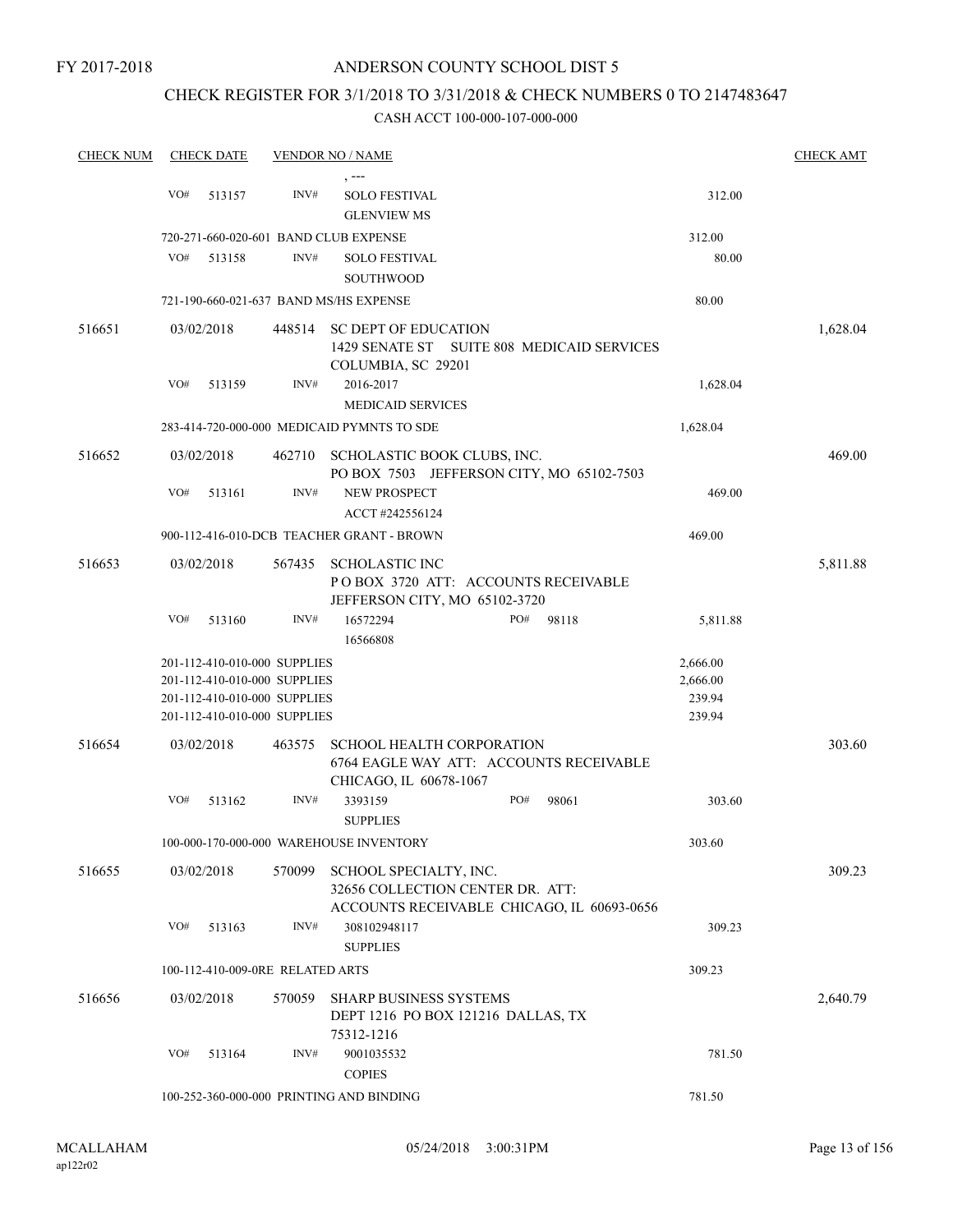### CHECK REGISTER FOR 3/1/2018 TO 3/31/2018 & CHECK NUMBERS 0 TO 2147483647

| <b>CHECK NUM</b> |     | <b>CHECK DATE</b> |                                  | <b>VENDOR NO / NAME</b>                                                                                  |          | <b>CHECK AMT</b> |
|------------------|-----|-------------------|----------------------------------|----------------------------------------------------------------------------------------------------------|----------|------------------|
|                  |     |                   |                                  |                                                                                                          |          |                  |
|                  | VO# | 513157            | INV#                             | <b>SOLO FESTIVAL</b><br><b>GLENVIEW MS</b>                                                               | 312.00   |                  |
|                  |     |                   |                                  | 720-271-660-020-601 BAND CLUB EXPENSE                                                                    | 312.00   |                  |
|                  | VO# | 513158            | INV#                             | <b>SOLO FESTIVAL</b>                                                                                     | 80.00    |                  |
|                  |     |                   |                                  | <b>SOUTHWOOD</b>                                                                                         |          |                  |
|                  |     |                   |                                  | 721-190-660-021-637 BAND MS/HS EXPENSE                                                                   | 80.00    |                  |
|                  |     |                   |                                  |                                                                                                          |          |                  |
| 516651           |     | 03/02/2018        | 448514                           | <b>SC DEPT OF EDUCATION</b><br>1429 SENATE ST SUITE 808 MEDICAID SERVICES<br>COLUMBIA, SC 29201          |          | 1,628.04         |
|                  | VO# | 513159            | INV#                             | 2016-2017                                                                                                | 1,628.04 |                  |
|                  |     |                   |                                  | <b>MEDICAID SERVICES</b>                                                                                 |          |                  |
|                  |     |                   |                                  | 283-414-720-000-000 MEDICAID PYMNTS TO SDE                                                               | 1,628.04 |                  |
| 516652           |     | 03/02/2018        |                                  | 462710 SCHOLASTIC BOOK CLUBS, INC.                                                                       |          | 469.00           |
|                  |     |                   |                                  | PO BOX 7503 JEFFERSON CITY, MO 65102-7503                                                                |          |                  |
|                  | VO# | 513161            | INV#                             | <b>NEW PROSPECT</b>                                                                                      | 469.00   |                  |
|                  |     |                   |                                  | ACCT #242556124                                                                                          |          |                  |
|                  |     |                   |                                  | 900-112-416-010-DCB TEACHER GRANT - BROWN                                                                | 469.00   |                  |
| 516653           |     | 03/02/2018        | 567435                           | <b>SCHOLASTIC INC</b><br>POBOX 3720 ATT: ACCOUNTS RECEIVABLE                                             |          | 5,811.88         |
|                  | VO# | 513160            | INV#                             | JEFFERSON CITY, MO 65102-3720<br>PO#<br>98118<br>16572294                                                | 5,811.88 |                  |
|                  |     |                   |                                  | 16566808                                                                                                 |          |                  |
|                  |     |                   | 201-112-410-010-000 SUPPLIES     |                                                                                                          | 2,666.00 |                  |
|                  |     |                   | 201-112-410-010-000 SUPPLIES     |                                                                                                          | 2,666.00 |                  |
|                  |     |                   | 201-112-410-010-000 SUPPLIES     |                                                                                                          | 239.94   |                  |
|                  |     |                   | 201-112-410-010-000 SUPPLIES     |                                                                                                          | 239.94   |                  |
| 516654           |     | 03/02/2018        | 463575                           | <b>SCHOOL HEALTH CORPORATION</b><br>6764 EAGLE WAY ATT: ACCOUNTS RECEIVABLE<br>CHICAGO, IL 60678-1067    |          | 303.60           |
|                  | VO# | 513162            | INV#                             | 3393159<br>PO#<br>98061                                                                                  | 303.60   |                  |
|                  |     |                   |                                  | <b>SUPPLIES</b>                                                                                          |          |                  |
|                  |     |                   |                                  | 100-000-170-000-000 WAREHOUSE INVENTORY                                                                  | 303.60   |                  |
| 516655           |     | 03/02/2018        | 570099                           | SCHOOL SPECIALTY, INC.<br>32656 COLLECTION CENTER DR. ATT:<br>ACCOUNTS RECEIVABLE CHICAGO, IL 60693-0656 |          | 309.23           |
|                  | VO# | 513163            | INV#                             | 308102948117                                                                                             | 309.23   |                  |
|                  |     |                   |                                  | <b>SUPPLIES</b>                                                                                          |          |                  |
|                  |     |                   | 100-112-410-009-0RE RELATED ARTS |                                                                                                          | 309.23   |                  |
| 516656           |     | 03/02/2018        | 570059                           | <b>SHARP BUSINESS SYSTEMS</b><br>DEPT 1216 PO BOX 121216 DALLAS, TX<br>75312-1216                        |          | 2,640.79         |
|                  | VO# | 513164            | INV#                             | 9001035532<br><b>COPIES</b>                                                                              | 781.50   |                  |
|                  |     |                   |                                  | 100-252-360-000-000 PRINTING AND BINDING                                                                 | 781.50   |                  |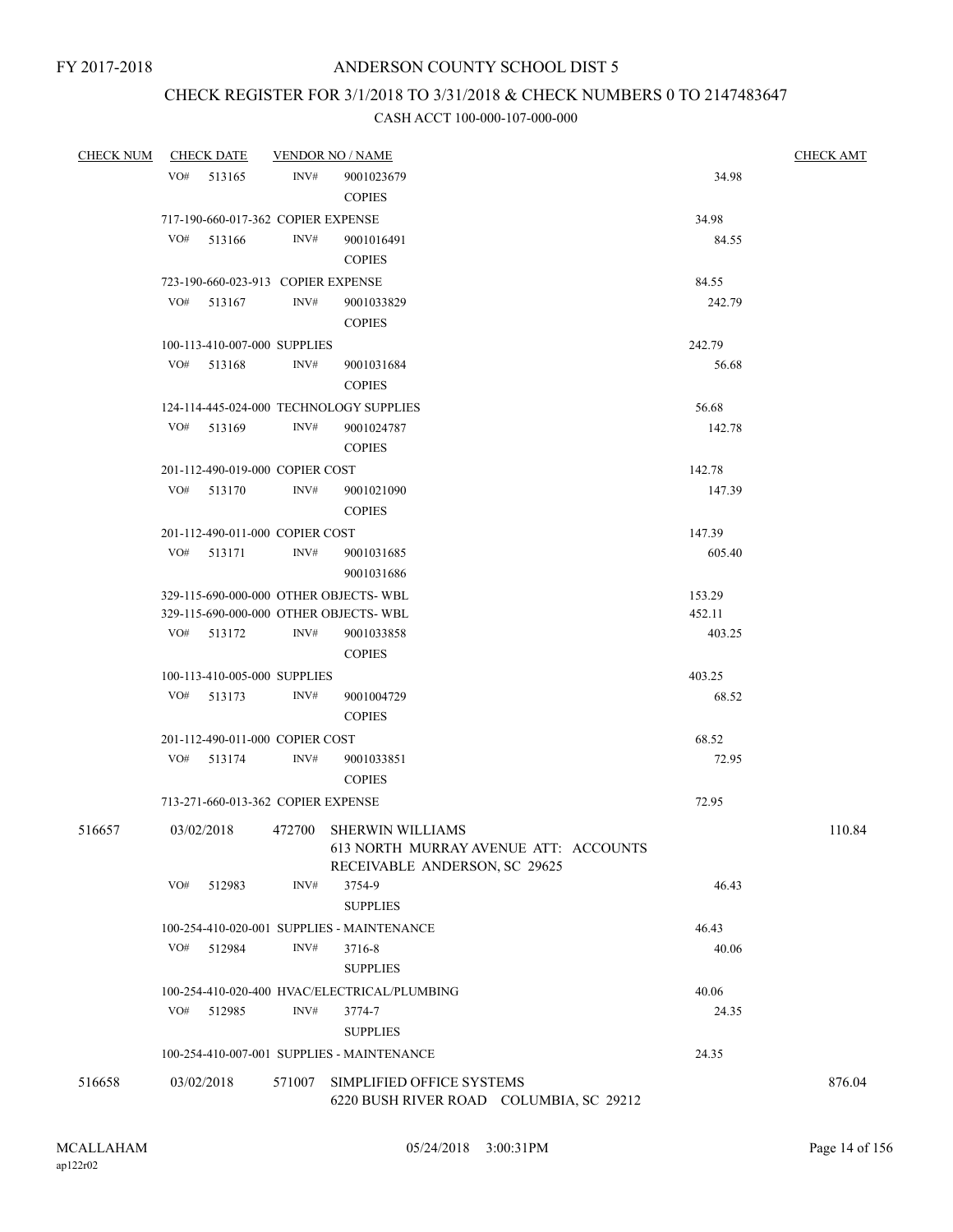# CHECK REGISTER FOR 3/1/2018 TO 3/31/2018 & CHECK NUMBERS 0 TO 2147483647

| <b>CHECK NUM</b> | <b>CHECK DATE</b>                       |        | <b>VENDOR NO / NAME</b>                                                                           |                 | <b>CHECK AMT</b> |
|------------------|-----------------------------------------|--------|---------------------------------------------------------------------------------------------------|-----------------|------------------|
|                  | VO#<br>513165                           | INV#   | 9001023679                                                                                        | 34.98           |                  |
|                  |                                         |        | <b>COPIES</b>                                                                                     |                 |                  |
|                  | 717-190-660-017-362 COPIER EXPENSE      |        |                                                                                                   | 34.98           |                  |
|                  | VO#<br>513166                           | INV#   | 9001016491                                                                                        | 84.55           |                  |
|                  |                                         |        | <b>COPIES</b>                                                                                     |                 |                  |
|                  | 723-190-660-023-913 COPIER EXPENSE      |        |                                                                                                   | 84.55           |                  |
|                  | VO#<br>513167                           | INV#   | 9001033829                                                                                        | 242.79          |                  |
|                  |                                         |        | <b>COPIES</b>                                                                                     |                 |                  |
|                  | 100-113-410-007-000 SUPPLIES            |        |                                                                                                   | 242.79          |                  |
|                  | VO#<br>513168                           | INV#   | 9001031684                                                                                        | 56.68           |                  |
|                  |                                         |        | <b>COPIES</b>                                                                                     |                 |                  |
|                  | 124-114-445-024-000 TECHNOLOGY SUPPLIES |        |                                                                                                   | 56.68           |                  |
|                  | VO#<br>513169                           | INV#   | 9001024787                                                                                        | 142.78          |                  |
|                  |                                         |        | <b>COPIES</b>                                                                                     |                 |                  |
|                  | 201-112-490-019-000 COPIER COST         |        |                                                                                                   | 142.78          |                  |
|                  | VO#<br>513170                           | INV#   | 9001021090                                                                                        | 147.39          |                  |
|                  |                                         |        | <b>COPIES</b>                                                                                     |                 |                  |
|                  | 201-112-490-011-000 COPIER COST         |        |                                                                                                   | 147.39          |                  |
|                  | VO#<br>513171                           | INV#   | 9001031685                                                                                        | 605.40          |                  |
|                  |                                         |        | 9001031686                                                                                        |                 |                  |
|                  | 329-115-690-000-000 OTHER OBJECTS-WBL   |        |                                                                                                   | 153.29          |                  |
|                  | 329-115-690-000-000 OTHER OBJECTS- WBL  |        |                                                                                                   | 452.11          |                  |
|                  | VO#<br>513172                           | INV#   | 9001033858                                                                                        | 403.25          |                  |
|                  |                                         |        | <b>COPIES</b>                                                                                     |                 |                  |
|                  | 100-113-410-005-000 SUPPLIES<br>VO#     | INV#   |                                                                                                   | 403.25<br>68.52 |                  |
|                  | 513173                                  |        | 9001004729<br><b>COPIES</b>                                                                       |                 |                  |
|                  | 201-112-490-011-000 COPIER COST         |        |                                                                                                   | 68.52           |                  |
|                  | VO#<br>513174                           | INV#   | 9001033851                                                                                        | 72.95           |                  |
|                  |                                         |        | <b>COPIES</b>                                                                                     |                 |                  |
|                  | 713-271-660-013-362 COPIER EXPENSE      |        |                                                                                                   | 72.95           |                  |
| 516657           | 03/02/2018                              |        | 472700 SHERWIN WILLIAMS<br>613 NORTH MURRAY AVENUE ATT: ACCOUNTS<br>RECEIVABLE ANDERSON, SC 29625 |                 | 110.84           |
|                  | VO#<br>512983                           | INV#   | 3754-9<br><b>SUPPLIES</b>                                                                         | 46.43           |                  |
|                  |                                         |        | 100-254-410-020-001 SUPPLIES - MAINTENANCE                                                        | 46.43           |                  |
|                  | VO#<br>512984                           | INV#   | 3716-8                                                                                            | 40.06           |                  |
|                  |                                         |        | <b>SUPPLIES</b>                                                                                   |                 |                  |
|                  |                                         |        | 100-254-410-020-400 HVAC/ELECTRICAL/PLUMBING                                                      | 40.06           |                  |
|                  | VO#<br>512985                           | INV#   | 3774-7                                                                                            | 24.35           |                  |
|                  |                                         |        | <b>SUPPLIES</b>                                                                                   |                 |                  |
|                  |                                         |        | 100-254-410-007-001 SUPPLIES - MAINTENANCE                                                        | 24.35           |                  |
| 516658           | 03/02/2018                              | 571007 | SIMPLIFIED OFFICE SYSTEMS<br>6220 BUSH RIVER ROAD COLUMBIA, SC 29212                              |                 | 876.04           |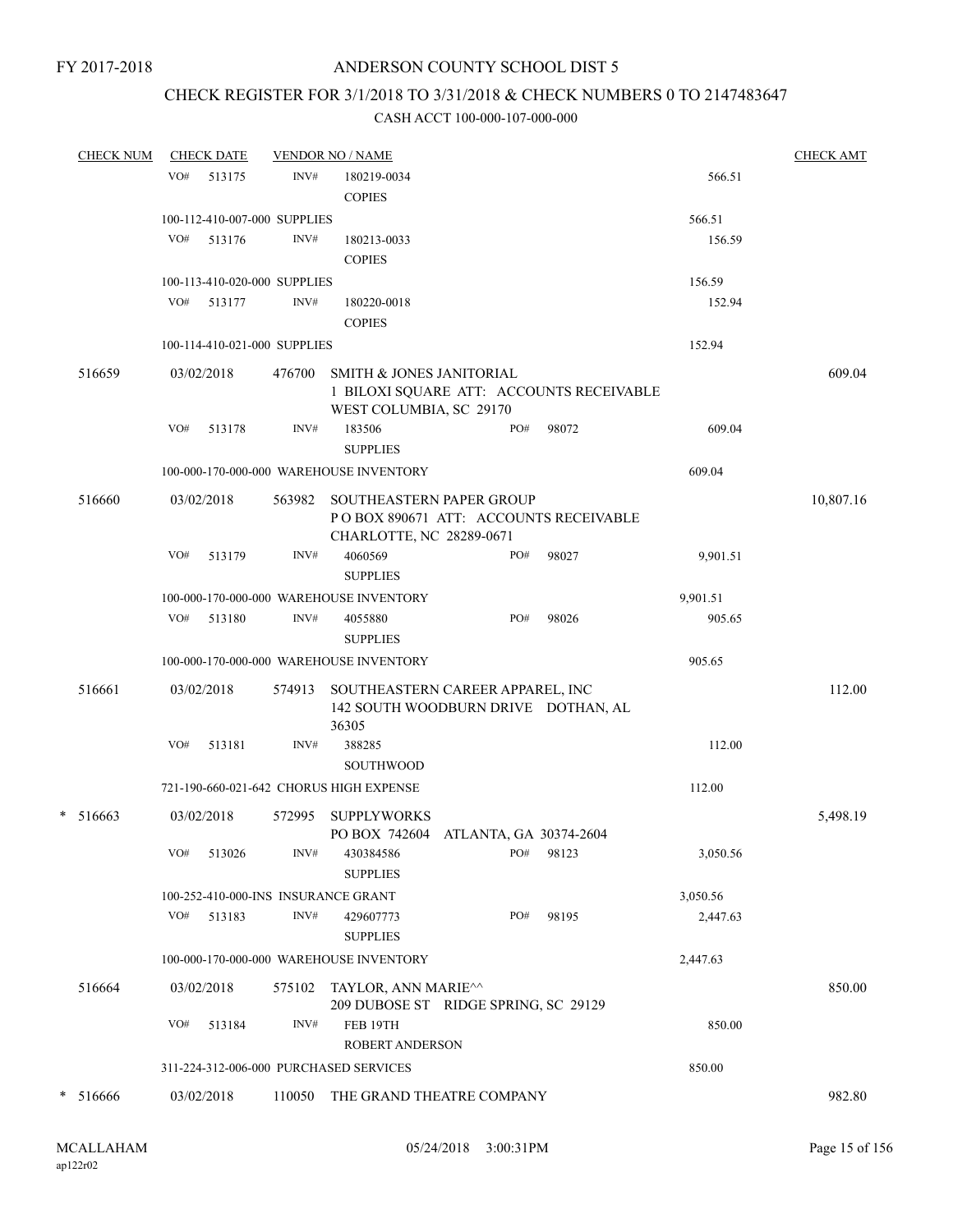# CHECK REGISTER FOR 3/1/2018 TO 3/31/2018 & CHECK NUMBERS 0 TO 2147483647

| <b>CHECK NUM</b> |     | <b>CHECK DATE</b>            |        | <b>VENDOR NO / NAME</b>                                                                                    |     |       |          | <b>CHECK AMT</b> |
|------------------|-----|------------------------------|--------|------------------------------------------------------------------------------------------------------------|-----|-------|----------|------------------|
|                  | VO# | 513175                       | INV#   | 180219-0034                                                                                                |     |       | 566.51   |                  |
|                  |     |                              |        | <b>COPIES</b>                                                                                              |     |       |          |                  |
|                  |     | 100-112-410-007-000 SUPPLIES |        |                                                                                                            |     |       | 566.51   |                  |
|                  | VO# | 513176                       | INV#   | 180213-0033                                                                                                |     |       | 156.59   |                  |
|                  |     |                              |        | <b>COPIES</b>                                                                                              |     |       |          |                  |
|                  |     | 100-113-410-020-000 SUPPLIES |        |                                                                                                            |     |       | 156.59   |                  |
|                  |     | VO# 513177                   | INV#   | 180220-0018                                                                                                |     |       | 152.94   |                  |
|                  |     |                              |        | <b>COPIES</b>                                                                                              |     |       |          |                  |
|                  |     | 100-114-410-021-000 SUPPLIES |        |                                                                                                            |     |       | 152.94   |                  |
| 516659           |     | 03/02/2018                   | 476700 | <b>SMITH &amp; JONES JANITORIAL</b><br>1 BILOXI SQUARE ATT: ACCOUNTS RECEIVABLE<br>WEST COLUMBIA, SC 29170 |     |       |          | 609.04           |
|                  | VO# | 513178                       | INV#   | 183506                                                                                                     | PO# | 98072 | 609.04   |                  |
|                  |     |                              |        | <b>SUPPLIES</b>                                                                                            |     |       |          |                  |
|                  |     |                              |        | 100-000-170-000-000 WAREHOUSE INVENTORY                                                                    |     |       | 609.04   |                  |
| 516660           |     | 03/02/2018                   | 563982 | SOUTHEASTERN PAPER GROUP                                                                                   |     |       |          | 10,807.16        |
|                  |     |                              |        | POBOX 890671 ATT: ACCOUNTS RECEIVABLE<br>CHARLOTTE, NC 28289-0671                                          |     |       |          |                  |
|                  | VO# | 513179                       | INV#   | 4060569                                                                                                    | PO# | 98027 | 9,901.51 |                  |
|                  |     |                              |        | <b>SUPPLIES</b>                                                                                            |     |       |          |                  |
|                  |     |                              |        | 100-000-170-000-000 WAREHOUSE INVENTORY                                                                    |     |       | 9,901.51 |                  |
|                  | VO# | 513180                       | INV#   | 4055880                                                                                                    | PO# | 98026 | 905.65   |                  |
|                  |     |                              |        | <b>SUPPLIES</b>                                                                                            |     |       |          |                  |
|                  |     |                              |        | 100-000-170-000-000 WAREHOUSE INVENTORY                                                                    |     |       | 905.65   |                  |
| 516661           |     | 03/02/2018                   | 574913 | SOUTHEASTERN CAREER APPAREL, INC<br>142 SOUTH WOODBURN DRIVE DOTHAN, AL<br>36305                           |     |       |          | 112.00           |
|                  | VO# | 513181                       | INV#   | 388285                                                                                                     |     |       | 112.00   |                  |
|                  |     |                              |        | <b>SOUTHWOOD</b>                                                                                           |     |       |          |                  |
|                  |     |                              |        | 721-190-660-021-642 CHORUS HIGH EXPENSE                                                                    |     |       | 112.00   |                  |
| $* 516663$       |     | 03/02/2018                   | 572995 | <b>SUPPLYWORKS</b>                                                                                         |     |       |          | 5,498.19         |
|                  |     |                              |        | PO BOX 742604 ATLANTA, GA 30374-2604                                                                       |     |       |          |                  |
|                  | VO# | 513026                       | INV#   | 430384586<br><b>SUPPLIES</b>                                                                               | PO# | 98123 | 3,050.56 |                  |
|                  |     |                              |        | 100-252-410-000-INS INSURANCE GRANT                                                                        |     |       | 3,050.56 |                  |
|                  | VO# | 513183                       | INV#   | 429607773<br><b>SUPPLIES</b>                                                                               | PO# | 98195 | 2,447.63 |                  |
|                  |     |                              |        | 100-000-170-000-000 WAREHOUSE INVENTORY                                                                    |     |       | 2,447.63 |                  |
| 516664           |     | 03/02/2018                   |        |                                                                                                            |     |       |          | 850.00           |
|                  |     |                              | 575102 | TAYLOR, ANN MARIE <sup><math>\sim</math></sup><br>209 DUBOSE ST RIDGE SPRING, SC 29129                     |     |       |          |                  |
|                  | VO# | 513184                       | INV#   | FEB 19TH                                                                                                   |     |       | 850.00   |                  |
|                  |     |                              |        | <b>ROBERT ANDERSON</b>                                                                                     |     |       |          |                  |
|                  |     |                              |        | 311-224-312-006-000 PURCHASED SERVICES                                                                     |     |       | 850.00   |                  |
| $* 516666$       |     | 03/02/2018                   | 110050 | THE GRAND THEATRE COMPANY                                                                                  |     |       |          | 982.80           |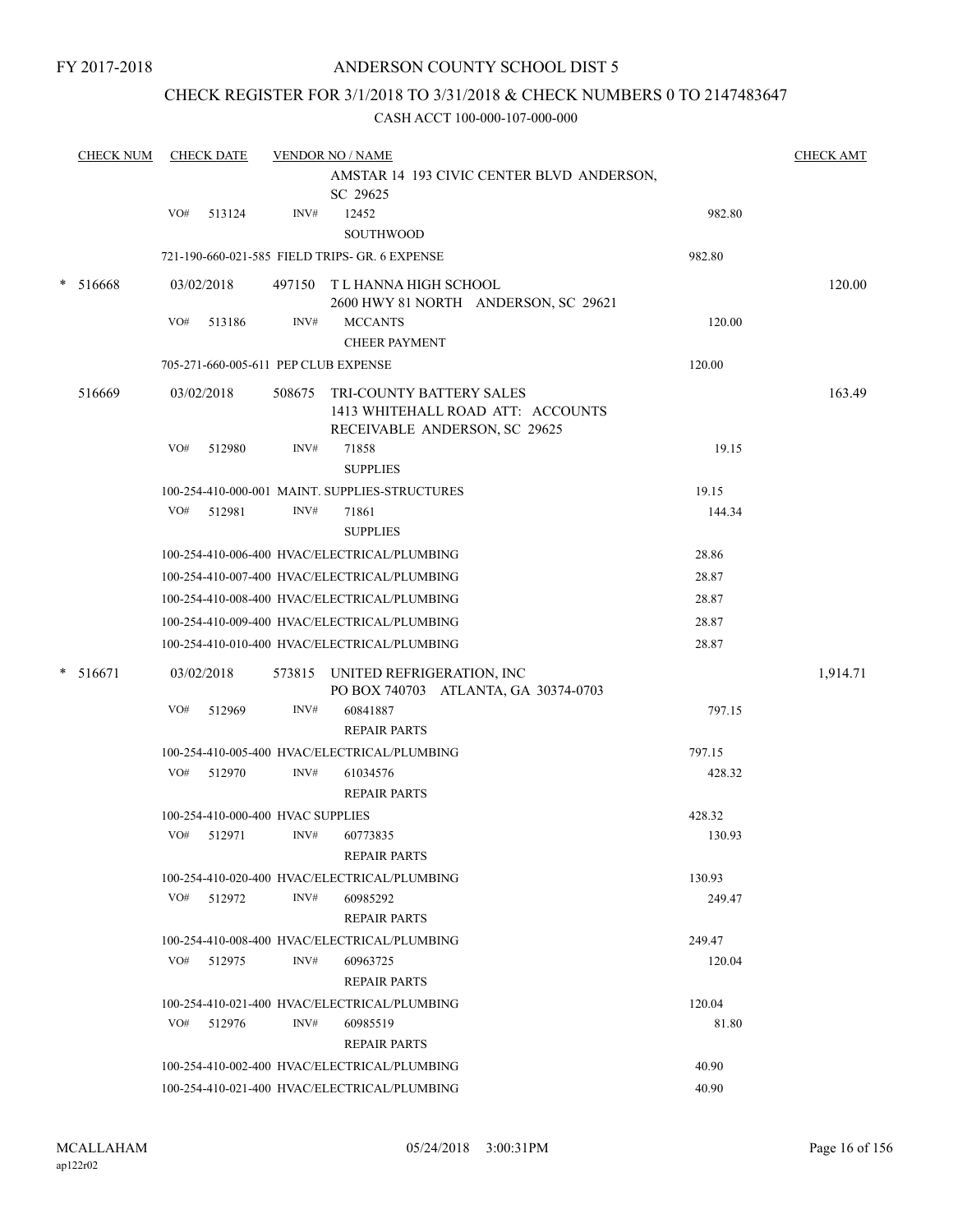# CHECK REGISTER FOR 3/1/2018 TO 3/31/2018 & CHECK NUMBERS 0 TO 2147483647

|   | <b>CHECK NUM</b> |     | <b>CHECK DATE</b>                    |        | <b>VENDOR NO / NAME</b>                                                                        |        | <b>CHECK AMT</b> |
|---|------------------|-----|--------------------------------------|--------|------------------------------------------------------------------------------------------------|--------|------------------|
|   |                  |     |                                      |        | AMSTAR 14 193 CIVIC CENTER BLVD ANDERSON,<br>SC 29625                                          |        |                  |
|   |                  | VO# | 513124                               | INV#   | 12452<br><b>SOUTHWOOD</b>                                                                      | 982.80 |                  |
|   |                  |     |                                      |        | 721-190-660-021-585 FIELD TRIPS- GR. 6 EXPENSE                                                 | 982.80 |                  |
| * | 516668           |     | 03/02/2018                           |        | 497150 T L HANNA HIGH SCHOOL<br>2600 HWY 81 NORTH ANDERSON, SC 29621                           |        | 120.00           |
|   |                  | VO# | 513186                               | INV#   | <b>MCCANTS</b><br><b>CHEER PAYMENT</b>                                                         | 120.00 |                  |
|   |                  |     | 705-271-660-005-611 PEP CLUB EXPENSE |        |                                                                                                | 120.00 |                  |
|   | 516669           |     | 03/02/2018                           | 508675 | TRI-COUNTY BATTERY SALES<br>1413 WHITEHALL ROAD ATT: ACCOUNTS<br>RECEIVABLE ANDERSON, SC 29625 |        | 163.49           |
|   |                  | VO# | 512980                               | INV#   | 71858<br><b>SUPPLIES</b>                                                                       | 19.15  |                  |
|   |                  |     |                                      |        | 100-254-410-000-001 MAINT. SUPPLIES-STRUCTURES                                                 | 19.15  |                  |
|   |                  | VO# | 512981                               | INV#   | 71861<br><b>SUPPLIES</b>                                                                       | 144.34 |                  |
|   |                  |     |                                      |        | 100-254-410-006-400 HVAC/ELECTRICAL/PLUMBING                                                   | 28.86  |                  |
|   |                  |     |                                      |        | 100-254-410-007-400 HVAC/ELECTRICAL/PLUMBING                                                   | 28.87  |                  |
|   |                  |     |                                      |        | 100-254-410-008-400 HVAC/ELECTRICAL/PLUMBING                                                   | 28.87  |                  |
|   |                  |     |                                      |        | 100-254-410-009-400 HVAC/ELECTRICAL/PLUMBING                                                   | 28.87  |                  |
|   |                  |     |                                      |        | 100-254-410-010-400 HVAC/ELECTRICAL/PLUMBING                                                   | 28.87  |                  |
| * | 516671           |     | 03/02/2018                           |        | 573815 UNITED REFRIGERATION, INC<br>PO BOX 740703 ATLANTA, GA 30374-0703                       |        | 1,914.71         |
|   |                  | VO# | 512969                               | INV#   | 60841887<br><b>REPAIR PARTS</b>                                                                | 797.15 |                  |
|   |                  |     |                                      |        | 100-254-410-005-400 HVAC/ELECTRICAL/PLUMBING                                                   | 797.15 |                  |
|   |                  | VO# | 512970                               | INV#   | 61034576<br><b>REPAIR PARTS</b>                                                                | 428.32 |                  |
|   |                  |     | 100-254-410-000-400 HVAC SUPPLIES    |        |                                                                                                | 428.32 |                  |
|   |                  | VO# | 512971                               | INV#   | 60773835<br><b>REPAIR PARTS</b>                                                                | 130.93 |                  |
|   |                  |     |                                      |        | 100-254-410-020-400 HVAC/ELECTRICAL/PLUMBING                                                   | 130.93 |                  |
|   |                  | VO# | 512972                               | INV#   | 60985292<br><b>REPAIR PARTS</b>                                                                | 249.47 |                  |
|   |                  |     |                                      |        | 100-254-410-008-400 HVAC/ELECTRICAL/PLUMBING                                                   | 249.47 |                  |
|   |                  | VO# | 512975                               | INV#   | 60963725<br><b>REPAIR PARTS</b>                                                                | 120.04 |                  |
|   |                  |     |                                      |        | 100-254-410-021-400 HVAC/ELECTRICAL/PLUMBING                                                   | 120.04 |                  |
|   |                  | VO# | 512976                               | INV#   | 60985519<br><b>REPAIR PARTS</b>                                                                | 81.80  |                  |
|   |                  |     |                                      |        | 100-254-410-002-400 HVAC/ELECTRICAL/PLUMBING                                                   | 40.90  |                  |
|   |                  |     |                                      |        | 100-254-410-021-400 HVAC/ELECTRICAL/PLUMBING                                                   | 40.90  |                  |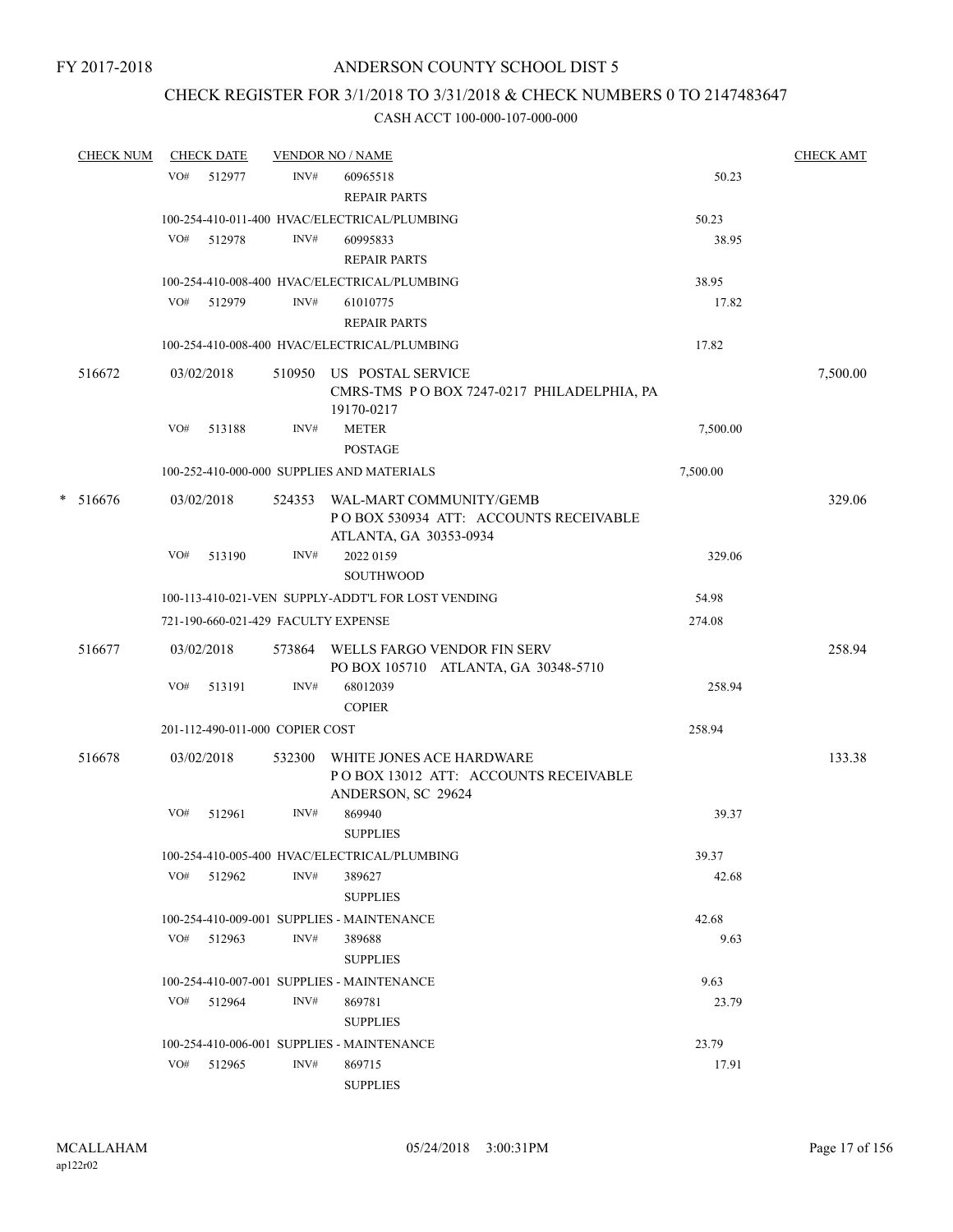# CHECK REGISTER FOR 3/1/2018 TO 3/31/2018 & CHECK NUMBERS 0 TO 2147483647

|        | <b>CHECK NUM</b> |     | <b>CHECK DATE</b>                   |        | <b>VENDOR NO / NAME</b>                                                                            |          | <b>CHECK AMT</b> |
|--------|------------------|-----|-------------------------------------|--------|----------------------------------------------------------------------------------------------------|----------|------------------|
|        |                  | VO# | 512977                              | INV#   | 60965518                                                                                           | 50.23    |                  |
|        |                  |     |                                     |        | <b>REPAIR PARTS</b>                                                                                |          |                  |
|        |                  |     |                                     |        | 100-254-410-011-400 HVAC/ELECTRICAL/PLUMBING                                                       | 50.23    |                  |
|        |                  | VO# | 512978                              | INV#   | 60995833                                                                                           | 38.95    |                  |
|        |                  |     |                                     |        | <b>REPAIR PARTS</b>                                                                                |          |                  |
|        |                  |     |                                     |        | 100-254-410-008-400 HVAC/ELECTRICAL/PLUMBING                                                       | 38.95    |                  |
|        |                  |     | VO# 512979                          | INV#   | 61010775                                                                                           | 17.82    |                  |
|        |                  |     |                                     |        | <b>REPAIR PARTS</b>                                                                                |          |                  |
|        |                  |     |                                     |        | 100-254-410-008-400 HVAC/ELECTRICAL/PLUMBING                                                       | 17.82    |                  |
|        | 516672           |     | 03/02/2018                          |        | 510950 US POSTAL SERVICE<br>CMRS-TMS PO BOX 7247-0217 PHILADELPHIA, PA<br>19170-0217               |          | 7,500.00         |
|        |                  | VO# | 513188                              | INV#   | <b>METER</b><br><b>POSTAGE</b>                                                                     | 7,500.00 |                  |
|        |                  |     |                                     |        | 100-252-410-000-000 SUPPLIES AND MATERIALS                                                         | 7,500.00 |                  |
| $\ast$ | 516676           |     | 03/02/2018                          |        | 524353 WAL-MART COMMUNITY/GEMB<br>PO BOX 530934 ATT: ACCOUNTS RECEIVABLE<br>ATLANTA, GA 30353-0934 |          | 329.06           |
|        |                  | VO# | 513190                              | INV#   | 2022 0159<br>SOUTHWOOD                                                                             | 329.06   |                  |
|        |                  |     |                                     |        | 100-113-410-021-VEN SUPPLY-ADDT'L FOR LOST VENDING                                                 | 54.98    |                  |
|        |                  |     | 721-190-660-021-429 FACULTY EXPENSE |        |                                                                                                    | 274.08   |                  |
|        | 516677           |     | 03/02/2018                          |        | 573864 WELLS FARGO VENDOR FIN SERV<br>PO BOX 105710 ATLANTA, GA 30348-5710                         |          | 258.94           |
|        |                  | VO# | 513191                              | INV#   | 68012039<br><b>COPIER</b>                                                                          | 258.94   |                  |
|        |                  |     | 201-112-490-011-000 COPIER COST     |        |                                                                                                    | 258.94   |                  |
|        |                  |     |                                     |        |                                                                                                    |          |                  |
|        | 516678           |     | 03/02/2018                          | 532300 | WHITE JONES ACE HARDWARE<br>POBOX 13012 ATT: ACCOUNTS RECEIVABLE<br>ANDERSON, SC 29624             |          | 133.38           |
|        |                  | VO# | 512961                              | INV#   | 869940<br><b>SUPPLIES</b>                                                                          | 39.37    |                  |
|        |                  |     |                                     |        | 100-254-410-005-400 HVAC/ELECTRICAL/PLUMBING                                                       | 39.37    |                  |
|        |                  |     | VO# 512962                          | INV#   | 389627<br><b>SUPPLIES</b>                                                                          | 42.68    |                  |
|        |                  |     |                                     |        | 100-254-410-009-001 SUPPLIES - MAINTENANCE                                                         | 42.68    |                  |
|        |                  | VO# | 512963                              | INV#   | 389688<br><b>SUPPLIES</b>                                                                          | 9.63     |                  |
|        |                  |     |                                     |        | 100-254-410-007-001 SUPPLIES - MAINTENANCE                                                         | 9.63     |                  |
|        |                  |     | VO# 512964                          | INV#   | 869781<br><b>SUPPLIES</b>                                                                          | 23.79    |                  |
|        |                  |     |                                     |        | 100-254-410-006-001 SUPPLIES - MAINTENANCE                                                         | 23.79    |                  |
|        |                  | VO# | 512965                              | INV#   | 869715<br><b>SUPPLIES</b>                                                                          | 17.91    |                  |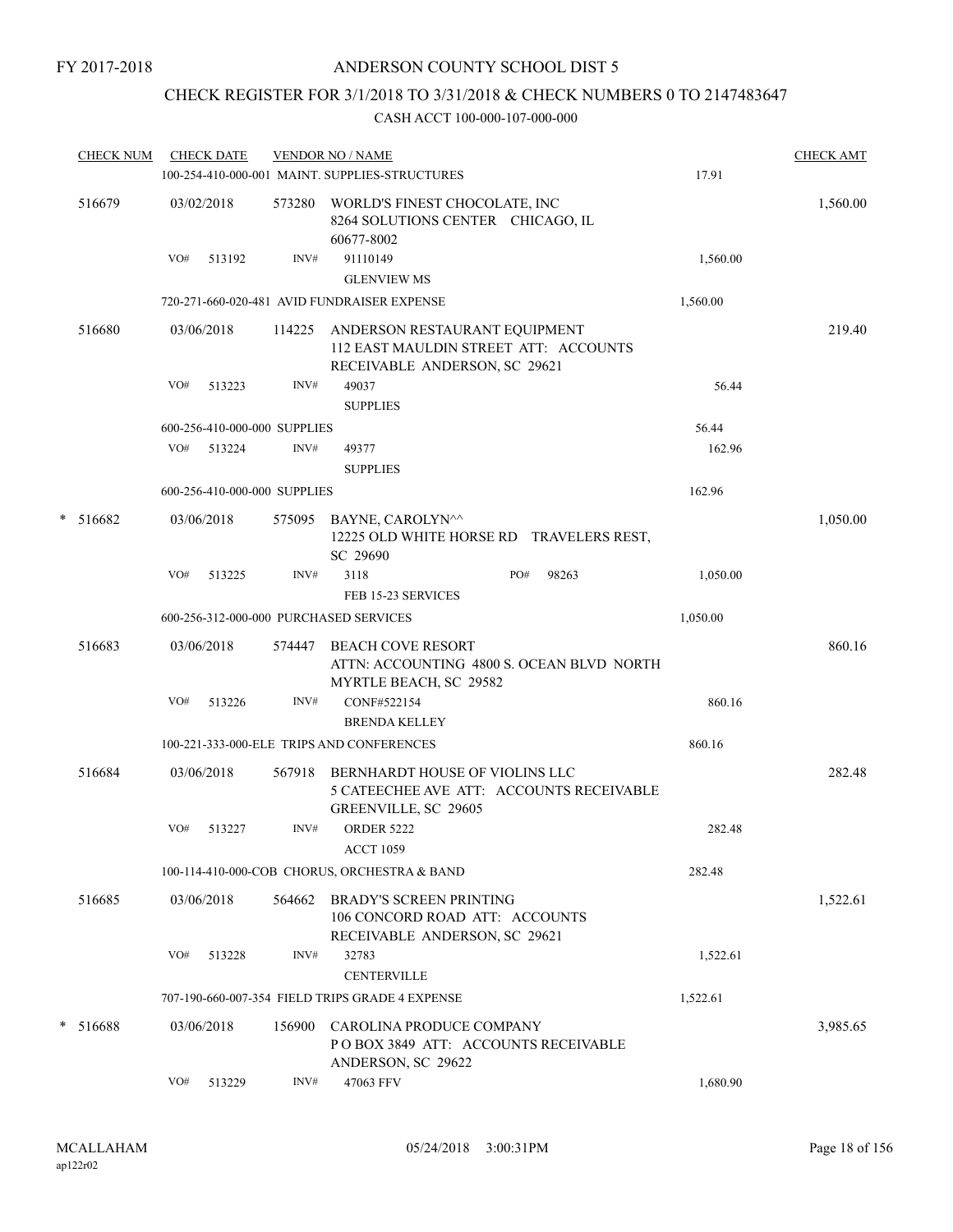# CHECK REGISTER FOR 3/1/2018 TO 3/31/2018 & CHECK NUMBERS 0 TO 2147483647

|   | <b>CHECK NUM</b> |     | <b>CHECK DATE</b>            |        | <b>VENDOR NO / NAME</b><br>100-254-410-000-001 MAINT. SUPPLIES-STRUCTURES                                 | 17.91    | <b>CHECK AMT</b> |
|---|------------------|-----|------------------------------|--------|-----------------------------------------------------------------------------------------------------------|----------|------------------|
|   | 516679           |     | 03/02/2018                   |        | 573280 WORLD'S FINEST CHOCOLATE, INC<br>8264 SOLUTIONS CENTER CHICAGO, IL<br>60677-8002                   |          | 1,560.00         |
|   |                  | VO# | 513192                       | INV#   | 91110149<br><b>GLENVIEW MS</b>                                                                            | 1,560.00 |                  |
|   |                  |     |                              |        | 720-271-660-020-481 AVID FUNDRAISER EXPENSE                                                               | 1,560.00 |                  |
|   | 516680           |     | 03/06/2018                   | 114225 | ANDERSON RESTAURANT EQUIPMENT<br>112 EAST MAULDIN STREET ATT: ACCOUNTS                                    |          | 219.40           |
|   |                  | VO# | 513223                       | INV#   | RECEIVABLE ANDERSON, SC 29621<br>49037<br><b>SUPPLIES</b>                                                 | 56.44    |                  |
|   |                  |     | 600-256-410-000-000 SUPPLIES |        |                                                                                                           | 56.44    |                  |
|   |                  | VO# | 513224                       | INV#   | 49377<br><b>SUPPLIES</b>                                                                                  | 162.96   |                  |
|   |                  |     | 600-256-410-000-000 SUPPLIES |        |                                                                                                           | 162.96   |                  |
| * | 516682           |     | 03/06/2018                   |        | 575095 BAYNE, CAROLYN <sup>^^</sup><br>12225 OLD WHITE HORSE RD TRAVELERS REST,<br>SC 29690               |          | 1,050.00         |
|   |                  | VO# | 513225                       | INV#   | 3118<br>PO#<br>98263<br>FEB 15-23 SERVICES                                                                | 1,050.00 |                  |
|   |                  |     |                              |        | 600-256-312-000-000 PURCHASED SERVICES                                                                    | 1,050.00 |                  |
|   | 516683           |     | 03/06/2018                   | 574447 | <b>BEACH COVE RESORT</b><br>ATTN: ACCOUNTING 4800 S. OCEAN BLVD NORTH<br>MYRTLE BEACH, SC 29582           |          | 860.16           |
|   |                  | VO# | 513226                       | INV#   | CONF#522154<br><b>BRENDA KELLEY</b>                                                                       | 860.16   |                  |
|   |                  |     |                              |        | 100-221-333-000-ELE TRIPS AND CONFERENCES                                                                 | 860.16   |                  |
|   | 516684           |     | 03/06/2018                   |        | 567918 BERNHARDT HOUSE OF VIOLINS LLC<br>5 CATEECHEE AVE ATT: ACCOUNTS RECEIVABLE<br>GREENVILLE, SC 29605 |          | 282.48           |
|   |                  | VO# | 513227                       | INV#   | <b>ORDER 5222</b><br><b>ACCT 1059</b>                                                                     | 282.48   |                  |
|   |                  |     |                              |        | 100-114-410-000-COB CHORUS, ORCHESTRA & BAND                                                              | 282.48   |                  |
|   | 516685           |     | 03/06/2018                   | 564662 | <b>BRADY'S SCREEN PRINTING</b><br>106 CONCORD ROAD ATT: ACCOUNTS<br>RECEIVABLE ANDERSON, SC 29621         |          | 1,522.61         |
|   |                  | VO# | 513228                       | INV#   | 32783                                                                                                     | 1,522.61 |                  |
|   |                  |     |                              |        | <b>CENTERVILLE</b>                                                                                        |          |                  |
|   |                  |     |                              |        | 707-190-660-007-354 FIELD TRIPS GRADE 4 EXPENSE                                                           | 1,522.61 |                  |
|   | $* 516688$       |     | 03/06/2018                   | 156900 | CAROLINA PRODUCE COMPANY<br>POBOX 3849 ATT: ACCOUNTS RECEIVABLE<br>ANDERSON, SC 29622                     |          | 3,985.65         |
|   |                  | VO# | 513229                       | INV#   | 47063 FFV                                                                                                 | 1,680.90 |                  |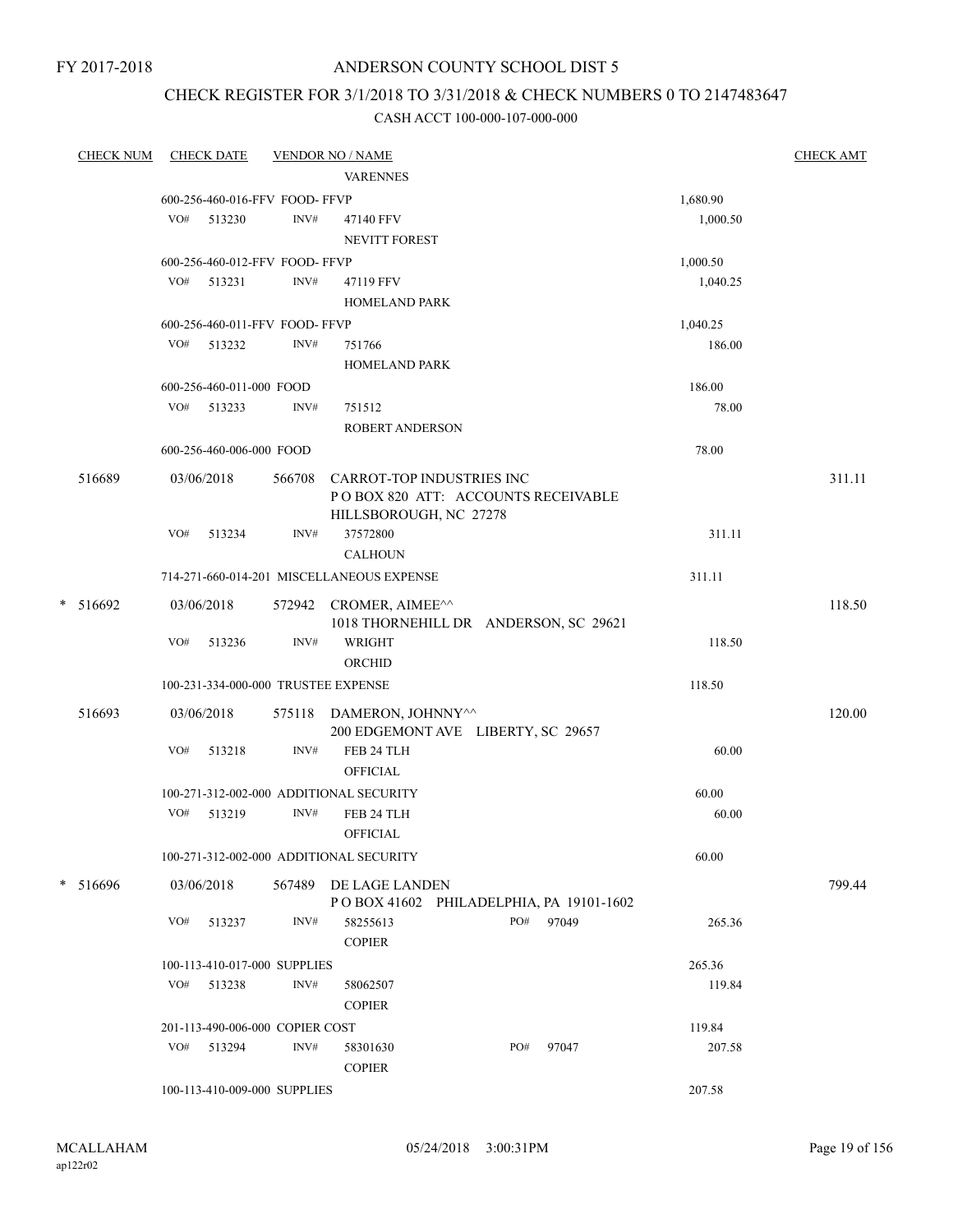FY 2017-2018

# ANDERSON COUNTY SCHOOL DIST 5

# CHECK REGISTER FOR 3/1/2018 TO 3/31/2018 & CHECK NUMBERS 0 TO 2147483647

| <b>CHECK NUM</b> |     | <b>CHECK DATE</b>                          |        | <b>VENDOR NO / NAME</b>                   |     |       |                  | <b>CHECK AMT</b> |
|------------------|-----|--------------------------------------------|--------|-------------------------------------------|-----|-------|------------------|------------------|
|                  |     |                                            |        | <b>VARENNES</b>                           |     |       |                  |                  |
|                  |     | 600-256-460-016-FFV FOOD- FFVP             |        |                                           |     |       | 1,680.90         |                  |
|                  |     | VO# 513230                                 | INV#   | 47140 FFV                                 |     |       | 1,000.50         |                  |
|                  |     |                                            |        | NEVITT FOREST                             |     |       |                  |                  |
|                  |     | 600-256-460-012-FFV FOOD-FFVP              |        |                                           |     |       | 1,000.50         |                  |
|                  |     | VO# 513231                                 | INV#   | 47119 FFV                                 |     |       | 1,040.25         |                  |
|                  |     |                                            |        | <b>HOMELAND PARK</b>                      |     |       |                  |                  |
|                  |     | 600-256-460-011-FFV FOOD- FFVP             |        |                                           |     |       | 1,040.25         |                  |
|                  |     | VO# 513232                                 | INV#   | 751766                                    |     |       | 186.00           |                  |
|                  |     |                                            |        | <b>HOMELAND PARK</b>                      |     |       |                  |                  |
|                  |     | 600-256-460-011-000 FOOD                   |        |                                           |     |       | 186.00           |                  |
|                  | VO# | 513233                                     | INV#   | 751512                                    |     |       | 78.00            |                  |
|                  |     |                                            |        | ROBERT ANDERSON                           |     |       |                  |                  |
|                  |     | 600-256-460-006-000 FOOD                   |        |                                           |     |       | 78.00            |                  |
| 516689           |     | 03/06/2018                                 | 566708 | <b>CARROT-TOP INDUSTRIES INC</b>          |     |       |                  | 311.11           |
|                  |     |                                            |        | POBOX 820 ATT: ACCOUNTS RECEIVABLE        |     |       |                  |                  |
|                  |     |                                            |        | HILLSBOROUGH, NC 27278                    |     |       |                  |                  |
|                  | VO# | 513234                                     | INV#   | 37572800                                  |     |       | 311.11           |                  |
|                  |     |                                            |        | <b>CALHOUN</b>                            |     |       |                  |                  |
|                  |     |                                            |        | 714-271-660-014-201 MISCELLANEOUS EXPENSE |     |       | 311.11           |                  |
| $*$ 516692       |     | 03/06/2018                                 |        | 572942 CROMER, AIMEE^^                    |     |       |                  | 118.50           |
|                  |     |                                            |        | 1018 THORNEHILL DR ANDERSON, SC 29621     |     |       |                  |                  |
|                  | VO# | 513236                                     | INV#   | WRIGHT<br>ORCHID                          |     |       | 118.50           |                  |
|                  |     |                                            |        |                                           |     |       |                  |                  |
|                  |     |                                            |        | 100-231-334-000-000 TRUSTEE EXPENSE       |     |       | 118.50           |                  |
| 516693           |     | 03/06/2018                                 |        | 575118 DAMERON, JOHNNY^^                  |     |       |                  | 120.00           |
|                  |     |                                            |        | 200 EDGEMONT AVE LIBERTY, SC 29657        |     |       |                  |                  |
|                  | VO# | 513218                                     | INV#   | FEB 24 TLH                                |     |       | 60.00            |                  |
|                  |     |                                            |        | <b>OFFICIAL</b>                           |     |       |                  |                  |
|                  | VO# | 513219                                     | INV#   | 100-271-312-002-000 ADDITIONAL SECURITY   |     |       | 60.00            |                  |
|                  |     |                                            |        | FEB 24 TLH<br><b>OFFICIAL</b>             |     |       | 60.00            |                  |
|                  |     |                                            |        |                                           |     |       |                  |                  |
|                  |     |                                            |        | 100-271-312-002-000 ADDITIONAL SECURITY   |     |       | 60.00            |                  |
| * 516696         |     | 03/06/2018                                 | 567489 | DE LAGE LANDEN                            |     |       |                  | 799.44           |
|                  |     |                                            |        | POBOX 41602 PHILADELPHIA, PA 19101-1602   |     |       |                  |                  |
|                  | VO# | 513237                                     | INV#   | 58255613                                  | PO# | 97049 | 265.36           |                  |
|                  |     |                                            |        | <b>COPIER</b>                             |     |       |                  |                  |
|                  |     | 100-113-410-017-000 SUPPLIES<br>VO# 513238 | INV#   |                                           |     |       | 265.36           |                  |
|                  |     |                                            |        | 58062507<br><b>COPIER</b>                 |     |       | 119.84           |                  |
|                  |     |                                            |        |                                           |     |       |                  |                  |
|                  | VO# | 201-113-490-006-000 COPIER COST<br>513294  | INV#   | 58301630                                  | PO# | 97047 | 119.84<br>207.58 |                  |
|                  |     |                                            |        | <b>COPIER</b>                             |     |       |                  |                  |
|                  |     | 100-113-410-009-000 SUPPLIES               |        |                                           |     |       | 207.58           |                  |
|                  |     |                                            |        |                                           |     |       |                  |                  |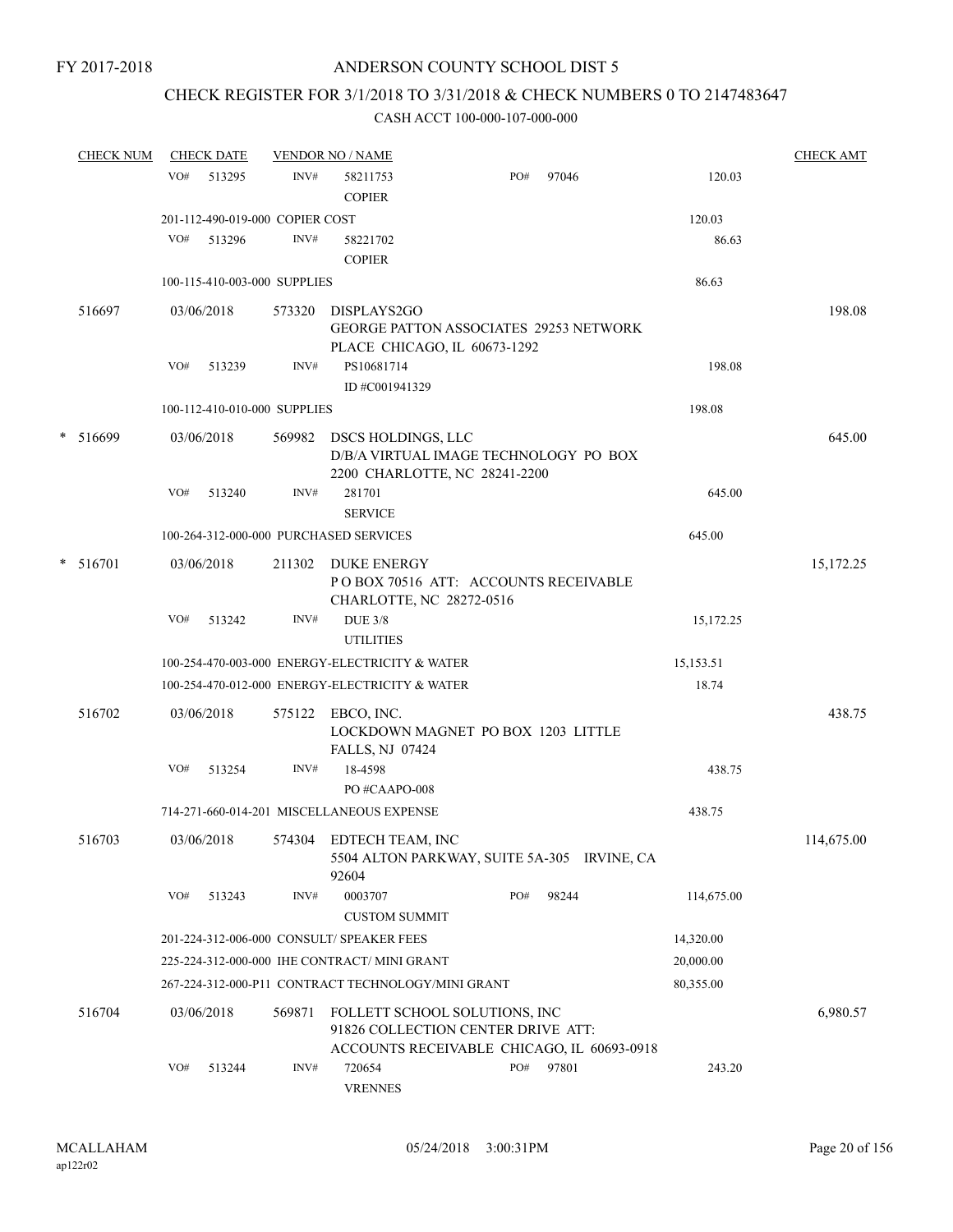# CHECK REGISTER FOR 3/1/2018 TO 3/31/2018 & CHECK NUMBERS 0 TO 2147483647

|   | <b>CHECK NUM</b> |     | <b>CHECK DATE</b> |                                 | <b>VENDOR NO / NAME</b>                                                                                           |     |       |            | <b>CHECK AMT</b> |
|---|------------------|-----|-------------------|---------------------------------|-------------------------------------------------------------------------------------------------------------------|-----|-------|------------|------------------|
|   |                  | VO# | 513295            | INV#                            | 58211753<br><b>COPIER</b>                                                                                         | PO# | 97046 | 120.03     |                  |
|   |                  |     |                   | 201-112-490-019-000 COPIER COST |                                                                                                                   |     |       | 120.03     |                  |
|   |                  | VO# | 513296            | INV#                            | 58221702<br><b>COPIER</b>                                                                                         |     |       | 86.63      |                  |
|   |                  |     |                   | 100-115-410-003-000 SUPPLIES    |                                                                                                                   |     |       | 86.63      |                  |
|   | 516697           |     | 03/06/2018        | 573320                          | DISPLAYS2GO<br><b>GEORGE PATTON ASSOCIATES 29253 NETWORK</b><br>PLACE CHICAGO, IL 60673-1292                      |     |       |            | 198.08           |
|   |                  | VO# | 513239            | INV#                            | PS10681714<br>ID #C001941329                                                                                      |     |       | 198.08     |                  |
|   |                  |     |                   | 100-112-410-010-000 SUPPLIES    |                                                                                                                   |     |       | 198.08     |                  |
|   | * 516699         |     | 03/06/2018        | 569982                          | DSCS HOLDINGS, LLC<br>D/B/A VIRTUAL IMAGE TECHNOLOGY PO BOX<br>2200 CHARLOTTE, NC 28241-2200                      |     |       |            | 645.00           |
|   |                  | VO# | 513240            | $\text{INV}\#$                  | 281701<br><b>SERVICE</b>                                                                                          |     |       | 645.00     |                  |
|   |                  |     |                   |                                 | 100-264-312-000-000 PURCHASED SERVICES                                                                            |     |       | 645.00     |                  |
| * | 516701           |     | 03/06/2018        | 211302                          | <b>DUKE ENERGY</b><br>PO BOX 70516 ATT: ACCOUNTS RECEIVABLE<br>CHARLOTTE, NC 28272-0516                           |     |       |            | 15,172.25        |
|   |                  | VO# | 513242            | INV#                            | <b>DUE 3/8</b><br><b>UTILITIES</b>                                                                                |     |       | 15,172.25  |                  |
|   |                  |     |                   |                                 | 100-254-470-003-000 ENERGY-ELECTRICITY & WATER                                                                    |     |       | 15,153.51  |                  |
|   |                  |     |                   |                                 | 100-254-470-012-000 ENERGY-ELECTRICITY & WATER                                                                    |     |       | 18.74      |                  |
|   | 516702           |     | 03/06/2018        | 575122                          | EBCO, INC.<br>LOCKDOWN MAGNET PO BOX 1203 LITTLE<br>FALLS, NJ 07424                                               |     |       |            | 438.75           |
|   |                  | VO# | 513254            | INV#                            | 18-4598<br>PO#CAAPO-008                                                                                           |     |       | 438.75     |                  |
|   |                  |     |                   |                                 | 714-271-660-014-201 MISCELLANEOUS EXPENSE                                                                         |     |       | 438.75     |                  |
|   | 516703           |     | 03/06/2018        |                                 | 574304 EDTECH TEAM, INC<br>5504 ALTON PARKWAY, SUITE 5A-305 IRVINE, CA<br>92604                                   |     |       |            | 114,675.00       |
|   |                  | VO# | 513243            | INV#                            | 0003707<br><b>CUSTOM SUMMIT</b>                                                                                   | PO# | 98244 | 114,675.00 |                  |
|   |                  |     |                   |                                 | 201-224-312-006-000 CONSULT/ SPEAKER FEES                                                                         |     |       | 14,320.00  |                  |
|   |                  |     |                   |                                 | 225-224-312-000-000 IHE CONTRACT/ MINI GRANT                                                                      |     |       | 20,000.00  |                  |
|   |                  |     |                   |                                 | 267-224-312-000-P11 CONTRACT TECHNOLOGY/MINI GRANT                                                                |     |       | 80,355.00  |                  |
|   | 516704           |     | 03/06/2018        | 569871                          | FOLLETT SCHOOL SOLUTIONS, INC<br>91826 COLLECTION CENTER DRIVE ATT:<br>ACCOUNTS RECEIVABLE CHICAGO, IL 60693-0918 |     |       |            | 6,980.57         |
|   |                  | VO# | 513244            | INV#                            | 720654<br><b>VRENNES</b>                                                                                          | PO# | 97801 | 243.20     |                  |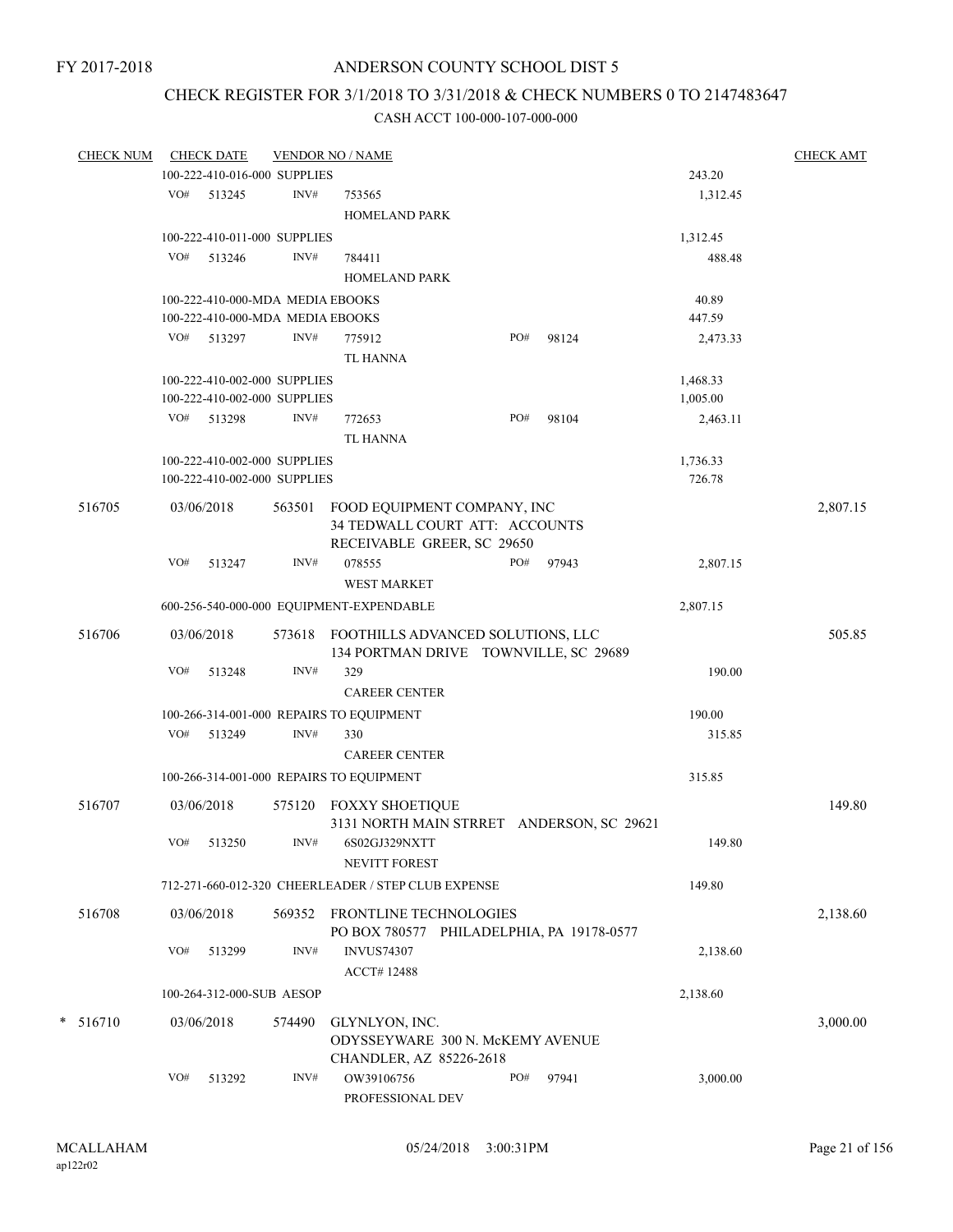# CHECK REGISTER FOR 3/1/2018 TO 3/31/2018 & CHECK NUMBERS 0 TO 2147483647

| <b>CHECK NUM</b> |     | <b>CHECK DATE</b>                |        | <b>VENDOR NO / NAME</b>                                                                     |     |       |          | <b>CHECK AMT</b> |
|------------------|-----|----------------------------------|--------|---------------------------------------------------------------------------------------------|-----|-------|----------|------------------|
|                  |     | 100-222-410-016-000 SUPPLIES     |        |                                                                                             |     |       | 243.20   |                  |
|                  | VO# | 513245                           | INV#   | 753565                                                                                      |     |       | 1,312.45 |                  |
|                  |     |                                  |        | <b>HOMELAND PARK</b>                                                                        |     |       |          |                  |
|                  |     | 100-222-410-011-000 SUPPLIES     |        |                                                                                             |     |       | 1,312.45 |                  |
|                  | VO# | 513246                           | INV#   | 784411                                                                                      |     |       | 488.48   |                  |
|                  |     |                                  |        | HOMELAND PARK                                                                               |     |       |          |                  |
|                  |     | 100-222-410-000-MDA MEDIA EBOOKS |        |                                                                                             |     |       | 40.89    |                  |
|                  |     | 100-222-410-000-MDA MEDIA EBOOKS |        |                                                                                             |     |       | 447.59   |                  |
|                  |     | VO# 513297                       | INV#   | 775912                                                                                      | PO# | 98124 | 2,473.33 |                  |
|                  |     |                                  |        | <b>TL HANNA</b>                                                                             |     |       |          |                  |
|                  |     |                                  |        |                                                                                             |     |       |          |                  |
|                  |     | 100-222-410-002-000 SUPPLIES     |        |                                                                                             |     |       | 1,468.33 |                  |
|                  |     | 100-222-410-002-000 SUPPLIES     |        |                                                                                             |     |       | 1,005.00 |                  |
|                  |     | VO# 513298                       | INV#   | 772653                                                                                      | PO# | 98104 | 2,463.11 |                  |
|                  |     |                                  |        | <b>TL HANNA</b>                                                                             |     |       |          |                  |
|                  |     | 100-222-410-002-000 SUPPLIES     |        |                                                                                             |     |       | 1,736.33 |                  |
|                  |     | 100-222-410-002-000 SUPPLIES     |        |                                                                                             |     |       | 726.78   |                  |
| 516705           |     | 03/06/2018                       | 563501 | FOOD EQUIPMENT COMPANY, INC<br>34 TEDWALL COURT ATT: ACCOUNTS<br>RECEIVABLE GREER, SC 29650 |     |       |          | 2,807.15         |
|                  | VO# | 513247                           | INV#   | 078555                                                                                      | PO# | 97943 | 2,807.15 |                  |
|                  |     |                                  |        | <b>WEST MARKET</b>                                                                          |     |       |          |                  |
|                  |     |                                  |        | 600-256-540-000-000 EQUIPMENT-EXPENDABLE                                                    |     |       | 2,807.15 |                  |
| 516706           |     | 03/06/2018                       |        | 573618 FOOTHILLS ADVANCED SOLUTIONS, LLC                                                    |     |       |          | 505.85           |
|                  |     |                                  |        | 134 PORTMAN DRIVE TOWNVILLE, SC 29689                                                       |     |       |          |                  |
|                  | VO# | 513248                           | INV#   | 329                                                                                         |     |       | 190.00   |                  |
|                  |     |                                  |        | <b>CAREER CENTER</b>                                                                        |     |       |          |                  |
|                  |     |                                  |        | 100-266-314-001-000 REPAIRS TO EQUIPMENT                                                    |     |       | 190.00   |                  |
|                  |     | VO# 513249                       | INV#   | 330                                                                                         |     |       | 315.85   |                  |
|                  |     |                                  |        | <b>CAREER CENTER</b>                                                                        |     |       |          |                  |
|                  |     |                                  |        | 100-266-314-001-000 REPAIRS TO EQUIPMENT                                                    |     |       | 315.85   |                  |
|                  |     |                                  |        |                                                                                             |     |       |          |                  |
| 516707           |     | 03/06/2018                       |        | 575120 FOXXY SHOETIQUE                                                                      |     |       |          | 149.80           |
|                  |     |                                  |        | 3131 NORTH MAIN STRRET ANDERSON, SC 29621                                                   |     |       |          |                  |
|                  |     | $VO#$ 513250                     | INV#   | 6S02GJ329NXTT                                                                               |     |       | 149.80   |                  |
|                  |     |                                  |        | <b>NEVITT FOREST</b>                                                                        |     |       |          |                  |
|                  |     |                                  |        | 712-271-660-012-320 CHEERLEADER / STEP CLUB EXPENSE                                         |     |       | 149.80   |                  |
| 516708           |     | 03/06/2018                       |        | 569352 FRONTLINE TECHNOLOGIES                                                               |     |       |          | 2,138.60         |
|                  |     |                                  |        | PO BOX 780577 PHILADELPHIA, PA 19178-0577                                                   |     |       |          |                  |
|                  | VO# | 513299                           | INV#   | <b>INVUS74307</b>                                                                           |     |       | 2,138.60 |                  |
|                  |     |                                  |        | ACCT#12488                                                                                  |     |       |          |                  |
|                  |     | 100-264-312-000-SUB AESOP        |        |                                                                                             |     |       | 2,138.60 |                  |
|                  |     |                                  |        |                                                                                             |     |       |          |                  |
| $* 516710$       |     | 03/06/2018                       | 574490 | GLYNLYON, INC.                                                                              |     |       |          | 3,000.00         |
|                  |     |                                  |        | ODYSSEYWARE 300 N. McKEMY AVENUE                                                            |     |       |          |                  |
|                  |     |                                  |        | CHANDLER, AZ 85226-2618                                                                     |     |       |          |                  |
|                  | VO# | 513292                           | INV#   | OW39106756<br>PROFESSIONAL DEV                                                              | PO# | 97941 | 3,000.00 |                  |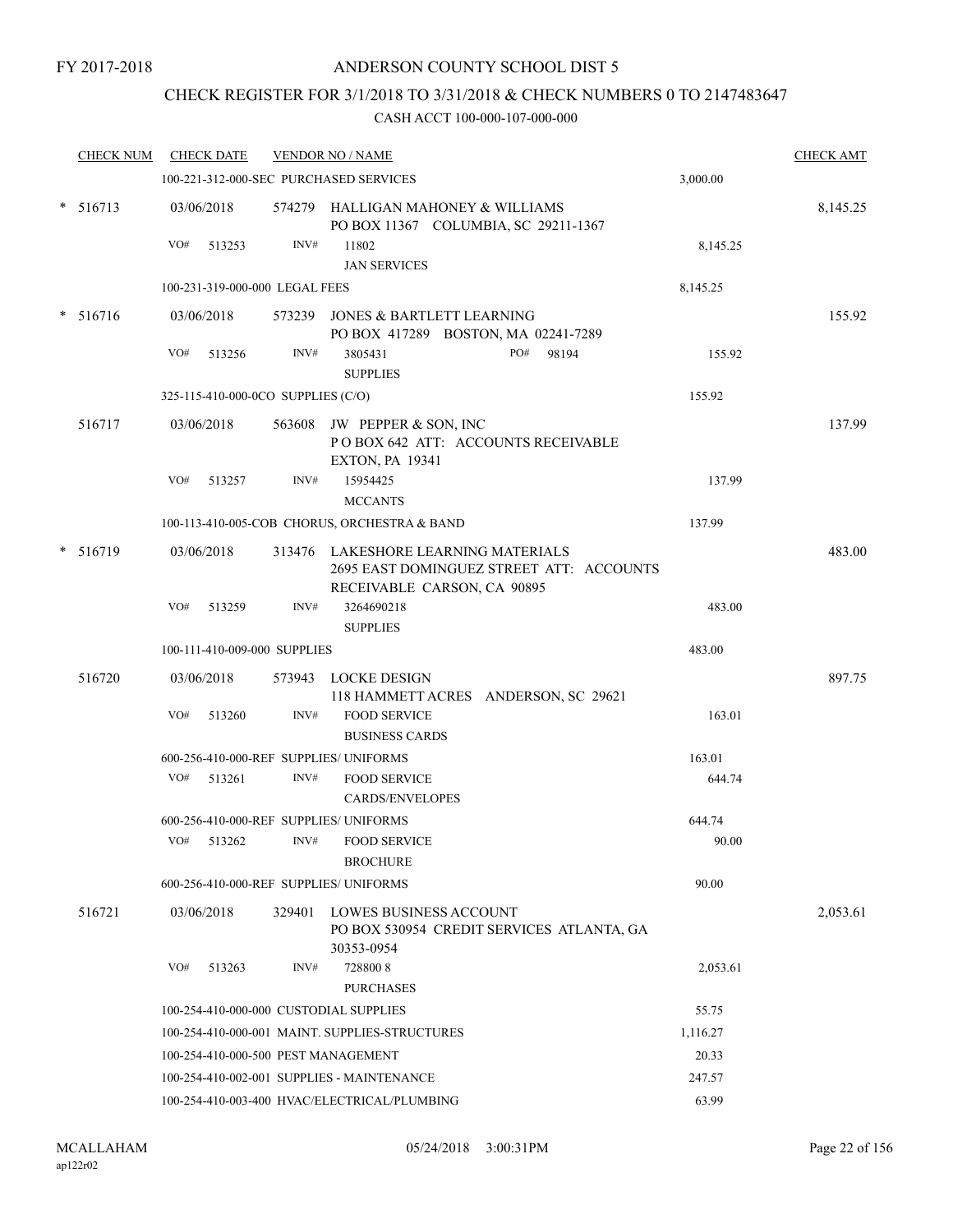# CHECK REGISTER FOR 3/1/2018 TO 3/31/2018 & CHECK NUMBERS 0 TO 2147483647

| <b>CHECK NUM</b> |     | <b>CHECK DATE</b>                  |      | <b>VENDOR NO / NAME</b>                                                                                        |          | <b>CHECK AMT</b> |
|------------------|-----|------------------------------------|------|----------------------------------------------------------------------------------------------------------------|----------|------------------|
|                  |     |                                    |      | 100-221-312-000-SEC PURCHASED SERVICES                                                                         | 3,000.00 |                  |
| $* 516713$       |     | 03/06/2018                         |      | 574279 HALLIGAN MAHONEY & WILLIAMS<br>PO BOX 11367 COLUMBIA, SC 29211-1367                                     |          | 8,145.25         |
|                  | VO# | 513253                             | INV# | 11802<br><b>JAN SERVICES</b>                                                                                   | 8,145.25 |                  |
|                  |     | 100-231-319-000-000 LEGAL FEES     |      |                                                                                                                | 8,145.25 |                  |
| * 516716         |     | 03/06/2018                         |      | 573239 JONES & BARTLETT LEARNING                                                                               |          | 155.92           |
|                  |     |                                    |      | PO BOX 417289 BOSTON, MA 02241-7289                                                                            |          |                  |
|                  | VO# | 513256                             | INV# | 3805431<br>PO#<br>98194<br><b>SUPPLIES</b>                                                                     | 155.92   |                  |
|                  |     | 325-115-410-000-0CO SUPPLIES (C/O) |      |                                                                                                                | 155.92   |                  |
| 516717           |     | 03/06/2018                         |      | 563608 JW PEPPER & SON, INC<br>POBOX 642 ATT: ACCOUNTS RECEIVABLE<br><b>EXTON, PA 19341</b>                    |          | 137.99           |
|                  | VO# | 513257                             | INV# | 15954425<br><b>MCCANTS</b>                                                                                     | 137.99   |                  |
|                  |     |                                    |      | 100-113-410-005-COB CHORUS, ORCHESTRA & BAND                                                                   | 137.99   |                  |
| $* 516719$       |     | 03/06/2018                         |      | 313476 LAKESHORE LEARNING MATERIALS<br>2695 EAST DOMINGUEZ STREET ATT: ACCOUNTS<br>RECEIVABLE CARSON, CA 90895 |          | 483.00           |
|                  | VO# | 513259                             | INV# | 3264690218                                                                                                     | 483.00   |                  |
|                  |     |                                    |      | <b>SUPPLIES</b>                                                                                                |          |                  |
|                  |     | 100-111-410-009-000 SUPPLIES       |      |                                                                                                                | 483.00   |                  |
| 516720           |     | 03/06/2018                         |      | 573943 LOCKE DESIGN<br>118 HAMMETT ACRES ANDERSON, SC 29621                                                    |          | 897.75           |
|                  | VO# | 513260                             | INV# | <b>FOOD SERVICE</b><br><b>BUSINESS CARDS</b>                                                                   | 163.01   |                  |
|                  |     |                                    |      | 600-256-410-000-REF SUPPLIES/ UNIFORMS                                                                         | 163.01   |                  |
|                  | VO# | 513261                             | INV# | <b>FOOD SERVICE</b><br><b>CARDS/ENVELOPES</b>                                                                  | 644.74   |                  |
|                  |     |                                    |      | 600-256-410-000-REF SUPPLIES/ UNIFORMS                                                                         | 644.74   |                  |
|                  |     | $VO#$ 513262                       |      | INV# FOOD SERVICE<br><b>BROCHURE</b>                                                                           | 90.00    |                  |
|                  |     |                                    |      | 600-256-410-000-REF SUPPLIES/ UNIFORMS                                                                         | 90.00    |                  |
| 516721           |     | 03/06/2018                         |      | 329401 LOWES BUSINESS ACCOUNT<br>PO BOX 530954 CREDIT SERVICES ATLANTA, GA<br>30353-0954                       |          | 2,053.61         |
|                  | VO# | 513263                             | INV# | 7288008<br><b>PURCHASES</b>                                                                                    | 2,053.61 |                  |
|                  |     |                                    |      | 100-254-410-000-000 CUSTODIAL SUPPLIES                                                                         | 55.75    |                  |
|                  |     |                                    |      | 100-254-410-000-001 MAINT. SUPPLIES-STRUCTURES                                                                 | 1,116.27 |                  |
|                  |     |                                    |      | 100-254-410-000-500 PEST MANAGEMENT                                                                            | 20.33    |                  |
|                  |     |                                    |      | 100-254-410-002-001 SUPPLIES - MAINTENANCE                                                                     | 247.57   |                  |
|                  |     |                                    |      | 100-254-410-003-400 HVAC/ELECTRICAL/PLUMBING                                                                   | 63.99    |                  |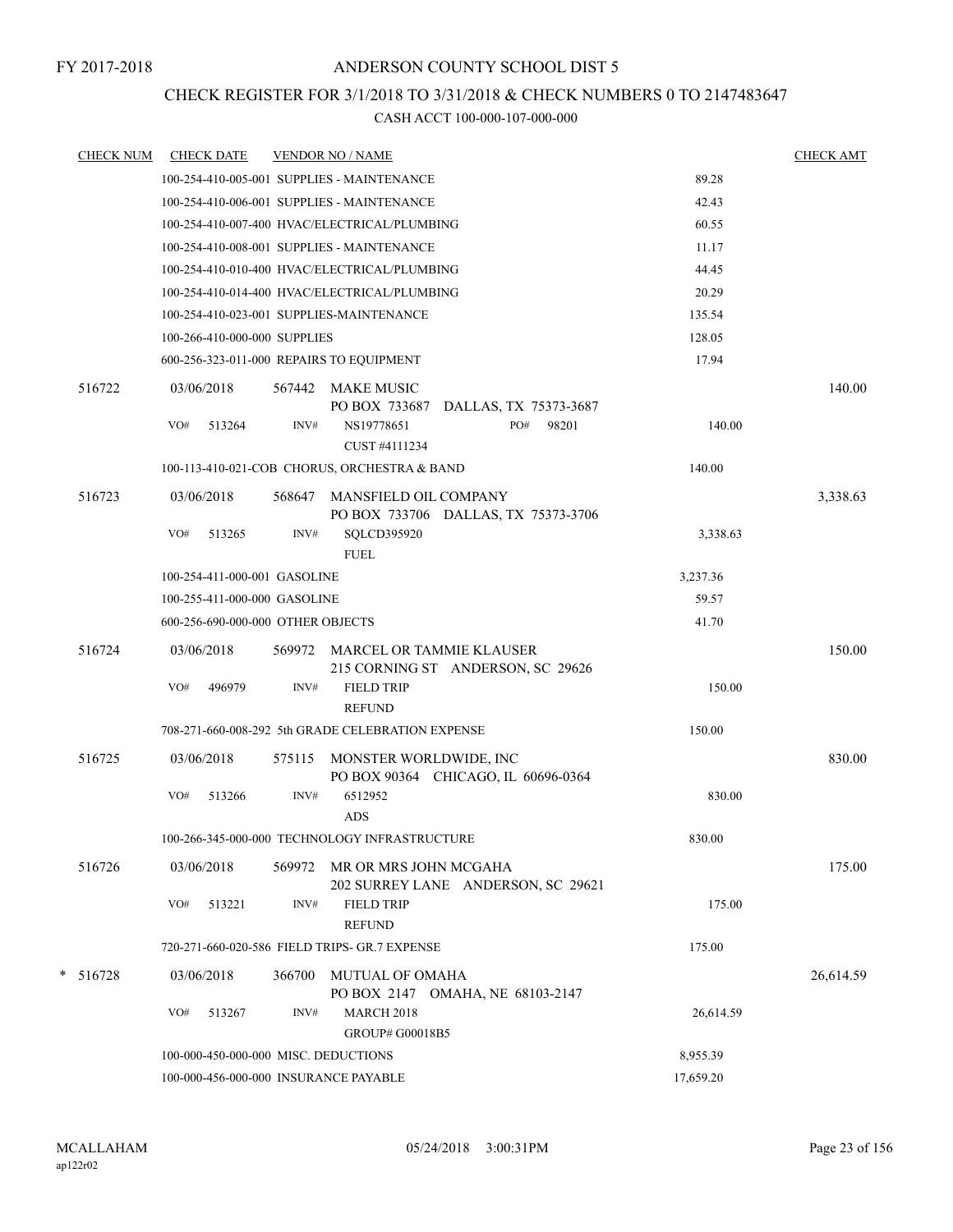# CHECK REGISTER FOR 3/1/2018 TO 3/31/2018 & CHECK NUMBERS 0 TO 2147483647

| <b>CHECK NUM</b> | <b>CHECK DATE</b>                        |        | <b>VENDOR NO / NAME</b>                                             |           | <b>CHECK AMT</b> |
|------------------|------------------------------------------|--------|---------------------------------------------------------------------|-----------|------------------|
|                  |                                          |        | 100-254-410-005-001 SUPPLIES - MAINTENANCE                          | 89.28     |                  |
|                  |                                          |        | 100-254-410-006-001 SUPPLIES - MAINTENANCE                          | 42.43     |                  |
|                  |                                          |        | 100-254-410-007-400 HVAC/ELECTRICAL/PLUMBING                        | 60.55     |                  |
|                  |                                          |        | 100-254-410-008-001 SUPPLIES - MAINTENANCE                          | 11.17     |                  |
|                  |                                          |        | 100-254-410-010-400 HVAC/ELECTRICAL/PLUMBING                        | 44.45     |                  |
|                  |                                          |        | 100-254-410-014-400 HVAC/ELECTRICAL/PLUMBING                        | 20.29     |                  |
|                  | 100-254-410-023-001 SUPPLIES-MAINTENANCE |        |                                                                     | 135.54    |                  |
|                  | 100-266-410-000-000 SUPPLIES             |        |                                                                     | 128.05    |                  |
|                  | 600-256-323-011-000 REPAIRS TO EQUIPMENT |        |                                                                     | 17.94     |                  |
| 516722           | 03/06/2018                               |        | 567442 MAKE MUSIC<br>PO BOX 733687 DALLAS, TX 75373-3687            |           | 140.00           |
|                  | VO#<br>513264                            | INV#   | PO#<br>NS19778651<br>98201<br>CUST #4111234                         | 140.00    |                  |
|                  |                                          |        | 100-113-410-021-COB CHORUS, ORCHESTRA & BAND                        | 140.00    |                  |
| 516723           | 03/06/2018                               | 568647 | <b>MANSFIELD OIL COMPANY</b><br>PO BOX 733706 DALLAS, TX 75373-3706 |           | 3,338.63         |
|                  | VO#<br>513265                            | INV#   | SQLCD395920<br><b>FUEL</b>                                          | 3,338.63  |                  |
|                  | 100-254-411-000-001 GASOLINE             |        |                                                                     | 3,237.36  |                  |
|                  | 100-255-411-000-000 GASOLINE             |        |                                                                     | 59.57     |                  |
|                  | 600-256-690-000-000 OTHER OBJECTS        |        |                                                                     | 41.70     |                  |
| 516724           | 03/06/2018                               | 569972 | MARCEL OR TAMMIE KLAUSER<br>215 CORNING ST ANDERSON, SC 29626       |           | 150.00           |
|                  | VO#<br>496979                            | INV#   | <b>FIELD TRIP</b><br><b>REFUND</b>                                  | 150.00    |                  |
|                  |                                          |        | 708-271-660-008-292 5th GRADE CELEBRATION EXPENSE                   | 150.00    |                  |
| 516725           | 03/06/2018                               | 575115 | MONSTER WORLDWIDE, INC<br>PO BOX 90364 CHICAGO, IL 60696-0364       |           | 830.00           |
|                  | VO#<br>513266                            | INV#   | 6512952<br><b>ADS</b>                                               | 830.00    |                  |
|                  |                                          |        | 100-266-345-000-000 TECHNOLOGY INFRASTRUCTURE                       | 830.00    |                  |
| 516726           | 03/06/2018                               | 569972 | MR OR MRS JOHN MCGAHA<br>202 SURREY LANE ANDERSON, SC 29621         |           | 175.00           |
|                  | VO#<br>513221                            | INV#   | <b>FIELD TRIP</b><br><b>REFUND</b>                                  | 175.00    |                  |
|                  |                                          |        | 720-271-660-020-586 FIELD TRIPS- GR.7 EXPENSE                       | 175.00    |                  |
| $* 516728$       | 03/06/2018                               | 366700 | <b>MUTUAL OF OMAHA</b><br>PO BOX 2147 OMAHA, NE 68103-2147          |           | 26,614.59        |
|                  | VO#<br>513267                            | INV#   | <b>MARCH 2018</b><br>GROUP# G00018B5                                | 26,614.59 |                  |
|                  | 100-000-450-000-000 MISC. DEDUCTIONS     |        |                                                                     | 8,955.39  |                  |
|                  | 100-000-456-000-000 INSURANCE PAYABLE    |        |                                                                     | 17,659.20 |                  |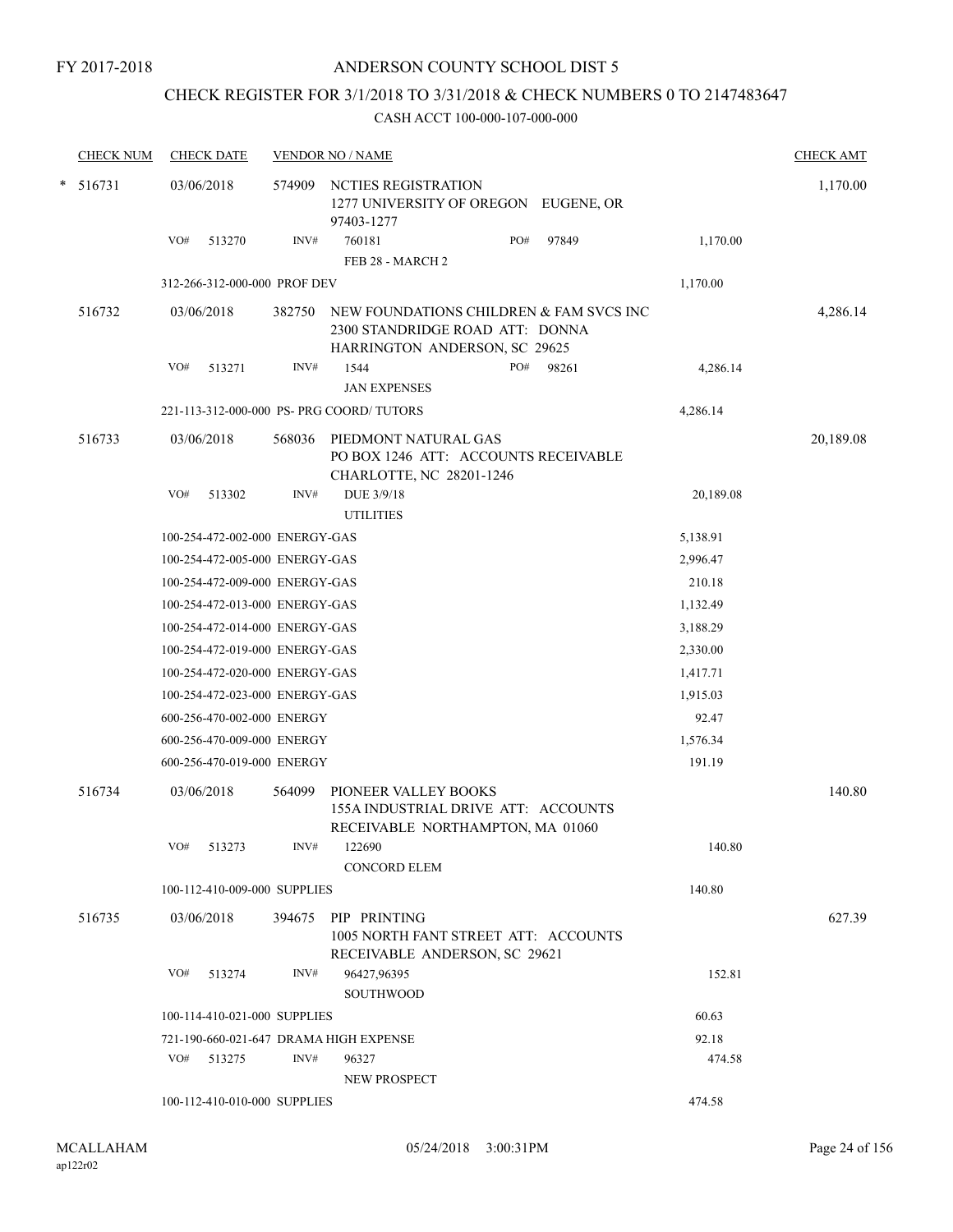FY 2017-2018

# ANDERSON COUNTY SCHOOL DIST 5

# CHECK REGISTER FOR 3/1/2018 TO 3/31/2018 & CHECK NUMBERS 0 TO 2147483647

| <b>CHECK NUM</b> | <b>CHECK DATE</b>                         |        | <b>VENDOR NO / NAME</b>                                                                                     |       |           | <b>CHECK AMT</b> |
|------------------|-------------------------------------------|--------|-------------------------------------------------------------------------------------------------------------|-------|-----------|------------------|
| $* 516731$       | 03/06/2018                                | 574909 | NCTIES REGISTRATION<br>1277 UNIVERSITY OF OREGON EUGENE, OR<br>97403-1277                                   |       |           | 1,170.00         |
|                  | VO#<br>513270                             | INV#   | 760181<br>PO#<br>FEB 28 - MARCH 2                                                                           | 97849 | 1,170.00  |                  |
|                  | 312-266-312-000-000 PROF DEV              |        |                                                                                                             |       | 1,170.00  |                  |
|                  |                                           |        |                                                                                                             |       |           |                  |
| 516732           | 03/06/2018                                | 382750 | NEW FOUNDATIONS CHILDREN & FAM SVCS INC<br>2300 STANDRIDGE ROAD ATT: DONNA<br>HARRINGTON ANDERSON, SC 29625 |       |           | 4,286.14         |
|                  | VO#<br>513271                             | INV#   | 1544<br>PO#                                                                                                 | 98261 | 4,286.14  |                  |
|                  |                                           |        | <b>JAN EXPENSES</b>                                                                                         |       |           |                  |
|                  | 221-113-312-000-000 PS- PRG COORD/ TUTORS |        |                                                                                                             |       | 4,286.14  |                  |
| 516733           | 03/06/2018                                | 568036 | PIEDMONT NATURAL GAS<br>PO BOX 1246 ATT: ACCOUNTS RECEIVABLE<br>CHARLOTTE, NC 28201-1246                    |       |           | 20,189.08        |
|                  | VO#<br>513302                             | INV#   | DUE 3/9/18<br><b>UTILITIES</b>                                                                              |       | 20,189.08 |                  |
|                  | 100-254-472-002-000 ENERGY-GAS            |        |                                                                                                             |       | 5,138.91  |                  |
|                  | 100-254-472-005-000 ENERGY-GAS            |        |                                                                                                             |       | 2,996.47  |                  |
|                  | 100-254-472-009-000 ENERGY-GAS            |        |                                                                                                             |       | 210.18    |                  |
|                  | 100-254-472-013-000 ENERGY-GAS            |        |                                                                                                             |       | 1,132.49  |                  |
|                  | 100-254-472-014-000 ENERGY-GAS            |        |                                                                                                             |       | 3,188.29  |                  |
|                  | 100-254-472-019-000 ENERGY-GAS            |        |                                                                                                             |       | 2,330.00  |                  |
|                  | 100-254-472-020-000 ENERGY-GAS            |        |                                                                                                             |       | 1,417.71  |                  |
|                  | 100-254-472-023-000 ENERGY-GAS            |        |                                                                                                             |       | 1,915.03  |                  |
|                  | 600-256-470-002-000 ENERGY                |        |                                                                                                             |       | 92.47     |                  |
|                  | 600-256-470-009-000 ENERGY                |        |                                                                                                             |       | 1,576.34  |                  |
|                  | 600-256-470-019-000 ENERGY                |        |                                                                                                             |       | 191.19    |                  |
| 516734           | 03/06/2018                                | 564099 | PIONEER VALLEY BOOKS<br>155A INDUSTRIAL DRIVE ATT: ACCOUNTS<br>RECEIVABLE NORTHAMPTON, MA 01060             |       |           | 140.80           |
|                  | VO# 513273                                | INV#   | 122690<br><b>CONCORD ELEM</b>                                                                               |       | 140.80    |                  |
|                  | 100-112-410-009-000 SUPPLIES              |        |                                                                                                             |       | 140.80    |                  |
| 516735           | 03/06/2018                                |        | 394675 PIP PRINTING<br>1005 NORTH FANT STREET ATT: ACCOUNTS<br>RECEIVABLE ANDERSON, SC 29621                |       |           | 627.39           |
|                  | VO# 513274                                | INV#   | 96427,96395<br><b>SOUTHWOOD</b>                                                                             |       | 152.81    |                  |
|                  | 100-114-410-021-000 SUPPLIES              |        |                                                                                                             |       | 60.63     |                  |
|                  | 721-190-660-021-647 DRAMA HIGH EXPENSE    |        |                                                                                                             |       | 92.18     |                  |
|                  | VO# 513275                                | INV#   | 96327<br>NEW PROSPECT                                                                                       |       | 474.58    |                  |
|                  | 100-112-410-010-000 SUPPLIES              |        |                                                                                                             |       | 474.58    |                  |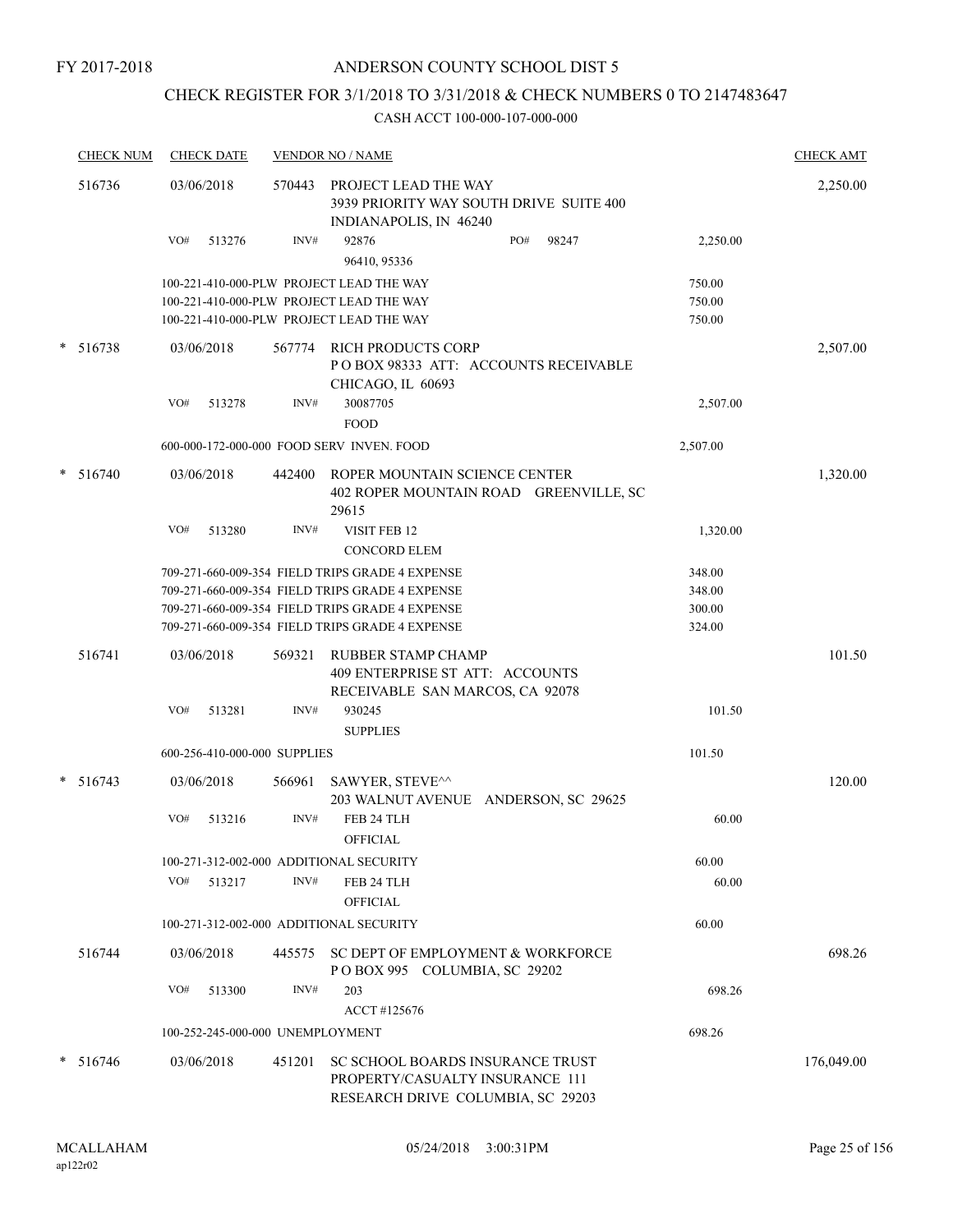# CHECK REGISTER FOR 3/1/2018 TO 3/31/2018 & CHECK NUMBERS 0 TO 2147483647

|   | <b>CHECK NUM</b> | <b>CHECK DATE</b>                       |        | <b>VENDOR NO / NAME</b>                                                                                                                                                                                  |                                      | <b>CHECK AMT</b> |
|---|------------------|-----------------------------------------|--------|----------------------------------------------------------------------------------------------------------------------------------------------------------------------------------------------------------|--------------------------------------|------------------|
|   | 516736           | 03/06/2018                              | 570443 | PROJECT LEAD THE WAY<br>3939 PRIORITY WAY SOUTH DRIVE SUITE 400<br>INDIANAPOLIS, IN 46240                                                                                                                |                                      | 2,250.00         |
|   |                  | VO#<br>513276                           | INV#   | PO#<br>92876<br>98247<br>96410, 95336                                                                                                                                                                    | 2,250.00                             |                  |
|   |                  |                                         |        | 100-221-410-000-PLW PROJECT LEAD THE WAY<br>100-221-410-000-PLW PROJECT LEAD THE WAY<br>100-221-410-000-PLW PROJECT LEAD THE WAY                                                                         | 750.00<br>750.00<br>750.00           |                  |
|   | $* 516738$       | 03/06/2018                              | 567774 | <b>RICH PRODUCTS CORP</b><br>POBOX 98333 ATT: ACCOUNTS RECEIVABLE<br>CHICAGO, IL 60693                                                                                                                   |                                      | 2,507.00         |
|   |                  | VO#<br>513278                           | INV#   | 30087705<br><b>FOOD</b>                                                                                                                                                                                  | 2,507.00                             |                  |
|   |                  |                                         |        | 600-000-172-000-000 FOOD SERV INVEN. FOOD                                                                                                                                                                | 2,507.00                             |                  |
|   | * 516740         | 03/06/2018                              | 442400 | ROPER MOUNTAIN SCIENCE CENTER<br>402 ROPER MOUNTAIN ROAD GREENVILLE, SC<br>29615                                                                                                                         |                                      | 1,320.00         |
|   |                  | VO#<br>513280                           | INV#   | VISIT FEB 12<br><b>CONCORD ELEM</b>                                                                                                                                                                      | 1,320.00                             |                  |
|   |                  |                                         |        | 709-271-660-009-354 FIELD TRIPS GRADE 4 EXPENSE<br>709-271-660-009-354 FIELD TRIPS GRADE 4 EXPENSE<br>709-271-660-009-354 FIELD TRIPS GRADE 4 EXPENSE<br>709-271-660-009-354 FIELD TRIPS GRADE 4 EXPENSE | 348.00<br>348.00<br>300.00<br>324.00 |                  |
|   | 516741           | 03/06/2018                              | 569321 | RUBBER STAMP CHAMP<br>409 ENTERPRISE ST ATT: ACCOUNTS<br>RECEIVABLE SAN MARCOS, CA 92078                                                                                                                 |                                      | 101.50           |
|   |                  | VO#<br>513281                           | INV#   | 930245<br><b>SUPPLIES</b>                                                                                                                                                                                | 101.50                               |                  |
|   |                  | 600-256-410-000-000 SUPPLIES            |        |                                                                                                                                                                                                          | 101.50                               |                  |
| * | 516743           | 03/06/2018                              | 566961 | SAWYER, STEVE^^<br>203 WALNUT AVENUE ANDERSON, SC 29625                                                                                                                                                  |                                      | 120.00           |
|   |                  | VO#<br>513216                           | INV#   | FEB 24 TLH<br>OFFICIAL                                                                                                                                                                                   | 60.00                                |                  |
|   |                  | 100-271-312-002-000 ADDITIONAL SECURITY |        |                                                                                                                                                                                                          | 60.00                                |                  |
|   |                  | VO#<br>513217                           | INV#   | FEB 24 TLH<br><b>OFFICIAL</b>                                                                                                                                                                            | 60.00                                |                  |
|   |                  | 100-271-312-002-000 ADDITIONAL SECURITY |        |                                                                                                                                                                                                          | 60.00                                |                  |
|   | 516744           | 03/06/2018                              |        | 445575 SC DEPT OF EMPLOYMENT & WORKFORCE<br>POBOX 995 COLUMBIA, SC 29202                                                                                                                                 |                                      | 698.26           |
|   |                  | VO#<br>513300                           | INV#   | 203<br>ACCT #125676                                                                                                                                                                                      | 698.26                               |                  |
|   |                  | 100-252-245-000-000 UNEMPLOYMENT        |        |                                                                                                                                                                                                          | 698.26                               |                  |
|   | $*$ 516746       | 03/06/2018                              | 451201 | SC SCHOOL BOARDS INSURANCE TRUST<br>PROPERTY/CASUALTY INSURANCE 111<br>RESEARCH DRIVE COLUMBIA, SC 29203                                                                                                 |                                      | 176,049.00       |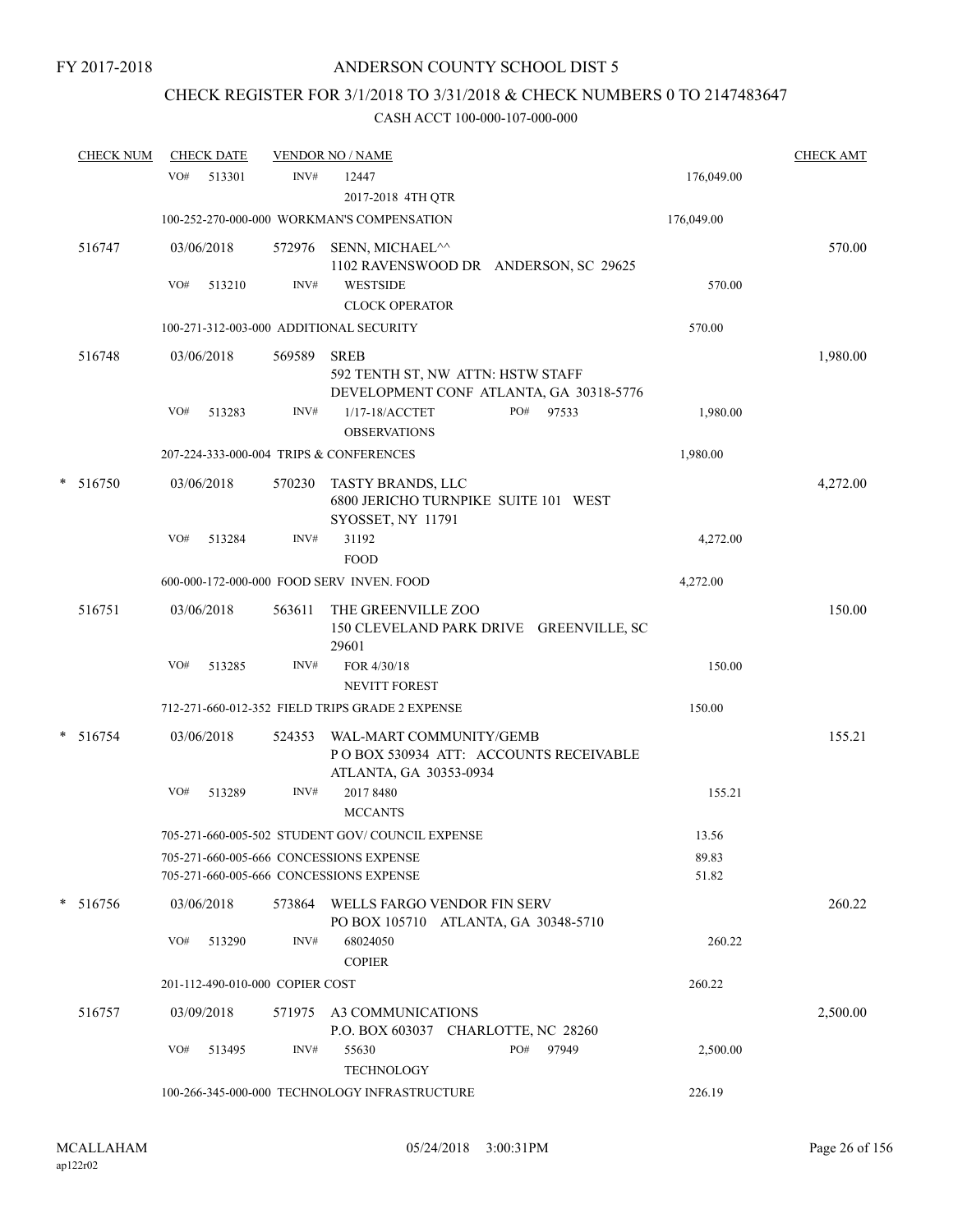# CHECK REGISTER FOR 3/1/2018 TO 3/31/2018 & CHECK NUMBERS 0 TO 2147483647

|   | <u>CHECK NUM</u> |     | <b>CHECK DATE</b> |                                 | <b>VENDOR NO / NAME</b>                                                                     |     |       |                | <b>CHECK AMT</b> |
|---|------------------|-----|-------------------|---------------------------------|---------------------------------------------------------------------------------------------|-----|-------|----------------|------------------|
|   |                  | VO# | 513301            | INV#                            | 12447                                                                                       |     |       | 176,049.00     |                  |
|   |                  |     |                   |                                 | 2017-2018 4TH QTR                                                                           |     |       |                |                  |
|   |                  |     |                   |                                 | 100-252-270-000-000 WORKMAN'S COMPENSATION                                                  |     |       | 176,049.00     |                  |
|   | 516747           |     | 03/06/2018        | 572976                          | SENN, MICHAEL^^<br>1102 RAVENSWOOD DR ANDERSON, SC 29625                                    |     |       |                | 570.00           |
|   |                  | VO# | 513210            | INV#                            | <b>WESTSIDE</b><br><b>CLOCK OPERATOR</b>                                                    |     |       | 570.00         |                  |
|   |                  |     |                   |                                 | 100-271-312-003-000 ADDITIONAL SECURITY                                                     |     |       | 570.00         |                  |
|   | 516748           |     | 03/06/2018        | 569589                          | <b>SREB</b><br>592 TENTH ST, NW ATTN: HSTW STAFF<br>DEVELOPMENT CONF ATLANTA, GA 30318-5776 |     |       |                | 1,980.00         |
|   |                  | VO# | 513283            | INV#                            | 1/17-18/ACCTET<br><b>OBSERVATIONS</b>                                                       | PO# | 97533 | 1,980.00       |                  |
|   |                  |     |                   |                                 | 207-224-333-000-004 TRIPS & CONFERENCES                                                     |     |       | 1,980.00       |                  |
| * | 516750           |     | 03/06/2018        | 570230                          | TASTY BRANDS, LLC<br>6800 JERICHO TURNPIKE SUITE 101 WEST<br>SYOSSET, NY 11791              |     |       |                | 4,272.00         |
|   |                  | VO# | 513284            | INV#                            | 31192<br><b>FOOD</b>                                                                        |     |       | 4,272.00       |                  |
|   |                  |     |                   |                                 | 600-000-172-000-000 FOOD SERV INVEN. FOOD                                                   |     |       | 4,272.00       |                  |
|   | 516751           |     | 03/06/2018        | 563611                          | THE GREENVILLE ZOO<br>150 CLEVELAND PARK DRIVE GREENVILLE, SC<br>29601                      |     |       |                | 150.00           |
|   |                  | VO# | 513285            | INV#                            | FOR 4/30/18                                                                                 |     |       | 150.00         |                  |
|   |                  |     |                   |                                 | <b>NEVITT FOREST</b>                                                                        |     |       |                |                  |
|   |                  |     |                   |                                 | 712-271-660-012-352 FIELD TRIPS GRADE 2 EXPENSE                                             |     |       | 150.00         |                  |
|   | $*$ 516754       |     | 03/06/2018        | 524353                          | WAL-MART COMMUNITY/GEMB<br>PO BOX 530934 ATT: ACCOUNTS RECEIVABLE<br>ATLANTA, GA 30353-0934 |     |       |                | 155.21           |
|   |                  | VO# | 513289            | INV#                            | 2017 8480<br><b>MCCANTS</b>                                                                 |     |       | 155.21         |                  |
|   |                  |     |                   |                                 | 705-271-660-005-502 STUDENT GOV/COUNCIL EXPENSE                                             |     |       | 13.56          |                  |
|   |                  |     |                   |                                 | 705-271-660-005-666 CONCESSIONS EXPENSE<br>705-271-660-005-666 CONCESSIONS EXPENSE          |     |       | 89.83<br>51.82 |                  |
|   | $*$ 516756       |     | 03/06/2018        |                                 | 573864 WELLS FARGO VENDOR FIN SERV<br>PO BOX 105710 ATLANTA, GA 30348-5710                  |     |       |                | 260.22           |
|   |                  | VO# | 513290            | INV#                            | 68024050<br><b>COPIER</b>                                                                   |     |       | 260.22         |                  |
|   |                  |     |                   | 201-112-490-010-000 COPIER COST |                                                                                             |     |       | 260.22         |                  |
|   | 516757           |     | 03/09/2018        | 571975                          | A3 COMMUNICATIONS<br>P.O. BOX 603037 CHARLOTTE, NC 28260                                    |     |       |                | 2,500.00         |
|   |                  | VO# | 513495            | INV#                            | 55630<br><b>TECHNOLOGY</b>                                                                  | PO# | 97949 | 2,500.00       |                  |
|   |                  |     |                   |                                 | 100-266-345-000-000 TECHNOLOGY INFRASTRUCTURE                                               |     |       | 226.19         |                  |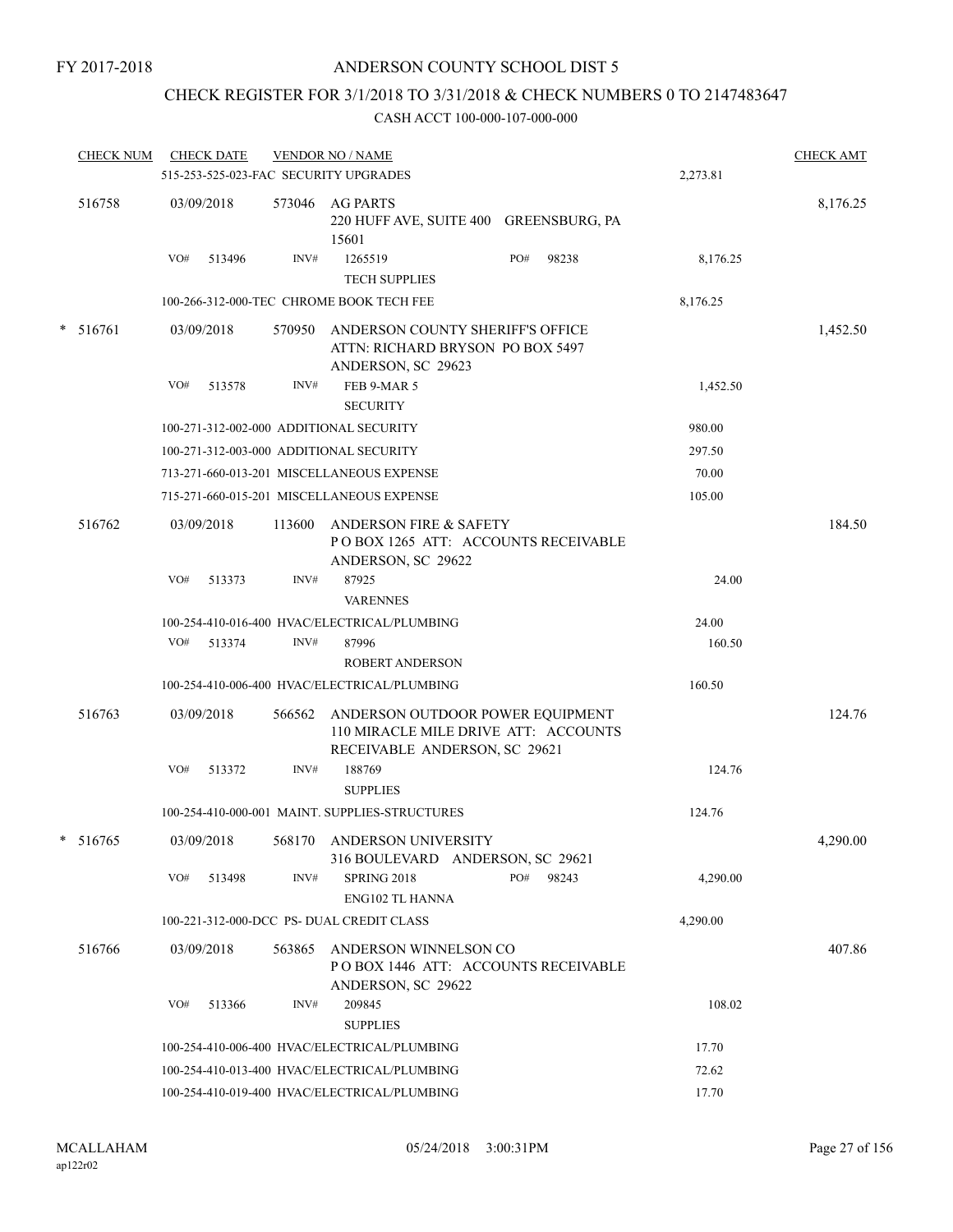# CHECK REGISTER FOR 3/1/2018 TO 3/31/2018 & CHECK NUMBERS 0 TO 2147483647

| <b>CHECK NUM</b> |     | <b>CHECK DATE</b> |        | <b>VENDOR NO / NAME</b><br>515-253-525-023-FAC SECURITY UPGRADES                                          |     |       | 2,273.81 | <b>CHECK AMT</b> |
|------------------|-----|-------------------|--------|-----------------------------------------------------------------------------------------------------------|-----|-------|----------|------------------|
| 516758           |     | 03/09/2018        |        | 573046 AG PARTS<br>220 HUFF AVE, SUITE 400 GREENSBURG, PA<br>15601                                        |     |       |          | 8,176.25         |
|                  | VO# | 513496            | INV#   | 1265519<br><b>TECH SUPPLIES</b>                                                                           | PO# | 98238 | 8,176.25 |                  |
|                  |     |                   |        | 100-266-312-000-TEC CHROME BOOK TECH FEE                                                                  |     |       | 8,176.25 |                  |
| $* 516761$       |     | 03/09/2018        | 570950 | ANDERSON COUNTY SHERIFF'S OFFICE<br>ATTN: RICHARD BRYSON PO BOX 5497<br>ANDERSON, SC 29623                |     |       |          | 1,452.50         |
|                  | VO# | 513578            | INV#   | FEB 9-MAR 5<br><b>SECURITY</b>                                                                            |     |       | 1,452.50 |                  |
|                  |     |                   |        | 100-271-312-002-000 ADDITIONAL SECURITY                                                                   |     |       | 980.00   |                  |
|                  |     |                   |        | 100-271-312-003-000 ADDITIONAL SECURITY                                                                   |     |       | 297.50   |                  |
|                  |     |                   |        | 713-271-660-013-201 MISCELLANEOUS EXPENSE                                                                 |     |       | 70.00    |                  |
|                  |     |                   |        | 715-271-660-015-201 MISCELLANEOUS EXPENSE                                                                 |     |       | 105.00   |                  |
| 516762           |     | 03/09/2018        | 113600 | <b>ANDERSON FIRE &amp; SAFETY</b><br>POBOX 1265 ATT: ACCOUNTS RECEIVABLE<br>ANDERSON, SC 29622            |     |       |          | 184.50           |
|                  | VO# | 513373            | INV#   | 87925<br><b>VARENNES</b>                                                                                  |     |       | 24.00    |                  |
|                  |     |                   |        | 100-254-410-016-400 HVAC/ELECTRICAL/PLUMBING                                                              |     |       | 24.00    |                  |
|                  | VO# | 513374            | INV#   | 87996                                                                                                     |     |       | 160.50   |                  |
|                  |     |                   |        | <b>ROBERT ANDERSON</b>                                                                                    |     |       |          |                  |
|                  |     |                   |        | 100-254-410-006-400 HVAC/ELECTRICAL/PLUMBING                                                              |     |       | 160.50   |                  |
| 516763           |     | 03/09/2018        | 566562 | ANDERSON OUTDOOR POWER EQUIPMENT<br>110 MIRACLE MILE DRIVE ATT: ACCOUNTS<br>RECEIVABLE ANDERSON, SC 29621 |     |       |          | 124.76           |
|                  | VO# | 513372            | INV#   | 188769<br><b>SUPPLIES</b>                                                                                 |     |       | 124.76   |                  |
|                  |     |                   |        | 100-254-410-000-001 MAINT. SUPPLIES-STRUCTURES                                                            |     |       | 124.76   |                  |
| $*$ 516765       |     | 03/09/2018        |        | 568170 ANDERSON UNIVERSITY<br>316 BOULEVARD ANDERSON, SC 29621                                            |     |       |          | 4,290.00         |
|                  |     | VO# 513498        | INV#   | SPRING 2018<br><b>ENG102 TL HANNA</b>                                                                     | PO# | 98243 | 4,290.00 |                  |
|                  |     |                   |        | 100-221-312-000-DCC PS- DUAL CREDIT CLASS                                                                 |     |       | 4,290.00 |                  |
| 516766           |     | 03/09/2018        | 563865 | ANDERSON WINNELSON CO<br>POBOX 1446 ATT: ACCOUNTS RECEIVABLE<br>ANDERSON, SC 29622                        |     |       |          | 407.86           |
|                  | VO# | 513366            | INV#   | 209845<br><b>SUPPLIES</b>                                                                                 |     |       | 108.02   |                  |
|                  |     |                   |        | 100-254-410-006-400 HVAC/ELECTRICAL/PLUMBING                                                              |     |       | 17.70    |                  |
|                  |     |                   |        | 100-254-410-013-400 HVAC/ELECTRICAL/PLUMBING                                                              |     |       | 72.62    |                  |
|                  |     |                   |        | 100-254-410-019-400 HVAC/ELECTRICAL/PLUMBING                                                              |     |       | 17.70    |                  |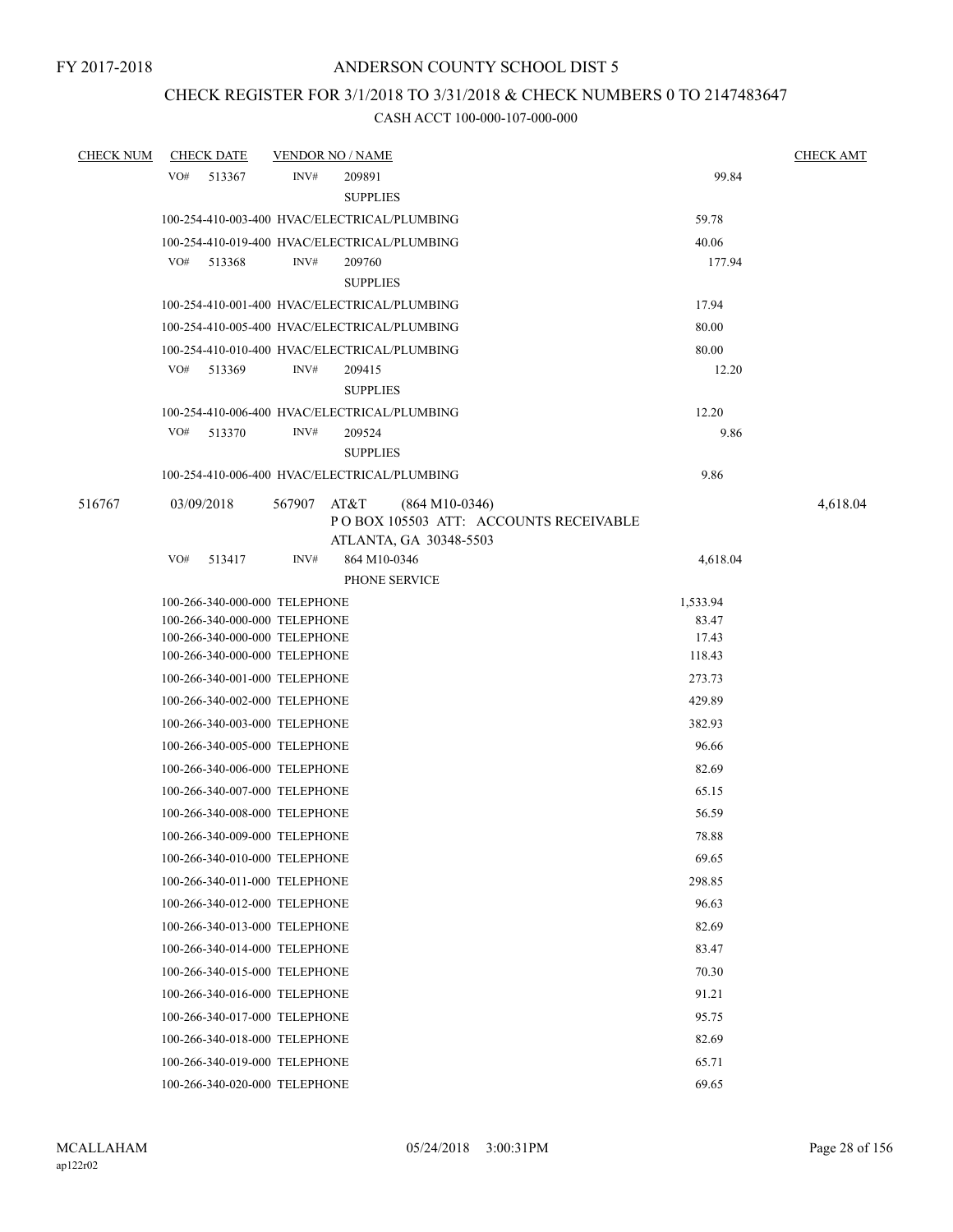# CHECK REGISTER FOR 3/1/2018 TO 3/31/2018 & CHECK NUMBERS 0 TO 2147483647

| <b>CHECK NUM</b> | <b>CHECK DATE</b>                                              |        | <b>VENDOR NO / NAME</b>        |                                                           |                 | <b>CHECK AMT</b> |
|------------------|----------------------------------------------------------------|--------|--------------------------------|-----------------------------------------------------------|-----------------|------------------|
|                  | VO#<br>513367                                                  | INV#   | 209891<br><b>SUPPLIES</b>      |                                                           | 99.84           |                  |
|                  | 100-254-410-003-400 HVAC/ELECTRICAL/PLUMBING                   |        |                                |                                                           | 59.78           |                  |
|                  | 100-254-410-019-400 HVAC/ELECTRICAL/PLUMBING                   |        |                                |                                                           | 40.06           |                  |
|                  | VO#<br>513368                                                  | INV#   | 209760<br><b>SUPPLIES</b>      |                                                           | 177.94          |                  |
|                  | 100-254-410-001-400 HVAC/ELECTRICAL/PLUMBING                   |        |                                |                                                           | 17.94           |                  |
|                  | 100-254-410-005-400 HVAC/ELECTRICAL/PLUMBING                   |        |                                |                                                           | 80.00           |                  |
|                  | 100-254-410-010-400 HVAC/ELECTRICAL/PLUMBING                   |        |                                |                                                           | 80.00           |                  |
|                  | VO#<br>513369                                                  | INV#   | 209415<br><b>SUPPLIES</b>      |                                                           | 12.20           |                  |
|                  | 100-254-410-006-400 HVAC/ELECTRICAL/PLUMBING                   |        |                                |                                                           | 12.20           |                  |
|                  | VO#<br>513370                                                  | INV#   | 209524<br><b>SUPPLIES</b>      |                                                           | 9.86            |                  |
|                  | 100-254-410-006-400 HVAC/ELECTRICAL/PLUMBING                   |        |                                |                                                           | 9.86            |                  |
| 516767           | 03/09/2018                                                     | 567907 | AT&T<br>ATLANTA, GA 30348-5503 | $(864 M10-0346)$<br>POBOX 105503 ATT: ACCOUNTS RECEIVABLE |                 | 4,618.04         |
|                  | VO#<br>513417                                                  | INV#   | 864 M10-0346<br>PHONE SERVICE  |                                                           | 4,618.04        |                  |
|                  | 100-266-340-000-000 TELEPHONE                                  |        |                                |                                                           | 1,533.94        |                  |
|                  | 100-266-340-000-000 TELEPHONE                                  |        |                                |                                                           | 83.47           |                  |
|                  | 100-266-340-000-000 TELEPHONE<br>100-266-340-000-000 TELEPHONE |        |                                |                                                           | 17.43<br>118.43 |                  |
|                  | 100-266-340-001-000 TELEPHONE                                  |        |                                |                                                           | 273.73          |                  |
|                  | 100-266-340-002-000 TELEPHONE                                  |        |                                |                                                           | 429.89          |                  |
|                  | 100-266-340-003-000 TELEPHONE                                  |        |                                |                                                           | 382.93          |                  |
|                  | 100-266-340-005-000 TELEPHONE                                  |        |                                |                                                           | 96.66           |                  |
|                  | 100-266-340-006-000 TELEPHONE                                  |        |                                |                                                           | 82.69           |                  |
|                  |                                                                |        |                                |                                                           |                 |                  |
|                  | 100-266-340-007-000 TELEPHONE                                  |        |                                |                                                           | 65.15           |                  |
|                  | 100-266-340-008-000 TELEPHONE                                  |        |                                |                                                           | 56.59           |                  |
|                  | 100-266-340-009-000 TELEPHONE                                  |        |                                |                                                           | 78.88           |                  |
|                  | 100-266-340-010-000 TELEPHONE                                  |        |                                |                                                           | 69.65           |                  |
|                  | 100-266-340-011-000 TELEPHONE                                  |        |                                |                                                           | 298.85          |                  |
|                  | 100-266-340-012-000 TELEPHONE                                  |        |                                |                                                           | 96.63           |                  |
|                  | 100-266-340-013-000 TELEPHONE                                  |        |                                |                                                           | 82.69           |                  |
|                  | 100-266-340-014-000 TELEPHONE                                  |        |                                |                                                           | 83.47           |                  |
|                  | 100-266-340-015-000 TELEPHONE                                  |        |                                |                                                           | 70.30           |                  |
|                  | 100-266-340-016-000 TELEPHONE                                  |        |                                |                                                           | 91.21           |                  |
|                  | 100-266-340-017-000 TELEPHONE                                  |        |                                |                                                           | 95.75           |                  |
|                  | 100-266-340-018-000 TELEPHONE                                  |        |                                |                                                           | 82.69           |                  |
|                  | 100-266-340-019-000 TELEPHONE                                  |        |                                |                                                           | 65.71           |                  |
|                  | 100-266-340-020-000 TELEPHONE                                  |        |                                |                                                           | 69.65           |                  |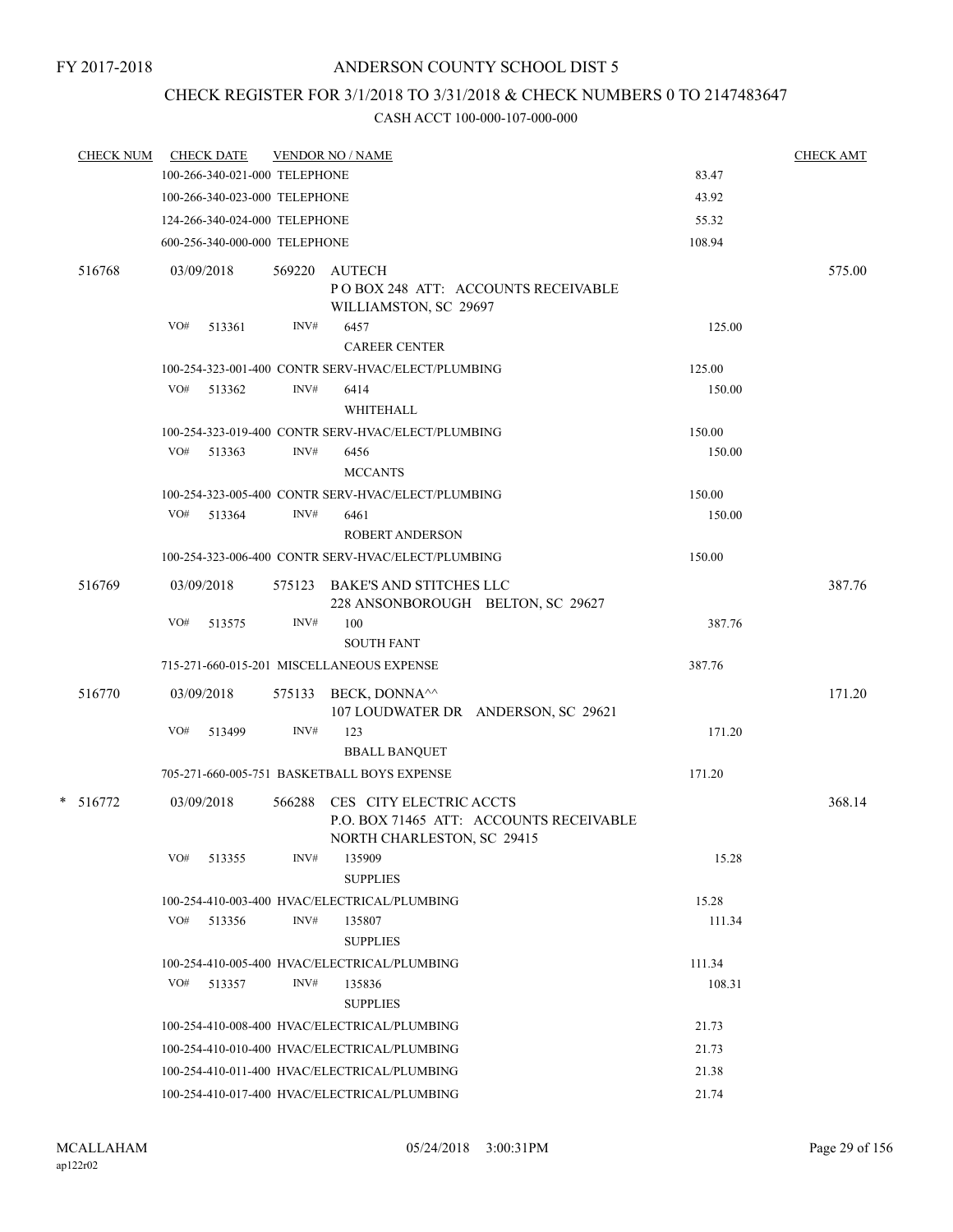### FY 2017-2018

# ANDERSON COUNTY SCHOOL DIST 5

# CHECK REGISTER FOR 3/1/2018 TO 3/31/2018 & CHECK NUMBERS 0 TO 2147483647

| <b>CHECK NUM</b> | <b>CHECK DATE</b>             |        | <b>VENDOR NO / NAME</b>                                                                          |        | <b>CHECK AMT</b> |
|------------------|-------------------------------|--------|--------------------------------------------------------------------------------------------------|--------|------------------|
|                  | 100-266-340-021-000 TELEPHONE |        |                                                                                                  | 83.47  |                  |
|                  | 100-266-340-023-000 TELEPHONE |        |                                                                                                  | 43.92  |                  |
|                  | 124-266-340-024-000 TELEPHONE |        |                                                                                                  | 55.32  |                  |
|                  | 600-256-340-000-000 TELEPHONE |        |                                                                                                  | 108.94 |                  |
| 516768           | 03/09/2018                    |        | 569220 AUTECH<br>POBOX 248 ATT: ACCOUNTS RECEIVABLE<br>WILLIAMSTON, SC 29697                     |        | 575.00           |
|                  | VO#<br>513361                 | INV#   | 6457<br><b>CAREER CENTER</b>                                                                     | 125.00 |                  |
|                  |                               |        | 100-254-323-001-400 CONTR SERV-HVAC/ELECT/PLUMBING                                               | 125.00 |                  |
|                  | VO# 513362                    | INV#   | 6414<br>WHITEHALL                                                                                | 150.00 |                  |
|                  |                               |        | 100-254-323-019-400 CONTR SERV-HVAC/ELECT/PLUMBING                                               | 150.00 |                  |
|                  | VO# 513363                    | INV#   | 6456<br><b>MCCANTS</b>                                                                           | 150.00 |                  |
|                  |                               |        | 100-254-323-005-400 CONTR SERV-HVAC/ELECT/PLUMBING                                               | 150.00 |                  |
|                  | VO# 513364                    | INV#   | 6461<br><b>ROBERT ANDERSON</b>                                                                   | 150.00 |                  |
|                  |                               |        | 100-254-323-006-400 CONTR SERV-HVAC/ELECT/PLUMBING                                               | 150.00 |                  |
| 516769           | 03/09/2018                    |        | 575123 BAKE'S AND STITCHES LLC<br>228 ANSONBOROUGH BELTON, SC 29627                              |        | 387.76           |
|                  | VO#<br>513575                 | INV#   | 100<br><b>SOUTH FANT</b>                                                                         | 387.76 |                  |
|                  |                               |        | 715-271-660-015-201 MISCELLANEOUS EXPENSE                                                        | 387.76 |                  |
| 516770           | 03/09/2018                    |        | 575133 BECK, DONNA <sup><math>\wedge</math></sup><br>107 LOUDWATER DR ANDERSON, SC 29621         |        | 171.20           |
|                  | VO#<br>513499                 | INV#   | 123<br><b>BBALL BANQUET</b>                                                                      | 171.20 |                  |
|                  |                               |        | 705-271-660-005-751 BASKETBALL BOYS EXPENSE                                                      | 171.20 |                  |
| $* 516772$       | 03/09/2018                    | 566288 | CES CITY ELECTRIC ACCTS<br>P.O. BOX 71465 ATT: ACCOUNTS RECEIVABLE<br>NORTH CHARLESTON, SC 29415 |        | 368.14           |
|                  | VO#<br>513355                 | INV#   | 135909<br><b>SUPPLIES</b>                                                                        | 15.28  |                  |
|                  |                               |        | 100-254-410-003-400 HVAC/ELECTRICAL/PLUMBING                                                     | 15.28  |                  |
|                  | VO#<br>513356                 | INV#   | 135807<br><b>SUPPLIES</b>                                                                        | 111.34 |                  |
|                  |                               |        | 100-254-410-005-400 HVAC/ELECTRICAL/PLUMBING                                                     | 111.34 |                  |
|                  | VO# 513357                    | INV#   | 135836<br><b>SUPPLIES</b>                                                                        | 108.31 |                  |
|                  |                               |        | 100-254-410-008-400 HVAC/ELECTRICAL/PLUMBING                                                     | 21.73  |                  |
|                  |                               |        | 100-254-410-010-400 HVAC/ELECTRICAL/PLUMBING                                                     | 21.73  |                  |
|                  |                               |        | 100-254-410-011-400 HVAC/ELECTRICAL/PLUMBING                                                     | 21.38  |                  |
|                  |                               |        | 100-254-410-017-400 HVAC/ELECTRICAL/PLUMBING                                                     | 21.74  |                  |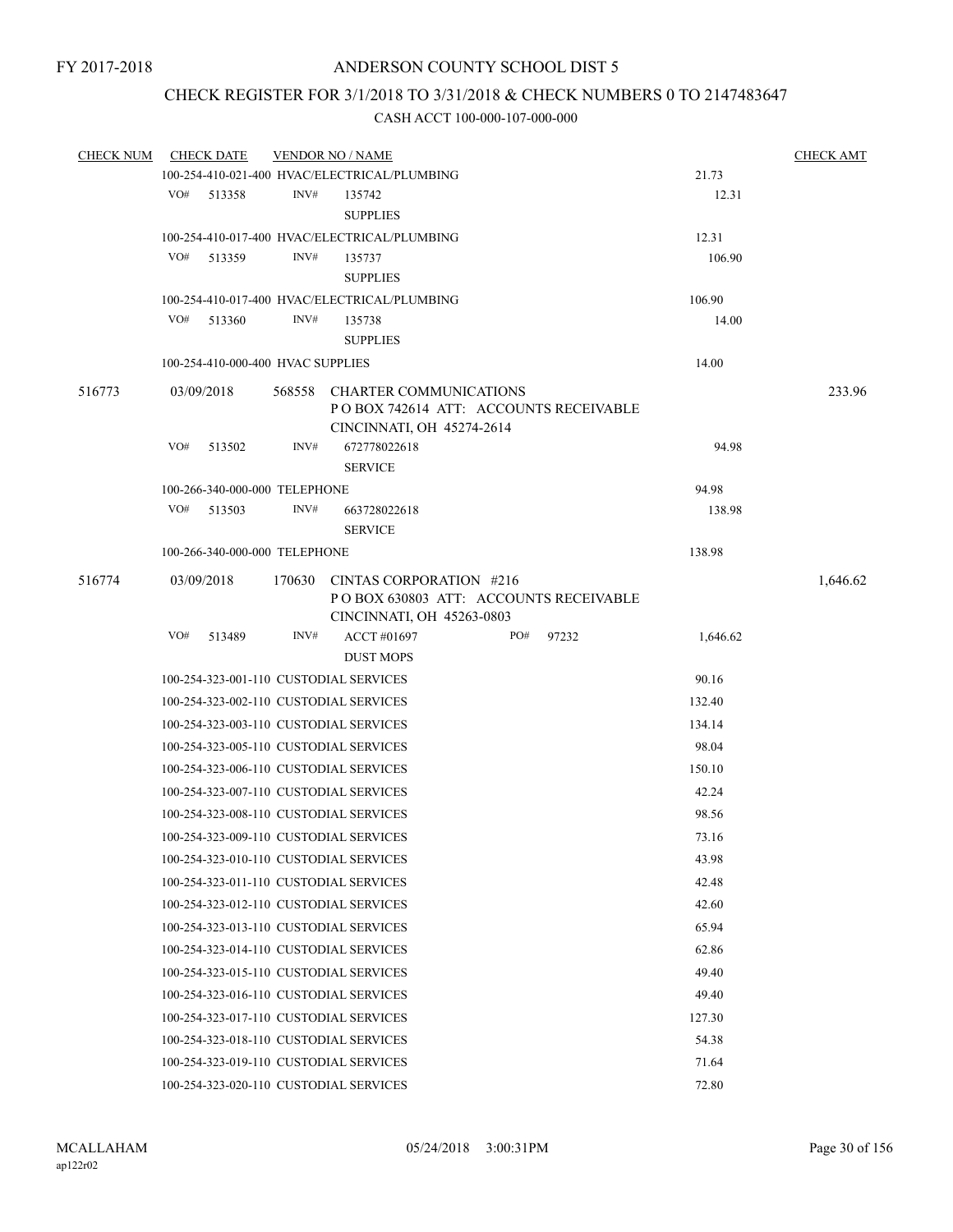# CHECK REGISTER FOR 3/1/2018 TO 3/31/2018 & CHECK NUMBERS 0 TO 2147483647

| <b>CHECK NUM</b> | <b>CHECK DATE</b> | <b>VENDOR NO / NAME</b>                |                                                 | <b>CHECK AMT</b> |          |
|------------------|-------------------|----------------------------------------|-------------------------------------------------|------------------|----------|
|                  |                   |                                        | 100-254-410-021-400 HVAC/ELECTRICAL/PLUMBING    | 21.73            |          |
|                  | VO#<br>513358     | INV#                                   | 135742                                          | 12.31            |          |
|                  |                   |                                        | <b>SUPPLIES</b>                                 |                  |          |
|                  |                   |                                        | 100-254-410-017-400 HVAC/ELECTRICAL/PLUMBING    | 12.31            |          |
|                  | VO#<br>513359     | INV#                                   | 135737                                          | 106.90           |          |
|                  |                   |                                        | <b>SUPPLIES</b>                                 |                  |          |
|                  |                   |                                        | 100-254-410-017-400 HVAC/ELECTRICAL/PLUMBING    | 106.90           |          |
|                  | VO#<br>513360     | INV#                                   | 135738                                          | 14.00            |          |
|                  |                   |                                        | <b>SUPPLIES</b>                                 |                  |          |
|                  |                   | 100-254-410-000-400 HVAC SUPPLIES      |                                                 | 14.00            |          |
| 516773           | 03/09/2018        | 568558                                 | CHARTER COMMUNICATIONS                          |                  | 233.96   |
|                  |                   |                                        | PO BOX 742614 ATT: ACCOUNTS RECEIVABLE          |                  |          |
|                  |                   |                                        | CINCINNATI, OH 45274-2614                       |                  |          |
|                  | VO#<br>513502     | INV#                                   | 672778022618                                    | 94.98            |          |
|                  |                   |                                        | <b>SERVICE</b>                                  |                  |          |
|                  |                   | 100-266-340-000-000 TELEPHONE          |                                                 | 94.98            |          |
|                  | VO#<br>513503     | INV#                                   | 663728022618                                    | 138.98           |          |
|                  |                   |                                        | <b>SERVICE</b>                                  |                  |          |
|                  |                   | 100-266-340-000-000 TELEPHONE          |                                                 | 138.98           |          |
| 516774           | 03/09/2018        | 170630                                 | CINTAS CORPORATION #216                         |                  | 1,646.62 |
|                  |                   |                                        | POBOX 630803 ATT: ACCOUNTS RECEIVABLE           |                  |          |
|                  |                   |                                        | CINCINNATI, OH 45263-0803                       |                  |          |
|                  | VO#<br>513489     | INV#                                   | ACCT #01697<br>PO#<br>97232<br><b>DUST MOPS</b> | 1,646.62         |          |
|                  |                   |                                        |                                                 |                  |          |
|                  |                   | 100-254-323-001-110 CUSTODIAL SERVICES | 90.16                                           |                  |          |
|                  |                   |                                        | 100-254-323-002-110 CUSTODIAL SERVICES          | 132.40           |          |
|                  |                   |                                        | 100-254-323-003-110 CUSTODIAL SERVICES          | 134.14           |          |
|                  |                   |                                        | 100-254-323-005-110 CUSTODIAL SERVICES          | 98.04            |          |
|                  |                   |                                        | 100-254-323-006-110 CUSTODIAL SERVICES          | 150.10           |          |
|                  |                   |                                        | 100-254-323-007-110 CUSTODIAL SERVICES          | 42.24            |          |
|                  |                   |                                        | 100-254-323-008-110 CUSTODIAL SERVICES          | 98.56            |          |
|                  |                   |                                        | 100-254-323-009-110 CUSTODIAL SERVICES          | 73.16            |          |
|                  |                   |                                        | 100-254-323-010-110 CUSTODIAL SERVICES          | 43.98            |          |
|                  |                   |                                        | 100-254-323-011-110 CUSTODIAL SERVICES          | 42.48            |          |
|                  |                   |                                        | 100-254-323-012-110 CUSTODIAL SERVICES          | 42.60            |          |
|                  |                   |                                        | 100-254-323-013-110 CUSTODIAL SERVICES          | 65.94            |          |
|                  |                   |                                        | 100-254-323-014-110 CUSTODIAL SERVICES          | 62.86            |          |
|                  |                   |                                        | 100-254-323-015-110 CUSTODIAL SERVICES          | 49.40            |          |
|                  |                   |                                        | 100-254-323-016-110 CUSTODIAL SERVICES          | 49.40            |          |
|                  |                   |                                        |                                                 |                  |          |
|                  |                   |                                        | 100-254-323-017-110 CUSTODIAL SERVICES          | 127.30           |          |
|                  |                   |                                        | 100-254-323-018-110 CUSTODIAL SERVICES          | 54.38            |          |
|                  |                   |                                        | 100-254-323-019-110 CUSTODIAL SERVICES          | 71.64            |          |
|                  |                   |                                        | 100-254-323-020-110 CUSTODIAL SERVICES          | 72.80            |          |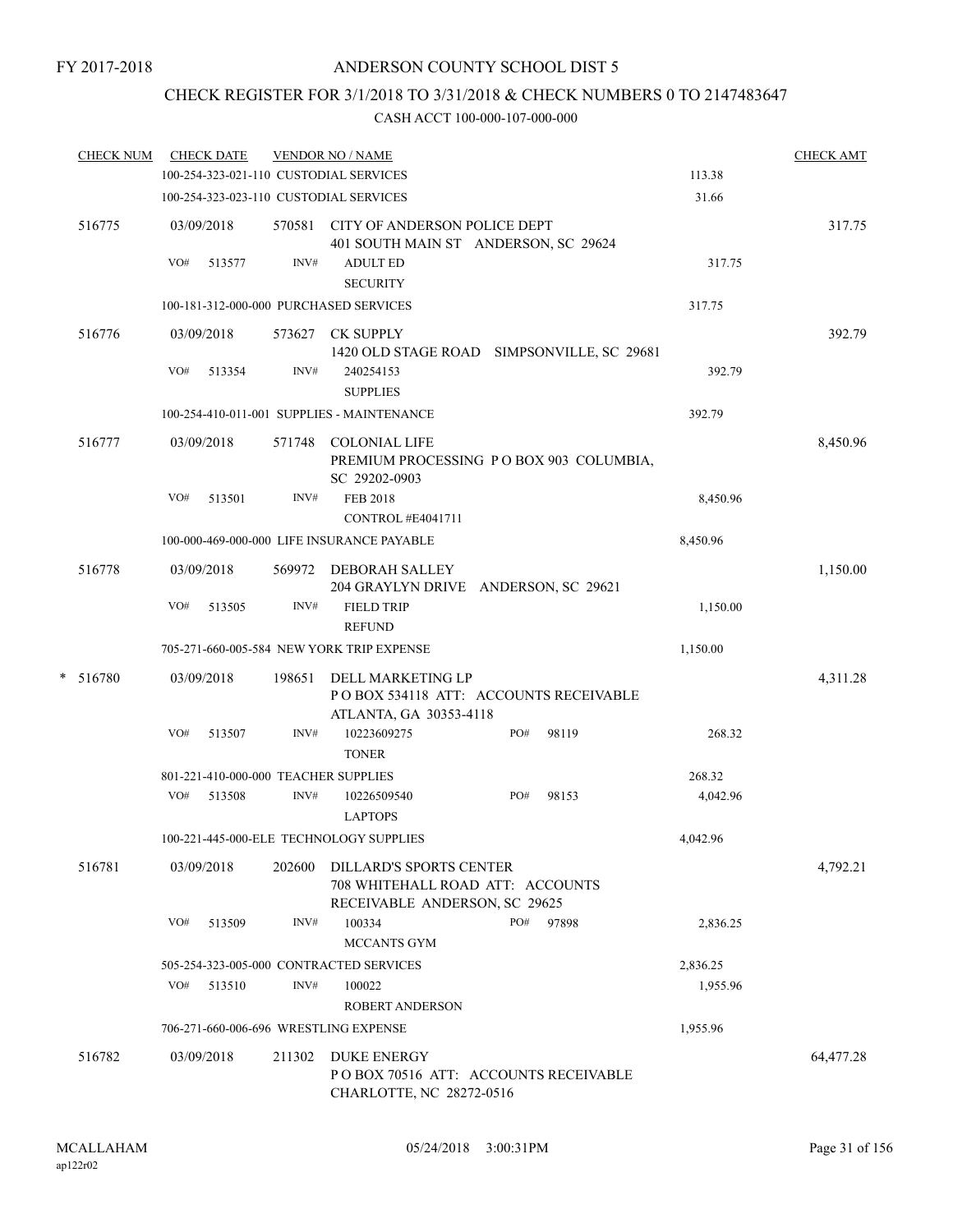# CHECK REGISTER FOR 3/1/2018 TO 3/31/2018 & CHECK NUMBERS 0 TO 2147483647

| <b>CHECK NUM</b> |     | <b>CHECK DATE</b> |        | <b>VENDOR NO / NAME</b>                                                                             |     |       |          | <b>CHECK AMT</b> |
|------------------|-----|-------------------|--------|-----------------------------------------------------------------------------------------------------|-----|-------|----------|------------------|
|                  |     |                   |        | 100-254-323-021-110 CUSTODIAL SERVICES                                                              |     |       | 113.38   |                  |
|                  |     |                   |        | 100-254-323-023-110 CUSTODIAL SERVICES                                                              |     |       | 31.66    |                  |
| 516775           |     | 03/09/2018        |        | 570581 CITY OF ANDERSON POLICE DEPT<br>401 SOUTH MAIN ST ANDERSON, SC 29624                         |     |       |          | 317.75           |
|                  | VO# | 513577            | INV#   | <b>ADULT ED</b><br><b>SECURITY</b>                                                                  |     |       | 317.75   |                  |
|                  |     |                   |        | 100-181-312-000-000 PURCHASED SERVICES                                                              |     |       | 317.75   |                  |
| 516776           |     | 03/09/2018        |        | 573627 CK SUPPLY<br>1420 OLD STAGE ROAD SIMPSONVILLE, SC 29681                                      |     |       |          | 392.79           |
|                  | VO# | 513354            | INV#   | 240254153<br><b>SUPPLIES</b>                                                                        |     |       | 392.79   |                  |
|                  |     |                   |        | 100-254-410-011-001 SUPPLIES - MAINTENANCE                                                          |     |       | 392.79   |                  |
| 516777           |     | 03/09/2018        |        | 571748 COLONIAL LIFE<br>PREMIUM PROCESSING PO BOX 903 COLUMBIA,<br>SC 29202-0903                    |     |       |          | 8,450.96         |
|                  | VO# | 513501            | INV#   | <b>FEB 2018</b><br>CONTROL #E4041711                                                                |     |       | 8,450.96 |                  |
|                  |     |                   |        | 100-000-469-000-000 LIFE INSURANCE PAYABLE                                                          |     |       | 8,450.96 |                  |
| 516778           |     | 03/09/2018        |        | 569972 DEBORAH SALLEY<br>204 GRAYLYN DRIVE ANDERSON, SC 29621                                       |     |       |          | 1,150.00         |
|                  | VO# | 513505            | INV#   | <b>FIELD TRIP</b><br><b>REFUND</b>                                                                  |     |       | 1,150.00 |                  |
|                  |     |                   |        | 705-271-660-005-584 NEW YORK TRIP EXPENSE                                                           |     |       | 1,150.00 |                  |
| $* 516780$       |     | 03/09/2018        | 198651 | DELL MARKETING LP<br>POBOX 534118 ATT: ACCOUNTS RECEIVABLE                                          |     |       |          | 4,311.28         |
|                  |     |                   |        | ATLANTA, GA 30353-4118                                                                              |     |       |          |                  |
|                  | VO# | 513507            | INV#   | 10223609275<br><b>TONER</b>                                                                         | PO# | 98119 | 268.32   |                  |
|                  |     |                   |        | 801-221-410-000-000 TEACHER SUPPLIES                                                                |     |       | 268.32   |                  |
|                  | VO# | 513508            | INV#   | 10226509540<br><b>LAPTOPS</b>                                                                       | PO# | 98153 | 4,042.96 |                  |
|                  |     |                   |        | 100-221-445-000-ELE TECHNOLOGY SUPPLIES                                                             |     |       | 4,042.96 |                  |
| 516781           |     | 03/09/2018        | 202600 | <b>DILLARD'S SPORTS CENTER</b><br>708 WHITEHALL ROAD ATT: ACCOUNTS<br>RECEIVABLE ANDERSON, SC 29625 |     |       |          | 4,792.21         |
|                  | VO# | 513509            | INV#   | 100334<br>MCCANTS GYM                                                                               | PO# | 97898 | 2,836.25 |                  |
|                  |     |                   |        | 505-254-323-005-000 CONTRACTED SERVICES                                                             |     |       | 2,836.25 |                  |
|                  | VO# | 513510            | INV#   | 100022<br><b>ROBERT ANDERSON</b>                                                                    |     |       | 1,955.96 |                  |
|                  |     |                   |        | 706-271-660-006-696 WRESTLING EXPENSE                                                               |     |       | 1,955.96 |                  |
| 516782           |     | 03/09/2018        | 211302 | <b>DUKE ENERGY</b><br>PO BOX 70516 ATT: ACCOUNTS RECEIVABLE<br>CHARLOTTE, NC 28272-0516             |     |       |          | 64,477.28        |
|                  |     |                   |        |                                                                                                     |     |       |          |                  |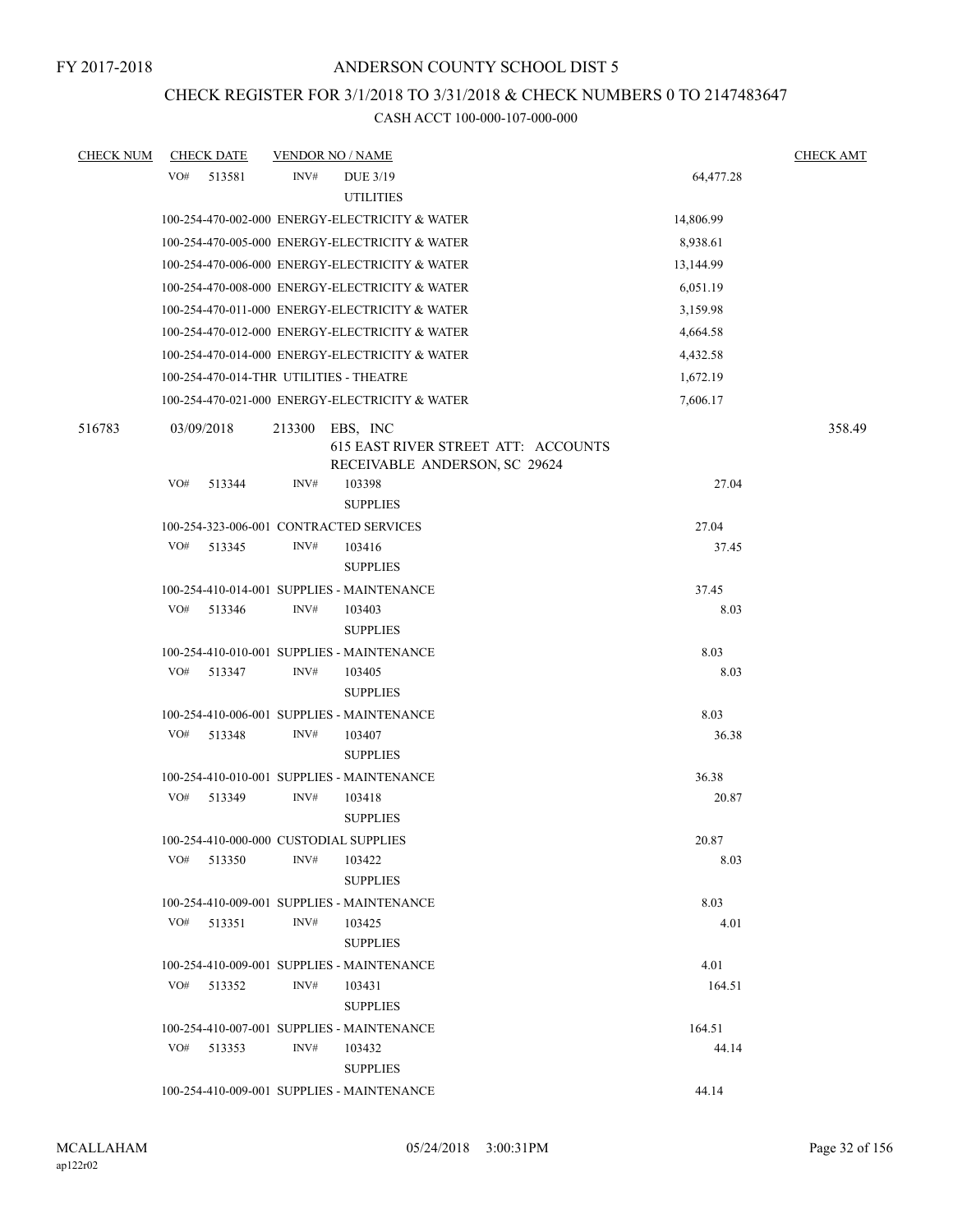# CHECK REGISTER FOR 3/1/2018 TO 3/31/2018 & CHECK NUMBERS 0 TO 2147483647

| <b>CHECK NUM</b> | <b>CHECK DATE</b>                       |        | <b>VENDOR NO / NAME</b>                                                          |           | <b>CHECK AMT</b> |
|------------------|-----------------------------------------|--------|----------------------------------------------------------------------------------|-----------|------------------|
|                  | VO#<br>513581                           | INV#   | DUE 3/19<br><b>UTILITIES</b>                                                     | 64,477.28 |                  |
|                  |                                         |        | 100-254-470-002-000 ENERGY-ELECTRICITY & WATER                                   | 14,806.99 |                  |
|                  |                                         |        | 100-254-470-005-000 ENERGY-ELECTRICITY & WATER                                   | 8,938.61  |                  |
|                  |                                         |        | 100-254-470-006-000 ENERGY-ELECTRICITY & WATER                                   | 13,144.99 |                  |
|                  |                                         |        | 100-254-470-008-000 ENERGY-ELECTRICITY & WATER                                   | 6,051.19  |                  |
|                  |                                         |        | 100-254-470-011-000 ENERGY-ELECTRICITY & WATER                                   | 3,159.98  |                  |
|                  |                                         |        | 100-254-470-012-000 ENERGY-ELECTRICITY & WATER                                   | 4,664.58  |                  |
|                  |                                         |        | 100-254-470-014-000 ENERGY-ELECTRICITY & WATER                                   | 4,432.58  |                  |
|                  | 100-254-470-014-THR UTILITIES - THEATRE |        |                                                                                  | 1,672.19  |                  |
|                  |                                         |        | 100-254-470-021-000 ENERGY-ELECTRICITY & WATER                                   | 7,606.17  |                  |
| 516783           | 03/09/2018                              | 213300 | EBS, INC<br>615 EAST RIVER STREET ATT: ACCOUNTS<br>RECEIVABLE ANDERSON, SC 29624 |           | 358.49           |
|                  | VO#<br>513344                           | INV#   | 103398<br><b>SUPPLIES</b>                                                        | 27.04     |                  |
|                  | 100-254-323-006-001 CONTRACTED SERVICES |        |                                                                                  | 27.04     |                  |
|                  | VO#<br>513345                           | INV#   | 103416<br><b>SUPPLIES</b>                                                        | 37.45     |                  |
|                  |                                         |        | 100-254-410-014-001 SUPPLIES - MAINTENANCE                                       | 37.45     |                  |
|                  | VO#<br>513346                           | INV#   | 103403<br><b>SUPPLIES</b>                                                        | 8.03      |                  |
|                  |                                         |        | 100-254-410-010-001 SUPPLIES - MAINTENANCE                                       | 8.03      |                  |
|                  | VO#<br>513347                           | INV#   | 103405<br><b>SUPPLIES</b>                                                        | 8.03      |                  |
|                  |                                         |        | 100-254-410-006-001 SUPPLIES - MAINTENANCE                                       | 8.03      |                  |
|                  | VO#<br>513348                           | INV#   | 103407<br><b>SUPPLIES</b>                                                        | 36.38     |                  |
|                  |                                         |        | 100-254-410-010-001 SUPPLIES - MAINTENANCE                                       | 36.38     |                  |
|                  | VO#<br>513349                           | INV#   | 103418<br><b>SUPPLIES</b>                                                        | 20.87     |                  |
|                  | 100-254-410-000-000 CUSTODIAL SUPPLIES  |        |                                                                                  | 20.87     |                  |
|                  | VO#<br>513350                           | INV#   | 103422<br><b>SUPPLIES</b>                                                        | 8.03      |                  |
|                  |                                         |        | 100-254-410-009-001 SUPPLIES - MAINTENANCE                                       | 8.03      |                  |
|                  | VO#<br>513351                           | INV#   | 103425<br><b>SUPPLIES</b>                                                        | 4.01      |                  |
|                  |                                         |        | 100-254-410-009-001 SUPPLIES - MAINTENANCE                                       | 4.01      |                  |
|                  | VO#<br>513352                           | INV#   | 103431<br><b>SUPPLIES</b>                                                        | 164.51    |                  |
|                  |                                         |        | 100-254-410-007-001 SUPPLIES - MAINTENANCE                                       | 164.51    |                  |
|                  | VO#<br>513353                           | INV#   | 103432<br><b>SUPPLIES</b>                                                        | 44.14     |                  |
|                  |                                         |        | 100-254-410-009-001 SUPPLIES - MAINTENANCE                                       | 44.14     |                  |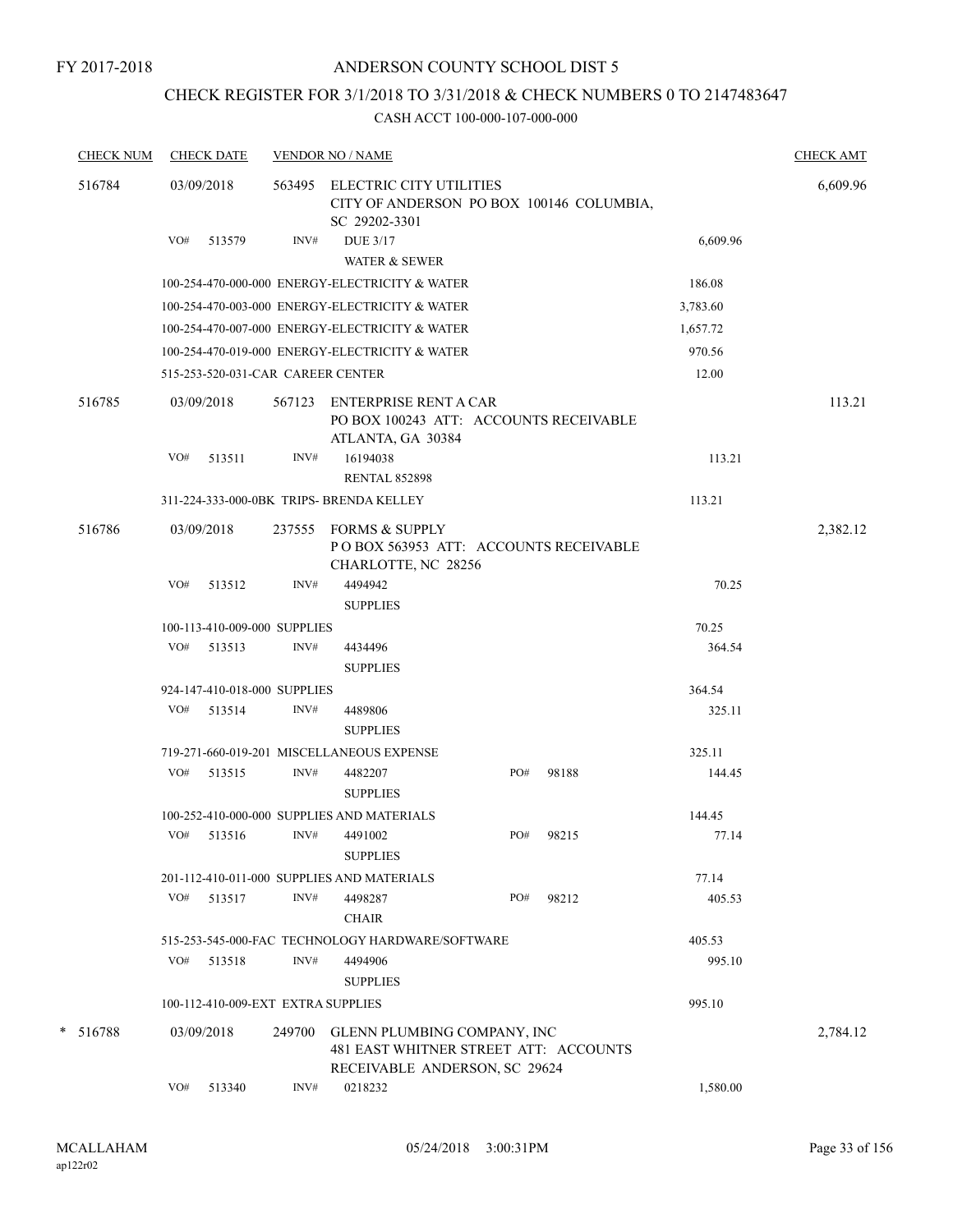### FY 2017-2018

# ANDERSON COUNTY SCHOOL DIST 5

# CHECK REGISTER FOR 3/1/2018 TO 3/31/2018 & CHECK NUMBERS 0 TO 2147483647

| <b>CHECK NUM</b> |     | <b>CHECK DATE</b> |                                    | <b>VENDOR NO / NAME</b>                                                                               |     |        |          | <b>CHECK AMT</b> |
|------------------|-----|-------------------|------------------------------------|-------------------------------------------------------------------------------------------------------|-----|--------|----------|------------------|
| 516784           |     | 03/09/2018        | 563495                             | ELECTRIC CITY UTILITIES<br>CITY OF ANDERSON PO BOX 100146 COLUMBIA,<br>SC 29202-3301                  |     |        |          | 6,609.96         |
|                  | VO# | 513579            | INV#                               | <b>DUE 3/17</b><br><b>WATER &amp; SEWER</b>                                                           |     |        | 6,609.96 |                  |
|                  |     |                   |                                    | 100-254-470-000-000 ENERGY-ELECTRICITY & WATER                                                        |     |        | 186.08   |                  |
|                  |     |                   |                                    | 100-254-470-003-000 ENERGY-ELECTRICITY & WATER                                                        |     |        | 3,783.60 |                  |
|                  |     |                   |                                    | 100-254-470-007-000 ENERGY-ELECTRICITY & WATER                                                        |     |        | 1,657.72 |                  |
|                  |     |                   |                                    | 100-254-470-019-000 ENERGY-ELECTRICITY & WATER                                                        |     |        | 970.56   |                  |
|                  |     |                   | 515-253-520-031-CAR CAREER CENTER  |                                                                                                       |     |        | 12.00    |                  |
| 516785           |     | 03/09/2018        | 567123                             | ENTERPRISE RENT A CAR<br>PO BOX 100243 ATT: ACCOUNTS RECEIVABLE<br>ATLANTA, GA 30384                  |     |        |          | 113.21           |
|                  | VO# | 513511            | INV#                               | 16194038<br><b>RENTAL 852898</b>                                                                      |     |        | 113.21   |                  |
|                  |     |                   |                                    | 311-224-333-000-0BK TRIPS- BRENDA KELLEY                                                              |     |        | 113.21   |                  |
| 516786           |     | 03/09/2018        | 237555                             | <b>FORMS &amp; SUPPLY</b><br>PO BOX 563953 ATT: ACCOUNTS RECEIVABLE<br>CHARLOTTE, NC 28256            |     |        |          | 2,382.12         |
|                  | VO# | 513512            | INV#                               | 4494942<br><b>SUPPLIES</b>                                                                            |     |        | 70.25    |                  |
|                  |     |                   | 100-113-410-009-000 SUPPLIES       |                                                                                                       |     |        | 70.25    |                  |
|                  | VO# | 513513            | INV#                               | 4434496<br><b>SUPPLIES</b>                                                                            |     |        | 364.54   |                  |
|                  |     |                   | 924-147-410-018-000 SUPPLIES       |                                                                                                       |     | 364.54 |          |                  |
|                  | VO# | 513514            | INV#                               | 4489806<br><b>SUPPLIES</b>                                                                            |     |        | 325.11   |                  |
|                  |     |                   |                                    | 719-271-660-019-201 MISCELLANEOUS EXPENSE                                                             |     |        | 325.11   |                  |
|                  | VO# | 513515            | INV#                               | 4482207<br><b>SUPPLIES</b>                                                                            | PO# | 98188  | 144.45   |                  |
|                  |     |                   |                                    | 100-252-410-000-000 SUPPLIES AND MATERIALS                                                            |     |        | 144.45   |                  |
|                  | VO# | 513516            | INV#                               | 4491002<br><b>SUPPLIES</b>                                                                            | PO# | 98215  | 77.14    |                  |
|                  |     |                   |                                    | 201-112-410-011-000 SUPPLIES AND MATERIALS                                                            |     |        | 77.14    |                  |
|                  | VO# | 513517            | INV#                               | 4498287<br><b>CHAIR</b>                                                                               | PO# | 98212  | 405.53   |                  |
|                  |     |                   |                                    | 515-253-545-000-FAC TECHNOLOGY HARDWARE/SOFTWARE                                                      |     |        | 405.53   |                  |
|                  | VO# | 513518            | INV#                               | 4494906<br><b>SUPPLIES</b>                                                                            |     |        | 995.10   |                  |
|                  |     |                   | 100-112-410-009-EXT EXTRA SUPPLIES |                                                                                                       |     |        | 995.10   |                  |
| $* 516788$       |     | 03/09/2018        | 249700                             | GLENN PLUMBING COMPANY, INC<br>481 EAST WHITNER STREET ATT: ACCOUNTS<br>RECEIVABLE ANDERSON, SC 29624 |     |        |          | 2,784.12         |
|                  | VO# | 513340            | INV#                               | 0218232                                                                                               |     |        | 1,580.00 |                  |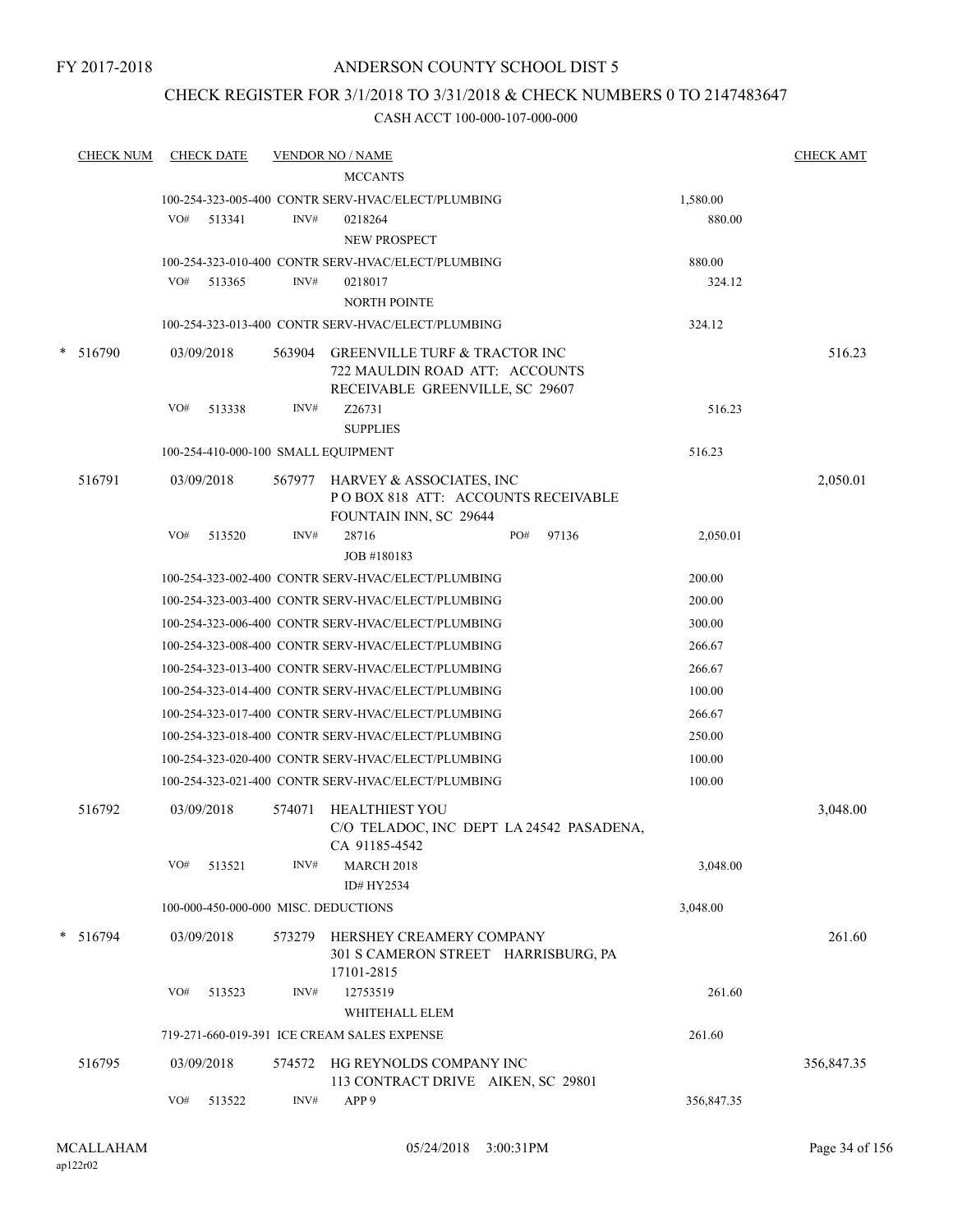FY 2017-2018

# ANDERSON COUNTY SCHOOL DIST 5

# CHECK REGISTER FOR 3/1/2018 TO 3/31/2018 & CHECK NUMBERS 0 TO 2147483647

|        | <b>CHECK NUM</b> |     | <b>CHECK DATE</b> |        | <b>VENDOR NO / NAME</b>                                                                                       |     |       |            | <b>CHECK AMT</b> |
|--------|------------------|-----|-------------------|--------|---------------------------------------------------------------------------------------------------------------|-----|-------|------------|------------------|
|        |                  |     |                   |        | <b>MCCANTS</b>                                                                                                |     |       |            |                  |
|        |                  |     |                   |        | 100-254-323-005-400 CONTR SERV-HVAC/ELECT/PLUMBING                                                            |     |       | 1,580.00   |                  |
|        |                  | VO# | 513341            | INV#   | 0218264<br><b>NEW PROSPECT</b>                                                                                |     |       | 880.00     |                  |
|        |                  |     |                   |        | 100-254-323-010-400 CONTR SERV-HVAC/ELECT/PLUMBING                                                            |     |       | 880.00     |                  |
|        |                  | VO# | 513365            | INV#   | 0218017                                                                                                       |     |       | 324.12     |                  |
|        |                  |     |                   |        | <b>NORTH POINTE</b>                                                                                           |     |       |            |                  |
|        |                  |     |                   |        | 100-254-323-013-400 CONTR SERV-HVAC/ELECT/PLUMBING                                                            |     |       | 324.12     |                  |
| $\ast$ | 516790           |     | 03/09/2018        | 563904 | <b>GREENVILLE TURF &amp; TRACTOR INC</b><br>722 MAULDIN ROAD ATT: ACCOUNTS<br>RECEIVABLE GREENVILLE, SC 29607 |     |       |            | 516.23           |
|        |                  | VO# | 513338            | INV#   | Z26731                                                                                                        |     |       | 516.23     |                  |
|        |                  |     |                   |        | <b>SUPPLIES</b>                                                                                               |     |       |            |                  |
|        |                  |     |                   |        | 100-254-410-000-100 SMALL EQUIPMENT                                                                           |     |       | 516.23     |                  |
|        | 516791           |     | 03/09/2018        |        | 567977 HARVEY & ASSOCIATES, INC<br>POBOX 818 ATT: ACCOUNTS RECEIVABLE<br>FOUNTAIN INN, SC 29644               |     |       |            | 2,050.01         |
|        |                  | VO# | 513520            | INV#   | 28716                                                                                                         | PO# | 97136 | 2,050.01   |                  |
|        |                  |     |                   |        | JOB #180183                                                                                                   |     |       |            |                  |
|        |                  |     |                   |        | 100-254-323-002-400 CONTR SERV-HVAC/ELECT/PLUMBING                                                            |     |       | 200.00     |                  |
|        |                  |     |                   |        | 100-254-323-003-400 CONTR SERV-HVAC/ELECT/PLUMBING                                                            |     |       | 200.00     |                  |
|        |                  |     |                   |        | 100-254-323-006-400 CONTR SERV-HVAC/ELECT/PLUMBING                                                            |     |       | 300.00     |                  |
|        |                  |     |                   |        | 100-254-323-008-400 CONTR SERV-HVAC/ELECT/PLUMBING                                                            |     |       | 266.67     |                  |
|        |                  |     |                   |        | 100-254-323-013-400 CONTR SERV-HVAC/ELECT/PLUMBING                                                            |     |       | 266.67     |                  |
|        |                  |     |                   |        | 100-254-323-014-400 CONTR SERV-HVAC/ELECT/PLUMBING                                                            |     |       | 100.00     |                  |
|        |                  |     |                   |        | 100-254-323-017-400 CONTR SERV-HVAC/ELECT/PLUMBING                                                            |     |       | 266.67     |                  |
|        |                  |     |                   |        | 100-254-323-018-400 CONTR SERV-HVAC/ELECT/PLUMBING                                                            |     |       | 250.00     |                  |
|        |                  |     |                   |        | 100-254-323-020-400 CONTR SERV-HVAC/ELECT/PLUMBING                                                            |     |       | 100.00     |                  |
|        |                  |     |                   |        | 100-254-323-021-400 CONTR SERV-HVAC/ELECT/PLUMBING                                                            |     |       | 100.00     |                  |
|        |                  |     |                   |        |                                                                                                               |     |       |            |                  |
|        | 516792           |     | 03/09/2018        | 574071 | <b>HEALTHIEST YOU</b><br>C/O TELADOC, INC DEPT LA 24542 PASADENA,<br>CA 91185-4542                            |     |       |            | 3,048.00         |
|        |                  | VO# | 513521            | INV#   | <b>MARCH 2018</b>                                                                                             |     |       | 3,048.00   |                  |
|        |                  |     |                   |        | ID# HY2534                                                                                                    |     |       |            |                  |
|        |                  |     |                   |        | 100-000-450-000-000 MISC. DEDUCTIONS                                                                          |     |       | 3,048.00   |                  |
|        | $* 516794$       |     | 03/09/2018        | 573279 | HERSHEY CREAMERY COMPANY<br>301 S CAMERON STREET HARRISBURG, PA<br>17101-2815                                 |     |       |            | 261.60           |
|        |                  | VO# | 513523            | INV#   | 12753519                                                                                                      |     |       | 261.60     |                  |
|        |                  |     |                   |        | WHITEHALL ELEM                                                                                                |     |       |            |                  |
|        |                  |     |                   |        | 719-271-660-019-391 ICE CREAM SALES EXPENSE                                                                   |     |       | 261.60     |                  |
|        | 516795           |     | 03/09/2018        | 574572 | HG REYNOLDS COMPANY INC<br>113 CONTRACT DRIVE AIKEN, SC 29801                                                 |     |       |            | 356,847.35       |
|        |                  | VO# | 513522            | INV#   | APP <sub>9</sub>                                                                                              |     |       | 356,847.35 |                  |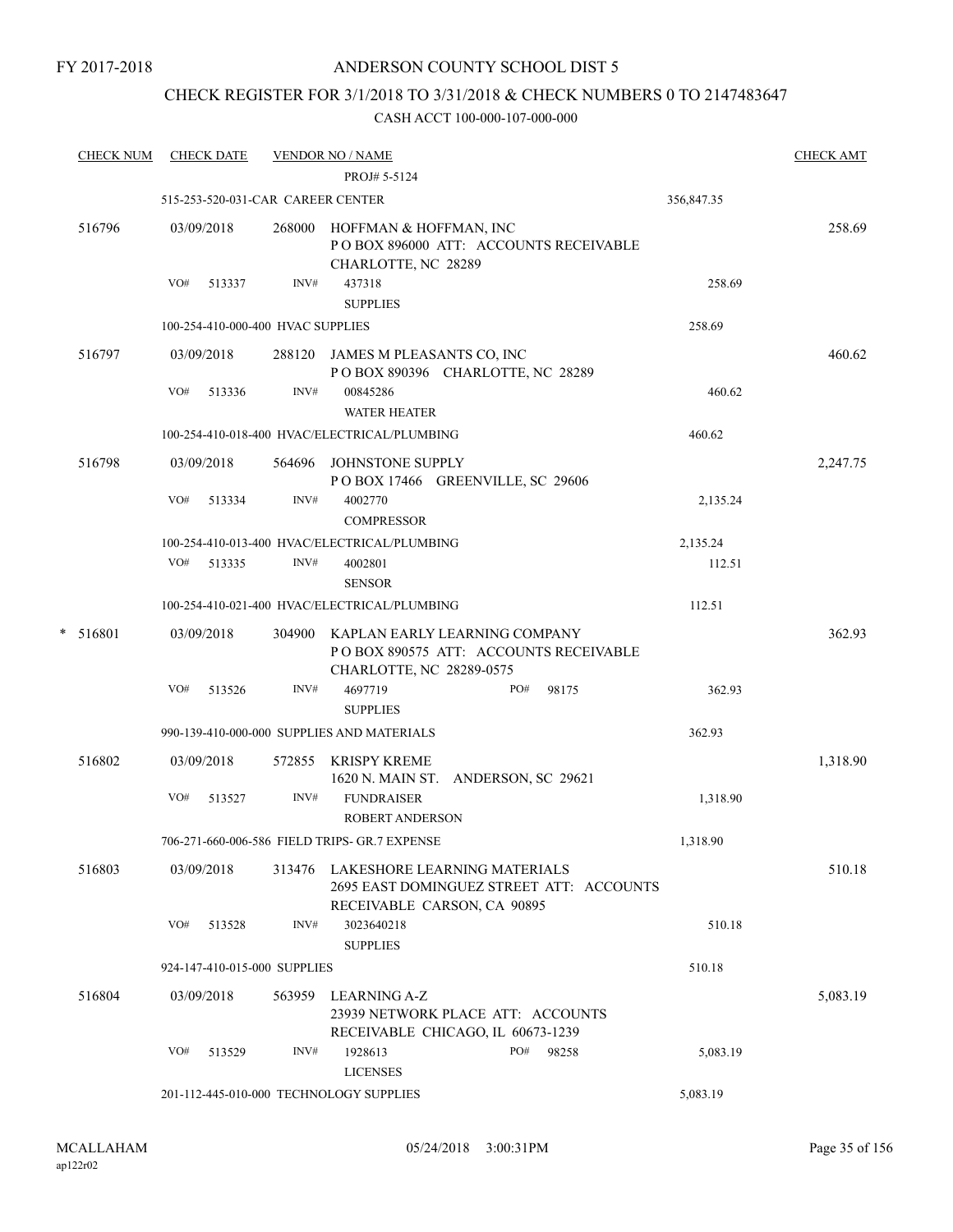# CHECK REGISTER FOR 3/1/2018 TO 3/31/2018 & CHECK NUMBERS 0 TO 2147483647

| <b>CHECK NUM</b> | <b>CHECK DATE</b> |        |                                   | <b>VENDOR NO / NAME</b>                       |                                                                                 |            | <b>CHECK AMT</b> |
|------------------|-------------------|--------|-----------------------------------|-----------------------------------------------|---------------------------------------------------------------------------------|------------|------------------|
|                  |                   |        |                                   | PROJ# 5-5124                                  |                                                                                 |            |                  |
|                  |                   |        | 515-253-520-031-CAR CAREER CENTER |                                               |                                                                                 | 356,847.35 |                  |
| 516796           | 03/09/2018        |        | 268000                            | HOFFMAN & HOFFMAN, INC<br>CHARLOTTE, NC 28289 | PO BOX 896000 ATT: ACCOUNTS RECEIVABLE                                          |            | 258.69           |
|                  | VO#               | 513337 | INV#                              | 437318<br><b>SUPPLIES</b>                     |                                                                                 | 258.69     |                  |
|                  |                   |        | 100-254-410-000-400 HVAC SUPPLIES |                                               |                                                                                 | 258.69     |                  |
| 516797           | 03/09/2018        |        |                                   | 288120 JAMES M PLEASANTS CO, INC              | POBOX 890396 CHARLOTTE, NC 28289                                                |            | 460.62           |
|                  | VO#               | 513336 | INV#                              | 00845286<br><b>WATER HEATER</b>               |                                                                                 | 460.62     |                  |
|                  |                   |        |                                   | 100-254-410-018-400 HVAC/ELECTRICAL/PLUMBING  |                                                                                 | 460.62     |                  |
| 516798           | 03/09/2018        |        |                                   | 564696 JOHNSTONE SUPPLY                       | POBOX 17466 GREENVILLE, SC 29606                                                |            | 2,247.75         |
|                  | VO#               | 513334 | INV#                              | 4002770<br>COMPRESSOR                         |                                                                                 | 2,135.24   |                  |
|                  |                   |        |                                   | 100-254-410-013-400 HVAC/ELECTRICAL/PLUMBING  |                                                                                 | 2,135.24   |                  |
|                  | VO#               | 513335 | INV#                              | 4002801<br><b>SENSOR</b>                      |                                                                                 | 112.51     |                  |
|                  |                   |        |                                   | 100-254-410-021-400 HVAC/ELECTRICAL/PLUMBING  |                                                                                 | 112.51     |                  |
| *<br>516801      | 03/09/2018        |        | 304900                            | CHARLOTTE, NC 28289-0575                      | KAPLAN EARLY LEARNING COMPANY<br>POBOX 890575 ATT: ACCOUNTS RECEIVABLE          |            | 362.93           |
|                  | VO#               | 513526 | INV#                              | 4697719<br><b>SUPPLIES</b>                    | PO#<br>98175                                                                    | 362.93     |                  |
|                  |                   |        |                                   | 990-139-410-000-000 SUPPLIES AND MATERIALS    |                                                                                 | 362.93     |                  |
| 516802           | 03/09/2018        |        | 572855                            | <b>KRISPY KREME</b>                           | 1620 N. MAIN ST. ANDERSON, SC 29621                                             |            | 1,318.90         |
|                  | VO#               | 513527 | INV#                              | <b>FUNDRAISER</b><br><b>ROBERT ANDERSON</b>   |                                                                                 | 1,318.90   |                  |
|                  |                   |        |                                   | 706-271-660-006-586 FIELD TRIPS- GR.7 EXPENSE |                                                                                 | 1,318.90   |                  |
| 516803           | 03/09/2018        |        |                                   | RECEIVABLE CARSON, CA 90895                   | 313476 LAKESHORE LEARNING MATERIALS<br>2695 EAST DOMINGUEZ STREET ATT: ACCOUNTS |            | 510.18           |
|                  | VO#               | 513528 | INV#                              | 3023640218<br><b>SUPPLIES</b>                 |                                                                                 | 510.18     |                  |
|                  |                   |        | 924-147-410-015-000 SUPPLIES      |                                               |                                                                                 | 510.18     |                  |
| 516804           | 03/09/2018        |        | 563959                            | LEARNING A-Z                                  | 23939 NETWORK PLACE ATT: ACCOUNTS<br>RECEIVABLE CHICAGO, IL 60673-1239          |            | 5,083.19         |
|                  | VO#               | 513529 | INV#                              | 1928613<br><b>LICENSES</b>                    | PO#<br>98258                                                                    | 5,083.19   |                  |
|                  |                   |        |                                   | 201-112-445-010-000 TECHNOLOGY SUPPLIES       |                                                                                 | 5,083.19   |                  |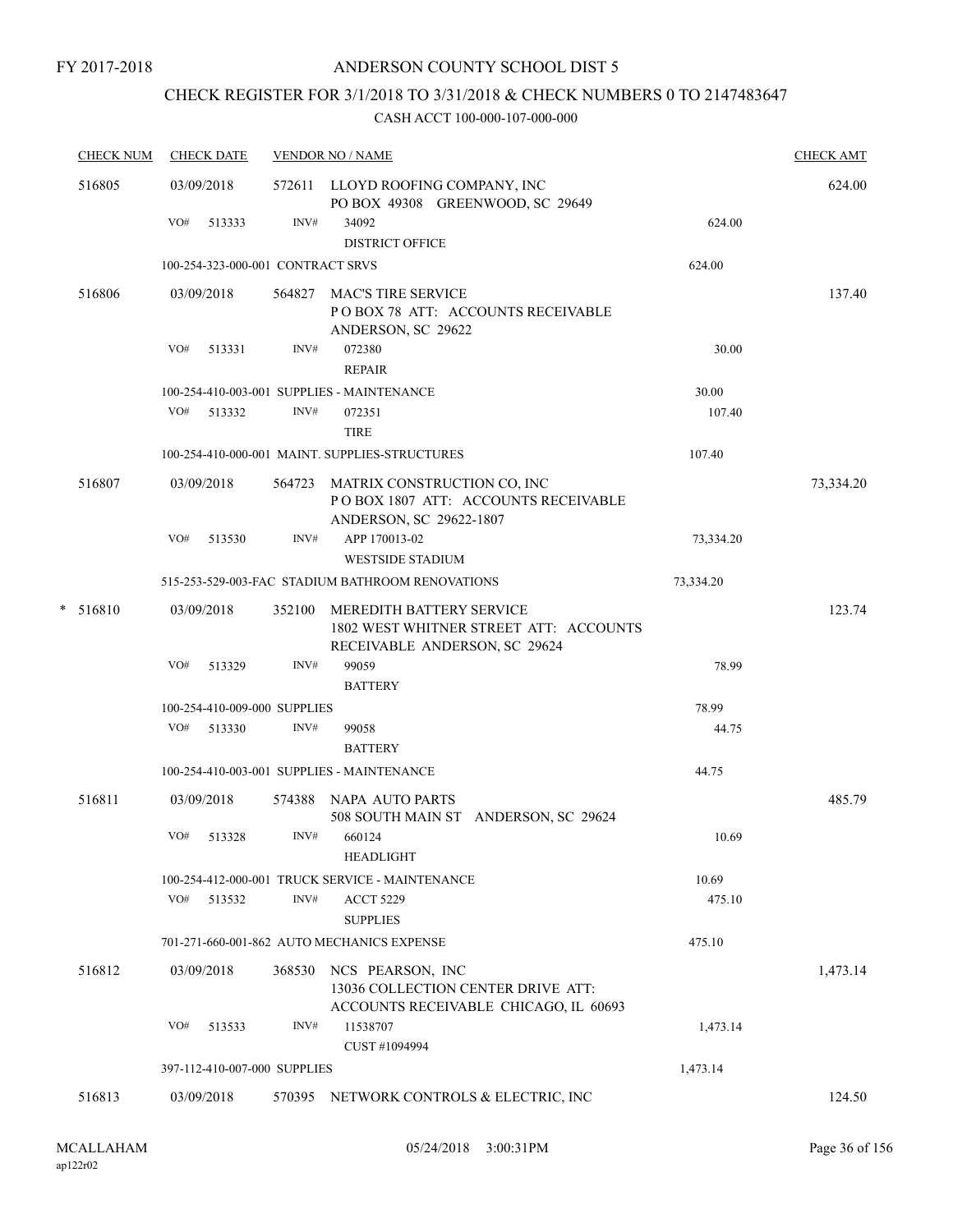# CHECK REGISTER FOR 3/1/2018 TO 3/31/2018 & CHECK NUMBERS 0 TO 2147483647

| <b>CHECK NUM</b> | <b>CHECK DATE</b>                 |        | <b>VENDOR NO / NAME</b>                                                                              |           | <b>CHECK AMT</b> |
|------------------|-----------------------------------|--------|------------------------------------------------------------------------------------------------------|-----------|------------------|
| 516805           | 03/09/2018                        |        | 572611 LLOYD ROOFING COMPANY, INC<br>PO BOX 49308 GREENWOOD, SC 29649                                |           | 624.00           |
|                  | VO#<br>513333                     | INV#   | 34092<br><b>DISTRICT OFFICE</b>                                                                      | 624.00    |                  |
|                  | 100-254-323-000-001 CONTRACT SRVS |        |                                                                                                      | 624.00    |                  |
| 516806           | 03/09/2018                        | 564827 | <b>MAC'S TIRE SERVICE</b><br>POBOX 78 ATT: ACCOUNTS RECEIVABLE<br>ANDERSON, SC 29622                 |           | 137.40           |
|                  | VO#<br>513331                     | INV#   | 072380<br><b>REPAIR</b>                                                                              | 30.00     |                  |
|                  |                                   |        | 100-254-410-003-001 SUPPLIES - MAINTENANCE                                                           | 30.00     |                  |
|                  | VO#<br>513332                     | INV#   | 072351<br><b>TIRE</b>                                                                                | 107.40    |                  |
|                  |                                   |        | 100-254-410-000-001 MAINT. SUPPLIES-STRUCTURES                                                       | 107.40    |                  |
| 516807           | 03/09/2018                        |        | 564723 MATRIX CONSTRUCTION CO, INC<br>POBOX 1807 ATT: ACCOUNTS RECEIVABLE<br>ANDERSON, SC 29622-1807 |           | 73,334.20        |
|                  | VO#<br>513530                     | INV#   | APP 170013-02<br><b>WESTSIDE STADIUM</b>                                                             | 73,334.20 |                  |
|                  |                                   |        | 515-253-529-003-FAC STADIUM BATHROOM RENOVATIONS                                                     | 73,334.20 |                  |
| $* 516810$       | 03/09/2018                        | 352100 | MEREDITH BATTERY SERVICE<br>1802 WEST WHITNER STREET ATT: ACCOUNTS<br>RECEIVABLE ANDERSON, SC 29624  |           | 123.74           |
|                  | VO#<br>513329                     | INV#   | 99059                                                                                                | 78.99     |                  |
|                  |                                   |        | <b>BATTERY</b>                                                                                       |           |                  |
|                  | 100-254-410-009-000 SUPPLIES      |        |                                                                                                      | 78.99     |                  |
|                  | VO#<br>513330                     | INV#   | 99058<br><b>BATTERY</b>                                                                              | 44.75     |                  |
|                  |                                   |        | 100-254-410-003-001 SUPPLIES - MAINTENANCE                                                           | 44.75     |                  |
| 516811           | 03/09/2018                        |        | 574388 NAPA AUTO PARTS<br>508 SOUTH MAIN ST ANDERSON, SC 29624                                       |           | 485.79           |
|                  | VO#<br>513328                     | INV#   | 660124<br><b>HEADLIGHT</b>                                                                           | 10.69     |                  |
|                  |                                   |        | 100-254-412-000-001 TRUCK SERVICE - MAINTENANCE                                                      | 10.69     |                  |
|                  | VO#<br>513532                     | INV#   | <b>ACCT 5229</b><br><b>SUPPLIES</b>                                                                  | 475.10    |                  |
|                  |                                   |        | 701-271-660-001-862 AUTO MECHANICS EXPENSE                                                           | 475.10    |                  |
| 516812           | 03/09/2018                        | 368530 | NCS PEARSON, INC<br>13036 COLLECTION CENTER DRIVE ATT:<br>ACCOUNTS RECEIVABLE CHICAGO, IL 60693      |           | 1,473.14         |
|                  | VO#<br>513533                     | INV#   | 11538707<br>CUST #1094994                                                                            | 1,473.14  |                  |
|                  | 397-112-410-007-000 SUPPLIES      |        |                                                                                                      | 1,473.14  |                  |
| 516813           | 03/09/2018                        | 570395 | NETWORK CONTROLS & ELECTRIC, INC                                                                     |           | 124.50           |
|                  |                                   |        |                                                                                                      |           |                  |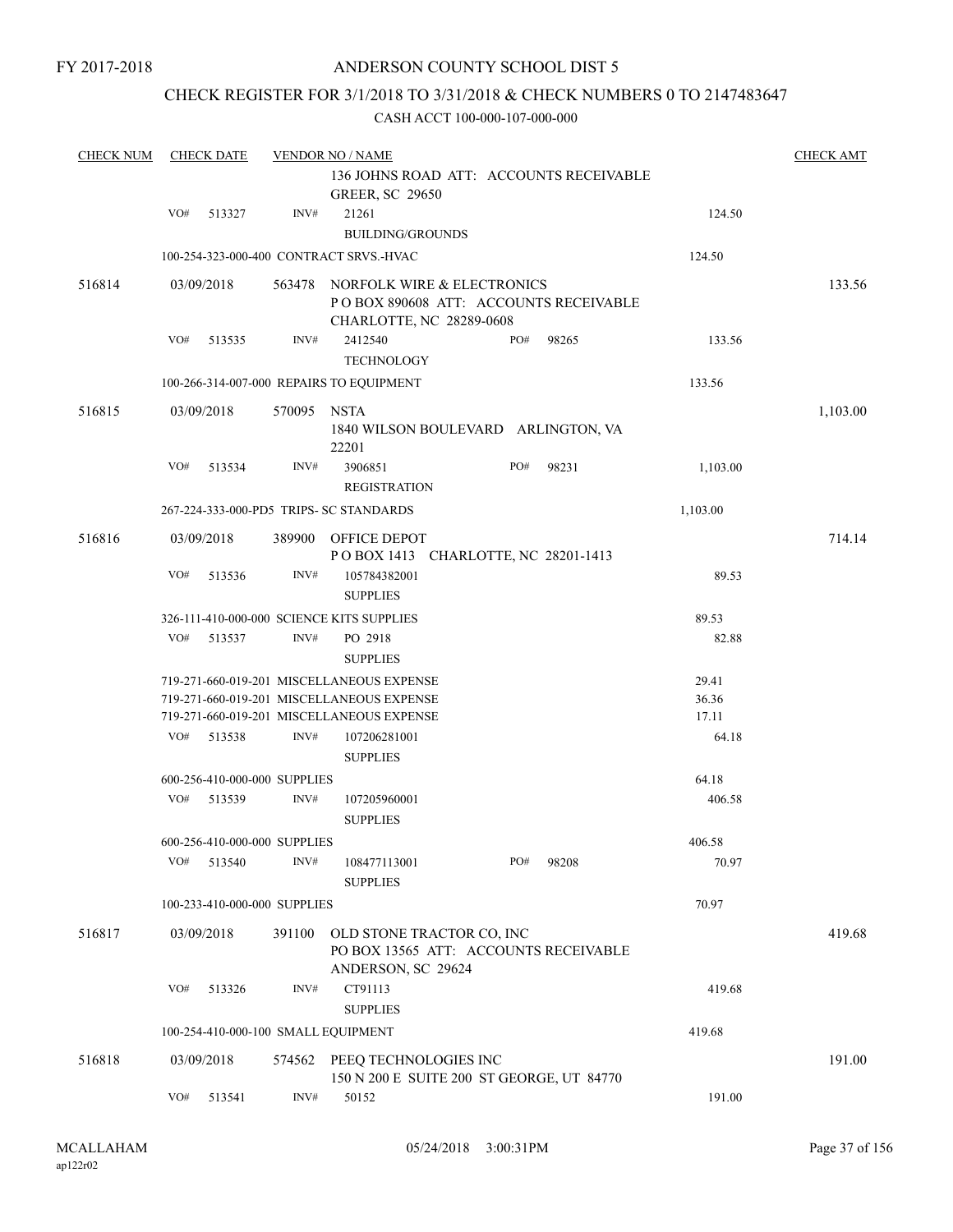### ANDERSON COUNTY SCHOOL DIST 5

### CHECK REGISTER FOR 3/1/2018 TO 3/31/2018 & CHECK NUMBERS 0 TO 2147483647

| <b>CHECK NUM</b> |     | <b>CHECK DATE</b>            |             | <b>VENDOR NO / NAME</b>                                                                          |     |       |                | <b>CHECK AMT</b> |
|------------------|-----|------------------------------|-------------|--------------------------------------------------------------------------------------------------|-----|-------|----------------|------------------|
|                  |     |                              |             | 136 JOHNS ROAD ATT: ACCOUNTS RECEIVABLE<br><b>GREER, SC 29650</b>                                |     |       |                |                  |
|                  | VO# | 513327                       | INV#        | 21261<br><b>BUILDING/GROUNDS</b>                                                                 |     |       | 124.50         |                  |
|                  |     |                              |             | 100-254-323-000-400 CONTRACT SRVS.-HVAC                                                          |     |       | 124.50         |                  |
| 516814           |     | 03/09/2018                   | 563478      | NORFOLK WIRE & ELECTRONICS<br>PO BOX 890608 ATT: ACCOUNTS RECEIVABLE<br>CHARLOTTE, NC 28289-0608 |     |       |                | 133.56           |
|                  | VO# | 513535                       | INV#        | 2412540<br>TECHNOLOGY                                                                            | PO# | 98265 | 133.56         |                  |
|                  |     |                              |             | 100-266-314-007-000 REPAIRS TO EQUIPMENT                                                         |     |       | 133.56         |                  |
| 516815           |     | 03/09/2018                   | 570095 NSTA | 1840 WILSON BOULEVARD ARLINGTON, VA<br>22201                                                     |     |       |                | 1,103.00         |
|                  | VO# | 513534                       | INV#        | 3906851<br><b>REGISTRATION</b>                                                                   | PO# | 98231 | 1,103.00       |                  |
|                  |     |                              |             | 267-224-333-000-PD5 TRIPS- SC STANDARDS                                                          |     |       | 1,103.00       |                  |
| 516816           |     | 03/09/2018                   | 389900      | OFFICE DEPOT<br>POBOX 1413 CHARLOTTE, NC 28201-1413                                              |     |       |                | 714.14           |
|                  | VO# | 513536                       | INV#        | 105784382001<br><b>SUPPLIES</b>                                                                  |     |       | 89.53          |                  |
|                  |     |                              |             | 326-111-410-000-000 SCIENCE KITS SUPPLIES                                                        |     |       | 89.53          |                  |
|                  | VO# | 513537                       | INV#        | PO 2918<br><b>SUPPLIES</b>                                                                       |     |       | 82.88          |                  |
|                  |     |                              |             | 719-271-660-019-201 MISCELLANEOUS EXPENSE                                                        |     |       | 29.41          |                  |
|                  |     |                              |             | 719-271-660-019-201 MISCELLANEOUS EXPENSE                                                        |     |       | 36.36          |                  |
|                  | VO# | 513538                       | INV#        | 719-271-660-019-201 MISCELLANEOUS EXPENSE<br>107206281001                                        |     |       | 17.11<br>64.18 |                  |
|                  |     |                              |             | <b>SUPPLIES</b>                                                                                  |     |       |                |                  |
|                  |     | 600-256-410-000-000 SUPPLIES |             |                                                                                                  |     |       | 64.18          |                  |
|                  | VO# | 513539                       | INV#        | 107205960001<br><b>SUPPLIES</b>                                                                  |     |       | 406.58         |                  |
|                  |     | 600-256-410-000-000 SUPPLIES |             |                                                                                                  |     |       | 406.58         |                  |
|                  | VO# | 513540                       | INV#        | 108477113001<br><b>SUPPLIES</b>                                                                  | PO# | 98208 | 70.97          |                  |
|                  |     | 100-233-410-000-000 SUPPLIES |             |                                                                                                  |     |       | 70.97          |                  |
| 516817           |     | 03/09/2018                   | 391100      | OLD STONE TRACTOR CO, INC<br>PO BOX 13565 ATT: ACCOUNTS RECEIVABLE<br>ANDERSON, SC 29624         |     |       |                | 419.68           |
|                  | VO# | 513326                       | INV#        | CT91113<br><b>SUPPLIES</b>                                                                       |     |       | 419.68         |                  |
|                  |     |                              |             | 100-254-410-000-100 SMALL EQUIPMENT                                                              |     |       | 419.68         |                  |
| 516818           |     | 03/09/2018                   |             | 574562 PEEQ TECHNOLOGIES INC<br>150 N 200 E SUITE 200 ST GEORGE, UT 84770                        |     |       |                | 191.00           |
|                  | VO# | 513541                       | INV#        | 50152                                                                                            |     |       | 191.00         |                  |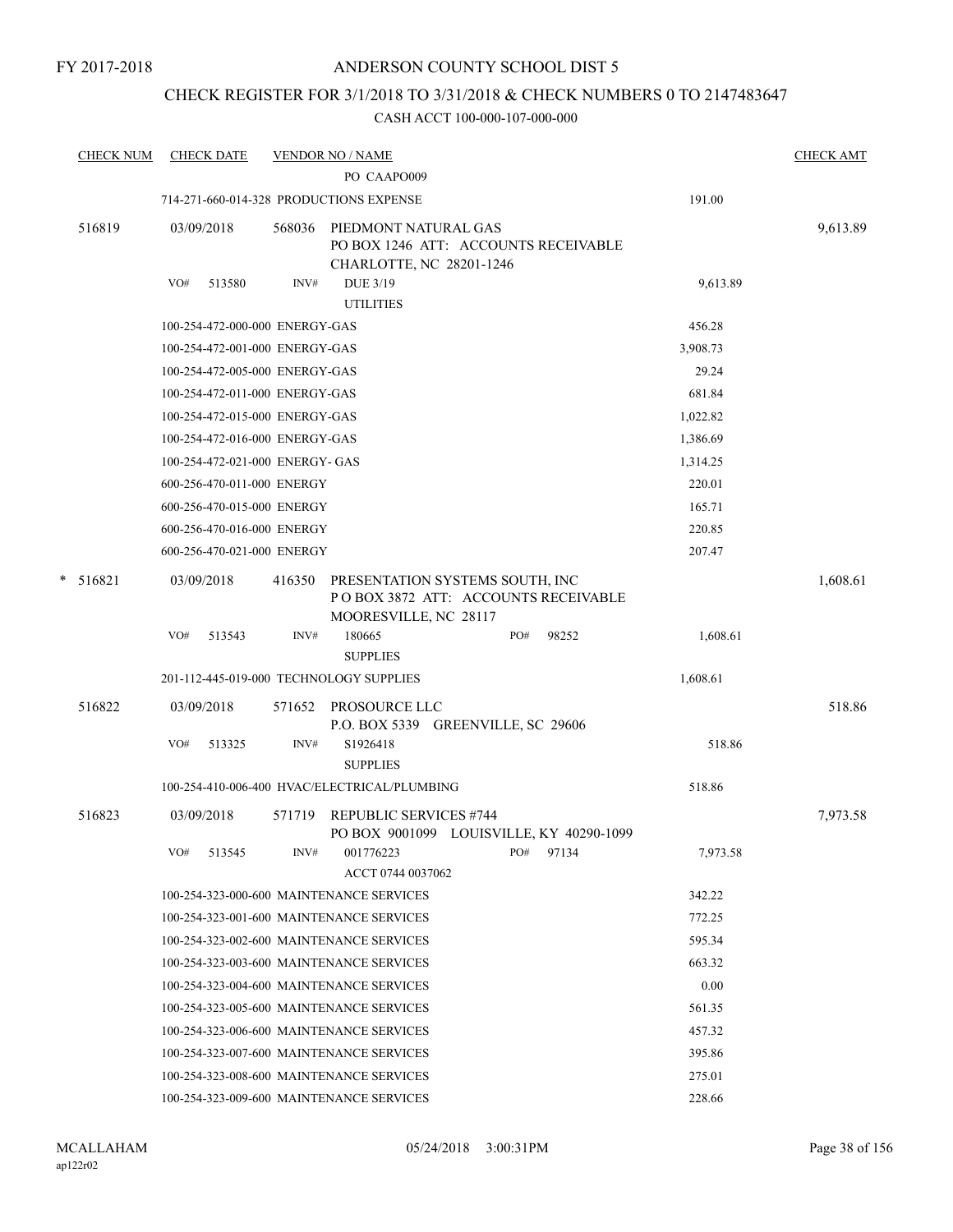### CHECK REGISTER FOR 3/1/2018 TO 3/31/2018 & CHECK NUMBERS 0 TO 2147483647

|   | <b>CHECK NUM</b> |     | <b>CHECK DATE</b>               |                | <b>VENDOR NO / NAME</b><br>PO CAAPO009                                                                      |     |       |          | <b>CHECK AMT</b> |
|---|------------------|-----|---------------------------------|----------------|-------------------------------------------------------------------------------------------------------------|-----|-------|----------|------------------|
|   |                  |     |                                 |                | 714-271-660-014-328 PRODUCTIONS EXPENSE                                                                     |     |       | 191.00   |                  |
|   | 516819           | VO# | 03/09/2018<br>513580            | 568036<br>INV# | PIEDMONT NATURAL GAS<br>PO BOX 1246 ATT: ACCOUNTS RECEIVABLE<br>CHARLOTTE, NC 28201-1246<br><b>DUE 3/19</b> |     |       | 9,613.89 | 9,613.89         |
|   |                  |     |                                 |                | <b>UTILITIES</b>                                                                                            |     |       |          |                  |
|   |                  |     | 100-254-472-000-000 ENERGY-GAS  |                |                                                                                                             |     |       | 456.28   |                  |
|   |                  |     | 100-254-472-001-000 ENERGY-GAS  |                |                                                                                                             |     |       | 3,908.73 |                  |
|   |                  |     | 100-254-472-005-000 ENERGY-GAS  |                |                                                                                                             |     |       | 29.24    |                  |
|   |                  |     | 100-254-472-011-000 ENERGY-GAS  |                |                                                                                                             |     |       | 681.84   |                  |
|   |                  |     | 100-254-472-015-000 ENERGY-GAS  |                |                                                                                                             |     |       | 1,022.82 |                  |
|   |                  |     | 100-254-472-016-000 ENERGY-GAS  |                |                                                                                                             |     |       | 1,386.69 |                  |
|   |                  |     | 100-254-472-021-000 ENERGY- GAS |                |                                                                                                             |     |       | 1,314.25 |                  |
|   |                  |     | 600-256-470-011-000 ENERGY      |                |                                                                                                             |     |       | 220.01   |                  |
|   |                  |     | 600-256-470-015-000 ENERGY      |                |                                                                                                             |     |       | 165.71   |                  |
|   |                  |     | 600-256-470-016-000 ENERGY      |                |                                                                                                             |     |       | 220.85   |                  |
|   |                  |     | 600-256-470-021-000 ENERGY      |                |                                                                                                             |     |       | 207.47   |                  |
| * | 516821           |     | 03/09/2018                      | 416350         | PRESENTATION SYSTEMS SOUTH, INC<br>POBOX 3872 ATT: ACCOUNTS RECEIVABLE<br>MOORESVILLE, NC 28117             |     |       |          | 1,608.61         |
|   |                  | VO# | 513543                          | INV#           | 180665<br><b>SUPPLIES</b>                                                                                   | PO# | 98252 | 1,608.61 |                  |
|   |                  |     |                                 |                | 201-112-445-019-000 TECHNOLOGY SUPPLIES                                                                     |     |       | 1,608.61 |                  |
|   | 516822           |     | 03/09/2018                      | 571652         | PROSOURCE LLC<br>P.O. BOX 5339 GREENVILLE, SC 29606                                                         |     |       |          | 518.86           |
|   |                  | VO# | 513325                          | INV#           | S1926418<br><b>SUPPLIES</b>                                                                                 |     |       | 518.86   |                  |
|   |                  |     |                                 |                | 100-254-410-006-400 HVAC/ELECTRICAL/PLUMBING                                                                |     |       | 518.86   |                  |
|   | 516823           |     | 03/09/2018                      | 571719         | <b>REPUBLIC SERVICES #744</b><br>PO BOX 9001099 LOUISVILLE, KY 40290-1099                                   |     |       |          | 7,973.58         |
|   |                  | VO# | 513545                          | INV#           | 001776223<br>ACCT 0744 0037062                                                                              | PO# | 97134 | 7,973.58 |                  |
|   |                  |     |                                 |                | 100-254-323-000-600 MAINTENANCE SERVICES                                                                    |     |       | 342.22   |                  |
|   |                  |     |                                 |                | 100-254-323-001-600 MAINTENANCE SERVICES                                                                    |     |       | 772.25   |                  |
|   |                  |     |                                 |                | 100-254-323-002-600 MAINTENANCE SERVICES                                                                    |     |       | 595.34   |                  |
|   |                  |     |                                 |                | 100-254-323-003-600 MAINTENANCE SERVICES                                                                    |     |       | 663.32   |                  |
|   |                  |     |                                 |                | 100-254-323-004-600 MAINTENANCE SERVICES                                                                    |     |       | 0.00     |                  |
|   |                  |     |                                 |                | 100-254-323-005-600 MAINTENANCE SERVICES                                                                    |     |       | 561.35   |                  |
|   |                  |     |                                 |                | 100-254-323-006-600 MAINTENANCE SERVICES                                                                    |     |       | 457.32   |                  |
|   |                  |     |                                 |                | 100-254-323-007-600 MAINTENANCE SERVICES                                                                    |     |       | 395.86   |                  |
|   |                  |     |                                 |                | 100-254-323-008-600 MAINTENANCE SERVICES                                                                    |     |       | 275.01   |                  |
|   |                  |     |                                 |                | 100-254-323-009-600 MAINTENANCE SERVICES                                                                    |     |       | 228.66   |                  |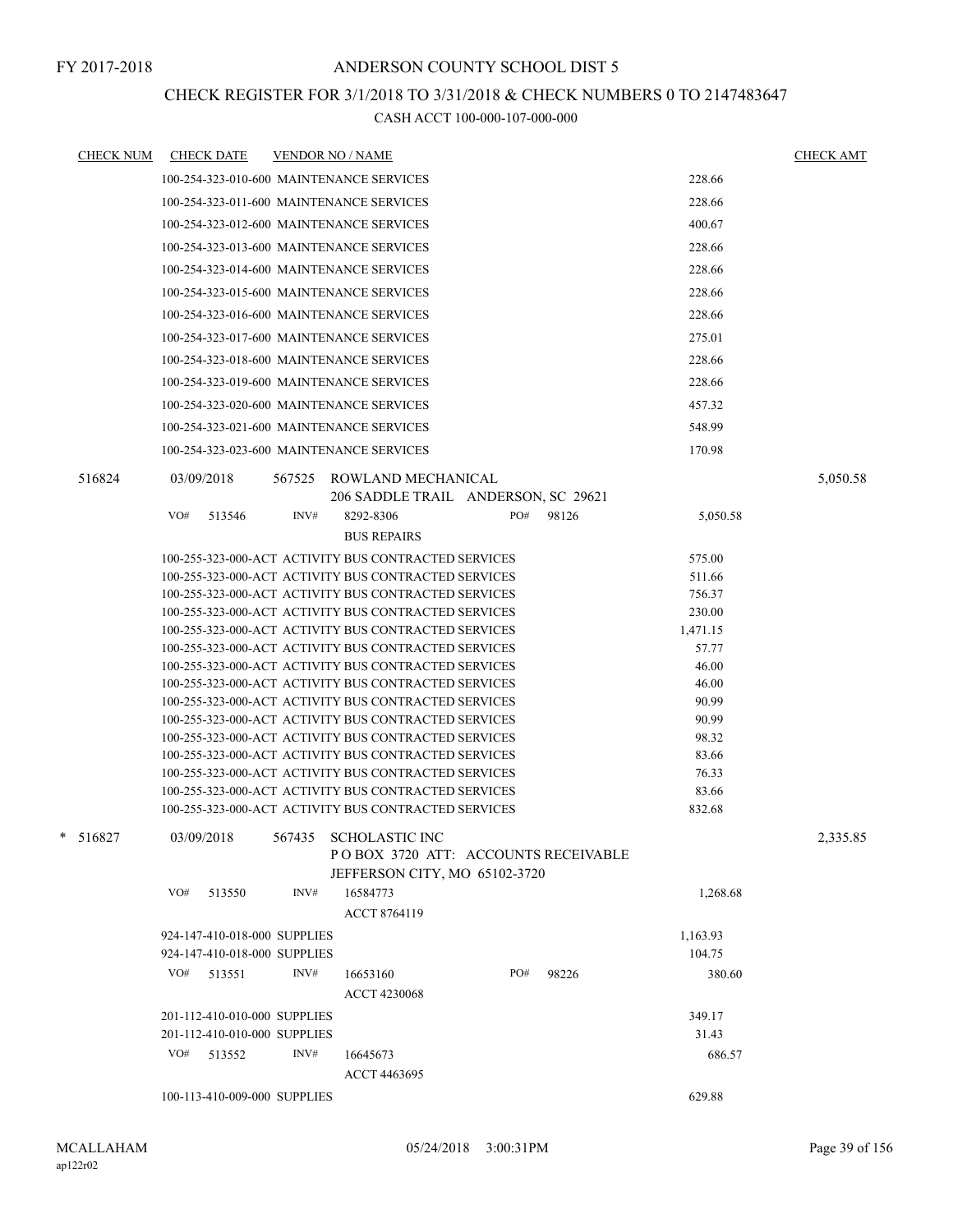### CHECK REGISTER FOR 3/1/2018 TO 3/31/2018 & CHECK NUMBERS 0 TO 2147483647

| <b>CHECK NUM</b> | <b>CHECK DATE</b>                        | <b>VENDOR NO / NAME</b> |                                                      |     |       |          | <b>CHECK AMT</b> |
|------------------|------------------------------------------|-------------------------|------------------------------------------------------|-----|-------|----------|------------------|
|                  | 100-254-323-010-600 MAINTENANCE SERVICES |                         |                                                      |     |       | 228.66   |                  |
|                  | 100-254-323-011-600 MAINTENANCE SERVICES |                         |                                                      |     |       | 228.66   |                  |
|                  | 100-254-323-012-600 MAINTENANCE SERVICES |                         |                                                      |     |       | 400.67   |                  |
|                  | 100-254-323-013-600 MAINTENANCE SERVICES |                         |                                                      |     |       | 228.66   |                  |
|                  |                                          |                         |                                                      |     |       |          |                  |
|                  | 100-254-323-014-600 MAINTENANCE SERVICES |                         |                                                      |     |       | 228.66   |                  |
|                  | 100-254-323-015-600 MAINTENANCE SERVICES |                         |                                                      |     |       | 228.66   |                  |
|                  | 100-254-323-016-600 MAINTENANCE SERVICES |                         |                                                      |     |       | 228.66   |                  |
|                  | 100-254-323-017-600 MAINTENANCE SERVICES |                         |                                                      |     |       | 275.01   |                  |
|                  | 100-254-323-018-600 MAINTENANCE SERVICES |                         |                                                      |     |       | 228.66   |                  |
|                  | 100-254-323-019-600 MAINTENANCE SERVICES |                         |                                                      |     |       | 228.66   |                  |
|                  | 100-254-323-020-600 MAINTENANCE SERVICES |                         |                                                      |     |       | 457.32   |                  |
|                  | 100-254-323-021-600 MAINTENANCE SERVICES |                         |                                                      |     |       | 548.99   |                  |
|                  | 100-254-323-023-600 MAINTENANCE SERVICES |                         |                                                      |     |       | 170.98   |                  |
| 516824           | 03/09/2018                               | 567525                  | ROWLAND MECHANICAL                                   |     |       |          | 5,050.58         |
|                  |                                          |                         | 206 SADDLE TRAIL ANDERSON, SC 29621                  |     |       |          |                  |
|                  | VO#<br>513546                            | INV#                    | 8292-8306                                            | PO# | 98126 | 5,050.58 |                  |
|                  |                                          |                         | <b>BUS REPAIRS</b>                                   |     |       |          |                  |
|                  |                                          |                         | 100-255-323-000-ACT ACTIVITY BUS CONTRACTED SERVICES |     |       | 575.00   |                  |
|                  |                                          |                         | 100-255-323-000-ACT ACTIVITY BUS CONTRACTED SERVICES |     |       | 511.66   |                  |
|                  |                                          |                         | 100-255-323-000-ACT ACTIVITY BUS CONTRACTED SERVICES |     |       | 756.37   |                  |
|                  |                                          |                         | 100-255-323-000-ACT ACTIVITY BUS CONTRACTED SERVICES |     |       | 230.00   |                  |
|                  |                                          |                         | 100-255-323-000-ACT ACTIVITY BUS CONTRACTED SERVICES |     |       | 1,471.15 |                  |
|                  |                                          |                         | 100-255-323-000-ACT ACTIVITY BUS CONTRACTED SERVICES |     |       | 57.77    |                  |
|                  |                                          |                         | 100-255-323-000-ACT ACTIVITY BUS CONTRACTED SERVICES |     |       | 46.00    |                  |
|                  |                                          |                         | 100-255-323-000-ACT ACTIVITY BUS CONTRACTED SERVICES |     |       | 46.00    |                  |
|                  |                                          |                         | 100-255-323-000-ACT ACTIVITY BUS CONTRACTED SERVICES |     |       | 90.99    |                  |
|                  |                                          |                         | 100-255-323-000-ACT ACTIVITY BUS CONTRACTED SERVICES |     |       | 90.99    |                  |
|                  |                                          |                         | 100-255-323-000-ACT ACTIVITY BUS CONTRACTED SERVICES |     |       | 98.32    |                  |
|                  |                                          |                         | 100-255-323-000-ACT ACTIVITY BUS CONTRACTED SERVICES |     |       | 83.66    |                  |
|                  |                                          |                         | 100-255-323-000-ACT ACTIVITY BUS CONTRACTED SERVICES |     |       | 76.33    |                  |
|                  |                                          |                         | 100-255-323-000-ACT ACTIVITY BUS CONTRACTED SERVICES |     |       | 83.66    |                  |
|                  |                                          |                         | 100-255-323-000-ACT ACTIVITY BUS CONTRACTED SERVICES |     |       | 832.68   |                  |
| * 516827         | 03/09/2018                               | 567435                  | <b>SCHOLASTIC INC</b>                                |     |       |          | 2.335.85         |
|                  |                                          |                         | POBOX 3720 ATT: ACCOUNTS RECEIVABLE                  |     |       |          |                  |
|                  |                                          |                         | JEFFERSON CITY, MO 65102-3720                        |     |       |          |                  |
|                  | VO#<br>513550                            | INV#                    | 16584773                                             |     |       | 1,268.68 |                  |
|                  |                                          |                         | ACCT 8764119                                         |     |       |          |                  |
|                  | 924-147-410-018-000 SUPPLIES             |                         |                                                      |     |       | 1,163.93 |                  |
|                  | 924-147-410-018-000 SUPPLIES             |                         |                                                      |     |       | 104.75   |                  |
|                  | VO#<br>513551                            | INV#                    | 16653160                                             | PO# | 98226 | 380.60   |                  |
|                  |                                          |                         | ACCT 4230068                                         |     |       |          |                  |
|                  | 201-112-410-010-000 SUPPLIES             |                         |                                                      |     |       | 349.17   |                  |
|                  | 201-112-410-010-000 SUPPLIES             |                         |                                                      |     |       | 31.43    |                  |
|                  | VO#<br>513552                            | INV#                    | 16645673                                             |     |       | 686.57   |                  |
|                  |                                          |                         | <b>ACCT 4463695</b>                                  |     |       |          |                  |
|                  | 100-113-410-009-000 SUPPLIES             |                         |                                                      |     |       | 629.88   |                  |
|                  |                                          |                         |                                                      |     |       |          |                  |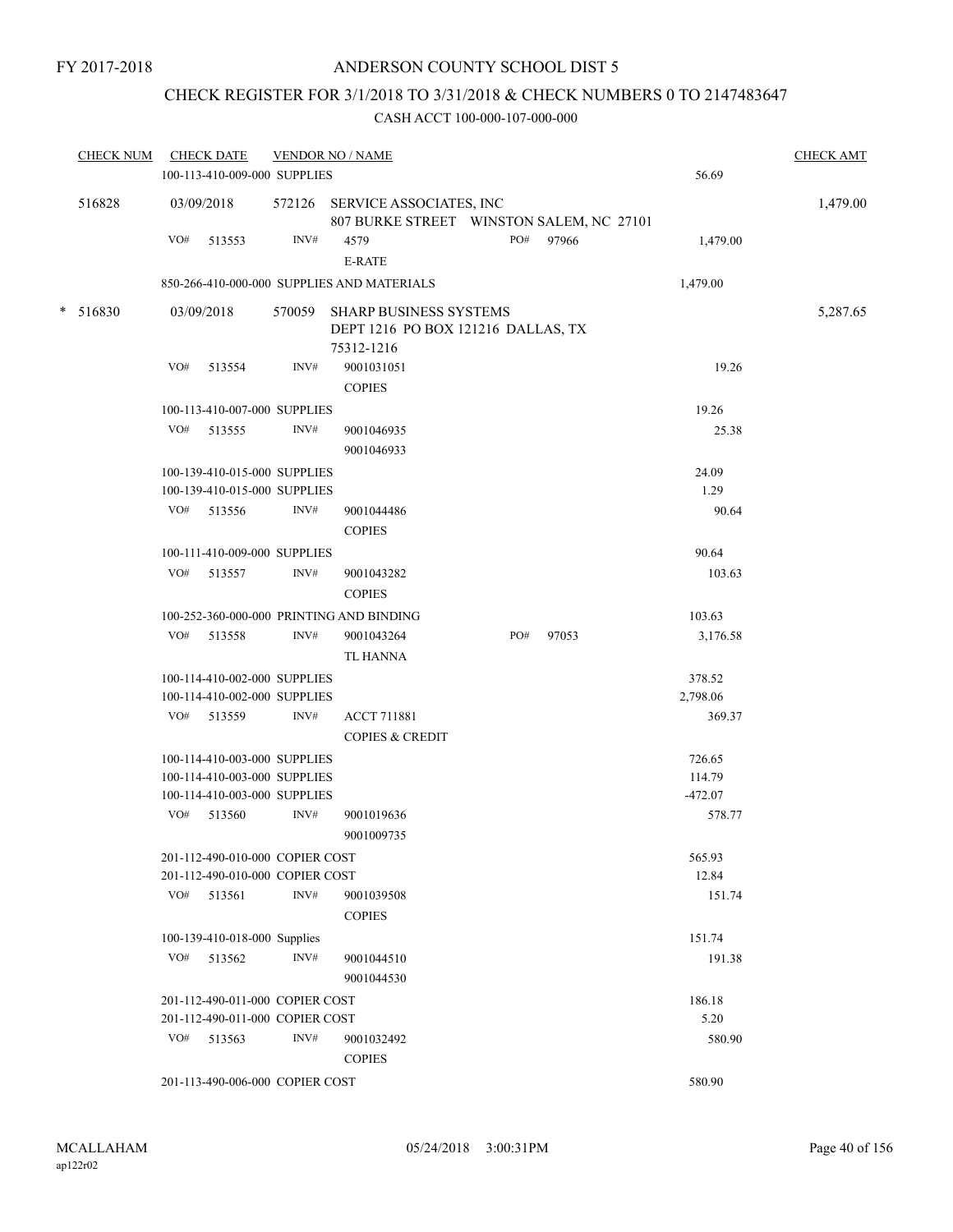## CHECK REGISTER FOR 3/1/2018 TO 3/31/2018 & CHECK NUMBERS 0 TO 2147483647

| <b>CHECK NUM</b> |     | <b>CHECK DATE</b><br>100-113-410-009-000 SUPPLIES            | <b>VENDOR NO / NAME</b> |                                                                            | 56.69 | <b>CHECK AMT</b> |                     |          |
|------------------|-----|--------------------------------------------------------------|-------------------------|----------------------------------------------------------------------------|-------|------------------|---------------------|----------|
| 516828           |     | 03/09/2018                                                   |                         | 572126 SERVICE ASSOCIATES, INC<br>807 BURKE STREET WINSTON SALEM, NC 27101 |       |                  |                     | 1,479.00 |
|                  | VO# | 513553                                                       | INV#                    | 4579<br>E-RATE                                                             | PO#   | 97966            | 1,479.00            |          |
|                  |     |                                                              |                         | 850-266-410-000-000 SUPPLIES AND MATERIALS                                 |       |                  | 1,479.00            |          |
| $* 516830$       |     | 03/09/2018                                                   | 570059                  | <b>SHARP BUSINESS SYSTEMS</b>                                              |       |                  |                     | 5,287.65 |
|                  |     |                                                              |                         | DEPT 1216 PO BOX 121216 DALLAS, TX                                         |       |                  |                     |          |
|                  |     |                                                              |                         | 75312-1216                                                                 |       |                  |                     |          |
|                  | VO# | 513554                                                       | INV#                    | 9001031051                                                                 |       |                  | 19.26               |          |
|                  |     |                                                              |                         | <b>COPIES</b>                                                              |       |                  |                     |          |
|                  |     | 100-113-410-007-000 SUPPLIES                                 |                         |                                                                            |       |                  | 19.26               |          |
|                  | VO# | 513555                                                       | INV#                    | 9001046935                                                                 |       |                  | 25.38               |          |
|                  |     |                                                              |                         | 9001046933                                                                 |       |                  |                     |          |
|                  |     | 100-139-410-015-000 SUPPLIES                                 |                         |                                                                            |       |                  | 24.09<br>1.29       |          |
|                  |     | 100-139-410-015-000 SUPPLIES<br>VO# 513556                   | INV#                    | 9001044486                                                                 |       |                  | 90.64               |          |
|                  |     |                                                              |                         | <b>COPIES</b>                                                              |       |                  |                     |          |
|                  |     | 100-111-410-009-000 SUPPLIES                                 |                         |                                                                            |       |                  | 90.64               |          |
|                  |     | VO# 513557                                                   | INV#                    | 9001043282                                                                 |       |                  | 103.63              |          |
|                  |     |                                                              |                         | <b>COPIES</b>                                                              |       |                  |                     |          |
|                  |     |                                                              |                         | 100-252-360-000-000 PRINTING AND BINDING                                   |       |                  | 103.63              |          |
|                  | VO# | 513558                                                       | INV#                    | 9001043264                                                                 | PO#   | 97053            | 3,176.58            |          |
|                  |     |                                                              |                         | <b>TL HANNA</b>                                                            |       |                  |                     |          |
|                  |     | 100-114-410-002-000 SUPPLIES                                 |                         |                                                                            |       |                  | 378.52              |          |
|                  |     | 100-114-410-002-000 SUPPLIES                                 |                         |                                                                            |       |                  | 2,798.06            |          |
|                  |     | VO# 513559                                                   | INV#                    | <b>ACCT 711881</b>                                                         |       |                  | 369.37              |          |
|                  |     |                                                              |                         | <b>COPIES &amp; CREDIT</b>                                                 |       |                  |                     |          |
|                  |     | 100-114-410-003-000 SUPPLIES                                 |                         |                                                                            |       |                  | 726.65              |          |
|                  |     | 100-114-410-003-000 SUPPLIES<br>100-114-410-003-000 SUPPLIES |                         |                                                                            |       |                  | 114.79<br>$-472.07$ |          |
|                  | VO# | 513560                                                       | INV#                    | 9001019636                                                                 |       |                  | 578.77              |          |
|                  |     |                                                              |                         | 9001009735                                                                 |       |                  |                     |          |
|                  |     | 201-112-490-010-000 COPIER COST                              |                         |                                                                            |       |                  | 565.93              |          |
|                  |     | 201-112-490-010-000 COPIER COST                              |                         |                                                                            |       |                  | 12.84               |          |
|                  |     | $VO#$ 513561                                                 | INV#                    | 9001039508                                                                 |       |                  | 151.74              |          |
|                  |     |                                                              |                         | <b>COPIES</b>                                                              |       |                  |                     |          |
|                  |     | 100-139-410-018-000 Supplies                                 |                         |                                                                            |       |                  | 151.74              |          |
|                  | VO# | 513562                                                       | INV#                    | 9001044510                                                                 |       |                  | 191.38              |          |
|                  |     |                                                              |                         | 9001044530                                                                 |       |                  |                     |          |
|                  |     | 201-112-490-011-000 COPIER COST                              |                         |                                                                            |       |                  | 186.18              |          |
|                  |     | 201-112-490-011-000 COPIER COST                              |                         |                                                                            |       |                  | 5.20                |          |
|                  | VO# | 513563                                                       | INV#                    | 9001032492                                                                 |       |                  | 580.90              |          |
|                  |     |                                                              |                         | <b>COPIES</b>                                                              |       |                  |                     |          |
|                  |     | 201-113-490-006-000 COPIER COST                              |                         |                                                                            |       |                  | 580.90              |          |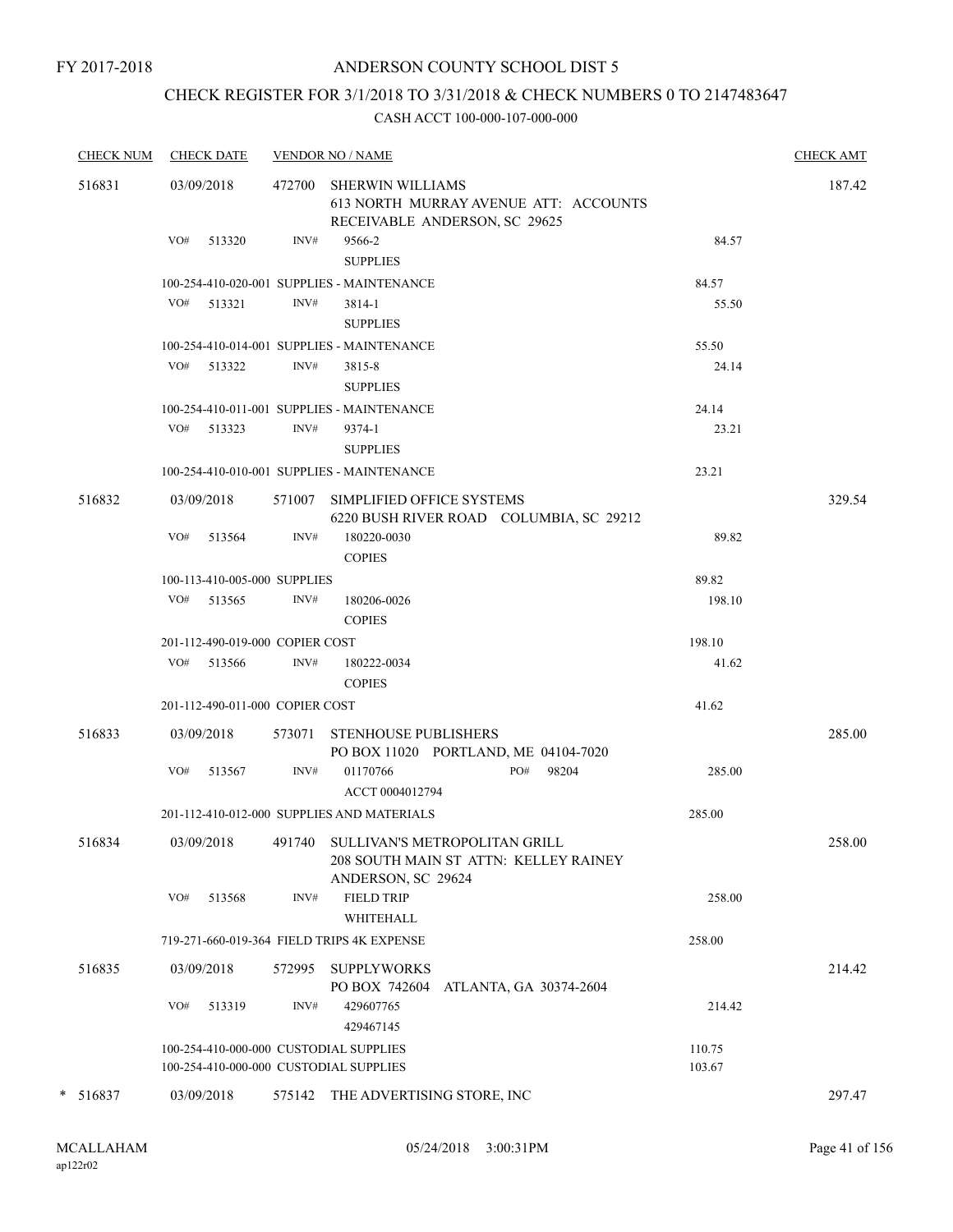### ANDERSON COUNTY SCHOOL DIST 5

## CHECK REGISTER FOR 3/1/2018 TO 3/31/2018 & CHECK NUMBERS 0 TO 2147483647

|   | <b>CHECK NUM</b> |     | <b>CHECK DATE</b>               |        | <b>VENDOR NO / NAME</b>                                                                             |                  | <b>CHECK AMT</b> |
|---|------------------|-----|---------------------------------|--------|-----------------------------------------------------------------------------------------------------|------------------|------------------|
|   | 516831           |     | 03/09/2018                      | 472700 | <b>SHERWIN WILLIAMS</b><br>613 NORTH MURRAY AVENUE ATT: ACCOUNTS<br>RECEIVABLE ANDERSON, SC 29625   |                  | 187.42           |
|   |                  | VO# | 513320                          | INV#   | 9566-2<br><b>SUPPLIES</b>                                                                           | 84.57            |                  |
|   |                  |     |                                 |        | 100-254-410-020-001 SUPPLIES - MAINTENANCE                                                          | 84.57            |                  |
|   |                  |     | VO# 513321                      | INV#   | 3814-1                                                                                              | 55.50            |                  |
|   |                  |     |                                 |        | <b>SUPPLIES</b>                                                                                     |                  |                  |
|   |                  |     |                                 |        | 100-254-410-014-001 SUPPLIES - MAINTENANCE                                                          | 55.50            |                  |
|   |                  |     | VO# 513322                      | INV#   | 3815-8<br><b>SUPPLIES</b>                                                                           | 24.14            |                  |
|   |                  |     |                                 |        | 100-254-410-011-001 SUPPLIES - MAINTENANCE                                                          | 24.14            |                  |
|   |                  |     | VO# 513323                      | INV#   | 9374-1                                                                                              | 23.21            |                  |
|   |                  |     |                                 |        | <b>SUPPLIES</b>                                                                                     |                  |                  |
|   |                  |     |                                 |        | 100-254-410-010-001 SUPPLIES - MAINTENANCE                                                          | 23.21            |                  |
|   | 516832           |     | 03/09/2018                      |        | 571007 SIMPLIFIED OFFICE SYSTEMS<br>6220 BUSH RIVER ROAD COLUMBIA, SC 29212                         |                  | 329.54           |
|   |                  | VO# | 513564                          | INV#   | 180220-0030<br><b>COPIES</b>                                                                        | 89.82            |                  |
|   |                  |     | 100-113-410-005-000 SUPPLIES    |        |                                                                                                     | 89.82            |                  |
|   |                  |     | $VO#$ 513565                    | INV#   | 180206-0026<br><b>COPIES</b>                                                                        | 198.10           |                  |
|   |                  |     | 201-112-490-019-000 COPIER COST |        |                                                                                                     | 198.10           |                  |
|   |                  |     | VO# 513566                      | INV#   | 180222-0034<br><b>COPIES</b>                                                                        | 41.62            |                  |
|   |                  |     | 201-112-490-011-000 COPIER COST |        |                                                                                                     | 41.62            |                  |
|   | 516833           |     | 03/09/2018                      |        | 573071 STENHOUSE PUBLISHERS<br>PO BOX 11020 PORTLAND, ME 04104-7020                                 |                  | 285.00           |
|   |                  | VO# | 513567                          | INV#   | PO#<br>98204<br>01170766<br>ACCT 0004012794                                                         | 285.00           |                  |
|   |                  |     |                                 |        | 201-112-410-012-000 SUPPLIES AND MATERIALS                                                          | 285.00           |                  |
|   | 516834           |     | 03/09/2018                      |        | 491740 SULLIVAN'S METROPOLITAN GRILL<br>208 SOUTH MAIN ST ATTN: KELLEY RAINEY<br>ANDERSON, SC 29624 |                  | 258.00           |
|   |                  | VO# | 513568                          | INV#   | <b>FIELD TRIP</b>                                                                                   | 258.00           |                  |
|   |                  |     |                                 |        | <b>WHITEHALL</b>                                                                                    |                  |                  |
|   |                  |     |                                 |        | 719-271-660-019-364 FIELD TRIPS 4K EXPENSE                                                          | 258.00           |                  |
|   | 516835           |     | 03/09/2018                      | 572995 | <b>SUPPLYWORKS</b><br>PO BOX 742604<br>ATLANTA, GA 30374-2604                                       |                  | 214.42           |
|   |                  | VO# | 513319                          | INV#   | 429607765<br>429467145                                                                              | 214.42           |                  |
|   |                  |     |                                 |        | 100-254-410-000-000 CUSTODIAL SUPPLIES<br>100-254-410-000-000 CUSTODIAL SUPPLIES                    | 110.75<br>103.67 |                  |
| * | 516837           |     | 03/09/2018                      | 575142 | THE ADVERTISING STORE, INC                                                                          |                  | 297.47           |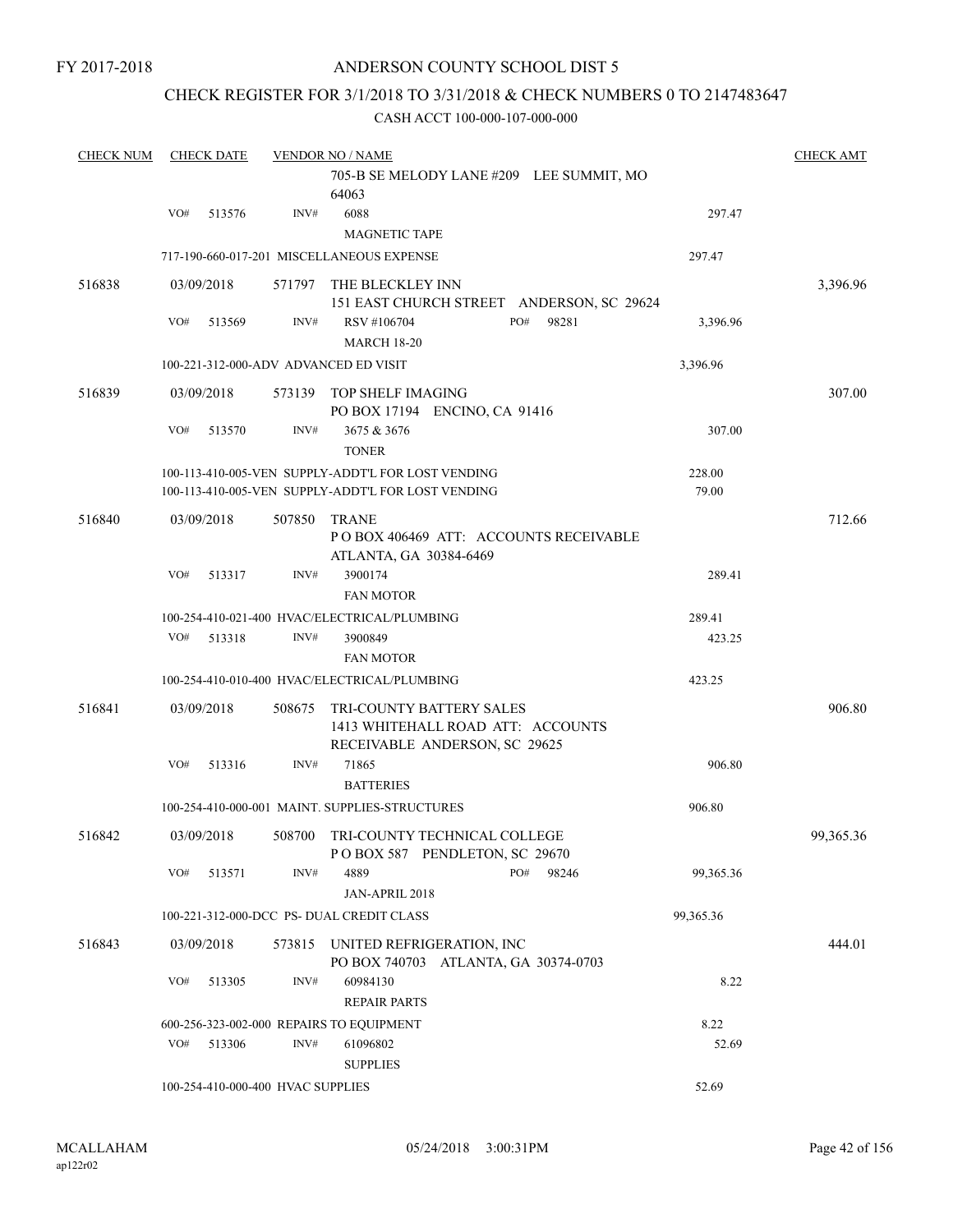### CHECK REGISTER FOR 3/1/2018 TO 3/31/2018 & CHECK NUMBERS 0 TO 2147483647

| <b>CHECK NUM</b> |            | <b>CHECK DATE</b><br><b>VENDOR NO / NAME</b> |                                   |                                                                                                          |     |       |                 |           |  |
|------------------|------------|----------------------------------------------|-----------------------------------|----------------------------------------------------------------------------------------------------------|-----|-------|-----------------|-----------|--|
|                  |            |                                              |                                   | 705-B SE MELODY LANE #209 LEE SUMMIT, MO<br>64063                                                        |     |       |                 |           |  |
|                  | VO#        | 513576                                       | INV#                              | 6088<br><b>MAGNETIC TAPE</b>                                                                             |     |       | 297.47          |           |  |
|                  |            |                                              |                                   | 717-190-660-017-201 MISCELLANEOUS EXPENSE                                                                |     |       | 297.47          |           |  |
| 516838           | 03/09/2018 |                                              | 571797                            | THE BLECKLEY INN<br>151 EAST CHURCH STREET ANDERSON, SC 29624                                            |     |       |                 | 3,396.96  |  |
|                  | VO#        | 513569                                       | INV#                              | RSV #106704<br><b>MARCH 18-20</b>                                                                        | PO# | 98281 | 3,396.96        |           |  |
|                  |            |                                              |                                   | 100-221-312-000-ADV ADVANCED ED VISIT                                                                    |     |       | 3,396.96        |           |  |
| 516839           | 03/09/2018 |                                              | 573139                            | TOP SHELF IMAGING<br>PO BOX 17194 ENCINO, CA 91416                                                       |     |       |                 | 307.00    |  |
|                  | VO#        | 513570                                       | INV#                              | 3675 & 3676<br><b>TONER</b>                                                                              |     |       | 307.00          |           |  |
|                  |            |                                              |                                   | 100-113-410-005-VEN SUPPLY-ADDT'L FOR LOST VENDING<br>100-113-410-005-VEN SUPPLY-ADDT'L FOR LOST VENDING |     |       | 228.00<br>79.00 |           |  |
| 516840           | 03/09/2018 |                                              | 507850                            | <b>TRANE</b><br>POBOX 406469 ATT: ACCOUNTS RECEIVABLE<br>ATLANTA, GA 30384-6469                          |     |       |                 | 712.66    |  |
|                  | VO#        | 513317                                       | INV#                              | 3900174<br><b>FAN MOTOR</b>                                                                              |     |       | 289.41          |           |  |
|                  |            |                                              |                                   | 100-254-410-021-400 HVAC/ELECTRICAL/PLUMBING                                                             |     |       | 289.41          |           |  |
|                  | VO#        | 513318                                       | INV#                              | 3900849<br><b>FAN MOTOR</b>                                                                              |     |       | 423.25          |           |  |
|                  |            |                                              |                                   | 100-254-410-010-400 HVAC/ELECTRICAL/PLUMBING                                                             |     |       | 423.25          |           |  |
| 516841           | 03/09/2018 |                                              | 508675                            | <b>TRI-COUNTY BATTERY SALES</b><br>1413 WHITEHALL ROAD ATT: ACCOUNTS<br>RECEIVABLE ANDERSON, SC 29625    |     |       |                 | 906.80    |  |
|                  | VO#        | 513316                                       | INV#                              | 71865<br><b>BATTERIES</b>                                                                                |     |       | 906.80          |           |  |
|                  |            |                                              |                                   | 100-254-410-000-001 MAINT. SUPPLIES-STRUCTURES                                                           |     |       | 906.80          |           |  |
| 516842           | 03/09/2018 |                                              | 508700                            | TRI-COUNTY TECHNICAL COLLEGE<br>POBOX 587 PENDLETON, SC 29670                                            |     |       |                 | 99,365.36 |  |
|                  | VO#        | 513571                                       | INV#                              | 4889<br>JAN-APRIL 2018                                                                                   | PO# | 98246 | 99,365.36       |           |  |
|                  |            |                                              |                                   | 100-221-312-000-DCC PS- DUAL CREDIT CLASS                                                                |     |       | 99,365.36       |           |  |
| 516843           | 03/09/2018 |                                              | 573815                            | UNITED REFRIGERATION, INC<br>PO BOX 740703 ATLANTA, GA 30374-0703                                        |     |       |                 | 444.01    |  |
|                  | VO#        | 513305                                       | INV#                              | 60984130<br><b>REPAIR PARTS</b>                                                                          |     |       | 8.22            |           |  |
|                  |            |                                              |                                   | 600-256-323-002-000 REPAIRS TO EQUIPMENT                                                                 |     |       | 8.22            |           |  |
|                  | VO#        | 513306                                       | INV#                              | 61096802<br><b>SUPPLIES</b>                                                                              |     |       | 52.69           |           |  |
|                  |            |                                              | 100-254-410-000-400 HVAC SUPPLIES |                                                                                                          |     |       | 52.69           |           |  |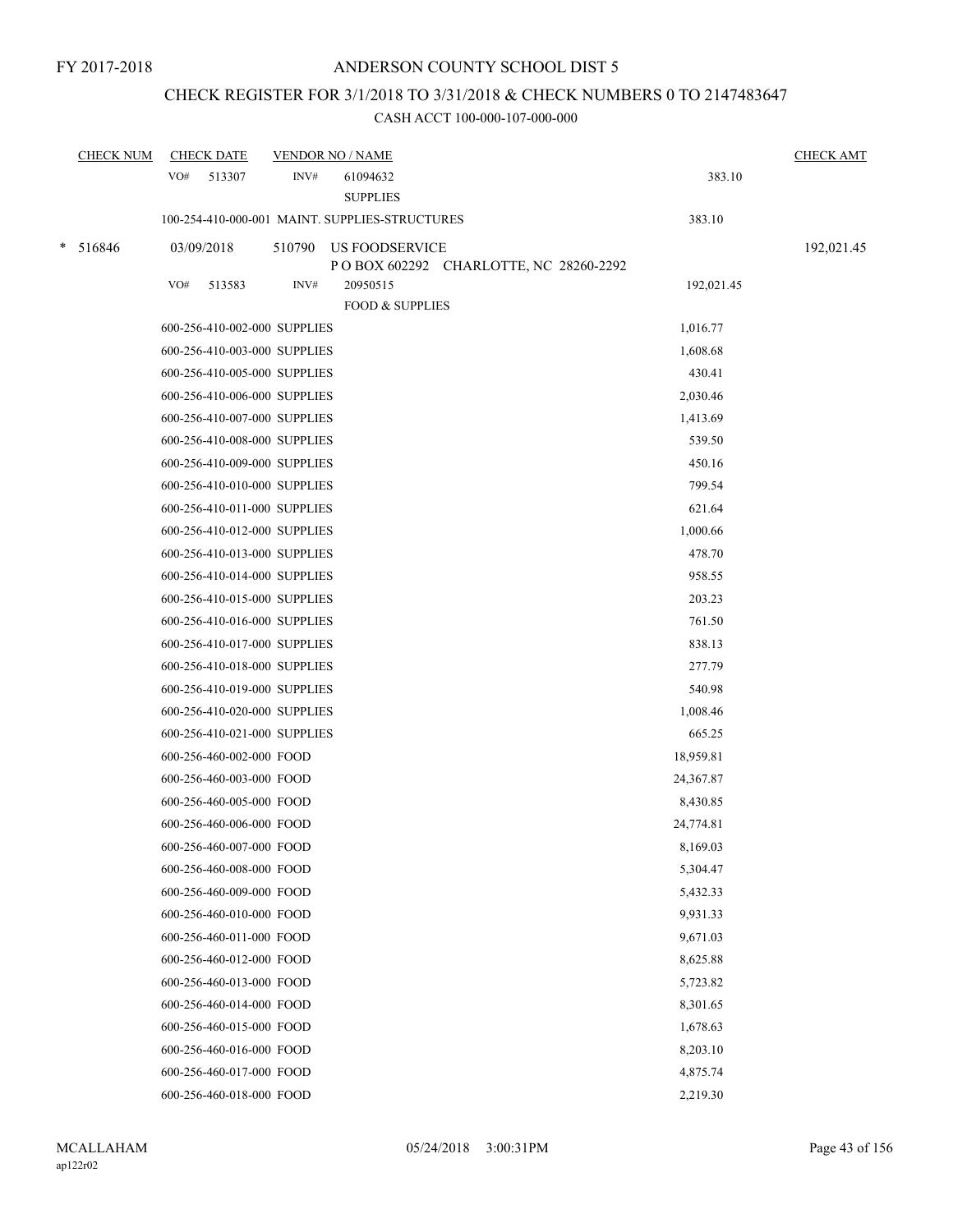### CHECK REGISTER FOR 3/1/2018 TO 3/31/2018 & CHECK NUMBERS 0 TO 2147483647

|        | <b>CHECK NUM</b> | <b>CHECK DATE</b> |                          | <b>VENDOR NO / NAME</b>      |                                                         |            | <b>CHECK AMT</b> |
|--------|------------------|-------------------|--------------------------|------------------------------|---------------------------------------------------------|------------|------------------|
|        |                  | VO#               | 513307                   | INV#                         | 61094632<br><b>SUPPLIES</b>                             | 383.10     |                  |
|        |                  |                   |                          |                              | 100-254-410-000-001 MAINT. SUPPLIES-STRUCTURES          | 383.10     |                  |
| $\ast$ | 516846           | 03/09/2018        |                          | 510790                       | US FOODSERVICE<br>POBOX 602292 CHARLOTTE, NC 28260-2292 |            | 192,021.45       |
|        |                  | VO#               | 513583                   | INV#                         | 20950515<br><b>FOOD &amp; SUPPLIES</b>                  | 192,021.45 |                  |
|        |                  |                   |                          | 600-256-410-002-000 SUPPLIES |                                                         | 1,016.77   |                  |
|        |                  |                   |                          | 600-256-410-003-000 SUPPLIES |                                                         | 1,608.68   |                  |
|        |                  |                   |                          | 600-256-410-005-000 SUPPLIES |                                                         | 430.41     |                  |
|        |                  |                   |                          | 600-256-410-006-000 SUPPLIES |                                                         | 2,030.46   |                  |
|        |                  |                   |                          | 600-256-410-007-000 SUPPLIES |                                                         | 1,413.69   |                  |
|        |                  |                   |                          | 600-256-410-008-000 SUPPLIES |                                                         | 539.50     |                  |
|        |                  |                   |                          | 600-256-410-009-000 SUPPLIES |                                                         | 450.16     |                  |
|        |                  |                   |                          | 600-256-410-010-000 SUPPLIES |                                                         | 799.54     |                  |
|        |                  |                   |                          | 600-256-410-011-000 SUPPLIES |                                                         | 621.64     |                  |
|        |                  |                   |                          | 600-256-410-012-000 SUPPLIES |                                                         | 1,000.66   |                  |
|        |                  |                   |                          | 600-256-410-013-000 SUPPLIES |                                                         | 478.70     |                  |
|        |                  |                   |                          | 600-256-410-014-000 SUPPLIES |                                                         | 958.55     |                  |
|        |                  |                   |                          | 600-256-410-015-000 SUPPLIES |                                                         | 203.23     |                  |
|        |                  |                   |                          | 600-256-410-016-000 SUPPLIES |                                                         | 761.50     |                  |
|        |                  |                   |                          | 600-256-410-017-000 SUPPLIES |                                                         | 838.13     |                  |
|        |                  |                   |                          | 600-256-410-018-000 SUPPLIES |                                                         | 277.79     |                  |
|        |                  |                   |                          | 600-256-410-019-000 SUPPLIES |                                                         | 540.98     |                  |
|        |                  |                   |                          | 600-256-410-020-000 SUPPLIES |                                                         | 1,008.46   |                  |
|        |                  |                   |                          | 600-256-410-021-000 SUPPLIES |                                                         | 665.25     |                  |
|        |                  |                   | 600-256-460-002-000 FOOD |                              |                                                         | 18,959.81  |                  |
|        |                  |                   | 600-256-460-003-000 FOOD |                              |                                                         | 24,367.87  |                  |
|        |                  |                   | 600-256-460-005-000 FOOD |                              |                                                         | 8,430.85   |                  |
|        |                  |                   | 600-256-460-006-000 FOOD |                              |                                                         | 24,774.81  |                  |
|        |                  |                   | 600-256-460-007-000 FOOD |                              |                                                         | 8,169.03   |                  |
|        |                  |                   | 600-256-460-008-000 FOOD |                              |                                                         | 5,304.47   |                  |
|        |                  |                   | 600-256-460-009-000 FOOD |                              |                                                         | 5,432.33   |                  |
|        |                  |                   | 600-256-460-010-000 FOOD |                              |                                                         | 9,931.33   |                  |
|        |                  |                   | 600-256-460-011-000 FOOD |                              |                                                         | 9,671.03   |                  |
|        |                  |                   | 600-256-460-012-000 FOOD |                              |                                                         | 8,625.88   |                  |
|        |                  |                   | 600-256-460-013-000 FOOD |                              |                                                         | 5,723.82   |                  |
|        |                  |                   | 600-256-460-014-000 FOOD |                              |                                                         | 8,301.65   |                  |
|        |                  |                   | 600-256-460-015-000 FOOD |                              |                                                         | 1,678.63   |                  |
|        |                  |                   | 600-256-460-016-000 FOOD |                              |                                                         | 8,203.10   |                  |
|        |                  |                   | 600-256-460-017-000 FOOD |                              |                                                         | 4,875.74   |                  |
|        |                  |                   | 600-256-460-018-000 FOOD |                              |                                                         | 2,219.30   |                  |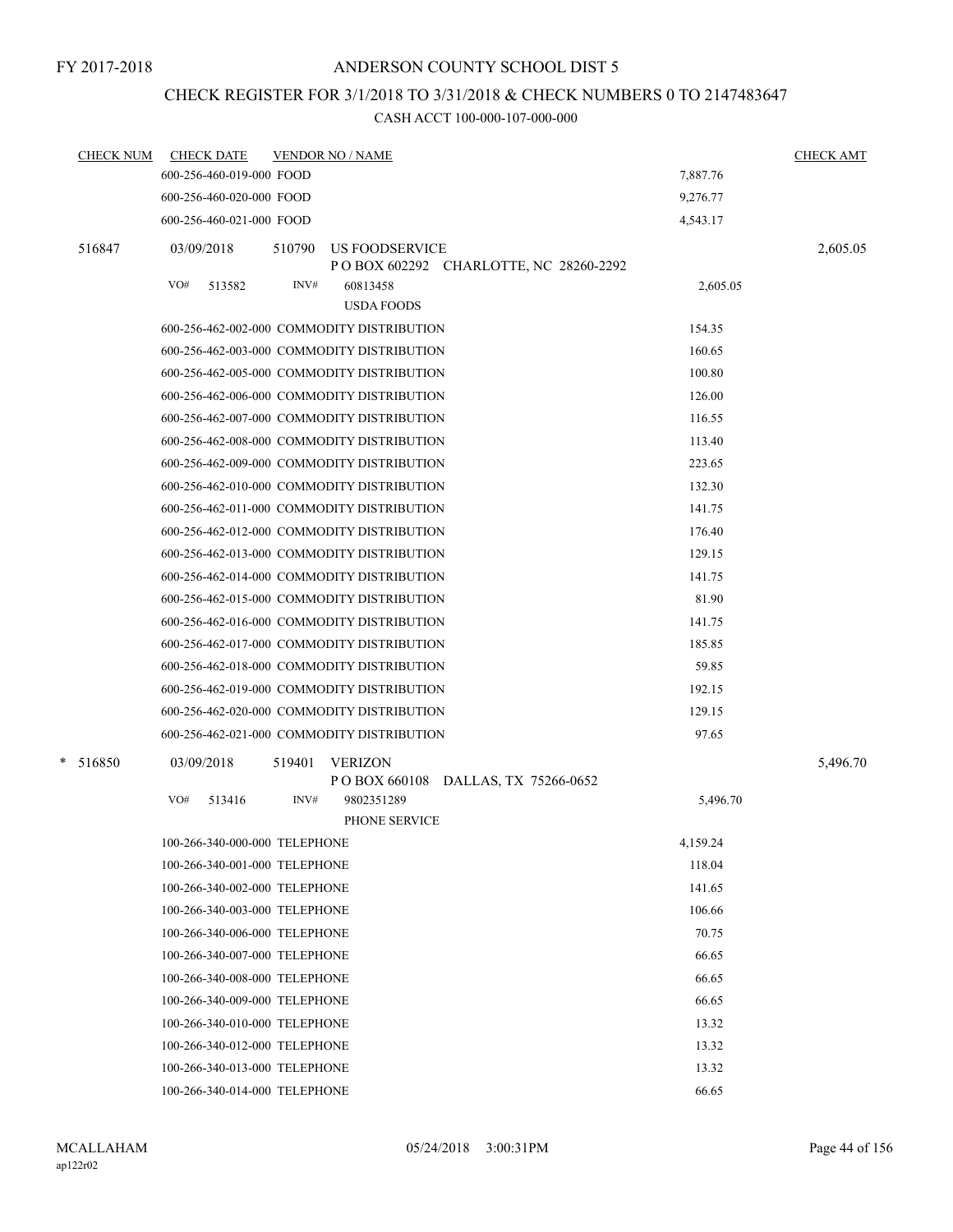## CHECK REGISTER FOR 3/1/2018 TO 3/31/2018 & CHECK NUMBERS 0 TO 2147483647

| <b>CHECK NUM</b> | <b>CHECK DATE</b>             | <b>VENDOR NO / NAME</b>                    |                                         |          | <b>CHECK AMT</b> |
|------------------|-------------------------------|--------------------------------------------|-----------------------------------------|----------|------------------|
|                  | 600-256-460-019-000 FOOD      |                                            |                                         | 7,887.76 |                  |
|                  | 600-256-460-020-000 FOOD      |                                            |                                         | 9,276.77 |                  |
|                  | 600-256-460-021-000 FOOD      |                                            |                                         | 4,543.17 |                  |
| 516847           | 03/09/2018                    | 510790<br>US FOODSERVICE                   | P O BOX 602292 CHARLOTTE, NC 28260-2292 |          | 2,605.05         |
|                  | VO#<br>513582                 | INV#<br>60813458                           |                                         | 2,605.05 |                  |
|                  |                               | <b>USDA FOODS</b>                          |                                         |          |                  |
|                  |                               | 600-256-462-002-000 COMMODITY DISTRIBUTION |                                         | 154.35   |                  |
|                  |                               | 600-256-462-003-000 COMMODITY DISTRIBUTION |                                         | 160.65   |                  |
|                  |                               | 600-256-462-005-000 COMMODITY DISTRIBUTION |                                         | 100.80   |                  |
|                  |                               | 600-256-462-006-000 COMMODITY DISTRIBUTION |                                         | 126.00   |                  |
|                  |                               | 600-256-462-007-000 COMMODITY DISTRIBUTION |                                         | 116.55   |                  |
|                  |                               | 600-256-462-008-000 COMMODITY DISTRIBUTION |                                         | 113.40   |                  |
|                  |                               | 600-256-462-009-000 COMMODITY DISTRIBUTION |                                         | 223.65   |                  |
|                  |                               | 600-256-462-010-000 COMMODITY DISTRIBUTION |                                         | 132.30   |                  |
|                  |                               | 600-256-462-011-000 COMMODITY DISTRIBUTION |                                         | 141.75   |                  |
|                  |                               | 600-256-462-012-000 COMMODITY DISTRIBUTION |                                         | 176.40   |                  |
|                  |                               | 600-256-462-013-000 COMMODITY DISTRIBUTION |                                         | 129.15   |                  |
|                  |                               | 600-256-462-014-000 COMMODITY DISTRIBUTION |                                         | 141.75   |                  |
|                  |                               | 600-256-462-015-000 COMMODITY DISTRIBUTION |                                         | 81.90    |                  |
|                  |                               | 600-256-462-016-000 COMMODITY DISTRIBUTION |                                         | 141.75   |                  |
|                  |                               | 600-256-462-017-000 COMMODITY DISTRIBUTION |                                         | 185.85   |                  |
|                  |                               | 600-256-462-018-000 COMMODITY DISTRIBUTION |                                         | 59.85    |                  |
|                  |                               | 600-256-462-019-000 COMMODITY DISTRIBUTION |                                         | 192.15   |                  |
|                  |                               | 600-256-462-020-000 COMMODITY DISTRIBUTION |                                         | 129.15   |                  |
|                  |                               | 600-256-462-021-000 COMMODITY DISTRIBUTION |                                         | 97.65    |                  |
| $\ast$<br>516850 | 03/09/2018                    | 519401<br><b>VERIZON</b>                   | P O BOX 660108 DALLAS, TX 75266-0652    |          | 5,496.70         |
|                  | VO#<br>513416                 | INV#<br>9802351289                         | PHONE SERVICE                           | 5,496.70 |                  |
|                  | 100-266-340-000-000 TELEPHONE |                                            |                                         | 4,159.24 |                  |
|                  | 100-266-340-001-000 TELEPHONE |                                            |                                         | 118.04   |                  |
|                  | 100-266-340-002-000 TELEPHONE |                                            |                                         | 141.65   |                  |
|                  | 100-266-340-003-000 TELEPHONE |                                            |                                         | 106.66   |                  |
|                  | 100-266-340-006-000 TELEPHONE |                                            |                                         | 70.75    |                  |
|                  | 100-266-340-007-000 TELEPHONE |                                            |                                         | 66.65    |                  |
|                  | 100-266-340-008-000 TELEPHONE |                                            |                                         | 66.65    |                  |
|                  | 100-266-340-009-000 TELEPHONE |                                            |                                         | 66.65    |                  |
|                  | 100-266-340-010-000 TELEPHONE |                                            |                                         | 13.32    |                  |
|                  | 100-266-340-012-000 TELEPHONE |                                            |                                         | 13.32    |                  |
|                  | 100-266-340-013-000 TELEPHONE |                                            |                                         | 13.32    |                  |
|                  | 100-266-340-014-000 TELEPHONE |                                            |                                         | 66.65    |                  |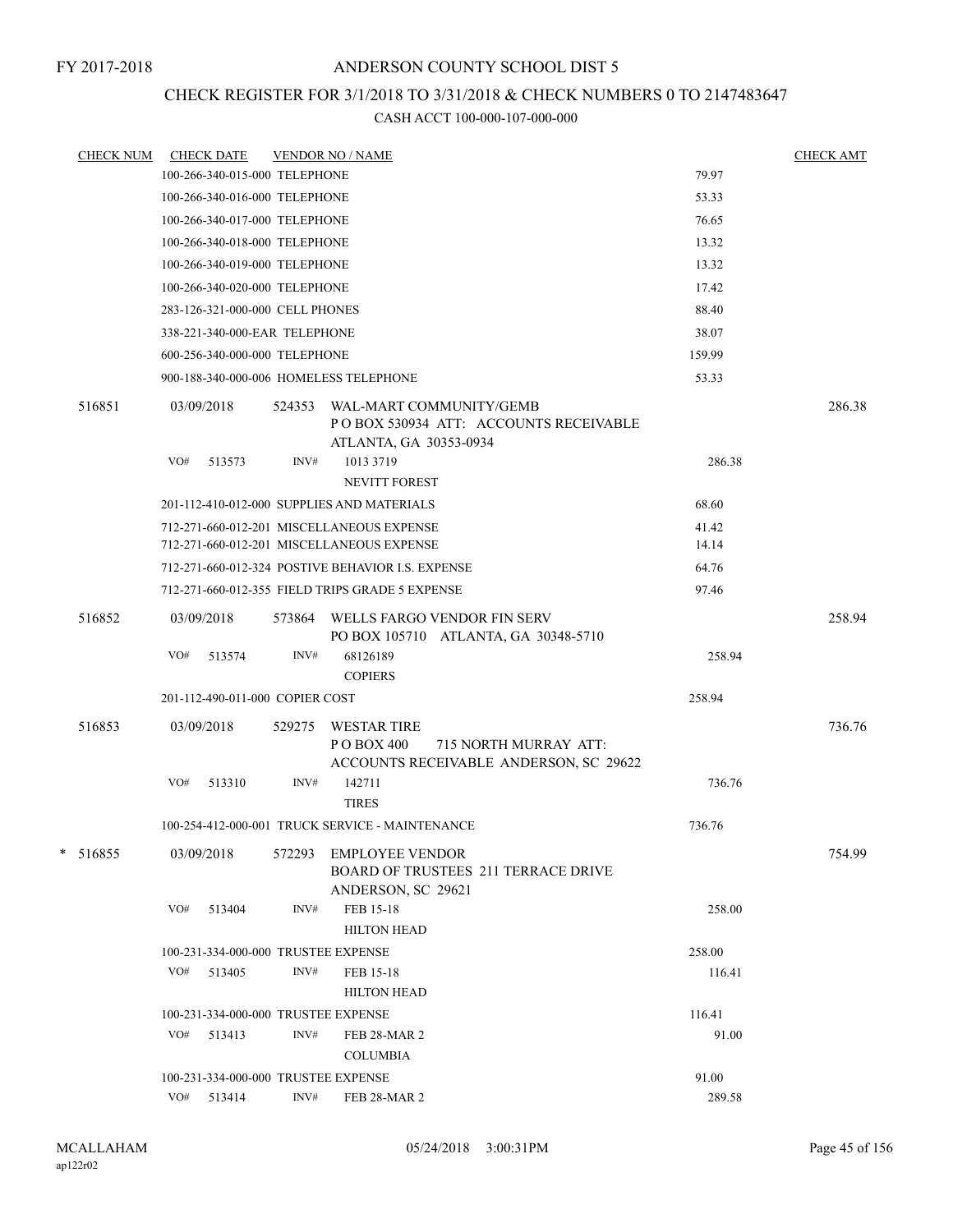### CHECK REGISTER FOR 3/1/2018 TO 3/31/2018 & CHECK NUMBERS 0 TO 2147483647

| <b>CHECK NUM</b> | <b>CHECK DATE</b>                      |        | <b>VENDOR NO / NAME</b>                                                                              |        | <b>CHECK AMT</b> |
|------------------|----------------------------------------|--------|------------------------------------------------------------------------------------------------------|--------|------------------|
|                  | 100-266-340-015-000 TELEPHONE          |        |                                                                                                      | 79.97  |                  |
|                  | 100-266-340-016-000 TELEPHONE          |        |                                                                                                      | 53.33  |                  |
|                  | 100-266-340-017-000 TELEPHONE          |        |                                                                                                      | 76.65  |                  |
|                  | 100-266-340-018-000 TELEPHONE          |        |                                                                                                      | 13.32  |                  |
|                  | 100-266-340-019-000 TELEPHONE          |        |                                                                                                      | 13.32  |                  |
|                  | 100-266-340-020-000 TELEPHONE          |        |                                                                                                      | 17.42  |                  |
|                  | 283-126-321-000-000 CELL PHONES        |        |                                                                                                      | 88.40  |                  |
|                  | 338-221-340-000-EAR TELEPHONE          |        |                                                                                                      | 38.07  |                  |
|                  | 600-256-340-000-000 TELEPHONE          |        |                                                                                                      | 159.99 |                  |
|                  | 900-188-340-000-006 HOMELESS TELEPHONE |        |                                                                                                      | 53.33  |                  |
| 516851           | 03/09/2018                             | 524353 | WAL-MART COMMUNITY/GEMB<br>PO BOX 530934 ATT: ACCOUNTS RECEIVABLE<br>ATLANTA, GA 30353-0934          |        | 286.38           |
|                  | VO#<br>513573                          | INV#   | 1013 3719<br><b>NEVITT FOREST</b>                                                                    | 286.38 |                  |
|                  |                                        |        | 201-112-410-012-000 SUPPLIES AND MATERIALS                                                           | 68.60  |                  |
|                  |                                        |        | 712-271-660-012-201 MISCELLANEOUS EXPENSE                                                            | 41.42  |                  |
|                  |                                        |        | 712-271-660-012-201 MISCELLANEOUS EXPENSE                                                            | 14.14  |                  |
|                  |                                        |        | 712-271-660-012-324 POSTIVE BEHAVIOR I.S. EXPENSE                                                    | 64.76  |                  |
|                  |                                        |        | 712-271-660-012-355 FIELD TRIPS GRADE 5 EXPENSE                                                      | 97.46  |                  |
| 516852           | 03/09/2018                             | 573864 | WELLS FARGO VENDOR FIN SERV<br>PO BOX 105710 ATLANTA, GA 30348-5710                                  |        | 258.94           |
|                  | VO#<br>513574                          | INV#   | 68126189<br><b>COPIERS</b>                                                                           | 258.94 |                  |
|                  | 201-112-490-011-000 COPIER COST        |        |                                                                                                      | 258.94 |                  |
| 516853           | 03/09/2018                             | 529275 | <b>WESTAR TIRE</b><br>P O BOX 400<br>715 NORTH MURRAY ATT:<br>ACCOUNTS RECEIVABLE ANDERSON, SC 29622 |        | 736.76           |
|                  | VO#<br>513310                          | INV#   | 142711<br><b>TIRES</b>                                                                               | 736.76 |                  |
|                  |                                        |        | 100-254-412-000-001 TRUCK SERVICE - MAINTENANCE                                                      | 736.76 |                  |
| *<br>516855      | 03/09/2018                             | 572293 | <b>EMPLOYEE VENDOR</b><br><b>BOARD OF TRUSTEES 211 TERRACE DRIVE</b><br>ANDERSON, SC 29621           |        | 754.99           |
|                  | VO#<br>513404                          | INV#   | FEB 15-18<br><b>HILTON HEAD</b>                                                                      | 258.00 |                  |
|                  | 100-231-334-000-000 TRUSTEE EXPENSE    |        |                                                                                                      | 258.00 |                  |
|                  | VO#<br>513405                          | INV#   | FEB 15-18                                                                                            | 116.41 |                  |
|                  |                                        |        | <b>HILTON HEAD</b>                                                                                   |        |                  |
|                  | 100-231-334-000-000 TRUSTEE EXPENSE    |        |                                                                                                      | 116.41 |                  |
|                  | VO#<br>513413                          | INV#   | <b>FEB 28-MAR 2</b><br><b>COLUMBIA</b>                                                               | 91.00  |                  |
|                  | 100-231-334-000-000 TRUSTEE EXPENSE    |        |                                                                                                      | 91.00  |                  |
|                  | VO# 513414                             | INV#   | FEB 28-MAR 2                                                                                         | 289.58 |                  |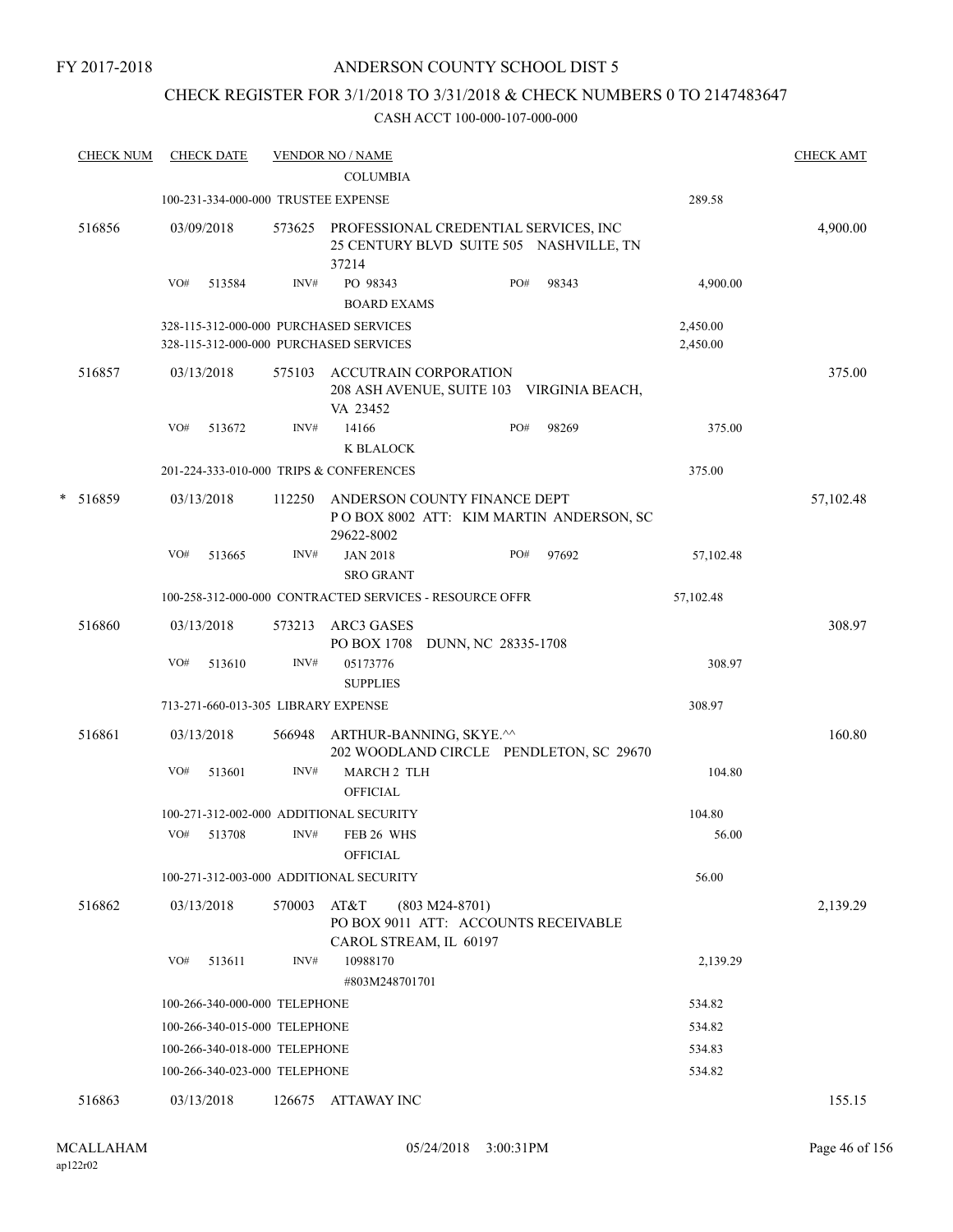### CHECK REGISTER FOR 3/1/2018 TO 3/31/2018 & CHECK NUMBERS 0 TO 2147483647

| <b>CHECK NUM</b> |                  |                                                                                                                                                                                           |                                                                    |                                                                                                                                                                                                                                                                                                                                                                                                                                                                                                                                   |                                                                                               |                                                                                                                                       |                                                                                                                                                  |                                                                                                                                                                            | <b>CHECK AMT</b>                                                                                                                                                |
|------------------|------------------|-------------------------------------------------------------------------------------------------------------------------------------------------------------------------------------------|--------------------------------------------------------------------|-----------------------------------------------------------------------------------------------------------------------------------------------------------------------------------------------------------------------------------------------------------------------------------------------------------------------------------------------------------------------------------------------------------------------------------------------------------------------------------------------------------------------------------|-----------------------------------------------------------------------------------------------|---------------------------------------------------------------------------------------------------------------------------------------|--------------------------------------------------------------------------------------------------------------------------------------------------|----------------------------------------------------------------------------------------------------------------------------------------------------------------------------|-----------------------------------------------------------------------------------------------------------------------------------------------------------------|
|                  |                  |                                                                                                                                                                                           | <b>COLUMBIA</b>                                                    |                                                                                                                                                                                                                                                                                                                                                                                                                                                                                                                                   |                                                                                               |                                                                                                                                       |                                                                                                                                                  |                                                                                                                                                                            |                                                                                                                                                                 |
|                  |                  |                                                                                                                                                                                           |                                                                    |                                                                                                                                                                                                                                                                                                                                                                                                                                                                                                                                   |                                                                                               |                                                                                                                                       |                                                                                                                                                  |                                                                                                                                                                            |                                                                                                                                                                 |
| 516856           |                  |                                                                                                                                                                                           | 37214                                                              |                                                                                                                                                                                                                                                                                                                                                                                                                                                                                                                                   |                                                                                               |                                                                                                                                       |                                                                                                                                                  |                                                                                                                                                                            | 4,900.00                                                                                                                                                        |
|                  | VO#              | INV#                                                                                                                                                                                      | PO 98343                                                           |                                                                                                                                                                                                                                                                                                                                                                                                                                                                                                                                   | PO#                                                                                           | 98343                                                                                                                                 |                                                                                                                                                  |                                                                                                                                                                            |                                                                                                                                                                 |
|                  |                  |                                                                                                                                                                                           |                                                                    |                                                                                                                                                                                                                                                                                                                                                                                                                                                                                                                                   |                                                                                               |                                                                                                                                       |                                                                                                                                                  |                                                                                                                                                                            |                                                                                                                                                                 |
| 516857           |                  |                                                                                                                                                                                           |                                                                    |                                                                                                                                                                                                                                                                                                                                                                                                                                                                                                                                   |                                                                                               |                                                                                                                                       |                                                                                                                                                  |                                                                                                                                                                            | 375.00                                                                                                                                                          |
|                  | VO#              | INV#                                                                                                                                                                                      | 14166                                                              |                                                                                                                                                                                                                                                                                                                                                                                                                                                                                                                                   | PO#                                                                                           | 98269                                                                                                                                 |                                                                                                                                                  | 375.00                                                                                                                                                                     |                                                                                                                                                                 |
|                  |                  |                                                                                                                                                                                           | K BLALOCK                                                          |                                                                                                                                                                                                                                                                                                                                                                                                                                                                                                                                   |                                                                                               |                                                                                                                                       |                                                                                                                                                  |                                                                                                                                                                            |                                                                                                                                                                 |
|                  |                  |                                                                                                                                                                                           |                                                                    |                                                                                                                                                                                                                                                                                                                                                                                                                                                                                                                                   |                                                                                               |                                                                                                                                       |                                                                                                                                                  |                                                                                                                                                                            |                                                                                                                                                                 |
|                  |                  |                                                                                                                                                                                           |                                                                    |                                                                                                                                                                                                                                                                                                                                                                                                                                                                                                                                   |                                                                                               |                                                                                                                                       |                                                                                                                                                  |                                                                                                                                                                            | 57,102.48                                                                                                                                                       |
|                  | VO#              | INV#                                                                                                                                                                                      | <b>JAN 2018</b><br><b>SRO GRANT</b>                                |                                                                                                                                                                                                                                                                                                                                                                                                                                                                                                                                   | PO#                                                                                           | 97692                                                                                                                                 |                                                                                                                                                  |                                                                                                                                                                            |                                                                                                                                                                 |
|                  |                  |                                                                                                                                                                                           |                                                                    |                                                                                                                                                                                                                                                                                                                                                                                                                                                                                                                                   |                                                                                               |                                                                                                                                       |                                                                                                                                                  |                                                                                                                                                                            |                                                                                                                                                                 |
|                  |                  |                                                                                                                                                                                           |                                                                    |                                                                                                                                                                                                                                                                                                                                                                                                                                                                                                                                   |                                                                                               |                                                                                                                                       |                                                                                                                                                  |                                                                                                                                                                            | 308.97                                                                                                                                                          |
|                  |                  |                                                                                                                                                                                           |                                                                    |                                                                                                                                                                                                                                                                                                                                                                                                                                                                                                                                   |                                                                                               |                                                                                                                                       |                                                                                                                                                  |                                                                                                                                                                            |                                                                                                                                                                 |
|                  | VO#              | INV#                                                                                                                                                                                      | 05173776<br><b>SUPPLIES</b>                                        |                                                                                                                                                                                                                                                                                                                                                                                                                                                                                                                                   |                                                                                               |                                                                                                                                       |                                                                                                                                                  | 308.97                                                                                                                                                                     |                                                                                                                                                                 |
|                  |                  |                                                                                                                                                                                           |                                                                    |                                                                                                                                                                                                                                                                                                                                                                                                                                                                                                                                   |                                                                                               |                                                                                                                                       |                                                                                                                                                  |                                                                                                                                                                            |                                                                                                                                                                 |
| 516861           |                  |                                                                                                                                                                                           |                                                                    |                                                                                                                                                                                                                                                                                                                                                                                                                                                                                                                                   |                                                                                               |                                                                                                                                       |                                                                                                                                                  |                                                                                                                                                                            | 160.80                                                                                                                                                          |
|                  | VO#              | INV#                                                                                                                                                                                      |                                                                    |                                                                                                                                                                                                                                                                                                                                                                                                                                                                                                                                   |                                                                                               |                                                                                                                                       |                                                                                                                                                  | 104.80                                                                                                                                                                     |                                                                                                                                                                 |
|                  |                  |                                                                                                                                                                                           |                                                                    |                                                                                                                                                                                                                                                                                                                                                                                                                                                                                                                                   |                                                                                               |                                                                                                                                       |                                                                                                                                                  |                                                                                                                                                                            |                                                                                                                                                                 |
|                  | VO#              | INV#                                                                                                                                                                                      | FEB 26 WHS                                                         |                                                                                                                                                                                                                                                                                                                                                                                                                                                                                                                                   |                                                                                               |                                                                                                                                       |                                                                                                                                                  | 56.00                                                                                                                                                                      |                                                                                                                                                                 |
|                  |                  |                                                                                                                                                                                           | <b>OFFICIAL</b>                                                    |                                                                                                                                                                                                                                                                                                                                                                                                                                                                                                                                   |                                                                                               |                                                                                                                                       |                                                                                                                                                  |                                                                                                                                                                            |                                                                                                                                                                 |
|                  |                  |                                                                                                                                                                                           |                                                                    |                                                                                                                                                                                                                                                                                                                                                                                                                                                                                                                                   |                                                                                               |                                                                                                                                       |                                                                                                                                                  |                                                                                                                                                                            |                                                                                                                                                                 |
| 516862           |                  |                                                                                                                                                                                           |                                                                    |                                                                                                                                                                                                                                                                                                                                                                                                                                                                                                                                   |                                                                                               |                                                                                                                                       |                                                                                                                                                  |                                                                                                                                                                            | 2,139.29                                                                                                                                                        |
|                  | VO#              | INV#                                                                                                                                                                                      | 10988170                                                           |                                                                                                                                                                                                                                                                                                                                                                                                                                                                                                                                   |                                                                                               |                                                                                                                                       |                                                                                                                                                  |                                                                                                                                                                            |                                                                                                                                                                 |
|                  |                  |                                                                                                                                                                                           |                                                                    |                                                                                                                                                                                                                                                                                                                                                                                                                                                                                                                                   |                                                                                               |                                                                                                                                       |                                                                                                                                                  |                                                                                                                                                                            |                                                                                                                                                                 |
|                  |                  |                                                                                                                                                                                           |                                                                    |                                                                                                                                                                                                                                                                                                                                                                                                                                                                                                                                   |                                                                                               |                                                                                                                                       |                                                                                                                                                  |                                                                                                                                                                            |                                                                                                                                                                 |
|                  |                  |                                                                                                                                                                                           |                                                                    |                                                                                                                                                                                                                                                                                                                                                                                                                                                                                                                                   |                                                                                               |                                                                                                                                       |                                                                                                                                                  |                                                                                                                                                                            |                                                                                                                                                                 |
|                  |                  |                                                                                                                                                                                           |                                                                    |                                                                                                                                                                                                                                                                                                                                                                                                                                                                                                                                   |                                                                                               |                                                                                                                                       |                                                                                                                                                  |                                                                                                                                                                            |                                                                                                                                                                 |
| 516863           |                  |                                                                                                                                                                                           |                                                                    |                                                                                                                                                                                                                                                                                                                                                                                                                                                                                                                                   |                                                                                               |                                                                                                                                       |                                                                                                                                                  |                                                                                                                                                                            | 155.15                                                                                                                                                          |
| *                | 516859<br>516860 | <b>CHECK DATE</b><br>03/09/2018<br>513584<br>03/13/2018<br>513672<br>03/13/2018<br>513665<br>03/13/2018<br>513610<br>03/13/2018<br>513601<br>513708<br>03/13/2018<br>513611<br>03/13/2018 | 573625<br>575103<br>112250<br>573213<br>566948<br>570003<br>126675 | <b>VENDOR NO / NAME</b><br>100-231-334-000-000 TRUSTEE EXPENSE<br>328-115-312-000-000 PURCHASED SERVICES<br>328-115-312-000-000 PURCHASED SERVICES<br>VA 23452<br>201-224-333-010-000 TRIPS & CONFERENCES<br>29622-8002<br>ARC3 GASES<br>713-271-660-013-305 LIBRARY EXPENSE<br><b>OFFICIAL</b><br>100-271-312-002-000 ADDITIONAL SECURITY<br>100-271-312-003-000 ADDITIONAL SECURITY<br>AT&T<br>100-266-340-000-000 TELEPHONE<br>100-266-340-015-000 TELEPHONE<br>100-266-340-018-000 TELEPHONE<br>100-266-340-023-000 TELEPHONE | <b>BOARD EXAMS</b><br><b>MARCH 2 TLH</b><br>$(803 M24-8701)$<br>#803M248701701<br>ATTAWAY INC | ACCUTRAIN CORPORATION<br>100-258-312-000-000 CONTRACTED SERVICES - RESOURCE OFFR<br>ARTHUR-BANNING, SKYE.^^<br>CAROL STREAM, IL 60197 | PROFESSIONAL CREDENTIAL SERVICES, INC<br>ANDERSON COUNTY FINANCE DEPT<br>PO BOX 1708 DUNN, NC 28335-1708<br>PO BOX 9011 ATT: ACCOUNTS RECEIVABLE | 25 CENTURY BLVD SUITE 505 NASHVILLE, TN<br>208 ASH AVENUE, SUITE 103 VIRGINIA BEACH,<br>POBOX 8002 ATT: KIM MARTIN ANDERSON, SC<br>202 WOODLAND CIRCLE PENDLETON, SC 29670 | 289.58<br>4,900.00<br>2,450.00<br>2,450.00<br>375.00<br>57,102.48<br>57,102.48<br>308.97<br>104.80<br>56.00<br>2,139.29<br>534.82<br>534.82<br>534.83<br>534.82 |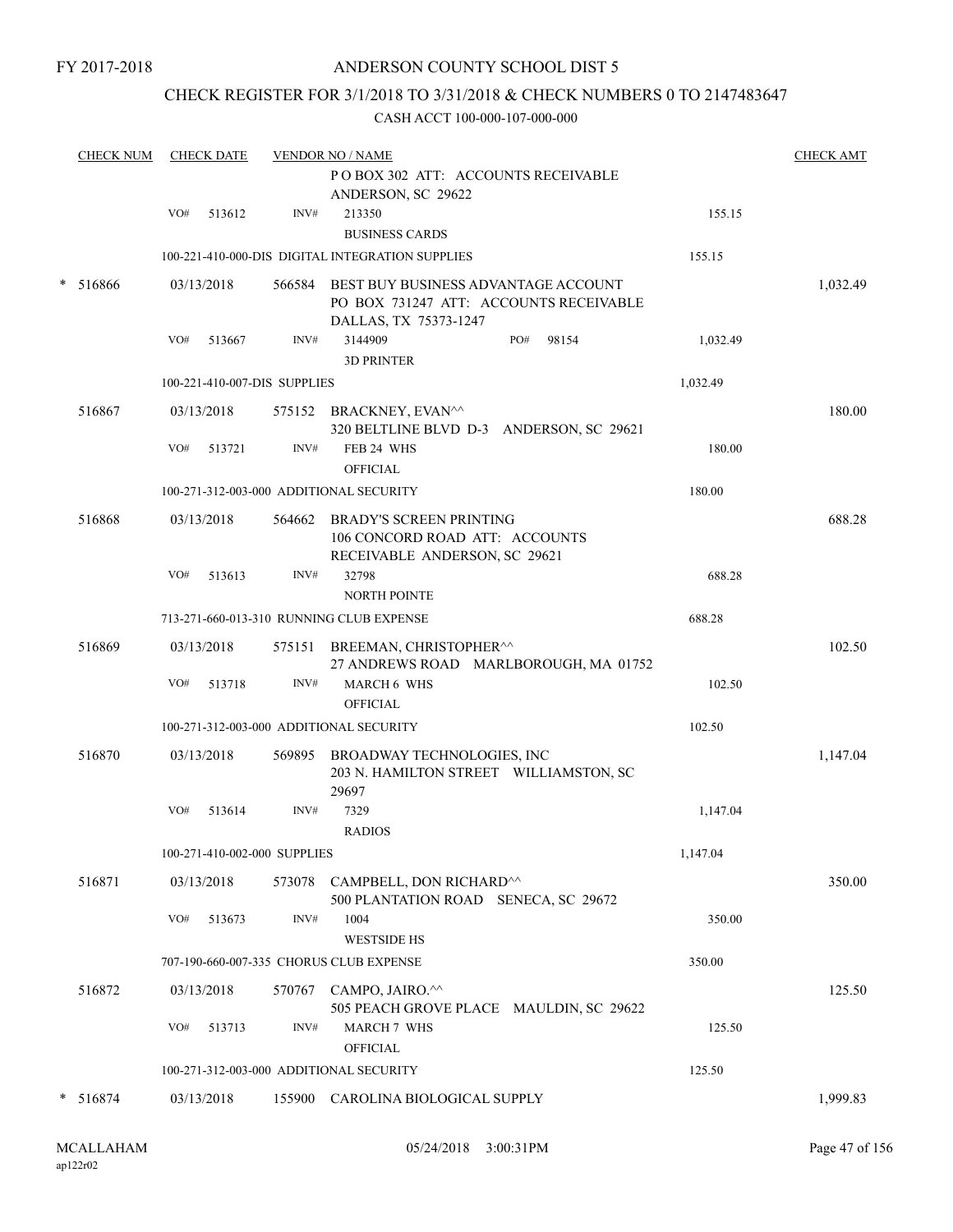### ANDERSON COUNTY SCHOOL DIST 5

### CHECK REGISTER FOR 3/1/2018 TO 3/31/2018 & CHECK NUMBERS 0 TO 2147483647

|        | <b>CHECK NUM</b> |     | <b>CHECK DATE</b> |                              | <b>CHECK AMT</b>                                                                                              |       |          |          |
|--------|------------------|-----|-------------------|------------------------------|---------------------------------------------------------------------------------------------------------------|-------|----------|----------|
|        |                  | VO# | 513612            | INV#                         | ANDERSON, SC 29622<br>213350<br><b>BUSINESS CARDS</b>                                                         |       | 155.15   |          |
|        |                  |     |                   |                              | 100-221-410-000-DIS DIGITAL INTEGRATION SUPPLIES                                                              |       | 155.15   |          |
| $\ast$ | 516866           |     | 03/13/2018        |                              | 566584 BEST BUY BUSINESS ADVANTAGE ACCOUNT<br>PO BOX 731247 ATT: ACCOUNTS RECEIVABLE<br>DALLAS, TX 75373-1247 |       |          | 1,032.49 |
|        |                  | VO# | 513667            | INV#                         | 3144909<br>PO#<br><b>3D PRINTER</b>                                                                           | 98154 | 1,032.49 |          |
|        |                  |     |                   | 100-221-410-007-DIS SUPPLIES |                                                                                                               |       | 1,032.49 |          |
|        | 516867           |     | 03/13/2018        |                              | 575152 BRACKNEY, EVAN^^<br>320 BELTLINE BLVD D-3 ANDERSON, SC 29621                                           |       |          | 180.00   |
|        |                  | VO# | 513721            | INV#                         | FEB 24 WHS<br><b>OFFICIAL</b>                                                                                 |       | 180.00   |          |
|        |                  |     |                   |                              | 100-271-312-003-000 ADDITIONAL SECURITY                                                                       |       | 180.00   |          |
|        | 516868           |     | 03/13/2018        |                              | 564662 BRADY'S SCREEN PRINTING<br>106 CONCORD ROAD ATT: ACCOUNTS<br>RECEIVABLE ANDERSON, SC 29621             |       |          | 688.28   |
|        |                  | VO# | 513613            | INV#                         | 32798<br><b>NORTH POINTE</b>                                                                                  |       | 688.28   |          |
|        |                  |     |                   |                              | 713-271-660-013-310 RUNNING CLUB EXPENSE                                                                      |       | 688.28   |          |
|        | 516869           |     | 03/13/2018        |                              | 575151 BREEMAN, CHRISTOPHER <sup>^^</sup><br>27 ANDREWS ROAD MARLBOROUGH, MA 01752                            |       |          | 102.50   |
|        |                  | VO# | 513718            | INV#                         | <b>MARCH 6 WHS</b><br><b>OFFICIAL</b>                                                                         |       | 102.50   |          |
|        |                  |     |                   |                              | 100-271-312-003-000 ADDITIONAL SECURITY                                                                       |       | 102.50   |          |
|        | 516870           |     | 03/13/2018        |                              | 569895 BROADWAY TECHNOLOGIES, INC<br>203 N. HAMILTON STREET WILLIAMSTON, SC<br>29697                          |       |          | 1,147.04 |
|        |                  | VO# | 513614            | INV#                         | 7329<br><b>RADIOS</b>                                                                                         |       | 1,147.04 |          |
|        |                  |     |                   | 100-271-410-002-000 SUPPLIES |                                                                                                               |       | 1,147.04 |          |
|        | 516871           |     | 03/13/2018        |                              | 573078 CAMPBELL, DON RICHARD^^<br>500 PLANTATION ROAD SENECA, SC 29672                                        |       |          | 350.00   |
|        |                  | VO# | 513673            | INV#                         | 1004<br><b>WESTSIDE HS</b>                                                                                    |       | 350.00   |          |
|        |                  |     |                   |                              | 707-190-660-007-335 CHORUS CLUB EXPENSE                                                                       |       | 350.00   |          |
|        | 516872           |     | 03/13/2018        |                              | 570767 CAMPO, JAIRO.^^<br>505 PEACH GROVE PLACE MAULDIN, SC 29622                                             |       |          | 125.50   |
|        |                  | VO# | 513713            | INV#                         | <b>MARCH 7 WHS</b><br>OFFICIAL                                                                                |       | 125.50   |          |
|        |                  |     |                   |                              | 100-271-312-003-000 ADDITIONAL SECURITY                                                                       |       | 125.50   |          |
|        | * 516874         |     | 03/13/2018        |                              | 155900 CAROLINA BIOLOGICAL SUPPLY                                                                             |       |          | 1,999.83 |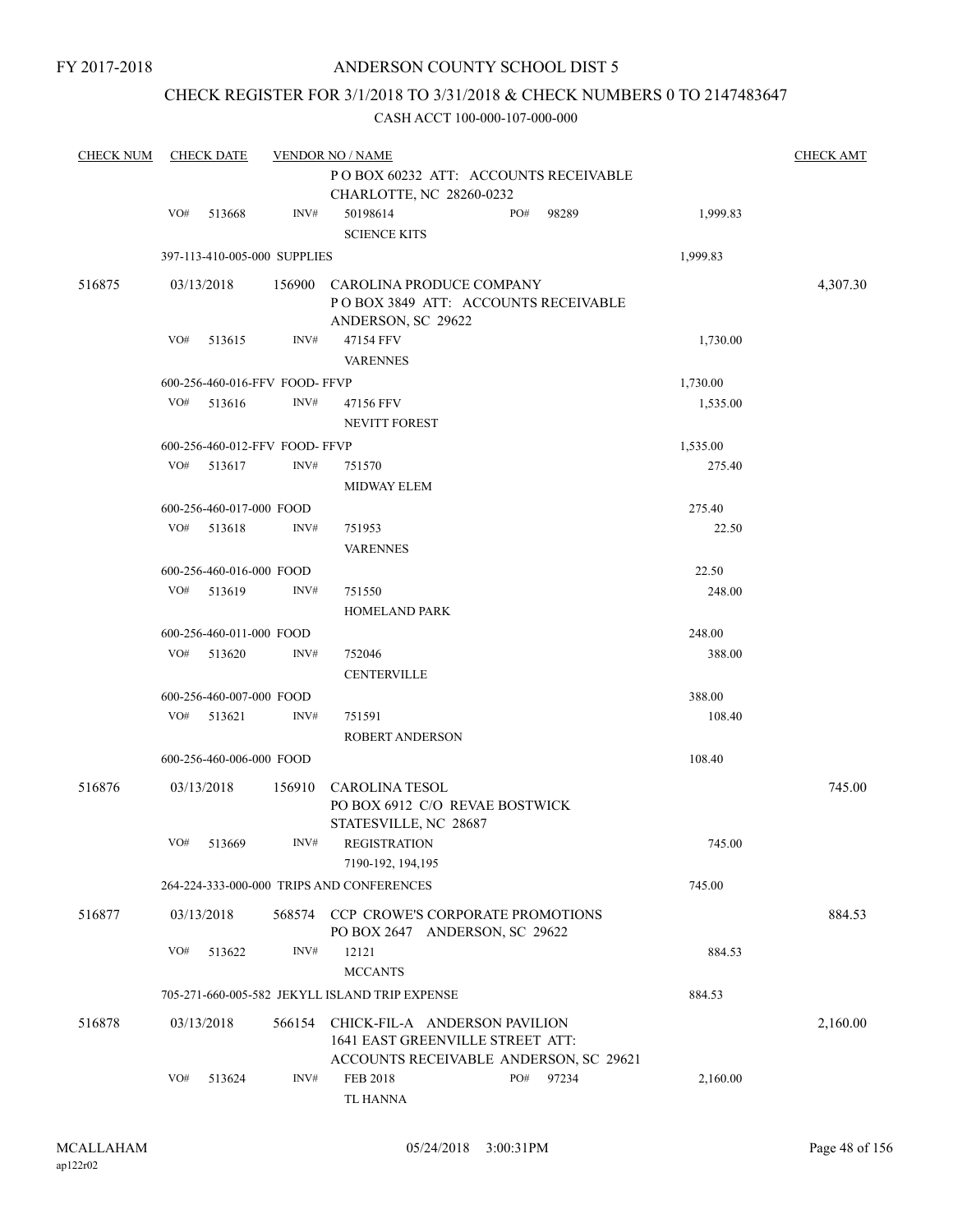### CHECK REGISTER FOR 3/1/2018 TO 3/31/2018 & CHECK NUMBERS 0 TO 2147483647

| <b>CHECK NUM</b> |     | <b>CHECK DATE</b><br><b>VENDOR NO / NAME</b> |        |                                                                                       |  |     |                                        |          |          |  |  |
|------------------|-----|----------------------------------------------|--------|---------------------------------------------------------------------------------------|--|-----|----------------------------------------|----------|----------|--|--|
|                  |     |                                              |        | PO BOX 60232 ATT: ACCOUNTS RECEIVABLE<br>CHARLOTTE, NC 28260-0232                     |  |     |                                        |          |          |  |  |
|                  | VO# | 513668                                       | INV#   | 50198614<br><b>SCIENCE KITS</b>                                                       |  | PO# | 98289                                  | 1,999.83 |          |  |  |
|                  |     | 397-113-410-005-000 SUPPLIES                 |        |                                                                                       |  |     |                                        | 1,999.83 |          |  |  |
| 516875           |     | 03/13/2018                                   | 156900 | CAROLINA PRODUCE COMPANY<br>POBOX 3849 ATT: ACCOUNTS RECEIVABLE<br>ANDERSON, SC 29622 |  |     |                                        |          | 4,307.30 |  |  |
|                  | VO# | 513615                                       | INV#   | 47154 FFV<br><b>VARENNES</b>                                                          |  |     |                                        | 1,730.00 |          |  |  |
|                  |     | 600-256-460-016-FFV FOOD-FFVP                |        |                                                                                       |  |     |                                        | 1,730.00 |          |  |  |
|                  | VO# | 513616                                       | INV#   | 47156 FFV<br><b>NEVITT FOREST</b>                                                     |  |     |                                        | 1,535.00 |          |  |  |
|                  |     | 600-256-460-012-FFV FOOD-FFVP                |        |                                                                                       |  |     |                                        | 1,535.00 |          |  |  |
|                  | VO# | 513617                                       | INV#   | 751570<br><b>MIDWAY ELEM</b>                                                          |  |     |                                        | 275.40   |          |  |  |
|                  |     | 600-256-460-017-000 FOOD                     |        |                                                                                       |  |     |                                        | 275.40   |          |  |  |
|                  | VO# | 513618                                       | INV#   | 751953<br><b>VARENNES</b>                                                             |  |     |                                        | 22.50    |          |  |  |
|                  |     | 600-256-460-016-000 FOOD                     |        |                                                                                       |  |     |                                        | 22.50    |          |  |  |
|                  | VO# | 513619                                       | INV#   | 751550<br><b>HOMELAND PARK</b>                                                        |  |     |                                        | 248.00   |          |  |  |
|                  |     | 600-256-460-011-000 FOOD                     |        |                                                                                       |  |     |                                        | 248.00   |          |  |  |
|                  | VO# | 513620                                       | INV#   | 752046<br><b>CENTERVILLE</b>                                                          |  |     |                                        | 388.00   |          |  |  |
|                  |     | 600-256-460-007-000 FOOD                     |        |                                                                                       |  |     |                                        | 388.00   |          |  |  |
|                  | VO# | 513621                                       | INV#   | 751591<br>ROBERT ANDERSON                                                             |  |     |                                        | 108.40   |          |  |  |
|                  |     | 600-256-460-006-000 FOOD                     |        |                                                                                       |  |     |                                        | 108.40   |          |  |  |
| 516876           |     | 03/13/2018                                   | 156910 | <b>CAROLINA TESOL</b><br>PO BOX 6912 C/O REVAE BOSTWICK<br>STATESVILLE, NC 28687      |  |     |                                        |          | 745.00   |  |  |
|                  | VO# | 513669                                       | INV#   | <b>REGISTRATION</b><br>7190-192, 194, 195                                             |  |     |                                        | 745.00   |          |  |  |
|                  |     |                                              |        | 264-224-333-000-000 TRIPS AND CONFERENCES                                             |  |     |                                        | 745.00   |          |  |  |
| 516877           |     | 03/13/2018                                   |        | 568574 CCP CROWE'S CORPORATE PROMOTIONS<br>PO BOX 2647 ANDERSON, SC 29622             |  |     |                                        |          | 884.53   |  |  |
|                  | VO# | 513622                                       | INV#   | 12121<br><b>MCCANTS</b>                                                               |  |     |                                        | 884.53   |          |  |  |
|                  |     |                                              |        | 705-271-660-005-582 JEKYLL ISLAND TRIP EXPENSE                                        |  |     |                                        | 884.53   |          |  |  |
| 516878           |     | 03/13/2018                                   | 566154 | CHICK-FIL-A ANDERSON PAVILION<br>1641 EAST GREENVILLE STREET ATT:                     |  |     | ACCOUNTS RECEIVABLE ANDERSON, SC 29621 |          | 2,160.00 |  |  |
|                  | VO# | 513624                                       | INV#   | <b>FEB 2018</b><br>TL HANNA                                                           |  | PO# | 97234                                  | 2,160.00 |          |  |  |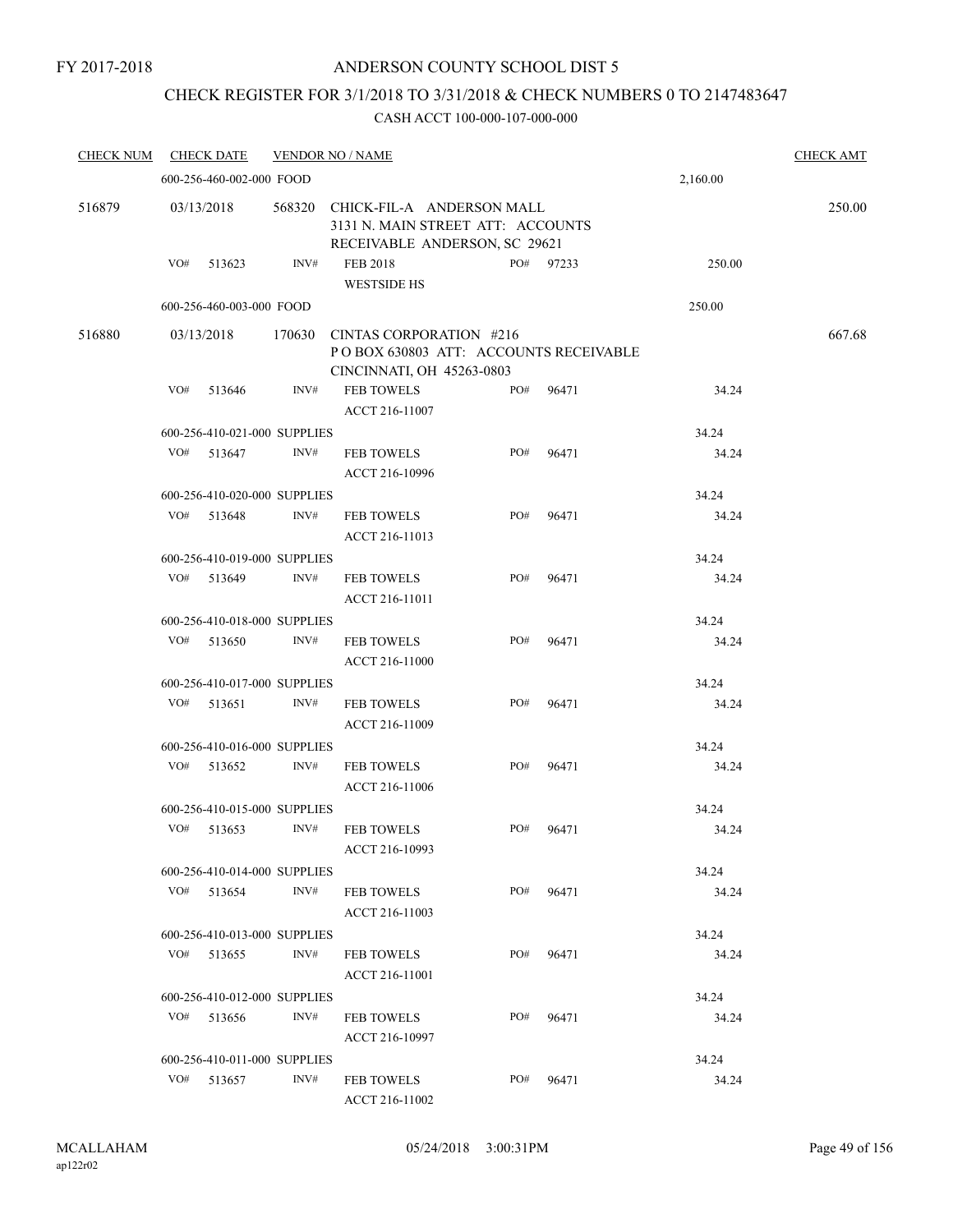#### ANDERSON COUNTY SCHOOL DIST 5

## CHECK REGISTER FOR 3/1/2018 TO 3/31/2018 & CHECK NUMBERS 0 TO 2147483647

| <b>CHECK NUM</b> |            | <b>CHECK DATE</b>            |        | <b>VENDOR NO / NAME</b>                                                                         |     |           |          | <b>CHECK AMT</b> |
|------------------|------------|------------------------------|--------|-------------------------------------------------------------------------------------------------|-----|-----------|----------|------------------|
|                  |            | 600-256-460-002-000 FOOD     |        |                                                                                                 |     |           | 2,160.00 |                  |
| 516879           | 03/13/2018 |                              | 568320 | CHICK-FIL-A ANDERSON MALL<br>3131 N. MAIN STREET ATT: ACCOUNTS<br>RECEIVABLE ANDERSON, SC 29621 |     |           |          | 250.00           |
|                  | VO#        | 513623                       | INV#   | <b>FEB 2018</b><br><b>WESTSIDE HS</b>                                                           |     | PO# 97233 | 250.00   |                  |
|                  |            | 600-256-460-003-000 FOOD     |        |                                                                                                 |     |           | 250.00   |                  |
| 516880           | 03/13/2018 |                              | 170630 | CINTAS CORPORATION #216<br>POBOX 630803 ATT: ACCOUNTS RECEIVABLE<br>CINCINNATI, OH 45263-0803   |     |           |          | 667.68           |
|                  | VO#        | 513646                       | INV#   | <b>FEB TOWELS</b><br>ACCT 216-11007                                                             | PO# | 96471     | 34.24    |                  |
|                  |            | 600-256-410-021-000 SUPPLIES |        |                                                                                                 |     |           | 34.24    |                  |
|                  | VO#        | 513647                       | INV#   | <b>FEB TOWELS</b><br>ACCT 216-10996                                                             | PO# | 96471     | 34.24    |                  |
|                  |            | 600-256-410-020-000 SUPPLIES |        |                                                                                                 |     |           | 34.24    |                  |
|                  | VO#        | 513648                       | INV#   | <b>FEB TOWELS</b><br>ACCT 216-11013                                                             | PO# | 96471     | 34.24    |                  |
|                  |            | 600-256-410-019-000 SUPPLIES |        |                                                                                                 |     |           | 34.24    |                  |
|                  | VO#        | 513649                       | INV#   | <b>FEB TOWELS</b><br>ACCT 216-11011                                                             | PO# | 96471     | 34.24    |                  |
|                  |            | 600-256-410-018-000 SUPPLIES |        |                                                                                                 |     |           | 34.24    |                  |
|                  |            | $VO#$ 513650                 | INV#   | <b>FEB TOWELS</b><br>ACCT 216-11000                                                             | PO# | 96471     | 34.24    |                  |
|                  |            | 600-256-410-017-000 SUPPLIES |        |                                                                                                 |     |           | 34.24    |                  |
|                  | VO#        | 513651                       | INV#   | <b>FEB TOWELS</b><br>ACCT 216-11009                                                             | PO# | 96471     | 34.24    |                  |
|                  |            | 600-256-410-016-000 SUPPLIES |        |                                                                                                 |     |           | 34.24    |                  |
|                  | VO#        | 513652                       | INV#   | <b>FEB TOWELS</b><br>ACCT 216-11006                                                             | PO# | 96471     | 34.24    |                  |
|                  |            | 600-256-410-015-000 SUPPLIES |        |                                                                                                 |     |           | 34.24    |                  |
|                  | VO#        | 513653                       | INV#   | <b>FEB TOWELS</b><br>ACCT 216-10993                                                             | PO# | 96471     | 34.24    |                  |
|                  |            | 600-256-410-014-000 SUPPLIES |        |                                                                                                 |     |           | 34.24    |                  |
|                  |            | $VO#$ 513654                 | INV#   | <b>FEB TOWELS</b><br>ACCT 216-11003                                                             | PO# | 96471     | 34.24    |                  |
|                  |            | 600-256-410-013-000 SUPPLIES |        |                                                                                                 |     |           | 34.24    |                  |
|                  | VO#        | 513655                       | INV#   | <b>FEB TOWELS</b><br>ACCT 216-11001                                                             | PO# | 96471     | 34.24    |                  |
|                  |            | 600-256-410-012-000 SUPPLIES |        |                                                                                                 |     |           | 34.24    |                  |
|                  | VO#        | 513656                       | INV#   | <b>FEB TOWELS</b><br>ACCT 216-10997                                                             | PO# | 96471     | 34.24    |                  |
|                  |            | 600-256-410-011-000 SUPPLIES |        |                                                                                                 |     |           | 34.24    |                  |
|                  |            | VO# 513657                   | INV#   | <b>FEB TOWELS</b><br>ACCT 216-11002                                                             | PO# | 96471     | 34.24    |                  |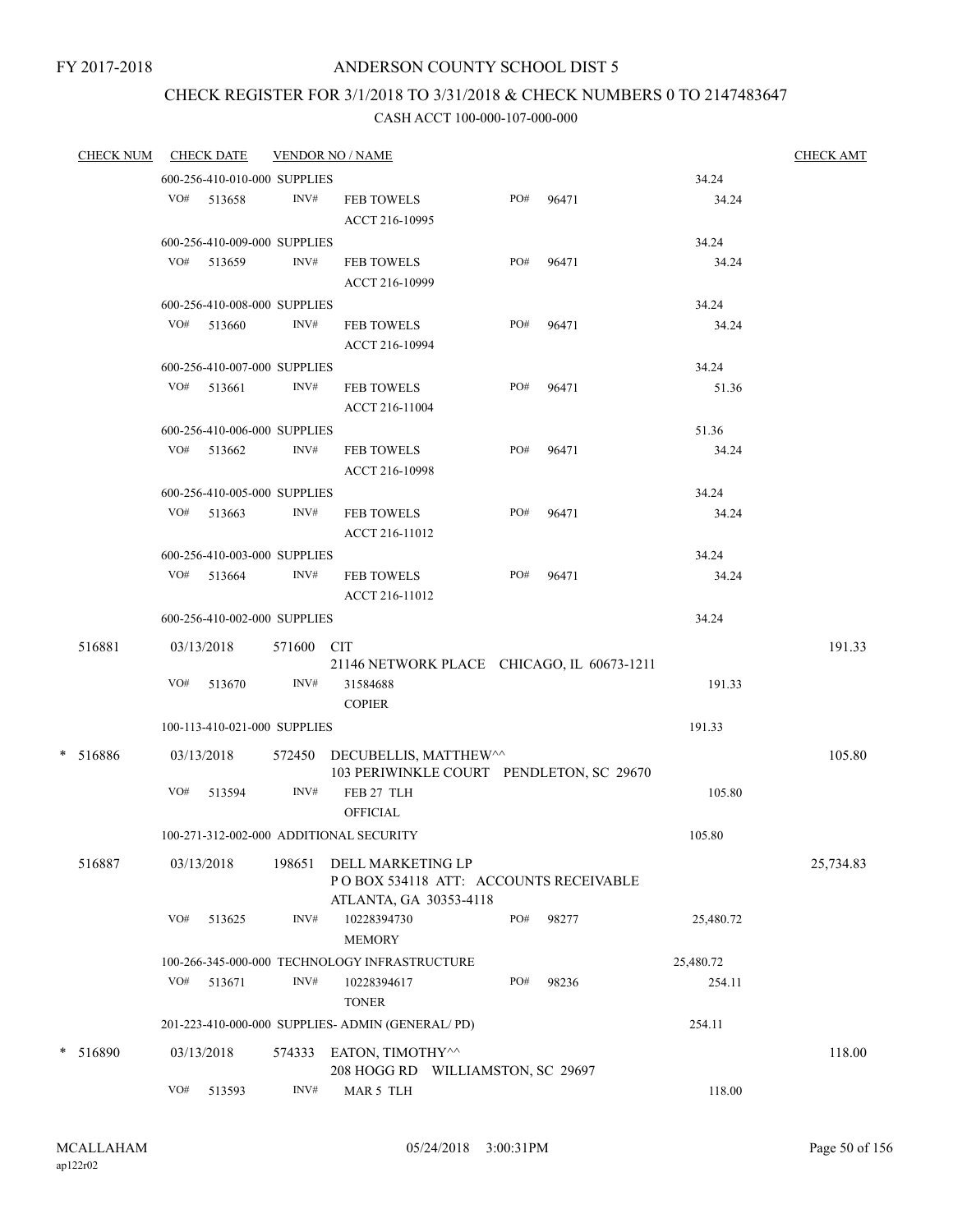# CHECK REGISTER FOR 3/1/2018 TO 3/31/2018 & CHECK NUMBERS 0 TO 2147483647

| <u>CHECK NUM</u> |            | <b>CHECK DATE</b>            |            | <b>VENDOR NO / NAME</b>                                                              |     |       |           | <b>CHECK AMT</b> |
|------------------|------------|------------------------------|------------|--------------------------------------------------------------------------------------|-----|-------|-----------|------------------|
|                  |            | 600-256-410-010-000 SUPPLIES |            |                                                                                      |     |       | 34.24     |                  |
|                  |            | VO# 513658                   | INV#       | <b>FEB TOWELS</b>                                                                    | PO# | 96471 | 34.24     |                  |
|                  |            |                              |            | ACCT 216-10995                                                                       |     |       |           |                  |
|                  |            | 600-256-410-009-000 SUPPLIES |            |                                                                                      |     |       | 34.24     |                  |
|                  |            | VO# 513659                   | INV#       | <b>FEB TOWELS</b>                                                                    | PO# | 96471 | 34.24     |                  |
|                  |            |                              |            | ACCT 216-10999                                                                       |     |       |           |                  |
|                  |            | 600-256-410-008-000 SUPPLIES |            |                                                                                      |     |       | 34.24     |                  |
|                  |            | VO# 513660                   | INV#       | <b>FEB TOWELS</b>                                                                    | PO# | 96471 | 34.24     |                  |
|                  |            |                              |            | ACCT 216-10994                                                                       |     |       |           |                  |
|                  |            | 600-256-410-007-000 SUPPLIES |            |                                                                                      |     |       | 34.24     |                  |
|                  |            | $VO#$ 513661                 | INV#       | <b>FEB TOWELS</b>                                                                    | PO# | 96471 | 51.36     |                  |
|                  |            |                              |            | ACCT 216-11004                                                                       |     |       |           |                  |
|                  |            | 600-256-410-006-000 SUPPLIES |            |                                                                                      |     |       | 51.36     |                  |
|                  |            | VO# 513662                   | INV#       | <b>FEB TOWELS</b><br>ACCT 216-10998                                                  | PO# | 96471 | 34.24     |                  |
|                  |            | 600-256-410-005-000 SUPPLIES |            |                                                                                      |     |       | 34.24     |                  |
|                  |            | VO# 513663                   | INV#       | <b>FEB TOWELS</b><br>ACCT 216-11012                                                  | PO# | 96471 | 34.24     |                  |
|                  |            | 600-256-410-003-000 SUPPLIES |            |                                                                                      |     |       | 34.24     |                  |
|                  |            | $VO#$ 513664                 | INV#       | <b>FEB TOWELS</b><br>ACCT 216-11012                                                  | PO# | 96471 | 34.24     |                  |
|                  |            | 600-256-410-002-000 SUPPLIES |            |                                                                                      |     |       | 34.24     |                  |
| 516881           | 03/13/2018 |                              | 571600 CIT |                                                                                      |     |       |           | 191.33           |
|                  |            |                              |            | 21146 NETWORK PLACE CHICAGO, IL 60673-1211                                           |     |       |           |                  |
|                  | VO#        | 513670                       | INV#       | 31584688                                                                             |     |       | 191.33    |                  |
|                  |            |                              |            | <b>COPIER</b>                                                                        |     |       |           |                  |
|                  |            | 100-113-410-021-000 SUPPLIES |            |                                                                                      |     |       | 191.33    |                  |
| $* 516886$       |            | 03/13/2018                   |            | 572450 DECUBELLIS, MATTHEW^^                                                         |     |       |           | 105.80           |
|                  |            |                              |            | 103 PERIWINKLE COURT PENDLETON, SC 29670                                             |     |       |           |                  |
|                  | VO#        | 513594                       | INV#       | FEB 27 TLH<br><b>OFFICIAL</b>                                                        |     |       | 105.80    |                  |
|                  |            |                              |            | 100-271-312-002-000 ADDITIONAL SECURITY                                              |     |       | 105.80    |                  |
| 516887           | 03/13/2018 |                              | 198651     | DELL MARKETING LP<br>POBOX 534118 ATT: ACCOUNTS RECEIVABLE<br>ATLANTA, GA 30353-4118 |     |       |           | 25,734.83        |
|                  | VO#        | 513625                       | INV#       | 10228394730<br><b>MEMORY</b>                                                         | PO# | 98277 | 25,480.72 |                  |
|                  |            |                              |            | 100-266-345-000-000 TECHNOLOGY INFRASTRUCTURE                                        |     |       | 25,480.72 |                  |
|                  | VO#        | 513671                       | INV#       | 10228394617<br><b>TONER</b>                                                          | PO# | 98236 | 254.11    |                  |
|                  |            |                              |            | 201-223-410-000-000 SUPPLIES- ADMIN (GENERAL/PD)                                     |     |       | 254.11    |                  |
| * 516890         | 03/13/2018 |                              | 574333     | EATON, TIMOTHY^^<br>208 HOGG RD WILLIAMSTON, SC 29697                                |     |       |           | 118.00           |
|                  | VO#        | 513593                       | INV#       | MAR 5 TLH                                                                            |     |       | 118.00    |                  |
|                  |            |                              |            |                                                                                      |     |       |           |                  |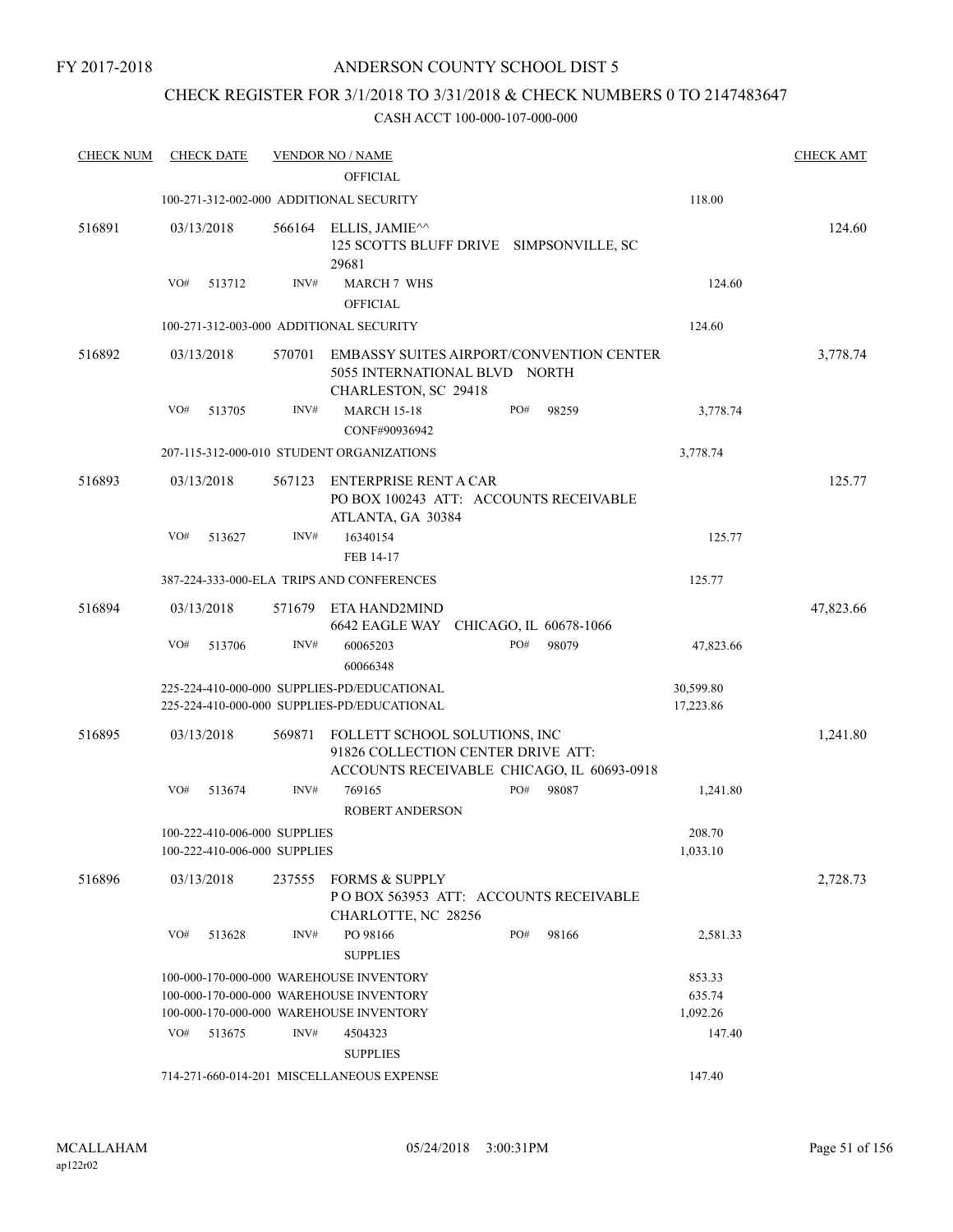### CHECK REGISTER FOR 3/1/2018 TO 3/31/2018 & CHECK NUMBERS 0 TO 2147483647

| <b>CHECK NUM</b> | <b>CHECK DATE</b>                       |        | <b>VENDOR NO / NAME</b>                                                                                  |     |       |           | <b>CHECK AMT</b> |
|------------------|-----------------------------------------|--------|----------------------------------------------------------------------------------------------------------|-----|-------|-----------|------------------|
|                  |                                         |        | <b>OFFICIAL</b>                                                                                          |     |       |           |                  |
|                  | 100-271-312-002-000 ADDITIONAL SECURITY |        |                                                                                                          |     |       | 118.00    |                  |
| 516891           | 03/13/2018                              | 566164 | ELLIS, JAMIE^^<br>125 SCOTTS BLUFF DRIVE SIMPSONVILLE, SC<br>29681                                       |     |       |           | 124.60           |
|                  | VO#<br>513712                           | INV#   | <b>MARCH 7 WHS</b>                                                                                       |     |       | 124.60    |                  |
|                  |                                         |        | <b>OFFICIAL</b>                                                                                          |     |       |           |                  |
|                  | 100-271-312-003-000 ADDITIONAL SECURITY |        |                                                                                                          |     |       | 124.60    |                  |
| 516892           | 03/13/2018                              | 570701 | <b>EMBASSY SUITES AIRPORT/CONVENTION CENTER</b><br>5055 INTERNATIONAL BLVD NORTH<br>CHARLESTON, SC 29418 |     |       |           | 3,778.74         |
|                  | VO#<br>513705                           | INV#   | <b>MARCH 15-18</b><br>CONF#90936942                                                                      | PO# | 98259 | 3,778.74  |                  |
|                  |                                         |        | 207-115-312-000-010 STUDENT ORGANIZATIONS                                                                |     |       | 3,778.74  |                  |
| 516893           | 03/13/2018                              | 567123 | <b>ENTERPRISE RENT A CAR</b>                                                                             |     |       |           | 125.77           |
|                  |                                         |        | PO BOX 100243 ATT: ACCOUNTS RECEIVABLE                                                                   |     |       |           |                  |
|                  |                                         |        | ATLANTA, GA 30384                                                                                        |     |       |           |                  |
|                  | VO#<br>513627                           | INV#   | 16340154<br>FEB 14-17                                                                                    |     |       | 125.77    |                  |
|                  |                                         |        | 387-224-333-000-ELA TRIPS AND CONFERENCES                                                                |     |       | 125.77    |                  |
|                  |                                         |        |                                                                                                          |     |       |           |                  |
| 516894           | 03/13/2018                              | 571679 | ETA HAND2MIND<br>6642 EAGLE WAY CHICAGO, IL 60678-1066                                                   |     |       |           | 47,823.66        |
|                  | VO#<br>513706                           | INV#   | 60065203<br>60066348                                                                                     | PO# | 98079 | 47,823.66 |                  |
|                  |                                         |        | 225-224-410-000-000 SUPPLIES-PD/EDUCATIONAL                                                              |     |       | 30,599.80 |                  |
|                  |                                         |        | 225-224-410-000-000 SUPPLIES-PD/EDUCATIONAL                                                              |     |       | 17,223.86 |                  |
| 516895           | 03/13/2018                              | 569871 | FOLLETT SCHOOL SOLUTIONS, INC<br>91826 COLLECTION CENTER DRIVE ATT:                                      |     |       |           | 1,241.80         |
|                  | VO#<br>513674                           | INV#   | ACCOUNTS RECEIVABLE CHICAGO, IL 60693-0918<br>769165                                                     | PO# | 98087 | 1,241.80  |                  |
|                  |                                         |        | <b>ROBERT ANDERSON</b>                                                                                   |     |       |           |                  |
|                  | 100-222-410-006-000 SUPPLIES            |        |                                                                                                          |     |       | 208.70    |                  |
|                  | 100-222-410-006-000 SUPPLIES            |        |                                                                                                          |     |       | 1,033.10  |                  |
| 516896           | 03/13/2018                              | 237555 | <b>FORMS &amp; SUPPLY</b><br>PO BOX 563953 ATT: ACCOUNTS RECEIVABLE<br>CHARLOTTE, NC 28256               |     |       |           | 2,728.73         |
|                  | VO#<br>513628                           | INV#   | PO 98166<br><b>SUPPLIES</b>                                                                              | PO# | 98166 | 2,581.33  |                  |
|                  |                                         |        | 100-000-170-000-000 WAREHOUSE INVENTORY                                                                  |     |       | 853.33    |                  |
|                  |                                         |        | 100-000-170-000-000 WAREHOUSE INVENTORY                                                                  |     |       | 635.74    |                  |
|                  |                                         |        | 100-000-170-000-000 WAREHOUSE INVENTORY                                                                  |     |       | 1,092.26  |                  |
|                  | VO#<br>513675                           | INV#   | 4504323                                                                                                  |     |       | 147.40    |                  |
|                  |                                         |        | <b>SUPPLIES</b><br>714-271-660-014-201 MISCELLANEOUS EXPENSE                                             |     |       | 147.40    |                  |
|                  |                                         |        |                                                                                                          |     |       |           |                  |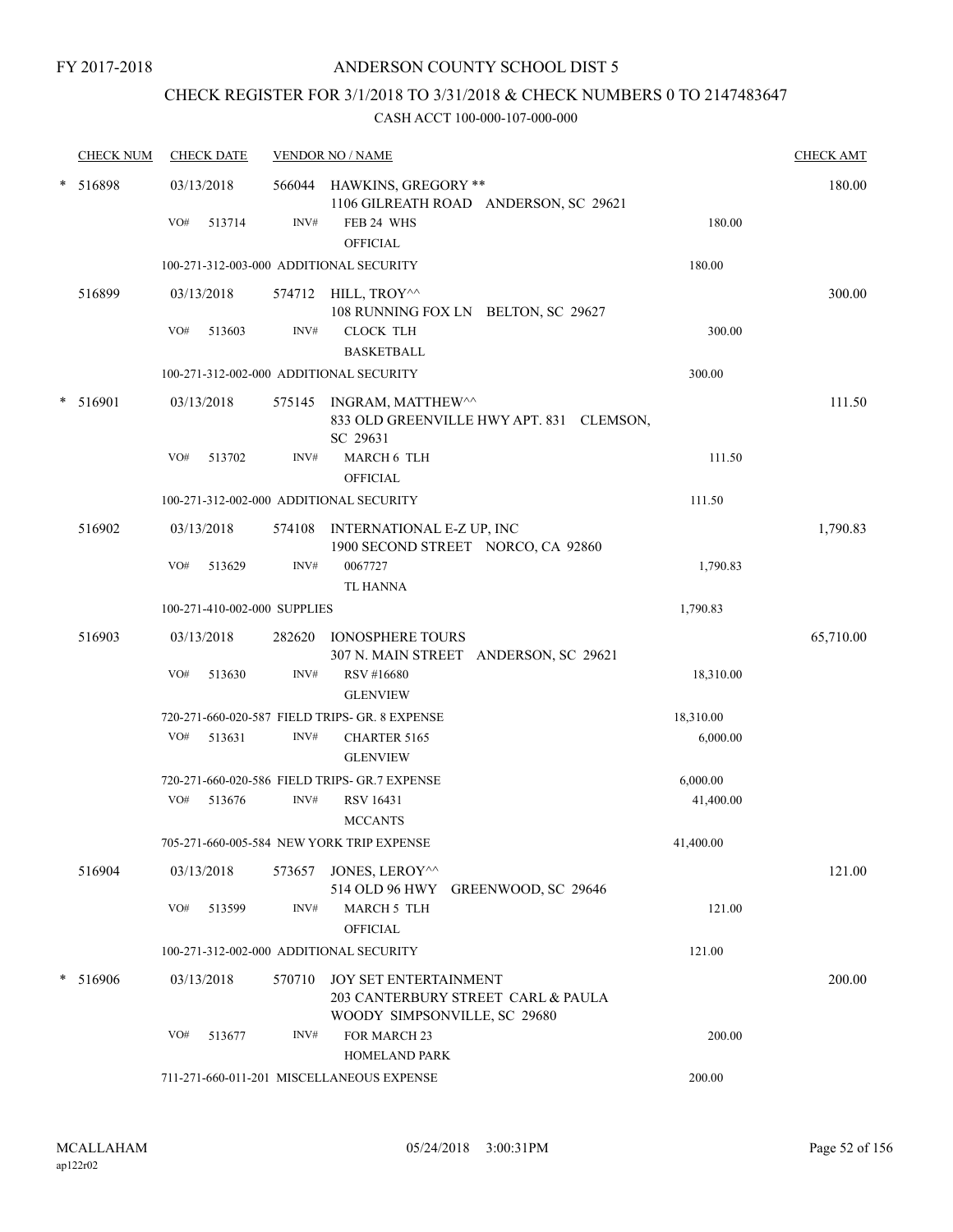## CHECK REGISTER FOR 3/1/2018 TO 3/31/2018 & CHECK NUMBERS 0 TO 2147483647

| <b>CHECK NUM</b> | <b>CHECK DATE</b>                       |        | <b>VENDOR NO / NAME</b>                                                                      |           | <b>CHECK AMT</b> |
|------------------|-----------------------------------------|--------|----------------------------------------------------------------------------------------------|-----------|------------------|
| * 516898         | 03/13/2018                              |        | 566044 HAWKINS, GREGORY **<br>1106 GILREATH ROAD ANDERSON, SC 29621                          |           | 180.00           |
|                  | VO#<br>513714                           | INV#   | FEB 24 WHS<br>OFFICIAL                                                                       | 180.00    |                  |
|                  | 100-271-312-003-000 ADDITIONAL SECURITY |        |                                                                                              | 180.00    |                  |
| 516899           | 03/13/2018                              |        | 574712 HILL, TROY^^<br>108 RUNNING FOX LN BELTON, SC 29627                                   |           | 300.00           |
|                  | VO#<br>513603                           | INV#   | <b>CLOCK TLH</b><br><b>BASKETBALL</b>                                                        | 300.00    |                  |
|                  | 100-271-312-002-000 ADDITIONAL SECURITY |        |                                                                                              | 300.00    |                  |
| $*$ 516901       | 03/13/2018                              |        | 575145 INGRAM, MATTHEW <sup>^^</sup><br>833 OLD GREENVILLE HWY APT. 831 CLEMSON,<br>SC 29631 |           | 111.50           |
|                  | VO#<br>513702                           | INV#   | MARCH 6 TLH<br><b>OFFICIAL</b>                                                               | 111.50    |                  |
|                  | 100-271-312-002-000 ADDITIONAL SECURITY |        |                                                                                              | 111.50    |                  |
| 516902           | 03/13/2018                              |        | 574108 INTERNATIONAL E-Z UP, INC<br>1900 SECOND STREET NORCO, CA 92860                       |           | 1,790.83         |
|                  | VO#<br>513629                           | INV#   | 0067727<br><b>TL HANNA</b>                                                                   | 1,790.83  |                  |
|                  | 100-271-410-002-000 SUPPLIES            |        |                                                                                              | 1,790.83  |                  |
| 516903           | 03/13/2018                              |        | 282620 IONOSPHERE TOURS<br>307 N. MAIN STREET ANDERSON, SC 29621                             |           | 65,710.00        |
|                  | VO#<br>513630                           | INV#   | RSV #16680<br><b>GLENVIEW</b>                                                                | 18,310.00 |                  |
|                  |                                         |        | 720-271-660-020-587 FIELD TRIPS- GR. 8 EXPENSE                                               | 18,310.00 |                  |
|                  | VO#<br>513631                           | INV#   | CHARTER 5165<br><b>GLENVIEW</b>                                                              | 6,000.00  |                  |
|                  |                                         |        | 720-271-660-020-586 FIELD TRIPS- GR.7 EXPENSE                                                | 6,000.00  |                  |
|                  | VO#<br>513676                           | INV#   | RSV 16431<br><b>MCCANTS</b>                                                                  | 41,400.00 |                  |
|                  |                                         |        | 705-271-660-005-584 NEW YORK TRIP EXPENSE                                                    | 41,400.00 |                  |
| 516904           | 03/13/2018                              |        | 573657 JONES, LEROY^^<br>514 OLD 96 HWY GREENWOOD, SC 29646                                  |           | 121.00           |
|                  | VO#<br>513599                           | INV#   | <b>MARCH 5 TLH</b><br><b>OFFICIAL</b>                                                        | 121.00    |                  |
|                  | 100-271-312-002-000 ADDITIONAL SECURITY |        |                                                                                              | 121.00    |                  |
| * 516906         | 03/13/2018                              | 570710 | JOY SET ENTERTAINMENT<br>203 CANTERBURY STREET CARL & PAULA<br>WOODY SIMPSONVILLE, SC 29680  |           | 200.00           |
|                  | VO#<br>513677                           | INV#   | FOR MARCH 23<br><b>HOMELAND PARK</b>                                                         | 200.00    |                  |
|                  |                                         |        | 711-271-660-011-201 MISCELLANEOUS EXPENSE                                                    | 200.00    |                  |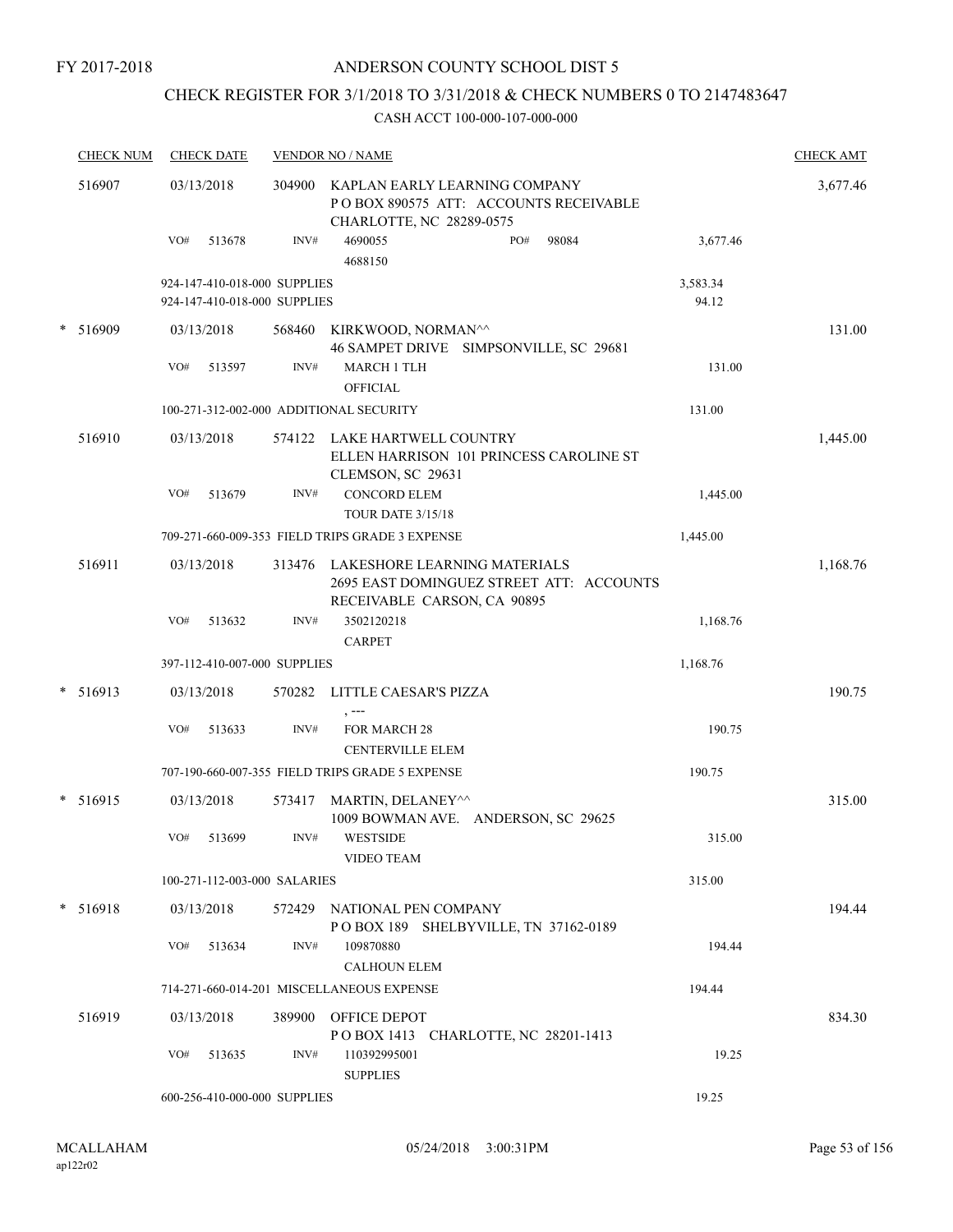### ANDERSON COUNTY SCHOOL DIST 5

## CHECK REGISTER FOR 3/1/2018 TO 3/31/2018 & CHECK NUMBERS 0 TO 2147483647

| <b>CHECK NUM</b> |     | <b>CHECK DATE</b> |                                                              | <b>VENDOR NO / NAME</b>                                                                                 |                   | <b>CHECK AMT</b> |
|------------------|-----|-------------------|--------------------------------------------------------------|---------------------------------------------------------------------------------------------------------|-------------------|------------------|
| 516907           |     | 03/13/2018        | 304900                                                       | KAPLAN EARLY LEARNING COMPANY<br>PO BOX 890575 ATT: ACCOUNTS RECEIVABLE<br>CHARLOTTE, NC 28289-0575     |                   | 3,677.46         |
|                  | VO# | 513678            | INV#                                                         | 4690055<br>PO#<br>98084<br>4688150                                                                      | 3,677.46          |                  |
|                  |     |                   | 924-147-410-018-000 SUPPLIES<br>924-147-410-018-000 SUPPLIES |                                                                                                         | 3,583.34<br>94.12 |                  |
| * 516909         |     | 03/13/2018        | 568460                                                       | KIRKWOOD, NORMAN^^<br>46 SAMPET DRIVE SIMPSONVILLE, SC 29681                                            |                   | 131.00           |
|                  | VO# | 513597            | INV#                                                         | <b>MARCH 1 TLH</b>                                                                                      | 131.00            |                  |
|                  |     |                   |                                                              | <b>OFFICIAL</b>                                                                                         |                   |                  |
|                  |     |                   |                                                              | 100-271-312-002-000 ADDITIONAL SECURITY                                                                 | 131.00            |                  |
| 516910           |     | 03/13/2018        |                                                              | 574122 LAKE HARTWELL COUNTRY<br>ELLEN HARRISON 101 PRINCESS CAROLINE ST<br>CLEMSON, SC 29631            |                   | 1,445.00         |
|                  | VO# | 513679            | INV#                                                         | <b>CONCORD ELEM</b><br><b>TOUR DATE 3/15/18</b>                                                         | 1,445.00          |                  |
|                  |     |                   |                                                              | 709-271-660-009-353 FIELD TRIPS GRADE 3 EXPENSE                                                         | 1,445.00          |                  |
| 516911           |     | 03/13/2018        | 313476                                                       | LAKESHORE LEARNING MATERIALS<br>2695 EAST DOMINGUEZ STREET ATT: ACCOUNTS<br>RECEIVABLE CARSON, CA 90895 |                   | 1,168.76         |
|                  | VO# | 513632            | INV#                                                         | 3502120218<br><b>CARPET</b>                                                                             | 1,168.76          |                  |
|                  |     |                   | 397-112-410-007-000 SUPPLIES                                 |                                                                                                         | 1,168.76          |                  |
| $* 516913$       |     | 03/13/2018        | 570282                                                       | LITTLE CAESAR'S PIZZA<br>, ---                                                                          |                   | 190.75           |
|                  | VO# | 513633            | INV#                                                         | <b>FOR MARCH 28</b><br><b>CENTERVILLE ELEM</b>                                                          | 190.75            |                  |
|                  |     |                   |                                                              | 707-190-660-007-355 FIELD TRIPS GRADE 5 EXPENSE                                                         | 190.75            |                  |
| $* 516915$       |     | 03/13/2018        | 573417                                                       | MARTIN, DELANEY^^<br>1009 BOWMAN AVE. ANDERSON, SC 29625                                                |                   | 315.00           |
|                  | VO# | 513699            | INV#                                                         | <b>WESTSIDE</b><br><b>VIDEO TEAM</b>                                                                    | 315.00            |                  |
|                  |     |                   | 100-271-112-003-000 SALARIES                                 |                                                                                                         | 315.00            |                  |
| * 516918         |     | 03/13/2018        | 572429                                                       | NATIONAL PEN COMPANY<br>POBOX 189 SHELBYVILLE, TN 37162-0189                                            |                   | 194.44           |
|                  | VO# | 513634            | INV#                                                         | 109870880<br><b>CALHOUN ELEM</b>                                                                        | 194.44            |                  |
|                  |     |                   |                                                              | 714-271-660-014-201 MISCELLANEOUS EXPENSE                                                               | 194.44            |                  |
| 516919           |     | 03/13/2018        | 389900                                                       | OFFICE DEPOT<br>POBOX 1413 CHARLOTTE, NC 28201-1413                                                     |                   | 834.30           |
|                  | VO# | 513635            | INV#                                                         | 110392995001<br><b>SUPPLIES</b>                                                                         | 19.25             |                  |
|                  |     |                   | 600-256-410-000-000 SUPPLIES                                 |                                                                                                         | 19.25             |                  |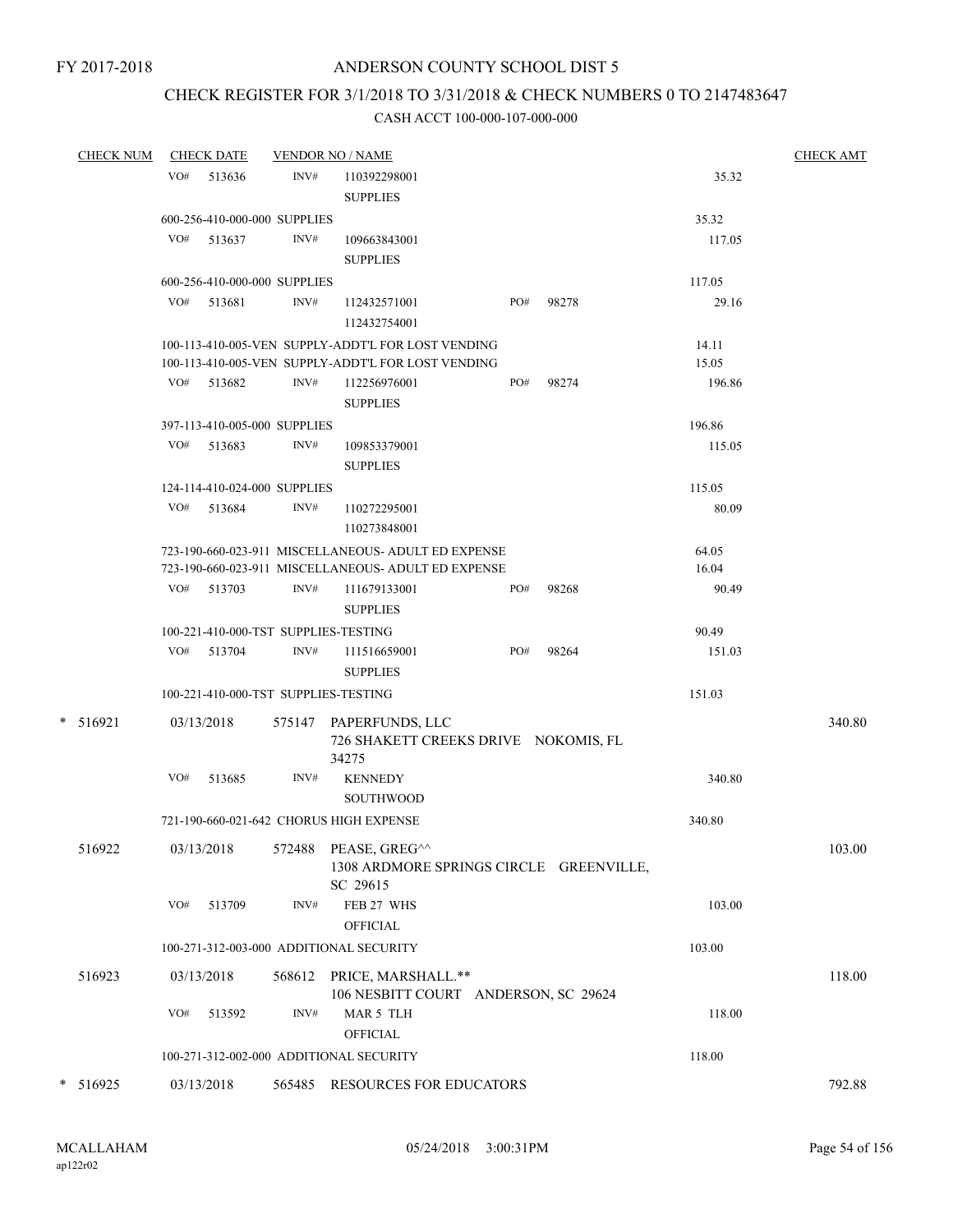### CHECK REGISTER FOR 3/1/2018 TO 3/31/2018 & CHECK NUMBERS 0 TO 2147483647

| <b>CHECK NUM</b> |     | <b>CHECK DATE</b> |                              | <b>VENDOR NO / NAME</b>                                                                                  |     |       |                | <b>CHECK AMT</b> |
|------------------|-----|-------------------|------------------------------|----------------------------------------------------------------------------------------------------------|-----|-------|----------------|------------------|
|                  |     | $VO#$ 513636      | INV#                         | 110392298001<br><b>SUPPLIES</b>                                                                          |     |       | 35.32          |                  |
|                  |     |                   | 600-256-410-000-000 SUPPLIES |                                                                                                          |     |       | 35.32          |                  |
|                  |     | VO# 513637        | INV#                         | 109663843001<br><b>SUPPLIES</b>                                                                          |     |       | 117.05         |                  |
|                  |     |                   | 600-256-410-000-000 SUPPLIES |                                                                                                          |     |       | 117.05         |                  |
|                  |     | VO# 513681        | INV#                         | 112432571001<br>112432754001                                                                             | PO# | 98278 | 29.16          |                  |
|                  |     |                   |                              | 100-113-410-005-VEN SUPPLY-ADDT'L FOR LOST VENDING<br>100-113-410-005-VEN SUPPLY-ADDT'L FOR LOST VENDING |     |       | 14.11<br>15.05 |                  |
|                  |     | VO# 513682        | INV#                         | 112256976001<br><b>SUPPLIES</b>                                                                          | PO# | 98274 | 196.86         |                  |
|                  |     |                   | 397-113-410-005-000 SUPPLIES |                                                                                                          |     |       | 196.86         |                  |
|                  | VO# | 513683            | INV#                         | 109853379001<br><b>SUPPLIES</b>                                                                          |     |       | 115.05         |                  |
|                  |     |                   | 124-114-410-024-000 SUPPLIES |                                                                                                          |     |       | 115.05         |                  |
|                  |     | VO# 513684        | INV#                         | 110272295001<br>110273848001                                                                             |     |       | 80.09          |                  |
|                  |     |                   |                              | 723-190-660-023-911 MISCELLANEOUS- ADULT ED EXPENSE                                                      |     |       | 64.05          |                  |
|                  |     |                   |                              | 723-190-660-023-911 MISCELLANEOUS- ADULT ED EXPENSE                                                      |     |       | 16.04          |                  |
|                  |     | VO# 513703        | INV#                         | 111679133001<br><b>SUPPLIES</b>                                                                          | PO# | 98268 | 90.49          |                  |
|                  |     |                   |                              | 100-221-410-000-TST SUPPLIES-TESTING                                                                     |     |       | 90.49          |                  |
|                  |     | VO# 513704        | INV#                         | 111516659001<br><b>SUPPLIES</b>                                                                          | PO# | 98264 | 151.03         |                  |
|                  |     |                   |                              | 100-221-410-000-TST SUPPLIES-TESTING                                                                     |     |       | 151.03         |                  |
| $* 516921$       |     | 03/13/2018        |                              | 575147 PAPERFUNDS, LLC<br>726 SHAKETT CREEKS DRIVE NOKOMIS, FL<br>34275                                  |     |       |                | 340.80           |
|                  | VO# | 513685            | INV#                         | <b>KENNEDY</b><br><b>SOUTHWOOD</b>                                                                       |     |       | 340.80         |                  |
|                  |     |                   |                              | 721-190-660-021-642 CHORUS HIGH EXPENSE                                                                  |     |       | 340.80         |                  |
| 516922           |     | 03/13/2018        | 572488                       | PEASE, GREG^^<br>1308 ARDMORE SPRINGS CIRCLE GREENVILLE,<br>SC 29615                                     |     |       |                | 103.00           |
|                  | VO# | 513709            | INV#                         | FEB 27 WHS<br><b>OFFICIAL</b>                                                                            |     |       | 103.00         |                  |
|                  |     |                   |                              | 100-271-312-003-000 ADDITIONAL SECURITY                                                                  |     |       | 103.00         |                  |
| 516923           |     | 03/13/2018        |                              | 568612 PRICE, MARSHALL.**<br>106 NESBITT COURT ANDERSON, SC 29624                                        |     |       |                | 118.00           |
|                  | VO# | 513592            | INV#                         | MAR 5 TLH<br><b>OFFICIAL</b>                                                                             |     |       | 118.00         |                  |
|                  |     |                   |                              | 100-271-312-002-000 ADDITIONAL SECURITY                                                                  |     |       | 118.00         |                  |
| $*$ 516925       |     | 03/13/2018        | 565485                       | RESOURCES FOR EDUCATORS                                                                                  |     |       |                | 792.88           |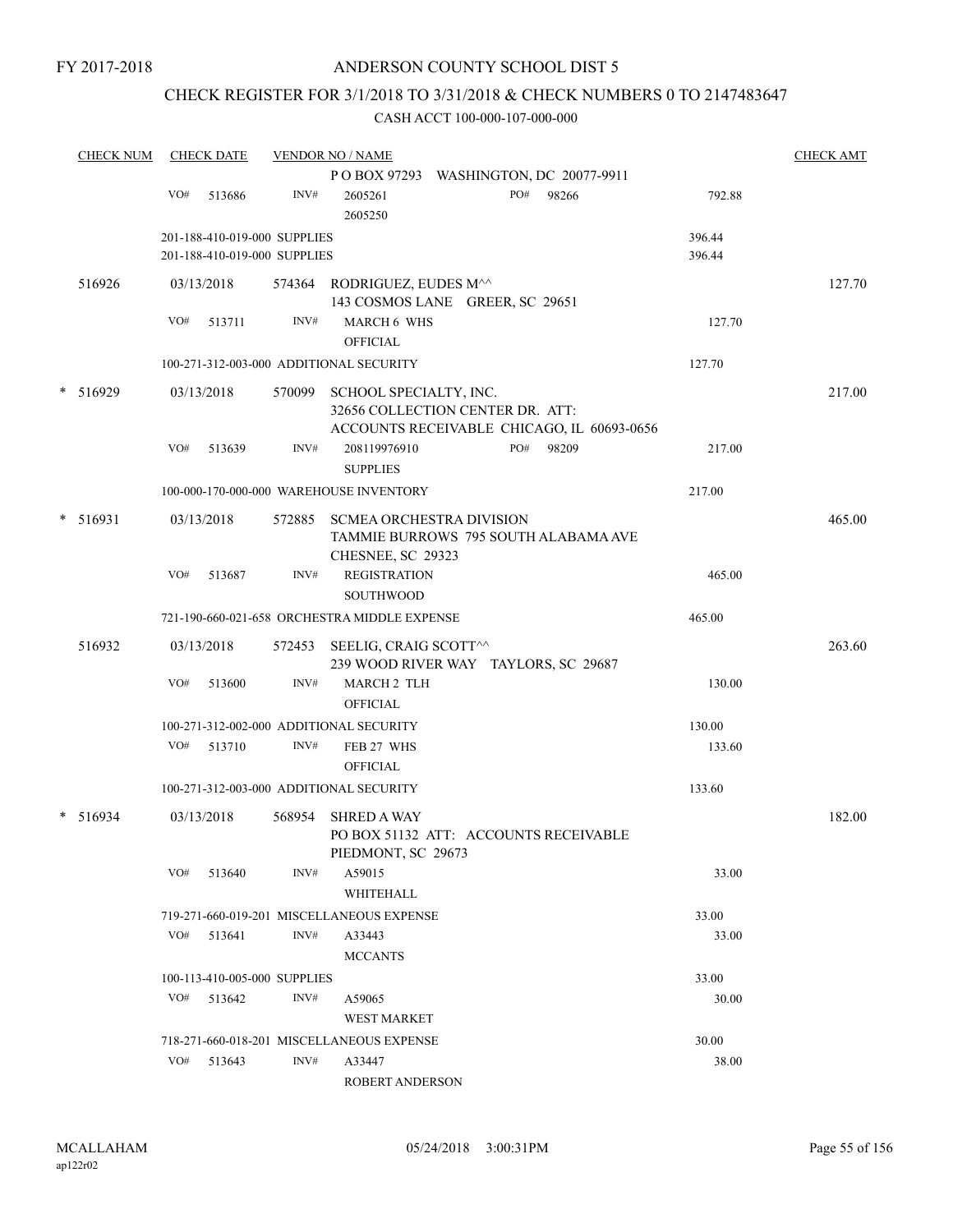### CHECK REGISTER FOR 3/1/2018 TO 3/31/2018 & CHECK NUMBERS 0 TO 2147483647

| <b>CHECK NUM</b> |                                    |        |                                                                                                   |                                 |                                                                                                                                                                                                                                                                                                              |                                                                                                                                                                                                                                                                                                                                                           |                                                                                                                          |                                                                     |                                                                                                                                                                                                                                | <b>CHECK AMT</b>                                                                                                                                                |
|------------------|------------------------------------|--------|---------------------------------------------------------------------------------------------------|---------------------------------|--------------------------------------------------------------------------------------------------------------------------------------------------------------------------------------------------------------------------------------------------------------------------------------------------------------|-----------------------------------------------------------------------------------------------------------------------------------------------------------------------------------------------------------------------------------------------------------------------------------------------------------------------------------------------------------|--------------------------------------------------------------------------------------------------------------------------|---------------------------------------------------------------------|--------------------------------------------------------------------------------------------------------------------------------------------------------------------------------------------------------------------------------|-----------------------------------------------------------------------------------------------------------------------------------------------------------------|
|                  |                                    |        |                                                                                                   |                                 |                                                                                                                                                                                                                                                                                                              |                                                                                                                                                                                                                                                                                                                                                           |                                                                                                                          |                                                                     |                                                                                                                                                                                                                                |                                                                                                                                                                 |
|                  | VO#                                | 513686 | INV#                                                                                              | 2605261<br>2605250              |                                                                                                                                                                                                                                                                                                              | PO#                                                                                                                                                                                                                                                                                                                                                       | 98266                                                                                                                    |                                                                     |                                                                                                                                                                                                                                |                                                                                                                                                                 |
|                  |                                    |        |                                                                                                   |                                 |                                                                                                                                                                                                                                                                                                              |                                                                                                                                                                                                                                                                                                                                                           |                                                                                                                          |                                                                     |                                                                                                                                                                                                                                |                                                                                                                                                                 |
|                  |                                    |        |                                                                                                   |                                 |                                                                                                                                                                                                                                                                                                              |                                                                                                                                                                                                                                                                                                                                                           |                                                                                                                          |                                                                     |                                                                                                                                                                                                                                |                                                                                                                                                                 |
| 516926           |                                    |        |                                                                                                   |                                 |                                                                                                                                                                                                                                                                                                              |                                                                                                                                                                                                                                                                                                                                                           |                                                                                                                          |                                                                     |                                                                                                                                                                                                                                | 127.70                                                                                                                                                          |
|                  | VO#                                | 513711 | INV#                                                                                              | <b>OFFICIAL</b>                 |                                                                                                                                                                                                                                                                                                              |                                                                                                                                                                                                                                                                                                                                                           |                                                                                                                          |                                                                     |                                                                                                                                                                                                                                |                                                                                                                                                                 |
|                  |                                    |        |                                                                                                   |                                 |                                                                                                                                                                                                                                                                                                              |                                                                                                                                                                                                                                                                                                                                                           |                                                                                                                          |                                                                     |                                                                                                                                                                                                                                |                                                                                                                                                                 |
|                  |                                    |        |                                                                                                   |                                 |                                                                                                                                                                                                                                                                                                              |                                                                                                                                                                                                                                                                                                                                                           |                                                                                                                          |                                                                     |                                                                                                                                                                                                                                | 217.00                                                                                                                                                          |
|                  | VO#                                | 513639 | INV#                                                                                              | 208119976910<br><b>SUPPLIES</b> |                                                                                                                                                                                                                                                                                                              | PO#                                                                                                                                                                                                                                                                                                                                                       | 98209                                                                                                                    |                                                                     |                                                                                                                                                                                                                                |                                                                                                                                                                 |
|                  |                                    |        |                                                                                                   |                                 |                                                                                                                                                                                                                                                                                                              |                                                                                                                                                                                                                                                                                                                                                           |                                                                                                                          |                                                                     |                                                                                                                                                                                                                                |                                                                                                                                                                 |
|                  |                                    |        |                                                                                                   |                                 |                                                                                                                                                                                                                                                                                                              |                                                                                                                                                                                                                                                                                                                                                           |                                                                                                                          |                                                                     |                                                                                                                                                                                                                                | 465.00                                                                                                                                                          |
|                  | VO#                                | 513687 | INV#                                                                                              | <b>SOUTHWOOD</b>                |                                                                                                                                                                                                                                                                                                              |                                                                                                                                                                                                                                                                                                                                                           |                                                                                                                          |                                                                     |                                                                                                                                                                                                                                |                                                                                                                                                                 |
|                  |                                    |        |                                                                                                   |                                 |                                                                                                                                                                                                                                                                                                              |                                                                                                                                                                                                                                                                                                                                                           |                                                                                                                          |                                                                     |                                                                                                                                                                                                                                |                                                                                                                                                                 |
| 516932           |                                    |        |                                                                                                   |                                 |                                                                                                                                                                                                                                                                                                              |                                                                                                                                                                                                                                                                                                                                                           |                                                                                                                          |                                                                     |                                                                                                                                                                                                                                | 263.60                                                                                                                                                          |
|                  | VO#                                | 513600 | INV#                                                                                              | <b>OFFICIAL</b>                 |                                                                                                                                                                                                                                                                                                              |                                                                                                                                                                                                                                                                                                                                                           |                                                                                                                          |                                                                     |                                                                                                                                                                                                                                |                                                                                                                                                                 |
|                  |                                    |        |                                                                                                   |                                 |                                                                                                                                                                                                                                                                                                              |                                                                                                                                                                                                                                                                                                                                                           |                                                                                                                          |                                                                     |                                                                                                                                                                                                                                |                                                                                                                                                                 |
|                  | VO#                                | 513710 | INV#                                                                                              | FEB 27 WHS                      |                                                                                                                                                                                                                                                                                                              |                                                                                                                                                                                                                                                                                                                                                           |                                                                                                                          |                                                                     |                                                                                                                                                                                                                                |                                                                                                                                                                 |
|                  |                                    |        |                                                                                                   |                                 |                                                                                                                                                                                                                                                                                                              |                                                                                                                                                                                                                                                                                                                                                           |                                                                                                                          |                                                                     |                                                                                                                                                                                                                                |                                                                                                                                                                 |
|                  |                                    |        | 568954                                                                                            | <b>SHRED A WAY</b>              |                                                                                                                                                                                                                                                                                                              |                                                                                                                                                                                                                                                                                                                                                           |                                                                                                                          |                                                                     |                                                                                                                                                                                                                                | 182.00                                                                                                                                                          |
|                  | VO#                                | 513640 | INV#                                                                                              | A59015                          |                                                                                                                                                                                                                                                                                                              |                                                                                                                                                                                                                                                                                                                                                           |                                                                                                                          |                                                                     |                                                                                                                                                                                                                                |                                                                                                                                                                 |
|                  |                                    |        |                                                                                                   |                                 |                                                                                                                                                                                                                                                                                                              |                                                                                                                                                                                                                                                                                                                                                           |                                                                                                                          |                                                                     |                                                                                                                                                                                                                                |                                                                                                                                                                 |
|                  |                                    |        |                                                                                                   |                                 |                                                                                                                                                                                                                                                                                                              |                                                                                                                                                                                                                                                                                                                                                           |                                                                                                                          |                                                                     |                                                                                                                                                                                                                                |                                                                                                                                                                 |
|                  |                                    |        |                                                                                                   | <b>MCCANTS</b>                  |                                                                                                                                                                                                                                                                                                              |                                                                                                                                                                                                                                                                                                                                                           |                                                                                                                          |                                                                     |                                                                                                                                                                                                                                |                                                                                                                                                                 |
|                  |                                    |        |                                                                                                   |                                 |                                                                                                                                                                                                                                                                                                              |                                                                                                                                                                                                                                                                                                                                                           |                                                                                                                          |                                                                     |                                                                                                                                                                                                                                |                                                                                                                                                                 |
|                  | VO#                                | 513642 | INV#                                                                                              | A59065                          |                                                                                                                                                                                                                                                                                                              |                                                                                                                                                                                                                                                                                                                                                           |                                                                                                                          |                                                                     |                                                                                                                                                                                                                                |                                                                                                                                                                 |
|                  |                                    |        |                                                                                                   |                                 |                                                                                                                                                                                                                                                                                                              |                                                                                                                                                                                                                                                                                                                                                           |                                                                                                                          |                                                                     |                                                                                                                                                                                                                                |                                                                                                                                                                 |
|                  |                                    |        |                                                                                                   |                                 |                                                                                                                                                                                                                                                                                                              |                                                                                                                                                                                                                                                                                                                                                           |                                                                                                                          |                                                                     |                                                                                                                                                                                                                                |                                                                                                                                                                 |
|                  | VO#                                | 513643 | INV#                                                                                              | A33447                          |                                                                                                                                                                                                                                                                                                              |                                                                                                                                                                                                                                                                                                                                                           |                                                                                                                          |                                                                     |                                                                                                                                                                                                                                |                                                                                                                                                                 |
|                  | * 516929<br>$* 516931$<br>* 516934 | VO#    | <b>CHECK DATE</b><br>03/13/2018<br>03/13/2018<br>03/13/2018<br>03/13/2018<br>03/13/2018<br>513641 | INV#                            | <b>VENDOR NO / NAME</b><br>201-188-410-019-000 SUPPLIES<br>201-188-410-019-000 SUPPLIES<br>100-271-312-003-000 ADDITIONAL SECURITY<br>572453<br>100-271-312-002-000 ADDITIONAL SECURITY<br><b>OFFICIAL</b><br>100-271-312-003-000 ADDITIONAL SECURITY<br>WHITEHALL<br>A33443<br>100-113-410-005-000 SUPPLIES | P O BOX 97293<br><b>MARCH 6 WHS</b><br>100-000-170-000-000 WAREHOUSE INVENTORY<br>CHESNEE, SC 29323<br><b>REGISTRATION</b><br>721-190-660-021-658 ORCHESTRA MIDDLE EXPENSE<br><b>MARCH 2 TLH</b><br>PIEDMONT, SC 29673<br>719-271-660-019-201 MISCELLANEOUS EXPENSE<br><b>WEST MARKET</b><br>718-271-660-018-201 MISCELLANEOUS EXPENSE<br>ROBERT ANDERSON | 574364 RODRIGUEZ, EUDES M^^<br>570099 SCHOOL SPECIALTY, INC.<br>572885 SCMEA ORCHESTRA DIVISION<br>SEELIG, CRAIG SCOTT^^ | 143 COSMOS LANE GREER, SC 29651<br>32656 COLLECTION CENTER DR. ATT: | WASHINGTON, DC 20077-9911<br>396.44<br>396.44<br>ACCOUNTS RECEIVABLE CHICAGO, IL 60693-0656<br>217.00<br>TAMMIE BURROWS 795 SOUTH ALABAMA AVE<br>239 WOOD RIVER WAY TAYLORS, SC 29687<br>PO BOX 51132 ATT: ACCOUNTS RECEIVABLE | 792.88<br>127.70<br>127.70<br>217.00<br>465.00<br>465.00<br>130.00<br>130.00<br>133.60<br>133.60<br>33.00<br>33.00<br>33.00<br>33.00<br>30.00<br>30.00<br>38.00 |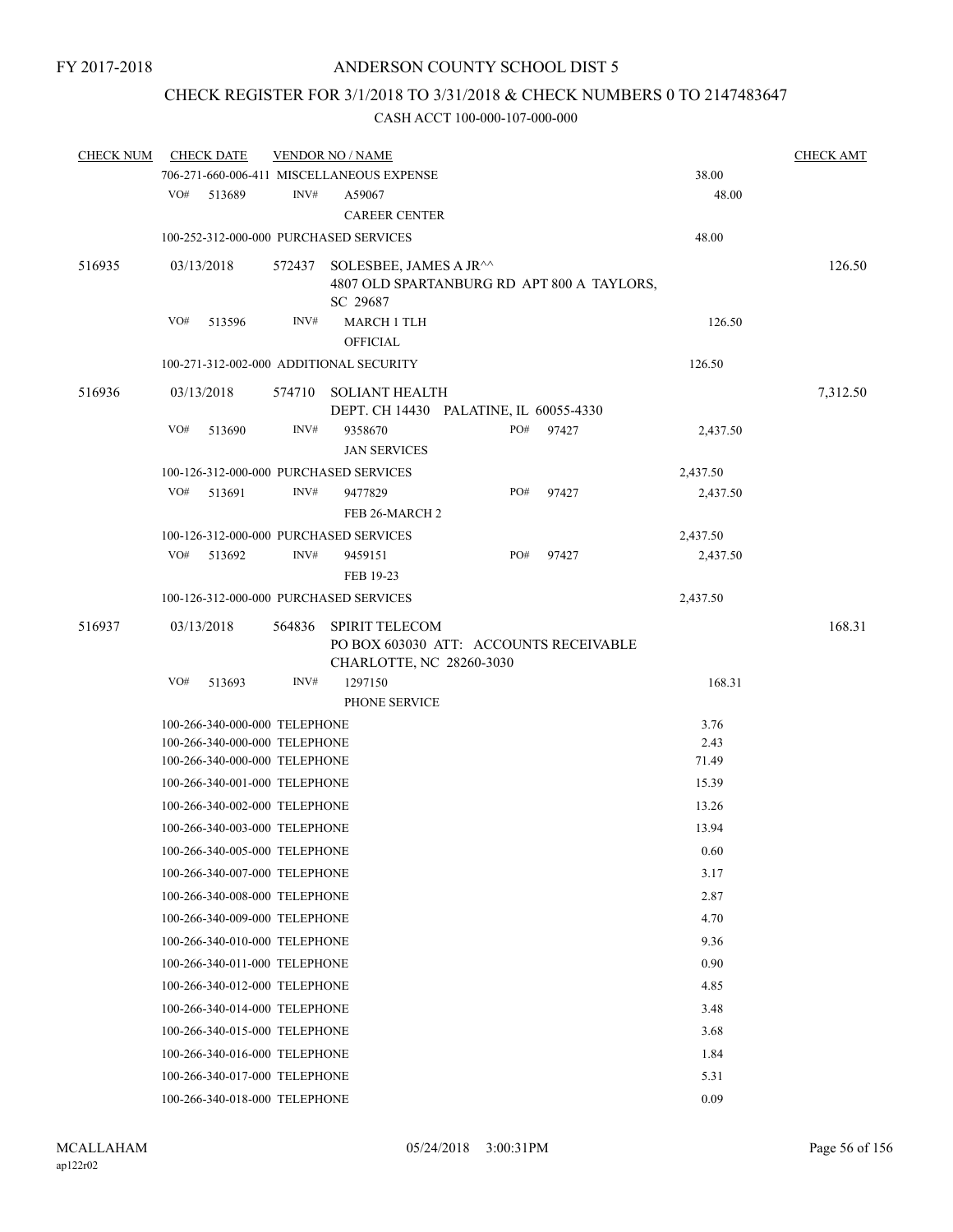## CHECK REGISTER FOR 3/1/2018 TO 3/31/2018 & CHECK NUMBERS 0 TO 2147483647

| <b>CHECK NUM</b> |     | <b>CHECK DATE</b>             |        | <b>VENDOR NO / NAME</b>                                                                     |     |       |          | <b>CHECK AMT</b> |
|------------------|-----|-------------------------------|--------|---------------------------------------------------------------------------------------------|-----|-------|----------|------------------|
|                  |     |                               |        | 706-271-660-006-411 MISCELLANEOUS EXPENSE                                                   |     |       | 38.00    |                  |
|                  | VO# | 513689                        | INV#   | A59067                                                                                      |     |       | 48.00    |                  |
|                  |     |                               |        | <b>CAREER CENTER</b>                                                                        |     |       |          |                  |
|                  |     |                               |        | 100-252-312-000-000 PURCHASED SERVICES                                                      |     |       | 48.00    |                  |
| 516935           |     | 03/13/2018                    | 572437 | SOLESBEE, JAMES A JR^^<br>4807 OLD SPARTANBURG RD APT 800 A TAYLORS,                        |     |       |          | 126.50           |
|                  |     |                               |        | SC 29687                                                                                    |     |       |          |                  |
|                  | VO# | 513596                        | INV#   | <b>MARCH 1 TLH</b>                                                                          |     |       | 126.50   |                  |
|                  |     |                               |        | <b>OFFICIAL</b>                                                                             |     |       |          |                  |
|                  |     |                               |        | 100-271-312-002-000 ADDITIONAL SECURITY                                                     |     |       | 126.50   |                  |
| 516936           |     | 03/13/2018                    | 574710 | <b>SOLIANT HEALTH</b>                                                                       |     |       |          | 7,312.50         |
|                  |     |                               |        | DEPT. CH 14430 PALATINE, IL 60055-4330                                                      |     |       |          |                  |
|                  | VO# | 513690                        | INV#   | 9358670                                                                                     | PO# | 97427 | 2,437.50 |                  |
|                  |     |                               |        | <b>JAN SERVICES</b>                                                                         |     |       |          |                  |
|                  |     |                               |        | 100-126-312-000-000 PURCHASED SERVICES                                                      |     |       | 2,437.50 |                  |
|                  | VO# | 513691                        | INV#   | 9477829<br>FEB 26-MARCH 2                                                                   | PO# | 97427 | 2,437.50 |                  |
|                  |     |                               |        |                                                                                             |     |       |          |                  |
|                  | VO# |                               | INV#   | 100-126-312-000-000 PURCHASED SERVICES                                                      | PO# |       | 2,437.50 |                  |
|                  |     | 513692                        |        | 9459151<br>FEB 19-23                                                                        |     | 97427 | 2,437.50 |                  |
|                  |     |                               |        |                                                                                             |     |       |          |                  |
|                  |     |                               |        | 100-126-312-000-000 PURCHASED SERVICES                                                      |     |       | 2,437.50 |                  |
| 516937           |     | 03/13/2018                    | 564836 | <b>SPIRIT TELECOM</b><br>PO BOX 603030 ATT: ACCOUNTS RECEIVABLE<br>CHARLOTTE, NC 28260-3030 |     |       |          | 168.31           |
|                  | VO# | 513693                        | INV#   | 1297150                                                                                     |     |       | 168.31   |                  |
|                  |     |                               |        | PHONE SERVICE                                                                               |     |       |          |                  |
|                  |     | 100-266-340-000-000 TELEPHONE |        |                                                                                             |     |       | 3.76     |                  |
|                  |     | 100-266-340-000-000 TELEPHONE |        |                                                                                             |     |       | 2.43     |                  |
|                  |     | 100-266-340-000-000 TELEPHONE |        |                                                                                             |     |       | 71.49    |                  |
|                  |     | 100-266-340-001-000 TELEPHONE |        |                                                                                             |     |       | 15.39    |                  |
|                  |     | 100-266-340-002-000 TELEPHONE |        |                                                                                             |     |       | 13.26    |                  |
|                  |     | 100-266-340-003-000 TELEPHONE |        |                                                                                             |     |       | 13.94    |                  |
|                  |     | 100-266-340-005-000 TELEPHONE |        |                                                                                             |     |       | 0.60     |                  |
|                  |     | 100-266-340-007-000 TELEPHONE |        |                                                                                             |     |       | 3.17     |                  |
|                  |     | 100-266-340-008-000 TELEPHONE |        |                                                                                             |     |       | 2.87     |                  |
|                  |     | 100-266-340-009-000 TELEPHONE |        |                                                                                             |     |       | 4.70     |                  |
|                  |     | 100-266-340-010-000 TELEPHONE |        |                                                                                             |     |       | 9.36     |                  |
|                  |     | 100-266-340-011-000 TELEPHONE |        |                                                                                             |     |       | 0.90     |                  |
|                  |     | 100-266-340-012-000 TELEPHONE |        |                                                                                             |     |       | 4.85     |                  |
|                  |     | 100-266-340-014-000 TELEPHONE |        |                                                                                             |     |       | 3.48     |                  |
|                  |     | 100-266-340-015-000 TELEPHONE |        |                                                                                             |     |       | 3.68     |                  |
|                  |     | 100-266-340-016-000 TELEPHONE |        |                                                                                             |     |       | 1.84     |                  |
|                  |     | 100-266-340-017-000 TELEPHONE |        |                                                                                             |     |       | 5.31     |                  |
|                  |     | 100-266-340-018-000 TELEPHONE |        |                                                                                             |     |       | 0.09     |                  |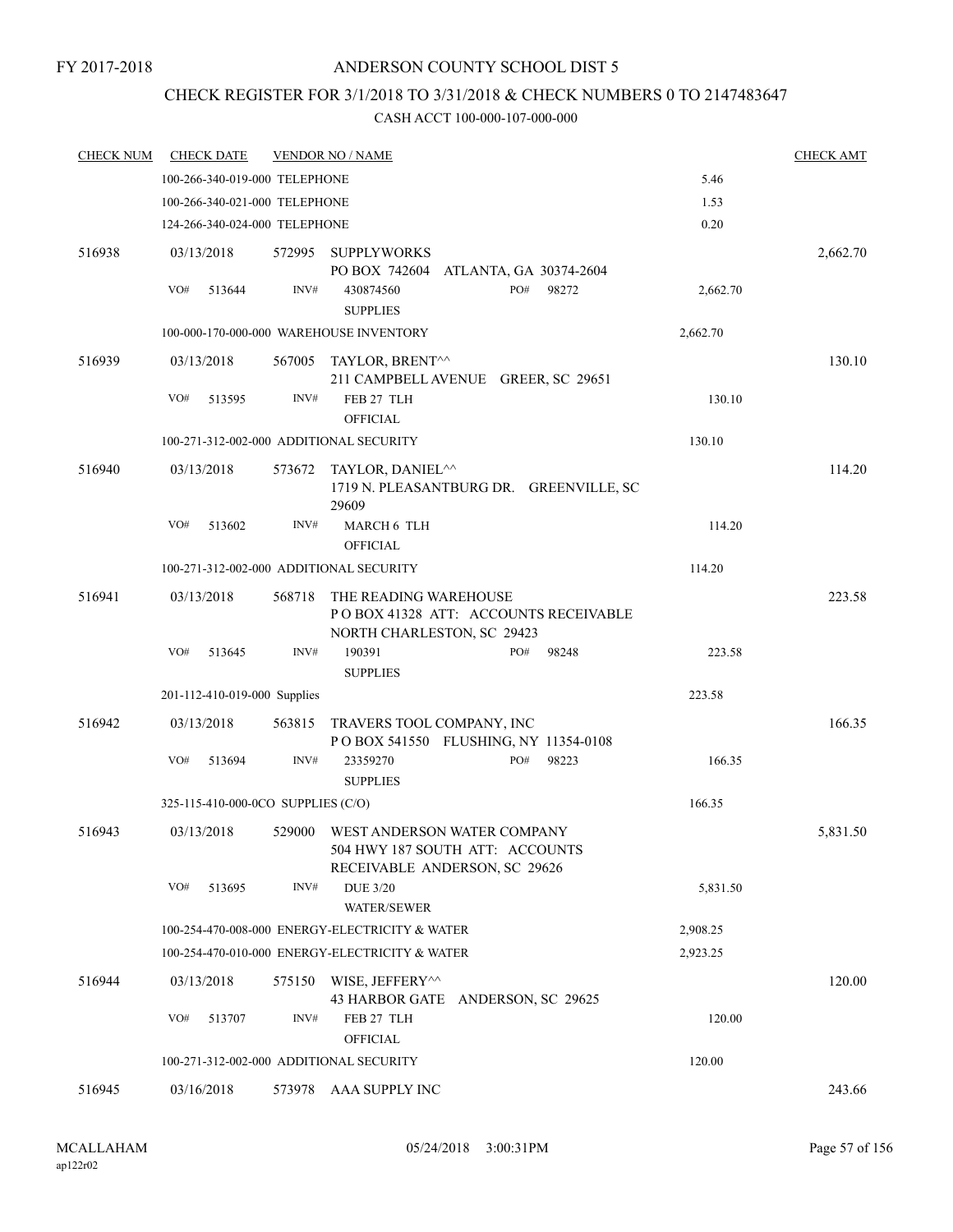### ANDERSON COUNTY SCHOOL DIST 5

## CHECK REGISTER FOR 3/1/2018 TO 3/31/2018 & CHECK NUMBERS 0 TO 2147483647

| <b>CHECK NUM</b> | <b>CHECK DATE</b>                       |        | <u>VENDOR NO / NAME</u>                                                                         |          | <b>CHECK AMT</b> |
|------------------|-----------------------------------------|--------|-------------------------------------------------------------------------------------------------|----------|------------------|
|                  | 100-266-340-019-000 TELEPHONE           |        |                                                                                                 | 5.46     |                  |
|                  | 100-266-340-021-000 TELEPHONE           |        |                                                                                                 | 1.53     |                  |
|                  | 124-266-340-024-000 TELEPHONE           |        |                                                                                                 | 0.20     |                  |
| 516938           | 03/13/2018                              | 572995 | <b>SUPPLYWORKS</b><br>PO BOX 742604 ATLANTA, GA 30374-2604                                      |          | 2,662.70         |
|                  | VO#<br>513644                           | INV#   | PO#<br>98272<br>430874560<br><b>SUPPLIES</b>                                                    | 2,662.70 |                  |
|                  |                                         |        | 100-000-170-000-000 WAREHOUSE INVENTORY                                                         | 2,662.70 |                  |
| 516939           | 03/13/2018                              | 567005 | TAYLOR, BRENT^^<br>211 CAMPBELL AVENUE GREER, SC 29651                                          |          | 130.10           |
|                  | VO#<br>513595                           | INV#   | FEB 27 TLH<br><b>OFFICIAL</b>                                                                   | 130.10   |                  |
|                  | 100-271-312-002-000 ADDITIONAL SECURITY |        |                                                                                                 | 130.10   |                  |
| 516940           | 03/13/2018                              | 573672 | TAYLOR, DANIEL <sup>^^</sup><br>1719 N. PLEASANTBURG DR. GREENVILLE, SC<br>29609                |          | 114.20           |
|                  | VO#<br>513602                           | INV#   | MARCH 6 TLH<br><b>OFFICIAL</b>                                                                  | 114.20   |                  |
|                  | 100-271-312-002-000 ADDITIONAL SECURITY |        |                                                                                                 | 114.20   |                  |
| 516941           | 03/13/2018                              | 568718 | THE READING WAREHOUSE<br>POBOX 41328 ATT: ACCOUNTS RECEIVABLE<br>NORTH CHARLESTON, SC 29423     |          | 223.58           |
|                  | VO#<br>513645                           | INV#   | 190391<br>PO#<br>98248<br><b>SUPPLIES</b>                                                       | 223.58   |                  |
|                  | 201-112-410-019-000 Supplies            |        |                                                                                                 | 223.58   |                  |
| 516942           | 03/13/2018                              | 563815 | TRAVERS TOOL COMPANY, INC<br>POBOX 541550 FLUSHING, NY 11354-0108                               |          | 166.35           |
|                  | VO#<br>513694                           | INV#   | PO#<br>23359270<br>98223<br><b>SUPPLIES</b>                                                     | 166.35   |                  |
|                  | 325-115-410-000-0CO SUPPLIES (C/O)      |        |                                                                                                 | 166.35   |                  |
| 516943           | 03/13/2018                              | 529000 | WEST ANDERSON WATER COMPANY<br>504 HWY 187 SOUTH ATT: ACCOUNTS<br>RECEIVABLE ANDERSON, SC 29626 |          | 5,831.50         |
|                  | VO#<br>513695                           | INV#   | <b>DUE 3/20</b><br><b>WATER/SEWER</b>                                                           | 5,831.50 |                  |
|                  |                                         |        | 100-254-470-008-000 ENERGY-ELECTRICITY & WATER                                                  | 2,908.25 |                  |
|                  |                                         |        | 100-254-470-010-000 ENERGY-ELECTRICITY & WATER                                                  | 2,923.25 |                  |
| 516944           | 03/13/2018                              | 575150 | WISE, JEFFERY^^<br>43 HARBOR GATE ANDERSON, SC 29625                                            |          | 120.00           |
|                  | VO#<br>513707                           | INV#   | FEB 27 TLH<br><b>OFFICIAL</b>                                                                   | 120.00   |                  |
|                  | 100-271-312-002-000 ADDITIONAL SECURITY |        |                                                                                                 | 120.00   |                  |
| 516945           | 03/16/2018                              | 573978 | AAA SUPPLY INC                                                                                  |          | 243.66           |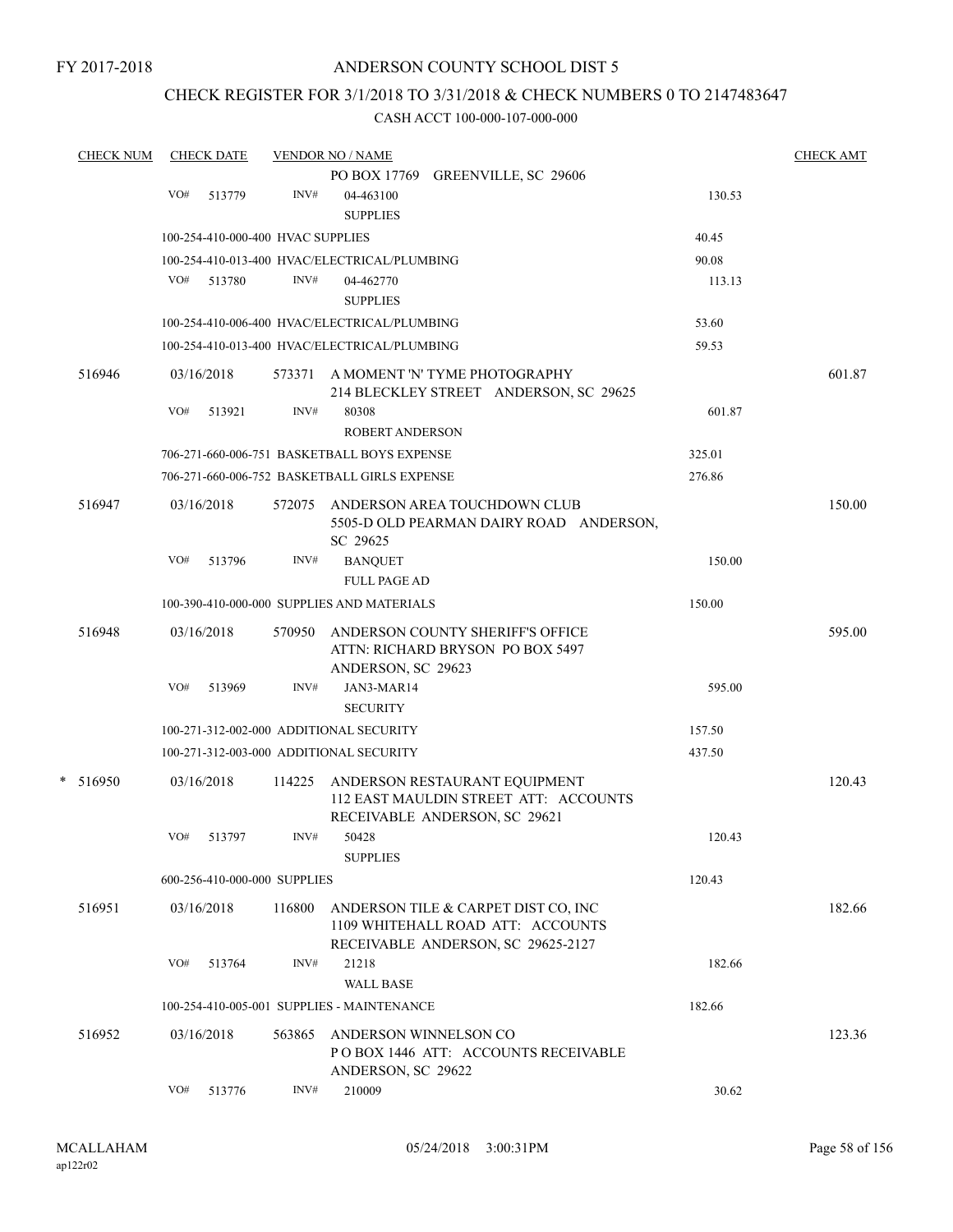### CHECK REGISTER FOR 3/1/2018 TO 3/31/2018 & CHECK NUMBERS 0 TO 2147483647

| <b>CHECK NUM</b> |     | <b>CHECK DATE</b>                 |        | <b>VENDOR NO / NAME</b>                                                 |        | <b>CHECK AMT</b> |
|------------------|-----|-----------------------------------|--------|-------------------------------------------------------------------------|--------|------------------|
|                  |     |                                   |        | PO BOX 17769 GREENVILLE, SC 29606                                       |        |                  |
|                  | VO# | 513779                            | INV#   | 04-463100                                                               | 130.53 |                  |
|                  |     |                                   |        | <b>SUPPLIES</b>                                                         |        |                  |
|                  |     | 100-254-410-000-400 HVAC SUPPLIES |        |                                                                         | 40.45  |                  |
|                  |     |                                   |        | 100-254-410-013-400 HVAC/ELECTRICAL/PLUMBING                            | 90.08  |                  |
|                  | VO# | 513780                            | INV#   | 04-462770                                                               | 113.13 |                  |
|                  |     |                                   |        | <b>SUPPLIES</b>                                                         |        |                  |
|                  |     |                                   |        | 100-254-410-006-400 HVAC/ELECTRICAL/PLUMBING                            | 53.60  |                  |
|                  |     |                                   |        | 100-254-410-013-400 HVAC/ELECTRICAL/PLUMBING                            | 59.53  |                  |
| 516946           |     | 03/16/2018                        |        | 573371 A MOMENT 'N' TYME PHOTOGRAPHY                                    |        | 601.87           |
|                  |     |                                   |        | 214 BLECKLEY STREET ANDERSON, SC 29625                                  |        |                  |
|                  | VO# | 513921                            | INV#   | 80308                                                                   | 601.87 |                  |
|                  |     |                                   |        | <b>ROBERT ANDERSON</b>                                                  |        |                  |
|                  |     |                                   |        | 706-271-660-006-751 BASKETBALL BOYS EXPENSE                             | 325.01 |                  |
|                  |     |                                   |        | 706-271-660-006-752 BASKETBALL GIRLS EXPENSE                            | 276.86 |                  |
| 516947           |     | 03/16/2018                        |        | 572075 ANDERSON AREA TOUCHDOWN CLUB                                     |        | 150.00           |
|                  |     |                                   |        | 5505-D OLD PEARMAN DAIRY ROAD ANDERSON,                                 |        |                  |
|                  |     |                                   |        | SC 29625                                                                |        |                  |
|                  | VO# | 513796                            | INV#   | <b>BANQUET</b>                                                          | 150.00 |                  |
|                  |     |                                   |        | <b>FULL PAGE AD</b>                                                     |        |                  |
|                  |     |                                   |        | 100-390-410-000-000 SUPPLIES AND MATERIALS                              | 150.00 |                  |
| 516948           |     | 03/16/2018                        | 570950 | ANDERSON COUNTY SHERIFF'S OFFICE                                        |        | 595.00           |
|                  |     |                                   |        | ATTN: RICHARD BRYSON PO BOX 5497                                        |        |                  |
|                  |     |                                   |        | ANDERSON, SC 29623                                                      |        |                  |
|                  | VO# | 513969                            | INV#   | JAN3-MAR14                                                              | 595.00 |                  |
|                  |     |                                   |        | <b>SECURITY</b>                                                         |        |                  |
|                  |     |                                   |        | 100-271-312-002-000 ADDITIONAL SECURITY                                 | 157.50 |                  |
|                  |     |                                   |        | 100-271-312-003-000 ADDITIONAL SECURITY                                 | 437.50 |                  |
| $*$ 516950       |     | 03/16/2018                        | 114225 | ANDERSON RESTAURANT EQUIPMENT                                           |        | 120.43           |
|                  |     |                                   |        | 112 EAST MAULDIN STREET ATT: ACCOUNTS                                   |        |                  |
|                  |     |                                   |        | RECEIVABLE ANDERSON, SC 29621                                           |        |                  |
|                  | VO# | 513797                            | INV#   | 50428<br><b>SUPPLIES</b>                                                | 120.43 |                  |
|                  |     | 600-256-410-000-000 SUPPLIES      |        |                                                                         | 120.43 |                  |
|                  |     |                                   |        |                                                                         |        |                  |
| 516951           |     | 03/16/2018                        | 116800 | ANDERSON TILE & CARPET DIST CO, INC                                     |        | 182.66           |
|                  |     |                                   |        | 1109 WHITEHALL ROAD ATT: ACCOUNTS<br>RECEIVABLE ANDERSON, SC 29625-2127 |        |                  |
|                  | VO# | 513764                            | INV#   | 21218                                                                   | 182.66 |                  |
|                  |     |                                   |        | <b>WALL BASE</b>                                                        |        |                  |
|                  |     |                                   |        | 100-254-410-005-001 SUPPLIES - MAINTENANCE                              | 182.66 |                  |
|                  |     |                                   |        |                                                                         |        |                  |
| 516952           |     | 03/16/2018                        | 563865 | ANDERSON WINNELSON CO<br>POBOX 1446 ATT: ACCOUNTS RECEIVABLE            |        | 123.36           |
|                  |     |                                   |        | ANDERSON, SC 29622                                                      |        |                  |
|                  | VO# | 513776                            | INV#   | 210009                                                                  | 30.62  |                  |
|                  |     |                                   |        |                                                                         |        |                  |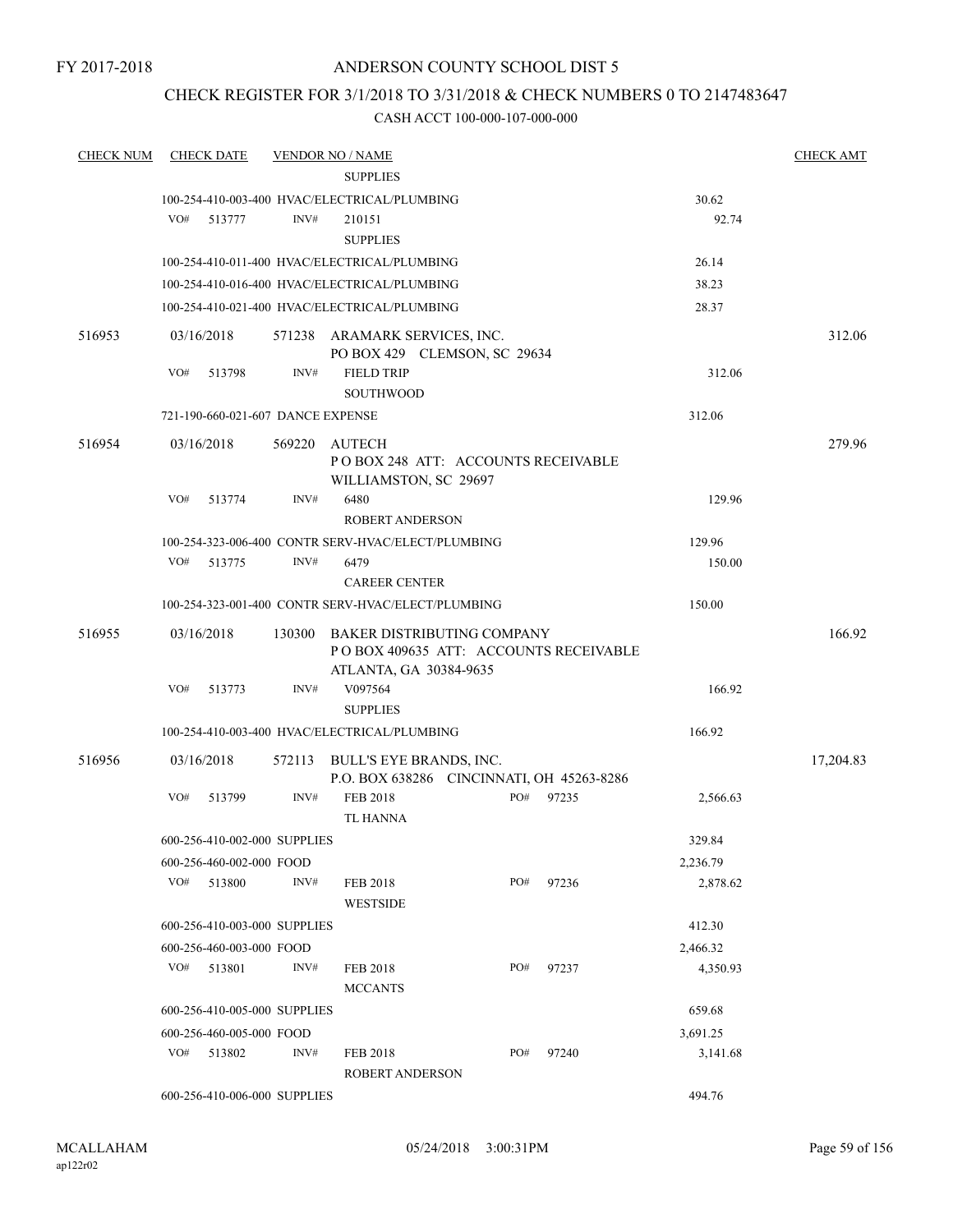### ANDERSON COUNTY SCHOOL DIST 5

### CHECK REGISTER FOR 3/1/2018 TO 3/31/2018 & CHECK NUMBERS 0 TO 2147483647

| <b>CHECK NUM</b> | <b>CHECK DATE</b> |                                   | <u>VENDOR NO / NAME</u>                                                                              |     |       |          | <b>CHECK AMT</b> |
|------------------|-------------------|-----------------------------------|------------------------------------------------------------------------------------------------------|-----|-------|----------|------------------|
|                  |                   |                                   | <b>SUPPLIES</b>                                                                                      |     |       |          |                  |
|                  |                   |                                   | 100-254-410-003-400 HVAC/ELECTRICAL/PLUMBING                                                         |     |       | 30.62    |                  |
|                  | VO#<br>513777     | INV#                              | 210151<br><b>SUPPLIES</b>                                                                            |     |       | 92.74    |                  |
|                  |                   |                                   | 100-254-410-011-400 HVAC/ELECTRICAL/PLUMBING                                                         |     |       | 26.14    |                  |
|                  |                   |                                   | 100-254-410-016-400 HVAC/ELECTRICAL/PLUMBING                                                         |     |       | 38.23    |                  |
|                  |                   |                                   | 100-254-410-021-400 HVAC/ELECTRICAL/PLUMBING                                                         |     |       | 28.37    |                  |
| 516953           | 03/16/2018        |                                   | 571238 ARAMARK SERVICES, INC.<br>PO BOX 429 CLEMSON, SC 29634                                        |     |       |          | 312.06           |
|                  | VO#<br>513798     | INV#                              | <b>FIELD TRIP</b><br><b>SOUTHWOOD</b>                                                                |     |       | 312.06   |                  |
|                  |                   | 721-190-660-021-607 DANCE EXPENSE |                                                                                                      |     |       | 312.06   |                  |
| 516954           | 03/16/2018        | 569220                            | AUTECH<br>POBOX 248 ATT: ACCOUNTS RECEIVABLE<br>WILLIAMSTON, SC 29697                                |     |       |          | 279.96           |
|                  | VO#<br>513774     | INV#                              | 6480<br><b>ROBERT ANDERSON</b>                                                                       |     |       | 129.96   |                  |
|                  |                   |                                   | 100-254-323-006-400 CONTR SERV-HVAC/ELECT/PLUMBING                                                   |     |       | 129.96   |                  |
|                  | VO#<br>513775     | INV#                              | 6479                                                                                                 |     |       | 150.00   |                  |
|                  |                   |                                   | <b>CAREER CENTER</b>                                                                                 |     |       |          |                  |
|                  |                   |                                   | 100-254-323-001-400 CONTR SERV-HVAC/ELECT/PLUMBING                                                   |     |       | 150.00   |                  |
| 516955           | 03/16/2018        | 130300                            | <b>BAKER DISTRIBUTING COMPANY</b><br>POBOX 409635 ATT: ACCOUNTS RECEIVABLE<br>ATLANTA, GA 30384-9635 |     |       |          | 166.92           |
|                  | VO#<br>513773     | INV#                              | V097564                                                                                              |     |       | 166.92   |                  |
|                  |                   |                                   | <b>SUPPLIES</b>                                                                                      |     |       |          |                  |
|                  |                   |                                   | 100-254-410-003-400 HVAC/ELECTRICAL/PLUMBING                                                         |     |       | 166.92   |                  |
| 516956           | 03/16/2018        | 572113                            | BULL'S EYE BRANDS, INC.<br>P.O. BOX 638286 CINCINNATI, OH 45263-8286                                 |     |       |          | 17,204.83        |
|                  | VO#               | INV#<br>513799                    | FEB 2018<br>TL HANNA                                                                                 | PO# | 97235 | 2,566.63 |                  |
|                  |                   | 600-256-410-002-000 SUPPLIES      |                                                                                                      |     |       | 329.84   |                  |
|                  |                   | 600-256-460-002-000 FOOD          |                                                                                                      |     |       | 2,236.79 |                  |
|                  | VO#<br>513800     | INV#                              | FEB 2018<br><b>WESTSIDE</b>                                                                          | PO# | 97236 | 2,878.62 |                  |
|                  |                   | 600-256-410-003-000 SUPPLIES      |                                                                                                      |     |       | 412.30   |                  |
|                  |                   | 600-256-460-003-000 FOOD          |                                                                                                      |     |       | 2,466.32 |                  |
|                  | VO#<br>513801     | INV#                              | <b>FEB 2018</b><br><b>MCCANTS</b>                                                                    | PO# | 97237 | 4,350.93 |                  |
|                  |                   | 600-256-410-005-000 SUPPLIES      |                                                                                                      |     |       | 659.68   |                  |
|                  |                   | 600-256-460-005-000 FOOD          |                                                                                                      |     |       | 3,691.25 |                  |
|                  | VO#<br>513802     | INV#                              | FEB 2018<br><b>ROBERT ANDERSON</b>                                                                   | PO# | 97240 | 3,141.68 |                  |
|                  |                   | 600-256-410-006-000 SUPPLIES      |                                                                                                      |     |       | 494.76   |                  |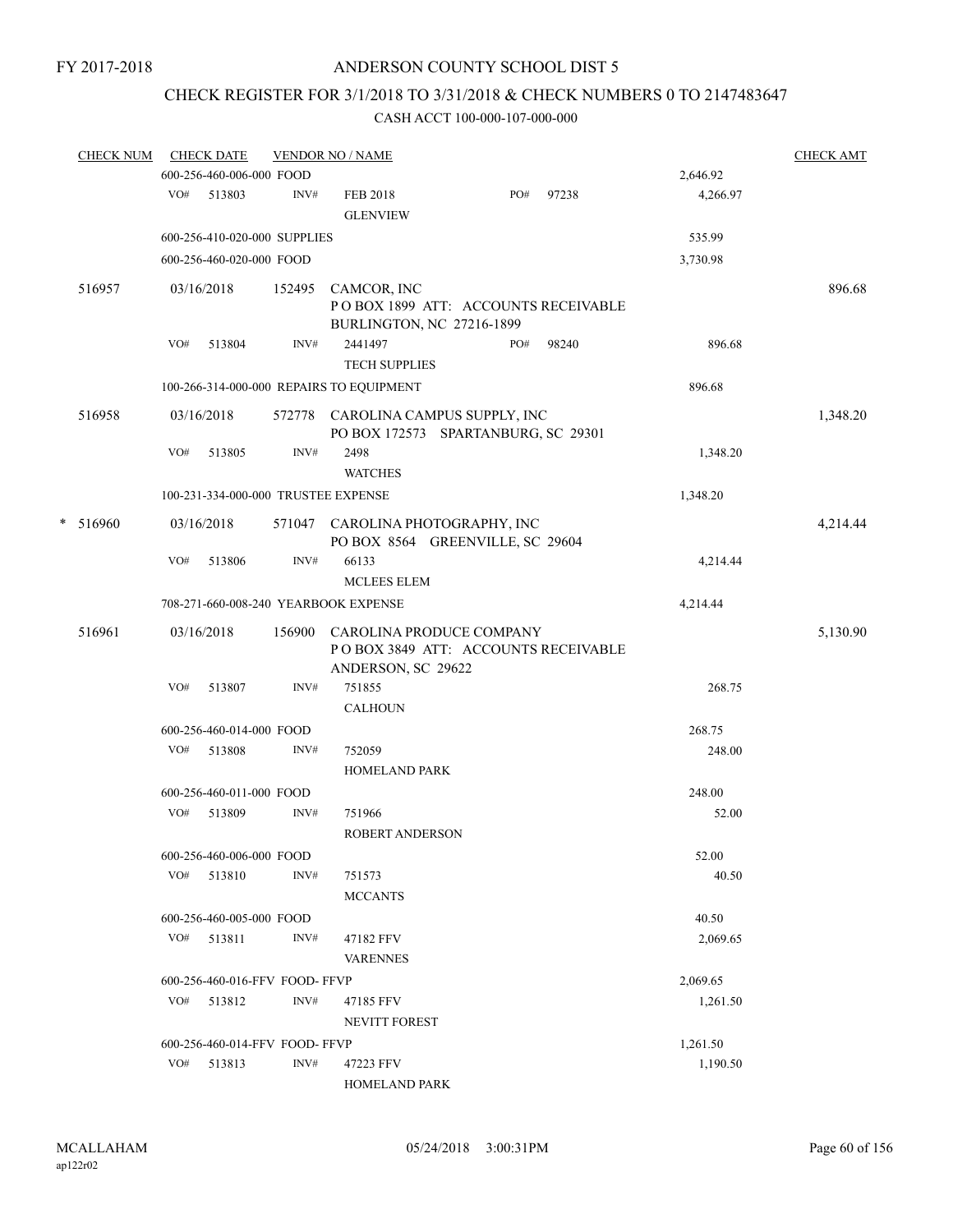## CHECK REGISTER FOR 3/1/2018 TO 3/31/2018 & CHECK NUMBERS 0 TO 2147483647

|   | <b>CHECK NUM</b> |     | <b>CHECK DATE</b>             |        | <b>VENDOR NO / NAME</b>                                                               |     |       |          | <b>CHECK AMT</b> |  |
|---|------------------|-----|-------------------------------|--------|---------------------------------------------------------------------------------------|-----|-------|----------|------------------|--|
|   |                  |     | 600-256-460-006-000 FOOD      |        |                                                                                       |     |       | 2,646.92 |                  |  |
|   |                  | VO# | 513803                        | INV#   | <b>FEB 2018</b><br><b>GLENVIEW</b>                                                    | PO# | 97238 | 4,266.97 |                  |  |
|   |                  |     | 600-256-410-020-000 SUPPLIES  |        |                                                                                       |     |       | 535.99   |                  |  |
|   |                  |     | 600-256-460-020-000 FOOD      |        |                                                                                       |     |       | 3,730.98 |                  |  |
|   | 516957           |     | 03/16/2018                    | 152495 | CAMCOR, INC<br>POBOX 1899 ATT: ACCOUNTS RECEIVABLE<br>BURLINGTON, NC 27216-1899       |     |       |          | 896.68           |  |
|   |                  | VO# | 513804                        | INV#   | 2441497<br><b>TECH SUPPLIES</b>                                                       | PO# | 98240 | 896.68   |                  |  |
|   |                  |     |                               |        | 100-266-314-000-000 REPAIRS TO EQUIPMENT                                              |     |       | 896.68   |                  |  |
|   | 516958           |     | 03/16/2018                    |        | 572778 CAROLINA CAMPUS SUPPLY, INC<br>PO BOX 172573 SPARTANBURG, SC 29301             |     |       |          | 1,348.20         |  |
|   |                  | VO# | 513805                        | INV#   | 2498<br><b>WATCHES</b>                                                                |     |       | 1,348.20 |                  |  |
|   |                  |     |                               |        | 100-231-334-000-000 TRUSTEE EXPENSE                                                   |     |       | 1,348.20 |                  |  |
| * | 516960           |     | 03/16/2018                    | 571047 | CAROLINA PHOTOGRAPHY, INC<br>PO BOX 8564 GREENVILLE, SC 29604                         |     |       |          | 4,214.44         |  |
|   |                  | VO# | 513806                        | INV#   | 66133<br><b>MCLEES ELEM</b>                                                           |     |       | 4,214.44 |                  |  |
|   |                  |     |                               |        | 708-271-660-008-240 YEARBOOK EXPENSE                                                  |     |       | 4,214.44 |                  |  |
|   | 516961           |     | 03/16/2018                    | 156900 | CAROLINA PRODUCE COMPANY<br>POBOX 3849 ATT: ACCOUNTS RECEIVABLE<br>ANDERSON, SC 29622 |     |       |          | 5,130.90         |  |
|   |                  | VO# | 513807                        | INV#   | 751855<br><b>CALHOUN</b>                                                              |     |       | 268.75   |                  |  |
|   |                  |     | 600-256-460-014-000 FOOD      |        |                                                                                       |     |       | 268.75   |                  |  |
|   |                  |     | VO# 513808                    | INV#   | 752059<br>HOMELAND PARK                                                               |     |       | 248.00   |                  |  |
|   |                  |     | 600-256-460-011-000 FOOD      |        |                                                                                       |     |       | 248.00   |                  |  |
|   |                  | VO# | 513809                        | INV#   | 751966<br><b>ROBERT ANDERSON</b>                                                      |     |       | 52.00    |                  |  |
|   |                  |     | 600-256-460-006-000 FOOD      |        |                                                                                       |     |       | 52.00    |                  |  |
|   |                  |     | VO# 513810                    | INV#   | 751573<br><b>MCCANTS</b>                                                              |     |       | 40.50    |                  |  |
|   |                  |     | 600-256-460-005-000 FOOD      |        |                                                                                       |     |       | 40.50    |                  |  |
|   |                  | VO# | 513811                        | INV#   | 47182 FFV<br><b>VARENNES</b>                                                          |     |       | 2,069.65 |                  |  |
|   |                  |     | 600-256-460-016-FFV FOOD-FFVP |        |                                                                                       |     |       | 2,069.65 |                  |  |
|   |                  |     | VO# 513812                    | INV#   | 47185 FFV                                                                             |     |       | 1,261.50 |                  |  |
|   |                  |     |                               |        | <b>NEVITT FOREST</b>                                                                  |     |       |          |                  |  |
|   |                  |     | 600-256-460-014-FFV FOOD-FFVP |        |                                                                                       |     |       | 1,261.50 |                  |  |
|   |                  | VO# | 513813                        | INV#   | 47223 FFV<br>HOMELAND PARK                                                            |     |       | 1,190.50 |                  |  |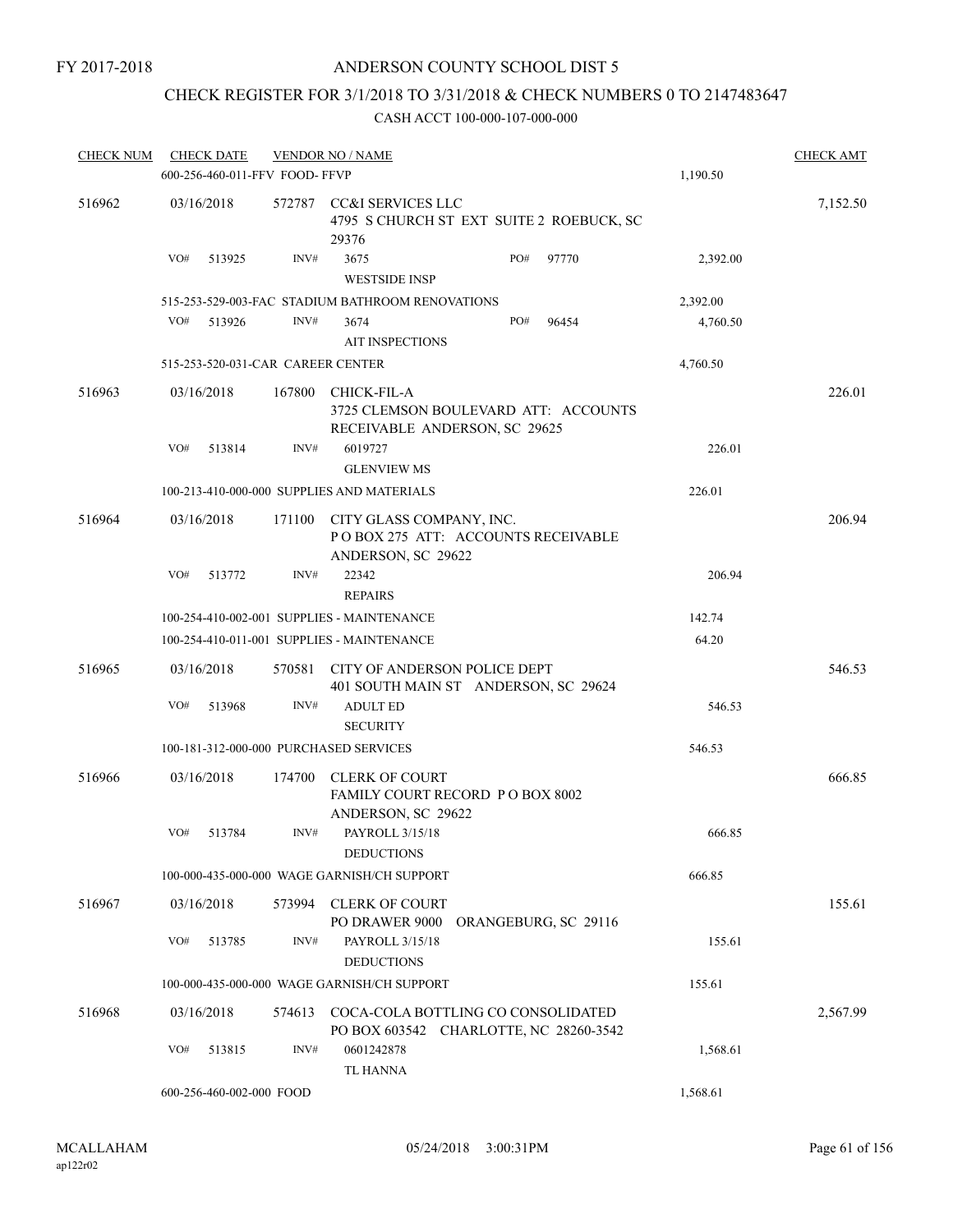### ANDERSON COUNTY SCHOOL DIST 5

## CHECK REGISTER FOR 3/1/2018 TO 3/31/2018 & CHECK NUMBERS 0 TO 2147483647

| <b>CHECK NUM</b> |     | <b>CHECK DATE</b>                 |        | <b>VENDOR NO / NAME</b>                                                              |     |                      |          | <b>CHECK AMT</b> |
|------------------|-----|-----------------------------------|--------|--------------------------------------------------------------------------------------|-----|----------------------|----------|------------------|
|                  |     | 600-256-460-011-FFV FOOD- FFVP    |        |                                                                                      |     |                      | 1,190.50 |                  |
| 516962           |     | 03/16/2018                        |        | 572787 CC&I SERVICES LLC<br>4795 S CHURCH ST EXT SUITE 2 ROEBUCK, SC<br>29376        |     |                      |          | 7,152.50         |
|                  | VO# | 513925                            | INV#   | 3675<br><b>WESTSIDE INSP</b>                                                         | PO# | 97770                | 2,392.00 |                  |
|                  |     |                                   |        | 515-253-529-003-FAC STADIUM BATHROOM RENOVATIONS                                     |     |                      | 2,392.00 |                  |
|                  | VO# | 513926                            | INV#   | 3674<br><b>AIT INSPECTIONS</b>                                                       | PO# | 96454                | 4,760.50 |                  |
|                  |     | 515-253-520-031-CAR CAREER CENTER |        |                                                                                      |     |                      | 4,760.50 |                  |
| 516963           |     | 03/16/2018                        | 167800 | CHICK-FIL-A<br>3725 CLEMSON BOULEVARD ATT: ACCOUNTS<br>RECEIVABLE ANDERSON, SC 29625 |     |                      |          | 226.01           |
|                  | VO# | 513814                            | INV#   | 6019727                                                                              |     |                      | 226.01   |                  |
|                  |     |                                   |        | <b>GLENVIEW MS</b>                                                                   |     |                      |          |                  |
|                  |     |                                   |        | 100-213-410-000-000 SUPPLIES AND MATERIALS                                           |     |                      | 226.01   |                  |
| 516964           |     | 03/16/2018                        | 171100 | CITY GLASS COMPANY, INC.<br>POBOX 275 ATT: ACCOUNTS RECEIVABLE<br>ANDERSON, SC 29622 |     |                      |          | 206.94           |
|                  | VO# | 513772                            | INV#   | 22342<br><b>REPAIRS</b>                                                              |     |                      | 206.94   |                  |
|                  |     |                                   |        | 100-254-410-002-001 SUPPLIES - MAINTENANCE                                           |     |                      | 142.74   |                  |
|                  |     |                                   |        | 100-254-410-011-001 SUPPLIES - MAINTENANCE                                           |     |                      | 64.20    |                  |
| 516965           |     | 03/16/2018                        | 570581 | CITY OF ANDERSON POLICE DEPT                                                         |     |                      |          | 546.53           |
|                  | VO# | 513968                            | INV#   | 401 SOUTH MAIN ST ANDERSON, SC 29624<br><b>ADULT ED</b><br><b>SECURITY</b>           |     |                      | 546.53   |                  |
|                  |     |                                   |        | 100-181-312-000-000 PURCHASED SERVICES                                               |     |                      | 546.53   |                  |
|                  |     |                                   |        |                                                                                      |     |                      |          |                  |
| 516966           |     | 03/16/2018                        | 174700 | <b>CLERK OF COURT</b><br>FAMILY COURT RECORD P O BOX 8002<br>ANDERSON, SC 29622      |     |                      |          | 666.85           |
|                  | VO# | 513784                            | INV#   | PAYROLL 3/15/18<br><b>DEDUCTIONS</b>                                                 |     |                      | 666.85   |                  |
|                  |     |                                   |        | 100-000-435-000-000 WAGE GARNISH/CH SUPPORT                                          |     |                      | 666.85   |                  |
| 516967           |     | 03/16/2018                        | 573994 | <b>CLERK OF COURT</b><br>PO DRAWER 9000                                              |     | ORANGEBURG, SC 29116 |          | 155.61           |
|                  | VO# | 513785                            | INV#   | PAYROLL 3/15/18<br><b>DEDUCTIONS</b>                                                 |     |                      | 155.61   |                  |
|                  |     |                                   |        | 100-000-435-000-000 WAGE GARNISH/CH SUPPORT                                          |     |                      | 155.61   |                  |
|                  |     |                                   |        |                                                                                      |     |                      |          |                  |
| 516968           |     | 03/16/2018                        | 574613 | COCA-COLA BOTTLING CO CONSOLIDATED<br>PO BOX 603542 CHARLOTTE, NC 28260-3542         |     |                      |          | 2,567.99         |
|                  | VO# | 513815                            | INV#   | 0601242878<br>TL HANNA                                                               |     |                      | 1,568.61 |                  |
|                  |     | 600-256-460-002-000 FOOD          |        |                                                                                      |     |                      | 1,568.61 |                  |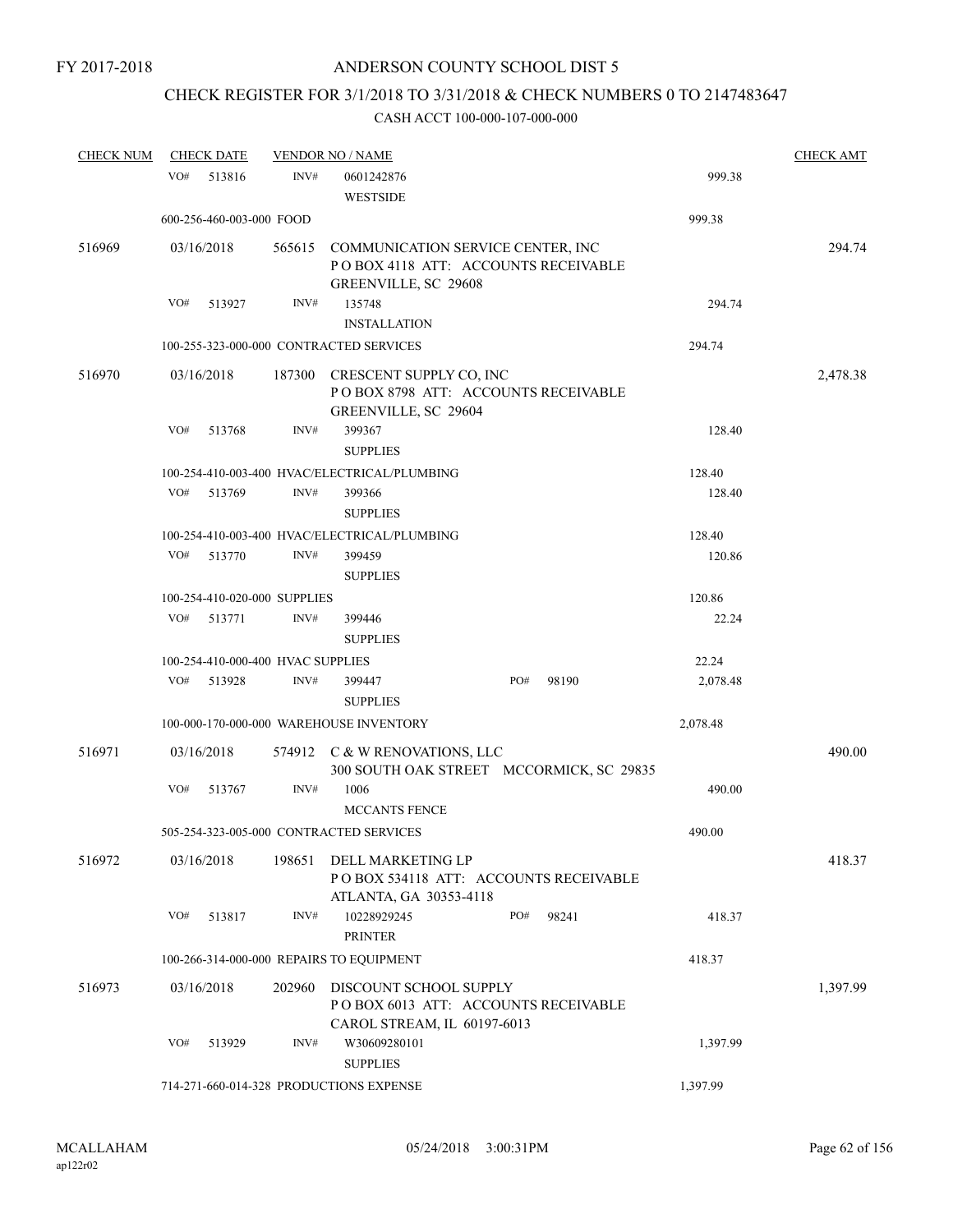# CHECK REGISTER FOR 3/1/2018 TO 3/31/2018 & CHECK NUMBERS 0 TO 2147483647

| <b>CHECK NUM</b> | <b>CHECK DATE</b> |                                   |        | <b>VENDOR NO / NAME</b>                                                                           |     |       |          | <b>CHECK AMT</b> |
|------------------|-------------------|-----------------------------------|--------|---------------------------------------------------------------------------------------------------|-----|-------|----------|------------------|
|                  | VO#               | 513816                            | INV#   | 0601242876<br><b>WESTSIDE</b>                                                                     |     |       | 999.38   |                  |
|                  |                   | 600-256-460-003-000 FOOD          |        |                                                                                                   |     |       | 999.38   |                  |
| 516969           | 03/16/2018        |                                   | 565615 | COMMUNICATION SERVICE CENTER, INC<br>PO BOX 4118 ATT: ACCOUNTS RECEIVABLE<br>GREENVILLE, SC 29608 |     |       |          | 294.74           |
|                  | VO#               | 513927                            | INV#   | 135748                                                                                            |     |       | 294.74   |                  |
|                  |                   |                                   |        | <b>INSTALLATION</b>                                                                               |     |       |          |                  |
|                  |                   |                                   |        | 100-255-323-000-000 CONTRACTED SERVICES                                                           |     |       | 294.74   |                  |
| 516970           | 03/16/2018        |                                   | 187300 | CRESCENT SUPPLY CO, INC<br>POBOX 8798 ATT: ACCOUNTS RECEIVABLE<br>GREENVILLE, SC 29604            |     |       |          | 2,478.38         |
|                  | VO#               | 513768                            | INV#   | 399367<br><b>SUPPLIES</b>                                                                         |     |       | 128.40   |                  |
|                  |                   |                                   |        | 100-254-410-003-400 HVAC/ELECTRICAL/PLUMBING                                                      |     |       | 128.40   |                  |
|                  | VO#               | 513769                            | INV#   | 399366                                                                                            |     |       | 128.40   |                  |
|                  |                   |                                   |        | <b>SUPPLIES</b>                                                                                   |     |       |          |                  |
|                  |                   |                                   |        | 100-254-410-003-400 HVAC/ELECTRICAL/PLUMBING                                                      |     |       | 128.40   |                  |
|                  | VO#               | 513770                            | INV#   | 399459                                                                                            |     |       | 120.86   |                  |
|                  |                   |                                   |        | <b>SUPPLIES</b>                                                                                   |     |       |          |                  |
|                  |                   | 100-254-410-020-000 SUPPLIES      |        |                                                                                                   |     |       | 120.86   |                  |
|                  | VO#               | 513771                            | INV#   | 399446<br><b>SUPPLIES</b>                                                                         |     |       | 22.24    |                  |
|                  |                   | 100-254-410-000-400 HVAC SUPPLIES |        |                                                                                                   |     |       | 22.24    |                  |
|                  | VO#               | 513928                            | INV#   | 399447                                                                                            | PO# | 98190 | 2,078.48 |                  |
|                  |                   |                                   |        | <b>SUPPLIES</b>                                                                                   |     |       |          |                  |
|                  |                   |                                   |        | 100-000-170-000-000 WAREHOUSE INVENTORY                                                           |     |       | 2,078.48 |                  |
| 516971           | 03/16/2018        |                                   |        | 574912 C & W RENOVATIONS, LLC<br>300 SOUTH OAK STREET MCCORMICK, SC 29835                         |     |       |          | 490.00           |
|                  | VO#               | 513767                            | INV#   | 1006<br><b>MCCANTS FENCE</b>                                                                      |     |       | 490.00   |                  |
|                  |                   |                                   |        | 505-254-323-005-000 CONTRACTED SERVICES                                                           |     |       | 490.00   |                  |
| 516972           | 03/16/2018        |                                   | 198651 | DELL MARKETING LP<br>PO BOX 534118 ATT: ACCOUNTS RECEIVABLE<br>ATLANTA, GA 30353-4118             |     |       |          | 418.37           |
|                  | VO#               | 513817                            | INV#   | 10228929245<br><b>PRINTER</b>                                                                     | PO# | 98241 | 418.37   |                  |
|                  |                   |                                   |        | 100-266-314-000-000 REPAIRS TO EQUIPMENT                                                          |     |       | 418.37   |                  |
| 516973           | 03/16/2018        |                                   | 202960 | DISCOUNT SCHOOL SUPPLY<br>POBOX 6013 ATT: ACCOUNTS RECEIVABLE<br>CAROL STREAM, IL 60197-6013      |     |       |          | 1,397.99         |
|                  | VO#               | 513929                            | INV#   | W30609280101<br><b>SUPPLIES</b>                                                                   |     |       | 1,397.99 |                  |
|                  |                   |                                   |        | 714-271-660-014-328 PRODUCTIONS EXPENSE                                                           |     |       | 1,397.99 |                  |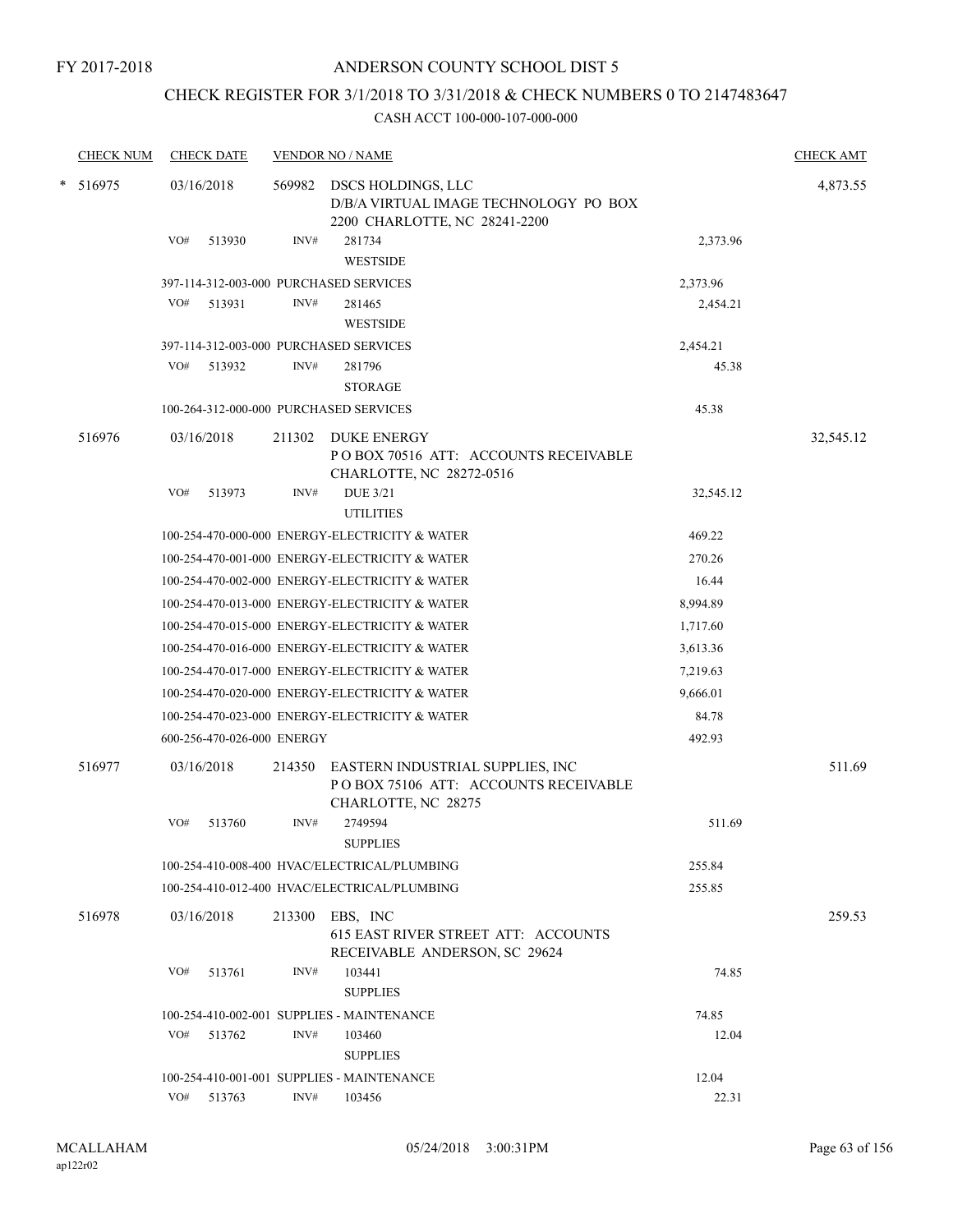### ANDERSON COUNTY SCHOOL DIST 5

## CHECK REGISTER FOR 3/1/2018 TO 3/31/2018 & CHECK NUMBERS 0 TO 2147483647

| <b>CHECK NUM</b> | <b>CHECK DATE</b>                      |        | <b>VENDOR NO / NAME</b>                                                                          |           | <b>CHECK AMT</b> |
|------------------|----------------------------------------|--------|--------------------------------------------------------------------------------------------------|-----------|------------------|
| * 516975         | 03/16/2018                             | 569982 | DSCS HOLDINGS, LLC<br>D/B/A VIRTUAL IMAGE TECHNOLOGY PO BOX<br>2200 CHARLOTTE, NC 28241-2200     |           | 4,873.55         |
|                  | VO#<br>513930                          | INV#   | 281734<br><b>WESTSIDE</b>                                                                        | 2,373.96  |                  |
|                  | 397-114-312-003-000 PURCHASED SERVICES |        |                                                                                                  | 2,373.96  |                  |
|                  | VO#<br>513931                          | INV#   | 281465<br><b>WESTSIDE</b>                                                                        | 2,454.21  |                  |
|                  | 397-114-312-003-000 PURCHASED SERVICES |        |                                                                                                  | 2,454.21  |                  |
|                  | VO#<br>513932                          | INV#   | 281796<br><b>STORAGE</b>                                                                         | 45.38     |                  |
|                  | 100-264-312-000-000 PURCHASED SERVICES |        |                                                                                                  | 45.38     |                  |
| 516976           | 03/16/2018                             |        | 211302 DUKE ENERGY<br>POBOX 70516 ATT: ACCOUNTS RECEIVABLE<br>CHARLOTTE, NC 28272-0516           |           | 32,545.12        |
|                  | VO#<br>513973                          | INV#   | <b>DUE 3/21</b><br><b>UTILITIES</b>                                                              | 32,545.12 |                  |
|                  |                                        |        | 100-254-470-000-000 ENERGY-ELECTRICITY & WATER                                                   | 469.22    |                  |
|                  |                                        |        | 100-254-470-001-000 ENERGY-ELECTRICITY & WATER                                                   | 270.26    |                  |
|                  |                                        |        | 100-254-470-002-000 ENERGY-ELECTRICITY & WATER                                                   | 16.44     |                  |
|                  |                                        |        | 100-254-470-013-000 ENERGY-ELECTRICITY & WATER                                                   | 8,994.89  |                  |
|                  |                                        |        | 100-254-470-015-000 ENERGY-ELECTRICITY & WATER                                                   | 1,717.60  |                  |
|                  |                                        |        | 100-254-470-016-000 ENERGY-ELECTRICITY & WATER                                                   | 3,613.36  |                  |
|                  |                                        |        | 100-254-470-017-000 ENERGY-ELECTRICITY & WATER                                                   | 7,219.63  |                  |
|                  |                                        |        | 100-254-470-020-000 ENERGY-ELECTRICITY & WATER                                                   | 9,666.01  |                  |
|                  |                                        |        | 100-254-470-023-000 ENERGY-ELECTRICITY & WATER                                                   | 84.78     |                  |
|                  | 600-256-470-026-000 ENERGY             |        |                                                                                                  | 492.93    |                  |
| 516977           | 03/16/2018                             | 214350 | EASTERN INDUSTRIAL SUPPLIES, INC<br>PO BOX 75106 ATT: ACCOUNTS RECEIVABLE<br>CHARLOTTE, NC 28275 |           | 511.69           |
|                  | VO#<br>513760                          | INV#   | 2749594<br><b>SUPPLIES</b>                                                                       | 511.69    |                  |
|                  |                                        |        | 100-254-410-008-400 HVAC/ELECTRICAL/PLUMBING                                                     | 255.84    |                  |
|                  |                                        |        | 100-254-410-012-400 HVAC/ELECTRICAL/PLUMBING                                                     | 255.85    |                  |
| 516978           | 03/16/2018                             | 213300 | EBS, INC<br>615 EAST RIVER STREET ATT: ACCOUNTS<br>RECEIVABLE ANDERSON, SC 29624                 |           | 259.53           |
|                  | VO#<br>513761                          | INV#   | 103441<br><b>SUPPLIES</b>                                                                        | 74.85     |                  |
|                  |                                        |        | 100-254-410-002-001 SUPPLIES - MAINTENANCE                                                       | 74.85     |                  |
|                  | VO#<br>513762                          | INV#   | 103460<br><b>SUPPLIES</b>                                                                        | 12.04     |                  |
|                  |                                        |        | 100-254-410-001-001 SUPPLIES - MAINTENANCE                                                       | 12.04     |                  |
|                  | VO#<br>513763                          | INV#   | 103456                                                                                           | 22.31     |                  |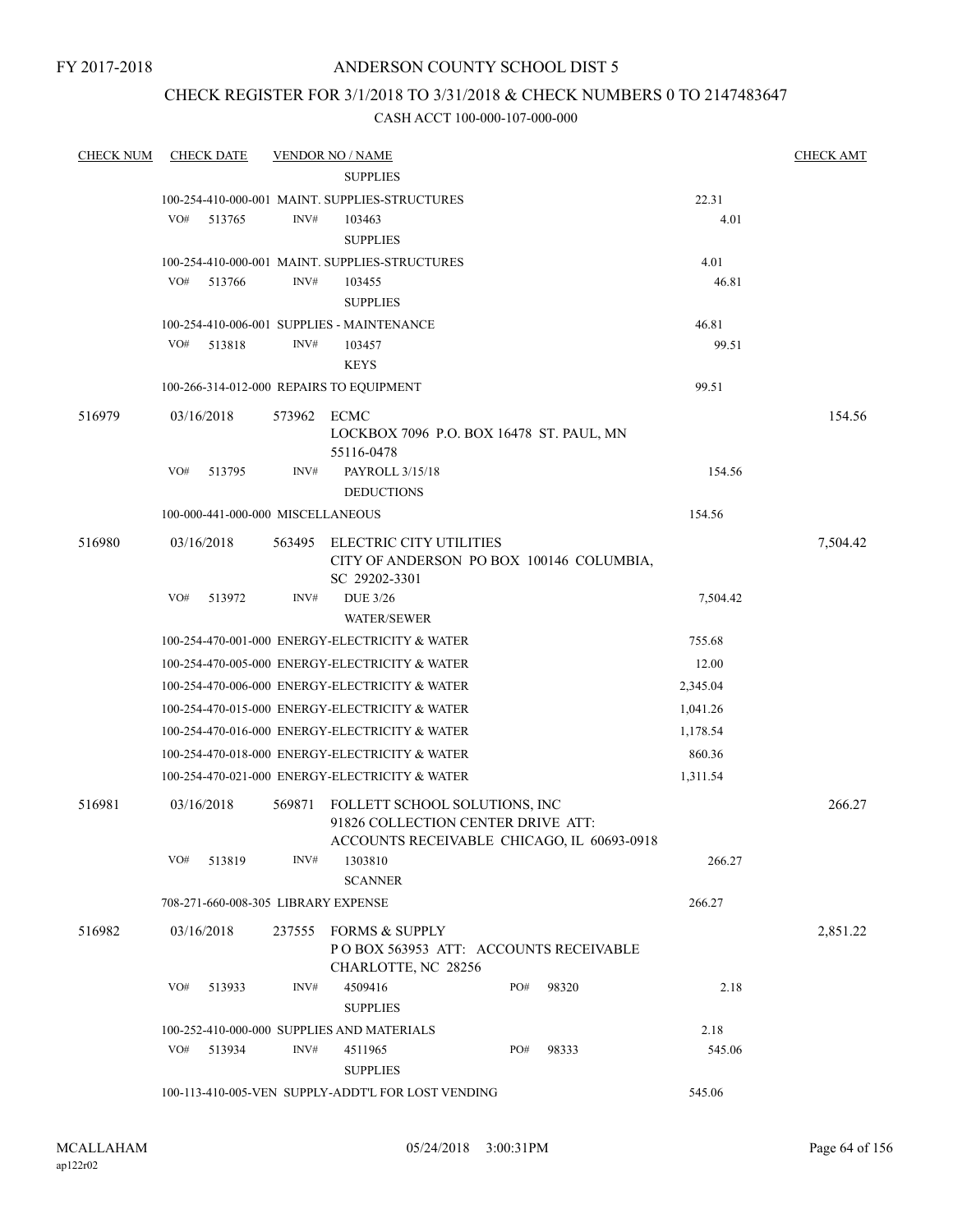### ANDERSON COUNTY SCHOOL DIST 5

### CHECK REGISTER FOR 3/1/2018 TO 3/31/2018 & CHECK NUMBERS 0 TO 2147483647

| <b>CHECK NUM</b> | <b>CHECK DATE</b>                                            |             | <b>VENDOR NO / NAME</b>                                                                                           |     |       |                    | <b>CHECK AMT</b> |  |
|------------------|--------------------------------------------------------------|-------------|-------------------------------------------------------------------------------------------------------------------|-----|-------|--------------------|------------------|--|
|                  |                                                              |             | <b>SUPPLIES</b>                                                                                                   |     |       |                    |                  |  |
|                  |                                                              |             | 100-254-410-000-001 MAINT. SUPPLIES-STRUCTURES                                                                    |     |       | 22.31              |                  |  |
|                  | VO#<br>513765                                                | INV#        | 103463                                                                                                            |     |       | 4.01               |                  |  |
|                  |                                                              |             | <b>SUPPLIES</b>                                                                                                   |     |       |                    |                  |  |
|                  |                                                              |             | 100-254-410-000-001 MAINT. SUPPLIES-STRUCTURES                                                                    |     |       | 4.01               |                  |  |
|                  | VO#<br>513766                                                | INV#        | 103455                                                                                                            |     |       | 46.81              |                  |  |
|                  |                                                              |             | <b>SUPPLIES</b>                                                                                                   |     |       |                    |                  |  |
|                  |                                                              |             | 100-254-410-006-001 SUPPLIES - MAINTENANCE                                                                        |     |       | 46.81              |                  |  |
|                  | VO#<br>513818                                                | INV#        | 103457                                                                                                            |     |       | 99.51              |                  |  |
|                  |                                                              |             | <b>KEYS</b>                                                                                                       |     |       |                    |                  |  |
|                  |                                                              |             | 100-266-314-012-000 REPAIRS TO EQUIPMENT                                                                          |     |       | 99.51              |                  |  |
| 516979           | 03/16/2018                                                   | 573962 ECMC | LOCKBOX 7096 P.O. BOX 16478 ST. PAUL, MN<br>55116-0478                                                            |     |       |                    | 154.56           |  |
|                  | VO#<br>513795                                                | INV#        | PAYROLL 3/15/18<br><b>DEDUCTIONS</b>                                                                              |     |       | 154.56             |                  |  |
|                  | 100-000-441-000-000 MISCELLANEOUS                            |             |                                                                                                                   |     |       | 154.56             |                  |  |
| 516980           | 03/16/2018                                                   |             | 563495 ELECTRIC CITY UTILITIES<br>CITY OF ANDERSON PO BOX 100146 COLUMBIA,<br>SC 29202-3301                       |     |       |                    | 7,504.42         |  |
|                  | VO#<br>513972                                                | INV#        | <b>DUE 3/26</b><br><b>WATER/SEWER</b>                                                                             |     |       | 7,504.42           |                  |  |
|                  |                                                              |             | 100-254-470-001-000 ENERGY-ELECTRICITY & WATER                                                                    |     |       | 755.68             |                  |  |
|                  |                                                              |             | 100-254-470-005-000 ENERGY-ELECTRICITY & WATER                                                                    |     |       | 12.00              |                  |  |
|                  |                                                              |             | 100-254-470-006-000 ENERGY-ELECTRICITY & WATER                                                                    |     |       | 2,345.04           |                  |  |
|                  |                                                              |             | 100-254-470-015-000 ENERGY-ELECTRICITY & WATER                                                                    |     |       | 1,041.26           |                  |  |
|                  |                                                              |             | 100-254-470-016-000 ENERGY-ELECTRICITY & WATER                                                                    |     |       |                    |                  |  |
|                  |                                                              |             |                                                                                                                   |     |       | 1,178.54<br>860.36 |                  |  |
|                  |                                                              |             | 100-254-470-018-000 ENERGY-ELECTRICITY & WATER<br>100-254-470-021-000 ENERGY-ELECTRICITY & WATER                  |     |       | 1,311.54           |                  |  |
|                  |                                                              |             |                                                                                                                   |     |       |                    |                  |  |
| 516981           | 03/16/2018                                                   | 569871      | FOLLETT SCHOOL SOLUTIONS, INC<br>91826 COLLECTION CENTER DRIVE ATT:<br>ACCOUNTS RECEIVABLE CHICAGO, IL 60693-0918 |     |       |                    | 266.27           |  |
|                  | VO#<br>513819                                                | INV#        | 1303810                                                                                                           |     |       | 266.27             |                  |  |
|                  |                                                              |             | <b>SCANNER</b>                                                                                                    |     |       |                    |                  |  |
|                  | 708-271-660-008-305 LIBRARY EXPENSE                          |             |                                                                                                                   |     |       | 266.27             |                  |  |
| 516982           | 03/16/2018                                                   |             | 237555 FORMS & SUPPLY<br>POBOX 563953 ATT: ACCOUNTS RECEIVABLE<br>CHARLOTTE, NC 28256                             |     |       |                    | 2,851.22         |  |
|                  | VO#<br>513933                                                | INV#        | 4509416<br><b>SUPPLIES</b>                                                                                        | PO# | 98320 | 2.18               |                  |  |
|                  |                                                              |             | 100-252-410-000-000 SUPPLIES AND MATERIALS                                                                        |     |       | 2.18               |                  |  |
|                  | VO#<br>513934                                                | INV#        | 4511965                                                                                                           | PO# | 98333 | 545.06             |                  |  |
|                  |                                                              |             | <b>SUPPLIES</b>                                                                                                   |     |       |                    |                  |  |
|                  | 100-113-410-005-VEN SUPPLY-ADDT'L FOR LOST VENDING<br>545.06 |             |                                                                                                                   |     |       |                    |                  |  |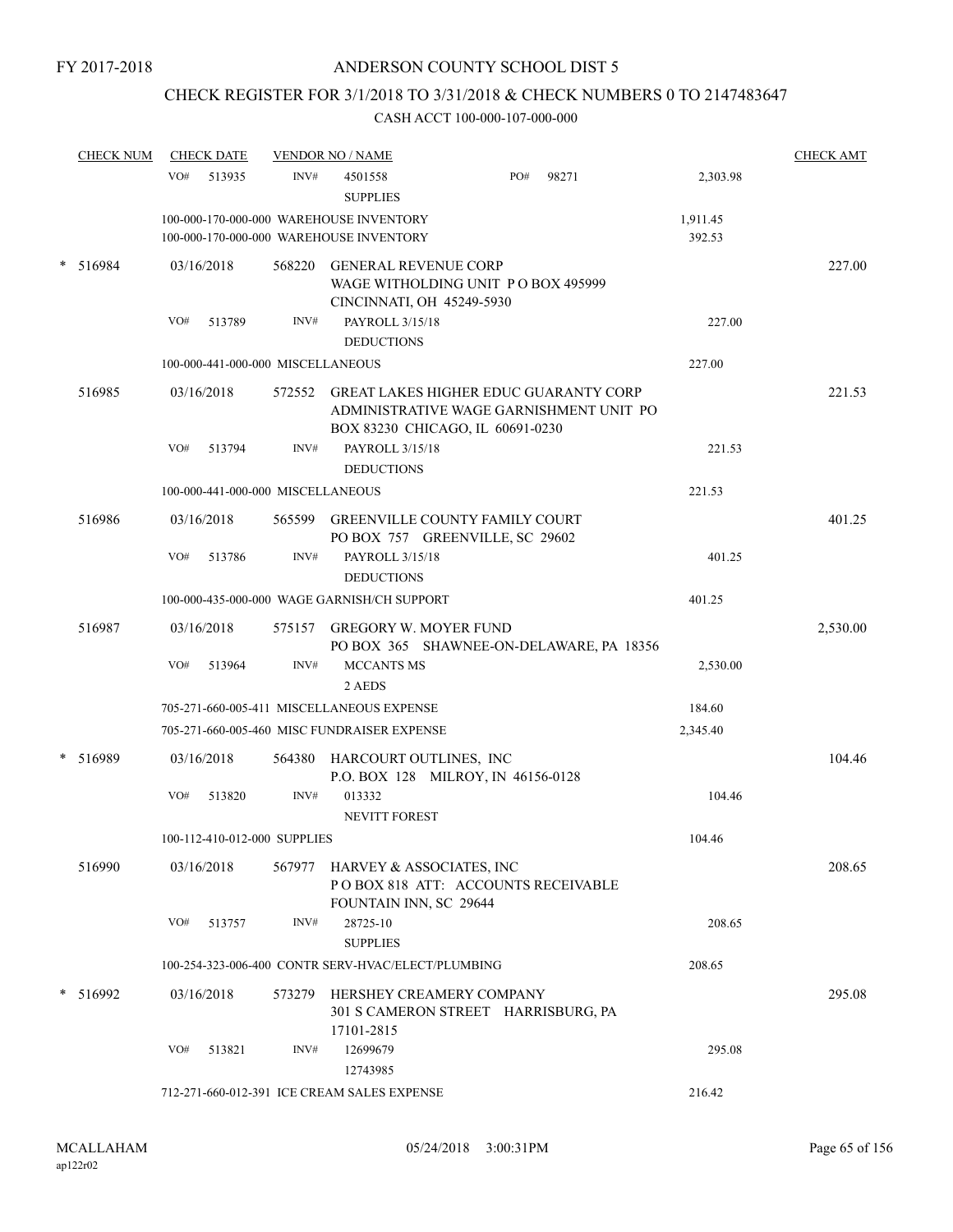## CHECK REGISTER FOR 3/1/2018 TO 3/31/2018 & CHECK NUMBERS 0 TO 2147483647

| <b>CHECK NUM</b> |     | <b>CHECK DATE</b>                 |        | <b>VENDOR NO / NAME</b>                                                                                                     |     |       |                    | <b>CHECK AMT</b> |
|------------------|-----|-----------------------------------|--------|-----------------------------------------------------------------------------------------------------------------------------|-----|-------|--------------------|------------------|
|                  | VO# | 513935                            | INV#   | 4501558<br><b>SUPPLIES</b>                                                                                                  | PO# | 98271 | 2,303.98           |                  |
|                  |     |                                   |        | 100-000-170-000-000 WAREHOUSE INVENTORY<br>100-000-170-000-000 WAREHOUSE INVENTORY                                          |     |       | 1,911.45<br>392.53 |                  |
| 516984           |     | 03/16/2018                        | 568220 | <b>GENERAL REVENUE CORP</b><br>WAGE WITHOLDING UNIT PO BOX 495999<br>CINCINNATI, OH 45249-5930                              |     |       |                    | 227.00           |
|                  | VO# | 513789                            | INV#   | PAYROLL 3/15/18<br><b>DEDUCTIONS</b>                                                                                        |     |       | 227.00             |                  |
|                  |     | 100-000-441-000-000 MISCELLANEOUS |        |                                                                                                                             |     |       | 227.00             |                  |
| 516985           |     | 03/16/2018                        |        | 572552 GREAT LAKES HIGHER EDUC GUARANTY CORP<br>ADMINISTRATIVE WAGE GARNISHMENT UNIT PO<br>BOX 83230 CHICAGO, IL 60691-0230 |     |       |                    | 221.53           |
|                  | VO# | 513794                            | INV#   | PAYROLL 3/15/18<br><b>DEDUCTIONS</b>                                                                                        |     |       | 221.53             |                  |
|                  |     | 100-000-441-000-000 MISCELLANEOUS |        |                                                                                                                             |     |       | 221.53             |                  |
| 516986           |     | 03/16/2018                        |        | 565599 GREENVILLE COUNTY FAMILY COURT<br>PO BOX 757 GREENVILLE, SC 29602                                                    |     |       |                    | 401.25           |
|                  | VO# | 513786                            | INV#   | PAYROLL 3/15/18<br><b>DEDUCTIONS</b>                                                                                        |     |       | 401.25             |                  |
|                  |     |                                   |        | 100-000-435-000-000 WAGE GARNISH/CH SUPPORT                                                                                 |     |       | 401.25             |                  |
| 516987           |     | 03/16/2018                        | 575157 | <b>GREGORY W. MOYER FUND</b><br>PO BOX 365 SHAWNEE-ON-DELAWARE, PA 18356                                                    |     |       |                    | 2,530.00         |
|                  | VO# | 513964                            | INV#   | <b>MCCANTS MS</b><br>2 AEDS                                                                                                 |     |       | 2,530.00           |                  |
|                  |     |                                   |        | 705-271-660-005-411 MISCELLANEOUS EXPENSE                                                                                   |     |       | 184.60             |                  |
|                  |     |                                   |        | 705-271-660-005-460 MISC FUNDRAISER EXPENSE                                                                                 |     |       | 2,345.40           |                  |
| * 516989         |     | 03/16/2018                        | 564380 | HARCOURT OUTLINES, INC<br>P.O. BOX 128 MILROY, IN 46156-0128                                                                |     |       |                    | 104.46           |
|                  | VO# | 513820                            | INV#   | 013332<br><b>NEVITT FOREST</b>                                                                                              |     |       | 104.46             |                  |
|                  |     | 100-112-410-012-000 SUPPLIES      |        |                                                                                                                             |     |       | 104.46             |                  |
| 516990           |     | 03/16/2018                        |        | 567977 HARVEY & ASSOCIATES, INC<br>PO BOX 818 ATT: ACCOUNTS RECEIVABLE<br>FOUNTAIN INN, SC 29644                            |     |       |                    | 208.65           |
|                  | VO# | 513757                            | INV#   | 28725-10<br><b>SUPPLIES</b>                                                                                                 |     |       | 208.65             |                  |
|                  |     |                                   |        | 100-254-323-006-400 CONTR SERV-HVAC/ELECT/PLUMBING                                                                          |     |       | 208.65             |                  |
| * 516992         |     | 03/16/2018                        | 573279 | HERSHEY CREAMERY COMPANY<br>301 S CAMERON STREET HARRISBURG, PA<br>17101-2815                                               |     |       |                    | 295.08           |
|                  | VO# | 513821                            | INV#   | 12699679<br>12743985                                                                                                        |     |       | 295.08             |                  |
|                  |     |                                   |        | 712-271-660-012-391 ICE CREAM SALES EXPENSE                                                                                 |     |       | 216.42             |                  |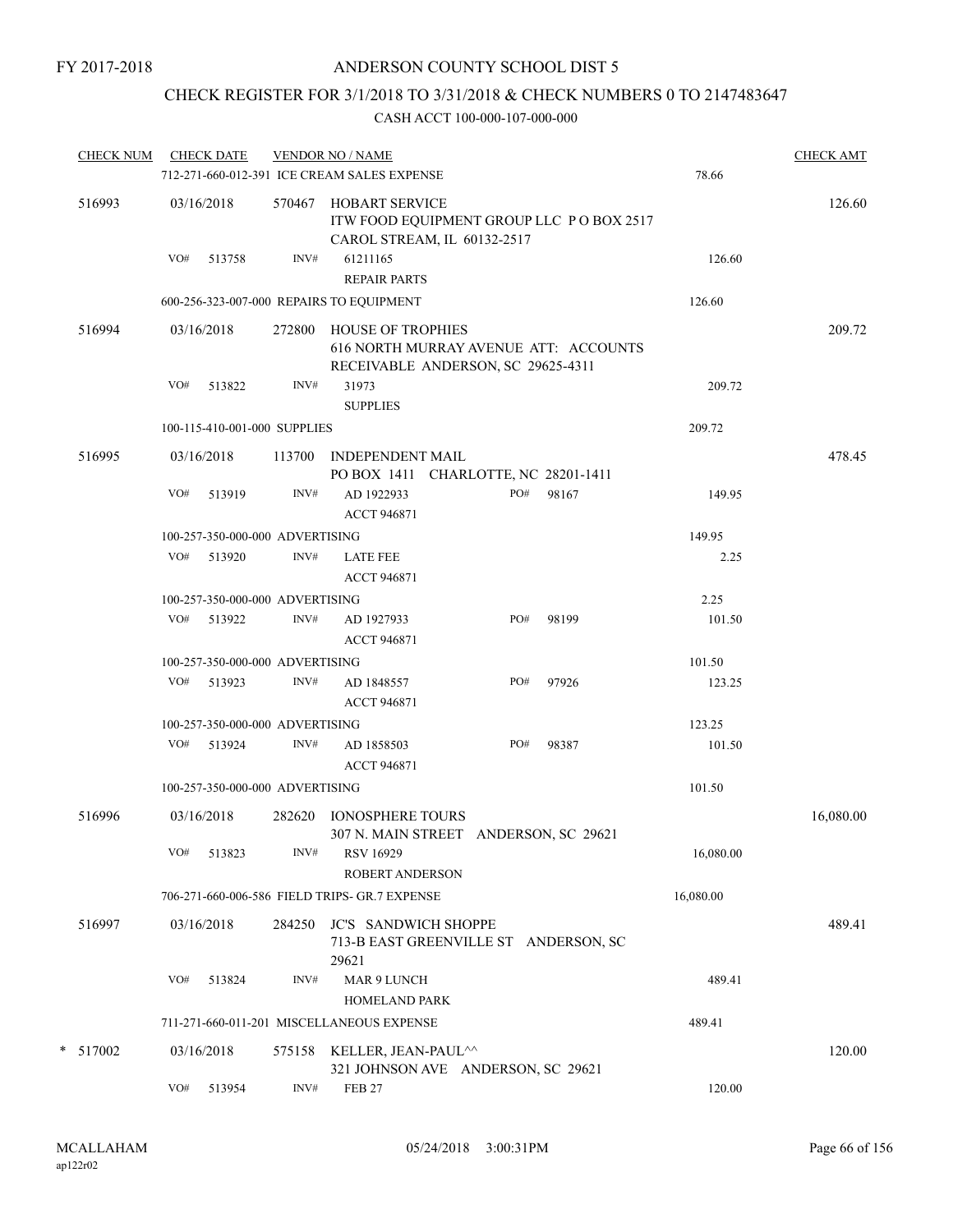# CHECK REGISTER FOR 3/1/2018 TO 3/31/2018 & CHECK NUMBERS 0 TO 2147483647

|          | CHECK NUM CHECK DATE |                                 | <b>VENDOR NO / NAME</b><br>712-271-660-012-391 ICE CREAM SALES EXPENSE                                  |     |       | 78.66     | <b>CHECK AMT</b> |
|----------|----------------------|---------------------------------|---------------------------------------------------------------------------------------------------------|-----|-------|-----------|------------------|
| 516993   | 03/16/2018           | 570467                          | <b>HOBART SERVICE</b><br>ITW FOOD EQUIPMENT GROUP LLC PO BOX 2517<br>CAROL STREAM, IL 60132-2517        |     |       |           | 126.60           |
|          | VO#<br>513758        | INV#                            | 61211165<br><b>REPAIR PARTS</b>                                                                         |     |       | 126.60    |                  |
|          |                      |                                 | 600-256-323-007-000 REPAIRS TO EQUIPMENT                                                                |     |       | 126.60    |                  |
| 516994   | 03/16/2018           | 272800                          | <b>HOUSE OF TROPHIES</b><br>616 NORTH MURRAY AVENUE ATT: ACCOUNTS<br>RECEIVABLE ANDERSON, SC 29625-4311 |     |       |           | 209.72           |
|          | VO#<br>513822        | INV#                            | 31973<br><b>SUPPLIES</b>                                                                                |     |       | 209.72    |                  |
|          |                      | 100-115-410-001-000 SUPPLIES    |                                                                                                         |     |       | 209.72    |                  |
| 516995   | 03/16/2018           |                                 | 113700 INDEPENDENT MAIL                                                                                 |     |       |           | 478.45           |
|          | VO#<br>513919        | INV#                            | PO BOX 1411 CHARLOTTE, NC 28201-1411<br>AD 1922933<br><b>ACCT 946871</b>                                | PO# | 98167 | 149.95    |                  |
|          |                      | 100-257-350-000-000 ADVERTISING |                                                                                                         |     |       | 149.95    |                  |
|          | VO# 513920           | INV#                            | <b>LATE FEE</b><br><b>ACCT 946871</b>                                                                   |     |       | 2.25      |                  |
|          |                      | 100-257-350-000-000 ADVERTISING |                                                                                                         |     |       | 2.25      |                  |
|          | VO# 513922           | INV#                            | AD 1927933<br><b>ACCT 946871</b>                                                                        | PO# | 98199 | 101.50    |                  |
|          |                      | 100-257-350-000-000 ADVERTISING |                                                                                                         |     |       | 101.50    |                  |
|          | VO# 513923           | INV#                            | AD 1848557<br><b>ACCT 946871</b>                                                                        | PO# | 97926 | 123.25    |                  |
|          |                      | 100-257-350-000-000 ADVERTISING |                                                                                                         |     |       | 123.25    |                  |
|          | VO#<br>513924        | INV#                            | AD 1858503<br><b>ACCT 946871</b>                                                                        | PO# | 98387 | 101.50    |                  |
|          |                      | 100-257-350-000-000 ADVERTISING |                                                                                                         |     |       | 101.50    |                  |
| 516996   | 03/16/2018           | 282620                          | <b>IONOSPHERE TOURS</b><br>307 N. MAIN STREET ANDERSON, SC 29621                                        |     |       |           | 16,080.00        |
|          | VO#<br>513823        | INV#                            | <b>RSV 16929</b><br>ROBERT ANDERSON                                                                     |     |       | 16,080.00 |                  |
|          |                      |                                 | 706-271-660-006-586 FIELD TRIPS- GR.7 EXPENSE                                                           |     |       | 16,080.00 |                  |
| 516997   | 03/16/2018           | 284250                          | <b>JC'S SANDWICH SHOPPE</b><br>713-B EAST GREENVILLE ST ANDERSON, SC<br>29621                           |     |       |           | 489.41           |
|          | VO#<br>513824        | INV#                            | MAR 9 LUNCH<br><b>HOMELAND PARK</b>                                                                     |     |       | 489.41    |                  |
|          |                      |                                 | 711-271-660-011-201 MISCELLANEOUS EXPENSE                                                               |     |       | 489.41    |                  |
| * 517002 | 03/16/2018           | 575158                          | KELLER, JEAN-PAUL^^                                                                                     |     |       |           | 120.00           |
|          | VO#<br>513954        | INV#                            | 321 JOHNSON AVE ANDERSON, SC 29621<br><b>FEB 27</b>                                                     |     |       | 120.00    |                  |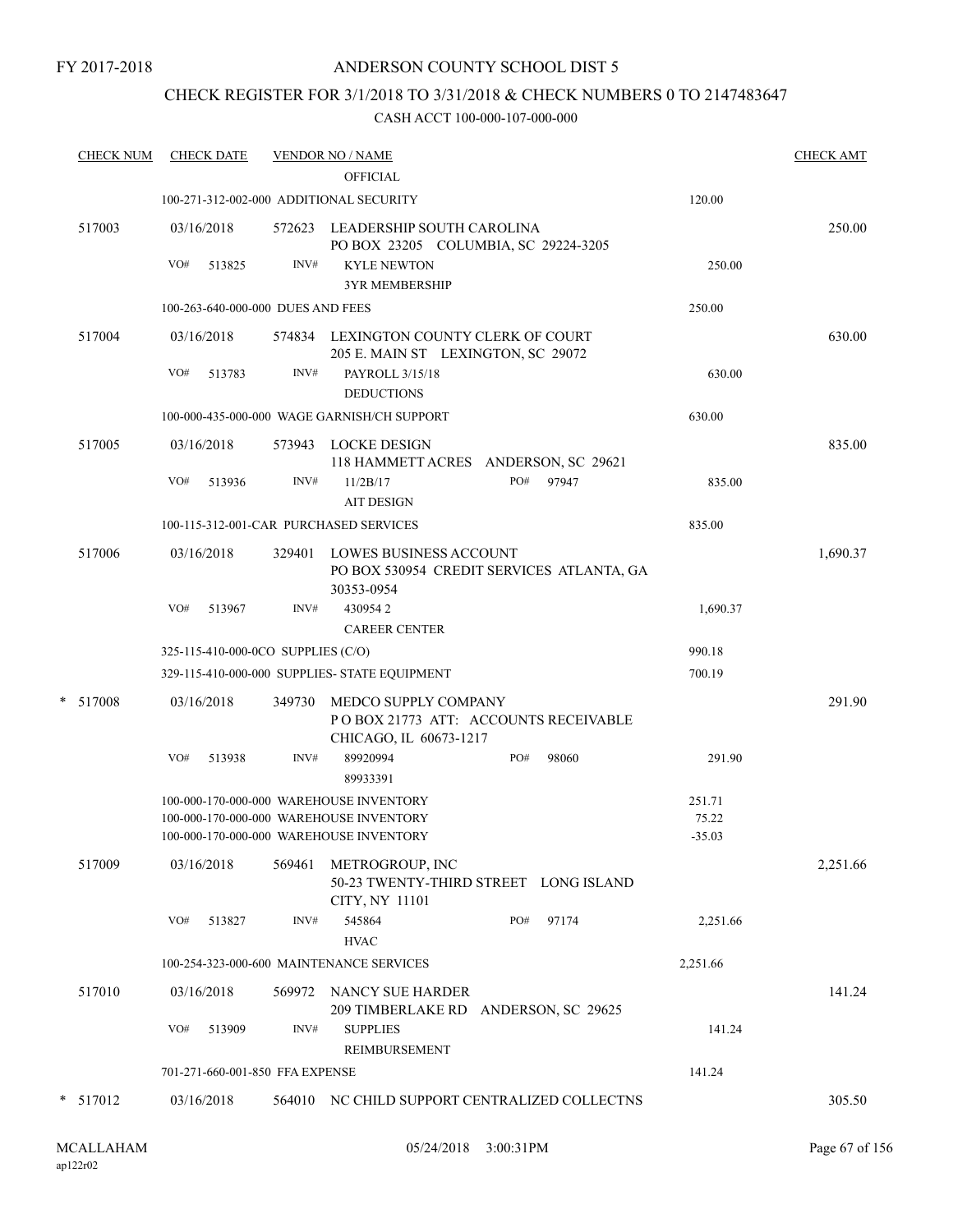### ANDERSON COUNTY SCHOOL DIST 5

### CHECK REGISTER FOR 3/1/2018 TO 3/31/2018 & CHECK NUMBERS 0 TO 2147483647

| 100-271-312-002-000 ADDITIONAL SECURITY |                                                                                                                                                               | <b>OFFICIAL</b>                             |                                                                                                                                                                                                                                                                                                                                                                                                                                                                                                             |                                                                                                                                                                                                     |                                                                                                                                                                                                                                                                                                                 |
|-----------------------------------------|---------------------------------------------------------------------------------------------------------------------------------------------------------------|---------------------------------------------|-------------------------------------------------------------------------------------------------------------------------------------------------------------------------------------------------------------------------------------------------------------------------------------------------------------------------------------------------------------------------------------------------------------------------------------------------------------------------------------------------------------|-----------------------------------------------------------------------------------------------------------------------------------------------------------------------------------------------------|-----------------------------------------------------------------------------------------------------------------------------------------------------------------------------------------------------------------------------------------------------------------------------------------------------------------|
|                                         |                                                                                                                                                               |                                             |                                                                                                                                                                                                                                                                                                                                                                                                                                                                                                             |                                                                                                                                                                                                     |                                                                                                                                                                                                                                                                                                                 |
|                                         |                                                                                                                                                               |                                             |                                                                                                                                                                                                                                                                                                                                                                                                                                                                                                             | 120.00                                                                                                                                                                                              |                                                                                                                                                                                                                                                                                                                 |
|                                         |                                                                                                                                                               |                                             |                                                                                                                                                                                                                                                                                                                                                                                                                                                                                                             |                                                                                                                                                                                                     | 250.00                                                                                                                                                                                                                                                                                                          |
| 513825                                  | INV#                                                                                                                                                          | <b>KYLE NEWTON</b><br><b>3YR MEMBERSHIP</b> |                                                                                                                                                                                                                                                                                                                                                                                                                                                                                                             | 250.00                                                                                                                                                                                              |                                                                                                                                                                                                                                                                                                                 |
|                                         |                                                                                                                                                               |                                             |                                                                                                                                                                                                                                                                                                                                                                                                                                                                                                             | 250.00                                                                                                                                                                                              |                                                                                                                                                                                                                                                                                                                 |
|                                         |                                                                                                                                                               |                                             |                                                                                                                                                                                                                                                                                                                                                                                                                                                                                                             |                                                                                                                                                                                                     | 630.00                                                                                                                                                                                                                                                                                                          |
| 513783                                  | INV#                                                                                                                                                          | PAYROLL 3/15/18<br><b>DEDUCTIONS</b>        |                                                                                                                                                                                                                                                                                                                                                                                                                                                                                                             | 630.00                                                                                                                                                                                              |                                                                                                                                                                                                                                                                                                                 |
|                                         |                                                                                                                                                               |                                             |                                                                                                                                                                                                                                                                                                                                                                                                                                                                                                             | 630.00                                                                                                                                                                                              |                                                                                                                                                                                                                                                                                                                 |
|                                         |                                                                                                                                                               |                                             |                                                                                                                                                                                                                                                                                                                                                                                                                                                                                                             |                                                                                                                                                                                                     | 835.00                                                                                                                                                                                                                                                                                                          |
| 513936                                  | INV#                                                                                                                                                          | 11/2B/17<br><b>AIT DESIGN</b>               | PO#<br>97947                                                                                                                                                                                                                                                                                                                                                                                                                                                                                                | 835.00                                                                                                                                                                                              |                                                                                                                                                                                                                                                                                                                 |
|                                         |                                                                                                                                                               |                                             |                                                                                                                                                                                                                                                                                                                                                                                                                                                                                                             | 835.00                                                                                                                                                                                              |                                                                                                                                                                                                                                                                                                                 |
|                                         |                                                                                                                                                               |                                             |                                                                                                                                                                                                                                                                                                                                                                                                                                                                                                             |                                                                                                                                                                                                     | 1,690.37                                                                                                                                                                                                                                                                                                        |
| 513967                                  | INV#                                                                                                                                                          | 4309542<br><b>CAREER CENTER</b>             |                                                                                                                                                                                                                                                                                                                                                                                                                                                                                                             | 1,690.37                                                                                                                                                                                            |                                                                                                                                                                                                                                                                                                                 |
|                                         |                                                                                                                                                               |                                             |                                                                                                                                                                                                                                                                                                                                                                                                                                                                                                             | 990.18                                                                                                                                                                                              |                                                                                                                                                                                                                                                                                                                 |
|                                         |                                                                                                                                                               |                                             |                                                                                                                                                                                                                                                                                                                                                                                                                                                                                                             | 700.19                                                                                                                                                                                              |                                                                                                                                                                                                                                                                                                                 |
|                                         | 349730                                                                                                                                                        |                                             |                                                                                                                                                                                                                                                                                                                                                                                                                                                                                                             |                                                                                                                                                                                                     | 291.90                                                                                                                                                                                                                                                                                                          |
| 513938                                  | INV#                                                                                                                                                          | 89920994<br>89933391                        | PO#<br>98060                                                                                                                                                                                                                                                                                                                                                                                                                                                                                                | 291.90                                                                                                                                                                                              |                                                                                                                                                                                                                                                                                                                 |
|                                         |                                                                                                                                                               |                                             |                                                                                                                                                                                                                                                                                                                                                                                                                                                                                                             | 251.71                                                                                                                                                                                              |                                                                                                                                                                                                                                                                                                                 |
|                                         |                                                                                                                                                               |                                             |                                                                                                                                                                                                                                                                                                                                                                                                                                                                                                             | 75.22                                                                                                                                                                                               |                                                                                                                                                                                                                                                                                                                 |
|                                         |                                                                                                                                                               |                                             |                                                                                                                                                                                                                                                                                                                                                                                                                                                                                                             |                                                                                                                                                                                                     |                                                                                                                                                                                                                                                                                                                 |
|                                         |                                                                                                                                                               | METROGROUP, INC<br>CITY, NY 11101           |                                                                                                                                                                                                                                                                                                                                                                                                                                                                                                             |                                                                                                                                                                                                     | 2,251.66                                                                                                                                                                                                                                                                                                        |
| 513827                                  | INV#                                                                                                                                                          | 545864<br><b>HVAC</b>                       | PO#<br>97174                                                                                                                                                                                                                                                                                                                                                                                                                                                                                                | 2,251.66                                                                                                                                                                                            |                                                                                                                                                                                                                                                                                                                 |
|                                         |                                                                                                                                                               |                                             |                                                                                                                                                                                                                                                                                                                                                                                                                                                                                                             | 2,251.66                                                                                                                                                                                            |                                                                                                                                                                                                                                                                                                                 |
|                                         |                                                                                                                                                               |                                             |                                                                                                                                                                                                                                                                                                                                                                                                                                                                                                             |                                                                                                                                                                                                     | 141.24                                                                                                                                                                                                                                                                                                          |
| 513909                                  | INV#                                                                                                                                                          | <b>SUPPLIES</b><br>REIMBURSEMENT            |                                                                                                                                                                                                                                                                                                                                                                                                                                                                                                             | 141.24                                                                                                                                                                                              |                                                                                                                                                                                                                                                                                                                 |
|                                         |                                                                                                                                                               |                                             |                                                                                                                                                                                                                                                                                                                                                                                                                                                                                                             | 141.24                                                                                                                                                                                              |                                                                                                                                                                                                                                                                                                                 |
|                                         |                                                                                                                                                               |                                             |                                                                                                                                                                                                                                                                                                                                                                                                                                                                                                             |                                                                                                                                                                                                     | 305.50                                                                                                                                                                                                                                                                                                          |
|                                         | 03/16/2018<br>VO#<br>03/16/2018<br>VO#<br>03/16/2018<br>VO#<br>03/16/2018<br>VO#<br>03/16/2018<br>VO#<br>03/16/2018<br>VO#<br>03/16/2018<br>VO#<br>03/16/2018 |                                             | 100-263-640-000-000 DUES AND FEES<br>100-000-435-000-000 WAGE GARNISH/CH SUPPORT<br>573943 LOCKE DESIGN<br>100-115-312-001-CAR PURCHASED SERVICES<br>30353-0954<br>325-115-410-000-0CO SUPPLIES (C/O)<br>329-115-410-000-000 SUPPLIES- STATE EQUIPMENT<br>100-000-170-000-000 WAREHOUSE INVENTORY<br>100-000-170-000-000 WAREHOUSE INVENTORY<br>100-000-170-000-000 WAREHOUSE INVENTORY<br>569461<br>100-254-323-000-600 MAINTENANCE SERVICES<br>569972 NANCY SUE HARDER<br>701-271-660-001-850 FFA EXPENSE | 572623 LEADERSHIP SOUTH CAROLINA<br>574834 LEXINGTON COUNTY CLERK OF COURT<br>205 E. MAIN ST LEXINGTON, SC 29072<br>329401 LOWES BUSINESS ACCOUNT<br>MEDCO SUPPLY COMPANY<br>CHICAGO, IL 60673-1217 | PO BOX 23205 COLUMBIA, SC 29224-3205<br>118 HAMMETT ACRES ANDERSON, SC 29621<br>PO BOX 530954 CREDIT SERVICES ATLANTA, GA<br>POBOX 21773 ATT: ACCOUNTS RECEIVABLE<br>$-35.03$<br>50-23 TWENTY-THIRD STREET LONG ISLAND<br>209 TIMBERLAKE RD ANDERSON, SC 29625<br>564010 NC CHILD SUPPORT CENTRALIZED COLLECTNS |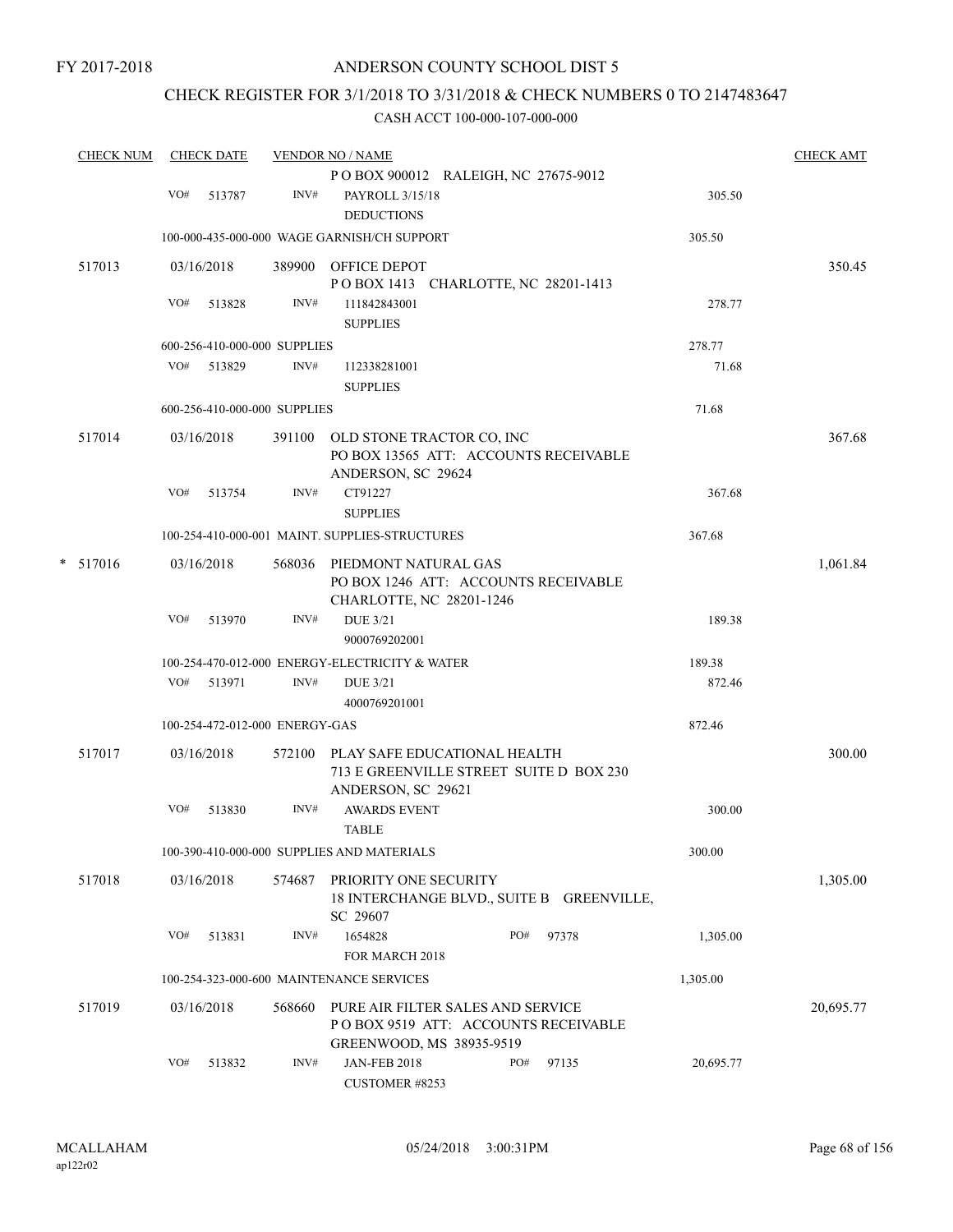## CHECK REGISTER FOR 3/1/2018 TO 3/31/2018 & CHECK NUMBERS 0 TO 2147483647

|   | <b>CHECK NUM</b> |     | <b>CHECK DATE</b> |                                | <b>VENDOR NO / NAME</b>                                             |     |       |           | <b>CHECK AMT</b> |
|---|------------------|-----|-------------------|--------------------------------|---------------------------------------------------------------------|-----|-------|-----------|------------------|
|   |                  |     |                   |                                | POBOX 900012 RALEIGH, NC 27675-9012                                 |     |       |           |                  |
|   |                  | VO# | 513787            | INV#                           | PAYROLL 3/15/18<br><b>DEDUCTIONS</b>                                |     |       | 305.50    |                  |
|   |                  |     |                   |                                | 100-000-435-000-000 WAGE GARNISH/CH SUPPORT                         |     |       | 305.50    |                  |
|   | 517013           |     | 03/16/2018        |                                | 389900 OFFICE DEPOT                                                 |     |       |           | 350.45           |
|   |                  |     |                   |                                | POBOX 1413 CHARLOTTE, NC 28201-1413                                 |     |       |           |                  |
|   |                  | VO# | 513828            | INV#                           | 111842843001                                                        |     |       | 278.77    |                  |
|   |                  |     |                   |                                | <b>SUPPLIES</b>                                                     |     |       |           |                  |
|   |                  |     |                   | 600-256-410-000-000 SUPPLIES   |                                                                     |     |       | 278.77    |                  |
|   |                  | VO# | 513829            | INV#                           | 112338281001                                                        |     |       | 71.68     |                  |
|   |                  |     |                   |                                | <b>SUPPLIES</b>                                                     |     |       |           |                  |
|   |                  |     |                   | 600-256-410-000-000 SUPPLIES   |                                                                     |     |       | 71.68     |                  |
|   | 517014           |     | 03/16/2018        | 391100                         | OLD STONE TRACTOR CO, INC                                           |     |       |           | 367.68           |
|   |                  |     |                   |                                | PO BOX 13565 ATT: ACCOUNTS RECEIVABLE<br>ANDERSON, SC 29624         |     |       |           |                  |
|   |                  | VO# | 513754            | INV#                           | CT91227<br><b>SUPPLIES</b>                                          |     |       | 367.68    |                  |
|   |                  |     |                   |                                | 100-254-410-000-001 MAINT. SUPPLIES-STRUCTURES                      |     |       | 367.68    |                  |
|   |                  |     |                   |                                |                                                                     |     |       |           |                  |
| * | 517016           |     | 03/16/2018        |                                | 568036 PIEDMONT NATURAL GAS<br>PO BOX 1246 ATT: ACCOUNTS RECEIVABLE |     |       |           | 1,061.84         |
|   |                  |     |                   |                                | CHARLOTTE, NC 28201-1246                                            |     |       |           |                  |
|   |                  | VO# | 513970            | INV#                           | <b>DUE 3/21</b>                                                     |     |       | 189.38    |                  |
|   |                  |     |                   |                                | 9000769202001                                                       |     |       |           |                  |
|   |                  |     |                   |                                | 100-254-470-012-000 ENERGY-ELECTRICITY & WATER                      |     |       | 189.38    |                  |
|   |                  | VO# | 513971            | INV#                           | <b>DUE 3/21</b>                                                     |     |       | 872.46    |                  |
|   |                  |     |                   |                                | 4000769201001                                                       |     |       |           |                  |
|   |                  |     |                   | 100-254-472-012-000 ENERGY-GAS |                                                                     |     |       | 872.46    |                  |
|   | 517017           |     | 03/16/2018        |                                | 572100 PLAY SAFE EDUCATIONAL HEALTH                                 |     |       |           | 300.00           |
|   |                  |     |                   |                                | 713 E GREENVILLE STREET SUITE D BOX 230                             |     |       |           |                  |
|   |                  |     |                   |                                | ANDERSON, SC 29621                                                  |     |       |           |                  |
|   |                  | VO# | 513830            | INV#                           | <b>AWARDS EVENT</b><br><b>TABLE</b>                                 |     |       | 300.00    |                  |
|   |                  |     |                   |                                | 100-390-410-000-000 SUPPLIES AND MATERIALS                          |     |       | 300.00    |                  |
|   | 517018           |     | 03/16/2018        | 574687                         | PRIORITY ONE SECURITY                                               |     |       |           | 1,305.00         |
|   |                  |     |                   |                                | 18 INTERCHANGE BLVD., SUITE B GREENVILLE,<br>SC 29607               |     |       |           |                  |
|   |                  | VO# | 513831            | INV#                           | 1654828                                                             | PO# | 97378 | 1,305.00  |                  |
|   |                  |     |                   |                                | FOR MARCH 2018                                                      |     |       |           |                  |
|   |                  |     |                   |                                | 100-254-323-000-600 MAINTENANCE SERVICES                            |     |       | 1,305.00  |                  |
|   | 517019           |     | 03/16/2018        | 568660                         | PURE AIR FILTER SALES AND SERVICE                                   |     |       |           | 20,695.77        |
|   |                  |     |                   |                                | POBOX 9519 ATT: ACCOUNTS RECEIVABLE                                 |     |       |           |                  |
|   |                  |     |                   |                                | GREENWOOD, MS 38935-9519                                            |     |       |           |                  |
|   |                  | VO# | 513832            | INV#                           | <b>JAN-FEB 2018</b>                                                 | PO# | 97135 | 20,695.77 |                  |
|   |                  |     |                   |                                | CUSTOMER #8253                                                      |     |       |           |                  |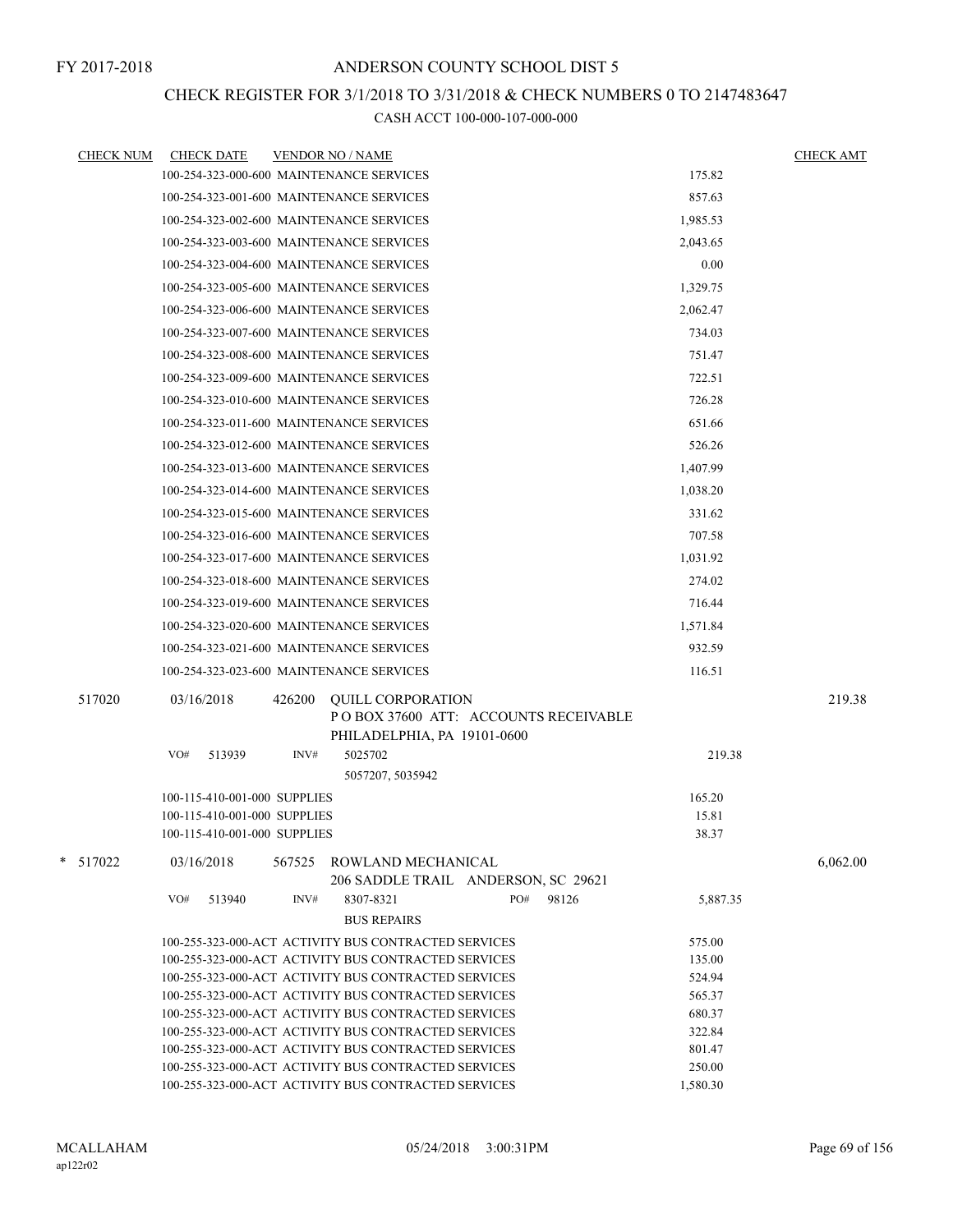### CHECK REGISTER FOR 3/1/2018 TO 3/31/2018 & CHECK NUMBERS 0 TO 2147483647

| <b>CHECK NUM</b> | <b>CHECK DATE</b>            | <b>VENDOR NO / NAME</b>                                                                                                          | <b>CHECK AMT</b> |
|------------------|------------------------------|----------------------------------------------------------------------------------------------------------------------------------|------------------|
|                  |                              | 175.82<br>100-254-323-000-600 MAINTENANCE SERVICES                                                                               |                  |
|                  |                              | 100-254-323-001-600 MAINTENANCE SERVICES<br>857.63                                                                               |                  |
|                  |                              | 100-254-323-002-600 MAINTENANCE SERVICES<br>1,985.53                                                                             |                  |
|                  |                              | 100-254-323-003-600 MAINTENANCE SERVICES<br>2,043.65                                                                             |                  |
|                  |                              | 100-254-323-004-600 MAINTENANCE SERVICES<br>0.00                                                                                 |                  |
|                  |                              | 100-254-323-005-600 MAINTENANCE SERVICES<br>1,329.75                                                                             |                  |
|                  |                              | 100-254-323-006-600 MAINTENANCE SERVICES<br>2,062.47                                                                             |                  |
|                  |                              | 100-254-323-007-600 MAINTENANCE SERVICES<br>734.03                                                                               |                  |
|                  |                              | 100-254-323-008-600 MAINTENANCE SERVICES<br>751.47                                                                               |                  |
|                  |                              | 722.51<br>100-254-323-009-600 MAINTENANCE SERVICES                                                                               |                  |
|                  |                              | 100-254-323-010-600 MAINTENANCE SERVICES<br>726.28                                                                               |                  |
|                  |                              | 100-254-323-011-600 MAINTENANCE SERVICES<br>651.66                                                                               |                  |
|                  |                              |                                                                                                                                  |                  |
|                  |                              | 100-254-323-012-600 MAINTENANCE SERVICES<br>526.26                                                                               |                  |
|                  |                              | 100-254-323-013-600 MAINTENANCE SERVICES<br>1,407.99                                                                             |                  |
|                  |                              | 100-254-323-014-600 MAINTENANCE SERVICES<br>1,038.20                                                                             |                  |
|                  |                              | 100-254-323-015-600 MAINTENANCE SERVICES<br>331.62                                                                               |                  |
|                  |                              | 100-254-323-016-600 MAINTENANCE SERVICES<br>707.58                                                                               |                  |
|                  |                              | 100-254-323-017-600 MAINTENANCE SERVICES<br>1,031.92                                                                             |                  |
|                  |                              | 100-254-323-018-600 MAINTENANCE SERVICES<br>274.02                                                                               |                  |
|                  |                              | 100-254-323-019-600 MAINTENANCE SERVICES<br>716.44                                                                               |                  |
|                  |                              | 100-254-323-020-600 MAINTENANCE SERVICES<br>1,571.84                                                                             |                  |
|                  |                              | 932.59<br>100-254-323-021-600 MAINTENANCE SERVICES                                                                               |                  |
|                  |                              | 100-254-323-023-600 MAINTENANCE SERVICES<br>116.51                                                                               |                  |
| 517020           | 03/16/2018                   | 426200<br><b>QUILL CORPORATION</b>                                                                                               | 219.38           |
|                  |                              | PO BOX 37600 ATT: ACCOUNTS RECEIVABLE                                                                                            |                  |
|                  |                              | PHILADELPHIA, PA 19101-0600                                                                                                      |                  |
|                  | VO#<br>513939                | INV#<br>5025702<br>219.38                                                                                                        |                  |
|                  |                              | 5057207, 5035942                                                                                                                 |                  |
|                  | 100-115-410-001-000 SUPPLIES | 165.20                                                                                                                           |                  |
|                  | 100-115-410-001-000 SUPPLIES | 15.81                                                                                                                            |                  |
|                  | 100-115-410-001-000 SUPPLIES | 38.37                                                                                                                            |                  |
| * 517022         | 03/16/2018                   | 567525<br>ROWLAND MECHANICAL                                                                                                     | 6,062.00         |
|                  |                              | 206 SADDLE TRAIL ANDERSON, SC 29621                                                                                              |                  |
|                  | VO#<br>513940                | INV#<br>8307-8321<br>PO#<br>98126<br>5,887.35                                                                                    |                  |
|                  |                              | <b>BUS REPAIRS</b>                                                                                                               |                  |
|                  |                              | 100-255-323-000-ACT ACTIVITY BUS CONTRACTED SERVICES<br>575.00                                                                   |                  |
|                  |                              | 100-255-323-000-ACT ACTIVITY BUS CONTRACTED SERVICES<br>135.00                                                                   |                  |
|                  |                              | 100-255-323-000-ACT ACTIVITY BUS CONTRACTED SERVICES<br>524.94                                                                   |                  |
|                  |                              | 100-255-323-000-ACT ACTIVITY BUS CONTRACTED SERVICES<br>565.37<br>100-255-323-000-ACT ACTIVITY BUS CONTRACTED SERVICES<br>680.37 |                  |
|                  |                              | 322.84<br>100-255-323-000-ACT ACTIVITY BUS CONTRACTED SERVICES                                                                   |                  |
|                  |                              | 100-255-323-000-ACT ACTIVITY BUS CONTRACTED SERVICES<br>801.47                                                                   |                  |
|                  |                              | 250.00<br>100-255-323-000-ACT ACTIVITY BUS CONTRACTED SERVICES                                                                   |                  |
|                  |                              | 100-255-323-000-ACT ACTIVITY BUS CONTRACTED SERVICES<br>1,580.30                                                                 |                  |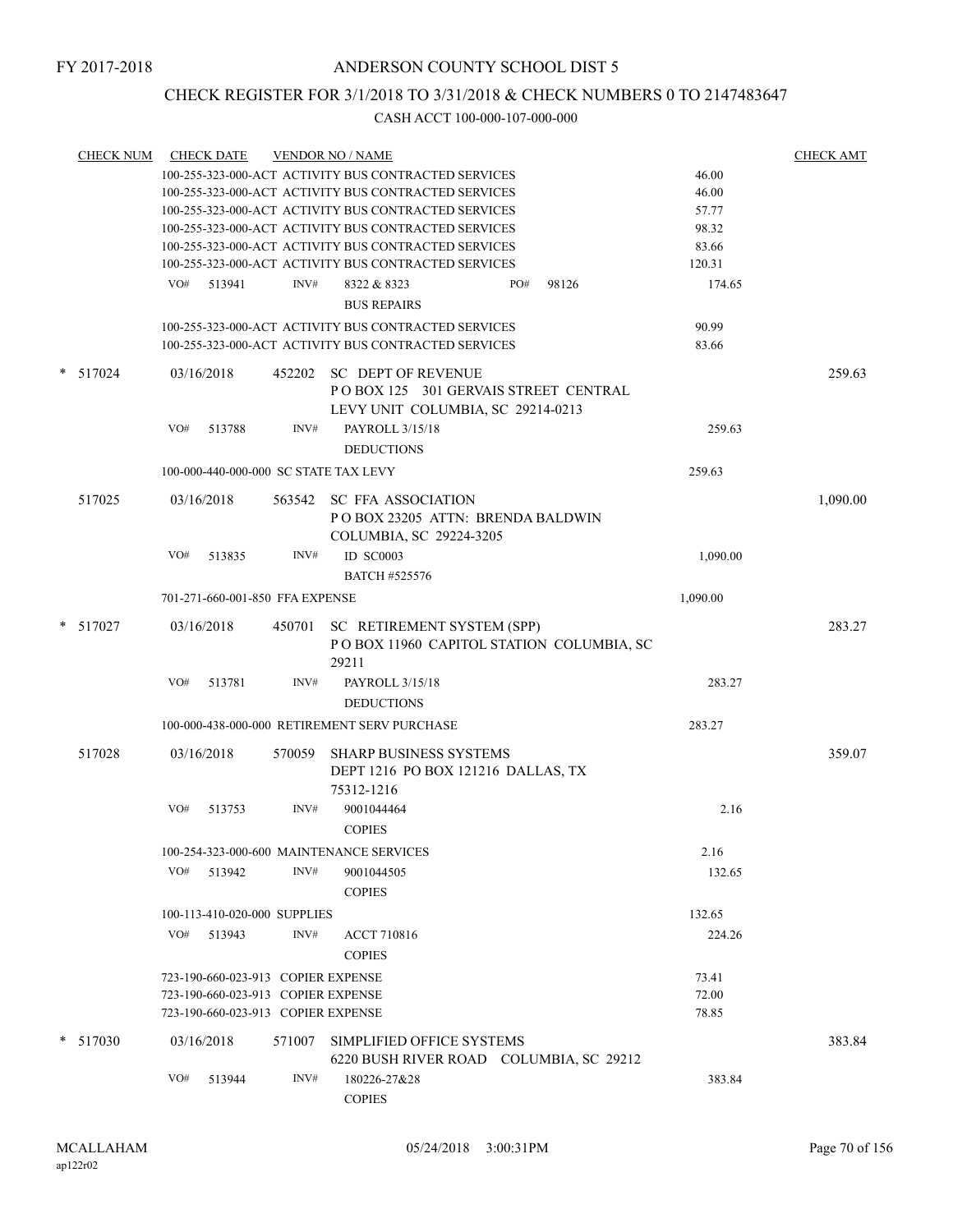### CHECK REGISTER FOR 3/1/2018 TO 3/31/2018 & CHECK NUMBERS 0 TO 2147483647

| <b>CHECK NUM</b> |     | <b>CHECK DATE</b> |                                    | <b>VENDOR NO / NAME</b>                                                                                |          | <b>CHECK AMT</b> |
|------------------|-----|-------------------|------------------------------------|--------------------------------------------------------------------------------------------------------|----------|------------------|
|                  |     |                   |                                    | 100-255-323-000-ACT ACTIVITY BUS CONTRACTED SERVICES                                                   | 46.00    |                  |
|                  |     |                   |                                    | 100-255-323-000-ACT ACTIVITY BUS CONTRACTED SERVICES                                                   | 46.00    |                  |
|                  |     |                   |                                    | 100-255-323-000-ACT ACTIVITY BUS CONTRACTED SERVICES                                                   | 57.77    |                  |
|                  |     |                   |                                    | 100-255-323-000-ACT ACTIVITY BUS CONTRACTED SERVICES                                                   | 98.32    |                  |
|                  |     |                   |                                    | 100-255-323-000-ACT ACTIVITY BUS CONTRACTED SERVICES                                                   | 83.66    |                  |
|                  |     |                   |                                    | 100-255-323-000-ACT ACTIVITY BUS CONTRACTED SERVICES                                                   | 120.31   |                  |
|                  |     | VO# 513941        | INV#                               | PO#<br>8322 & 8323<br>98126<br><b>BUS REPAIRS</b>                                                      | 174.65   |                  |
|                  |     |                   |                                    |                                                                                                        |          |                  |
|                  |     |                   |                                    | 100-255-323-000-ACT ACTIVITY BUS CONTRACTED SERVICES                                                   | 90.99    |                  |
|                  |     |                   |                                    | 100-255-323-000-ACT ACTIVITY BUS CONTRACTED SERVICES                                                   | 83.66    |                  |
| * 517024         |     | 03/16/2018        |                                    | 452202 SC DEPT OF REVENUE<br>POBOX 125 301 GERVAIS STREET CENTRAL<br>LEVY UNIT COLUMBIA, SC 29214-0213 |          | 259.63           |
|                  | VO# |                   |                                    |                                                                                                        |          |                  |
|                  |     | 513788            | INV#                               | PAYROLL 3/15/18                                                                                        | 259.63   |                  |
|                  |     |                   |                                    | <b>DEDUCTIONS</b>                                                                                      |          |                  |
|                  |     |                   |                                    | 100-000-440-000-000 SC STATE TAX LEVY                                                                  | 259.63   |                  |
| 517025           |     | 03/16/2018        |                                    | 563542 SC FFA ASSOCIATION<br>POBOX 23205 ATTN: BRENDA BALDWIN<br>COLUMBIA, SC 29224-3205               |          | 1,090.00         |
|                  | VO# | 513835            | INV#                               | <b>ID SC0003</b><br><b>BATCH #525576</b>                                                               | 1,090.00 |                  |
|                  |     |                   | 701-271-660-001-850 FFA EXPENSE    |                                                                                                        | 1,090.00 |                  |
|                  |     |                   |                                    |                                                                                                        |          |                  |
| $*$ 517027       |     | 03/16/2018        |                                    | 450701 SC RETIREMENT SYSTEM (SPP)<br>POBOX 11960 CAPITOL STATION COLUMBIA, SC<br>29211                 |          | 283.27           |
|                  | VO# | 513781            | INV#                               | PAYROLL 3/15/18<br><b>DEDUCTIONS</b>                                                                   | 283.27   |                  |
|                  |     |                   |                                    |                                                                                                        |          |                  |
|                  |     |                   |                                    | 100-000-438-000-000 RETIREMENT SERV PURCHASE                                                           | 283.27   |                  |
| 517028           |     | 03/16/2018        |                                    | 570059 SHARP BUSINESS SYSTEMS<br>DEPT 1216 PO BOX 121216 DALLAS, TX<br>75312-1216                      |          | 359.07           |
|                  |     |                   |                                    |                                                                                                        |          |                  |
|                  | VO# | 513753            | INV#                               | 9001044464<br><b>COPIES</b>                                                                            | 2.16     |                  |
|                  |     |                   |                                    | 100-254-323-000-600 MAINTENANCE SERVICES                                                               | 2.16     |                  |
|                  | VO# | 513942            | INV#                               | 9001044505<br><b>COPIES</b>                                                                            | 132.65   |                  |
|                  |     |                   |                                    |                                                                                                        |          |                  |
|                  |     |                   | 100-113-410-020-000 SUPPLIES       |                                                                                                        | 132.65   |                  |
|                  | VO# | 513943            | INV#                               | <b>ACCT 710816</b><br><b>COPIES</b>                                                                    | 224.26   |                  |
|                  |     |                   | 723-190-660-023-913 COPIER EXPENSE |                                                                                                        | 73.41    |                  |
|                  |     |                   | 723-190-660-023-913 COPIER EXPENSE |                                                                                                        | 72.00    |                  |
|                  |     |                   | 723-190-660-023-913 COPIER EXPENSE |                                                                                                        | 78.85    |                  |
| $*$ 517030       |     | 03/16/2018        | 571007                             | SIMPLIFIED OFFICE SYSTEMS                                                                              |          | 383.84           |
|                  |     |                   |                                    | 6220 BUSH RIVER ROAD COLUMBIA, SC 29212                                                                |          |                  |
|                  | VO# | 513944            | INV#                               | 180226-27&28<br><b>COPIES</b>                                                                          | 383.84   |                  |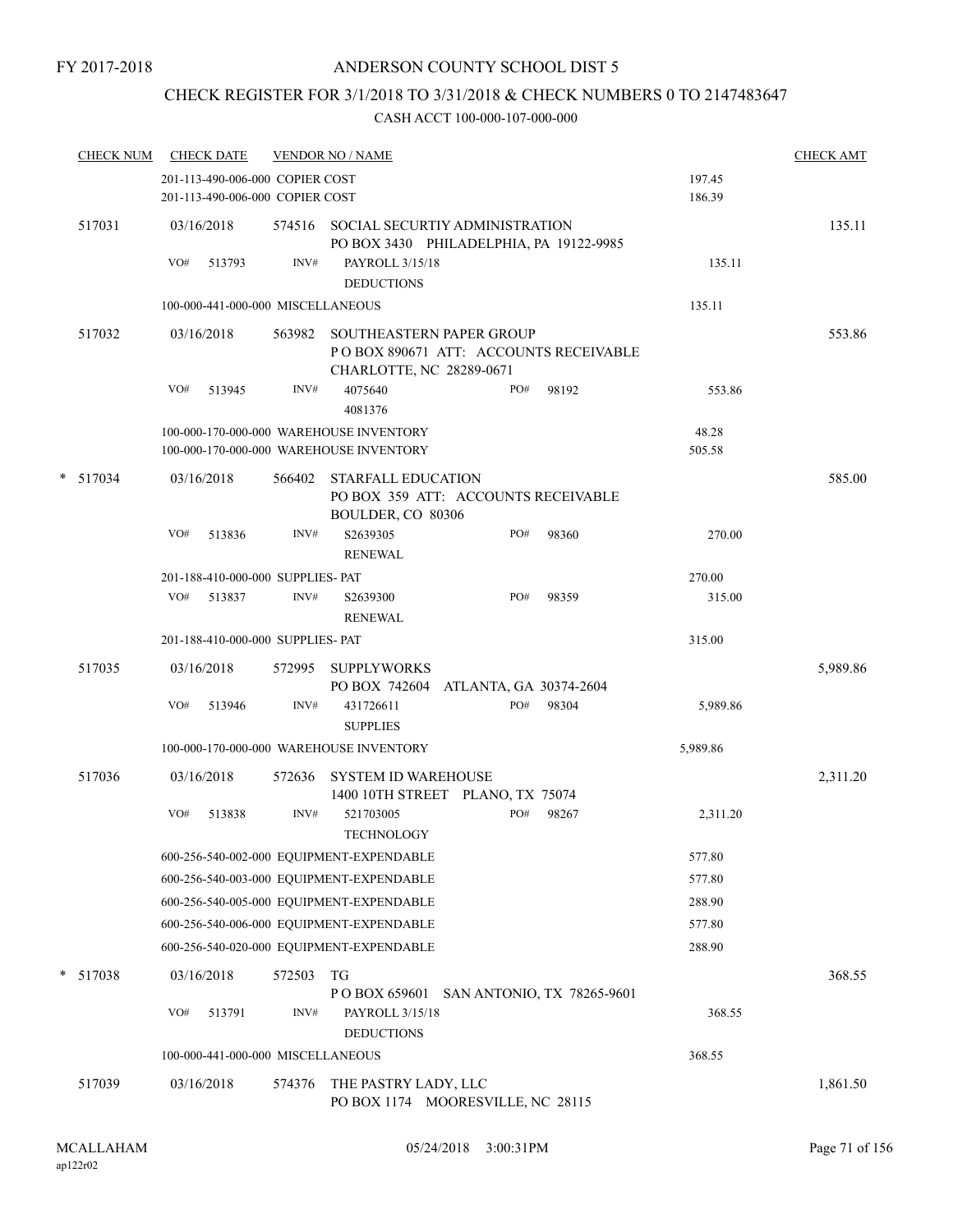### ANDERSON COUNTY SCHOOL DIST 5

## CHECK REGISTER FOR 3/1/2018 TO 3/31/2018 & CHECK NUMBERS 0 TO 2147483647

| <b>CHECK NUM</b> | <b>CHECK DATE</b>                                                                  |        | <b>VENDOR NO / NAME</b>                                                                               |                  | <b>CHECK AMT</b> |
|------------------|------------------------------------------------------------------------------------|--------|-------------------------------------------------------------------------------------------------------|------------------|------------------|
|                  | 201-113-490-006-000 COPIER COST<br>201-113-490-006-000 COPIER COST                 |        |                                                                                                       | 197.45<br>186.39 |                  |
| 517031           | 03/16/2018                                                                         |        | 574516 SOCIAL SECURTIY ADMINISTRATION<br>PO BOX 3430 PHILADELPHIA, PA 19122-9985                      |                  | 135.11           |
|                  | VO#<br>513793                                                                      | INV#   | PAYROLL 3/15/18<br><b>DEDUCTIONS</b>                                                                  | 135.11           |                  |
|                  | 100-000-441-000-000 MISCELLANEOUS                                                  |        |                                                                                                       | 135.11           |                  |
| 517032           | 03/16/2018                                                                         | 563982 | <b>SOUTHEASTERN PAPER GROUP</b><br>PO BOX 890671 ATT: ACCOUNTS RECEIVABLE<br>CHARLOTTE, NC 28289-0671 |                  | 553.86           |
|                  | VO#<br>513945                                                                      | INV#   | 4075640<br>PO#<br>98192<br>4081376                                                                    | 553.86           |                  |
|                  | 100-000-170-000-000 WAREHOUSE INVENTORY<br>100-000-170-000-000 WAREHOUSE INVENTORY |        |                                                                                                       | 48.28<br>505.58  |                  |
| $*$ 517034       | 03/16/2018                                                                         | 566402 | <b>STARFALL EDUCATION</b><br>PO BOX 359 ATT: ACCOUNTS RECEIVABLE<br>BOULDER, CO 80306                 |                  | 585.00           |
|                  | VO#<br>513836                                                                      | INV#   | PO#<br>98360<br>S2639305<br><b>RENEWAL</b>                                                            | 270.00           |                  |
|                  | 201-188-410-000-000 SUPPLIES- PAT                                                  |        |                                                                                                       | 270.00           |                  |
|                  | VO#<br>513837                                                                      | INV#   | PO#<br>98359<br>S2639300<br><b>RENEWAL</b>                                                            | 315.00           |                  |
|                  | 201-188-410-000-000 SUPPLIES- PAT                                                  |        |                                                                                                       | 315.00           |                  |
| 517035           | 03/16/2018                                                                         | 572995 | <b>SUPPLYWORKS</b><br>PO BOX 742604 ATLANTA, GA 30374-2604                                            |                  | 5,989.86         |
|                  | VO#<br>513946                                                                      | INV#   | 431726611<br>PO#<br>98304<br><b>SUPPLIES</b>                                                          | 5,989.86         |                  |
|                  | 100-000-170-000-000 WAREHOUSE INVENTORY                                            |        |                                                                                                       | 5,989.86         |                  |
| 517036           | 03/16/2018                                                                         | 572636 | <b>SYSTEM ID WAREHOUSE</b><br>1400 10TH STREET PLANO, TX 75074                                        |                  | 2,311.20         |
|                  | VO#<br>513838                                                                      | INV#   | PO#<br>521703005<br>98267<br><b>TECHNOLOGY</b>                                                        | 2,311.20         |                  |
|                  |                                                                                    |        | 600-256-540-002-000 EQUIPMENT-EXPENDABLE                                                              | 577.80           |                  |
|                  |                                                                                    |        | 600-256-540-003-000 EQUIPMENT-EXPENDABLE                                                              | 577.80           |                  |
|                  |                                                                                    |        | 600-256-540-005-000 EQUIPMENT-EXPENDABLE                                                              | 288.90           |                  |
|                  |                                                                                    |        | 600-256-540-006-000 EQUIPMENT-EXPENDABLE                                                              | 577.80           |                  |
|                  |                                                                                    |        | 600-256-540-020-000 EQUIPMENT-EXPENDABLE                                                              | 288.90           |                  |
| * 517038         | 03/16/2018                                                                         | 572503 | TG<br>P O BOX 659601 SAN ANTONIO, TX 78265-9601                                                       |                  | 368.55           |
|                  | VO#<br>513791                                                                      | INV#   | PAYROLL 3/15/18<br><b>DEDUCTIONS</b>                                                                  | 368.55           |                  |
|                  | 100-000-441-000-000 MISCELLANEOUS                                                  |        |                                                                                                       | 368.55           |                  |
| 517039           | 03/16/2018                                                                         | 574376 | THE PASTRY LADY, LLC<br>PO BOX 1174 MOORESVILLE, NC 28115                                             |                  | 1,861.50         |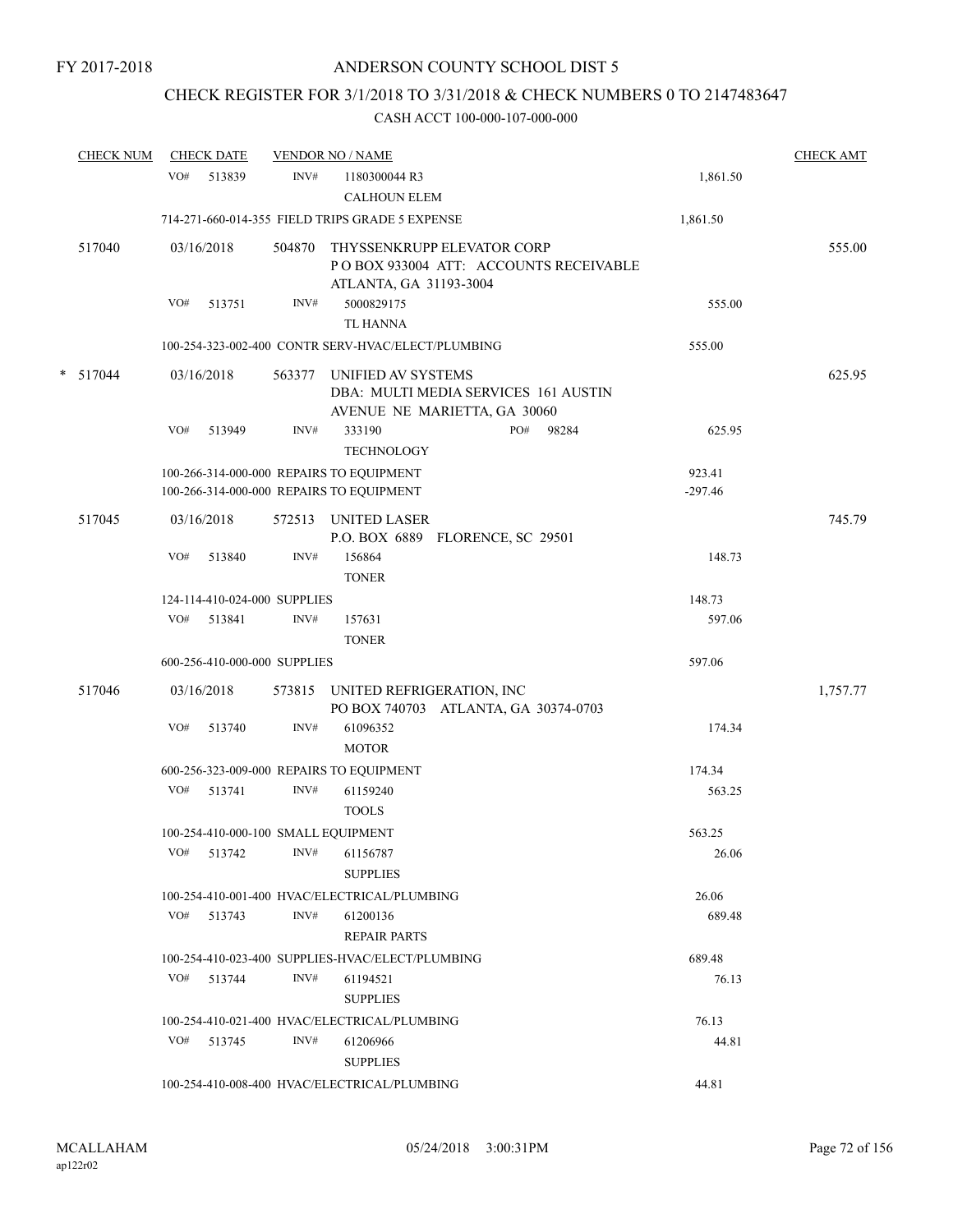## CHECK REGISTER FOR 3/1/2018 TO 3/31/2018 & CHECK NUMBERS 0 TO 2147483647

|        | <b>CHECK NUM</b> |     | <b>CHECK DATE</b>            |        | <b>VENDOR NO / NAME</b>                                                                        |     |       |                     | <b>CHECK AMT</b> |
|--------|------------------|-----|------------------------------|--------|------------------------------------------------------------------------------------------------|-----|-------|---------------------|------------------|
|        |                  | VO# | 513839                       | INV#   | 1180300044 R3<br><b>CALHOUN ELEM</b>                                                           |     |       | 1,861.50            |                  |
|        |                  |     |                              |        | 714-271-660-014-355 FIELD TRIPS GRADE 5 EXPENSE                                                |     |       | 1,861.50            |                  |
|        | 517040           |     | 03/16/2018                   | 504870 | THYSSENKRUPP ELEVATOR CORP<br>PO BOX 933004 ATT: ACCOUNTS RECEIVABLE<br>ATLANTA, GA 31193-3004 |     |       |                     | 555.00           |
|        |                  | VO# | 513751                       | INV#   | 5000829175<br><b>TL HANNA</b>                                                                  |     |       | 555.00              |                  |
|        |                  |     |                              |        | 100-254-323-002-400 CONTR SERV-HVAC/ELECT/PLUMBING                                             |     |       | 555.00              |                  |
| $\ast$ | 517044           |     | 03/16/2018                   | 563377 | UNIFIED AV SYSTEMS<br>DBA: MULTI MEDIA SERVICES 161 AUSTIN<br>AVENUE NE MARIETTA, GA 30060     |     |       |                     | 625.95           |
|        |                  | VO# | 513949                       | INV#   | 333190<br><b>TECHNOLOGY</b>                                                                    | PO# | 98284 | 625.95              |                  |
|        |                  |     |                              |        | 100-266-314-000-000 REPAIRS TO EQUIPMENT<br>100-266-314-000-000 REPAIRS TO EQUIPMENT           |     |       | 923.41<br>$-297.46$ |                  |
|        | 517045           |     | 03/16/2018                   |        | 572513 UNITED LASER<br>P.O. BOX 6889 FLORENCE, SC 29501                                        |     |       |                     | 745.79           |
|        |                  | VO# | 513840                       | INV#   | 156864<br><b>TONER</b>                                                                         |     |       | 148.73              |                  |
|        |                  |     | 124-114-410-024-000 SUPPLIES |        |                                                                                                |     |       | 148.73              |                  |
|        |                  | VO# | 513841                       | INV#   | 157631<br><b>TONER</b>                                                                         |     |       | 597.06              |                  |
|        |                  |     | 600-256-410-000-000 SUPPLIES |        |                                                                                                |     |       | 597.06              |                  |
|        | 517046           |     | 03/16/2018                   |        | 573815 UNITED REFRIGERATION, INC<br>PO BOX 740703 ATLANTA, GA 30374-0703                       |     |       |                     | 1,757.77         |
|        |                  | VO# | 513740                       | INV#   | 61096352<br><b>MOTOR</b>                                                                       |     |       | 174.34              |                  |
|        |                  |     |                              |        | 600-256-323-009-000 REPAIRS TO EQUIPMENT                                                       |     |       | 174.34              |                  |
|        |                  | VO# | 513741                       | INV#   | 61159240<br><b>TOOLS</b>                                                                       |     |       | 563.25              |                  |
|        |                  |     |                              |        | 100-254-410-000-100 SMALL EQUIPMENT                                                            |     |       | 563.25              |                  |
|        |                  | VO# | 513742                       | INV#   | 61156787<br><b>SUPPLIES</b>                                                                    |     |       | 26.06               |                  |
|        |                  |     |                              |        | 100-254-410-001-400 HVAC/ELECTRICAL/PLUMBING                                                   |     |       | 26.06               |                  |
|        |                  |     | VO# 513743                   | INV#   | 61200136<br><b>REPAIR PARTS</b>                                                                |     |       | 689.48              |                  |
|        |                  |     |                              |        | 100-254-410-023-400 SUPPLIES-HVAC/ELECT/PLUMBING                                               |     |       | 689.48              |                  |
|        |                  | VO# | 513744                       | INV#   | 61194521<br><b>SUPPLIES</b>                                                                    |     |       | 76.13               |                  |
|        |                  |     |                              |        | 100-254-410-021-400 HVAC/ELECTRICAL/PLUMBING                                                   |     |       | 76.13               |                  |
|        |                  |     | VO# 513745                   | INV#   | 61206966<br><b>SUPPLIES</b>                                                                    |     |       | 44.81               |                  |
|        |                  |     |                              |        | 100-254-410-008-400 HVAC/ELECTRICAL/PLUMBING                                                   |     |       | 44.81               |                  |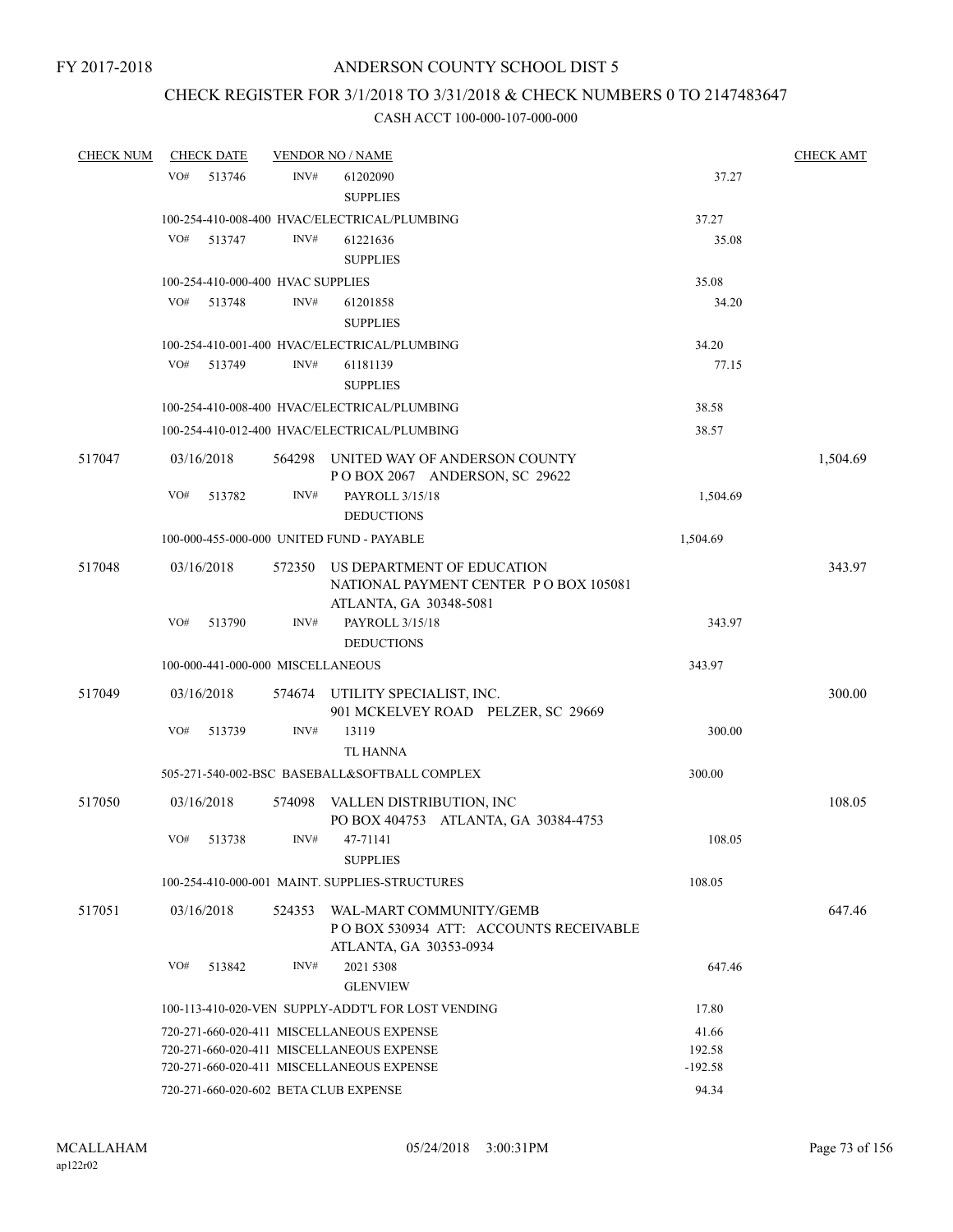## CHECK REGISTER FOR 3/1/2018 TO 3/31/2018 & CHECK NUMBERS 0 TO 2147483647

| <b>CHECK NUM</b> |     | <b>CHECK DATE</b>                 |        | <b>VENDOR NO / NAME</b>                                                                           |           | <b>CHECK AMT</b> |
|------------------|-----|-----------------------------------|--------|---------------------------------------------------------------------------------------------------|-----------|------------------|
|                  | VO# | 513746                            | INV#   | 61202090<br><b>SUPPLIES</b>                                                                       | 37.27     |                  |
|                  |     |                                   |        | 100-254-410-008-400 HVAC/ELECTRICAL/PLUMBING                                                      | 37.27     |                  |
|                  | VO# | 513747                            | INV#   | 61221636<br><b>SUPPLIES</b>                                                                       | 35.08     |                  |
|                  |     | 100-254-410-000-400 HVAC SUPPLIES |        |                                                                                                   | 35.08     |                  |
|                  | VO# | 513748                            | INV#   | 61201858<br><b>SUPPLIES</b>                                                                       | 34.20     |                  |
|                  |     |                                   |        | 100-254-410-001-400 HVAC/ELECTRICAL/PLUMBING                                                      | 34.20     |                  |
|                  | VO# | 513749                            | INV#   | 61181139<br><b>SUPPLIES</b>                                                                       | 77.15     |                  |
|                  |     |                                   |        | 100-254-410-008-400 HVAC/ELECTRICAL/PLUMBING                                                      | 38.58     |                  |
|                  |     |                                   |        | 100-254-410-012-400 HVAC/ELECTRICAL/PLUMBING                                                      | 38.57     |                  |
| 517047           |     | 03/16/2018                        | 564298 | UNITED WAY OF ANDERSON COUNTY<br>POBOX 2067 ANDERSON, SC 29622                                    |           | 1,504.69         |
|                  | VO# | 513782                            | INV#   | PAYROLL 3/15/18<br><b>DEDUCTIONS</b>                                                              | 1,504.69  |                  |
|                  |     |                                   |        | 100-000-455-000-000 UNITED FUND - PAYABLE                                                         | 1,504.69  |                  |
| 517048           |     | 03/16/2018                        | 572350 | US DEPARTMENT OF EDUCATION<br>NATIONAL PAYMENT CENTER PO BOX 105081                               |           | 343.97           |
|                  | VO# | 513790                            | INV#   | ATLANTA, GA 30348-5081<br>PAYROLL 3/15/18<br><b>DEDUCTIONS</b>                                    | 343.97    |                  |
|                  |     | 100-000-441-000-000 MISCELLANEOUS |        |                                                                                                   | 343.97    |                  |
| 517049           |     | 03/16/2018                        | 574674 | UTILITY SPECIALIST, INC.<br>901 MCKELVEY ROAD PELZER, SC 29669                                    |           | 300.00           |
|                  | VO# | 513739                            | INV#   | 13119<br><b>TL HANNA</b>                                                                          | 300.00    |                  |
|                  |     |                                   |        | 505-271-540-002-BSC BASEBALL&SOFTBALL COMPLEX                                                     | 300.00    |                  |
| 517050           |     | 03/16/2018                        | 574098 | VALLEN DISTRIBUTION, INC<br>PO BOX 404753 ATLANTA, GA 30384-4753                                  |           | 108.05           |
|                  | VO# | 513738                            | INV#   | 47-71141<br><b>SUPPLIES</b>                                                                       | 108.05    |                  |
|                  |     |                                   |        | 100-254-410-000-001 MAINT. SUPPLIES-STRUCTURES                                                    | 108.05    |                  |
| 517051           |     | 03/16/2018                        |        | 524353 WAL-MART COMMUNITY/GEMB<br>POBOX 530934 ATT: ACCOUNTS RECEIVABLE<br>ATLANTA, GA 30353-0934 |           | 647.46           |
|                  | VO# | 513842                            | INV#   | 2021 5308<br><b>GLENVIEW</b>                                                                      | 647.46    |                  |
|                  |     |                                   |        | 100-113-410-020-VEN SUPPLY-ADDT'L FOR LOST VENDING                                                | 17.80     |                  |
|                  |     |                                   |        | 720-271-660-020-411 MISCELLANEOUS EXPENSE                                                         | 41.66     |                  |
|                  |     |                                   |        | 720-271-660-020-411 MISCELLANEOUS EXPENSE                                                         | 192.58    |                  |
|                  |     |                                   |        | 720-271-660-020-411 MISCELLANEOUS EXPENSE                                                         | $-192.58$ |                  |
|                  |     |                                   |        | 720-271-660-020-602 BETA CLUB EXPENSE                                                             | 94.34     |                  |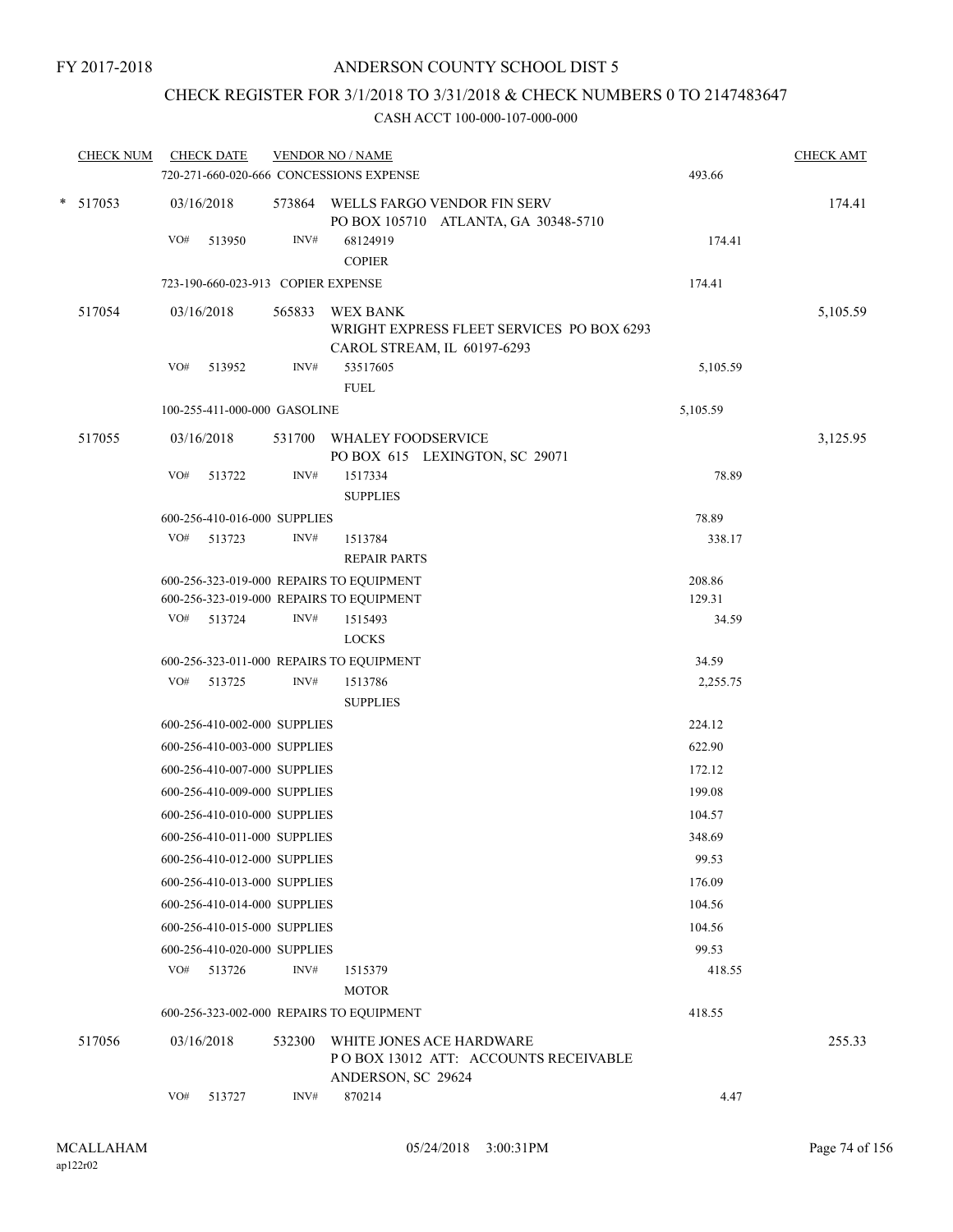## CHECK REGISTER FOR 3/1/2018 TO 3/31/2018 & CHECK NUMBERS 0 TO 2147483647

| <b>CHECK NUM</b> | <b>CHECK DATE</b><br>720-271-660-020-666 CONCESSIONS EXPENSE |        | <b>VENDOR NO / NAME</b>                                                                     | 493.66   | <b>CHECK AMT</b> |
|------------------|--------------------------------------------------------------|--------|---------------------------------------------------------------------------------------------|----------|------------------|
| $*$ 517053       | 03/16/2018                                                   |        | 573864 WELLS FARGO VENDOR FIN SERV<br>PO BOX 105710 ATLANTA, GA 30348-5710                  |          | 174.41           |
|                  | VO#<br>513950                                                | INV#   | 68124919<br><b>COPIER</b>                                                                   | 174.41   |                  |
|                  | 723-190-660-023-913 COPIER EXPENSE                           |        |                                                                                             | 174.41   |                  |
| 517054           | 03/16/2018                                                   | 565833 | <b>WEX BANK</b><br>WRIGHT EXPRESS FLEET SERVICES PO BOX 6293<br>CAROL STREAM, IL 60197-6293 |          | 5,105.59         |
|                  | VO#<br>513952                                                | INV#   | 53517605                                                                                    | 5,105.59 |                  |
|                  |                                                              |        | <b>FUEL</b>                                                                                 |          |                  |
|                  | 100-255-411-000-000 GASOLINE                                 |        |                                                                                             | 5,105.59 |                  |
| 517055           | 03/16/2018                                                   |        | 531700 WHALEY FOODSERVICE<br>PO BOX 615 LEXINGTON, SC 29071                                 |          | 3,125.95         |
|                  | VO#<br>513722                                                | INV#   | 1517334<br><b>SUPPLIES</b>                                                                  | 78.89    |                  |
|                  | 600-256-410-016-000 SUPPLIES                                 |        |                                                                                             | 78.89    |                  |
|                  | VO#<br>513723                                                | INV#   | 1513784<br><b>REPAIR PARTS</b>                                                              | 338.17   |                  |
|                  | 600-256-323-019-000 REPAIRS TO EQUIPMENT                     |        |                                                                                             | 208.86   |                  |
|                  | 600-256-323-019-000 REPAIRS TO EQUIPMENT                     |        |                                                                                             | 129.31   |                  |
|                  | VO# 513724                                                   | INV#   | 1515493                                                                                     | 34.59    |                  |
|                  |                                                              |        | <b>LOCKS</b>                                                                                |          |                  |
|                  | 600-256-323-011-000 REPAIRS TO EQUIPMENT                     |        |                                                                                             | 34.59    |                  |
|                  | VO# 513725                                                   | INV#   | 1513786<br><b>SUPPLIES</b>                                                                  | 2,255.75 |                  |
|                  | 600-256-410-002-000 SUPPLIES                                 |        |                                                                                             | 224.12   |                  |
|                  | 600-256-410-003-000 SUPPLIES                                 |        |                                                                                             | 622.90   |                  |
|                  | 600-256-410-007-000 SUPPLIES                                 |        |                                                                                             | 172.12   |                  |
|                  | 600-256-410-009-000 SUPPLIES                                 |        |                                                                                             | 199.08   |                  |
|                  | 600-256-410-010-000 SUPPLIES                                 |        |                                                                                             | 104.57   |                  |
|                  | 600-256-410-011-000 SUPPLIES                                 |        |                                                                                             | 348.69   |                  |
|                  | 600-256-410-012-000 SUPPLIES                                 |        |                                                                                             | 99.53    |                  |
|                  | 600-256-410-013-000 SUPPLIES                                 |        |                                                                                             | 176.09   |                  |
|                  | 600-256-410-014-000 SUPPLIES                                 |        |                                                                                             | 104.56   |                  |
|                  | 600-256-410-015-000 SUPPLIES                                 |        |                                                                                             | 104.56   |                  |
|                  | 600-256-410-020-000 SUPPLIES                                 |        |                                                                                             | 99.53    |                  |
|                  | VO#<br>513726                                                | INV#   | 1515379<br><b>MOTOR</b>                                                                     | 418.55   |                  |
|                  | 600-256-323-002-000 REPAIRS TO EQUIPMENT                     |        |                                                                                             | 418.55   |                  |
| 517056           | 03/16/2018                                                   | 532300 | WHITE JONES ACE HARDWARE<br>POBOX 13012 ATT: ACCOUNTS RECEIVABLE<br>ANDERSON, SC 29624      |          | 255.33           |
|                  | VO#<br>513727                                                | INV#   | 870214                                                                                      | 4.47     |                  |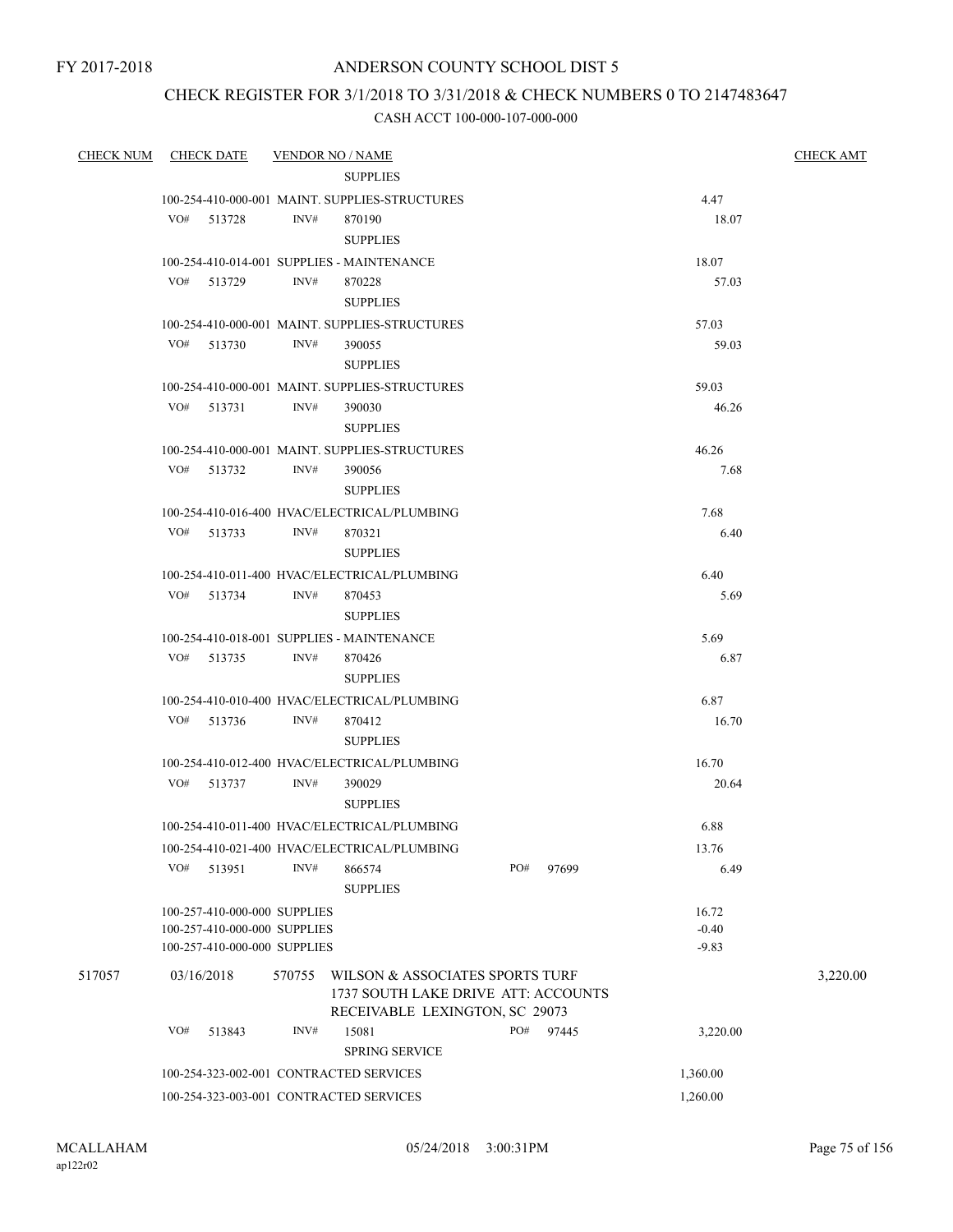#### CHECK REGISTER FOR 3/1/2018 TO 3/31/2018 & CHECK NUMBERS 0 TO 2147483647

| <b>CHECK NUM</b> |     | <b>CHECK DATE</b>            |        | <b>VENDOR NO / NAME</b>                        |     |       |          | <b>CHECK AMT</b> |
|------------------|-----|------------------------------|--------|------------------------------------------------|-----|-------|----------|------------------|
|                  |     |                              |        | <b>SUPPLIES</b>                                |     |       |          |                  |
|                  |     |                              |        | 100-254-410-000-001 MAINT. SUPPLIES-STRUCTURES |     |       | 4.47     |                  |
|                  |     | VO# 513728                   | INV#   | 870190                                         |     |       | 18.07    |                  |
|                  |     |                              |        | <b>SUPPLIES</b>                                |     |       |          |                  |
|                  |     |                              |        | 100-254-410-014-001 SUPPLIES - MAINTENANCE     |     |       | 18.07    |                  |
|                  |     | VO# 513729                   | INV#   | 870228                                         |     |       | 57.03    |                  |
|                  |     |                              |        | <b>SUPPLIES</b>                                |     |       |          |                  |
|                  |     |                              |        | 100-254-410-000-001 MAINT. SUPPLIES-STRUCTURES |     |       | 57.03    |                  |
|                  |     | VO# 513730                   | INV#   | 390055                                         |     |       | 59.03    |                  |
|                  |     |                              |        | <b>SUPPLIES</b>                                |     |       |          |                  |
|                  |     |                              |        | 100-254-410-000-001 MAINT. SUPPLIES-STRUCTURES |     |       | 59.03    |                  |
|                  |     | VO# 513731                   | INV#   | 390030                                         |     |       | 46.26    |                  |
|                  |     |                              |        | <b>SUPPLIES</b>                                |     |       |          |                  |
|                  |     |                              | INV#   | 100-254-410-000-001 MAINT, SUPPLIES-STRUCTURES |     |       | 46.26    |                  |
|                  |     | VO# 513732                   |        | 390056<br><b>SUPPLIES</b>                      |     |       | 7.68     |                  |
|                  |     |                              |        | 100-254-410-016-400 HVAC/ELECTRICAL/PLUMBING   |     |       | 7.68     |                  |
|                  |     | VO# 513733                   | INV#   | 870321                                         |     |       | 6.40     |                  |
|                  |     |                              |        | <b>SUPPLIES</b>                                |     |       |          |                  |
|                  |     |                              |        | 100-254-410-011-400 HVAC/ELECTRICAL/PLUMBING   |     |       | 6.40     |                  |
|                  |     | VO# 513734                   | INV#   | 870453                                         |     |       | 5.69     |                  |
|                  |     |                              |        | <b>SUPPLIES</b>                                |     |       |          |                  |
|                  |     |                              |        | 100-254-410-018-001 SUPPLIES - MAINTENANCE     |     |       | 5.69     |                  |
|                  |     | VO# 513735                   | INV#   | 870426                                         |     |       | 6.87     |                  |
|                  |     |                              |        | <b>SUPPLIES</b>                                |     |       |          |                  |
|                  |     |                              |        | 100-254-410-010-400 HVAC/ELECTRICAL/PLUMBING   |     |       | 6.87     |                  |
|                  |     | VO# 513736                   | INV#   | 870412                                         |     |       | 16.70    |                  |
|                  |     |                              |        | <b>SUPPLIES</b>                                |     |       |          |                  |
|                  |     |                              |        | 100-254-410-012-400 HVAC/ELECTRICAL/PLUMBING   |     |       | 16.70    |                  |
|                  |     | VO# 513737                   | INV#   | 390029                                         |     |       | 20.64    |                  |
|                  |     |                              |        | <b>SUPPLIES</b>                                |     |       |          |                  |
|                  |     |                              |        | 100-254-410-011-400 HVAC/ELECTRICAL/PLUMBING   |     |       | 6.88     |                  |
|                  |     |                              |        | 100-254-410-021-400 HVAC/ELECTRICAL/PLUMBING   |     |       | 13.76    |                  |
|                  | VO# | 513951                       | INV#   | 866574                                         | PO# | 97699 | 6.49     |                  |
|                  |     |                              |        | <b>SUPPLIES</b>                                |     |       |          |                  |
|                  |     | 100-257-410-000-000 SUPPLIES |        |                                                |     |       | 16.72    |                  |
|                  |     | 100-257-410-000-000 SUPPLIES |        |                                                |     |       | $-0.40$  |                  |
|                  |     | 100-257-410-000-000 SUPPLIES |        |                                                |     |       | $-9.83$  |                  |
| 517057           |     | 03/16/2018                   | 570755 | WILSON & ASSOCIATES SPORTS TURF                |     |       |          | 3,220.00         |
|                  |     |                              |        | 1737 SOUTH LAKE DRIVE ATT: ACCOUNTS            |     |       |          |                  |
|                  |     |                              |        | RECEIVABLE LEXINGTON, SC 29073                 |     |       |          |                  |
|                  | VO# | 513843                       | INV#   | 15081                                          | PO# | 97445 | 3,220.00 |                  |
|                  |     |                              |        | <b>SPRING SERVICE</b>                          |     |       |          |                  |
|                  |     |                              |        | 100-254-323-002-001 CONTRACTED SERVICES        |     |       | 1,360.00 |                  |
|                  |     |                              |        | 100-254-323-003-001 CONTRACTED SERVICES        |     |       | 1,260.00 |                  |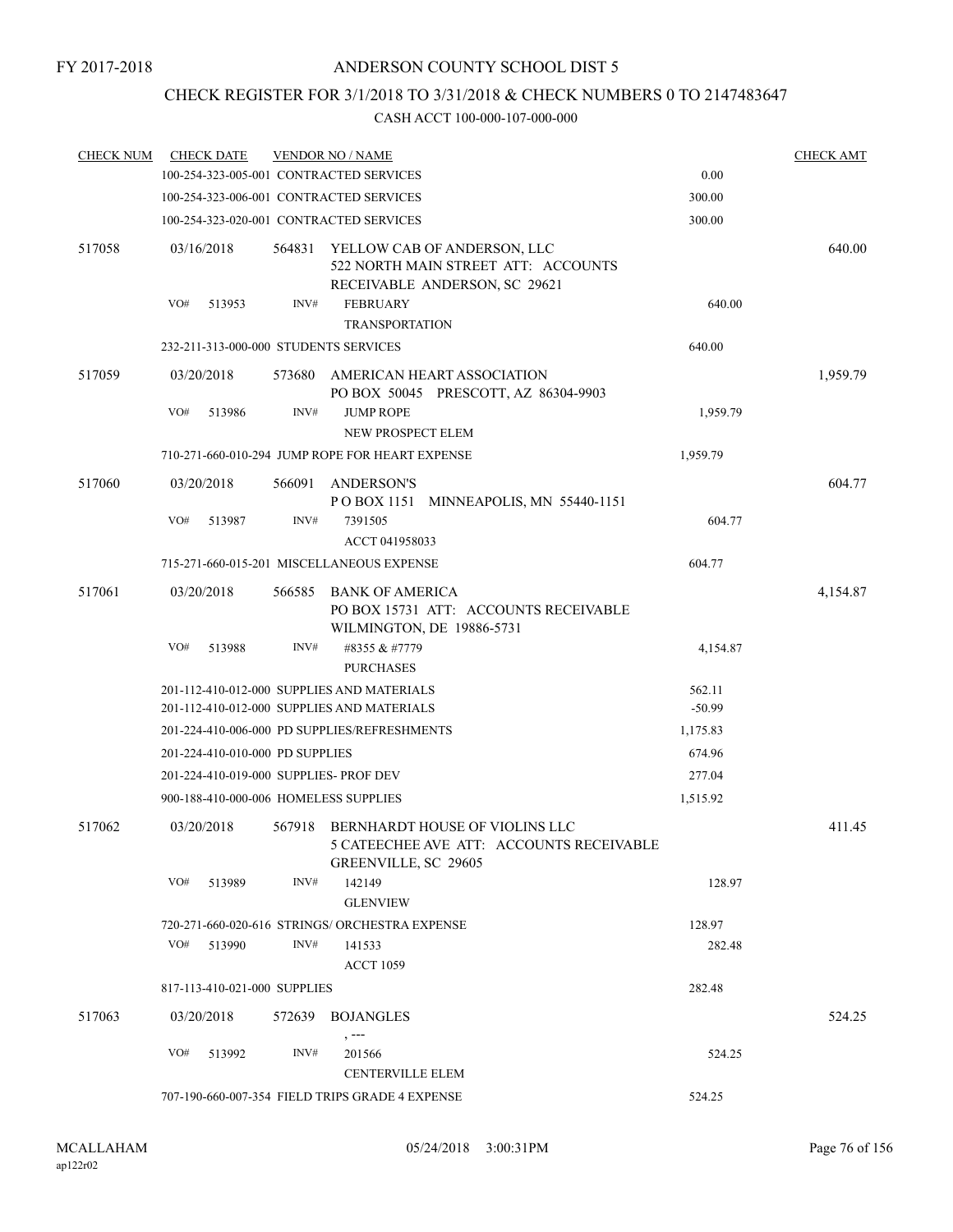# CHECK REGISTER FOR 3/1/2018 TO 3/31/2018 & CHECK NUMBERS 0 TO 2147483647

| <b>CHECK NUM</b> |     | <b>CHECK DATE</b>               |        | <b>VENDOR NO / NAME</b>                                                                                   |          | <b>CHECK AMT</b> |
|------------------|-----|---------------------------------|--------|-----------------------------------------------------------------------------------------------------------|----------|------------------|
|                  |     |                                 |        | 100-254-323-005-001 CONTRACTED SERVICES                                                                   | 0.00     |                  |
|                  |     |                                 |        | 100-254-323-006-001 CONTRACTED SERVICES                                                                   | 300.00   |                  |
|                  |     |                                 |        | 100-254-323-020-001 CONTRACTED SERVICES                                                                   | 300.00   |                  |
| 517058           |     | 03/16/2018                      | 564831 | YELLOW CAB OF ANDERSON, LLC<br>522 NORTH MAIN STREET ATT: ACCOUNTS<br>RECEIVABLE ANDERSON, SC 29621       |          | 640.00           |
|                  | VO# | 513953                          | INV#   | <b>FEBRUARY</b><br><b>TRANSPORTATION</b>                                                                  | 640.00   |                  |
|                  |     |                                 |        | 232-211-313-000-000 STUDENTS SERVICES                                                                     | 640.00   |                  |
| 517059           |     | 03/20/2018                      | 573680 | AMERICAN HEART ASSOCIATION<br>PO BOX 50045 PRESCOTT, AZ 86304-9903                                        |          | 1,959.79         |
|                  | VO# | 513986                          | INV#   | <b>JUMP ROPE</b><br>NEW PROSPECT ELEM                                                                     | 1,959.79 |                  |
|                  |     |                                 |        | 710-271-660-010-294 JUMP ROPE FOR HEART EXPENSE                                                           | 1,959.79 |                  |
| 517060           |     | 03/20/2018                      | 566091 | <b>ANDERSON'S</b><br>POBOX 1151 MINNEAPOLIS, MN 55440-1151                                                |          | 604.77           |
|                  | VO# | 513987                          | INV#   | 7391505<br>ACCT 041958033                                                                                 | 604.77   |                  |
|                  |     |                                 |        | 715-271-660-015-201 MISCELLANEOUS EXPENSE                                                                 | 604.77   |                  |
| 517061           |     | 03/20/2018                      | 566585 | <b>BANK OF AMERICA</b><br>PO BOX 15731 ATT: ACCOUNTS RECEIVABLE<br>WILMINGTON, DE 19886-5731              |          | 4,154.87         |
|                  | VO# | 513988                          | INV#   | #8355 & #7779<br><b>PURCHASES</b>                                                                         | 4,154.87 |                  |
|                  |     |                                 |        | 201-112-410-012-000 SUPPLIES AND MATERIALS                                                                | 562.11   |                  |
|                  |     |                                 |        | 201-112-410-012-000 SUPPLIES AND MATERIALS                                                                | $-50.99$ |                  |
|                  |     |                                 |        | 201-224-410-006-000 PD SUPPLIES/REFRESHMENTS                                                              | 1,175.83 |                  |
|                  |     | 201-224-410-010-000 PD SUPPLIES |        |                                                                                                           | 674.96   |                  |
|                  |     |                                 |        | 201-224-410-019-000 SUPPLIES- PROF DEV                                                                    | 277.04   |                  |
|                  |     |                                 |        | 900-188-410-000-006 HOMELESS SUPPLIES                                                                     | 1,515.92 |                  |
| 517062           |     | 03/20/2018                      |        | 567918 BERNHARDT HOUSE OF VIOLINS LLC<br>5 CATEECHEE AVE ATT: ACCOUNTS RECEIVABLE<br>GREENVILLE, SC 29605 |          | 411.45           |
|                  | VO# | 513989                          | INV#   | 142149<br><b>GLENVIEW</b>                                                                                 | 128.97   |                  |
|                  |     |                                 |        | 720-271-660-020-616 STRINGS/ ORCHESTRA EXPENSE                                                            | 128.97   |                  |
|                  | VO# | 513990                          | INV#   | 141533<br><b>ACCT 1059</b>                                                                                | 282.48   |                  |
|                  |     | 817-113-410-021-000 SUPPLIES    |        |                                                                                                           | 282.48   |                  |
| 517063           |     | 03/20/2018                      |        | 572639 BOJANGLES<br>, ---                                                                                 |          | 524.25           |
|                  | VO# | 513992                          | INV#   | 201566<br><b>CENTERVILLE ELEM</b>                                                                         | 524.25   |                  |
|                  |     |                                 |        | 707-190-660-007-354 FIELD TRIPS GRADE 4 EXPENSE                                                           | 524.25   |                  |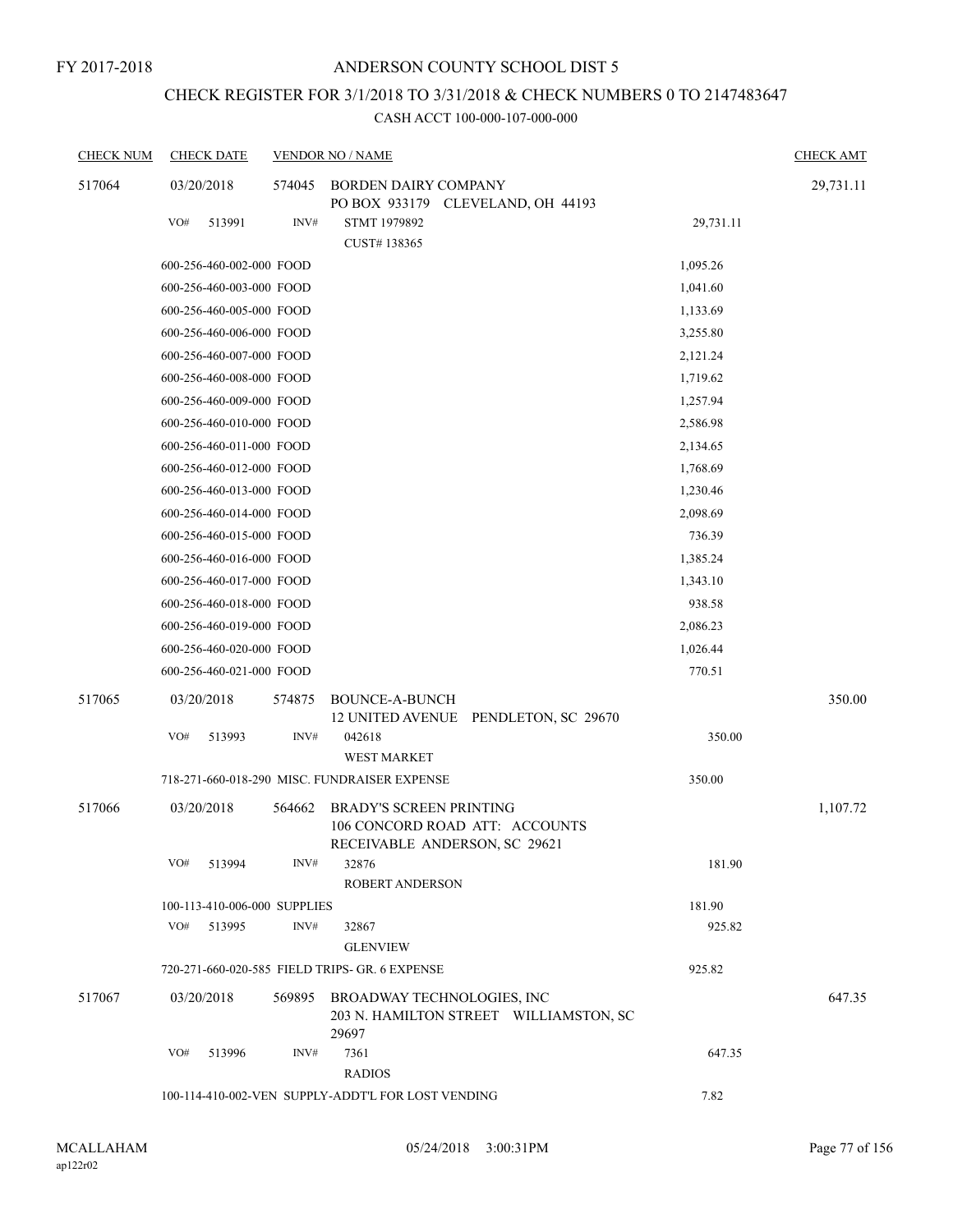# CHECK REGISTER FOR 3/1/2018 TO 3/31/2018 & CHECK NUMBERS 0 TO 2147483647

| <b>CHECK NUM</b> | <b>CHECK DATE</b> |                              | <b>VENDOR NO / NAME</b>                                           |           | <b>CHECK AMT</b> |
|------------------|-------------------|------------------------------|-------------------------------------------------------------------|-----------|------------------|
| 517064           | 03/20/2018        | 574045                       | <b>BORDEN DAIRY COMPANY</b>                                       |           | 29,731.11        |
|                  |                   |                              | PO BOX 933179 CLEVELAND, OH 44193                                 |           |                  |
|                  | VO#<br>513991     | INV#                         | STMT 1979892                                                      | 29,731.11 |                  |
|                  |                   |                              | CUST#138365                                                       |           |                  |
|                  |                   | 600-256-460-002-000 FOOD     |                                                                   | 1,095.26  |                  |
|                  |                   | 600-256-460-003-000 FOOD     |                                                                   | 1,041.60  |                  |
|                  |                   | 600-256-460-005-000 FOOD     |                                                                   | 1,133.69  |                  |
|                  |                   | 600-256-460-006-000 FOOD     |                                                                   | 3,255.80  |                  |
|                  |                   | 600-256-460-007-000 FOOD     |                                                                   | 2,121.24  |                  |
|                  |                   | 600-256-460-008-000 FOOD     |                                                                   | 1,719.62  |                  |
|                  |                   | 600-256-460-009-000 FOOD     |                                                                   | 1,257.94  |                  |
|                  |                   | 600-256-460-010-000 FOOD     |                                                                   | 2,586.98  |                  |
|                  |                   | 600-256-460-011-000 FOOD     |                                                                   | 2,134.65  |                  |
|                  |                   | 600-256-460-012-000 FOOD     |                                                                   | 1,768.69  |                  |
|                  |                   | 600-256-460-013-000 FOOD     |                                                                   | 1,230.46  |                  |
|                  |                   | 600-256-460-014-000 FOOD     |                                                                   | 2,098.69  |                  |
|                  |                   | 600-256-460-015-000 FOOD     |                                                                   | 736.39    |                  |
|                  |                   | 600-256-460-016-000 FOOD     |                                                                   | 1,385.24  |                  |
|                  |                   | 600-256-460-017-000 FOOD     |                                                                   | 1,343.10  |                  |
|                  |                   | 600-256-460-018-000 FOOD     |                                                                   | 938.58    |                  |
|                  |                   | 600-256-460-019-000 FOOD     |                                                                   | 2,086.23  |                  |
|                  |                   | 600-256-460-020-000 FOOD     |                                                                   | 1,026.44  |                  |
|                  |                   | 600-256-460-021-000 FOOD     |                                                                   | 770.51    |                  |
| 517065           | 03/20/2018        | 574875                       | <b>BOUNCE-A-BUNCH</b>                                             |           | 350.00           |
|                  |                   |                              | 12 UNITED AVENUE PENDLETON, SC 29670                              |           |                  |
|                  | VO#<br>513993     | INV#                         | 042618                                                            | 350.00    |                  |
|                  |                   |                              | <b>WEST MARKET</b>                                                |           |                  |
|                  |                   |                              | 718-271-660-018-290 MISC. FUNDRAISER EXPENSE                      | 350.00    |                  |
| 517066           | 03/20/2018        | 564662                       | <b>BRADY'S SCREEN PRINTING</b>                                    |           | 1,107.72         |
|                  |                   |                              | 106 CONCORD ROAD ATT: ACCOUNTS                                    |           |                  |
|                  |                   |                              | RECEIVABLE ANDERSON, SC 29621                                     |           |                  |
|                  | VO#<br>513994     | INV#                         | 32876                                                             | 181.90    |                  |
|                  |                   |                              | ROBERT ANDERSON                                                   |           |                  |
|                  |                   | 100-113-410-006-000 SUPPLIES |                                                                   | 181.90    |                  |
|                  | VO#<br>513995     | INV#                         | 32867                                                             | 925.82    |                  |
|                  |                   |                              | <b>GLENVIEW</b><br>720-271-660-020-585 FIELD TRIPS- GR. 6 EXPENSE | 925.82    |                  |
|                  |                   |                              |                                                                   |           |                  |
| 517067           | 03/20/2018        |                              | 569895 BROADWAY TECHNOLOGIES, INC                                 |           | 647.35           |
|                  |                   |                              | 203 N. HAMILTON STREET WILLIAMSTON, SC<br>29697                   |           |                  |
|                  | VO#<br>513996     | INV#                         | 7361                                                              | 647.35    |                  |
|                  |                   |                              | <b>RADIOS</b>                                                     |           |                  |
|                  |                   |                              | 100-114-410-002-VEN SUPPLY-ADDT'L FOR LOST VENDING                | 7.82      |                  |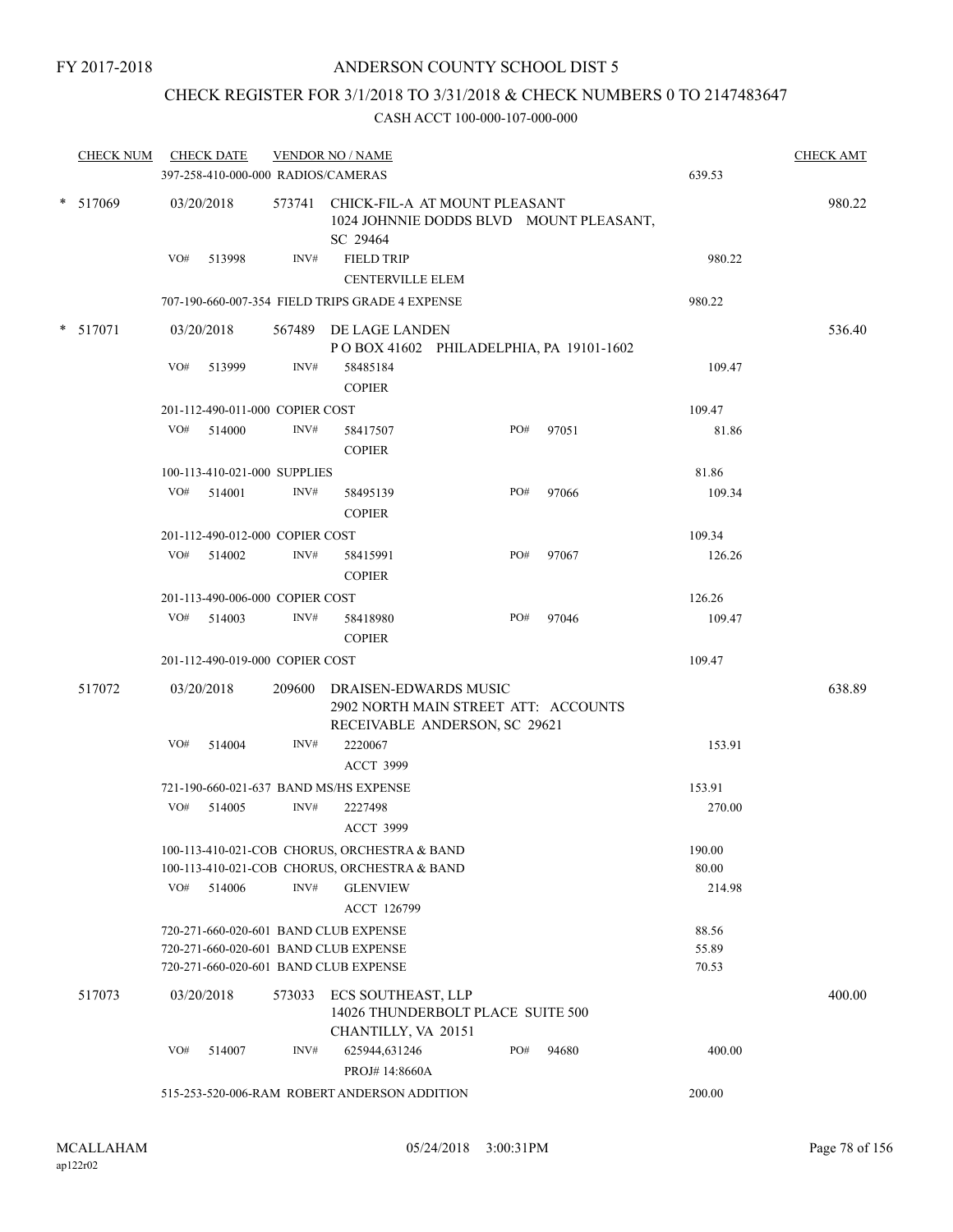## CHECK REGISTER FOR 3/1/2018 TO 3/31/2018 & CHECK NUMBERS 0 TO 2147483647

| <b>CHECK NUM</b> |     | <b>CHECK DATE</b><br>397-258-410-000-000 RADIOS/CAMERAS |        | <b>VENDOR NO / NAME</b>                                                                               |     |       | 639.53         | <b>CHECK AMT</b> |
|------------------|-----|---------------------------------------------------------|--------|-------------------------------------------------------------------------------------------------------|-----|-------|----------------|------------------|
| * 517069         |     | 03/20/2018                                              |        | 573741 CHICK-FIL-A AT MOUNT PLEASANT<br>1024 JOHNNIE DODDS BLVD MOUNT PLEASANT,<br>SC 29464           |     |       |                | 980.22           |
|                  | VO# | 513998                                                  | INV#   | <b>FIELD TRIP</b><br><b>CENTERVILLE ELEM</b>                                                          |     |       | 980.22         |                  |
|                  |     |                                                         |        | 707-190-660-007-354 FIELD TRIPS GRADE 4 EXPENSE                                                       |     |       | 980.22         |                  |
| * 517071         |     | 03/20/2018                                              |        | 567489 DE LAGE LANDEN<br>POBOX 41602 PHILADELPHIA, PA 19101-1602                                      |     |       |                | 536.40           |
|                  | VO# | 513999                                                  | INV#   | 58485184<br><b>COPIER</b>                                                                             |     |       | 109.47         |                  |
|                  |     | 201-112-490-011-000 COPIER COST                         |        |                                                                                                       |     |       | 109.47         |                  |
|                  | VO# | 514000                                                  | INV#   | 58417507<br><b>COPIER</b>                                                                             | PO# | 97051 | 81.86          |                  |
|                  |     | 100-113-410-021-000 SUPPLIES                            |        |                                                                                                       |     |       | 81.86          |                  |
|                  | VO# | 514001                                                  | INV#   | 58495139<br><b>COPIER</b>                                                                             | PO# | 97066 | 109.34         |                  |
|                  |     | 201-112-490-012-000 COPIER COST                         |        |                                                                                                       |     |       | 109.34         |                  |
|                  | VO# | 514002                                                  | INV#   | 58415991<br><b>COPIER</b>                                                                             | PO# | 97067 | 126.26         |                  |
|                  |     | 201-113-490-006-000 COPIER COST                         |        |                                                                                                       |     |       | 126.26         |                  |
|                  | VO# | 514003                                                  | INV#   | 58418980<br><b>COPIER</b>                                                                             | PO# | 97046 | 109.47         |                  |
|                  |     | 201-112-490-019-000 COPIER COST                         |        |                                                                                                       |     |       | 109.47         |                  |
| 517072           |     | 03/20/2018                                              |        | 209600 DRAISEN-EDWARDS MUSIC<br>2902 NORTH MAIN STREET ATT: ACCOUNTS<br>RECEIVABLE ANDERSON, SC 29621 |     |       |                | 638.89           |
|                  | VO# | 514004                                                  | INV#   | 2220067                                                                                               |     |       | 153.91         |                  |
|                  |     |                                                         |        | <b>ACCT 3999</b>                                                                                      |     |       |                |                  |
|                  |     |                                                         |        | 721-190-660-021-637 BAND MS/HS EXPENSE                                                                |     |       | 153.91         |                  |
|                  | VO# | 514005                                                  | INV#   | 2227498<br><b>ACCT 3999</b>                                                                           |     |       | 270.00         |                  |
|                  |     |                                                         |        | 100-113-410-021-COB CHORUS, ORCHESTRA & BAND                                                          |     |       | 190.00         |                  |
|                  |     |                                                         |        | 100-113-410-021-COB CHORUS, ORCHESTRA & BAND                                                          |     |       | 80.00          |                  |
|                  | VO# | 514006                                                  | INV#   | <b>GLENVIEW</b><br><b>ACCT 126799</b>                                                                 |     |       | 214.98         |                  |
|                  |     |                                                         |        | 720-271-660-020-601 BAND CLUB EXPENSE                                                                 |     |       | 88.56          |                  |
|                  |     |                                                         |        | 720-271-660-020-601 BAND CLUB EXPENSE<br>720-271-660-020-601 BAND CLUB EXPENSE                        |     |       | 55.89<br>70.53 |                  |
| 517073           |     | 03/20/2018                                              | 573033 | ECS SOUTHEAST, LLP<br>14026 THUNDERBOLT PLACE SUITE 500<br>CHANTILLY, VA 20151                        |     |       |                | 400.00           |
|                  | VO# | 514007                                                  | INV#   | 625944,631246<br>PROJ# 14:8660A                                                                       | PO# | 94680 | 400.00         |                  |
|                  |     |                                                         |        | 515-253-520-006-RAM ROBERT ANDERSON ADDITION                                                          |     |       | 200.00         |                  |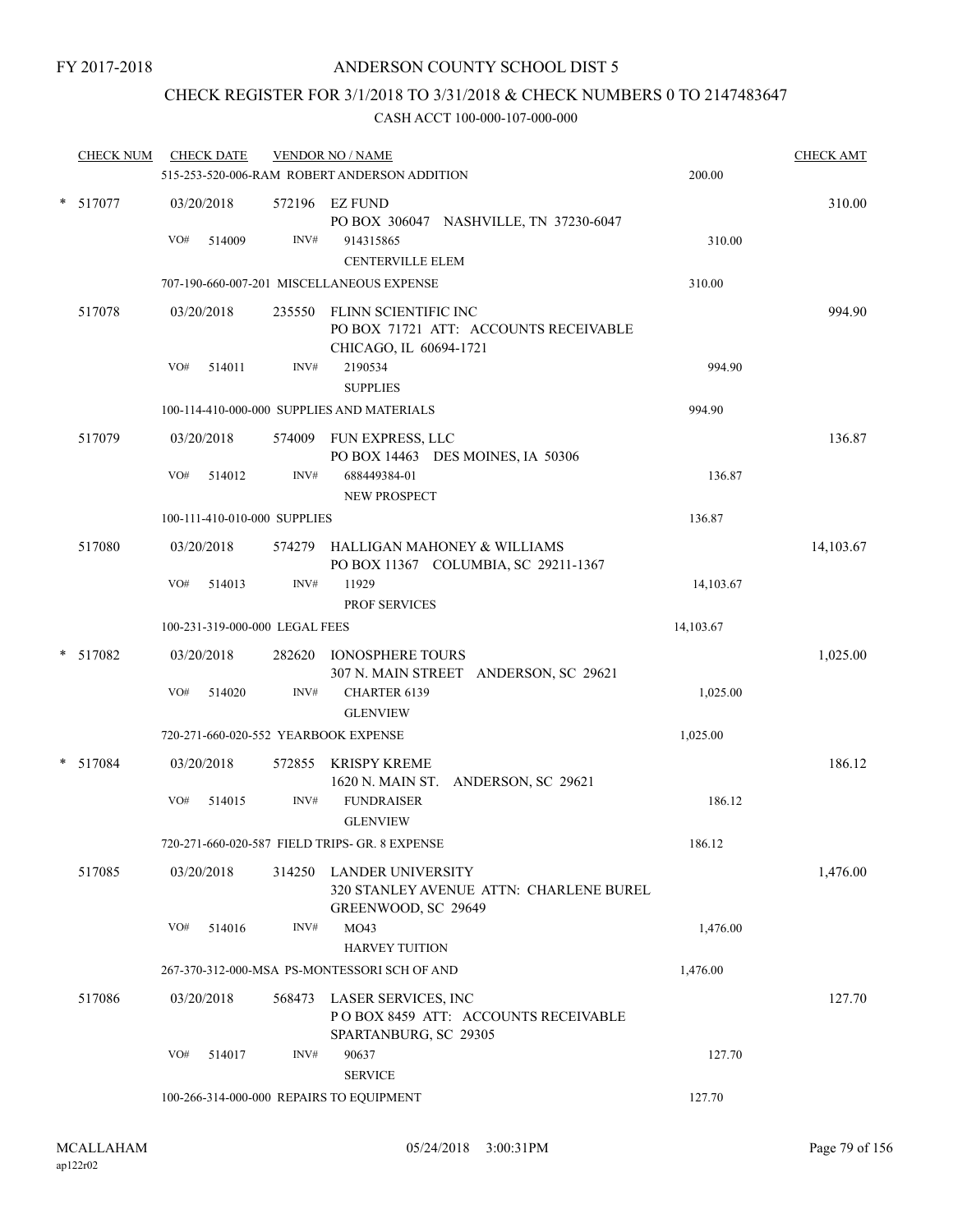## CHECK REGISTER FOR 3/1/2018 TO 3/31/2018 & CHECK NUMBERS 0 TO 2147483647

| <b>CHECK NUM</b> |     | <b>CHECK DATE</b>    |                                | <b>VENDOR NO / NAME</b><br>515-253-520-006-RAM ROBERT ANDERSON ADDITION                          | 200.00    | <b>CHECK AMT</b> |
|------------------|-----|----------------------|--------------------------------|--------------------------------------------------------------------------------------------------|-----------|------------------|
| $*$ 517077       | VO# | 03/20/2018<br>514009 | INV#                           | 572196 EZ FUND<br>PO BOX 306047 NASHVILLE, TN 37230-6047<br>914315865<br><b>CENTERVILLE ELEM</b> | 310.00    | 310.00           |
|                  |     |                      |                                | 707-190-660-007-201 MISCELLANEOUS EXPENSE                                                        | 310.00    |                  |
| 517078           | VO# | 03/20/2018           | INV#                           | 235550 FLINN SCIENTIFIC INC<br>PO BOX 71721 ATT: ACCOUNTS RECEIVABLE<br>CHICAGO, IL 60694-1721   |           | 994.90           |
|                  |     | 514011               |                                | 2190534<br><b>SUPPLIES</b>                                                                       | 994.90    |                  |
|                  |     |                      |                                | 100-114-410-000-000 SUPPLIES AND MATERIALS                                                       | 994.90    |                  |
| 517079           |     | 03/20/2018           |                                | 574009 FUN EXPRESS, LLC<br>PO BOX 14463 DES MOINES, IA 50306                                     |           | 136.87           |
|                  | VO# | 514012               | INV#                           | 688449384-01<br><b>NEW PROSPECT</b>                                                              | 136.87    |                  |
|                  |     |                      | 100-111-410-010-000 SUPPLIES   |                                                                                                  | 136.87    |                  |
| 517080           |     | 03/20/2018           |                                | 574279 HALLIGAN MAHONEY & WILLIAMS<br>PO BOX 11367 COLUMBIA, SC 29211-1367                       |           | 14,103.67        |
|                  | VO# | 514013               | INV#                           | 11929<br><b>PROF SERVICES</b>                                                                    | 14,103.67 |                  |
|                  |     |                      | 100-231-319-000-000 LEGAL FEES |                                                                                                  | 14,103.67 |                  |
| * 517082         |     | 03/20/2018           |                                | 282620 IONOSPHERE TOURS<br>307 N. MAIN STREET ANDERSON, SC 29621                                 |           | 1,025.00         |
|                  | VO# | 514020               | INV#                           | CHARTER 6139<br><b>GLENVIEW</b>                                                                  | 1,025.00  |                  |
|                  |     |                      |                                | 720-271-660-020-552 YEARBOOK EXPENSE                                                             | 1,025.00  |                  |
| * 517084         |     | 03/20/2018           |                                | 572855 KRISPY KREME<br>1620 N. MAIN ST. ANDERSON, SC 29621                                       |           | 186.12           |
|                  | VO# | 514015               | INV#                           | <b>FUNDRAISER</b><br><b>GLENVIEW</b>                                                             | 186.12    |                  |
|                  |     |                      |                                | 720-271-660-020-587 FIELD TRIPS- GR. 8 EXPENSE                                                   | 186.12    |                  |
| 517085           |     | 03/20/2018           |                                | 314250 LANDER UNIVERSITY<br>320 STANLEY AVENUE ATTN: CHARLENE BUREL<br>GREENWOOD, SC 29649       |           | 1,476.00         |
|                  | VO# | 514016               | INV#                           | MO43<br><b>HARVEY TUITION</b>                                                                    | 1,476.00  |                  |
|                  |     |                      |                                | 267-370-312-000-MSA PS-MONTESSORI SCH OF AND                                                     | 1,476.00  |                  |
| 517086           |     | 03/20/2018           | 568473                         | LASER SERVICES, INC<br>POBOX 8459 ATT: ACCOUNTS RECEIVABLE<br>SPARTANBURG, SC 29305              |           | 127.70           |
|                  | VO# | 514017               | INV#                           | 90637<br><b>SERVICE</b>                                                                          | 127.70    |                  |
|                  |     |                      |                                | 100-266-314-000-000 REPAIRS TO EQUIPMENT                                                         | 127.70    |                  |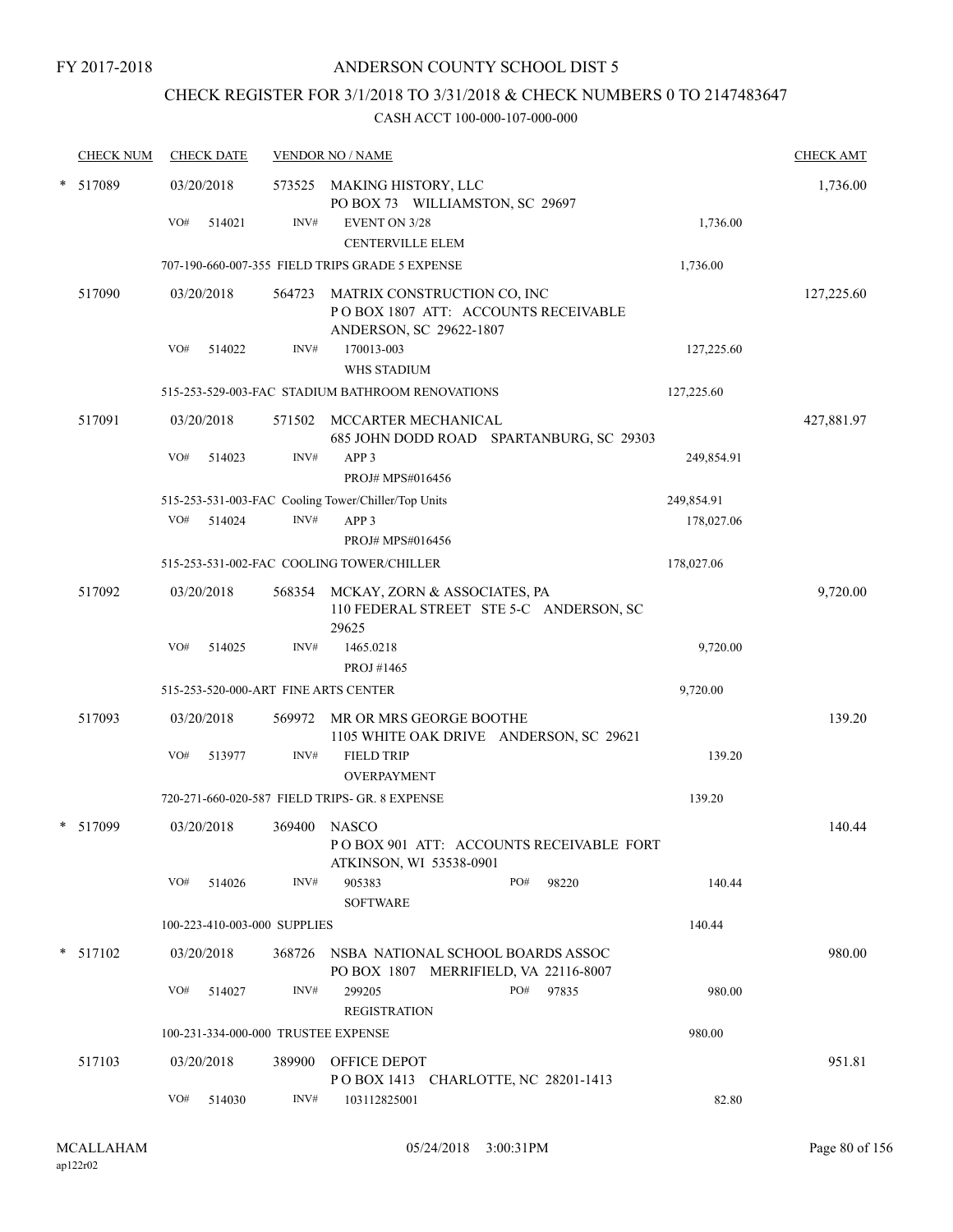## CHECK REGISTER FOR 3/1/2018 TO 3/31/2018 & CHECK NUMBERS 0 TO 2147483647

| <b>CHECK NUM</b> |     | <b>CHECK DATE</b>                   |        | <b>VENDOR NO / NAME</b>                                                                                          |     |           |            | <b>CHECK AMT</b> |
|------------------|-----|-------------------------------------|--------|------------------------------------------------------------------------------------------------------------------|-----|-----------|------------|------------------|
| * 517089         | VO# | 03/20/2018<br>514021                | INV#   | 573525 MAKING HISTORY, LLC<br>PO BOX 73 WILLIAMSTON, SC 29697<br><b>EVENT ON 3/28</b><br><b>CENTERVILLE ELEM</b> |     |           | 1,736.00   | 1,736.00         |
|                  |     |                                     |        | 707-190-660-007-355 FIELD TRIPS GRADE 5 EXPENSE                                                                  |     |           | 1,736.00   |                  |
| 517090           |     | 03/20/2018                          |        | 564723 MATRIX CONSTRUCTION CO, INC<br>POBOX 1807 ATT: ACCOUNTS RECEIVABLE<br>ANDERSON, SC 29622-1807             |     |           |            | 127,225.60       |
|                  | VO# | 514022                              | INV#   | 170013-003<br>WHS STADIUM                                                                                        |     |           | 127,225.60 |                  |
|                  |     |                                     |        | 515-253-529-003-FAC STADIUM BATHROOM RENOVATIONS                                                                 |     |           | 127,225.60 |                  |
| 517091           |     | 03/20/2018                          |        | 571502 MCCARTER MECHANICAL<br>685 JOHN DODD ROAD SPARTANBURG, SC 29303                                           |     |           |            | 427,881.97       |
|                  | VO# | 514023                              | INV#   | APP <sub>3</sub><br>PROJ# MPS#016456                                                                             |     |           | 249,854.91 |                  |
|                  |     |                                     |        | 515-253-531-003-FAC Cooling Tower/Chiller/Top Units                                                              |     |           | 249,854.91 |                  |
|                  | VO# | 514024                              | INV#   | APP <sub>3</sub>                                                                                                 |     |           | 178,027.06 |                  |
|                  |     |                                     |        | PROJ# MPS#016456                                                                                                 |     |           |            |                  |
|                  |     |                                     |        | 515-253-531-002-FAC COOLING TOWER/CHILLER                                                                        |     |           | 178,027.06 |                  |
| 517092           |     | 03/20/2018                          |        | 568354 MCKAY, ZORN & ASSOCIATES, PA<br>110 FEDERAL STREET STE 5-C ANDERSON, SC<br>29625                          |     |           |            | 9,720.00         |
|                  | VO# | 514025                              | INV#   | 1465.0218                                                                                                        |     |           | 9,720.00   |                  |
|                  |     |                                     |        | PROJ #1465                                                                                                       |     |           |            |                  |
|                  |     |                                     |        | 515-253-520-000-ART FINE ARTS CENTER                                                                             |     |           | 9,720.00   |                  |
| 517093           |     | 03/20/2018                          | 569972 | MR OR MRS GEORGE BOOTHE<br>1105 WHITE OAK DRIVE ANDERSON, SC 29621                                               |     |           |            | 139.20           |
|                  | VO# | 513977                              | INV#   | <b>FIELD TRIP</b><br>OVERPAYMENT                                                                                 |     |           | 139.20     |                  |
|                  |     |                                     |        | 720-271-660-020-587 FIELD TRIPS- GR. 8 EXPENSE                                                                   |     |           | 139.20     |                  |
| $*$ 517099       |     | 03/20/2018                          | 369400 | NASCO<br>POBOX 901 ATT: ACCOUNTS RECEIVABLE FORT<br>ATKINSON, WI 53538-0901                                      |     |           |            | 140.44           |
|                  | VO# | 514026                              | INV#   | 905383<br>SOFTWARE                                                                                               | PO# | 98220     | 140.44     |                  |
|                  |     | 100-223-410-003-000 SUPPLIES        |        |                                                                                                                  |     |           | 140.44     |                  |
| $*$ 517102       |     | 03/20/2018                          | 368726 | NSBA NATIONAL SCHOOL BOARDS ASSOC<br>PO BOX 1807 MERRIFIELD, VA 22116-8007                                       |     |           |            | 980.00           |
|                  | VO# | 514027                              | INV#   | 299205<br><b>REGISTRATION</b>                                                                                    |     | PO# 97835 | 980.00     |                  |
|                  |     | 100-231-334-000-000 TRUSTEE EXPENSE |        |                                                                                                                  |     |           | 980.00     |                  |
| 517103           |     | 03/20/2018                          |        | 389900 OFFICE DEPOT<br>POBOX 1413 CHARLOTTE, NC 28201-1413                                                       |     |           |            | 951.81           |
|                  | VO# | 514030                              | INV#   | 103112825001                                                                                                     |     |           | 82.80      |                  |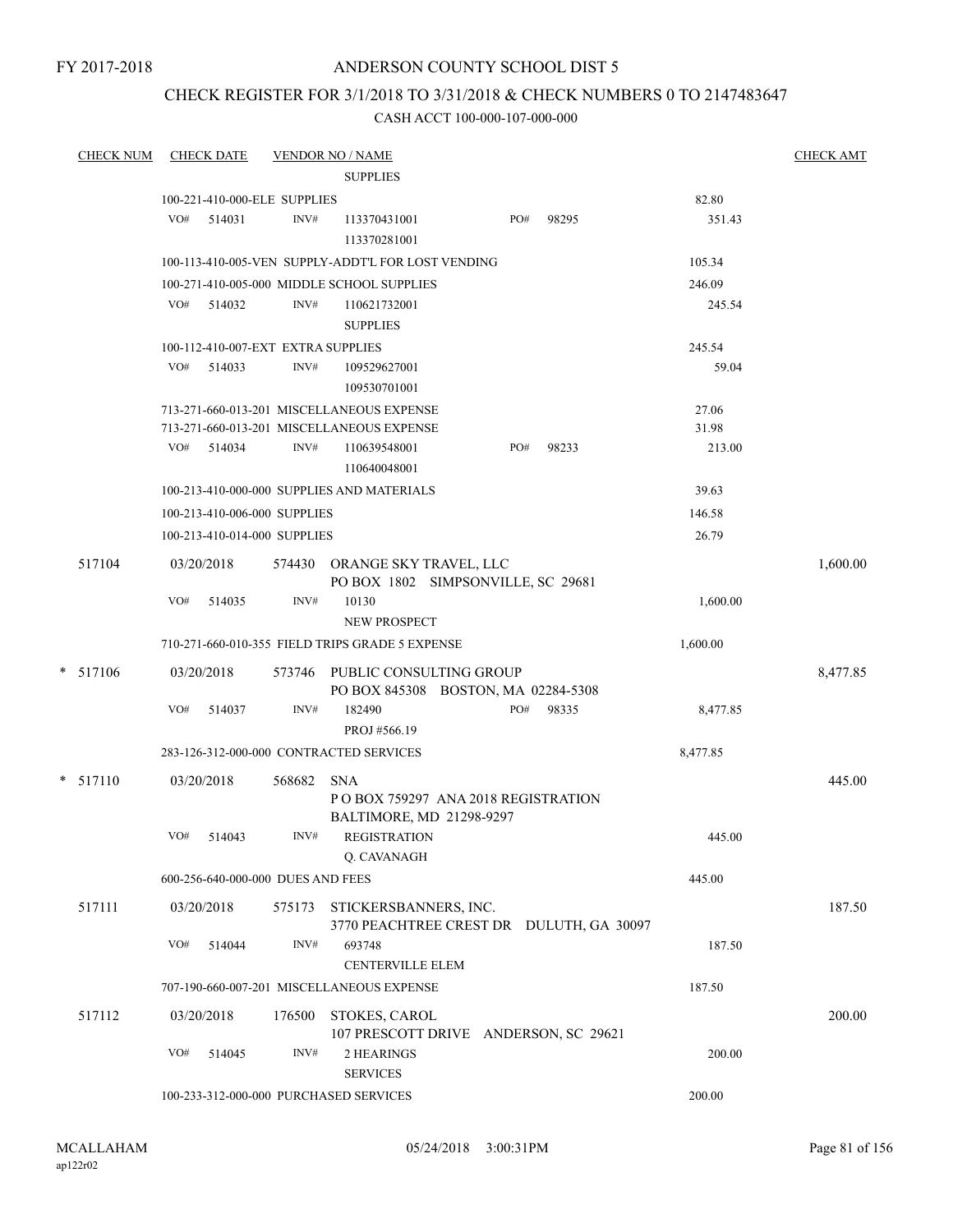### CHECK REGISTER FOR 3/1/2018 TO 3/31/2018 & CHECK NUMBERS 0 TO 2147483647

| <b>CHECK NUM</b> | <b>CHECK DATE</b>                  |        |        | <b>VENDOR NO / NAME</b>                                                      |     |       |          | <b>CHECK AMT</b> |
|------------------|------------------------------------|--------|--------|------------------------------------------------------------------------------|-----|-------|----------|------------------|
|                  |                                    |        |        | <b>SUPPLIES</b>                                                              |     |       |          |                  |
|                  | 100-221-410-000-ELE SUPPLIES       |        |        |                                                                              |     |       | 82.80    |                  |
|                  | VO#                                | 514031 | INV#   | 113370431001<br>113370281001                                                 | PO# | 98295 | 351.43   |                  |
|                  |                                    |        |        | 100-113-410-005-VEN SUPPLY-ADDT'L FOR LOST VENDING                           |     |       | 105.34   |                  |
|                  |                                    |        |        | 100-271-410-005-000 MIDDLE SCHOOL SUPPLIES                                   |     |       | 246.09   |                  |
|                  | VO# 514032                         |        | INV#   | 110621732001<br><b>SUPPLIES</b>                                              |     |       | 245.54   |                  |
|                  | 100-112-410-007-EXT EXTRA SUPPLIES |        |        |                                                                              |     |       | 245.54   |                  |
|                  | VO#                                | 514033 | INV#   | 109529627001<br>109530701001                                                 |     |       | 59.04    |                  |
|                  |                                    |        |        | 713-271-660-013-201 MISCELLANEOUS EXPENSE                                    |     |       | 27.06    |                  |
|                  |                                    |        |        | 713-271-660-013-201 MISCELLANEOUS EXPENSE                                    |     |       | 31.98    |                  |
|                  | VO# 514034                         |        | INV#   | 110639548001<br>110640048001                                                 | PO# | 98233 | 213.00   |                  |
|                  |                                    |        |        | 100-213-410-000-000 SUPPLIES AND MATERIALS                                   |     |       | 39.63    |                  |
|                  | 100-213-410-006-000 SUPPLIES       |        |        |                                                                              |     |       | 146.58   |                  |
|                  | 100-213-410-014-000 SUPPLIES       |        |        |                                                                              |     |       | 26.79    |                  |
| 517104           | 03/20/2018                         |        | 574430 | ORANGE SKY TRAVEL, LLC<br>PO BOX 1802 SIMPSONVILLE, SC 29681                 |     |       |          | 1,600.00         |
|                  | VO#                                | 514035 | INV#   | 10130<br><b>NEW PROSPECT</b>                                                 |     |       | 1,600.00 |                  |
|                  |                                    |        |        | 710-271-660-010-355 FIELD TRIPS GRADE 5 EXPENSE                              |     |       | 1,600.00 |                  |
| $* 517106$       | 03/20/2018                         |        |        | 573746 PUBLIC CONSULTING GROUP<br>PO BOX 845308 BOSTON, MA 02284-5308        |     |       |          | 8,477.85         |
|                  | VO#                                | 514037 | INV#   | 182490<br>PROJ #566.19                                                       | PO# | 98335 | 8,477.85 |                  |
|                  |                                    |        |        | 283-126-312-000-000 CONTRACTED SERVICES                                      |     |       | 8,477.85 |                  |
| $*$ 517110       | 03/20/2018                         |        | 568682 | <b>SNA</b><br>POBOX 759297 ANA 2018 REGISTRATION<br>BALTIMORE, MD 21298-9297 |     |       |          | 445.00           |
|                  | VO#                                | 514043 | INV#   | <b>REGISTRATION</b><br>Q. CAVANAGH                                           |     |       | 445.00   |                  |
|                  | 600-256-640-000-000 DUES AND FEES  |        |        |                                                                              |     |       | 445.00   |                  |
| 517111           | 03/20/2018                         |        |        | 575173 STICKERSBANNERS, INC.<br>3770 PEACHTREE CREST DR DULUTH, GA 30097     |     |       |          | 187.50           |
|                  | VO#                                | 514044 | INV#   | 693748<br><b>CENTERVILLE ELEM</b>                                            |     |       | 187.50   |                  |
|                  |                                    |        |        | 707-190-660-007-201 MISCELLANEOUS EXPENSE                                    |     |       | 187.50   |                  |
| 517112           | 03/20/2018                         |        | 176500 | STOKES, CAROL<br>107 PRESCOTT DRIVE ANDERSON, SC 29621                       |     |       |          | 200.00           |
|                  | VO#                                | 514045 | INV#   | 2 HEARINGS<br><b>SERVICES</b>                                                |     |       | 200.00   |                  |
|                  |                                    |        |        | 100-233-312-000-000 PURCHASED SERVICES                                       |     |       | 200.00   |                  |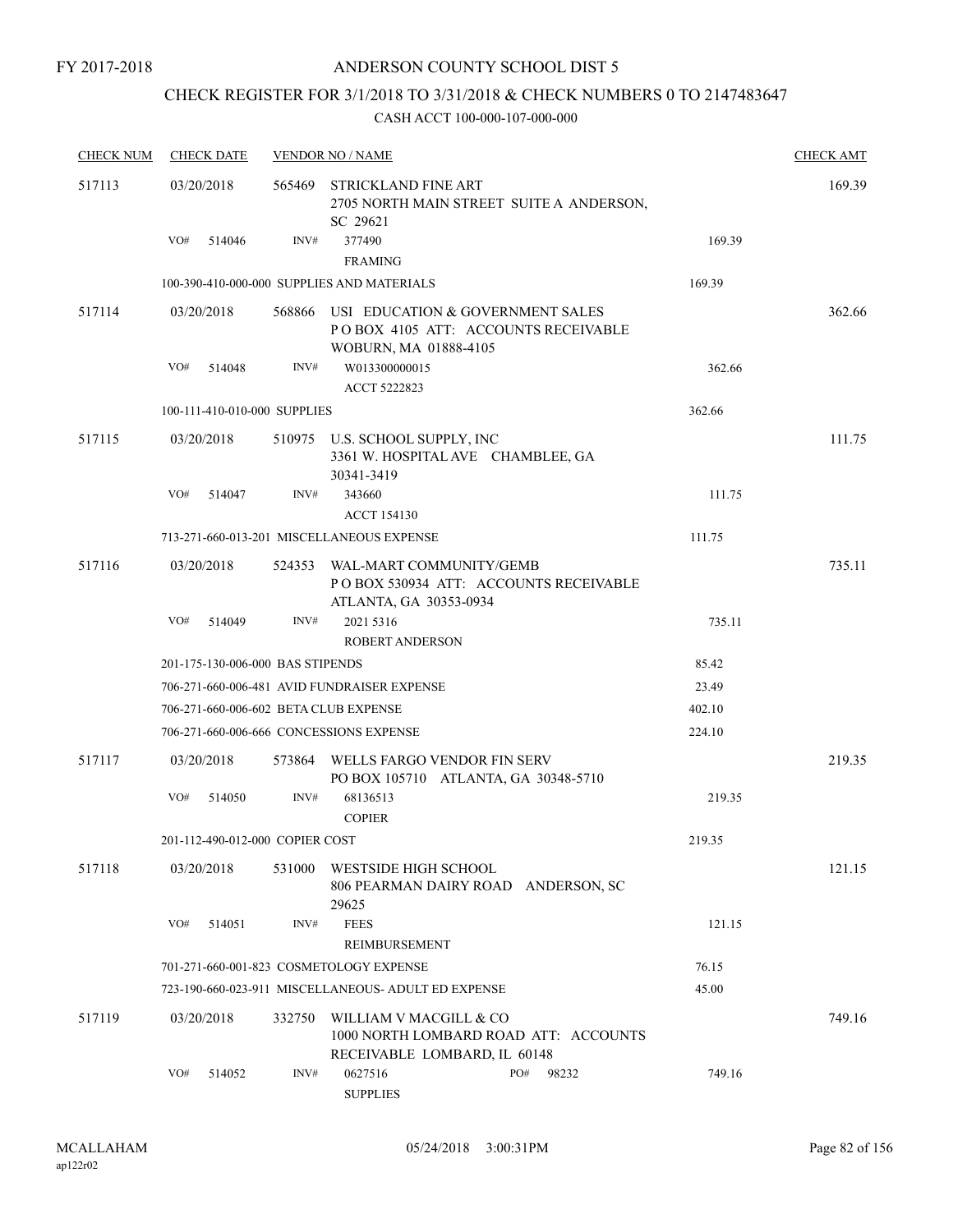## CHECK REGISTER FOR 3/1/2018 TO 3/31/2018 & CHECK NUMBERS 0 TO 2147483647

| <b>CHECK NUM</b> |     | <b>CHECK DATE</b> |                                  | <b>VENDOR NO / NAME</b>                                                           |                                          |        | <b>CHECK AMT</b> |
|------------------|-----|-------------------|----------------------------------|-----------------------------------------------------------------------------------|------------------------------------------|--------|------------------|
| 517113           |     | 03/20/2018        | 565469                           | STRICKLAND FINE ART<br>SC 29621                                                   | 2705 NORTH MAIN STREET SUITE A ANDERSON, |        | 169.39           |
|                  | VO# | 514046            | INV#                             | 377490<br><b>FRAMING</b>                                                          |                                          | 169.39 |                  |
|                  |     |                   |                                  | 100-390-410-000-000 SUPPLIES AND MATERIALS                                        |                                          | 169.39 |                  |
| 517114           |     | 03/20/2018        | 568866                           | USI EDUCATION & GOVERNMENT SALES<br>WOBURN, MA 01888-4105                         | POBOX 4105 ATT: ACCOUNTS RECEIVABLE      |        | 362.66           |
|                  | VO# | 514048            | INV#                             | W013300000015<br>ACCT 5222823                                                     |                                          | 362.66 |                  |
|                  |     |                   | 100-111-410-010-000 SUPPLIES     |                                                                                   |                                          | 362.66 |                  |
| 517115           |     | 03/20/2018        |                                  | 510975 U.S. SCHOOL SUPPLY, INC<br>3361 W. HOSPITAL AVE CHAMBLEE, GA<br>30341-3419 |                                          |        | 111.75           |
|                  | VO# | 514047            | INV#                             | 343660<br><b>ACCT 154130</b>                                                      |                                          | 111.75 |                  |
|                  |     |                   |                                  | 713-271-660-013-201 MISCELLANEOUS EXPENSE                                         |                                          | 111.75 |                  |
| 517116           |     | 03/20/2018        | 524353                           | WAL-MART COMMUNITY/GEMB<br>ATLANTA, GA 30353-0934                                 | PO BOX 530934 ATT: ACCOUNTS RECEIVABLE   |        | 735.11           |
|                  | VO# | 514049            | INV#                             | 2021 5316<br><b>ROBERT ANDERSON</b>                                               |                                          | 735.11 |                  |
|                  |     |                   | 201-175-130-006-000 BAS STIPENDS |                                                                                   |                                          | 85.42  |                  |
|                  |     |                   |                                  | 706-271-660-006-481 AVID FUNDRAISER EXPENSE                                       |                                          | 23.49  |                  |
|                  |     |                   |                                  | 706-271-660-006-602 BETA CLUB EXPENSE                                             |                                          | 402.10 |                  |
|                  |     |                   |                                  | 706-271-660-006-666 CONCESSIONS EXPENSE                                           |                                          | 224.10 |                  |
| 517117           |     | 03/20/2018        | 573864                           | WELLS FARGO VENDOR FIN SERV<br>PO BOX 105710 ATLANTA, GA 30348-5710               |                                          |        | 219.35           |
|                  | VO# | 514050            | INV#                             | 68136513<br><b>COPIER</b>                                                         |                                          | 219.35 |                  |
|                  |     |                   | 201-112-490-012-000 COPIER COST  |                                                                                   |                                          | 219.35 |                  |
| 517118           |     | 03/20/2018        | 531000                           | WESTSIDE HIGH SCHOOL<br>29625                                                     | 806 PEARMAN DAIRY ROAD ANDERSON, SC      |        | 121.15           |
|                  | VO# | 514051            | INV#                             | <b>FEES</b><br>REIMBURSEMENT                                                      |                                          | 121.15 |                  |
|                  |     |                   |                                  | 701-271-660-001-823 COSMETOLOGY EXPENSE                                           |                                          | 76.15  |                  |
|                  |     |                   |                                  | 723-190-660-023-911 MISCELLANEOUS- ADULT ED EXPENSE                               |                                          | 45.00  |                  |
| 517119           |     | 03/20/2018        | 332750                           | WILLIAM V MACGILL & CO<br>RECEIVABLE LOMBARD, IL 60148                            | 1000 NORTH LOMBARD ROAD ATT: ACCOUNTS    |        | 749.16           |
|                  | VO# | 514052            | INV#                             | 0627516<br><b>SUPPLIES</b>                                                        | PO#<br>98232                             | 749.16 |                  |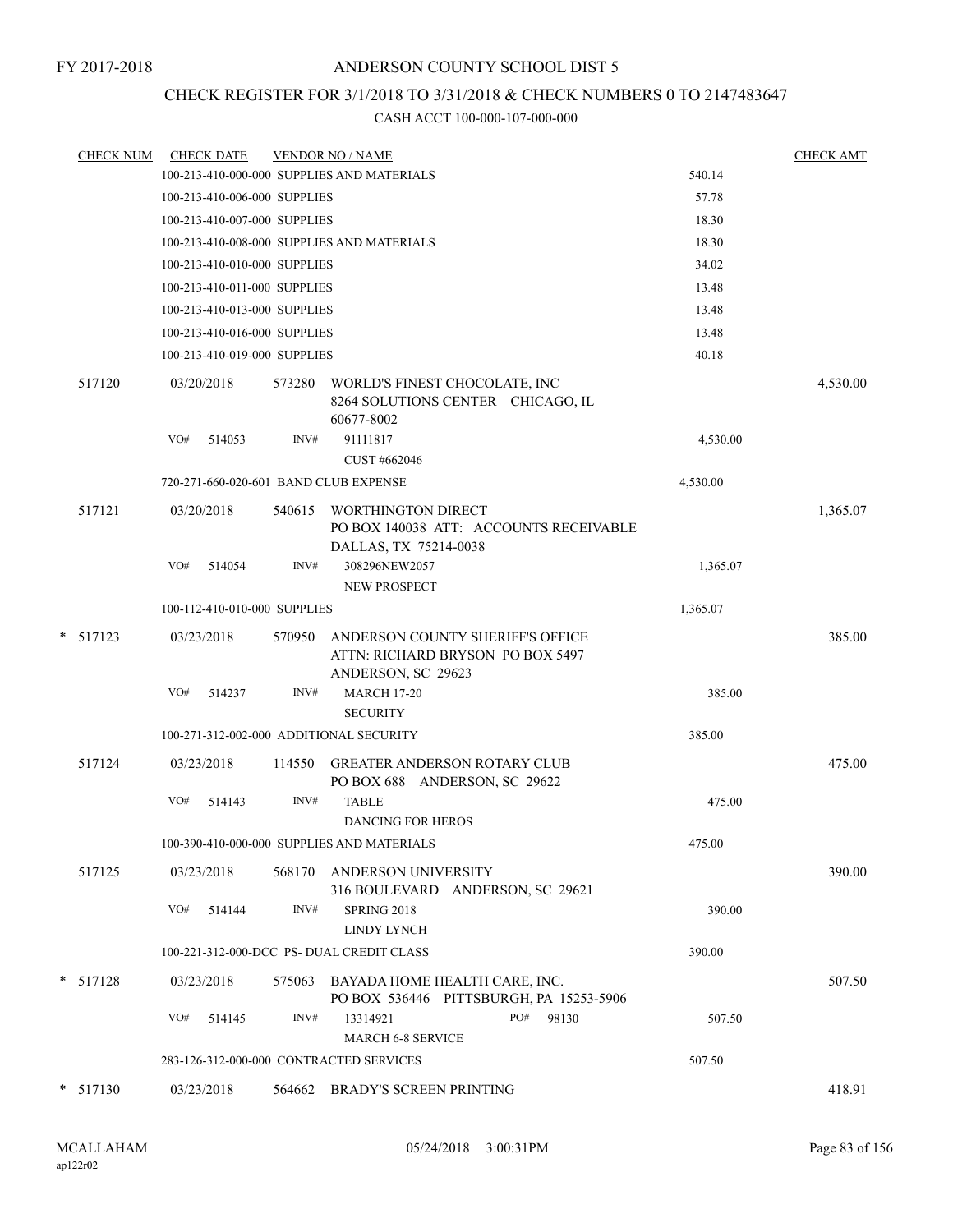## CHECK REGISTER FOR 3/1/2018 TO 3/31/2018 & CHECK NUMBERS 0 TO 2147483647

| <b>CHECK NUM</b> | <b>CHECK DATE</b>                          |        | <b>VENDOR NO / NAME</b>                                                                      |          | <b>CHECK AMT</b> |
|------------------|--------------------------------------------|--------|----------------------------------------------------------------------------------------------|----------|------------------|
|                  |                                            |        | 100-213-410-000-000 SUPPLIES AND MATERIALS                                                   | 540.14   |                  |
|                  | 100-213-410-006-000 SUPPLIES               |        |                                                                                              | 57.78    |                  |
|                  | 100-213-410-007-000 SUPPLIES               |        |                                                                                              | 18.30    |                  |
|                  | 100-213-410-008-000 SUPPLIES AND MATERIALS |        |                                                                                              | 18.30    |                  |
|                  | 100-213-410-010-000 SUPPLIES               |        |                                                                                              | 34.02    |                  |
|                  | 100-213-410-011-000 SUPPLIES               |        |                                                                                              | 13.48    |                  |
|                  | 100-213-410-013-000 SUPPLIES               |        |                                                                                              | 13.48    |                  |
|                  | 100-213-410-016-000 SUPPLIES               |        |                                                                                              | 13.48    |                  |
|                  | 100-213-410-019-000 SUPPLIES               |        |                                                                                              | 40.18    |                  |
| 517120           | 03/20/2018                                 | 573280 | WORLD'S FINEST CHOCOLATE, INC<br>8264 SOLUTIONS CENTER CHICAGO, IL<br>60677-8002             |          | 4,530.00         |
|                  | VO#<br>514053                              | INV#   | 91111817<br>CUST #662046                                                                     | 4,530.00 |                  |
|                  | 720-271-660-020-601 BAND CLUB EXPENSE      |        |                                                                                              | 4,530.00 |                  |
| 517121           | 03/20/2018                                 |        | 540615 WORTHINGTON DIRECT<br>PO BOX 140038 ATT: ACCOUNTS RECEIVABLE<br>DALLAS, TX 75214-0038 |          | 1,365.07         |
|                  | VO#<br>514054                              | INV#   | 308296NEW2057<br><b>NEW PROSPECT</b>                                                         | 1,365.07 |                  |
|                  | 100-112-410-010-000 SUPPLIES               |        |                                                                                              | 1,365.07 |                  |
| $*$ 517123       | 03/23/2018                                 | 570950 | ANDERSON COUNTY SHERIFF'S OFFICE<br>ATTN: RICHARD BRYSON PO BOX 5497<br>ANDERSON, SC 29623   |          | 385.00           |
|                  | VO#<br>514237                              | INV#   | <b>MARCH 17-20</b><br><b>SECURITY</b>                                                        | 385.00   |                  |
|                  | 100-271-312-002-000 ADDITIONAL SECURITY    |        |                                                                                              | 385.00   |                  |
| 517124           | 03/23/2018                                 | 114550 | GREATER ANDERSON ROTARY CLUB<br>PO BOX 688 ANDERSON, SC 29622                                |          | 475.00           |
|                  | VO#<br>514143                              | INV#   | <b>TABLE</b><br><b>DANCING FOR HEROS</b>                                                     | 475.00   |                  |
|                  |                                            |        | 100-390-410-000-000 SUPPLIES AND MATERIALS                                                   | 475.00   |                  |
| 517125           | 03/23/2018                                 |        | 568170 ANDERSON UNIVERSITY<br>316 BOULEVARD ANDERSON, SC 29621                               |          | 390.00           |
|                  | VO#<br>514144                              | INV#   | SPRING 2018<br>LINDY LYNCH                                                                   | 390.00   |                  |
|                  | 100-221-312-000-DCC PS- DUAL CREDIT CLASS  |        |                                                                                              | 390.00   |                  |
| $* 517128$       | 03/23/2018                                 |        | 575063 BAYADA HOME HEALTH CARE, INC.<br>PO BOX 536446 PITTSBURGH, PA 15253-5906              |          | 507.50           |
|                  | VO#<br>514145                              | INV#   | 13314921<br>PO#<br>98130<br><b>MARCH 6-8 SERVICE</b>                                         | 507.50   |                  |
|                  | 283-126-312-000-000 CONTRACTED SERVICES    |        |                                                                                              | 507.50   |                  |
| $*$ 517130       | 03/23/2018                                 |        | 564662 BRADY'S SCREEN PRINTING                                                               |          | 418.91           |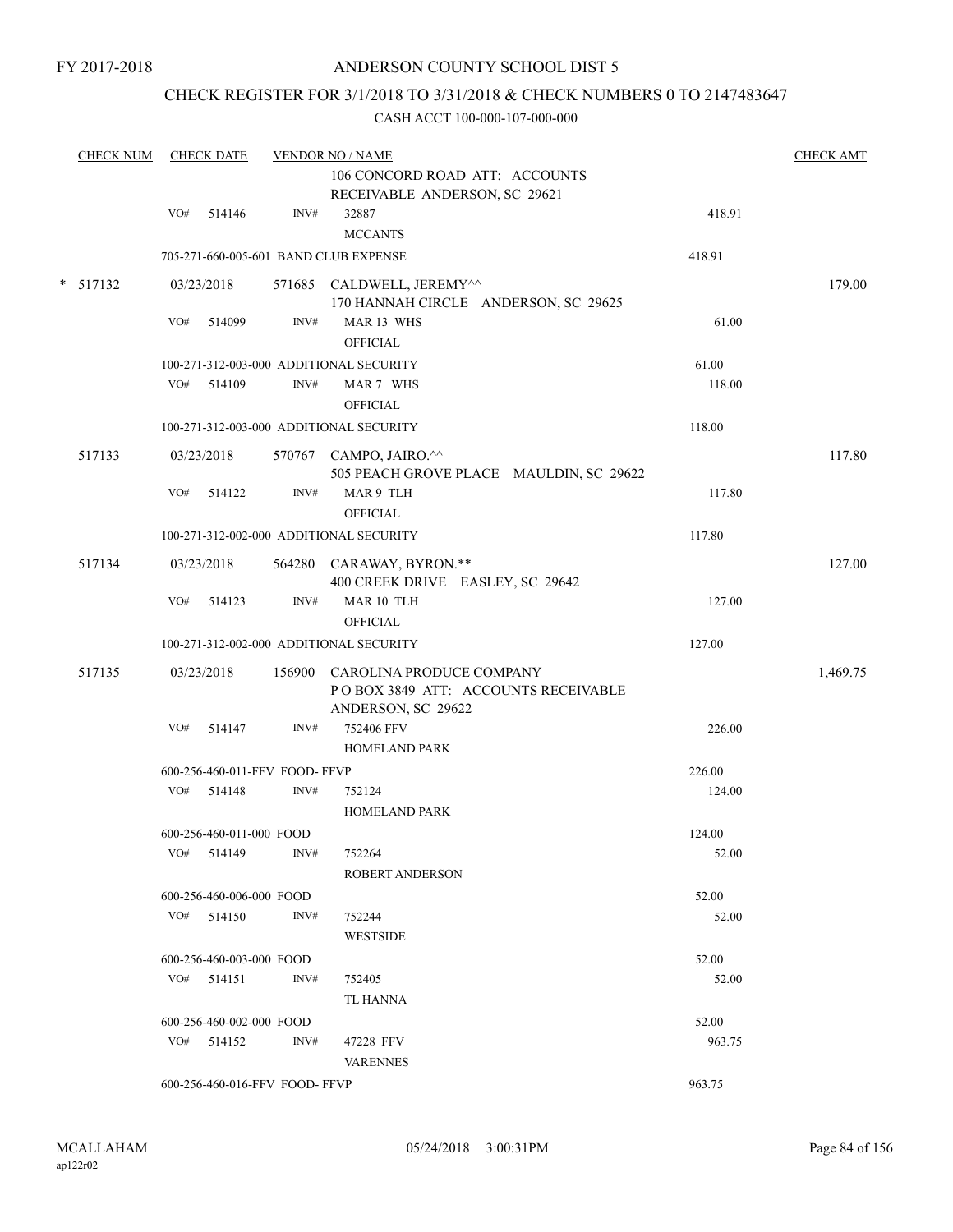### CHECK REGISTER FOR 3/1/2018 TO 3/31/2018 & CHECK NUMBERS 0 TO 2147483647

| <b>CHECK NUM</b> |     | <b>CHECK DATE</b>              |      | <b>VENDOR NO / NAME</b>                                                                      |        | <b>CHECK AMT</b> |
|------------------|-----|--------------------------------|------|----------------------------------------------------------------------------------------------|--------|------------------|
|                  |     |                                |      | 106 CONCORD ROAD ATT: ACCOUNTS<br>RECEIVABLE ANDERSON, SC 29621                              |        |                  |
|                  | VO# | 514146                         | INV# | 32887<br><b>MCCANTS</b>                                                                      | 418.91 |                  |
|                  |     |                                |      | 705-271-660-005-601 BAND CLUB EXPENSE                                                        | 418.91 |                  |
| $* 517132$       |     | 03/23/2018                     |      | 571685 CALDWELL, JEREMY^^<br>170 HANNAH CIRCLE ANDERSON, SC 29625                            |        | 179.00           |
|                  | VO# | 514099                         | INV# | MAR 13 WHS<br><b>OFFICIAL</b>                                                                | 61.00  |                  |
|                  |     |                                |      | 100-271-312-003-000 ADDITIONAL SECURITY                                                      | 61.00  |                  |
|                  |     | VO# 514109                     | INV# | MAR 7 WHS<br><b>OFFICIAL</b>                                                                 | 118.00 |                  |
|                  |     |                                |      | 100-271-312-003-000 ADDITIONAL SECURITY                                                      | 118.00 |                  |
| 517133           |     | 03/23/2018                     |      | 570767 CAMPO, JAIRO.^^<br>505 PEACH GROVE PLACE MAULDIN, SC 29622                            |        | 117.80           |
|                  | VO# | 514122                         | INV# | MAR 9 TLH<br><b>OFFICIAL</b>                                                                 | 117.80 |                  |
|                  |     |                                |      | 100-271-312-002-000 ADDITIONAL SECURITY                                                      | 117.80 |                  |
| 517134           |     | 03/23/2018                     |      | 564280 CARAWAY, BYRON.**<br>400 CREEK DRIVE EASLEY, SC 29642                                 |        | 127.00           |
|                  | VO# | 514123                         | INV# | MAR 10 TLH<br><b>OFFICIAL</b>                                                                | 127.00 |                  |
|                  |     |                                |      | 100-271-312-002-000 ADDITIONAL SECURITY                                                      | 127.00 |                  |
| 517135           |     | 03/23/2018                     |      | 156900 CAROLINA PRODUCE COMPANY<br>POBOX 3849 ATT: ACCOUNTS RECEIVABLE<br>ANDERSON, SC 29622 |        | 1,469.75         |
|                  | VO# | 514147                         | INV# | 752406 FFV<br>HOMELAND PARK                                                                  | 226.00 |                  |
|                  |     | 600-256-460-011-FFV FOOD- FFVP |      |                                                                                              | 226.00 |                  |
|                  |     | VO# 514148                     | INV# | 752124<br>HOMELAND PARK                                                                      | 124.00 |                  |
|                  |     | 600-256-460-011-000 FOOD       |      |                                                                                              | 124.00 |                  |
|                  |     | $VO#$ 514149                   | INV# | 752264<br><b>ROBERT ANDERSON</b>                                                             | 52.00  |                  |
|                  |     | 600-256-460-006-000 FOOD       |      |                                                                                              | 52.00  |                  |
|                  |     | $VO#$ 514150                   | INV# | 752244<br><b>WESTSIDE</b>                                                                    | 52.00  |                  |
|                  |     | 600-256-460-003-000 FOOD       |      |                                                                                              | 52.00  |                  |
|                  |     | $VO#$ 514151                   | INV# | 752405<br>TL HANNA                                                                           | 52.00  |                  |
|                  |     | 600-256-460-002-000 FOOD       |      |                                                                                              | 52.00  |                  |
|                  |     | $VO#$ 514152                   | INV# | 47228 FFV<br><b>VARENNES</b>                                                                 | 963.75 |                  |
|                  |     | 600-256-460-016-FFV FOOD-FFVP  |      |                                                                                              | 963.75 |                  |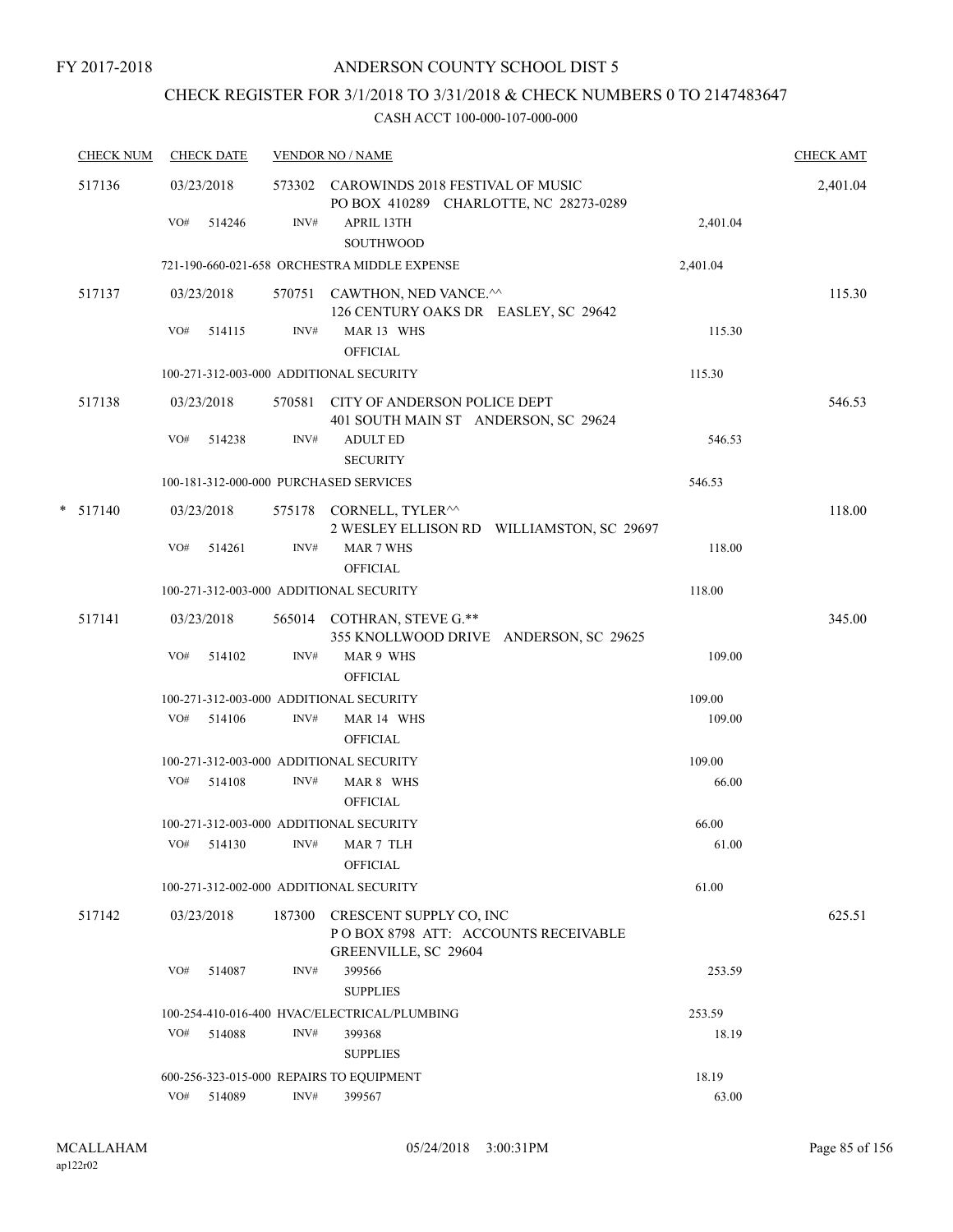# CHECK REGISTER FOR 3/1/2018 TO 3/31/2018 & CHECK NUMBERS 0 TO 2147483647

| <b>CHECK NUM</b> |     | <b>CHECK DATE</b> |      | <b>VENDOR NO / NAME</b>                                                                       |          | <b>CHECK AMT</b> |
|------------------|-----|-------------------|------|-----------------------------------------------------------------------------------------------|----------|------------------|
| 517136           |     | 03/23/2018        |      | 573302 CAROWINDS 2018 FESTIVAL OF MUSIC<br>PO BOX 410289 CHARLOTTE, NC 28273-0289             |          | 2,401.04         |
|                  |     | VO# 514246        | INV# | APRIL 13TH<br>SOUTHWOOD                                                                       | 2,401.04 |                  |
|                  |     |                   |      | 721-190-660-021-658 ORCHESTRA MIDDLE EXPENSE                                                  | 2,401.04 |                  |
| 517137           |     | 03/23/2018        |      | 570751 CAWTHON, NED VANCE.^^<br>126 CENTURY OAKS DR EASLEY, SC 29642                          |          | 115.30           |
|                  | VO# | 514115            | INV# | MAR 13 WHS<br><b>OFFICIAL</b>                                                                 | 115.30   |                  |
|                  |     |                   |      | 100-271-312-003-000 ADDITIONAL SECURITY                                                       | 115.30   |                  |
| 517138           |     | 03/23/2018        |      | 570581 CITY OF ANDERSON POLICE DEPT<br>401 SOUTH MAIN ST ANDERSON, SC 29624                   |          | 546.53           |
|                  | VO# | 514238            | INV# | <b>ADULT ED</b><br><b>SECURITY</b>                                                            | 546.53   |                  |
|                  |     |                   |      | 100-181-312-000-000 PURCHASED SERVICES                                                        | 546.53   |                  |
| $*$ 517140       |     | 03/23/2018        |      | 575178 CORNELL, TYLER <sup>^^</sup><br>2 WESLEY ELLISON RD WILLIAMSTON, SC 29697              |          | 118.00           |
|                  | VO# | 514261            | INV# | <b>MAR 7 WHS</b><br><b>OFFICIAL</b>                                                           | 118.00   |                  |
|                  |     |                   |      | 100-271-312-003-000 ADDITIONAL SECURITY                                                       | 118.00   |                  |
| 517141           |     | 03/23/2018        |      | 565014 COTHRAN, STEVE G.**<br>355 KNOLLWOOD DRIVE ANDERSON, SC 29625                          |          | 345.00           |
|                  | VO# | 514102            | INV# | MAR 9 WHS<br><b>OFFICIAL</b>                                                                  | 109.00   |                  |
|                  |     |                   |      | 100-271-312-003-000 ADDITIONAL SECURITY                                                       | 109.00   |                  |
|                  |     | VO# 514106        | INV# | MAR 14 WHS<br><b>OFFICIAL</b>                                                                 | 109.00   |                  |
|                  |     |                   |      | 100-271-312-003-000 ADDITIONAL SECURITY                                                       | 109.00   |                  |
|                  |     | VO# 514108        | INV# | MAR 8 WHS<br><b>OFFICIAL</b>                                                                  | 66.00    |                  |
|                  |     |                   |      | 100-271-312-003-000 ADDITIONAL SECURITY                                                       | 66.00    |                  |
|                  |     |                   |      | VO# 514130 INV# MAR 7 TLH<br><b>OFFICIAL</b>                                                  | 61.00    |                  |
|                  |     |                   |      | 100-271-312-002-000 ADDITIONAL SECURITY                                                       | 61.00    |                  |
| 517142           |     | 03/23/2018        |      | 187300 CRESCENT SUPPLY CO, INC<br>POBOX 8798 ATT: ACCOUNTS RECEIVABLE<br>GREENVILLE, SC 29604 |          | 625.51           |
|                  |     | VO# 514087        | INV# | 399566<br><b>SUPPLIES</b>                                                                     | 253.59   |                  |
|                  |     |                   |      | 100-254-410-016-400 HVAC/ELECTRICAL/PLUMBING                                                  | 253.59   |                  |
|                  |     | VO# 514088        | INV# | 399368<br><b>SUPPLIES</b>                                                                     | 18.19    |                  |
|                  |     |                   |      | 600-256-323-015-000 REPAIRS TO EQUIPMENT                                                      | 18.19    |                  |
|                  |     | VO# 514089        | INV# | 399567                                                                                        | 63.00    |                  |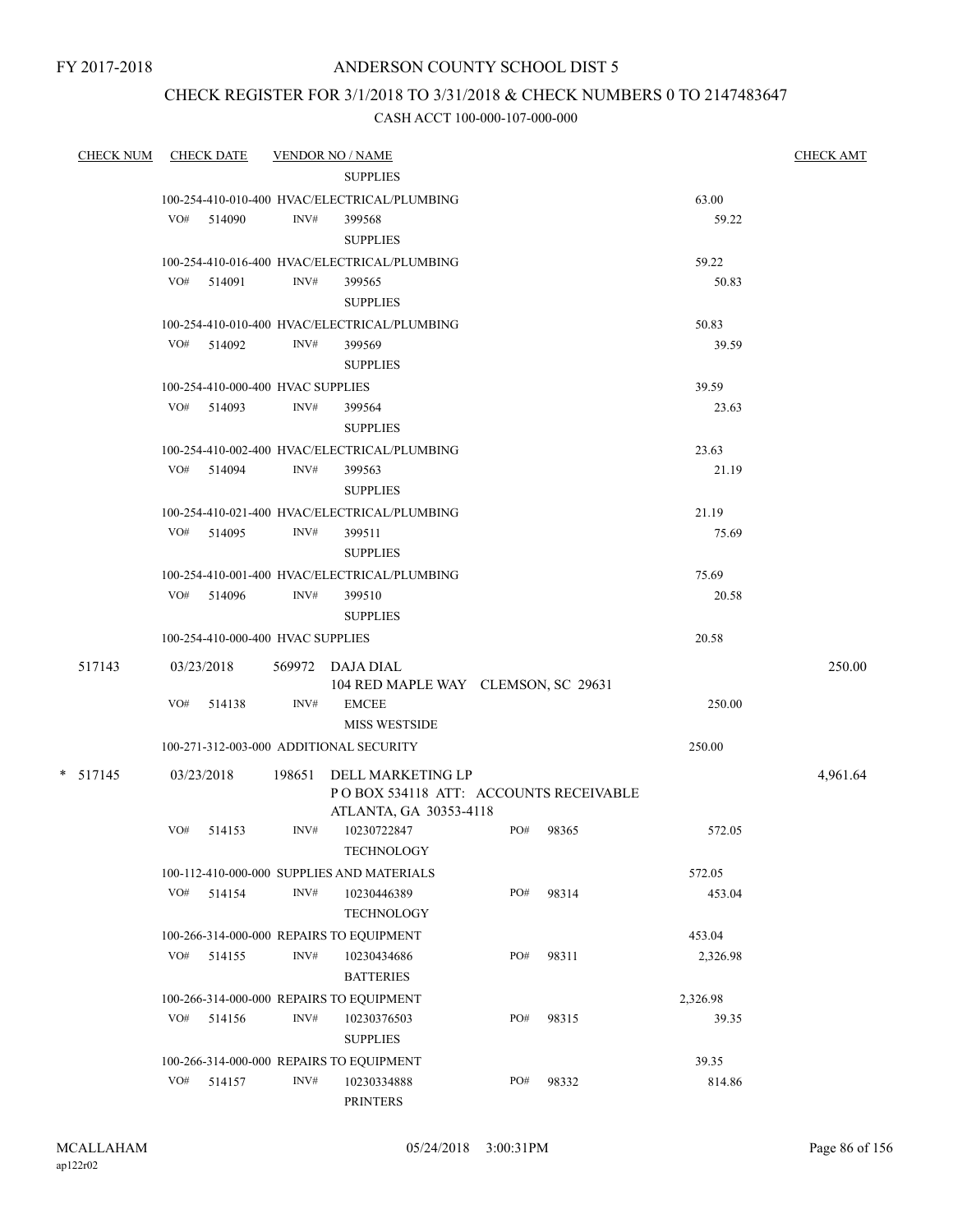FY 2017-2018

### ANDERSON COUNTY SCHOOL DIST 5

## CHECK REGISTER FOR 3/1/2018 TO 3/31/2018 & CHECK NUMBERS 0 TO 2147483647

| CHECK NUM  |     | <b>CHECK DATE</b>                 |                | <b>VENDOR NO / NAME</b>                      |     |           |          | <b>CHECK AMT</b> |
|------------|-----|-----------------------------------|----------------|----------------------------------------------|-----|-----------|----------|------------------|
|            |     |                                   |                | <b>SUPPLIES</b>                              |     |           |          |                  |
|            |     |                                   |                | 100-254-410-010-400 HVAC/ELECTRICAL/PLUMBING |     |           | 63.00    |                  |
|            |     | VO# 514090                        | INV#           | 399568                                       |     |           | 59.22    |                  |
|            |     |                                   |                | <b>SUPPLIES</b>                              |     |           |          |                  |
|            |     |                                   |                | 100-254-410-016-400 HVAC/ELECTRICAL/PLUMBING |     |           | 59.22    |                  |
|            |     | VO# 514091                        | INV#           | 399565                                       |     |           | 50.83    |                  |
|            |     |                                   |                | <b>SUPPLIES</b>                              |     |           |          |                  |
|            |     |                                   |                | 100-254-410-010-400 HVAC/ELECTRICAL/PLUMBING |     |           | 50.83    |                  |
|            |     | VO# 514092                        | INV#           | 399569                                       |     |           | 39.59    |                  |
|            |     |                                   |                | <b>SUPPLIES</b>                              |     |           |          |                  |
|            |     | 100-254-410-000-400 HVAC SUPPLIES |                |                                              |     |           | 39.59    |                  |
|            |     | VO# 514093                        | INV#           | 399564                                       |     |           | 23.63    |                  |
|            |     |                                   |                | <b>SUPPLIES</b>                              |     |           |          |                  |
|            |     |                                   |                | 100-254-410-002-400 HVAC/ELECTRICAL/PLUMBING |     |           | 23.63    |                  |
|            |     | VO# 514094                        | INV#           | 399563                                       |     |           | 21.19    |                  |
|            |     |                                   |                | <b>SUPPLIES</b>                              |     |           |          |                  |
|            |     |                                   |                |                                              |     |           |          |                  |
|            |     |                                   |                | 100-254-410-021-400 HVAC/ELECTRICAL/PLUMBING |     |           | 21.19    |                  |
|            |     | VO# 514095                        | INV#           | 399511                                       |     |           | 75.69    |                  |
|            |     |                                   |                | <b>SUPPLIES</b>                              |     |           |          |                  |
|            |     |                                   |                | 100-254-410-001-400 HVAC/ELECTRICAL/PLUMBING |     |           | 75.69    |                  |
|            |     | VO# 514096                        | INV#           | 399510                                       |     |           | 20.58    |                  |
|            |     |                                   |                | <b>SUPPLIES</b>                              |     |           |          |                  |
|            |     | 100-254-410-000-400 HVAC SUPPLIES |                |                                              |     |           | 20.58    |                  |
| 517143     |     | 03/23/2018                        |                | 569972 DAJA DIAL                             |     |           |          | 250.00           |
|            |     |                                   |                | 104 RED MAPLE WAY CLEMSON, SC 29631          |     |           |          |                  |
|            | VO# | 514138                            | INV#           | <b>EMCEE</b>                                 |     |           | 250.00   |                  |
|            |     |                                   |                | <b>MISS WESTSIDE</b>                         |     |           |          |                  |
|            |     |                                   |                | 100-271-312-003-000 ADDITIONAL SECURITY      |     |           | 250.00   |                  |
| $*$ 517145 |     | 03/23/2018                        |                | 198651 DELL MARKETING LP                     |     |           |          | 4,961.64         |
|            |     |                                   |                | PO BOX 534118 ATT: ACCOUNTS RECEIVABLE       |     |           |          |                  |
|            |     |                                   |                | ATLANTA, GA 30353-4118                       |     |           |          |                  |
|            |     | VO# 514153                        | INV#           | 10230722847                                  |     | PO# 98365 | 572.05   |                  |
|            |     |                                   |                | TECHNOLOGY                                   |     |           |          |                  |
|            |     |                                   |                | 100-112-410-000-000 SUPPLIES AND MATERIALS   |     |           | 572.05   |                  |
|            | VO# | 514154                            | INV#           | 10230446389                                  | PO# | 98314     | 453.04   |                  |
|            |     |                                   |                | <b>TECHNOLOGY</b>                            |     |           |          |                  |
|            |     |                                   |                |                                              |     |           |          |                  |
|            |     |                                   |                | 100-266-314-000-000 REPAIRS TO EQUIPMENT     |     |           | 453.04   |                  |
|            | VO# | 514155                            | INV#           | 10230434686<br><b>BATTERIES</b>              | PO# | 98311     | 2,326.98 |                  |
|            |     |                                   |                | 100-266-314-000-000 REPAIRS TO EQUIPMENT     |     |           | 2,326.98 |                  |
|            | VO# | 514156                            | INV#           | 10230376503                                  | PO# | 98315     | 39.35    |                  |
|            |     |                                   |                | <b>SUPPLIES</b>                              |     |           |          |                  |
|            |     |                                   |                | 100-266-314-000-000 REPAIRS TO EQUIPMENT     |     |           | 39.35    |                  |
|            | VO# | 514157                            | $\text{INV}\#$ | 10230334888                                  | PO# | 98332     | 814.86   |                  |
|            |     |                                   |                | <b>PRINTERS</b>                              |     |           |          |                  |
|            |     |                                   |                |                                              |     |           |          |                  |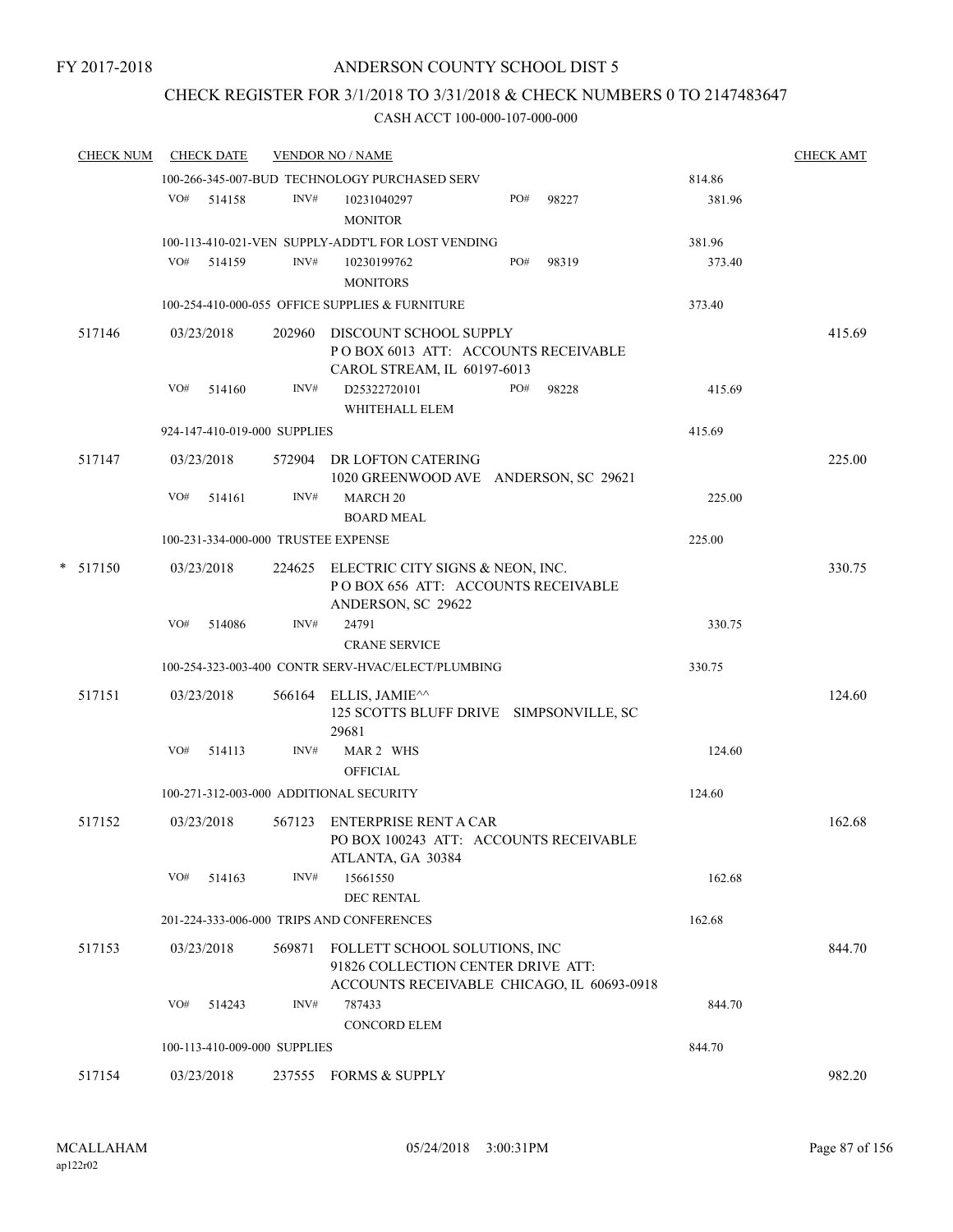### CHECK REGISTER FOR 3/1/2018 TO 3/31/2018 & CHECK NUMBERS 0 TO 2147483647

| <b>CHECK NUM</b> |     | <b>CHECK DATE</b> |                              | <b>VENDOR NO / NAME</b>                                                                             |     |       |        | <b>CHECK AMT</b> |
|------------------|-----|-------------------|------------------------------|-----------------------------------------------------------------------------------------------------|-----|-------|--------|------------------|
|                  |     |                   |                              | 100-266-345-007-BUD TECHNOLOGY PURCHASED SERV                                                       |     |       | 814.86 |                  |
|                  |     | VO# 514158        | INV#                         | 10231040297<br><b>MONITOR</b>                                                                       | PO# | 98227 | 381.96 |                  |
|                  |     |                   |                              | 100-113-410-021-VEN SUPPLY-ADDT'L FOR LOST VENDING                                                  |     |       | 381.96 |                  |
|                  | VO# | 514159            | INV#                         | 10230199762<br><b>MONITORS</b>                                                                      | PO# | 98319 | 373.40 |                  |
|                  |     |                   |                              | 100-254-410-000-055 OFFICE SUPPLIES & FURNITURE                                                     |     |       | 373.40 |                  |
| 517146           |     | 03/23/2018        |                              | 202960 DISCOUNT SCHOOL SUPPLY                                                                       |     |       |        | 415.69           |
|                  |     |                   |                              | POBOX 6013 ATT: ACCOUNTS RECEIVABLE<br>CAROL STREAM, IL 60197-6013                                  |     |       |        |                  |
|                  | VO# | 514160            | INV#                         | D25322720101<br>WHITEHALL ELEM                                                                      | PO# | 98228 | 415.69 |                  |
|                  |     |                   | 924-147-410-019-000 SUPPLIES |                                                                                                     |     |       | 415.69 |                  |
| 517147           |     | 03/23/2018        |                              | 572904 DR LOFTON CATERING<br>1020 GREENWOOD AVE ANDERSON, SC 29621                                  |     |       |        | 225.00           |
|                  | VO# | 514161            | INV#                         | <b>MARCH 20</b><br><b>BOARD MEAL</b>                                                                |     |       | 225.00 |                  |
|                  |     |                   |                              | 100-231-334-000-000 TRUSTEE EXPENSE                                                                 |     |       | 225.00 |                  |
| $*$ 517150       |     | 03/23/2018        |                              | 224625 ELECTRIC CITY SIGNS & NEON, INC.<br>POBOX 656 ATT: ACCOUNTS RECEIVABLE<br>ANDERSON, SC 29622 |     |       |        | 330.75           |
|                  | VO# | 514086            | INV#                         | 24791<br><b>CRANE SERVICE</b>                                                                       |     |       | 330.75 |                  |
|                  |     |                   |                              | 100-254-323-003-400 CONTR SERV-HVAC/ELECT/PLUMBING                                                  |     |       | 330.75 |                  |
| 517151           |     | 03/23/2018        | 566164                       | ELLIS, JAMIE^^<br>125 SCOTTS BLUFF DRIVE SIMPSONVILLE, SC<br>29681                                  |     |       |        | 124.60           |
|                  | VO# | 514113            | INV#                         | MAR 2 WHS<br><b>OFFICIAL</b>                                                                        |     |       | 124.60 |                  |
|                  |     |                   |                              | 100-271-312-003-000 ADDITIONAL SECURITY                                                             |     |       | 124.60 |                  |
| 517152           |     | 03/23/2018        | 567123                       | ENTERPRISE RENT A CAR<br>PO BOX 100243 ATT: ACCOUNTS RECEIVABLE<br>ATLANTA, GA 30384                |     |       |        | 162.68           |
|                  | VO# | 514163            | INV#                         | 15661550<br><b>DEC RENTAL</b>                                                                       |     |       | 162.68 |                  |
|                  |     |                   |                              | 201-224-333-006-000 TRIPS AND CONFERENCES                                                           |     |       | 162.68 |                  |
| 517153           |     | 03/23/2018        | 569871                       | FOLLETT SCHOOL SOLUTIONS, INC                                                                       |     |       |        | 844.70           |
|                  |     |                   |                              | 91826 COLLECTION CENTER DRIVE ATT:<br>ACCOUNTS RECEIVABLE CHICAGO, IL 60693-0918                    |     |       |        |                  |
|                  | VO# | 514243            | INV#                         | 787433<br><b>CONCORD ELEM</b>                                                                       |     |       | 844.70 |                  |
|                  |     |                   | 100-113-410-009-000 SUPPLIES |                                                                                                     |     |       | 844.70 |                  |
| 517154           |     | 03/23/2018        | 237555                       | <b>FORMS &amp; SUPPLY</b>                                                                           |     |       |        | 982.20           |
|                  |     |                   |                              |                                                                                                     |     |       |        |                  |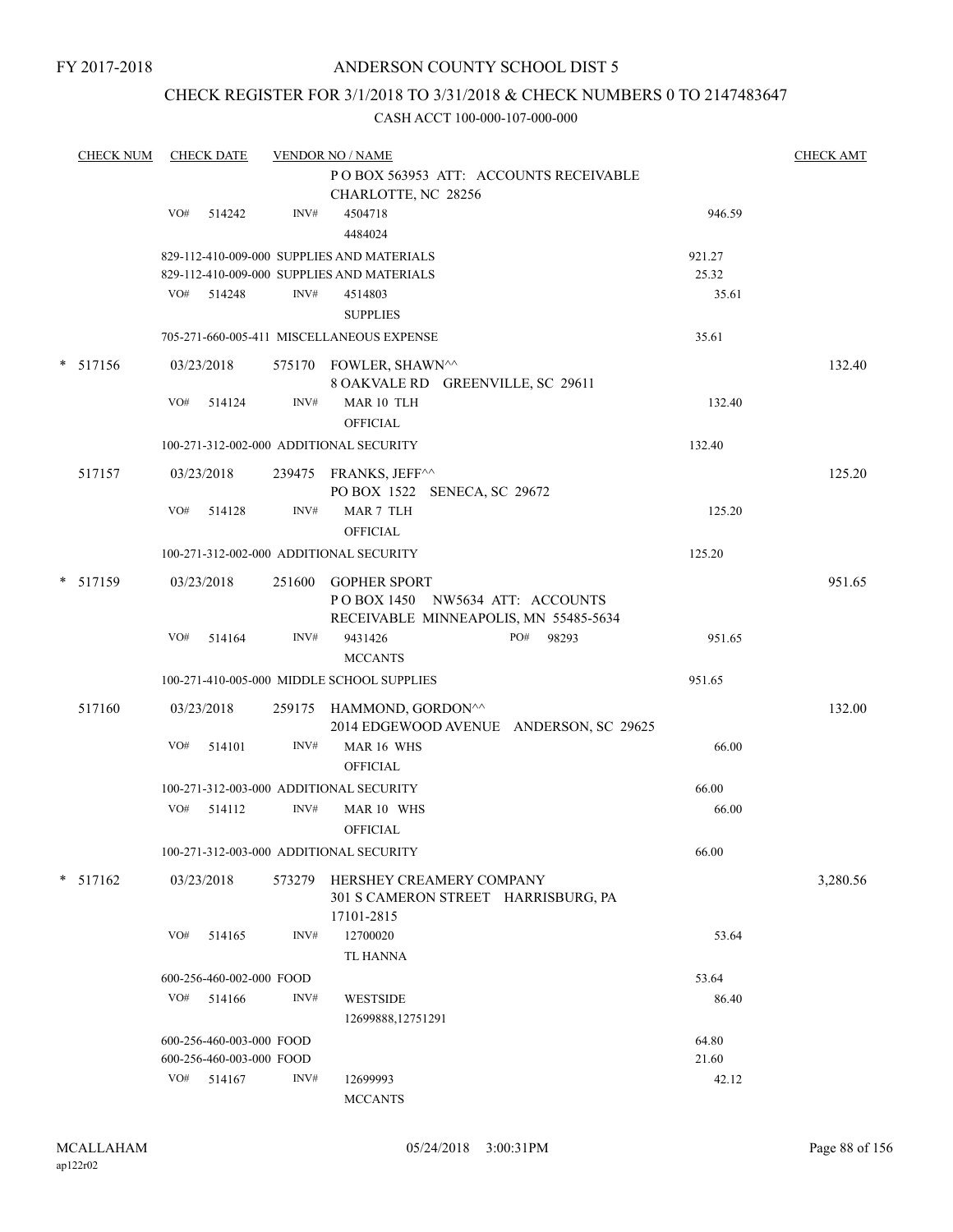### CHECK REGISTER FOR 3/1/2018 TO 3/31/2018 & CHECK NUMBERS 0 TO 2147483647

| <b>CHECK NUM</b> |     | <b>CHECK DATE</b>        |        | <b>VENDOR NO / NAME</b>                                                                         | PO BOX 563953 ATT: ACCOUNTS RECEIVABLE  |                 | <b>CHECK AMT</b> |
|------------------|-----|--------------------------|--------|-------------------------------------------------------------------------------------------------|-----------------------------------------|-----------------|------------------|
|                  | VO# | 514242                   | INV#   | CHARLOTTE, NC 28256<br>4504718<br>4484024                                                       |                                         | 946.59          |                  |
|                  |     |                          |        | 829-112-410-009-000 SUPPLIES AND MATERIALS<br>829-112-410-009-000 SUPPLIES AND MATERIALS        |                                         | 921.27<br>25.32 |                  |
|                  |     | VO# 514248               | INV#   | 4514803<br><b>SUPPLIES</b>                                                                      |                                         | 35.61           |                  |
|                  |     |                          |        | 705-271-660-005-411 MISCELLANEOUS EXPENSE                                                       |                                         | 35.61           |                  |
| * 517156         |     | 03/23/2018               |        | 575170 FOWLER, SHAWN^^<br>8 OAKVALE RD GREENVILLE, SC 29611                                     |                                         |                 | 132.40           |
|                  | VO# | 514124                   | INV#   | MAR 10 TLH<br><b>OFFICIAL</b>                                                                   |                                         | 132.40          |                  |
|                  |     |                          |        | 100-271-312-002-000 ADDITIONAL SECURITY                                                         |                                         | 132.40          |                  |
| 517157           |     | 03/23/2018               |        | 239475 FRANKS, JEFF^^<br>PO BOX 1522 SENECA, SC 29672                                           |                                         |                 | 125.20           |
|                  | VO# | 514128                   | INV#   | MAR 7 TLH<br><b>OFFICIAL</b>                                                                    |                                         | 125.20          |                  |
|                  |     |                          |        | 100-271-312-002-000 ADDITIONAL SECURITY                                                         |                                         | 125.20          |                  |
| * 517159         |     | 03/23/2018               |        | 251600 GOPHER SPORT<br>POBOX 1450 NW5634 ATT: ACCOUNTS<br>RECEIVABLE MINNEAPOLIS, MN 55485-5634 |                                         |                 | 951.65           |
|                  | VO# | 514164                   | INV#   | 9431426<br><b>MCCANTS</b>                                                                       | PO# 98293                               | 951.65          |                  |
|                  |     |                          |        | 100-271-410-005-000 MIDDLE SCHOOL SUPPLIES                                                      |                                         | 951.65          |                  |
| 517160           |     | 03/23/2018               |        | 259175 HAMMOND, GORDON <sup>^^</sup>                                                            | 2014 EDGEWOOD AVENUE ANDERSON, SC 29625 |                 | 132.00           |
|                  | VO# | 514101                   | INV#   | MAR 16 WHS<br><b>OFFICIAL</b>                                                                   |                                         | 66.00           |                  |
|                  |     |                          |        | 100-271-312-003-000 ADDITIONAL SECURITY                                                         |                                         | 66.00           |                  |
|                  |     | VO# 514112               | INV#   | MAR 10 WHS<br><b>OFFICIAL</b>                                                                   |                                         | 66.00           |                  |
|                  |     |                          |        | 100-271-312-003-000 ADDITIONAL SECURITY                                                         |                                         | 66.00           |                  |
| * 517162         |     | 03/23/2018               | 573279 | HERSHEY CREAMERY COMPANY<br>301 S CAMERON STREET HARRISBURG, PA<br>17101-2815                   |                                         |                 | 3,280.56         |
|                  | VO# | 514165                   | INV#   | 12700020<br>TL HANNA                                                                            |                                         | 53.64           |                  |
|                  |     | 600-256-460-002-000 FOOD |        |                                                                                                 |                                         | 53.64           |                  |
|                  | VO# | 514166                   | INV#   | <b>WESTSIDE</b><br>12699888,12751291                                                            |                                         | 86.40           |                  |
|                  |     | 600-256-460-003-000 FOOD |        |                                                                                                 |                                         | 64.80           |                  |
|                  |     | 600-256-460-003-000 FOOD |        |                                                                                                 |                                         | 21.60           |                  |
|                  | VO# | 514167                   | INV#   | 12699993<br><b>MCCANTS</b>                                                                      |                                         | 42.12           |                  |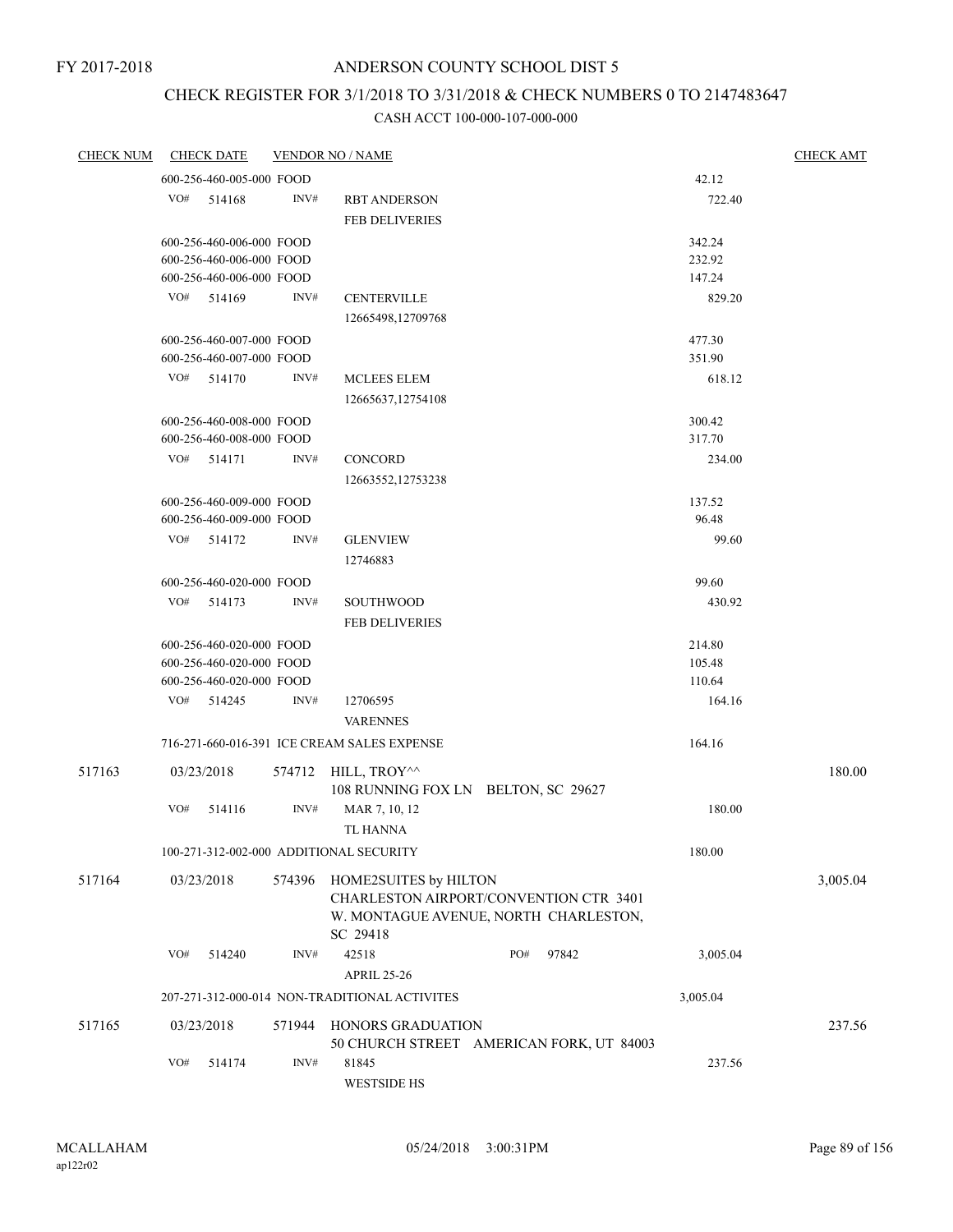# CHECK REGISTER FOR 3/1/2018 TO 3/31/2018 & CHECK NUMBERS 0 TO 2147483647

| <b>CHECK NUM</b> |     | <b>CHECK DATE</b>        |        | <b>VENDOR NO / NAME</b>                       |                                          |          | <b>CHECK AMT</b> |
|------------------|-----|--------------------------|--------|-----------------------------------------------|------------------------------------------|----------|------------------|
|                  |     | 600-256-460-005-000 FOOD |        |                                               |                                          | 42.12    |                  |
|                  | VO# | 514168                   | INV#   | <b>RBT ANDERSON</b>                           |                                          | 722.40   |                  |
|                  |     |                          |        | <b>FEB DELIVERIES</b>                         |                                          |          |                  |
|                  |     | 600-256-460-006-000 FOOD |        |                                               |                                          | 342.24   |                  |
|                  |     | 600-256-460-006-000 FOOD |        |                                               |                                          | 232.92   |                  |
|                  |     | 600-256-460-006-000 FOOD |        |                                               |                                          | 147.24   |                  |
|                  | VO# | 514169                   | INV#   | <b>CENTERVILLE</b>                            |                                          | 829.20   |                  |
|                  |     |                          |        | 12665498,12709768                             |                                          |          |                  |
|                  |     | 600-256-460-007-000 FOOD |        |                                               |                                          | 477.30   |                  |
|                  |     | 600-256-460-007-000 FOOD |        |                                               |                                          | 351.90   |                  |
|                  | VO# | 514170                   | INV#   | MCLEES ELEM                                   |                                          | 618.12   |                  |
|                  |     |                          |        | 12665637,12754108                             |                                          |          |                  |
|                  |     | 600-256-460-008-000 FOOD |        |                                               |                                          | 300.42   |                  |
|                  |     | 600-256-460-008-000 FOOD |        |                                               |                                          | 317.70   |                  |
|                  |     | VO# 514171               | INV#   | CONCORD                                       |                                          | 234.00   |                  |
|                  |     |                          |        | 12663552,12753238                             |                                          |          |                  |
|                  |     | 600-256-460-009-000 FOOD |        |                                               |                                          | 137.52   |                  |
|                  |     | 600-256-460-009-000 FOOD |        |                                               |                                          | 96.48    |                  |
|                  | VO# | 514172                   | INV#   | <b>GLENVIEW</b>                               |                                          | 99.60    |                  |
|                  |     |                          |        | 12746883                                      |                                          |          |                  |
|                  |     | 600-256-460-020-000 FOOD |        |                                               |                                          | 99.60    |                  |
|                  | VO# | 514173                   | INV#   | <b>SOUTHWOOD</b>                              |                                          | 430.92   |                  |
|                  |     |                          |        | <b>FEB DELIVERIES</b>                         |                                          |          |                  |
|                  |     | 600-256-460-020-000 FOOD |        |                                               |                                          | 214.80   |                  |
|                  |     | 600-256-460-020-000 FOOD |        |                                               |                                          | 105.48   |                  |
|                  |     | 600-256-460-020-000 FOOD |        |                                               |                                          | 110.64   |                  |
|                  | VO# | 514245                   | INV#   | 12706595                                      |                                          | 164.16   |                  |
|                  |     |                          |        | <b>VARENNES</b>                               |                                          |          |                  |
|                  |     |                          |        | 716-271-660-016-391 ICE CREAM SALES EXPENSE   |                                          | 164.16   |                  |
| 517163           |     | 03/23/2018               | 574712 | HILL, TROY <sup>^^</sup>                      |                                          |          | 180.00           |
|                  |     |                          |        | 108 RUNNING FOX LN BELTON, SC 29627           |                                          |          |                  |
|                  | VO# | 514116                   | INV#   | MAR 7, 10, 12                                 |                                          | 180.00   |                  |
|                  |     |                          |        | <b>TL HANNA</b>                               |                                          |          |                  |
|                  |     |                          |        | 100-271-312-002-000 ADDITIONAL SECURITY       |                                          | 180.00   |                  |
| 517164           |     | 03/23/2018               | 574396 | HOME2SUITES by HILTON                         |                                          |          | 3,005.04         |
|                  |     |                          |        |                                               | CHARLESTON AIRPORT/CONVENTION CTR 3401   |          |                  |
|                  |     |                          |        |                                               | W. MONTAGUE AVENUE, NORTH CHARLESTON,    |          |                  |
|                  |     |                          |        | SC 29418                                      |                                          |          |                  |
|                  | VO# | 514240                   | INV#   | 42518                                         | PO#<br>97842                             | 3,005.04 |                  |
|                  |     |                          |        | <b>APRIL 25-26</b>                            |                                          |          |                  |
|                  |     |                          |        | 207-271-312-000-014 NON-TRADITIONAL ACTIVITES |                                          | 3,005.04 |                  |
| 517165           |     | 03/23/2018               | 571944 | <b>HONORS GRADUATION</b>                      |                                          |          | 237.56           |
|                  |     |                          |        |                                               | 50 CHURCH STREET AMERICAN FORK, UT 84003 |          |                  |
|                  | VO# | 514174                   | INV#   | 81845                                         |                                          | 237.56   |                  |
|                  |     |                          |        | <b>WESTSIDE HS</b>                            |                                          |          |                  |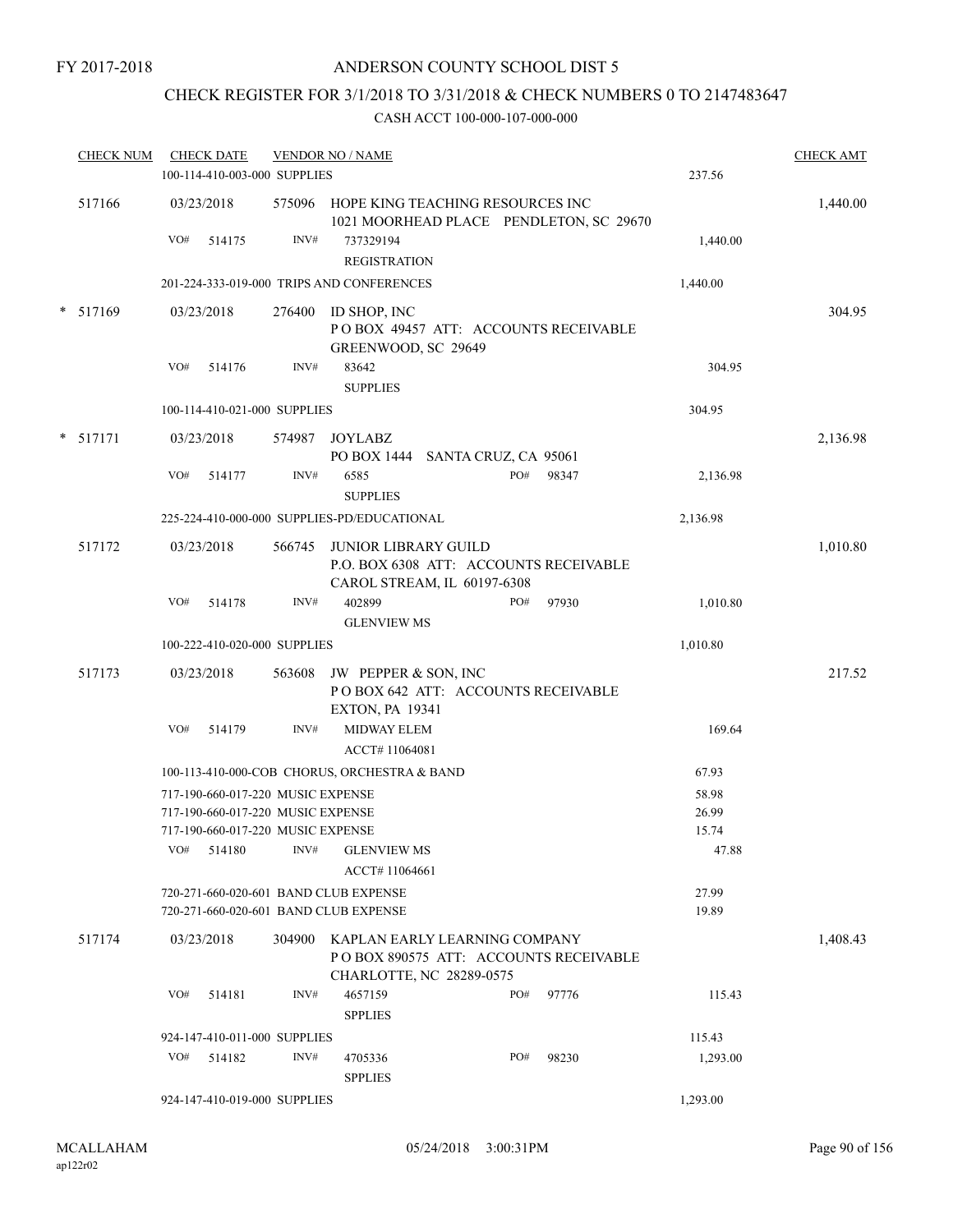FY 2017-2018

### ANDERSON COUNTY SCHOOL DIST 5

# CHECK REGISTER FOR 3/1/2018 TO 3/31/2018 & CHECK NUMBERS 0 TO 2147483647

| <b>CHECK NUM</b> |     | <b>CHECK DATE</b><br>100-114-410-003-000 SUPPLIES                      |        | <b>VENDOR NO / NAME</b>                                                                              |     |       | 237.56         | <b>CHECK AMT</b> |
|------------------|-----|------------------------------------------------------------------------|--------|------------------------------------------------------------------------------------------------------|-----|-------|----------------|------------------|
| 517166           |     | 03/23/2018                                                             |        | 575096 HOPE KING TEACHING RESOURCES INC<br>1021 MOORHEAD PLACE PENDLETON, SC 29670                   |     |       |                | 1,440.00         |
|                  | VO# | 514175                                                                 | INV#   | 737329194<br><b>REGISTRATION</b>                                                                     |     |       | 1,440.00       |                  |
|                  |     |                                                                        |        | 201-224-333-019-000 TRIPS AND CONFERENCES                                                            |     |       | 1,440.00       |                  |
| $*$ 517169       |     | 03/23/2018                                                             | 276400 | ID SHOP, INC<br>POBOX 49457 ATT: ACCOUNTS RECEIVABLE<br>GREENWOOD, SC 29649                          |     |       |                | 304.95           |
|                  | VO# | 514176                                                                 | INV#   | 83642<br><b>SUPPLIES</b>                                                                             |     |       | 304.95         |                  |
|                  |     | 100-114-410-021-000 SUPPLIES                                           |        |                                                                                                      |     |       | 304.95         |                  |
| $*$ 517171       |     | 03/23/2018                                                             | 574987 | JOYLABZ<br>PO BOX 1444 SANTA CRUZ, CA 95061                                                          |     |       |                | 2,136.98         |
|                  | VO# | 514177                                                                 | INV#   | 6585<br><b>SUPPLIES</b>                                                                              | PO# | 98347 | 2,136.98       |                  |
|                  |     |                                                                        |        | 225-224-410-000-000 SUPPLIES-PD/EDUCATIONAL                                                          |     |       | 2,136.98       |                  |
| 517172           |     | 03/23/2018                                                             | 566745 | <b>JUNIOR LIBRARY GUILD</b><br>P.O. BOX 6308 ATT: ACCOUNTS RECEIVABLE<br>CAROL STREAM, IL 60197-6308 |     |       |                | 1,010.80         |
|                  | VO# | 514178                                                                 | INV#   | 402899<br><b>GLENVIEW MS</b>                                                                         | PO# | 97930 | 1,010.80       |                  |
|                  |     | 100-222-410-020-000 SUPPLIES                                           |        |                                                                                                      |     |       | 1,010.80       |                  |
| 517173           |     | 03/23/2018                                                             |        | 563608 JW PEPPER & SON, INC<br>POBOX 642 ATT: ACCOUNTS RECEIVABLE<br><b>EXTON, PA 19341</b>          |     |       |                | 217.52           |
|                  | VO# | 514179                                                                 | INV#   | MIDWAY ELEM<br>ACCT# 11064081                                                                        |     |       | 169.64         |                  |
|                  |     |                                                                        |        | 100-113-410-000-COB CHORUS, ORCHESTRA & BAND                                                         |     |       | 67.93          |                  |
|                  |     | 717-190-660-017-220 MUSIC EXPENSE<br>717-190-660-017-220 MUSIC EXPENSE |        |                                                                                                      |     |       | 58.98<br>26.99 |                  |
|                  | VO# | 717-190-660-017-220 MUSIC EXPENSE<br>514180                            | INV#   | <b>GLENVIEW MS</b>                                                                                   |     |       | 15.74<br>47.88 |                  |
|                  |     |                                                                        |        | ACCT# 11064661                                                                                       |     |       |                |                  |
|                  |     |                                                                        |        | 720-271-660-020-601 BAND CLUB EXPENSE<br>720-271-660-020-601 BAND CLUB EXPENSE                       |     |       | 27.99<br>19.89 |                  |
| 517174           |     | 03/23/2018                                                             | 304900 | KAPLAN EARLY LEARNING COMPANY<br>POBOX 890575 ATT: ACCOUNTS RECEIVABLE<br>CHARLOTTE, NC 28289-0575   |     |       |                | 1,408.43         |
|                  | VO# | 514181                                                                 | INV#   | 4657159<br><b>SPPLIES</b>                                                                            | PO# | 97776 | 115.43         |                  |
|                  |     | 924-147-410-011-000 SUPPLIES                                           |        |                                                                                                      |     |       | 115.43         |                  |
|                  | VO# | 514182                                                                 | INV#   | 4705336<br><b>SPPLIES</b>                                                                            | PO# | 98230 | 1,293.00       |                  |
|                  |     | 924-147-410-019-000 SUPPLIES                                           |        |                                                                                                      |     |       | 1,293.00       |                  |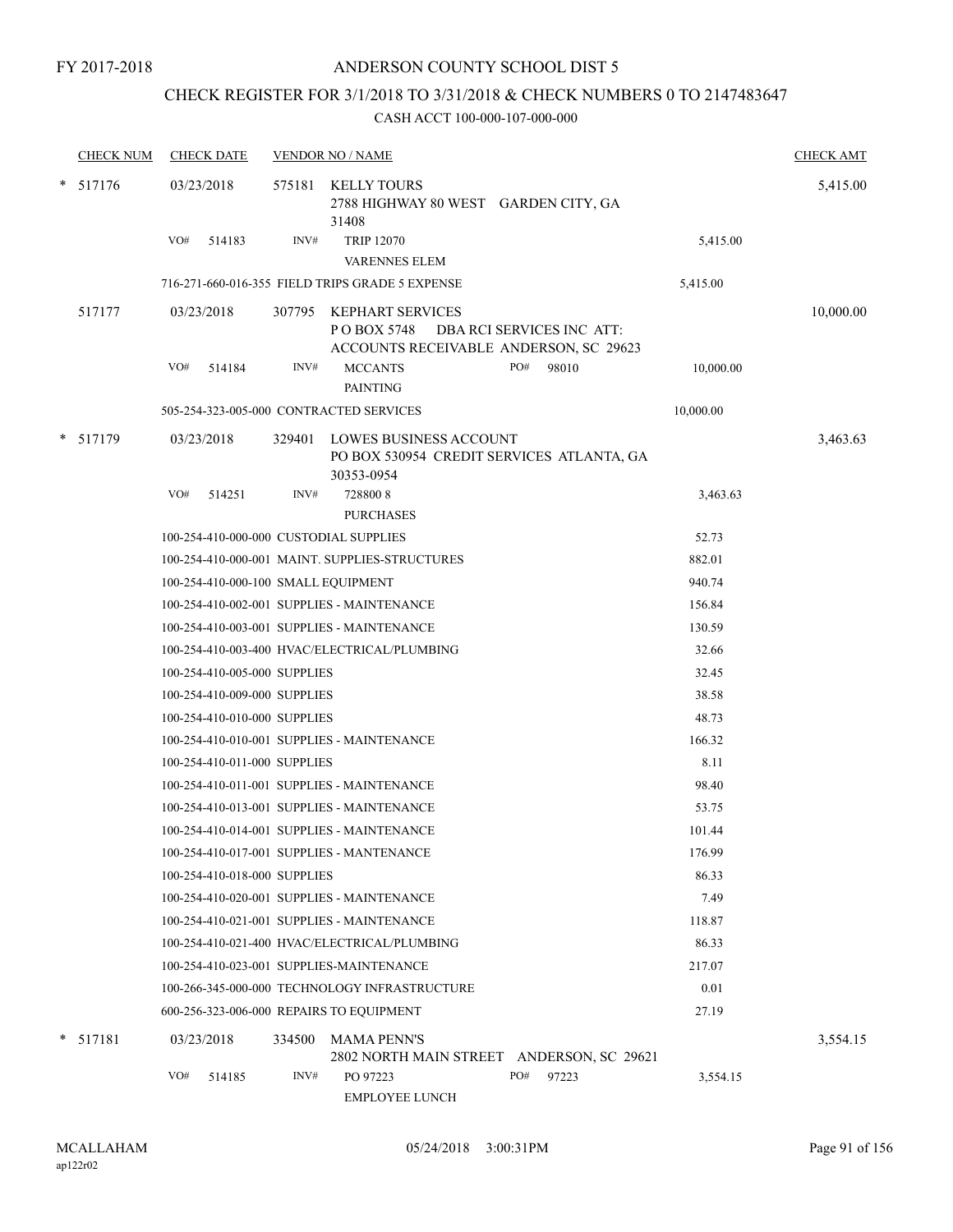### CHECK REGISTER FOR 3/1/2018 TO 3/31/2018 & CHECK NUMBERS 0 TO 2147483647

|   | <b>CHECK NUM</b> |     | <b>CHECK DATE</b>            |        | <b>VENDOR NO / NAME</b>                                                                                | <b>CHECK AMT</b> |
|---|------------------|-----|------------------------------|--------|--------------------------------------------------------------------------------------------------------|------------------|
|   | * 517176         |     | 03/23/2018                   | 575181 | KELLY TOURS<br>2788 HIGHWAY 80 WEST GARDEN CITY, GA<br>31408                                           | 5,415.00         |
|   |                  | VO# | 514183                       | INV#   | <b>TRIP 12070</b>                                                                                      | 5,415.00         |
|   |                  |     |                              |        | VARENNES ELEM                                                                                          |                  |
|   |                  |     |                              |        | 716-271-660-016-355 FIELD TRIPS GRADE 5 EXPENSE<br>5,415.00                                            |                  |
|   | 517177           |     | 03/23/2018                   | 307795 | KEPHART SERVICES<br>PO BOX 5748<br>DBA RCI SERVICES INC ATT:<br>ACCOUNTS RECEIVABLE ANDERSON, SC 29623 | 10,000.00        |
|   |                  | VO# | 514184                       | INV#   | <b>MCCANTS</b><br>PO#<br>98010<br><b>PAINTING</b>                                                      | 10,000.00        |
|   |                  |     |                              |        | 505-254-323-005-000 CONTRACTED SERVICES<br>10,000.00                                                   |                  |
| * | 517179           |     | 03/23/2018                   | 329401 | LOWES BUSINESS ACCOUNT<br>PO BOX 530954 CREDIT SERVICES ATLANTA, GA<br>30353-0954                      | 3,463.63         |
|   |                  | VO# | 514251                       | INV#   | 7288008<br><b>PURCHASES</b>                                                                            | 3,463.63         |
|   |                  |     |                              |        | 100-254-410-000-000 CUSTODIAL SUPPLIES                                                                 | 52.73            |
|   |                  |     |                              |        | 100-254-410-000-001 MAINT. SUPPLIES-STRUCTURES                                                         | 882.01           |
|   |                  |     |                              |        | 100-254-410-000-100 SMALL EQUIPMENT                                                                    | 940.74           |
|   |                  |     |                              |        | 100-254-410-002-001 SUPPLIES - MAINTENANCE                                                             | 156.84           |
|   |                  |     |                              |        | 100-254-410-003-001 SUPPLIES - MAINTENANCE                                                             | 130.59           |
|   |                  |     |                              |        | 100-254-410-003-400 HVAC/ELECTRICAL/PLUMBING                                                           | 32.66            |
|   |                  |     | 100-254-410-005-000 SUPPLIES |        |                                                                                                        | 32.45            |
|   |                  |     | 100-254-410-009-000 SUPPLIES |        |                                                                                                        | 38.58            |
|   |                  |     | 100-254-410-010-000 SUPPLIES |        |                                                                                                        | 48.73            |
|   |                  |     |                              |        | 100-254-410-010-001 SUPPLIES - MAINTENANCE                                                             | 166.32           |
|   |                  |     | 100-254-410-011-000 SUPPLIES |        |                                                                                                        | 8.11             |
|   |                  |     |                              |        | 100-254-410-011-001 SUPPLIES - MAINTENANCE                                                             | 98.40            |
|   |                  |     |                              |        | 100-254-410-013-001 SUPPLIES - MAINTENANCE                                                             | 53.75            |
|   |                  |     |                              |        | 100-254-410-014-001 SUPPLIES - MAINTENANCE                                                             | 101.44           |
|   |                  |     |                              |        | 100-254-410-017-001 SUPPLIES - MANTENANCE                                                              | 176.99           |
|   |                  |     | 100-254-410-018-000 SUPPLIES |        |                                                                                                        | 86.33            |
|   |                  |     |                              |        | 100-254-410-020-001 SUPPLIES - MAINTENANCE                                                             | 7.49             |
|   |                  |     |                              |        | 100-254-410-021-001 SUPPLIES - MAINTENANCE                                                             | 118.87           |
|   |                  |     |                              |        | 100-254-410-021-400 HVAC/ELECTRICAL/PLUMBING                                                           | 86.33            |
|   |                  |     |                              |        | 100-254-410-023-001 SUPPLIES-MAINTENANCE                                                               | 217.07           |
|   |                  |     |                              |        | 100-266-345-000-000 TECHNOLOGY INFRASTRUCTURE                                                          | 0.01             |
|   |                  |     |                              |        | 600-256-323-006-000 REPAIRS TO EQUIPMENT                                                               | 27.19            |
|   | $*$ 517181       |     | 03/23/2018                   | 334500 | <b>MAMA PENN'S</b><br>2802 NORTH MAIN STREET ANDERSON, SC 29621                                        | 3,554.15         |
|   |                  | VO# | 514185                       | INV#   | PO 97223<br>PO#<br>97223<br><b>EMPLOYEE LUNCH</b>                                                      | 3,554.15         |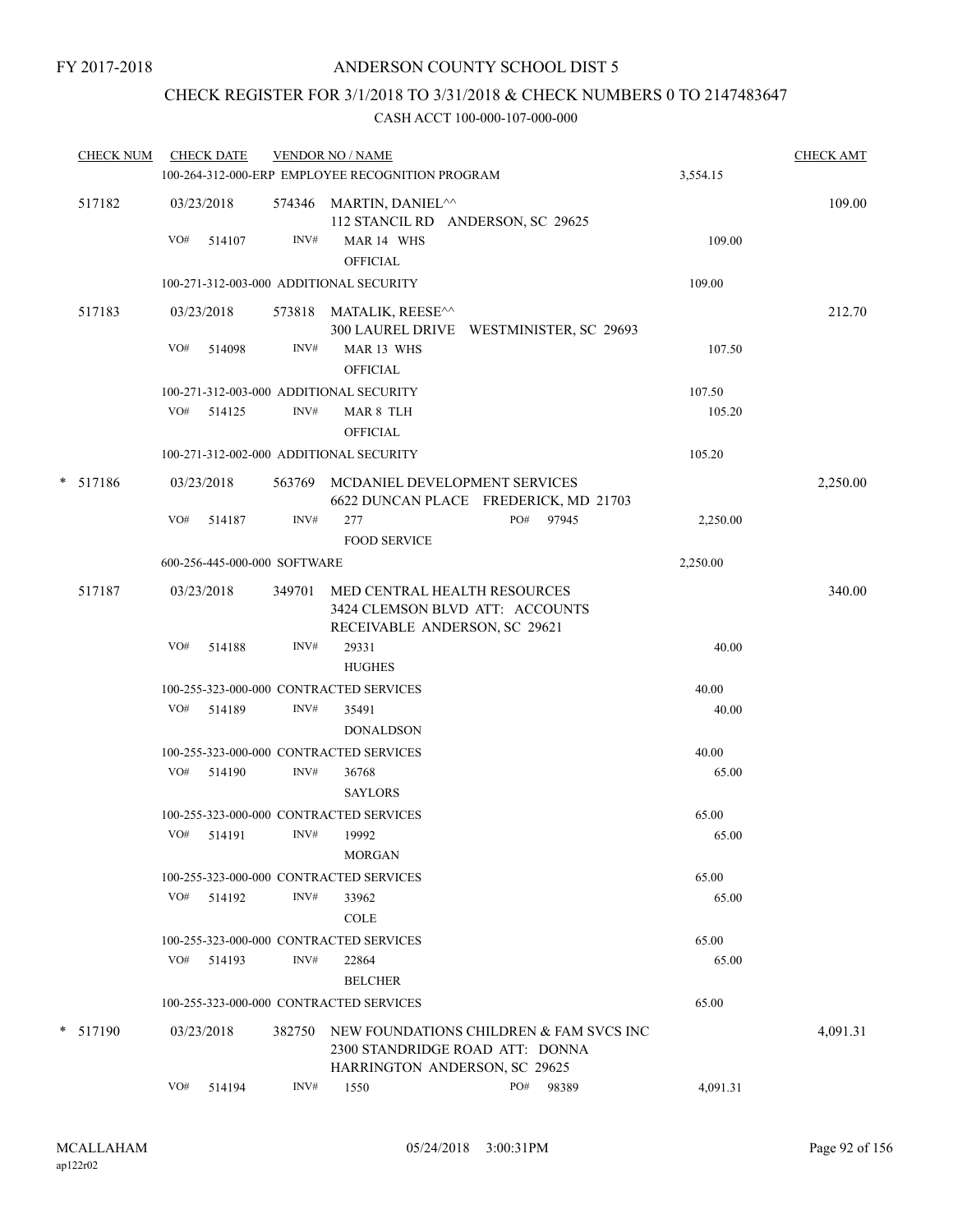## CHECK REGISTER FOR 3/1/2018 TO 3/31/2018 & CHECK NUMBERS 0 TO 2147483647

| <b>CHECK NUM</b> |     | <b>CHECK DATE</b>            |        | <b>VENDOR NO / NAME</b>                                                                          |              |          | <b>CHECK AMT</b> |
|------------------|-----|------------------------------|--------|--------------------------------------------------------------------------------------------------|--------------|----------|------------------|
|                  |     |                              |        | 100-264-312-000-ERP EMPLOYEE RECOGNITION PROGRAM                                                 |              | 3,554.15 |                  |
| 517182           |     | 03/23/2018                   |        | 574346 MARTIN, DANIEL <sup>^^</sup><br>112 STANCIL RD ANDERSON, SC 29625                         |              |          | 109.00           |
|                  | VO# | 514107                       | INV#   | MAR 14 WHS<br><b>OFFICIAL</b>                                                                    |              | 109.00   |                  |
|                  |     |                              |        | 100-271-312-003-000 ADDITIONAL SECURITY                                                          |              | 109.00   |                  |
| 517183           |     | 03/23/2018                   |        | 573818 MATALIK, REESE^^                                                                          |              |          | 212.70           |
|                  |     |                              |        | 300 LAUREL DRIVE WESTMINISTER, SC 29693                                                          |              |          |                  |
|                  | VO# | 514098                       | INV#   | MAR 13 WHS                                                                                       |              | 107.50   |                  |
|                  |     |                              |        | <b>OFFICIAL</b>                                                                                  |              |          |                  |
|                  |     |                              |        | 100-271-312-003-000 ADDITIONAL SECURITY                                                          |              | 107.50   |                  |
|                  | VO# | 514125                       | INV#   | MAR 8 TLH<br><b>OFFICIAL</b>                                                                     |              | 105.20   |                  |
|                  |     |                              |        | 100-271-312-002-000 ADDITIONAL SECURITY                                                          |              | 105.20   |                  |
| * 517186         |     | 03/23/2018                   |        | 563769 MCDANIEL DEVELOPMENT SERVICES<br>6622 DUNCAN PLACE FREDERICK, MD 21703                    |              |          | 2,250.00         |
|                  | VO# | 514187                       | INV#   | 277                                                                                              | PO#<br>97945 | 2,250.00 |                  |
|                  |     |                              |        | <b>FOOD SERVICE</b>                                                                              |              |          |                  |
|                  |     | 600-256-445-000-000 SOFTWARE |        |                                                                                                  |              | 2,250.00 |                  |
| 517187           |     | 03/23/2018                   | 349701 | MED CENTRAL HEALTH RESOURCES<br>3424 CLEMSON BLVD ATT: ACCOUNTS<br>RECEIVABLE ANDERSON, SC 29621 |              |          | 340.00           |
|                  | VO# | 514188                       | INV#   | 29331                                                                                            |              | 40.00    |                  |
|                  |     |                              |        | <b>HUGHES</b>                                                                                    |              |          |                  |
|                  |     |                              |        | 100-255-323-000-000 CONTRACTED SERVICES                                                          |              | 40.00    |                  |
|                  | VO# | 514189                       | INV#   | 35491                                                                                            |              | 40.00    |                  |
|                  |     |                              |        | <b>DONALDSON</b>                                                                                 |              |          |                  |
|                  |     |                              |        | 100-255-323-000-000 CONTRACTED SERVICES                                                          |              | 40.00    |                  |
|                  |     | VO# 514190                   | INV#   | 36768                                                                                            |              | 65.00    |                  |
|                  |     |                              |        | <b>SAYLORS</b>                                                                                   |              |          |                  |
|                  |     |                              |        | 100-255-323-000-000 CONTRACTED SERVICES                                                          |              | 65.00    |                  |
|                  |     | VO# 514191                   | INV#   | 19992                                                                                            |              | 65.00    |                  |
|                  |     |                              |        | MORGAN                                                                                           |              |          |                  |
|                  |     |                              |        | 100-255-323-000-000 CONTRACTED SERVICES                                                          |              | 65.00    |                  |
|                  |     | VO# 514192                   | INV#   | 33962<br>COLE                                                                                    |              | 65.00    |                  |
|                  |     |                              |        | 100-255-323-000-000 CONTRACTED SERVICES                                                          |              | 65.00    |                  |
|                  | VO# | 514193                       | INV#   | 22864<br><b>BELCHER</b>                                                                          |              | 65.00    |                  |
|                  |     |                              |        | 100-255-323-000-000 CONTRACTED SERVICES                                                          |              | 65.00    |                  |
| * 517190         |     | 03/23/2018                   | 382750 | NEW FOUNDATIONS CHILDREN & FAM SVCS INC<br>2300 STANDRIDGE ROAD ATT: DONNA                       |              |          | 4,091.31         |
|                  |     |                              | INV#   | <b>HARRINGTON ANDERSON, SC 29625</b>                                                             |              |          |                  |
|                  |     | $VO#$ 514194                 |        | 1550                                                                                             | PO# 98389    | 4,091.31 |                  |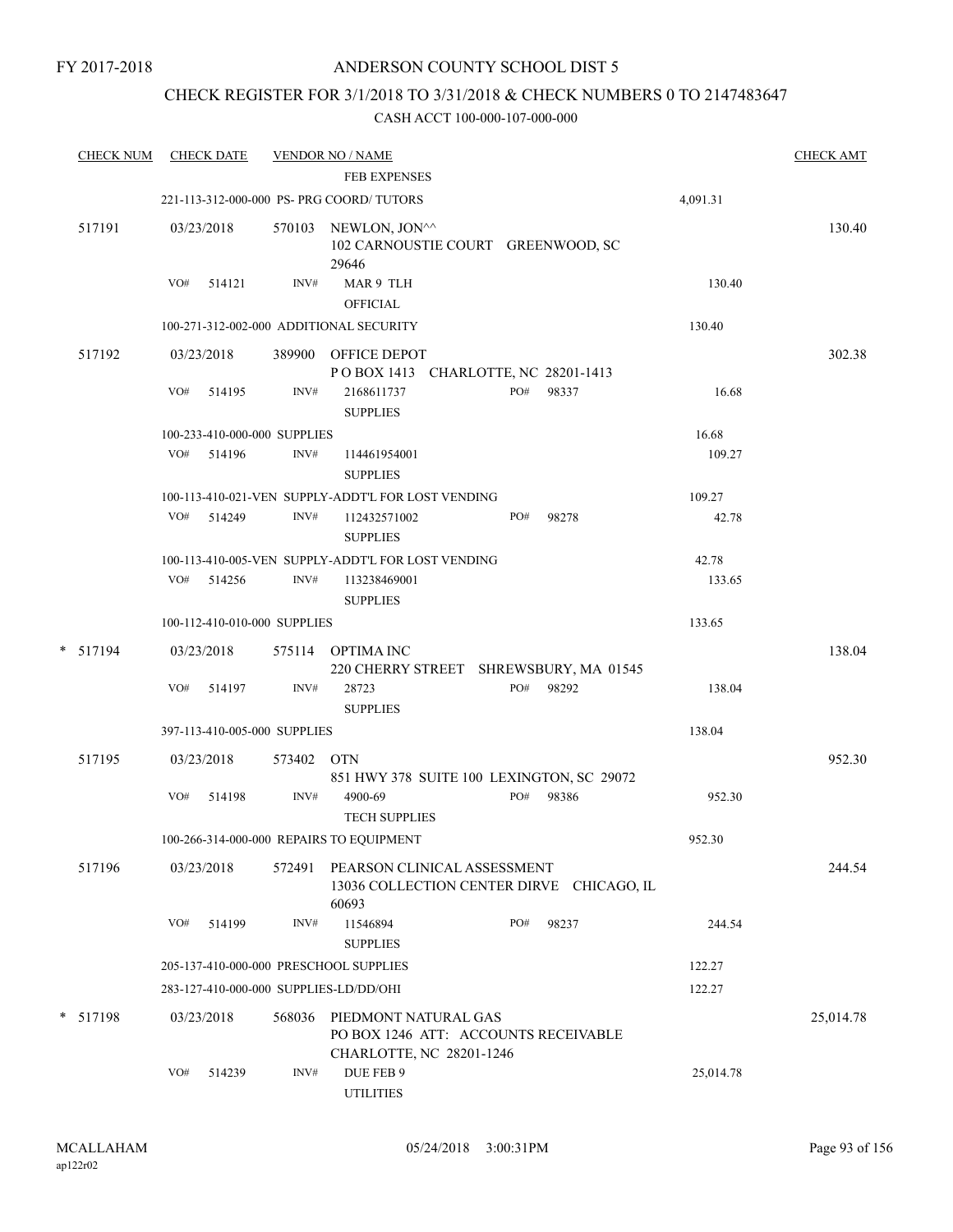### CHECK REGISTER FOR 3/1/2018 TO 3/31/2018 & CHECK NUMBERS 0 TO 2147483647

| <b>CHECK NUM</b> |     | <b>CHECK DATE</b>            |            | <b>VENDOR NO / NAME</b>                                                                  |     |                                           |           | <b>CHECK AMT</b> |
|------------------|-----|------------------------------|------------|------------------------------------------------------------------------------------------|-----|-------------------------------------------|-----------|------------------|
|                  |     |                              |            | <b>FEB EXPENSES</b>                                                                      |     |                                           |           |                  |
|                  |     |                              |            | 221-113-312-000-000 PS- PRG COORD/ TUTORS                                                |     |                                           | 4,091.31  |                  |
| 517191           |     | 03/23/2018                   |            | 570103 NEWLON, JON^^<br>102 CARNOUSTIE COURT GREENWOOD, SC<br>29646                      |     |                                           |           | 130.40           |
|                  | VO# | 514121                       | INV#       | MAR 9 TLH<br><b>OFFICIAL</b>                                                             |     |                                           | 130.40    |                  |
|                  |     |                              |            | 100-271-312-002-000 ADDITIONAL SECURITY                                                  |     |                                           | 130.40    |                  |
| 517192           |     | 03/23/2018                   |            | 389900 OFFICE DEPOT<br>POBOX 1413 CHARLOTTE, NC 28201-1413                               |     |                                           |           | 302.38           |
|                  | VO# | 514195                       | INV#       | 2168611737<br><b>SUPPLIES</b>                                                            | PO# | 98337                                     | 16.68     |                  |
|                  |     | 100-233-410-000-000 SUPPLIES |            |                                                                                          |     |                                           | 16.68     |                  |
|                  |     | VO# 514196                   | INV#       | 114461954001<br><b>SUPPLIES</b>                                                          |     |                                           | 109.27    |                  |
|                  |     |                              |            | 100-113-410-021-VEN SUPPLY-ADDT'L FOR LOST VENDING                                       |     |                                           | 109.27    |                  |
|                  |     | VO# 514249                   | INV#       | 112432571002<br><b>SUPPLIES</b>                                                          | PO# | 98278                                     | 42.78     |                  |
|                  |     |                              |            | 100-113-410-005-VEN SUPPLY-ADDT'L FOR LOST VENDING                                       |     |                                           | 42.78     |                  |
|                  |     | VO# 514256                   | INV#       | 113238469001<br><b>SUPPLIES</b>                                                          |     |                                           | 133.65    |                  |
|                  |     | 100-112-410-010-000 SUPPLIES |            |                                                                                          |     |                                           | 133.65    |                  |
| * 517194         |     | 03/23/2018                   |            | 575114 OPTIMA INC                                                                        |     | 220 CHERRY STREET SHREWSBURY, MA 01545    |           | 138.04           |
|                  | VO# | 514197                       | INV#       | 28723<br><b>SUPPLIES</b>                                                                 | PO# | 98292                                     | 138.04    |                  |
|                  |     | 397-113-410-005-000 SUPPLIES |            |                                                                                          |     |                                           | 138.04    |                  |
| 517195           |     | 03/23/2018                   | 573402 OTN |                                                                                          |     | 851 HWY 378 SUITE 100 LEXINGTON, SC 29072 |           | 952.30           |
|                  | VO# | 514198                       | INV#       | 4900-69<br><b>TECH SUPPLIES</b>                                                          | PO# | 98386                                     | 952.30    |                  |
|                  |     |                              |            | 100-266-314-000-000 REPAIRS TO EQUIPMENT                                                 |     |                                           | 952.30    |                  |
| 517196           |     | 03/23/2018                   | 572491     | PEARSON CLINICAL ASSESSMENT<br>60693                                                     |     | 13036 COLLECTION CENTER DIRVE CHICAGO, IL |           | 244.54           |
|                  | VO# | 514199                       | INV#       | 11546894<br><b>SUPPLIES</b>                                                              | PO# | 98237                                     | 244.54    |                  |
|                  |     |                              |            | 205-137-410-000-000 PRESCHOOL SUPPLIES                                                   |     |                                           | 122.27    |                  |
|                  |     |                              |            | 283-127-410-000-000 SUPPLIES-LD/DD/OHI                                                   |     |                                           | 122.27    |                  |
| * 517198         |     | 03/23/2018                   | 568036     | PIEDMONT NATURAL GAS<br>PO BOX 1246 ATT: ACCOUNTS RECEIVABLE<br>CHARLOTTE, NC 28201-1246 |     |                                           |           | 25,014.78        |
|                  | VO# | 514239                       | INV#       | DUE FEB 9<br><b>UTILITIES</b>                                                            |     |                                           | 25,014.78 |                  |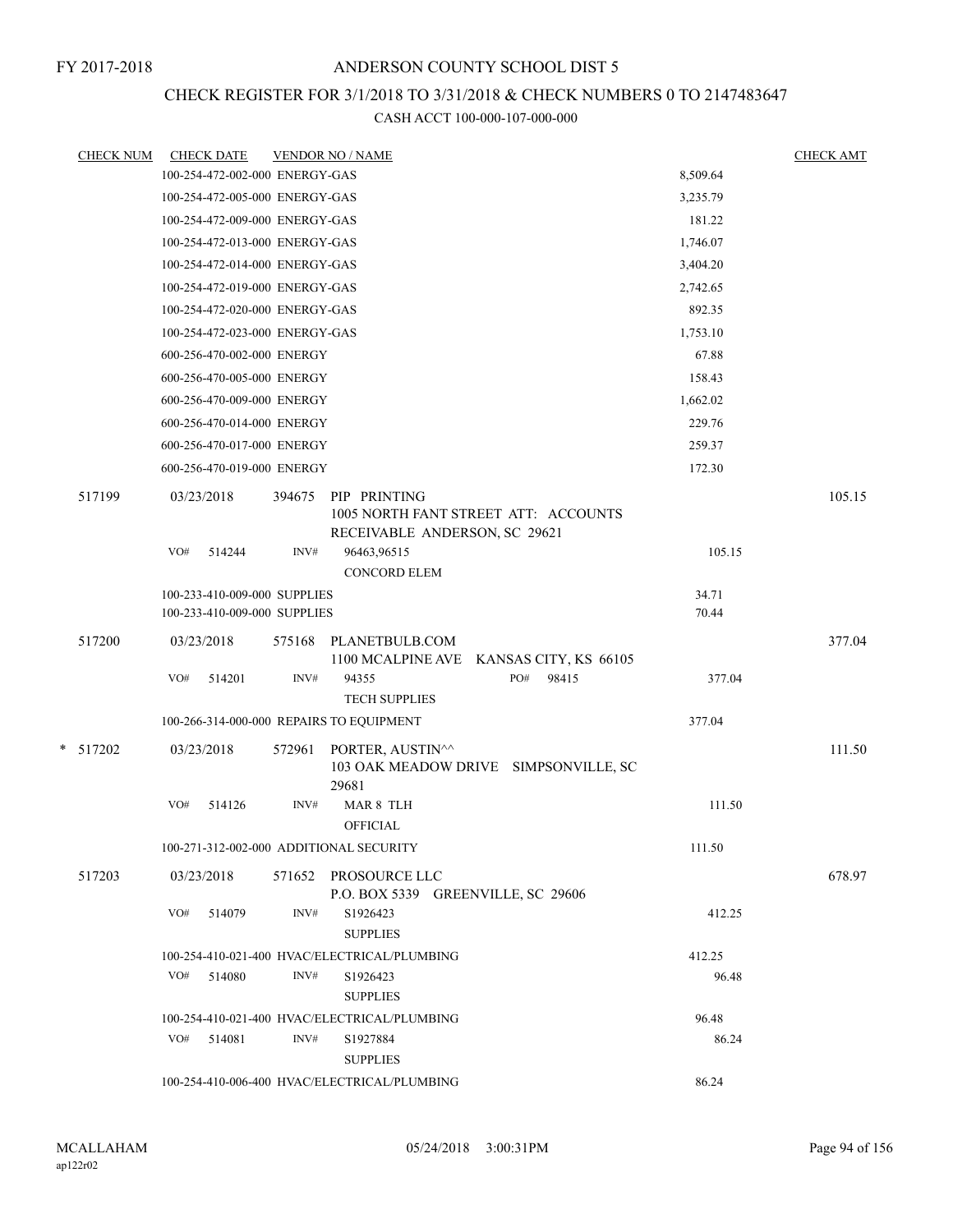# CHECK REGISTER FOR 3/1/2018 TO 3/31/2018 & CHECK NUMBERS 0 TO 2147483647

|  | <b>CHECK NUM</b> | <b>CHECK DATE</b>                                            |        | <b>VENDOR NO / NAME</b>                                                               |                | <b>CHECK AMT</b> |  |  |  |
|--|------------------|--------------------------------------------------------------|--------|---------------------------------------------------------------------------------------|----------------|------------------|--|--|--|
|  |                  | 100-254-472-002-000 ENERGY-GAS                               |        |                                                                                       | 8,509.64       |                  |  |  |  |
|  |                  | 100-254-472-005-000 ENERGY-GAS                               |        |                                                                                       | 3,235.79       |                  |  |  |  |
|  |                  | 100-254-472-009-000 ENERGY-GAS                               |        |                                                                                       | 181.22         |                  |  |  |  |
|  |                  | 100-254-472-013-000 ENERGY-GAS                               |        |                                                                                       | 1,746.07       |                  |  |  |  |
|  |                  | 100-254-472-014-000 ENERGY-GAS                               |        |                                                                                       | 3,404.20       |                  |  |  |  |
|  |                  | 100-254-472-019-000 ENERGY-GAS                               |        |                                                                                       | 2,742.65       |                  |  |  |  |
|  |                  | 100-254-472-020-000 ENERGY-GAS                               |        |                                                                                       | 892.35         |                  |  |  |  |
|  |                  | 100-254-472-023-000 ENERGY-GAS                               |        |                                                                                       | 1,753.10       |                  |  |  |  |
|  |                  | 600-256-470-002-000 ENERGY                                   |        |                                                                                       | 67.88          |                  |  |  |  |
|  |                  | 600-256-470-005-000 ENERGY                                   |        |                                                                                       | 158.43         |                  |  |  |  |
|  |                  | 600-256-470-009-000 ENERGY                                   |        |                                                                                       | 1,662.02       |                  |  |  |  |
|  |                  | 600-256-470-014-000 ENERGY                                   |        |                                                                                       | 229.76         |                  |  |  |  |
|  |                  | 600-256-470-017-000 ENERGY                                   |        |                                                                                       | 259.37         |                  |  |  |  |
|  |                  | 600-256-470-019-000 ENERGY                                   |        |                                                                                       | 172.30         |                  |  |  |  |
|  | 517199           | 03/23/2018                                                   | 394675 | PIP PRINTING<br>1005 NORTH FANT STREET ATT: ACCOUNTS<br>RECEIVABLE ANDERSON, SC 29621 |                | 105.15           |  |  |  |
|  |                  | VO#<br>514244                                                | INV#   | 96463,96515<br><b>CONCORD ELEM</b>                                                    | 105.15         |                  |  |  |  |
|  |                  | 100-233-410-009-000 SUPPLIES<br>100-233-410-009-000 SUPPLIES |        |                                                                                       | 34.71<br>70.44 |                  |  |  |  |
|  | 517200           | 03/23/2018                                                   | 575168 | PLANETBULB.COM<br>1100 MCALPINE AVE KANSAS CITY, KS 66105                             |                | 377.04           |  |  |  |
|  |                  | VO#<br>514201                                                | INV#   | PO#<br>98415<br>94355<br><b>TECH SUPPLIES</b>                                         | 377.04         |                  |  |  |  |
|  |                  | 100-266-314-000-000 REPAIRS TO EQUIPMENT                     |        |                                                                                       | 377.04         |                  |  |  |  |
|  | $*$ 517202       | 03/23/2018                                                   | 572961 | PORTER, AUSTIN^^<br>103 OAK MEADOW DRIVE SIMPSONVILLE, SC<br>29681                    |                | 111.50           |  |  |  |
|  |                  | VO#<br>514126                                                | INV#   | MAR 8 TLH<br><b>OFFICIAL</b>                                                          | 111.50         |                  |  |  |  |
|  |                  | 100-271-312-002-000 ADDITIONAL SECURITY                      |        |                                                                                       | 111.50         |                  |  |  |  |
|  | 517203           | 03/23/2018                                                   |        | 571652 PROSOURCE LLC<br>P.O. BOX 5339 GREENVILLE, SC 29606                            |                | 678.97           |  |  |  |
|  |                  | VO#<br>514079                                                | INV#   | S1926423<br><b>SUPPLIES</b>                                                           | 412.25         |                  |  |  |  |
|  |                  |                                                              |        | 100-254-410-021-400 HVAC/ELECTRICAL/PLUMBING                                          | 412.25         |                  |  |  |  |
|  |                  | VO#<br>514080                                                | INV#   | S1926423<br><b>SUPPLIES</b>                                                           | 96.48          |                  |  |  |  |
|  |                  | 100-254-410-021-400 HVAC/ELECTRICAL/PLUMBING<br>96.48        |        |                                                                                       |                |                  |  |  |  |
|  |                  | $VO#$ 514081                                                 | INV#   | S1927884<br><b>SUPPLIES</b>                                                           | 86.24          |                  |  |  |  |
|  |                  |                                                              |        | 100-254-410-006-400 HVAC/ELECTRICAL/PLUMBING                                          | 86.24          |                  |  |  |  |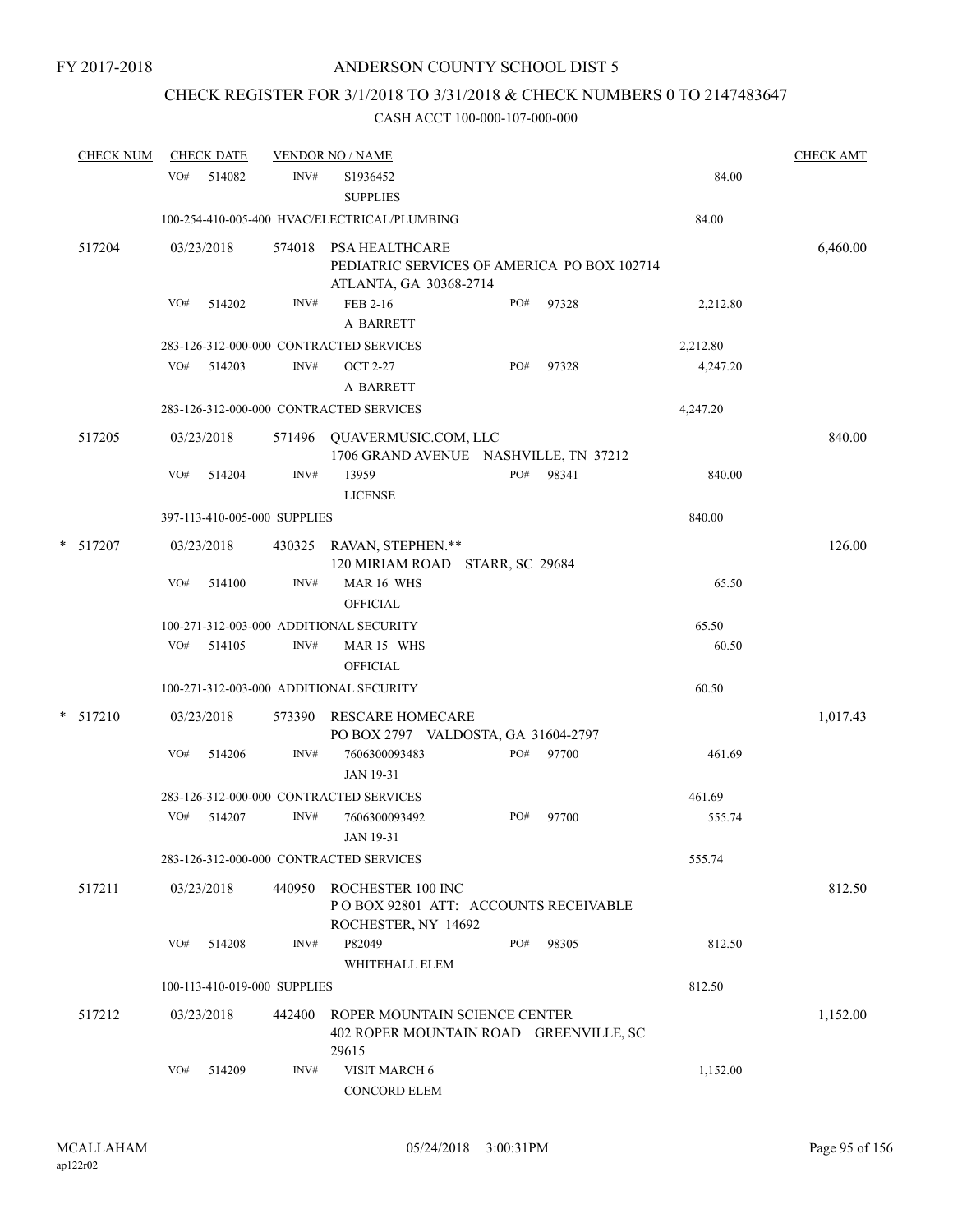# CHECK REGISTER FOR 3/1/2018 TO 3/31/2018 & CHECK NUMBERS 0 TO 2147483647

|   | <b>CHECK NUM</b> |     | <b>CHECK DATE</b> |                              | <b>VENDOR NO / NAME</b>                                                                 |     |       |          | <b>CHECK AMT</b> |
|---|------------------|-----|-------------------|------------------------------|-----------------------------------------------------------------------------------------|-----|-------|----------|------------------|
|   |                  | VO# | 514082            | INV#                         | S1936452<br><b>SUPPLIES</b>                                                             |     |       | 84.00    |                  |
|   |                  |     |                   |                              | 100-254-410-005-400 HVAC/ELECTRICAL/PLUMBING                                            |     |       | 84.00    |                  |
|   | 517204           |     | 03/23/2018        | 574018                       | PSA HEALTHCARE<br>PEDIATRIC SERVICES OF AMERICA PO BOX 102714<br>ATLANTA, GA 30368-2714 |     |       |          | 6,460.00         |
|   |                  | VO# | 514202            | INV#                         | FEB 2-16<br>A BARRETT                                                                   | PO# | 97328 | 2,212.80 |                  |
|   |                  |     |                   |                              | 283-126-312-000-000 CONTRACTED SERVICES                                                 |     |       | 2,212.80 |                  |
|   |                  | VO# | 514203            | INV#                         | <b>OCT 2-27</b><br>A BARRETT                                                            | PO# | 97328 | 4,247.20 |                  |
|   |                  |     |                   |                              | 283-126-312-000-000 CONTRACTED SERVICES                                                 |     |       | 4,247.20 |                  |
|   | 517205           |     | 03/23/2018        | 571496                       | QUAVERMUSIC.COM, LLC<br>1706 GRAND AVENUE NASHVILLE, TN 37212                           |     |       |          | 840.00           |
|   |                  | VO# | 514204            | INV#                         | 13959<br><b>LICENSE</b>                                                                 | PO# | 98341 | 840.00   |                  |
|   |                  |     |                   | 397-113-410-005-000 SUPPLIES |                                                                                         |     |       | 840.00   |                  |
| * | 517207           |     | 03/23/2018        |                              | 430325 RAVAN, STEPHEN.**<br>120 MIRIAM ROAD STARR, SC 29684                             |     |       |          | 126.00           |
|   |                  | VO# | 514100            | INV#                         | MAR 16 WHS<br><b>OFFICIAL</b>                                                           |     |       | 65.50    |                  |
|   |                  |     |                   |                              | 100-271-312-003-000 ADDITIONAL SECURITY                                                 |     |       | 65.50    |                  |
|   |                  | VO# | 514105            | INV#                         | MAR 15 WHS<br><b>OFFICIAL</b>                                                           |     |       | 60.50    |                  |
|   |                  |     |                   |                              | 100-271-312-003-000 ADDITIONAL SECURITY                                                 |     |       | 60.50    |                  |
|   | $*$ 517210       |     | 03/23/2018        | 573390                       | <b>RESCARE HOMECARE</b><br>PO BOX 2797 VALDOSTA, GA 31604-2797                          |     |       |          | 1,017.43         |
|   |                  | VO# | 514206            | INV#                         | 7606300093483<br>JAN 19-31                                                              | PO# | 97700 | 461.69   |                  |
|   |                  |     |                   |                              | 283-126-312-000-000 CONTRACTED SERVICES                                                 |     |       | 461.69   |                  |
|   |                  | VO# | 514207            | INV#                         | 7606300093492<br><b>JAN 19-31</b>                                                       | PO# | 97700 | 555.74   |                  |
|   |                  |     |                   |                              | 283-126-312-000-000 CONTRACTED SERVICES                                                 |     |       | 555.74   |                  |
|   | 517211           |     | 03/23/2018        | 440950                       | ROCHESTER 100 INC<br>PO BOX 92801 ATT: ACCOUNTS RECEIVABLE<br>ROCHESTER, NY 14692       |     |       |          | 812.50           |
|   |                  | VO# | 514208            | INV#                         | P82049<br>WHITEHALL ELEM                                                                | PO# | 98305 | 812.50   |                  |
|   |                  |     |                   | 100-113-410-019-000 SUPPLIES |                                                                                         |     |       | 812.50   |                  |
|   | 517212           |     | 03/23/2018        | 442400                       | ROPER MOUNTAIN SCIENCE CENTER<br>402 ROPER MOUNTAIN ROAD GREENVILLE, SC<br>29615        |     |       |          | 1,152.00         |
|   |                  | VO# | 514209            | INV#                         | VISIT MARCH 6<br>CONCORD ELEM                                                           |     |       | 1,152.00 |                  |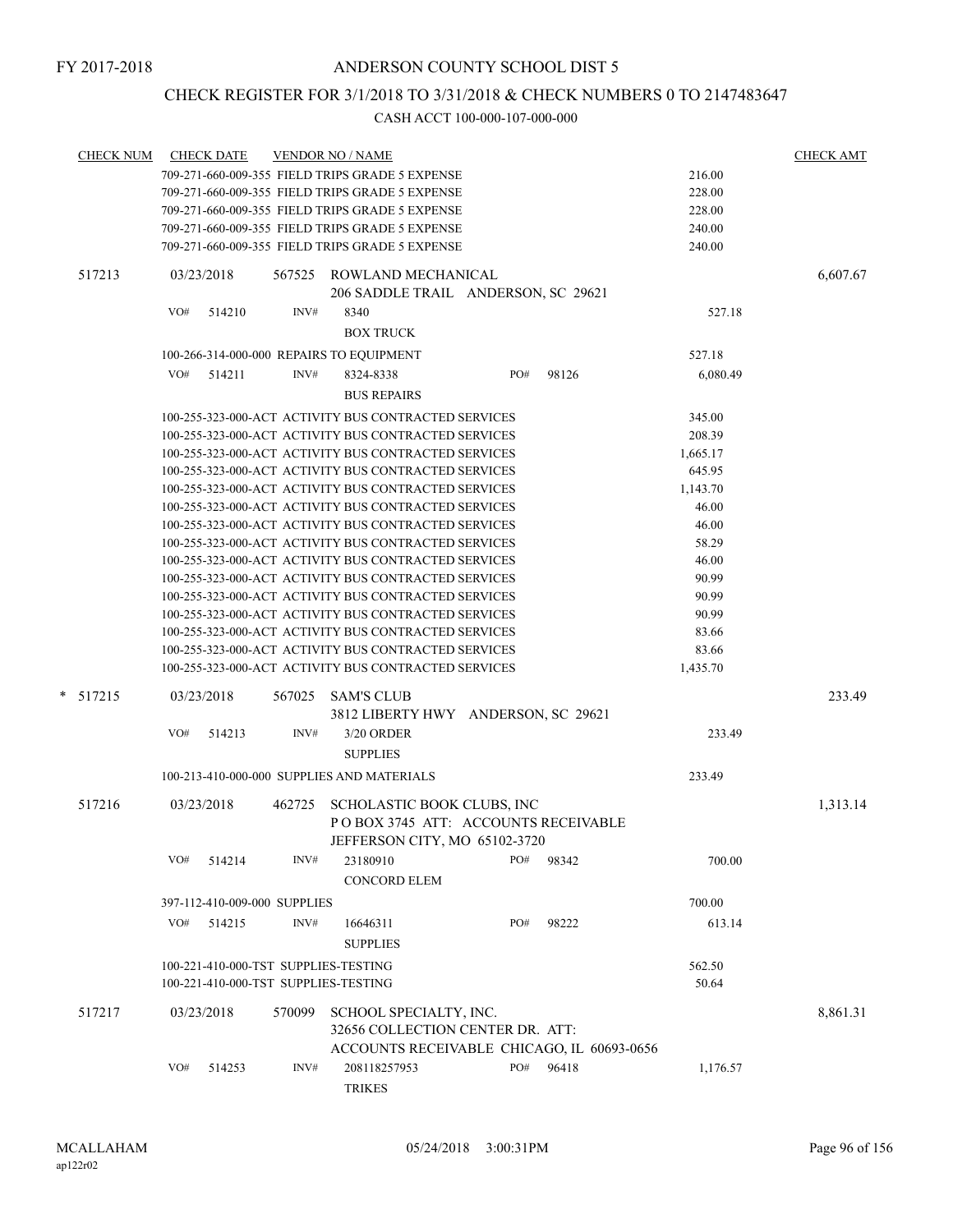## CHECK REGISTER FOR 3/1/2018 TO 3/31/2018 & CHECK NUMBERS 0 TO 2147483647

| <b>CHECK NUM</b> |     | <b>CHECK DATE</b> |                                      | <b>VENDOR NO / NAME</b>                                                                                      |     |       |                    | <b>CHECK AMT</b> |  |  |
|------------------|-----|-------------------|--------------------------------------|--------------------------------------------------------------------------------------------------------------|-----|-------|--------------------|------------------|--|--|
|                  |     |                   |                                      | 709-271-660-009-355 FIELD TRIPS GRADE 5 EXPENSE                                                              |     |       | 216.00             |                  |  |  |
|                  |     |                   |                                      | 709-271-660-009-355 FIELD TRIPS GRADE 5 EXPENSE                                                              |     |       | 228.00             |                  |  |  |
|                  |     |                   |                                      | 709-271-660-009-355 FIELD TRIPS GRADE 5 EXPENSE                                                              |     |       | 228.00             |                  |  |  |
|                  |     |                   |                                      | 709-271-660-009-355 FIELD TRIPS GRADE 5 EXPENSE                                                              |     |       | 240.00             |                  |  |  |
|                  |     |                   |                                      | 709-271-660-009-355 FIELD TRIPS GRADE 5 EXPENSE                                                              |     |       | 240.00             |                  |  |  |
| 517213           |     | 03/23/2018        | 567525                               | ROWLAND MECHANICAL                                                                                           |     |       |                    | 6,607.67         |  |  |
|                  |     |                   |                                      | 206 SADDLE TRAIL ANDERSON, SC 29621                                                                          |     |       |                    |                  |  |  |
|                  | VO# | 514210            | INV#                                 | 8340                                                                                                         |     |       | 527.18             |                  |  |  |
|                  |     |                   |                                      | <b>BOX TRUCK</b>                                                                                             |     |       |                    |                  |  |  |
|                  |     |                   |                                      | 100-266-314-000-000 REPAIRS TO EQUIPMENT                                                                     |     |       | 527.18             |                  |  |  |
|                  | VO# | 514211            | INV#                                 | 8324-8338                                                                                                    | PO# | 98126 | 6,080.49           |                  |  |  |
|                  |     |                   |                                      | <b>BUS REPAIRS</b>                                                                                           |     |       |                    |                  |  |  |
|                  |     |                   |                                      |                                                                                                              |     |       |                    |                  |  |  |
|                  |     |                   |                                      | 100-255-323-000-ACT ACTIVITY BUS CONTRACTED SERVICES                                                         |     |       | 345.00             |                  |  |  |
|                  |     |                   |                                      | 100-255-323-000-ACT ACTIVITY BUS CONTRACTED SERVICES                                                         |     |       | 208.39             |                  |  |  |
|                  |     |                   |                                      | 100-255-323-000-ACT ACTIVITY BUS CONTRACTED SERVICES<br>100-255-323-000-ACT ACTIVITY BUS CONTRACTED SERVICES |     |       | 1,665.17<br>645.95 |                  |  |  |
|                  |     |                   |                                      | 100-255-323-000-ACT ACTIVITY BUS CONTRACTED SERVICES                                                         |     |       |                    |                  |  |  |
|                  |     |                   |                                      | 100-255-323-000-ACT ACTIVITY BUS CONTRACTED SERVICES                                                         |     |       | 1,143.70<br>46.00  |                  |  |  |
|                  |     |                   |                                      | 100-255-323-000-ACT ACTIVITY BUS CONTRACTED SERVICES                                                         |     |       | 46.00              |                  |  |  |
|                  |     |                   |                                      | 100-255-323-000-ACT ACTIVITY BUS CONTRACTED SERVICES                                                         |     |       | 58.29              |                  |  |  |
|                  |     |                   |                                      | 100-255-323-000-ACT ACTIVITY BUS CONTRACTED SERVICES                                                         |     |       | 46.00              |                  |  |  |
|                  |     |                   |                                      | 100-255-323-000-ACT ACTIVITY BUS CONTRACTED SERVICES                                                         |     |       | 90.99              |                  |  |  |
|                  |     |                   |                                      | 100-255-323-000-ACT ACTIVITY BUS CONTRACTED SERVICES                                                         |     |       | 90.99              |                  |  |  |
|                  |     |                   |                                      | 100-255-323-000-ACT ACTIVITY BUS CONTRACTED SERVICES                                                         |     |       | 90.99              |                  |  |  |
|                  |     |                   |                                      | 100-255-323-000-ACT ACTIVITY BUS CONTRACTED SERVICES                                                         |     |       | 83.66              |                  |  |  |
|                  |     |                   |                                      | 100-255-323-000-ACT ACTIVITY BUS CONTRACTED SERVICES                                                         |     |       | 83.66              |                  |  |  |
|                  |     |                   |                                      | 100-255-323-000-ACT ACTIVITY BUS CONTRACTED SERVICES                                                         |     |       | 1,435.70           |                  |  |  |
|                  |     |                   |                                      |                                                                                                              |     |       |                    |                  |  |  |
| * 517215         |     | 03/23/2018        | 567025                               | <b>SAM'S CLUB</b>                                                                                            |     |       |                    | 233.49           |  |  |
|                  |     |                   |                                      | 3812 LIBERTY HWY ANDERSON, SC 29621                                                                          |     |       |                    |                  |  |  |
|                  | VO# | 514213            | INV#                                 | 3/20 ORDER                                                                                                   |     |       | 233.49             |                  |  |  |
|                  |     |                   |                                      | <b>SUPPLIES</b>                                                                                              |     |       |                    |                  |  |  |
|                  |     |                   |                                      | 100-213-410-000-000 SUPPLIES AND MATERIALS                                                                   |     |       | 233.49             |                  |  |  |
| 517216           |     | 03/23/2018        | 462725                               | SCHOLASTIC BOOK CLUBS, INC                                                                                   |     |       |                    | 1,313.14         |  |  |
|                  |     |                   |                                      | POBOX 3745 ATT: ACCOUNTS RECEIVABLE                                                                          |     |       |                    |                  |  |  |
|                  |     |                   |                                      | JEFFERSON CITY, MO 65102-3720                                                                                |     |       |                    |                  |  |  |
|                  | VO# | 514214            | INV#                                 | 23180910                                                                                                     | PO# | 98342 | 700.00             |                  |  |  |
|                  |     |                   |                                      | <b>CONCORD ELEM</b>                                                                                          |     |       |                    |                  |  |  |
|                  |     |                   |                                      |                                                                                                              |     |       |                    |                  |  |  |
|                  |     |                   | 397-112-410-009-000 SUPPLIES         |                                                                                                              |     |       | 700.00             |                  |  |  |
|                  | VO# | 514215            | INV#                                 | 16646311                                                                                                     | PO# | 98222 | 613.14             |                  |  |  |
|                  |     |                   |                                      | <b>SUPPLIES</b>                                                                                              |     |       |                    |                  |  |  |
|                  |     |                   | 100-221-410-000-TST SUPPLIES-TESTING |                                                                                                              |     |       | 562.50             |                  |  |  |
|                  |     |                   | 100-221-410-000-TST SUPPLIES-TESTING |                                                                                                              |     |       | 50.64              |                  |  |  |
| 517217           |     | 03/23/2018        | 570099                               | SCHOOL SPECIALTY, INC.                                                                                       |     |       |                    | 8,861.31         |  |  |
|                  |     |                   |                                      | 32656 COLLECTION CENTER DR. ATT:                                                                             |     |       |                    |                  |  |  |
|                  |     |                   |                                      | ACCOUNTS RECEIVABLE CHICAGO, IL 60693-0656                                                                   |     |       |                    |                  |  |  |
|                  | VO# | 514253            | INV#                                 | 208118257953                                                                                                 | PO# | 96418 | 1,176.57           |                  |  |  |
|                  |     |                   |                                      | <b>TRIKES</b>                                                                                                |     |       |                    |                  |  |  |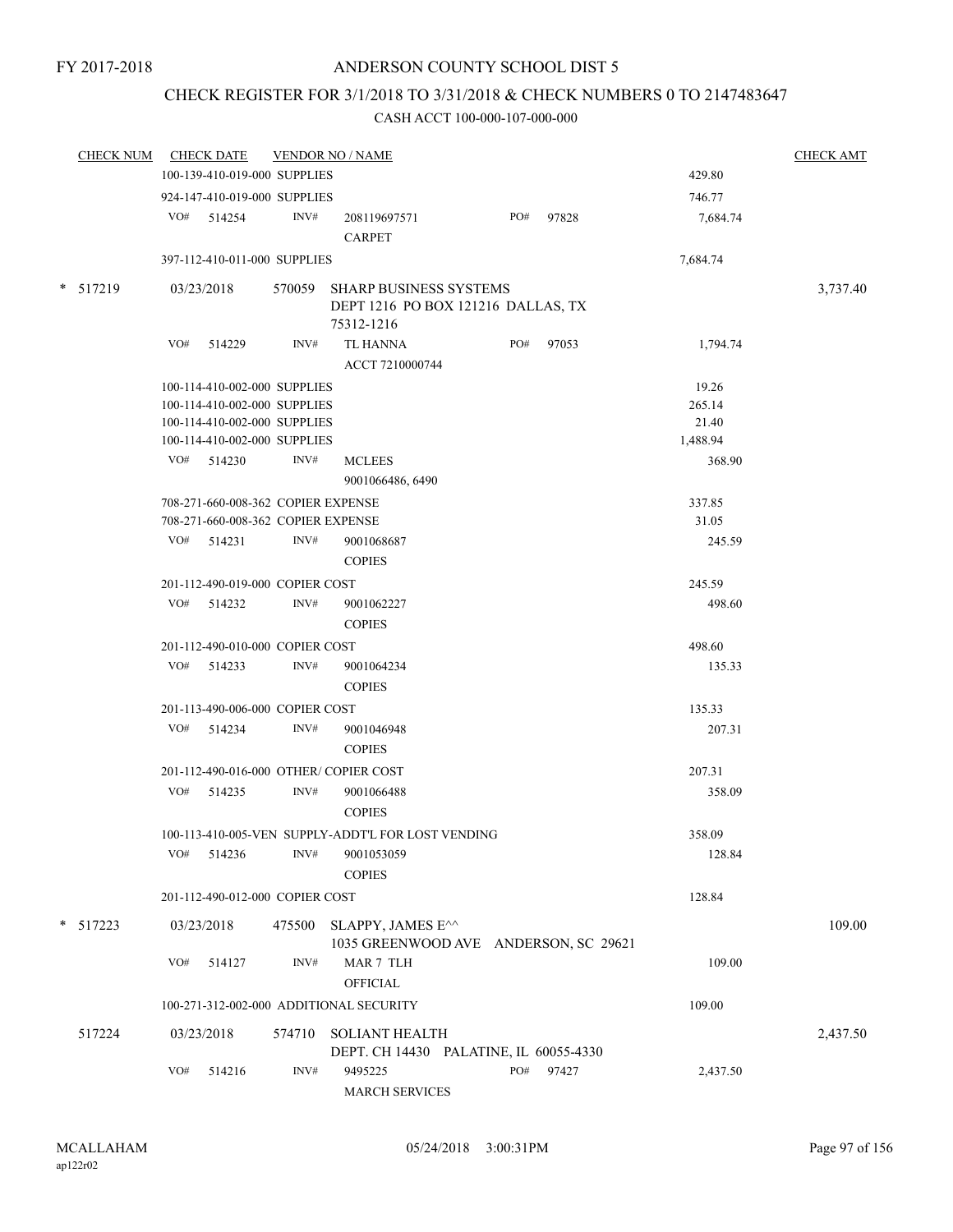# CHECK REGISTER FOR 3/1/2018 TO 3/31/2018 & CHECK NUMBERS 0 TO 2147483647

|        | CHECK NUM  |     | <b>CHECK DATE</b>                  |        | <b>VENDOR NO / NAME</b>                            |     |           |          | <b>CHECK AMT</b> |
|--------|------------|-----|------------------------------------|--------|----------------------------------------------------|-----|-----------|----------|------------------|
|        |            |     | 100-139-410-019-000 SUPPLIES       |        |                                                    |     |           | 429.80   |                  |
|        |            |     | 924-147-410-019-000 SUPPLIES       |        |                                                    |     |           | 746.77   |                  |
|        |            |     | VO# 514254                         | INV#   | 208119697571                                       |     | PO# 97828 | 7,684.74 |                  |
|        |            |     |                                    |        | <b>CARPET</b>                                      |     |           |          |                  |
|        |            |     | 397-112-410-011-000 SUPPLIES       |        |                                                    |     |           | 7,684.74 |                  |
|        | $*$ 517219 |     | 03/23/2018                         |        | 570059 SHARP BUSINESS SYSTEMS                      |     |           |          | 3,737.40         |
|        |            |     |                                    |        | DEPT 1216 PO BOX 121216 DALLAS, TX                 |     |           |          |                  |
|        |            |     |                                    |        | 75312-1216                                         |     |           |          |                  |
|        |            | VO# | 514229                             | INV#   | <b>TL HANNA</b>                                    |     | PO# 97053 | 1,794.74 |                  |
|        |            |     |                                    |        | ACCT 7210000744                                    |     |           |          |                  |
|        |            |     | 100-114-410-002-000 SUPPLIES       |        |                                                    |     |           | 19.26    |                  |
|        |            |     | 100-114-410-002-000 SUPPLIES       |        |                                                    |     |           | 265.14   |                  |
|        |            |     | 100-114-410-002-000 SUPPLIES       |        |                                                    |     |           | 21.40    |                  |
|        |            |     | 100-114-410-002-000 SUPPLIES       |        |                                                    |     |           | 1,488.94 |                  |
|        |            |     | $VO#$ 514230                       | INV#   | <b>MCLEES</b>                                      |     |           | 368.90   |                  |
|        |            |     |                                    |        | 9001066486, 6490                                   |     |           |          |                  |
|        |            |     | 708-271-660-008-362 COPIER EXPENSE |        |                                                    |     |           | 337.85   |                  |
|        |            |     | 708-271-660-008-362 COPIER EXPENSE |        |                                                    |     |           | 31.05    |                  |
|        |            |     | VO# 514231                         | INV#   | 9001068687                                         |     |           | 245.59   |                  |
|        |            |     |                                    |        |                                                    |     |           |          |                  |
|        |            |     |                                    |        | <b>COPIES</b>                                      |     |           |          |                  |
|        |            |     | 201-112-490-019-000 COPIER COST    |        |                                                    |     |           | 245.59   |                  |
|        |            |     | $VO#$ 514232                       | INV#   | 9001062227                                         |     |           | 498.60   |                  |
|        |            |     |                                    |        | <b>COPIES</b>                                      |     |           |          |                  |
|        |            |     | 201-112-490-010-000 COPIER COST    |        |                                                    |     |           | 498.60   |                  |
|        |            |     | VO# 514233                         | INV#   | 9001064234                                         |     |           | 135.33   |                  |
|        |            |     |                                    |        | <b>COPIES</b>                                      |     |           |          |                  |
|        |            |     | 201-113-490-006-000 COPIER COST    |        |                                                    |     |           | 135.33   |                  |
|        |            |     | VO# 514234                         | INV#   | 9001046948                                         |     |           | 207.31   |                  |
|        |            |     |                                    |        | <b>COPIES</b>                                      |     |           |          |                  |
|        |            |     |                                    |        | 201-112-490-016-000 OTHER/COPIER COST              |     |           | 207.31   |                  |
|        |            |     | VO# 514235                         | INV#   | 9001066488                                         |     |           | 358.09   |                  |
|        |            |     |                                    |        | <b>COPIES</b>                                      |     |           |          |                  |
|        |            |     |                                    |        | 100-113-410-005-VEN SUPPLY-ADDT'L FOR LOST VENDING |     |           | 358.09   |                  |
|        |            | VO# | 514236                             | INV#   | 9001053059                                         |     |           | 128.84   |                  |
|        |            |     |                                    |        | <b>COPIES</b>                                      |     |           |          |                  |
|        |            |     | 201-112-490-012-000 COPIER COST    |        |                                                    |     |           | 128.84   |                  |
| $\ast$ | 517223     |     | 03/23/2018                         |        | 475500 SLAPPY, JAMES E^^                           |     |           |          | 109.00           |
|        |            |     |                                    |        | 1035 GREENWOOD AVE ANDERSON, SC 29621              |     |           |          |                  |
|        |            | VO# | 514127                             | INV#   | MAR 7 TLH                                          |     |           | 109.00   |                  |
|        |            |     |                                    |        | <b>OFFICIAL</b>                                    |     |           |          |                  |
|        |            |     |                                    |        |                                                    |     |           |          |                  |
|        |            |     |                                    |        | 100-271-312-002-000 ADDITIONAL SECURITY            |     |           | 109.00   |                  |
|        | 517224     |     | 03/23/2018                         | 574710 | <b>SOLIANT HEALTH</b>                              |     |           |          | 2,437.50         |
|        |            |     |                                    |        | DEPT. CH 14430 PALATINE, IL 60055-4330             |     |           |          |                  |
|        |            | VO# | 514216                             | INV#   | 9495225                                            | PO# | 97427     | 2,437.50 |                  |
|        |            |     |                                    |        | <b>MARCH SERVICES</b>                              |     |           |          |                  |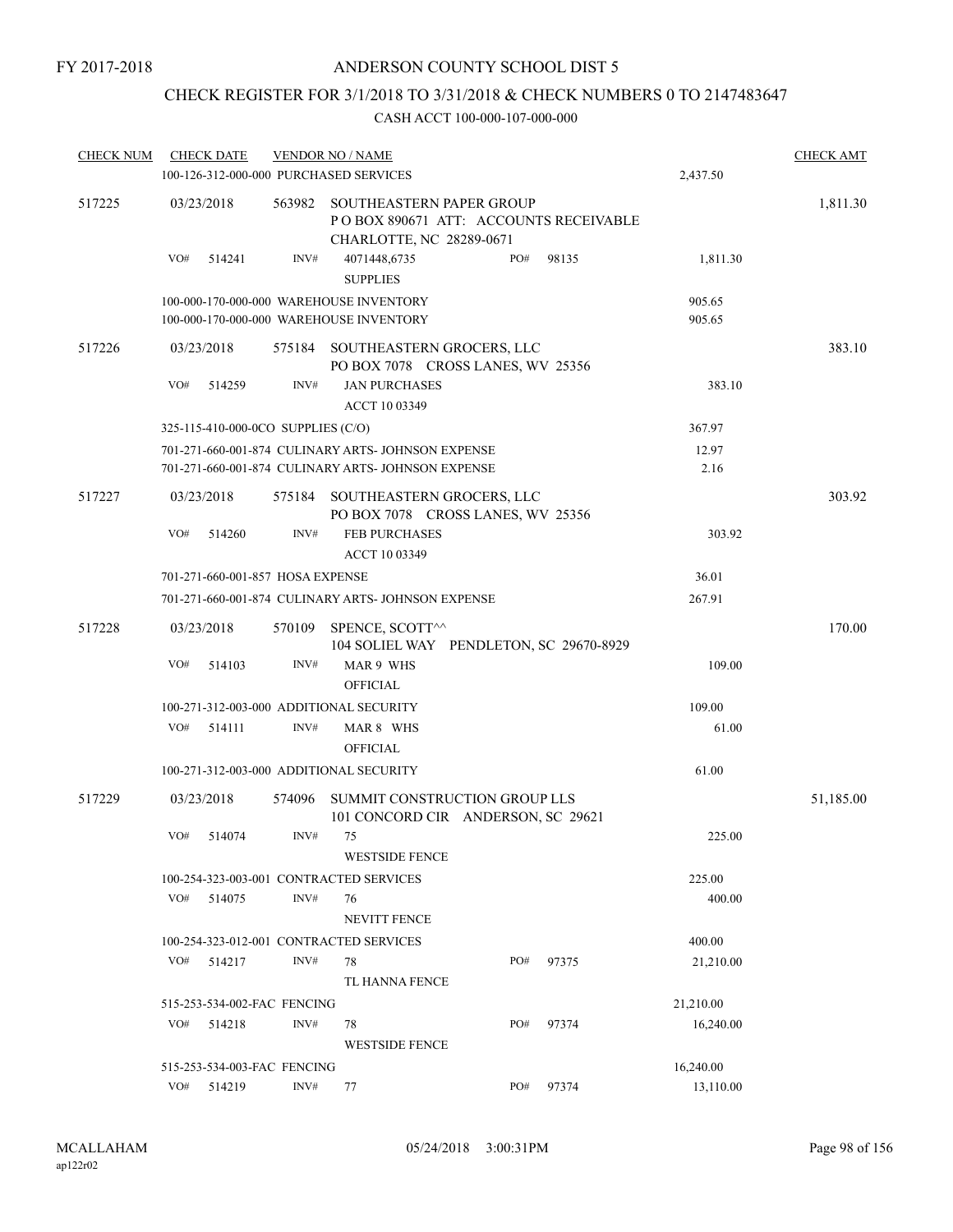## CHECK REGISTER FOR 3/1/2018 TO 3/31/2018 & CHECK NUMBERS 0 TO 2147483647

| <b>CHECK NUM</b> |     | <b>CHECK DATE</b>                  |                             | <b>VENDOR NO / NAME</b>                                                                              |  |     |           |           | <b>CHECK AMT</b> |
|------------------|-----|------------------------------------|-----------------------------|------------------------------------------------------------------------------------------------------|--|-----|-----------|-----------|------------------|
|                  |     |                                    |                             | 100-126-312-000-000 PURCHASED SERVICES                                                               |  |     |           | 2,437.50  |                  |
| 517225           |     | 03/23/2018                         |                             | 563982 SOUTHEASTERN PAPER GROUP<br>POBOX 890671 ATT: ACCOUNTS RECEIVABLE<br>CHARLOTTE, NC 28289-0671 |  |     |           |           | 1,811.30         |
|                  | VO# | 514241                             | INV#                        | 4071448,6735<br><b>SUPPLIES</b>                                                                      |  | PO# | 98135     | 1,811.30  |                  |
|                  |     |                                    |                             | 100-000-170-000-000 WAREHOUSE INVENTORY                                                              |  |     |           | 905.65    |                  |
|                  |     |                                    |                             | 100-000-170-000-000 WAREHOUSE INVENTORY                                                              |  |     |           | 905.65    |                  |
| 517226           |     | 03/23/2018                         |                             | 575184 SOUTHEASTERN GROCERS, LLC<br>PO BOX 7078 CROSS LANES, WV 25356                                |  |     |           |           | 383.10           |
|                  | VO# | 514259                             | INV#                        | <b>JAN PURCHASES</b>                                                                                 |  |     |           | 383.10    |                  |
|                  |     |                                    |                             | ACCT 10 03349                                                                                        |  |     |           |           |                  |
|                  |     | 325-115-410-000-0CO SUPPLIES (C/O) |                             |                                                                                                      |  |     |           | 367.97    |                  |
|                  |     |                                    |                             | 701-271-660-001-874 CULINARY ARTS- JOHNSON EXPENSE                                                   |  |     |           | 12.97     |                  |
|                  |     |                                    |                             | 701-271-660-001-874 CULINARY ARTS- JOHNSON EXPENSE                                                   |  |     |           | 2.16      |                  |
| 517227           |     | 03/23/2018                         |                             | 575184 SOUTHEASTERN GROCERS, LLC<br>PO BOX 7078 CROSS LANES, WV 25356                                |  |     |           |           | 303.92           |
|                  | VO# | 514260                             | INV#                        | <b>FEB PURCHASES</b><br>ACCT 10 03349                                                                |  |     |           | 303.92    |                  |
|                  |     | 701-271-660-001-857 HOSA EXPENSE   |                             |                                                                                                      |  |     |           | 36.01     |                  |
|                  |     |                                    |                             | 701-271-660-001-874 CULINARY ARTS- JOHNSON EXPENSE                                                   |  |     |           | 267.91    |                  |
| 517228           |     | 03/23/2018                         |                             | 570109 SPENCE, SCOTT^^<br>104 SOLIEL WAY PENDLETON, SC 29670-8929                                    |  |     |           |           | 170.00           |
|                  | VO# | 514103                             | INV#                        | MAR 9 WHS<br><b>OFFICIAL</b>                                                                         |  |     |           | 109.00    |                  |
|                  |     |                                    |                             | 100-271-312-003-000 ADDITIONAL SECURITY                                                              |  |     |           | 109.00    |                  |
|                  | VO# | 514111                             | INV#                        | MAR 8 WHS                                                                                            |  |     |           | 61.00     |                  |
|                  |     |                                    |                             | <b>OFFICIAL</b>                                                                                      |  |     |           |           |                  |
|                  |     |                                    |                             | 100-271-312-003-000 ADDITIONAL SECURITY                                                              |  |     |           | 61.00     |                  |
| 517229           |     | 03/23/2018                         | 574096                      | SUMMIT CONSTRUCTION GROUP LLS<br>101 CONCORD CIR ANDERSON, SC 29621                                  |  |     |           |           | 51,185.00        |
|                  | VO# | 514074                             | INV#                        | 75                                                                                                   |  |     |           | 225.00    |                  |
|                  |     |                                    |                             | <b>WESTSIDE FENCE</b>                                                                                |  |     |           |           |                  |
|                  |     |                                    |                             | 100-254-323-003-001 CONTRACTED SERVICES                                                              |  |     |           | 225.00    |                  |
|                  | VO# | 514075                             | INV#                        | 76                                                                                                   |  |     |           | 400.00    |                  |
|                  |     |                                    |                             | <b>NEVITT FENCE</b>                                                                                  |  |     |           |           |                  |
|                  |     |                                    |                             | 100-254-323-012-001 CONTRACTED SERVICES                                                              |  |     |           | 400.00    |                  |
|                  | VO# | 514217                             | INV#                        | 78                                                                                                   |  | PO# | 97375     | 21,210.00 |                  |
|                  |     |                                    |                             | TL HANNA FENCE                                                                                       |  |     |           |           |                  |
|                  |     | 515-253-534-002-FAC FENCING        |                             |                                                                                                      |  |     |           | 21,210.00 |                  |
|                  | VO# | 514218                             | INV#                        | 78                                                                                                   |  | PO# | 97374     | 16,240.00 |                  |
|                  |     |                                    |                             | <b>WESTSIDE FENCE</b>                                                                                |  |     |           |           |                  |
|                  |     |                                    | 515-253-534-003-FAC FENCING |                                                                                                      |  |     | 16,240.00 |           |                  |
|                  | VO# | 514219                             | INV#                        | PO#<br>97374<br>77                                                                                   |  |     |           | 13,110.00 |                  |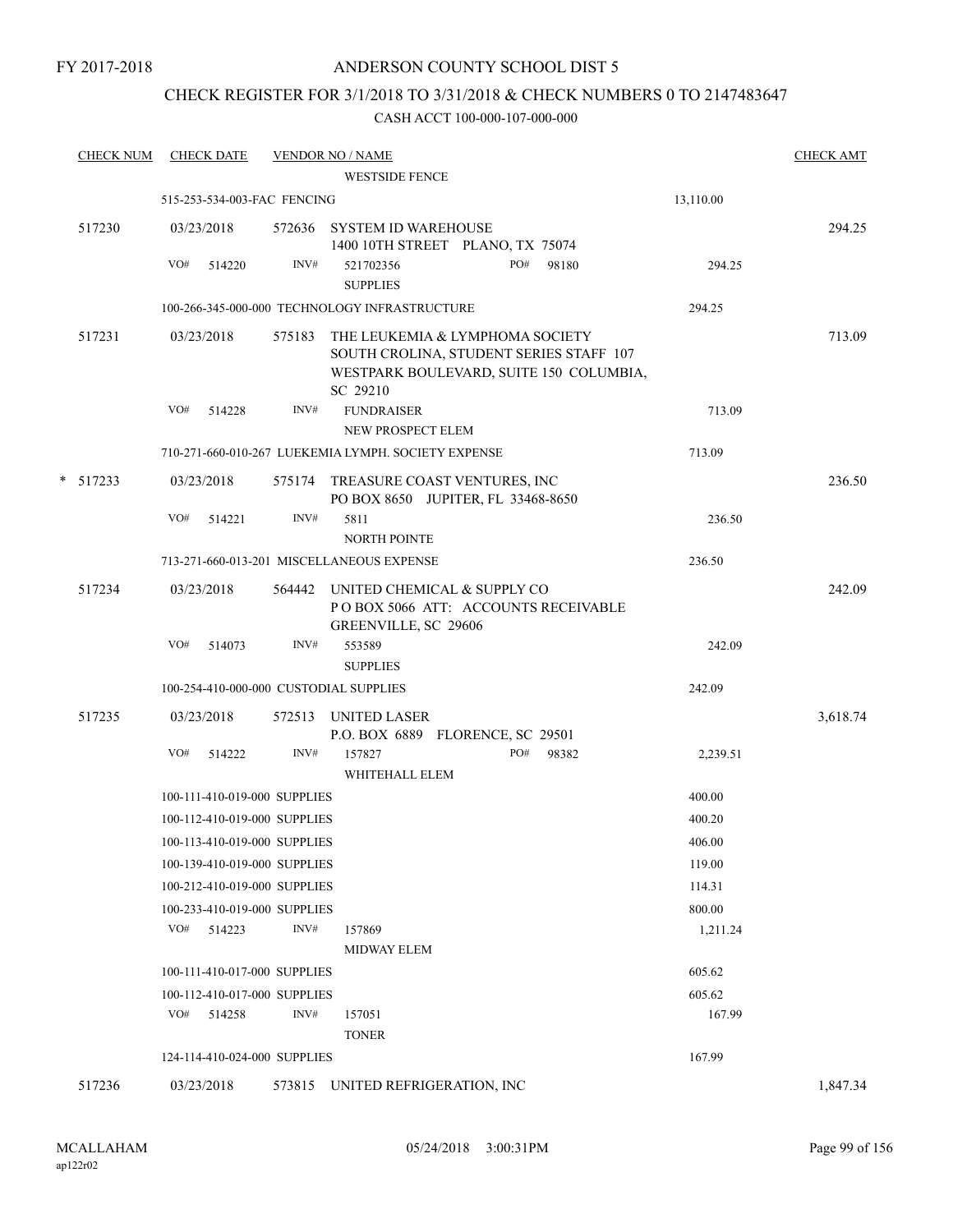### CHECK REGISTER FOR 3/1/2018 TO 3/31/2018 & CHECK NUMBERS 0 TO 2147483647

| <b>CHECK NUM</b> |            | <b>CHECK DATE</b>            |        | <b>VENDOR NO / NAME</b>                                                                                                           |     |       |           | <b>CHECK AMT</b> |
|------------------|------------|------------------------------|--------|-----------------------------------------------------------------------------------------------------------------------------------|-----|-------|-----------|------------------|
|                  |            |                              |        | <b>WESTSIDE FENCE</b>                                                                                                             |     |       |           |                  |
|                  |            | 515-253-534-003-FAC FENCING  |        |                                                                                                                                   |     |       | 13,110.00 |                  |
| 517230           | 03/23/2018 |                              |        | 572636 SYSTEM ID WAREHOUSE<br>1400 10TH STREET PLANO, TX 75074                                                                    |     |       |           | 294.25           |
|                  | VO#        | 514220                       | INV#   | 521702356                                                                                                                         | PO# | 98180 | 294.25    |                  |
|                  |            |                              |        | <b>SUPPLIES</b>                                                                                                                   |     |       |           |                  |
|                  |            |                              |        | 100-266-345-000-000 TECHNOLOGY INFRASTRUCTURE                                                                                     |     |       | 294.25    |                  |
| 517231           | 03/23/2018 |                              | 575183 | THE LEUKEMIA & LYMPHOMA SOCIETY<br>SOUTH CROLINA, STUDENT SERIES STAFF 107<br>WESTPARK BOULEVARD, SUITE 150 COLUMBIA,<br>SC 29210 |     |       |           | 713.09           |
|                  | VO#        | 514228                       | INV#   | <b>FUNDRAISER</b><br>NEW PROSPECT ELEM                                                                                            |     |       | 713.09    |                  |
|                  |            |                              |        | 710-271-660-010-267 LUEKEMIA LYMPH. SOCIETY EXPENSE                                                                               |     |       | 713.09    |                  |
| $*$ 517233       | 03/23/2018 |                              |        | 575174 TREASURE COAST VENTURES, INC<br>PO BOX 8650 JUPITER, FL 33468-8650                                                         |     |       |           | 236.50           |
|                  | VO#        | 514221                       | INV#   | 5811<br>NORTH POINTE                                                                                                              |     |       | 236.50    |                  |
|                  |            |                              |        | 713-271-660-013-201 MISCELLANEOUS EXPENSE                                                                                         |     |       | 236.50    |                  |
| 517234           | 03/23/2018 |                              |        | 564442 UNITED CHEMICAL & SUPPLY CO<br>POBOX 5066 ATT: ACCOUNTS RECEIVABLE<br>GREENVILLE, SC 29606                                 |     |       |           | 242.09           |
|                  | VO#        | 514073                       | INV#   | 553589                                                                                                                            |     |       | 242.09    |                  |
|                  |            |                              |        | <b>SUPPLIES</b>                                                                                                                   |     |       |           |                  |
|                  |            |                              |        | 100-254-410-000-000 CUSTODIAL SUPPLIES                                                                                            |     |       | 242.09    |                  |
| 517235           | 03/23/2018 |                              | 572513 | UNITED LASER<br>P.O. BOX 6889 FLORENCE, SC 29501                                                                                  |     |       |           | 3,618.74         |
|                  | VO#        | 514222                       | INV#   | 157827<br>WHITEHALL ELEM                                                                                                          | PO# | 98382 | 2,239.51  |                  |
|                  |            | 100-111-410-019-000 SUPPLIES |        |                                                                                                                                   |     |       | 400.00    |                  |
|                  |            | 100-112-410-019-000 SUPPLIES |        |                                                                                                                                   |     |       | 400.20    |                  |
|                  |            | 100-113-410-019-000 SUPPLIES |        |                                                                                                                                   |     |       | 406.00    |                  |
|                  |            | 100-139-410-019-000 SUPPLIES |        |                                                                                                                                   |     |       | 119.00    |                  |
|                  |            | 100-212-410-019-000 SUPPLIES |        |                                                                                                                                   |     |       | 114.31    |                  |
|                  |            | 100-233-410-019-000 SUPPLIES |        |                                                                                                                                   |     |       | 800.00    |                  |
|                  |            | $VO#$ 514223                 | INV#   | 157869                                                                                                                            |     |       | 1,211.24  |                  |
|                  |            |                              |        | <b>MIDWAY ELEM</b>                                                                                                                |     |       |           |                  |
|                  |            | 100-111-410-017-000 SUPPLIES |        |                                                                                                                                   |     |       | 605.62    |                  |
|                  |            | 100-112-410-017-000 SUPPLIES |        |                                                                                                                                   |     |       | 605.62    |                  |
|                  |            | VO# 514258                   | INV#   | 157051<br><b>TONER</b>                                                                                                            |     |       | 167.99    |                  |
|                  |            | 124-114-410-024-000 SUPPLIES |        |                                                                                                                                   |     |       | 167.99    |                  |
| 517236           | 03/23/2018 |                              |        | 573815 UNITED REFRIGERATION, INC                                                                                                  |     |       |           | 1,847.34         |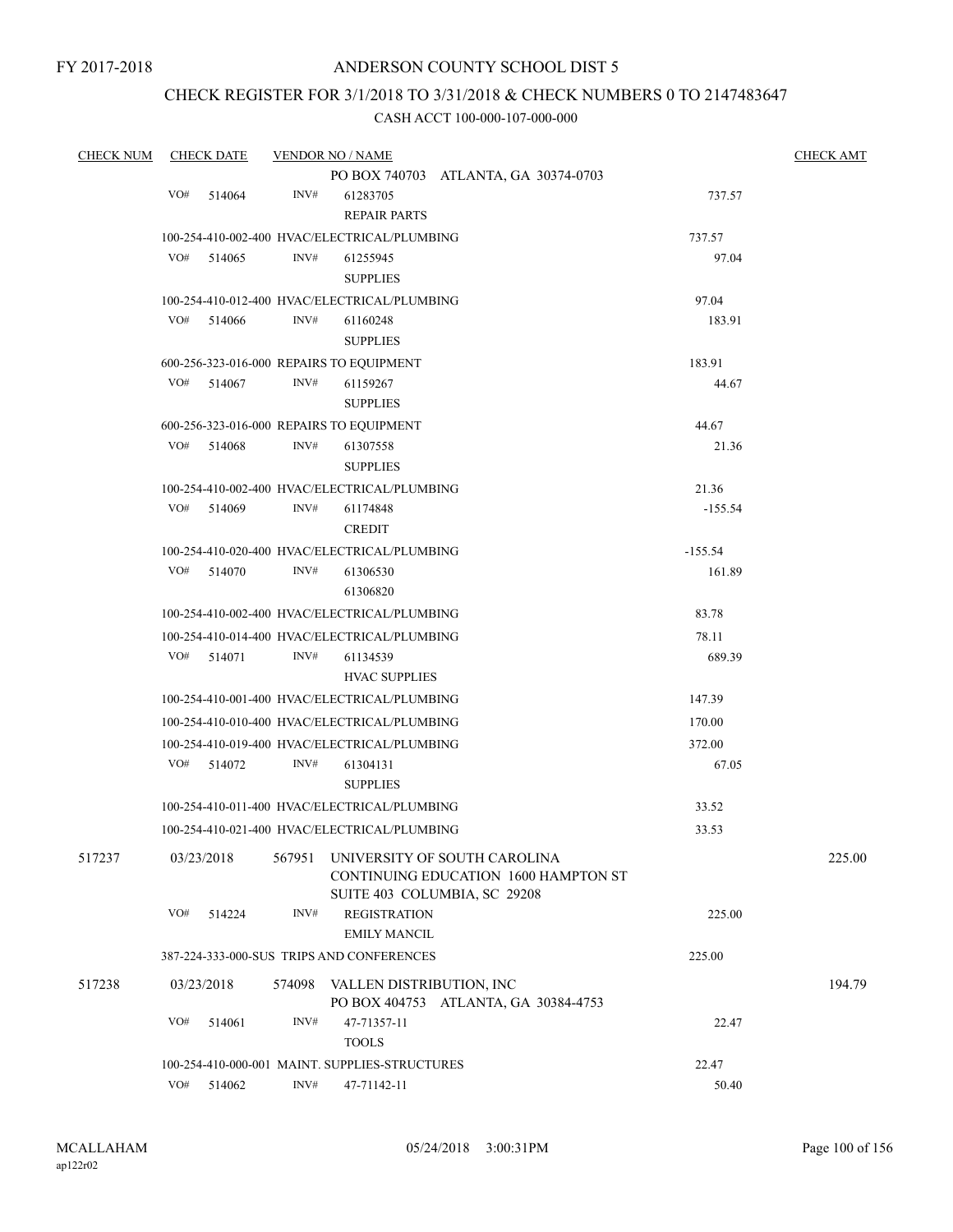## CHECK REGISTER FOR 3/1/2018 TO 3/31/2018 & CHECK NUMBERS 0 TO 2147483647

| <b>CHECK NUM</b> |            | <b>CHECK DATE</b> |                | <b>VENDOR NO / NAME</b>                        |                                                                             |           | <b>CHECK AMT</b> |
|------------------|------------|-------------------|----------------|------------------------------------------------|-----------------------------------------------------------------------------|-----------|------------------|
|                  |            |                   |                |                                                | PO BOX 740703 ATLANTA, GA 30374-0703                                        |           |                  |
|                  | VO#        | 514064            | INV#           | 61283705                                       |                                                                             | 737.57    |                  |
|                  |            |                   |                | <b>REPAIR PARTS</b>                            |                                                                             |           |                  |
|                  |            |                   |                | 100-254-410-002-400 HVAC/ELECTRICAL/PLUMBING   |                                                                             | 737.57    |                  |
|                  | VO#        | 514065            | INV#           | 61255945                                       |                                                                             | 97.04     |                  |
|                  |            |                   |                | <b>SUPPLIES</b>                                |                                                                             |           |                  |
|                  |            |                   |                | 100-254-410-012-400 HVAC/ELECTRICAL/PLUMBING   |                                                                             | 97.04     |                  |
|                  | VO#        | 514066            | INV#           | 61160248                                       |                                                                             | 183.91    |                  |
|                  |            |                   |                | <b>SUPPLIES</b>                                |                                                                             |           |                  |
|                  |            |                   |                | 600-256-323-016-000 REPAIRS TO EQUIPMENT       |                                                                             | 183.91    |                  |
|                  | VO#        | 514067            | INV#           | 61159267                                       |                                                                             | 44.67     |                  |
|                  |            |                   |                | <b>SUPPLIES</b>                                |                                                                             |           |                  |
|                  |            |                   |                | 600-256-323-016-000 REPAIRS TO EQUIPMENT       |                                                                             | 44.67     |                  |
|                  | VO#        | 514068            | INV#           | 61307558                                       |                                                                             | 21.36     |                  |
|                  |            |                   |                | <b>SUPPLIES</b>                                |                                                                             |           |                  |
|                  |            |                   |                | 100-254-410-002-400 HVAC/ELECTRICAL/PLUMBING   |                                                                             | 21.36     |                  |
|                  | VO#        | 514069            | INV#           | 61174848                                       |                                                                             | $-155.54$ |                  |
|                  |            |                   |                | <b>CREDIT</b>                                  |                                                                             |           |                  |
|                  |            |                   |                | 100-254-410-020-400 HVAC/ELECTRICAL/PLUMBING   |                                                                             | $-155.54$ |                  |
|                  | VO#        | 514070            | INV#           | 61306530                                       |                                                                             | 161.89    |                  |
|                  |            |                   |                | 61306820                                       |                                                                             |           |                  |
|                  |            |                   |                | 100-254-410-002-400 HVAC/ELECTRICAL/PLUMBING   |                                                                             | 83.78     |                  |
|                  |            |                   |                | 100-254-410-014-400 HVAC/ELECTRICAL/PLUMBING   |                                                                             | 78.11     |                  |
|                  | VO#        | 514071            | INV#           | 61134539                                       |                                                                             | 689.39    |                  |
|                  |            |                   |                | <b>HVAC SUPPLIES</b>                           |                                                                             |           |                  |
|                  |            |                   |                | 100-254-410-001-400 HVAC/ELECTRICAL/PLUMBING   |                                                                             | 147.39    |                  |
|                  |            |                   |                | 100-254-410-010-400 HVAC/ELECTRICAL/PLUMBING   |                                                                             | 170.00    |                  |
|                  |            |                   |                | 100-254-410-019-400 HVAC/ELECTRICAL/PLUMBING   |                                                                             | 372.00    |                  |
|                  | VO#        | 514072            | INV#           | 61304131                                       |                                                                             | 67.05     |                  |
|                  |            |                   |                | <b>SUPPLIES</b>                                |                                                                             |           |                  |
|                  |            |                   |                | 100-254-410-011-400 HVAC/ELECTRICAL/PLUMBING   |                                                                             | 33.52     |                  |
|                  |            |                   |                | 100-254-410-021-400 HVAC/ELECTRICAL/PLUMBING   |                                                                             | 33.53     |                  |
| 517237           | 03/23/2018 |                   | 567951         |                                                | UNIVERSITY OF SOUTH CAROLINA<br><b>CONTINUING EDUCATION 1600 HAMPTON ST</b> |           | 225.00           |
|                  | VO#        | 514224            | INV#           | <b>REGISTRATION</b>                            | SUITE 403 COLUMBIA, SC 29208                                                | 225.00    |                  |
|                  |            |                   |                | <b>EMILY MANCIL</b>                            |                                                                             |           |                  |
|                  |            |                   |                | 387-224-333-000-SUS TRIPS AND CONFERENCES      |                                                                             | 225.00    |                  |
|                  |            |                   |                |                                                |                                                                             |           |                  |
| 517238           | 03/23/2018 |                   | 574098         | VALLEN DISTRIBUTION, INC                       | PO BOX 404753 ATLANTA, GA 30384-4753                                        |           | 194.79           |
|                  | VO#        | 514061            | INV#           | 47-71357-11                                    |                                                                             | 22.47     |                  |
|                  |            |                   |                | <b>TOOLS</b>                                   |                                                                             |           |                  |
|                  |            |                   |                | 100-254-410-000-001 MAINT. SUPPLIES-STRUCTURES |                                                                             | 22.47     |                  |
|                  | VO#        | 514062            | $\text{INV}\#$ | 47-71142-11                                    |                                                                             | 50.40     |                  |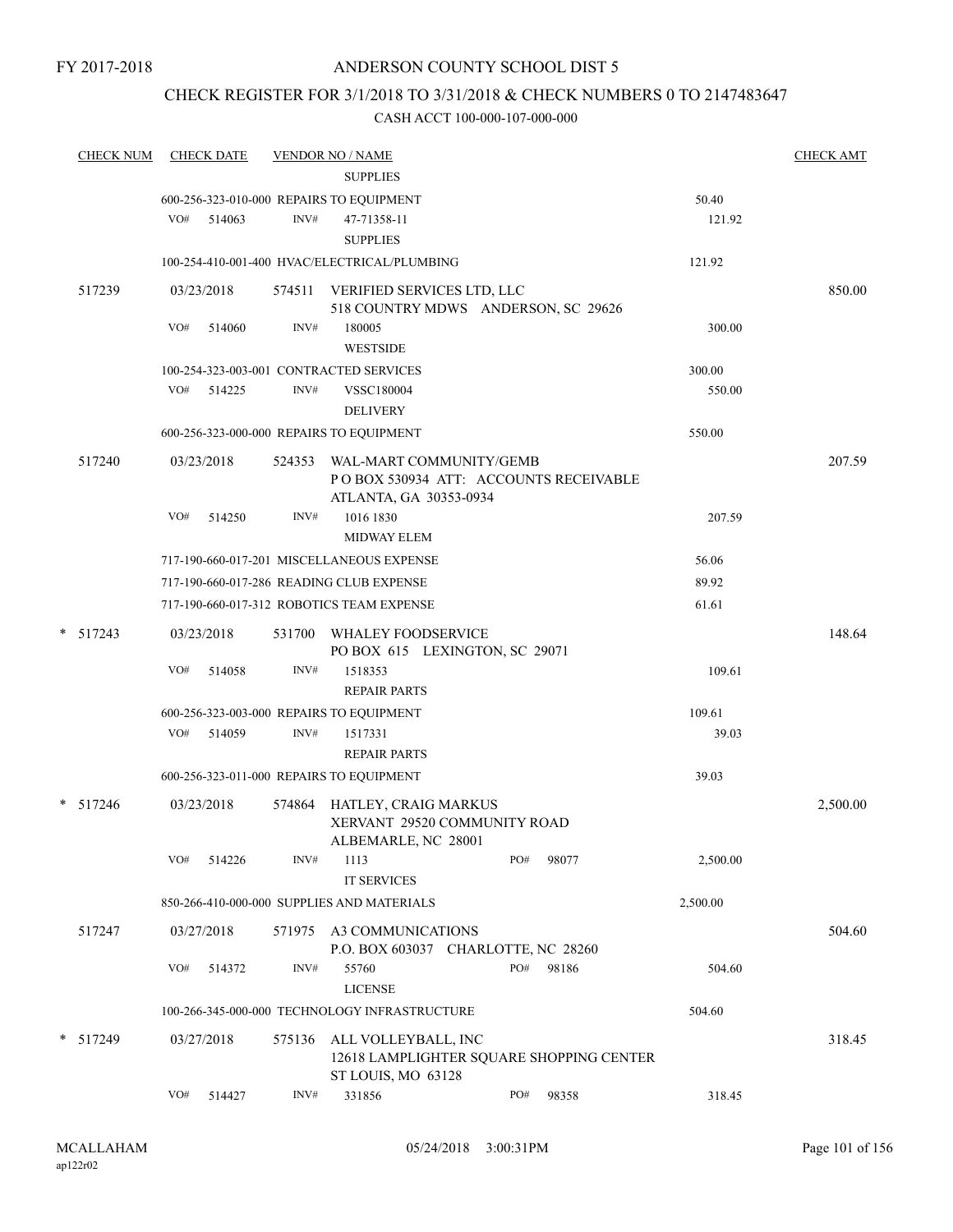## CHECK REGISTER FOR 3/1/2018 TO 3/31/2018 & CHECK NUMBERS 0 TO 2147483647

| <b>CHECK NUM</b> |     | <b>CHECK DATE</b> |        | <b>VENDOR NO / NAME</b><br><b>SUPPLIES</b>                                            |     |       |          | <b>CHECK AMT</b> |
|------------------|-----|-------------------|--------|---------------------------------------------------------------------------------------|-----|-------|----------|------------------|
|                  |     |                   |        | 600-256-323-010-000 REPAIRS TO EQUIPMENT                                              |     |       | 50.40    |                  |
|                  |     | VO# 514063        | INV#   | 47-71358-11                                                                           |     |       | 121.92   |                  |
|                  |     |                   |        | <b>SUPPLIES</b>                                                                       |     |       |          |                  |
|                  |     |                   |        | 100-254-410-001-400 HVAC/ELECTRICAL/PLUMBING                                          |     |       | 121.92   |                  |
| 517239           |     | 03/23/2018        |        | 574511 VERIFIED SERVICES LTD, LLC                                                     |     |       |          | 850.00           |
|                  | VO# | 514060            | INV#   | 518 COUNTRY MDWS ANDERSON, SC 29626<br>180005                                         |     |       | 300.00   |                  |
|                  |     |                   |        | <b>WESTSIDE</b>                                                                       |     |       |          |                  |
|                  |     |                   |        | 100-254-323-003-001 CONTRACTED SERVICES                                               |     |       | 300.00   |                  |
|                  | VO# | 514225            | INV#   | VSSC180004                                                                            |     |       | 550.00   |                  |
|                  |     |                   |        | <b>DELIVERY</b>                                                                       |     |       |          |                  |
|                  |     |                   |        | 600-256-323-000-000 REPAIRS TO EQUIPMENT                                              |     |       | 550.00   |                  |
| 517240           |     | 03/23/2018        | 524353 | WAL-MART COMMUNITY/GEMB                                                               |     |       |          | 207.59           |
|                  |     |                   |        | POBOX 530934 ATT: ACCOUNTS RECEIVABLE<br>ATLANTA, GA 30353-0934                       |     |       |          |                  |
|                  | VO# | 514250            | INV#   | 1016 1830                                                                             |     |       | 207.59   |                  |
|                  |     |                   |        | <b>MIDWAY ELEM</b>                                                                    |     |       |          |                  |
|                  |     |                   |        | 717-190-660-017-201 MISCELLANEOUS EXPENSE                                             |     |       | 56.06    |                  |
|                  |     |                   |        | 717-190-660-017-286 READING CLUB EXPENSE                                              |     |       | 89.92    |                  |
|                  |     |                   |        | 717-190-660-017-312 ROBOTICS TEAM EXPENSE                                             |     |       | 61.61    |                  |
| $* 517243$       |     | 03/23/2018        |        | 531700 WHALEY FOODSERVICE<br>PO BOX 615 LEXINGTON, SC 29071                           |     |       |          | 148.64           |
|                  | VO# | 514058            | INV#   | 1518353                                                                               |     |       | 109.61   |                  |
|                  |     |                   |        | <b>REPAIR PARTS</b>                                                                   |     |       |          |                  |
|                  |     |                   |        | 600-256-323-003-000 REPAIRS TO EQUIPMENT                                              |     |       | 109.61   |                  |
|                  |     | VO# 514059        | INV#   | 1517331                                                                               |     |       | 39.03    |                  |
|                  |     |                   |        | <b>REPAIR PARTS</b>                                                                   |     |       |          |                  |
|                  |     |                   |        | 600-256-323-011-000 REPAIRS TO EQUIPMENT                                              |     |       | 39.03    |                  |
| $* 517246$       |     | 03/23/2018        |        | 574864 HATLEY, CRAIG MARKUS<br>XERVANT 29520 COMMUNITY ROAD<br>ALBEMARLE, NC 28001    |     |       |          | 2,500.00         |
|                  | VO# | 514226            | INV#   | 1113<br><b>IT SERVICES</b>                                                            | PO# | 98077 | 2,500.00 |                  |
|                  |     |                   |        | 850-266-410-000-000 SUPPLIES AND MATERIALS                                            |     |       | 2,500.00 |                  |
| 517247           |     | 03/27/2018        | 571975 | A3 COMMUNICATIONS                                                                     |     |       |          | 504.60           |
|                  | VO# |                   | INV#   | P.O. BOX 603037 CHARLOTTE, NC 28260                                                   | PO# |       |          |                  |
|                  |     | 514372            |        | 55760<br><b>LICENSE</b>                                                               |     | 98186 | 504.60   |                  |
|                  |     |                   |        | 100-266-345-000-000 TECHNOLOGY INFRASTRUCTURE                                         |     |       | 504.60   |                  |
| * 517249         |     | 03/27/2018        | 575136 | ALL VOLLEYBALL, INC<br>12618 LAMPLIGHTER SQUARE SHOPPING CENTER<br>ST LOUIS, MO 63128 |     |       |          | 318.45           |
|                  | VO# | 514427            | INV#   | 331856                                                                                | PO# | 98358 | 318.45   |                  |
|                  |     |                   |        |                                                                                       |     |       |          |                  |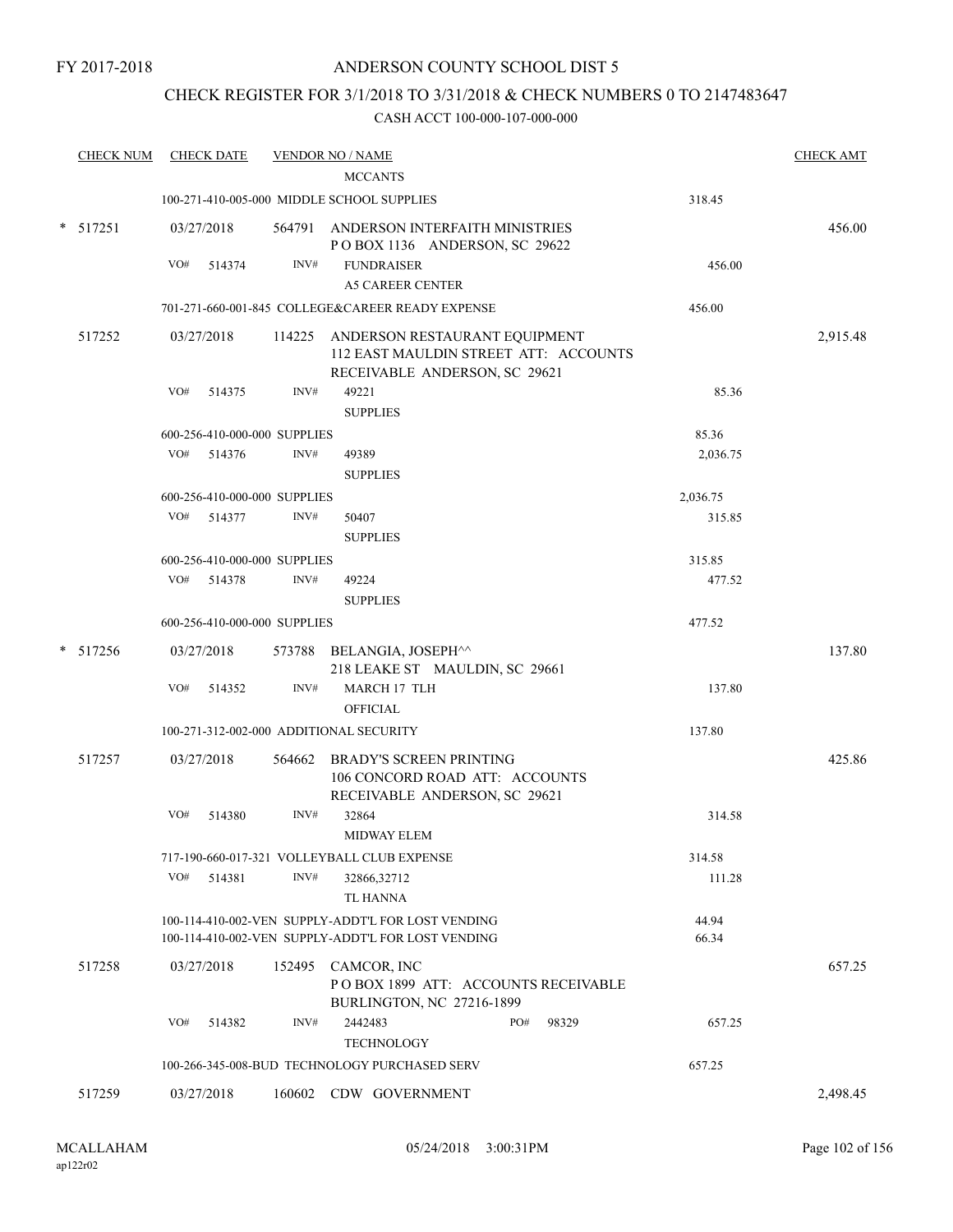## CHECK REGISTER FOR 3/1/2018 TO 3/31/2018 & CHECK NUMBERS 0 TO 2147483647

| <b>CHECK NUM</b> |     | <b>CHECK DATE</b>            |      | <b>VENDOR NO / NAME</b>                                                                                        |                | <b>CHECK AMT</b> |
|------------------|-----|------------------------------|------|----------------------------------------------------------------------------------------------------------------|----------------|------------------|
|                  |     |                              |      | <b>MCCANTS</b>                                                                                                 |                |                  |
|                  |     |                              |      | 100-271-410-005-000 MIDDLE SCHOOL SUPPLIES                                                                     | 318.45         |                  |
| $*$ 517251       |     | 03/27/2018                   |      | 564791 ANDERSON INTERFAITH MINISTRIES<br>POBOX 1136 ANDERSON, SC 29622                                         |                | 456.00           |
|                  | VO# | 514374                       | INV# | <b>FUNDRAISER</b>                                                                                              | 456.00         |                  |
|                  |     |                              |      | <b>A5 CAREER CENTER</b>                                                                                        |                |                  |
|                  |     |                              |      | 701-271-660-001-845 COLLEGE&CAREER READY EXPENSE                                                               | 456.00         |                  |
| 517252           |     | 03/27/2018                   |      | 114225 ANDERSON RESTAURANT EQUIPMENT<br>112 EAST MAULDIN STREET ATT: ACCOUNTS<br>RECEIVABLE ANDERSON, SC 29621 |                | 2,915.48         |
|                  | VO# | 514375                       | INV# | 49221                                                                                                          | 85.36          |                  |
|                  |     |                              |      | <b>SUPPLIES</b>                                                                                                |                |                  |
|                  |     | 600-256-410-000-000 SUPPLIES |      |                                                                                                                | 85.36          |                  |
|                  |     | VO# 514376                   | INV# | 49389                                                                                                          | 2,036.75       |                  |
|                  |     |                              |      | <b>SUPPLIES</b>                                                                                                |                |                  |
|                  |     | 600-256-410-000-000 SUPPLIES |      |                                                                                                                | 2,036.75       |                  |
|                  |     | VO# 514377                   | INV# | 50407                                                                                                          | 315.85         |                  |
|                  |     |                              |      | <b>SUPPLIES</b>                                                                                                |                |                  |
|                  |     | 600-256-410-000-000 SUPPLIES |      |                                                                                                                | 315.85         |                  |
|                  |     | VO# 514378                   | INV# | 49224                                                                                                          | 477.52         |                  |
|                  |     |                              |      | <b>SUPPLIES</b>                                                                                                |                |                  |
|                  |     | 600-256-410-000-000 SUPPLIES |      |                                                                                                                | 477.52         |                  |
| $* 517256$       |     | 03/27/2018                   |      | 573788 BELANGIA, JOSEPH^^<br>218 LEAKE ST MAULDIN, SC 29661                                                    |                | 137.80           |
|                  | VO# | 514352                       | INV# | MARCH 17 TLH<br><b>OFFICIAL</b>                                                                                | 137.80         |                  |
|                  |     |                              |      | 100-271-312-002-000 ADDITIONAL SECURITY                                                                        | 137.80         |                  |
| 517257           |     | 03/27/2018                   |      | 564662 BRADY'S SCREEN PRINTING<br>106 CONCORD ROAD ATT: ACCOUNTS                                               |                | 425.86           |
|                  | VO# | 514380                       | INV# | RECEIVABLE ANDERSON, SC 29621<br>32864                                                                         | 314.58         |                  |
|                  |     |                              |      | <b>MIDWAY ELEM</b>                                                                                             |                |                  |
|                  |     |                              |      | 717-190-660-017-321 VOLLEYBALL CLUB EXPENSE                                                                    | 314.58         |                  |
|                  | VO# | 514381                       | INV# | 32866,32712<br><b>TL HANNA</b>                                                                                 | 111.28         |                  |
|                  |     |                              |      | 100-114-410-002-VEN SUPPLY-ADDT'L FOR LOST VENDING<br>100-114-410-002-VEN SUPPLY-ADDT'L FOR LOST VENDING       | 44.94<br>66.34 |                  |
| 517258           |     | 03/27/2018                   |      | 152495 CAMCOR, INC<br>POBOX 1899 ATT: ACCOUNTS RECEIVABLE<br>BURLINGTON, NC 27216-1899                         |                | 657.25           |
|                  | VO# | 514382                       | INV# | 2442483<br>PO#<br>98329<br><b>TECHNOLOGY</b>                                                                   | 657.25         |                  |
|                  |     |                              |      | 100-266-345-008-BUD TECHNOLOGY PURCHASED SERV                                                                  | 657.25         |                  |
|                  |     |                              |      |                                                                                                                |                |                  |
| 517259           |     | 03/27/2018                   |      | 160602 CDW GOVERNMENT                                                                                          |                | 2,498.45         |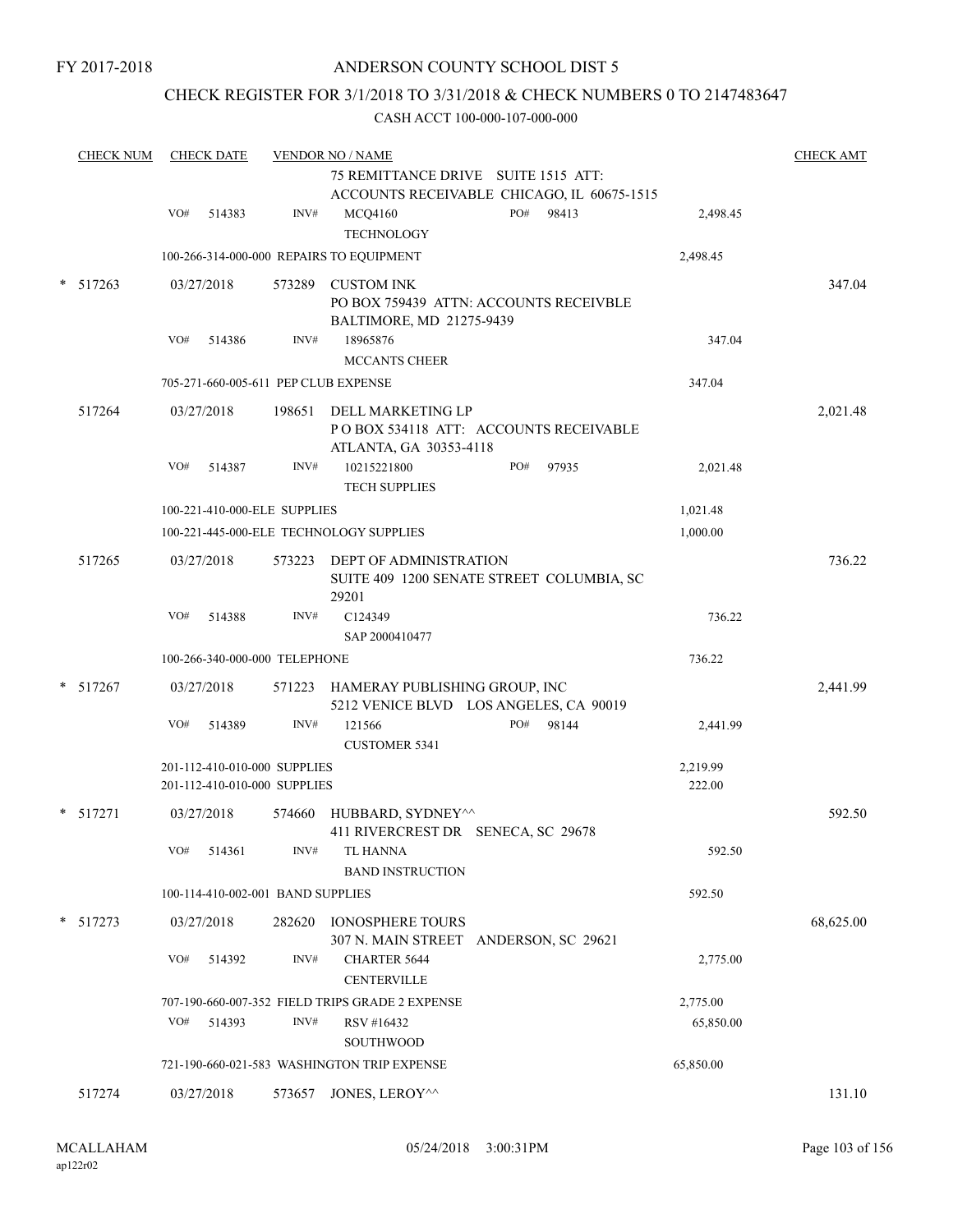FY 2017-2018

### ANDERSON COUNTY SCHOOL DIST 5

## CHECK REGISTER FOR 3/1/2018 TO 3/31/2018 & CHECK NUMBERS 0 TO 2147483647

|   | <b>CHECK NUM</b> | <b>CHECK DATE</b>                                            |        | <b>VENDOR NO / NAME</b><br>75 REMITTANCE DRIVE SUITE 1515 ATT: | ACCOUNTS RECEIVABLE CHICAGO, IL 60675-1515 |                    | <b>CHECK AMT</b> |
|---|------------------|--------------------------------------------------------------|--------|----------------------------------------------------------------|--------------------------------------------|--------------------|------------------|
|   |                  | VO#<br>514383                                                | INV#   | <b>MCQ4160</b><br><b>TECHNOLOGY</b>                            | PO#<br>98413                               | 2,498.45           |                  |
|   |                  |                                                              |        | 100-266-314-000-000 REPAIRS TO EQUIPMENT                       |                                            | 2,498.45           |                  |
|   | $*$ 517263       | 03/27/2018                                                   |        | 573289 CUSTOM INK<br>BALTIMORE, MD 21275-9439                  | PO BOX 759439 ATTN: ACCOUNTS RECEIVBLE     |                    | 347.04           |
|   |                  | VO#<br>514386                                                | INV#   | 18965876<br><b>MCCANTS CHEER</b>                               |                                            | 347.04             |                  |
|   |                  | 705-271-660-005-611 PEP CLUB EXPENSE                         |        |                                                                |                                            | 347.04             |                  |
|   | 517264           | 03/27/2018                                                   | 198651 | DELL MARKETING LP<br>ATLANTA, GA 30353-4118                    | POBOX 534118 ATT: ACCOUNTS RECEIVABLE      |                    | 2,021.48         |
|   |                  | VO#<br>514387                                                | INV#   | 10215221800<br><b>TECH SUPPLIES</b>                            | PO#<br>97935                               | 2,021.48           |                  |
|   |                  | 100-221-410-000-ELE SUPPLIES                                 |        |                                                                |                                            | 1,021.48           |                  |
|   |                  |                                                              |        | 100-221-445-000-ELE TECHNOLOGY SUPPLIES                        |                                            | 1,000.00           |                  |
|   | 517265           | 03/27/2018                                                   |        | 573223 DEPT OF ADMINISTRATION<br>29201                         | SUITE 409 1200 SENATE STREET COLUMBIA, SC  |                    | 736.22           |
|   |                  | VO#<br>514388                                                | INV#   | C124349<br>SAP 2000410477                                      |                                            | 736.22             |                  |
|   |                  | 100-266-340-000-000 TELEPHONE                                |        |                                                                |                                            | 736.22             |                  |
|   | $*$ 517267       | 03/27/2018                                                   |        | 571223 HAMERAY PUBLISHING GROUP, INC                           | 5212 VENICE BLVD LOS ANGELES, CA 90019     |                    | 2,441.99         |
|   |                  | VO#<br>514389                                                | INV#   | 121566<br><b>CUSTOMER 5341</b>                                 | PO#<br>98144                               | 2,441.99           |                  |
|   |                  | 201-112-410-010-000 SUPPLIES<br>201-112-410-010-000 SUPPLIES |        |                                                                |                                            | 2,219.99<br>222.00 |                  |
| * | 517271           | 03/27/2018                                                   | 574660 | HUBBARD, SYDNEY^^<br>411 RIVERCREST DR SENECA, SC 29678        |                                            |                    | 592.50           |
|   |                  | $\rm VO\#$<br>514361                                         | INV#   | TL HANNA<br><b>BAND INSTRUCTION</b>                            |                                            | 592.50             |                  |
|   |                  | 100-114-410-002-001 BAND SUPPLIES                            |        |                                                                |                                            | 592.50             |                  |
|   | $*$ 517273       | 03/27/2018                                                   | 282620 | <b>IONOSPHERE TOURS</b>                                        | 307 N. MAIN STREET ANDERSON, SC 29621      |                    | 68,625.00        |
|   |                  | VO#<br>514392                                                | INV#   | <b>CHARTER 5644</b><br><b>CENTERVILLE</b>                      |                                            | 2,775.00           |                  |
|   |                  |                                                              |        | 707-190-660-007-352 FIELD TRIPS GRADE 2 EXPENSE                |                                            | 2,775.00           |                  |
|   |                  | VO#<br>514393                                                | INV#   | RSV #16432<br>SOUTHWOOD                                        |                                            | 65,850.00          |                  |
|   |                  |                                                              |        | 721-190-660-021-583 WASHINGTON TRIP EXPENSE                    |                                            | 65,850.00          |                  |
|   | 517274           | 03/27/2018                                                   | 573657 | JONES, LEROY^^                                                 |                                            |                    | 131.10           |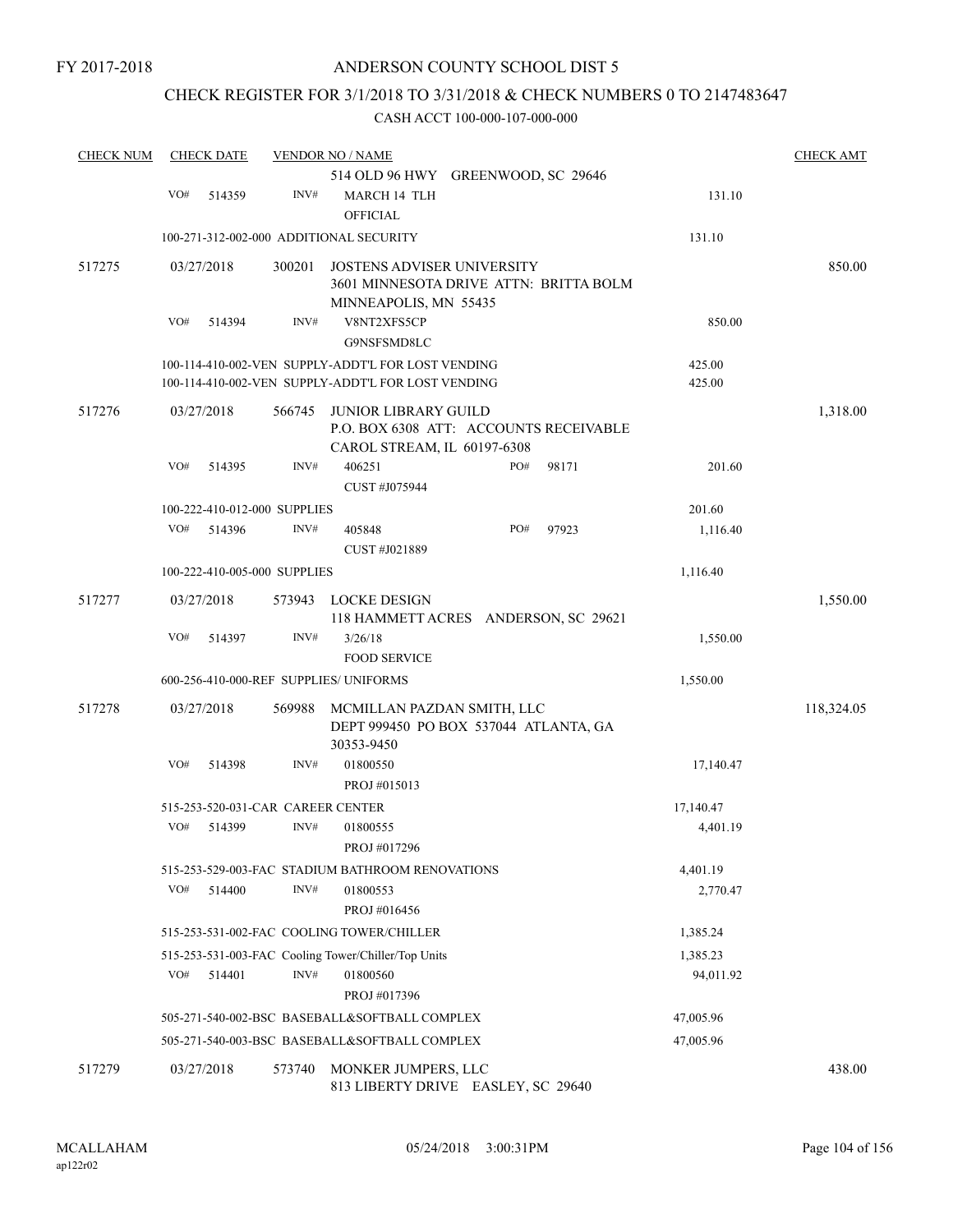## CHECK REGISTER FOR 3/1/2018 TO 3/31/2018 & CHECK NUMBERS 0 TO 2147483647

| <b>CHECK NUM</b> |     | <b>CHECK DATE</b> |                                   | <b>VENDOR NO / NAME</b>                                                                                  |     |       |                  | <b>CHECK AMT</b> |
|------------------|-----|-------------------|-----------------------------------|----------------------------------------------------------------------------------------------------------|-----|-------|------------------|------------------|
|                  |     |                   |                                   | 514 OLD 96 HWY GREENWOOD, SC 29646                                                                       |     |       |                  |                  |
|                  | VO# | 514359            | INV#                              | MARCH 14 TLH<br><b>OFFICIAL</b>                                                                          |     |       | 131.10           |                  |
|                  |     |                   |                                   | 100-271-312-002-000 ADDITIONAL SECURITY                                                                  |     |       | 131.10           |                  |
| 517275           |     | 03/27/2018        | 300201                            | <b>JOSTENS ADVISER UNIVERSITY</b><br>3601 MINNESOTA DRIVE ATTN: BRITTA BOLM                              |     |       |                  | 850.00           |
|                  | VO# | 514394            | INV#                              | MINNEAPOLIS, MN 55435<br>V8NT2XFS5CP<br>G9NSFSMD8LC                                                      |     |       | 850.00           |                  |
|                  |     |                   |                                   | 100-114-410-002-VEN SUPPLY-ADDT'L FOR LOST VENDING<br>100-114-410-002-VEN SUPPLY-ADDT'L FOR LOST VENDING |     |       | 425.00<br>425.00 |                  |
| 517276           |     | 03/27/2018        | 566745                            | <b>JUNIOR LIBRARY GUILD</b><br>P.O. BOX 6308 ATT: ACCOUNTS RECEIVABLE<br>CAROL STREAM, IL 60197-6308     |     |       |                  | 1,318.00         |
|                  | VO# | 514395            | INV#                              | 406251<br>CUST #J075944                                                                                  | PO# | 98171 | 201.60           |                  |
|                  |     |                   | 100-222-410-012-000 SUPPLIES      |                                                                                                          |     |       | 201.60           |                  |
|                  | VO# | 514396            | INV#                              | 405848<br>CUST #J021889                                                                                  | PO# | 97923 | 1,116.40         |                  |
|                  |     |                   | 100-222-410-005-000 SUPPLIES      |                                                                                                          |     |       | 1,116.40         |                  |
| 517277           |     | 03/27/2018        | 573943                            | LOCKE DESIGN<br>118 HAMMETT ACRES ANDERSON, SC 29621                                                     |     |       |                  | 1,550.00         |
|                  | VO# | 514397            | INV#                              | 3/26/18<br><b>FOOD SERVICE</b>                                                                           |     |       | 1,550.00         |                  |
|                  |     |                   |                                   | 600-256-410-000-REF SUPPLIES/ UNIFORMS                                                                   |     |       | 1,550.00         |                  |
| 517278           |     | 03/27/2018        | 569988                            | MCMILLAN PAZDAN SMITH, LLC<br>DEPT 999450 PO BOX 537044 ATLANTA, GA<br>30353-9450                        |     |       |                  | 118,324.05       |
|                  | VO# | 514398            | INV#                              | 01800550<br>PROJ #015013                                                                                 |     |       | 17,140.47        |                  |
|                  |     |                   | 515-253-520-031-CAR CAREER CENTER |                                                                                                          |     |       | 17,140.47        |                  |
|                  | VO# | 514399            | INV#                              | 01800555<br>PROJ #017296                                                                                 |     |       | 4,401.19         |                  |
|                  |     |                   |                                   | 515-253-529-003-FAC STADIUM BATHROOM RENOVATIONS                                                         |     |       | 4,401.19         |                  |
|                  | VO# | 514400            | INV#                              | 01800553<br>PROJ #016456                                                                                 |     |       | 2,770.47         |                  |
|                  |     |                   |                                   | 515-253-531-002-FAC COOLING TOWER/CHILLER                                                                |     |       | 1,385.24         |                  |
|                  |     |                   |                                   | 515-253-531-003-FAC Cooling Tower/Chiller/Top Units                                                      |     |       | 1,385.23         |                  |
|                  | VO# | 514401            | INV#                              | 01800560<br>PROJ #017396                                                                                 |     |       | 94,011.92        |                  |
|                  |     |                   |                                   | 505-271-540-002-BSC BASEBALL&SOFTBALL COMPLEX                                                            |     |       | 47,005.96        |                  |
|                  |     |                   |                                   | 505-271-540-003-BSC BASEBALL&SOFTBALL COMPLEX                                                            |     |       | 47,005.96        |                  |
| 517279           |     | 03/27/2018        | 573740                            | MONKER JUMPERS, LLC<br>813 LIBERTY DRIVE EASLEY, SC 29640                                                |     |       |                  | 438.00           |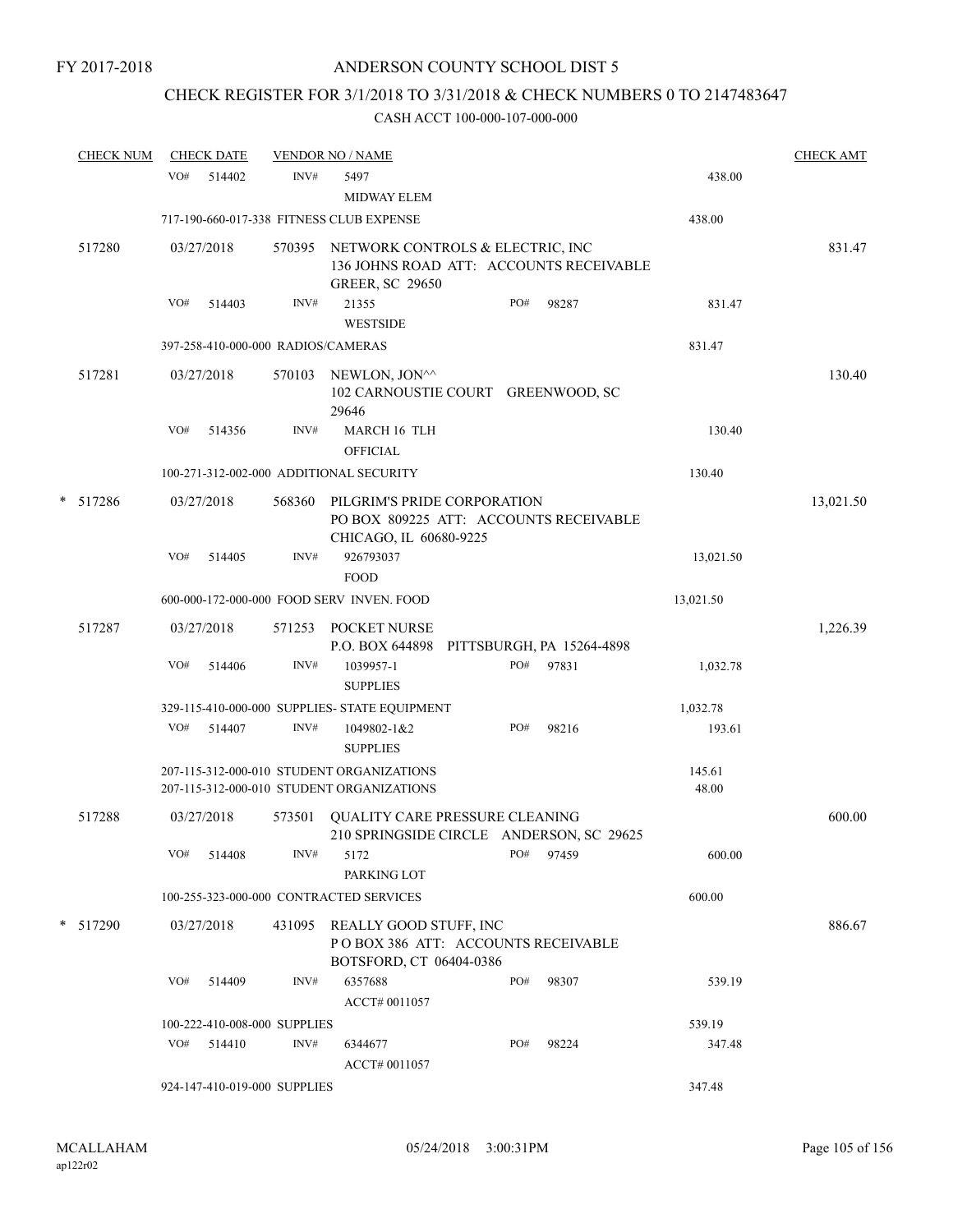# CHECK REGISTER FOR 3/1/2018 TO 3/31/2018 & CHECK NUMBERS 0 TO 2147483647

|   | <b>CHECK NUM</b> |     | <b>CHECK DATE</b> |                              | <b>VENDOR NO / NAME</b>                                                                               |     |       |                 | <b>CHECK AMT</b> |
|---|------------------|-----|-------------------|------------------------------|-------------------------------------------------------------------------------------------------------|-----|-------|-----------------|------------------|
|   |                  | VO# | 514402            | INV#                         | 5497<br><b>MIDWAY ELEM</b>                                                                            |     |       | 438.00          |                  |
|   |                  |     |                   |                              | 717-190-660-017-338 FITNESS CLUB EXPENSE                                                              |     |       | 438.00          |                  |
|   | 517280           |     | 03/27/2018        | 570395                       | NETWORK CONTROLS & ELECTRIC, INC<br>136 JOHNS ROAD ATT: ACCOUNTS RECEIVABLE<br><b>GREER, SC 29650</b> |     |       |                 | 831.47           |
|   |                  | VO# | 514403            | INV#                         | 21355<br><b>WESTSIDE</b>                                                                              | PO# | 98287 | 831.47          |                  |
|   |                  |     |                   |                              | 397-258-410-000-000 RADIOS/CAMERAS                                                                    |     |       | 831.47          |                  |
|   | 517281           |     | 03/27/2018        | 570103                       | NEWLON, JON^^<br>102 CARNOUSTIE COURT GREENWOOD, SC<br>29646                                          |     |       |                 | 130.40           |
|   |                  | VO# | 514356            | INV#                         | MARCH 16 TLH<br><b>OFFICIAL</b>                                                                       |     |       | 130.40          |                  |
|   |                  |     |                   |                              | 100-271-312-002-000 ADDITIONAL SECURITY                                                               |     |       | 130.40          |                  |
| * | 517286           |     | 03/27/2018        | 568360                       | PILGRIM'S PRIDE CORPORATION<br>PO BOX 809225 ATT: ACCOUNTS RECEIVABLE<br>CHICAGO, IL 60680-9225       |     |       |                 | 13,021.50        |
|   |                  | VO# | 514405            | INV#                         | 926793037<br><b>FOOD</b>                                                                              |     |       | 13,021.50       |                  |
|   |                  |     |                   |                              | 600-000-172-000-000 FOOD SERV INVEN. FOOD                                                             |     |       | 13,021.50       |                  |
|   | 517287           |     | 03/27/2018        | 571253                       | POCKET NURSE<br>P.O. BOX 644898 PITTSBURGH, PA 15264-4898                                             |     |       |                 | 1,226.39         |
|   |                  | VO# | 514406            | INV#                         | 1039957-1<br><b>SUPPLIES</b>                                                                          | PO# | 97831 | 1,032.78        |                  |
|   |                  |     |                   |                              | 329-115-410-000-000 SUPPLIES- STATE EQUIPMENT                                                         |     |       | 1,032.78        |                  |
|   |                  | VO# | 514407            | INV#                         | 1049802-1&2<br><b>SUPPLIES</b>                                                                        | PO# | 98216 | 193.61          |                  |
|   |                  |     |                   |                              | 207-115-312-000-010 STUDENT ORGANIZATIONS<br>207-115-312-000-010 STUDENT ORGANIZATIONS                |     |       | 145.61<br>48.00 |                  |
|   | 517288           |     | 03/27/2018        | 573501                       | QUALITY CARE PRESSURE CLEANING<br>210 SPRINGSIDE CIRCLE ANDERSON, SC 29625                            |     |       |                 | 600.00           |
|   |                  | VO# | 514408            | INV#                         | 5172<br>PARKING LOT                                                                                   | PO# | 97459 | 600.00          |                  |
|   |                  |     |                   |                              | 100-255-323-000-000 CONTRACTED SERVICES                                                               |     |       | 600.00          |                  |
|   | * 517290         |     | 03/27/2018        | 431095                       | REALLY GOOD STUFF, INC<br>POBOX 386 ATT: ACCOUNTS RECEIVABLE<br>BOTSFORD, CT 06404-0386               |     |       |                 | 886.67           |
|   |                  | VO# | 514409            | INV#                         | 6357688<br>ACCT# 0011057                                                                              | PO# | 98307 | 539.19          |                  |
|   |                  |     |                   | 100-222-410-008-000 SUPPLIES |                                                                                                       |     |       | 539.19          |                  |
|   |                  | VO# | 514410            | INV#                         | 6344677<br>ACCT# 0011057                                                                              | PO# | 98224 | 347.48          |                  |
|   |                  |     |                   | 924-147-410-019-000 SUPPLIES |                                                                                                       |     |       | 347.48          |                  |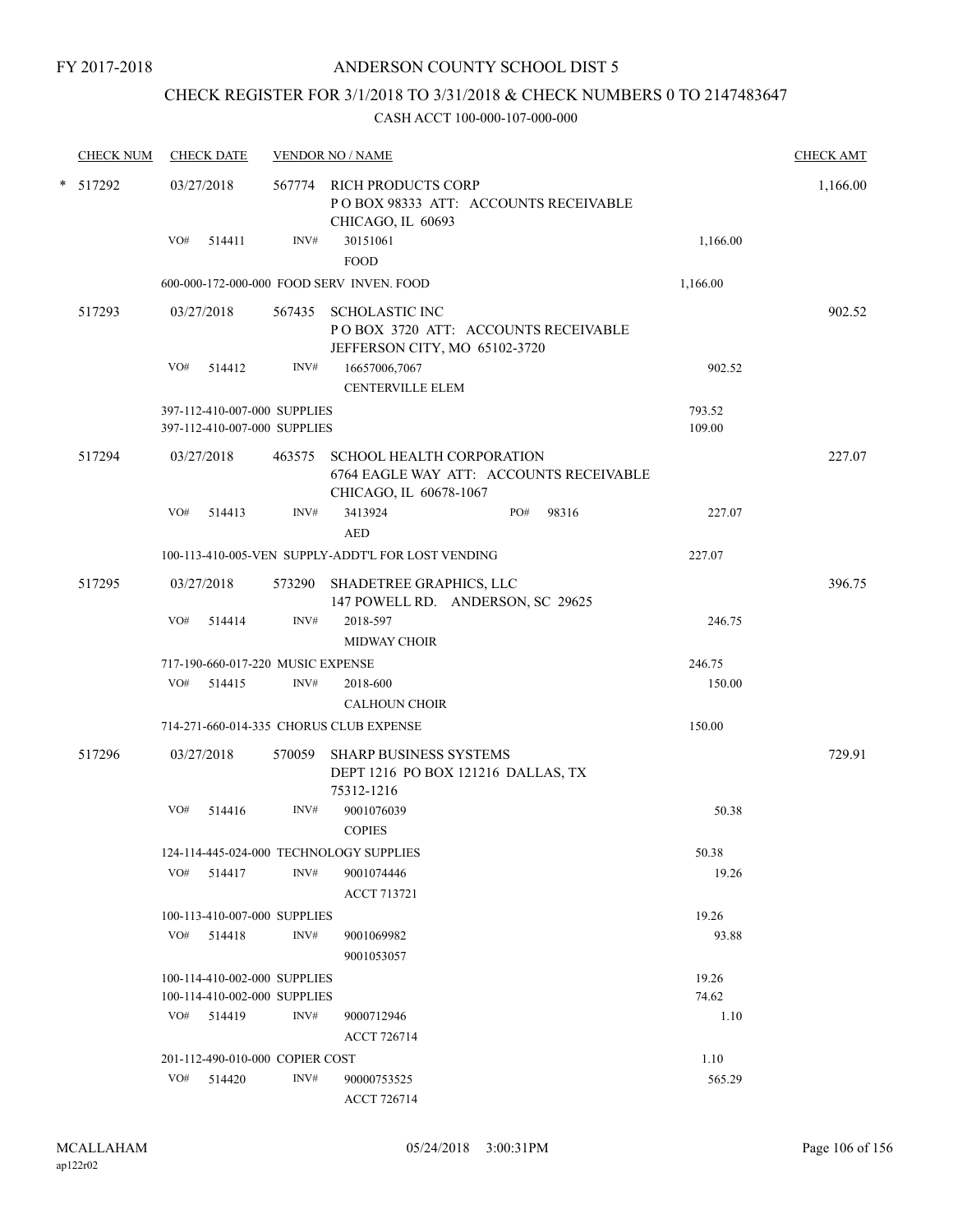## CHECK REGISTER FOR 3/1/2018 TO 3/31/2018 & CHECK NUMBERS 0 TO 2147483647

| <b>CHECK NUM</b> |        |     | <b>CHECK DATE</b>                                            |        | <b>VENDOR NO / NAME</b>                                                                        |      |       |                  | <b>CHECK AMT</b> |
|------------------|--------|-----|--------------------------------------------------------------|--------|------------------------------------------------------------------------------------------------|------|-------|------------------|------------------|
| * 517292         |        |     | 03/27/2018                                                   |        | 567774 RICH PRODUCTS CORP<br>POBOX 98333 ATT: ACCOUNTS RECEIVABLE<br>CHICAGO, IL 60693         |      |       |                  | 1,166.00         |
|                  |        | VO# | 514411                                                       | INV#   | 30151061<br><b>FOOD</b>                                                                        |      |       | 1,166.00         |                  |
|                  |        |     |                                                              |        | 600-000-172-000-000 FOOD SERV INVEN. FOOD                                                      |      |       | 1,166.00         |                  |
|                  | 517293 |     | 03/27/2018                                                   | 567435 | <b>SCHOLASTIC INC</b><br>POBOX 3720 ATT: ACCOUNTS RECEIVABLE<br>JEFFERSON CITY, MO 65102-3720  |      |       |                  | 902.52           |
|                  |        | VO# | 514412                                                       | INV#   | 16657006,7067<br><b>CENTERVILLE ELEM</b>                                                       |      |       | 902.52           |                  |
|                  |        |     | 397-112-410-007-000 SUPPLIES<br>397-112-410-007-000 SUPPLIES |        |                                                                                                |      |       | 793.52<br>109.00 |                  |
|                  | 517294 |     | 03/27/2018                                                   | 463575 | SCHOOL HEALTH CORPORATION<br>6764 EAGLE WAY ATT: ACCOUNTS RECEIVABLE<br>CHICAGO, IL 60678-1067 |      |       |                  | 227.07           |
|                  |        | VO# | 514413                                                       | INV#   | 3413924<br><b>AED</b>                                                                          | PO#  | 98316 | 227.07           |                  |
|                  |        |     |                                                              |        | 100-113-410-005-VEN SUPPLY-ADDT'L FOR LOST VENDING                                             |      |       | 227.07           |                  |
|                  | 517295 |     | 03/27/2018                                                   |        | 573290 SHADETREE GRAPHICS, LLC<br>147 POWELL RD. ANDERSON, SC 29625                            |      |       |                  | 396.75           |
|                  |        | VO# | 514414                                                       | INV#   | 2018-597<br><b>MIDWAY CHOIR</b>                                                                |      |       | 246.75           |                  |
|                  |        |     | 717-190-660-017-220 MUSIC EXPENSE                            |        |                                                                                                |      |       | 246.75           |                  |
|                  |        | VO# | 514415                                                       | INV#   | 2018-600<br><b>CALHOUN CHOIR</b>                                                               |      |       | 150.00           |                  |
|                  |        |     |                                                              |        | 714-271-660-014-335 CHORUS CLUB EXPENSE                                                        |      |       | 150.00           |                  |
|                  | 517296 |     | 03/27/2018                                                   | 570059 | SHARP BUSINESS SYSTEMS<br>DEPT 1216 PO BOX 121216 DALLAS, TX<br>75312-1216                     |      |       |                  | 729.91           |
|                  |        | VO# | 514416                                                       | INV#   | 9001076039<br><b>COPIES</b>                                                                    |      |       | 50.38            |                  |
|                  |        |     |                                                              |        | 124-114-445-024-000 TECHNOLOGY SUPPLIES                                                        |      |       | 50.38            |                  |
|                  |        | VO# | 514417                                                       | INV#   | 9001074446<br><b>ACCT 713721</b>                                                               |      |       | 19.26            |                  |
|                  |        |     | 100-113-410-007-000 SUPPLIES                                 |        |                                                                                                |      |       | 19.26            |                  |
|                  |        |     | VO# 514418                                                   | INV#   | 9001069982<br>9001053057                                                                       |      |       | 93.88            |                  |
|                  |        |     | 100-114-410-002-000 SUPPLIES                                 |        |                                                                                                |      |       | 19.26            |                  |
|                  |        |     | 100-114-410-002-000 SUPPLIES                                 |        |                                                                                                |      |       | 74.62            |                  |
|                  |        |     | VO# 514419                                                   | INV#   | 9000712946<br><b>ACCT 726714</b>                                                               |      |       | 1.10             |                  |
|                  |        |     | 201-112-490-010-000 COPIER COST                              |        |                                                                                                | 1.10 |       |                  |                  |
|                  |        | VO# | 514420                                                       | INV#   | 90000753525<br>ACCT 726714                                                                     |      |       | 565.29           |                  |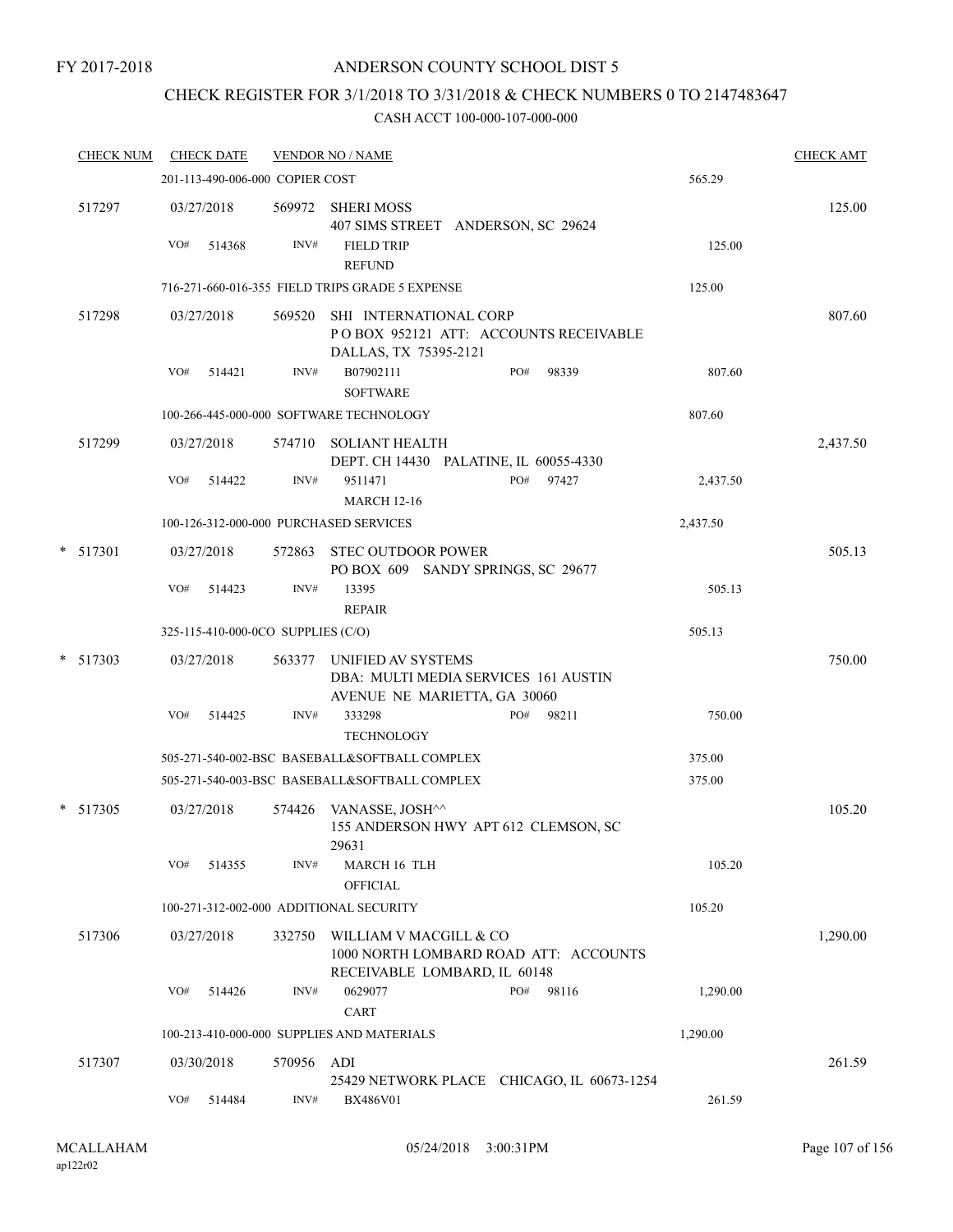#### FY 2017-2018

### ANDERSON COUNTY SCHOOL DIST 5

# CHECK REGISTER FOR 3/1/2018 TO 3/31/2018 & CHECK NUMBERS 0 TO 2147483647

| <b>CHECK NUM</b> |     | <b>CHECK DATE</b>                  |        | <b>VENDOR NO / NAME</b>                                                                         |     |       |          | <b>CHECK AMT</b> |
|------------------|-----|------------------------------------|--------|-------------------------------------------------------------------------------------------------|-----|-------|----------|------------------|
|                  |     | 201-113-490-006-000 COPIER COST    |        |                                                                                                 |     |       | 565.29   |                  |
| 517297           |     | 03/27/2018                         |        | 569972 SHERI MOSS<br>407 SIMS STREET ANDERSON, SC 29624                                         |     |       |          | 125.00           |
|                  | VO# | 514368                             | INV#   | <b>FIELD TRIP</b><br><b>REFUND</b>                                                              |     |       | 125.00   |                  |
|                  |     |                                    |        | 716-271-660-016-355 FIELD TRIPS GRADE 5 EXPENSE                                                 |     |       | 125.00   |                  |
| 517298           |     | 03/27/2018                         | 569520 | SHI INTERNATIONAL CORP<br>POBOX 952121 ATT: ACCOUNTS RECEIVABLE<br>DALLAS, TX 75395-2121        |     |       |          | 807.60           |
|                  | VO# | 514421                             | INV#   | B07902111<br><b>SOFTWARE</b>                                                                    | PO# | 98339 | 807.60   |                  |
|                  |     |                                    |        | 100-266-445-000-000 SOFTWARE TECHNOLOGY                                                         |     |       | 807.60   |                  |
| 517299           |     | 03/27/2018                         |        | 574710 SOLIANT HEALTH<br>DEPT. CH 14430 PALATINE, IL 60055-4330                                 |     |       |          | 2,437.50         |
|                  | VO# | 514422                             | INV#   | 9511471<br><b>MARCH 12-16</b>                                                                   | PO# | 97427 | 2,437.50 |                  |
|                  |     |                                    |        | 100-126-312-000-000 PURCHASED SERVICES                                                          |     |       | 2,437.50 |                  |
| $*$ 517301       |     | 03/27/2018                         | 572863 | <b>STEC OUTDOOR POWER</b><br>PO BOX 609 SANDY SPRINGS, SC 29677                                 |     |       |          | 505.13           |
|                  | VO# | 514423                             | INV#   | 13395<br><b>REPAIR</b>                                                                          |     |       | 505.13   |                  |
|                  |     | 325-115-410-000-0CO SUPPLIES (C/O) |        |                                                                                                 |     |       | 505.13   |                  |
| $*$ 517303       |     | 03/27/2018                         | 563377 | UNIFIED AV SYSTEMS<br>DBA: MULTI MEDIA SERVICES 161 AUSTIN<br>AVENUE NE MARIETTA, GA 30060      |     |       |          | 750.00           |
|                  | VO# | 514425                             | INV#   | 333298<br><b>TECHNOLOGY</b>                                                                     | PO# | 98211 | 750.00   |                  |
|                  |     |                                    |        | 505-271-540-002-BSC BASEBALL&SOFTBALL COMPLEX                                                   |     |       | 375.00   |                  |
|                  |     |                                    |        | 505-271-540-003-BSC BASEBALL&SOFTBALL COMPLEX                                                   |     |       | 375.00   |                  |
| * 517305         |     | 03/27/2018                         |        | 574426 VANASSE, JOSH^^<br>155 ANDERSON HWY APT 612 CLEMSON, SC<br>29631                         |     |       |          | 105.20           |
|                  | VO# | 514355                             | INV#   | MARCH 16 TLH<br><b>OFFICIAL</b>                                                                 |     |       | 105.20   |                  |
|                  |     |                                    |        | 100-271-312-002-000 ADDITIONAL SECURITY                                                         |     |       | 105.20   |                  |
| 517306           |     | 03/27/2018                         | 332750 | WILLIAM V MACGILL & CO<br>1000 NORTH LOMBARD ROAD ATT: ACCOUNTS<br>RECEIVABLE LOMBARD, IL 60148 |     |       |          | 1,290.00         |
|                  | VO# | 514426                             | INV#   | 0629077<br><b>CART</b>                                                                          | PO# | 98116 | 1,290.00 |                  |
|                  |     |                                    |        | 100-213-410-000-000 SUPPLIES AND MATERIALS                                                      |     |       | 1,290.00 |                  |
| 517307           |     | 03/30/2018                         | 570956 | ADI<br>25429 NETWORK PLACE CHICAGO, IL 60673-1254                                               |     |       |          | 261.59           |
|                  | VO# | 514484                             | INV#   | BX486V01                                                                                        |     |       | 261.59   |                  |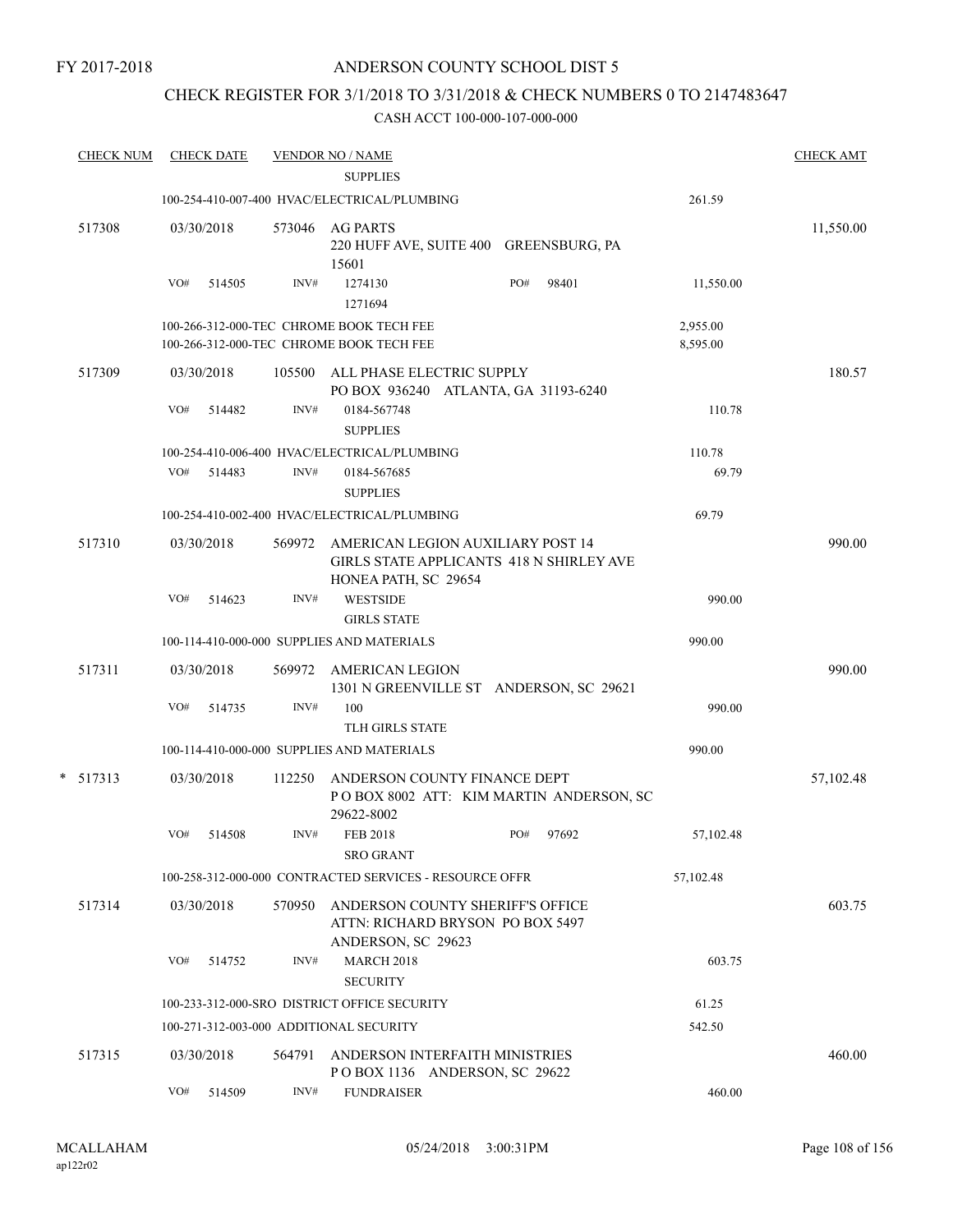### CHECK REGISTER FOR 3/1/2018 TO 3/31/2018 & CHECK NUMBERS 0 TO 2147483647

| <b>CHECK NUM</b> |     | <b>CHECK DATE</b> |        | <u>VENDOR NO / NAME</u><br><b>SUPPLIES</b>                                                            |     |       |                      | <b>CHECK AMT</b> |
|------------------|-----|-------------------|--------|-------------------------------------------------------------------------------------------------------|-----|-------|----------------------|------------------|
|                  |     |                   |        | 100-254-410-007-400 HVAC/ELECTRICAL/PLUMBING                                                          |     |       | 261.59               |                  |
| 517308           |     | 03/30/2018        | 573046 | <b>AG PARTS</b><br>220 HUFF AVE, SUITE 400 GREENSBURG, PA<br>15601                                    |     |       |                      | 11,550.00        |
|                  | VO# | 514505            | INV#   | 1274130<br>1271694                                                                                    | PO# | 98401 | 11,550.00            |                  |
|                  |     |                   |        | 100-266-312-000-TEC CHROME BOOK TECH FEE<br>100-266-312-000-TEC CHROME BOOK TECH FEE                  |     |       | 2,955.00<br>8,595.00 |                  |
| 517309           |     | 03/30/2018        | 105500 | ALL PHASE ELECTRIC SUPPLY<br>PO BOX 936240 ATLANTA, GA 31193-6240                                     |     |       |                      | 180.57           |
|                  | VO# | 514482            | INV#   | 0184-567748<br><b>SUPPLIES</b>                                                                        |     |       | 110.78               |                  |
|                  |     |                   |        | 100-254-410-006-400 HVAC/ELECTRICAL/PLUMBING                                                          |     |       | 110.78               |                  |
|                  | VO# | 514483            | INV#   | 0184-567685<br><b>SUPPLIES</b>                                                                        |     |       | 69.79                |                  |
|                  |     |                   |        | 100-254-410-002-400 HVAC/ELECTRICAL/PLUMBING                                                          |     |       | 69.79                |                  |
| 517310           |     | 03/30/2018        | 569972 | AMERICAN LEGION AUXILIARY POST 14<br>GIRLS STATE APPLICANTS 418 N SHIRLEY AVE<br>HONEA PATH, SC 29654 |     |       |                      | 990.00           |
|                  | VO# | 514623            | INV#   | <b>WESTSIDE</b><br><b>GIRLS STATE</b>                                                                 |     |       | 990.00               |                  |
|                  |     |                   |        | 100-114-410-000-000 SUPPLIES AND MATERIALS                                                            |     |       | 990.00               |                  |
| 517311           |     | 03/30/2018        | 569972 | AMERICAN LEGION<br>1301 N GREENVILLE ST ANDERSON, SC 29621                                            |     |       |                      | 990.00           |
|                  | VO# | 514735            | INV#   | 100<br><b>TLH GIRLS STATE</b>                                                                         |     |       | 990.00               |                  |
|                  |     |                   |        | 100-114-410-000-000 SUPPLIES AND MATERIALS                                                            |     |       | 990.00               |                  |
| $*$ 517313       |     | 03/30/2018        | 112250 | ANDERSON COUNTY FINANCE DEPT<br>POBOX 8002 ATT: KIM MARTIN ANDERSON, SC<br>29622-8002                 |     |       |                      | 57,102.48        |
|                  | VO# | 514508            | INV#   | <b>FEB 2018</b><br><b>SRO GRANT</b>                                                                   | PO# | 97692 | 57,102.48            |                  |
|                  |     |                   |        | 100-258-312-000-000 CONTRACTED SERVICES - RESOURCE OFFR                                               |     |       | 57,102.48            |                  |
| 517314           |     | 03/30/2018        | 570950 | ANDERSON COUNTY SHERIFF'S OFFICE<br>ATTN: RICHARD BRYSON PO BOX 5497<br>ANDERSON, SC 29623            |     |       |                      | 603.75           |
|                  | VO# | 514752            | INV#   | <b>MARCH 2018</b><br><b>SECURITY</b>                                                                  |     |       | 603.75               |                  |
|                  |     |                   |        | 100-233-312-000-SRO DISTRICT OFFICE SECURITY                                                          |     |       | 61.25                |                  |
|                  |     |                   |        | 100-271-312-003-000 ADDITIONAL SECURITY                                                               |     |       | 542.50               |                  |
| 517315           |     | 03/30/2018        | 564791 | ANDERSON INTERFAITH MINISTRIES<br>POBOX 1136 ANDERSON, SC 29622                                       |     |       |                      | 460.00           |
|                  | VO# | 514509            | INV#   | <b>FUNDRAISER</b>                                                                                     |     |       | 460.00               |                  |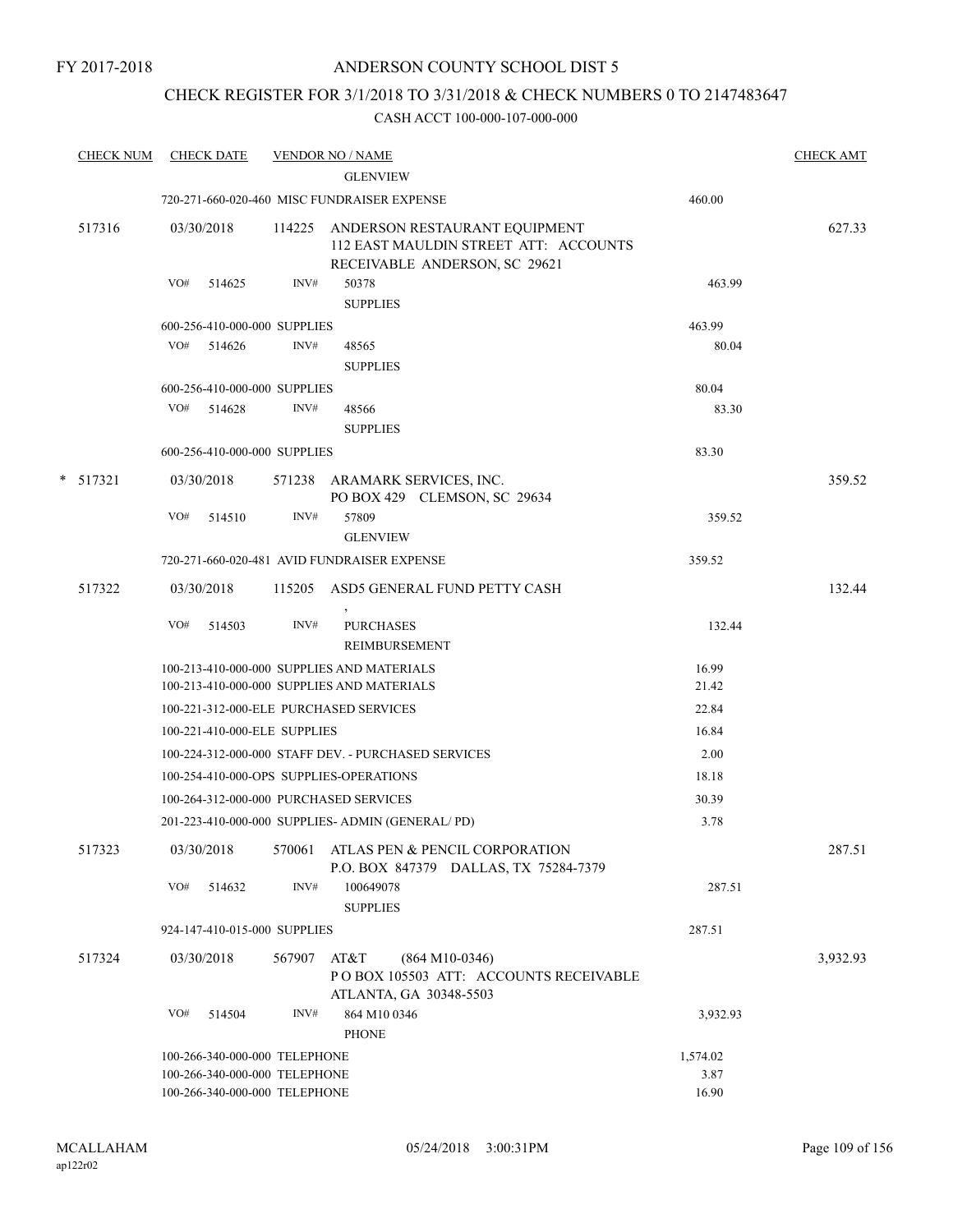### CHECK REGISTER FOR 3/1/2018 TO 3/31/2018 & CHECK NUMBERS 0 TO 2147483647

| <b>CHECK NUM</b> | <b>CHECK DATE</b>             |                               |        | <b>VENDOR NO / NAME</b>                                                                                 |          | <b>CHECK AMT</b> |
|------------------|-------------------------------|-------------------------------|--------|---------------------------------------------------------------------------------------------------------|----------|------------------|
|                  |                               |                               |        | <b>GLENVIEW</b>                                                                                         |          |                  |
|                  |                               |                               |        | 720-271-660-020-460 MISC FUNDRAISER EXPENSE                                                             | 460.00   |                  |
| 517316           | 03/30/2018                    |                               | 114225 | ANDERSON RESTAURANT EQUIPMENT<br>112 EAST MAULDIN STREET ATT: ACCOUNTS<br>RECEIVABLE ANDERSON, SC 29621 |          | 627.33           |
|                  | VO#                           | 514625                        | INV#   | 50378                                                                                                   | 463.99   |                  |
|                  |                               |                               |        | <b>SUPPLIES</b>                                                                                         |          |                  |
|                  |                               | 600-256-410-000-000 SUPPLIES  |        |                                                                                                         | 463.99   |                  |
|                  | VO# 514626                    |                               | INV#   | 48565                                                                                                   | 80.04    |                  |
|                  |                               |                               |        | <b>SUPPLIES</b>                                                                                         |          |                  |
|                  |                               | 600-256-410-000-000 SUPPLIES  |        |                                                                                                         | 80.04    |                  |
|                  | VO# 514628                    |                               | INV#   | 48566                                                                                                   | 83.30    |                  |
|                  |                               |                               |        | <b>SUPPLIES</b>                                                                                         |          |                  |
|                  |                               | 600-256-410-000-000 SUPPLIES  |        |                                                                                                         | 83.30    |                  |
| $*$ 517321       | 03/30/2018                    |                               |        | 571238 ARAMARK SERVICES, INC.<br>PO BOX 429 CLEMSON, SC 29634                                           |          | 359.52           |
|                  | VO#                           | 514510                        | INV#   | 57809<br><b>GLENVIEW</b>                                                                                | 359.52   |                  |
|                  |                               |                               |        | 720-271-660-020-481 AVID FUNDRAISER EXPENSE                                                             | 359.52   |                  |
| 517322           | 03/30/2018                    |                               |        | 115205 ASD5 GENERAL FUND PETTY CASH                                                                     |          | 132.44           |
|                  | VO#                           | 514503                        | INV#   | <b>PURCHASES</b><br>REIMBURSEMENT                                                                       | 132.44   |                  |
|                  |                               |                               |        | 100-213-410-000-000 SUPPLIES AND MATERIALS                                                              | 16.99    |                  |
|                  |                               |                               |        | 100-213-410-000-000 SUPPLIES AND MATERIALS                                                              | 21.42    |                  |
|                  |                               |                               |        | 100-221-312-000-ELE PURCHASED SERVICES                                                                  | 22.84    |                  |
|                  |                               | 100-221-410-000-ELE SUPPLIES  |        |                                                                                                         | 16.84    |                  |
|                  |                               |                               |        | 100-224-312-000-000 STAFF DEV. - PURCHASED SERVICES                                                     | 2.00     |                  |
|                  |                               |                               |        | 100-254-410-000-OPS SUPPLIES-OPERATIONS                                                                 | 18.18    |                  |
|                  |                               |                               |        | 100-264-312-000-000 PURCHASED SERVICES                                                                  | 30.39    |                  |
|                  |                               |                               |        | 201-223-410-000-000 SUPPLIES- ADMIN (GENERAL/PD)                                                        | 3.78     |                  |
| 517323           |                               |                               |        | 03/30/2018 570061 ATLAS PEN & PENCIL CORPORATION<br>P.O. BOX 847379 DALLAS, TX 75284-7379               |          | 287.51           |
|                  | VO#                           | 514632                        | INV#   | 100649078<br><b>SUPPLIES</b>                                                                            | 287.51   |                  |
|                  | 924-147-410-015-000 SUPPLIES  |                               |        |                                                                                                         | 287.51   |                  |
| 517324           | 03/30/2018                    |                               | 567907 | AT&T<br>$(864 M10-0346)$<br>PO BOX 105503 ATT: ACCOUNTS RECEIVABLE<br>ATLANTA, GA 30348-5503            |          | 3,932.93         |
|                  | VO#                           | 514504                        | INV#   | 864 M10 0346<br><b>PHONE</b>                                                                            | 3,932.93 |                  |
|                  |                               | 100-266-340-000-000 TELEPHONE |        |                                                                                                         | 1,574.02 |                  |
|                  | 100-266-340-000-000 TELEPHONE |                               |        |                                                                                                         | 3.87     |                  |
|                  |                               | 100-266-340-000-000 TELEPHONE |        |                                                                                                         | 16.90    |                  |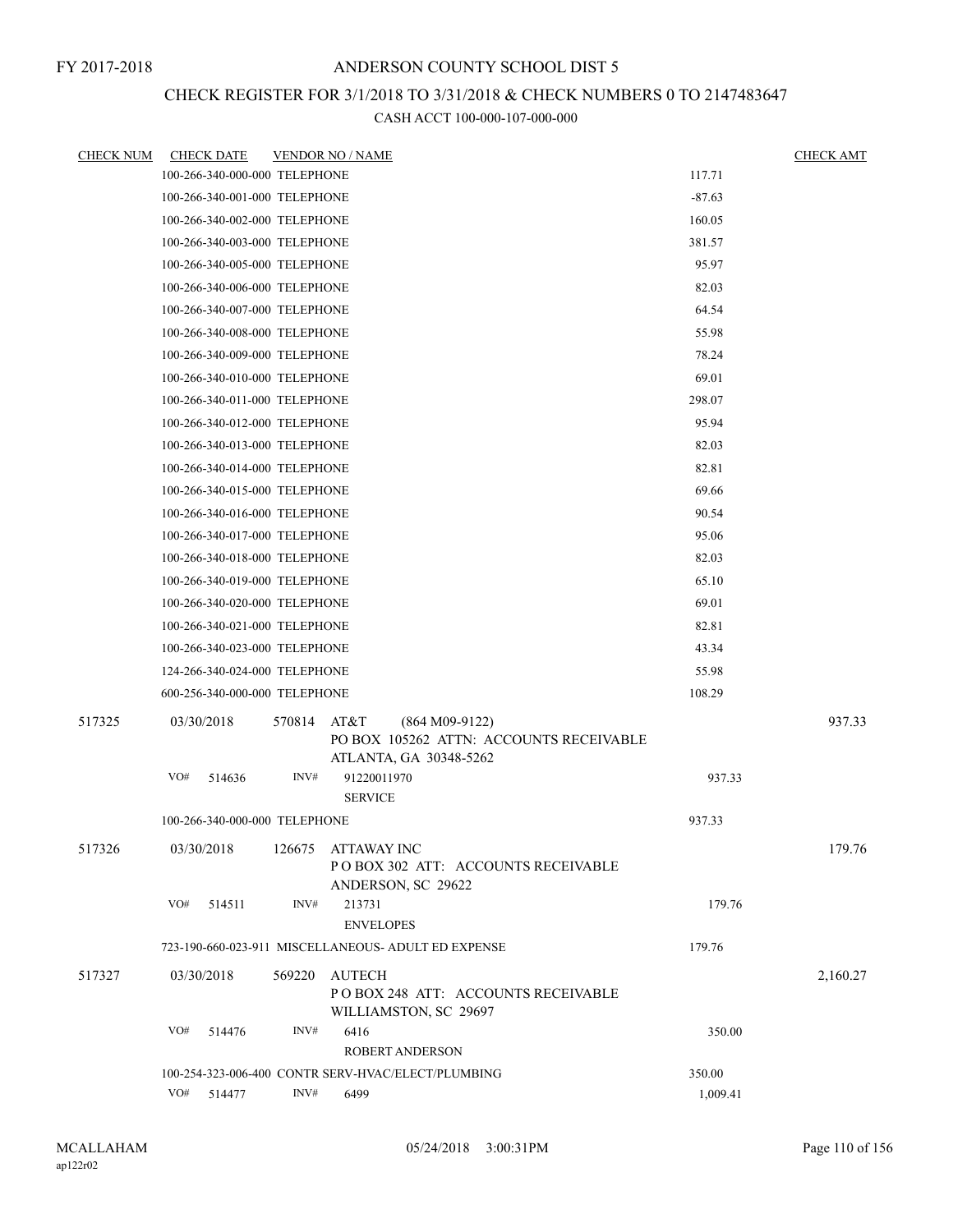# CHECK REGISTER FOR 3/1/2018 TO 3/31/2018 & CHECK NUMBERS 0 TO 2147483647

| <b>CHECK NUM</b> | <b>CHECK DATE</b>             |        | <b>VENDOR NO / NAME</b>                                                                       |          | <b>CHECK AMT</b> |
|------------------|-------------------------------|--------|-----------------------------------------------------------------------------------------------|----------|------------------|
|                  | 100-266-340-000-000 TELEPHONE |        |                                                                                               | 117.71   |                  |
|                  | 100-266-340-001-000 TELEPHONE |        |                                                                                               | $-87.63$ |                  |
|                  | 100-266-340-002-000 TELEPHONE |        |                                                                                               | 160.05   |                  |
|                  | 100-266-340-003-000 TELEPHONE |        |                                                                                               | 381.57   |                  |
|                  | 100-266-340-005-000 TELEPHONE |        |                                                                                               | 95.97    |                  |
|                  | 100-266-340-006-000 TELEPHONE |        |                                                                                               | 82.03    |                  |
|                  | 100-266-340-007-000 TELEPHONE |        |                                                                                               | 64.54    |                  |
|                  | 100-266-340-008-000 TELEPHONE |        |                                                                                               | 55.98    |                  |
|                  | 100-266-340-009-000 TELEPHONE |        |                                                                                               | 78.24    |                  |
|                  | 100-266-340-010-000 TELEPHONE |        |                                                                                               | 69.01    |                  |
|                  | 100-266-340-011-000 TELEPHONE |        |                                                                                               | 298.07   |                  |
|                  | 100-266-340-012-000 TELEPHONE |        |                                                                                               | 95.94    |                  |
|                  | 100-266-340-013-000 TELEPHONE |        |                                                                                               | 82.03    |                  |
|                  | 100-266-340-014-000 TELEPHONE |        |                                                                                               | 82.81    |                  |
|                  | 100-266-340-015-000 TELEPHONE |        |                                                                                               | 69.66    |                  |
|                  | 100-266-340-016-000 TELEPHONE |        |                                                                                               | 90.54    |                  |
|                  | 100-266-340-017-000 TELEPHONE |        |                                                                                               | 95.06    |                  |
|                  | 100-266-340-018-000 TELEPHONE |        |                                                                                               | 82.03    |                  |
|                  | 100-266-340-019-000 TELEPHONE |        |                                                                                               | 65.10    |                  |
|                  | 100-266-340-020-000 TELEPHONE |        |                                                                                               | 69.01    |                  |
|                  | 100-266-340-021-000 TELEPHONE |        |                                                                                               | 82.81    |                  |
|                  | 100-266-340-023-000 TELEPHONE |        |                                                                                               | 43.34    |                  |
|                  | 124-266-340-024-000 TELEPHONE |        |                                                                                               | 55.98    |                  |
|                  | 600-256-340-000-000 TELEPHONE |        |                                                                                               | 108.29   |                  |
| 517325           | 03/30/2018                    | 570814 | AT&T<br>$(864 M09-9122)$<br>PO BOX 105262 ATTN: ACCOUNTS RECEIVABLE<br>ATLANTA, GA 30348-5262 |          | 937.33           |
|                  | VO#<br>514636                 | INV#   | 91220011970<br><b>SERVICE</b>                                                                 | 937.33   |                  |
|                  | 100-266-340-000-000 TELEPHONE |        |                                                                                               | 937.33   |                  |
| 517326           | 03/30/2018                    |        | 126675 ATTAWAY INC<br>PO BOX 302 ATT: ACCOUNTS RECEIVABLE<br>ANDERSON, SC 29622               |          | 179.76           |
|                  | VO#<br>514511                 | INV#   | 213731<br><b>ENVELOPES</b>                                                                    | 179.76   |                  |
|                  |                               |        | 723-190-660-023-911 MISCELLANEOUS- ADULT ED EXPENSE                                           | 179.76   |                  |
| 517327           | 03/30/2018                    | 569220 | AUTECH<br>PO BOX 248 ATT: ACCOUNTS RECEIVABLE<br>WILLIAMSTON, SC 29697                        |          | 2,160.27         |
|                  | VO#<br>514476                 | INV#   | 6416<br><b>ROBERT ANDERSON</b>                                                                | 350.00   |                  |
|                  |                               |        | 100-254-323-006-400 CONTR SERV-HVAC/ELECT/PLUMBING                                            | 350.00   |                  |
|                  | VO#<br>514477                 | INV#   | 6499                                                                                          | 1,009.41 |                  |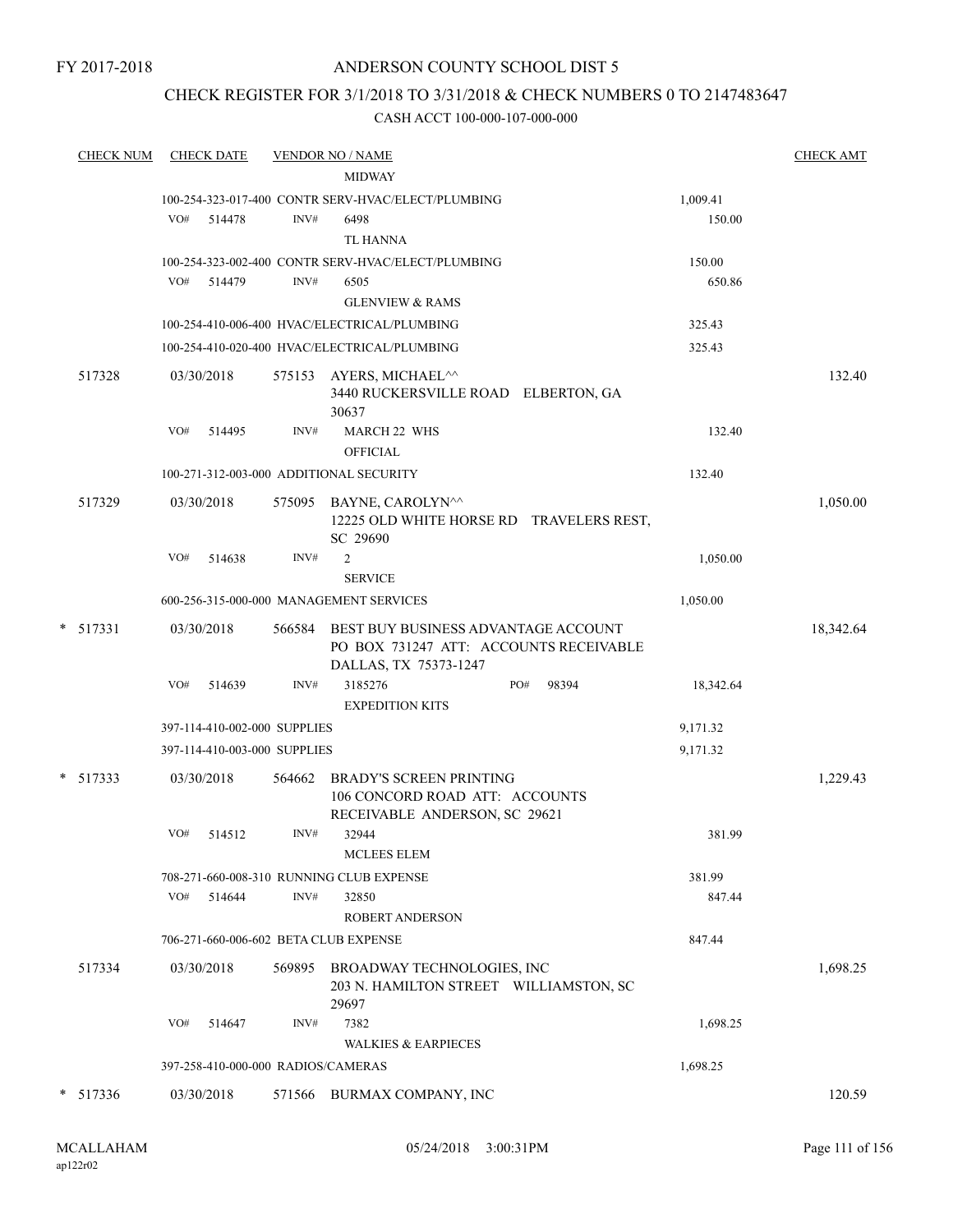### ANDERSON COUNTY SCHOOL DIST 5

# CHECK REGISTER FOR 3/1/2018 TO 3/31/2018 & CHECK NUMBERS 0 TO 2147483647

|   | <b>CHECK NUM</b> | <b>CHECK DATE</b> |                              |        | <b>VENDOR NO / NAME</b><br><b>MIDWAY</b>                                        |           | <b>CHECK AMT</b> |
|---|------------------|-------------------|------------------------------|--------|---------------------------------------------------------------------------------|-----------|------------------|
|   |                  |                   |                              |        | 100-254-323-017-400 CONTR SERV-HVAC/ELECT/PLUMBING                              | 1,009.41  |                  |
|   |                  | VO#               | 514478                       | INV#   | 6498                                                                            | 150.00    |                  |
|   |                  |                   |                              |        | TL HANNA                                                                        |           |                  |
|   |                  |                   |                              |        | 100-254-323-002-400 CONTR SERV-HVAC/ELECT/PLUMBING                              | 150.00    |                  |
|   |                  | VO#               | 514479                       | INV#   | 6505                                                                            | 650.86    |                  |
|   |                  |                   |                              |        | <b>GLENVIEW &amp; RAMS</b>                                                      |           |                  |
|   |                  |                   |                              |        | 100-254-410-006-400 HVAC/ELECTRICAL/PLUMBING                                    | 325.43    |                  |
|   |                  |                   |                              |        | 100-254-410-020-400 HVAC/ELECTRICAL/PLUMBING                                    | 325.43    |                  |
|   |                  |                   |                              |        |                                                                                 |           |                  |
|   | 517328           | 03/30/2018        |                              |        | 575153 AYERS, MICHAEL <sup>^^</sup>                                             |           | 132.40           |
|   |                  |                   |                              |        | 3440 RUCKERSVILLE ROAD ELBERTON, GA<br>30637                                    |           |                  |
|   |                  | VO#               | 514495                       | INV#   | MARCH 22 WHS                                                                    | 132.40    |                  |
|   |                  |                   |                              |        | <b>OFFICIAL</b>                                                                 |           |                  |
|   |                  |                   |                              |        | 100-271-312-003-000 ADDITIONAL SECURITY                                         | 132.40    |                  |
|   |                  |                   |                              |        |                                                                                 |           |                  |
|   | 517329           | 03/30/2018        |                              |        | 575095 BAYNE, CAROLYN <sup>^^</sup><br>12225 OLD WHITE HORSE RD TRAVELERS REST, |           | 1,050.00         |
|   |                  |                   |                              |        | SC 29690                                                                        |           |                  |
|   |                  | VO#               | 514638                       | INV#   | $\overline{2}$                                                                  | 1,050.00  |                  |
|   |                  |                   |                              |        | <b>SERVICE</b>                                                                  |           |                  |
|   |                  |                   |                              |        | 600-256-315-000-000 MANAGEMENT SERVICES                                         | 1,050.00  |                  |
|   | $*$ 517331       | 03/30/2018        |                              | 566584 | BEST BUY BUSINESS ADVANTAGE ACCOUNT                                             |           | 18,342.64        |
|   |                  |                   |                              |        | PO BOX 731247 ATT: ACCOUNTS RECEIVABLE                                          |           |                  |
|   |                  |                   |                              |        | DALLAS, TX 75373-1247                                                           |           |                  |
|   |                  | VO#               | 514639                       | INV#   | 3185276<br>98394<br>PO#                                                         | 18,342.64 |                  |
|   |                  |                   |                              |        | <b>EXPEDITION KITS</b>                                                          |           |                  |
|   |                  |                   | 397-114-410-002-000 SUPPLIES |        |                                                                                 | 9,171.32  |                  |
|   |                  |                   | 397-114-410-003-000 SUPPLIES |        |                                                                                 | 9,171.32  |                  |
|   | $*$ 517333       | 03/30/2018        |                              | 564662 | <b>BRADY'S SCREEN PRINTING</b>                                                  |           | 1,229.43         |
|   |                  |                   |                              |        | 106 CONCORD ROAD ATT: ACCOUNTS                                                  |           |                  |
|   |                  |                   |                              |        | RECEIVABLE ANDERSON, SC 29621                                                   |           |                  |
|   |                  | VO#               | 514512                       | INV#   | 32944                                                                           | 381.99    |                  |
|   |                  |                   |                              |        | <b>MCLEES ELEM</b>                                                              |           |                  |
|   |                  |                   |                              |        | 708-271-660-008-310 RUNNING CLUB EXPENSE                                        | 381.99    |                  |
|   |                  | VO#               | 514644                       | INV#   | 32850                                                                           | 847.44    |                  |
|   |                  |                   |                              |        | <b>ROBERT ANDERSON</b>                                                          |           |                  |
|   |                  |                   |                              |        | 706-271-660-006-602 BETA CLUB EXPENSE                                           | 847.44    |                  |
|   | 517334           | 03/30/2018        |                              | 569895 | BROADWAY TECHNOLOGIES, INC                                                      |           | 1,698.25         |
|   |                  |                   |                              |        | 203 N. HAMILTON STREET WILLIAMSTON, SC                                          |           |                  |
|   |                  |                   |                              |        | 29697                                                                           |           |                  |
|   |                  | VO#               | 514647                       | INV#   | 7382                                                                            | 1,698.25  |                  |
|   |                  |                   |                              |        | <b>WALKIES &amp; EARPIECES</b>                                                  |           |                  |
|   |                  |                   |                              |        | 397-258-410-000-000 RADIOS/CAMERAS                                              | 1,698.25  |                  |
| * | 517336           | 03/30/2018        |                              |        | 571566 BURMAX COMPANY, INC                                                      |           | 120.59           |
|   |                  |                   |                              |        |                                                                                 |           |                  |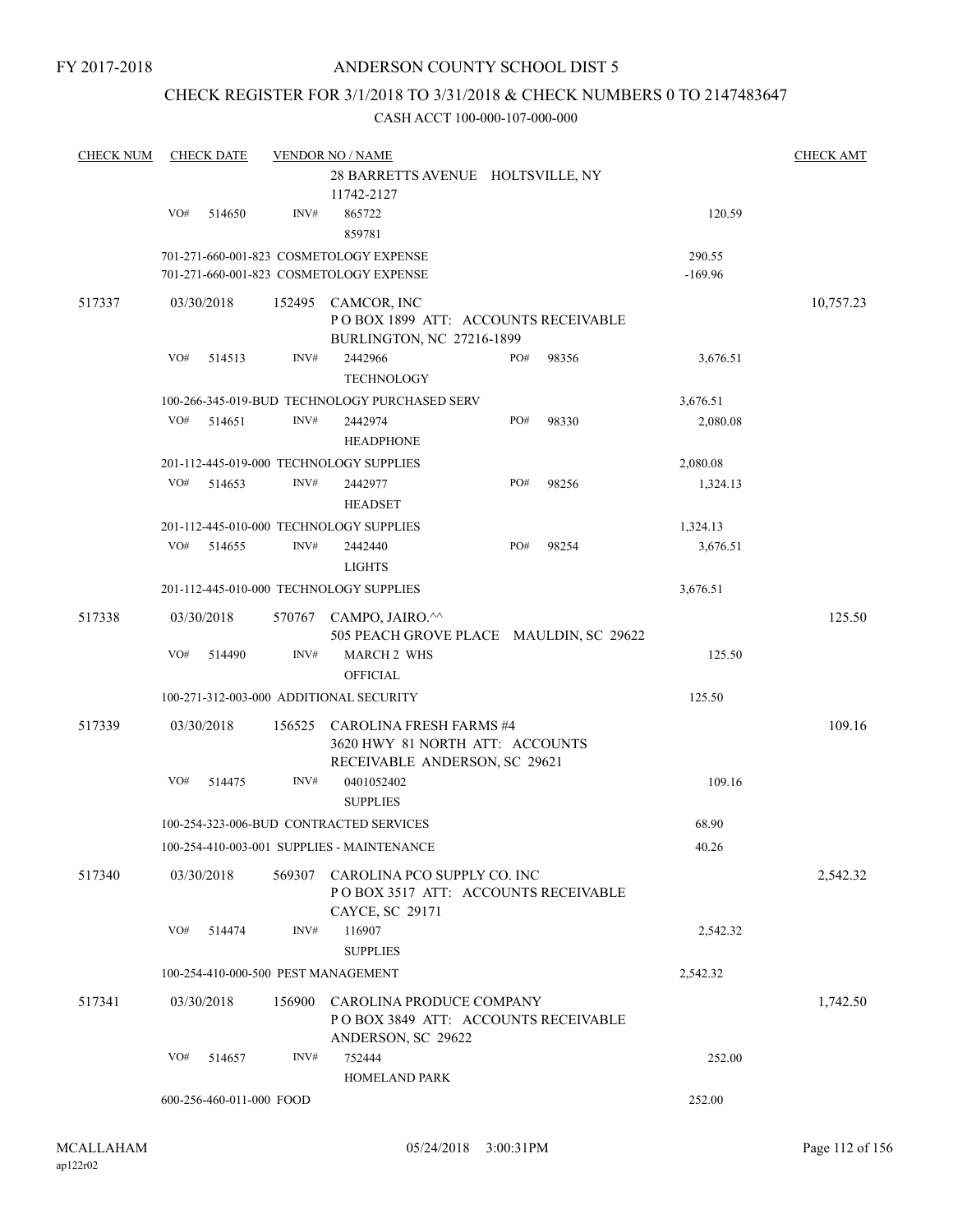### CHECK REGISTER FOR 3/1/2018 TO 3/31/2018 & CHECK NUMBERS 0 TO 2147483647

| <b>CHECK NUM</b> |     | <b>CHECK DATE</b>        |        | <b>VENDOR NO / NAME</b><br>28 BARRETTS AVENUE HOLTSVILLE, NY<br>11742-2127                         |     |       |                     | <b>CHECK AMT</b> |
|------------------|-----|--------------------------|--------|----------------------------------------------------------------------------------------------------|-----|-------|---------------------|------------------|
|                  | VO# | 514650                   | INV#   | 865722<br>859781                                                                                   |     |       | 120.59              |                  |
|                  |     |                          |        | 701-271-660-001-823 COSMETOLOGY EXPENSE<br>701-271-660-001-823 COSMETOLOGY EXPENSE                 |     |       | 290.55<br>$-169.96$ |                  |
| 517337           |     | 03/30/2018               |        | 152495 CAMCOR, INC<br>POBOX 1899 ATT: ACCOUNTS RECEIVABLE<br>BURLINGTON, NC 27216-1899             |     |       |                     | 10,757.23        |
|                  | VO# | 514513                   | INV#   | 2442966<br><b>TECHNOLOGY</b>                                                                       | PO# | 98356 | 3,676.51            |                  |
|                  |     |                          |        | 100-266-345-019-BUD TECHNOLOGY PURCHASED SERV                                                      |     |       | 3,676.51            |                  |
|                  | VO# | 514651                   | INV#   | 2442974<br><b>HEADPHONE</b>                                                                        | PO# | 98330 | 2,080.08            |                  |
|                  |     |                          |        | 201-112-445-019-000 TECHNOLOGY SUPPLIES                                                            |     |       | 2,080.08            |                  |
|                  | VO# | 514653                   | INV#   | 2442977<br><b>HEADSET</b>                                                                          | PO# | 98256 | 1,324.13            |                  |
|                  |     |                          |        | 201-112-445-010-000 TECHNOLOGY SUPPLIES                                                            |     |       | 1,324.13            |                  |
|                  | VO# | 514655                   | INV#   | 2442440<br><b>LIGHTS</b>                                                                           | PO# | 98254 | 3,676.51            |                  |
|                  |     |                          |        | 201-112-445-010-000 TECHNOLOGY SUPPLIES                                                            |     |       | 3,676.51            |                  |
| 517338           |     | 03/30/2018               |        | 570767 CAMPO, JAIRO.^^<br>505 PEACH GROVE PLACE MAULDIN, SC 29622                                  |     |       |                     | 125.50           |
|                  | VO# | 514490                   | INV#   | <b>MARCH 2 WHS</b><br><b>OFFICIAL</b>                                                              |     |       | 125.50              |                  |
|                  |     |                          |        | 100-271-312-003-000 ADDITIONAL SECURITY                                                            |     |       | 125.50              |                  |
| 517339           |     | 03/30/2018               | 156525 | <b>CAROLINA FRESH FARMS #4</b><br>3620 HWY 81 NORTH ATT: ACCOUNTS<br>RECEIVABLE ANDERSON, SC 29621 |     |       |                     | 109.16           |
|                  | VO# | 514475                   | INV#   | 0401052402<br><b>SUPPLIES</b>                                                                      |     |       | 109.16              |                  |
|                  |     |                          |        | 100-254-323-006-BUD CONTRACTED SERVICES                                                            |     |       | 68.90               |                  |
|                  |     |                          |        | 100-254-410-003-001 SUPPLIES - MAINTENANCE                                                         |     |       | 40.26               |                  |
| 517340           |     | 03/30/2018               | 569307 | CAROLINA PCO SUPPLY CO. INC<br>POBOX 3517 ATT: ACCOUNTS RECEIVABLE<br>CAYCE, SC 29171              |     |       |                     | 2,542.32         |
|                  | VO# | 514474                   | INV#   | 116907<br><b>SUPPLIES</b>                                                                          |     |       | 2,542.32            |                  |
|                  |     |                          |        | 100-254-410-000-500 PEST MANAGEMENT                                                                |     |       | 2,542.32            |                  |
| 517341           |     | 03/30/2018               | 156900 | CAROLINA PRODUCE COMPANY<br>POBOX 3849 ATT: ACCOUNTS RECEIVABLE<br>ANDERSON, SC 29622              |     |       |                     | 1,742.50         |
|                  | VO# | 514657                   | INV#   | 752444<br><b>HOMELAND PARK</b>                                                                     |     |       | 252.00              |                  |
|                  |     | 600-256-460-011-000 FOOD |        |                                                                                                    |     |       | 252.00              |                  |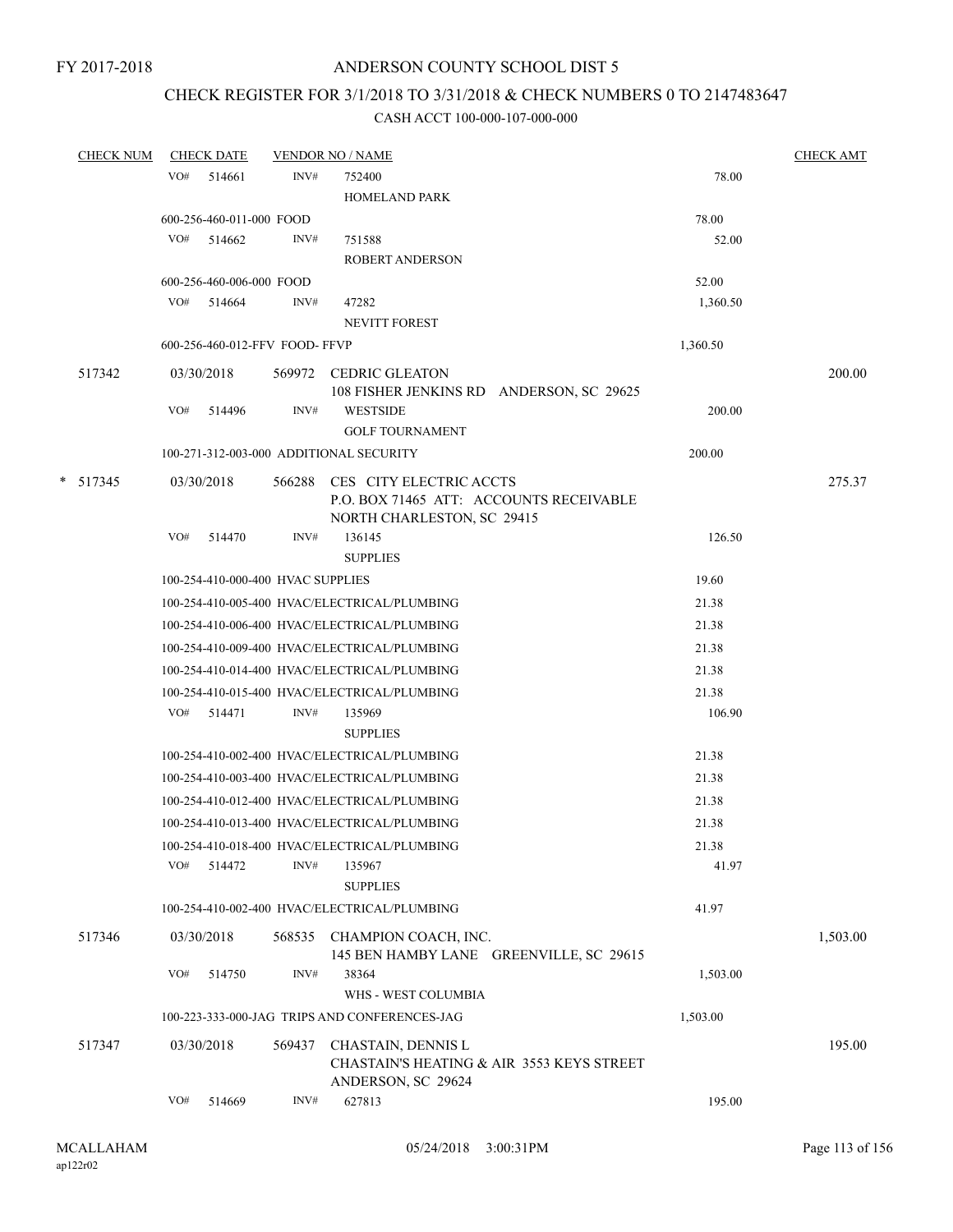### CHECK REGISTER FOR 3/1/2018 TO 3/31/2018 & CHECK NUMBERS 0 TO 2147483647

| <b>CHECK NUM</b> |     | <b>CHECK DATE</b>                 |        | <b>VENDOR NO / NAME</b>                                                               |          | <b>CHECK AMT</b> |
|------------------|-----|-----------------------------------|--------|---------------------------------------------------------------------------------------|----------|------------------|
|                  | VO# | 514661                            | INV#   | 752400                                                                                | 78.00    |                  |
|                  |     |                                   |        | <b>HOMELAND PARK</b>                                                                  |          |                  |
|                  |     | 600-256-460-011-000 FOOD          |        |                                                                                       | 78.00    |                  |
|                  |     | $VO#$ 514662                      | INV#   | 751588                                                                                | 52.00    |                  |
|                  |     |                                   |        | <b>ROBERT ANDERSON</b>                                                                |          |                  |
|                  |     | 600-256-460-006-000 FOOD          |        |                                                                                       | 52.00    |                  |
|                  |     | VO# 514664                        | INV#   | 47282                                                                                 | 1,360.50 |                  |
|                  |     |                                   |        | <b>NEVITT FOREST</b>                                                                  |          |                  |
|                  |     | 600-256-460-012-FFV FOOD-FFVP     |        |                                                                                       | 1,360.50 |                  |
| 517342           |     | 03/30/2018                        |        | 569972 CEDRIC GLEATON<br>108 FISHER JENKINS RD ANDERSON, SC 29625                     |          | 200.00           |
|                  | VO# | 514496                            | INV#   | <b>WESTSIDE</b>                                                                       | 200.00   |                  |
|                  |     |                                   |        | <b>GOLF TOURNAMENT</b>                                                                |          |                  |
|                  |     |                                   |        | 100-271-312-003-000 ADDITIONAL SECURITY                                               | 200.00   |                  |
| $* 517345$       |     | 03/30/2018                        |        | 566288 CES CITY ELECTRIC ACCTS<br>P.O. BOX 71465 ATT: ACCOUNTS RECEIVABLE             |          | 275.37           |
|                  | VO# | 514470                            | INV#   | NORTH CHARLESTON, SC 29415<br>136145                                                  | 126.50   |                  |
|                  |     |                                   |        | <b>SUPPLIES</b>                                                                       |          |                  |
|                  |     | 100-254-410-000-400 HVAC SUPPLIES |        |                                                                                       | 19.60    |                  |
|                  |     |                                   |        | 100-254-410-005-400 HVAC/ELECTRICAL/PLUMBING                                          | 21.38    |                  |
|                  |     |                                   |        | 100-254-410-006-400 HVAC/ELECTRICAL/PLUMBING                                          | 21.38    |                  |
|                  |     |                                   |        |                                                                                       |          |                  |
|                  |     |                                   |        | 100-254-410-009-400 HVAC/ELECTRICAL/PLUMBING                                          | 21.38    |                  |
|                  |     |                                   |        | 100-254-410-014-400 HVAC/ELECTRICAL/PLUMBING                                          | 21.38    |                  |
|                  |     |                                   |        | 100-254-410-015-400 HVAC/ELECTRICAL/PLUMBING                                          | 21.38    |                  |
|                  |     | VO# 514471                        | INV#   | 135969                                                                                | 106.90   |                  |
|                  |     |                                   |        | <b>SUPPLIES</b>                                                                       |          |                  |
|                  |     |                                   |        | 100-254-410-002-400 HVAC/ELECTRICAL/PLUMBING                                          | 21.38    |                  |
|                  |     |                                   |        | 100-254-410-003-400 HVAC/ELECTRICAL/PLUMBING                                          | 21.38    |                  |
|                  |     |                                   |        | 100-254-410-012-400 HVAC/ELECTRICAL/PLUMBING                                          | 21.38    |                  |
|                  |     |                                   |        | 100-254-410-013-400 HVAC/ELECTRICAL/PLUMBING                                          | 21.38    |                  |
|                  |     |                                   |        | 100-254-410-018-400 HVAC/ELECTRICAL/PLUMBING                                          | 21.38    |                  |
|                  | VO# | 514472                            | INV#   | 135967<br><b>SUPPLIES</b>                                                             | 41.97    |                  |
|                  |     |                                   |        | 100-254-410-002-400 HVAC/ELECTRICAL/PLUMBING                                          | 41.97    |                  |
| 517346           |     | 03/30/2018                        |        | 568535 CHAMPION COACH, INC.<br>145 BEN HAMBY LANE GREENVILLE, SC 29615                |          | 1,503.00         |
|                  | VO# | 514750                            | INV#   | 38364<br>WHS - WEST COLUMBIA                                                          | 1,503.00 |                  |
|                  |     |                                   |        | 100-223-333-000-JAG TRIPS AND CONFERENCES-JAG                                         | 1,503.00 |                  |
| 517347           |     | 03/30/2018                        | 569437 | CHASTAIN, DENNIS L<br>CHASTAIN'S HEATING & AIR 3553 KEYS STREET<br>ANDERSON, SC 29624 |          | 195.00           |
|                  | VO# | 514669                            | INV#   | 627813                                                                                | 195.00   |                  |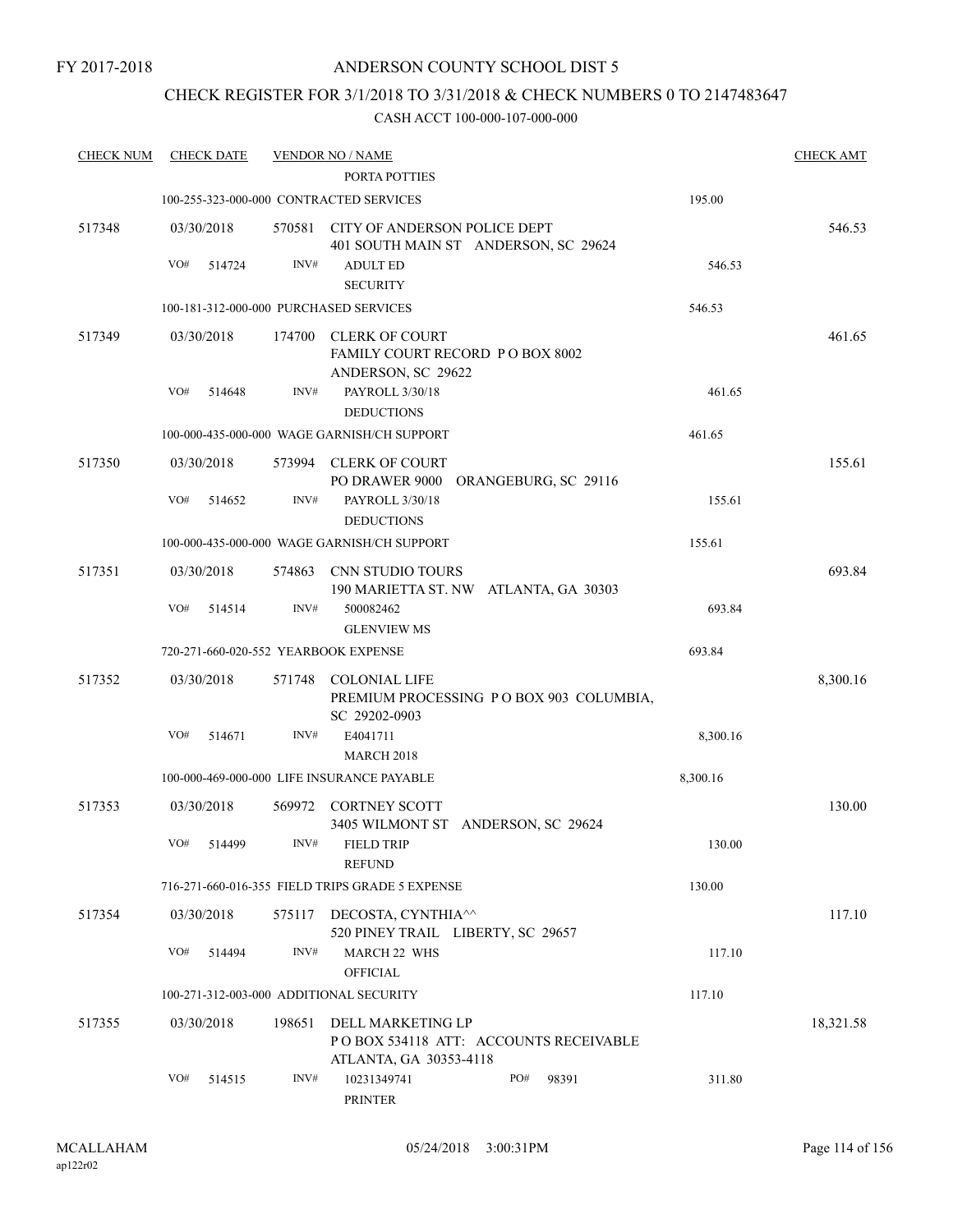### CHECK REGISTER FOR 3/1/2018 TO 3/31/2018 & CHECK NUMBERS 0 TO 2147483647

| <b>CHECK NUM</b> | <b>CHECK DATE</b>                       |        | <b>VENDOR NO / NAME</b>                                                                     |          | <b>CHECK AMT</b> |
|------------------|-----------------------------------------|--------|---------------------------------------------------------------------------------------------|----------|------------------|
|                  |                                         |        | PORTA POTTIES                                                                               |          |                  |
|                  |                                         |        | 100-255-323-000-000 CONTRACTED SERVICES                                                     | 195.00   |                  |
| 517348           | 03/30/2018                              | 570581 | CITY OF ANDERSON POLICE DEPT<br>401 SOUTH MAIN ST ANDERSON, SC 29624                        |          | 546.53           |
|                  | VO#<br>514724                           | INV#   | <b>ADULT ED</b>                                                                             | 546.53   |                  |
|                  |                                         |        | <b>SECURITY</b>                                                                             |          |                  |
|                  | 100-181-312-000-000 PURCHASED SERVICES  |        |                                                                                             | 546.53   |                  |
| 517349           | 03/30/2018                              | 174700 | <b>CLERK OF COURT</b><br>FAMILY COURT RECORD P O BOX 8002<br>ANDERSON, SC 29622             |          | 461.65           |
|                  | VO#<br>514648                           | INV#   | PAYROLL 3/30/18<br><b>DEDUCTIONS</b>                                                        | 461.65   |                  |
|                  |                                         |        | 100-000-435-000-000 WAGE GARNISH/CH SUPPORT                                                 | 461.65   |                  |
| 517350           | 03/30/2018                              | 573994 | <b>CLERK OF COURT</b><br>PO DRAWER 9000 ORANGEBURG, SC 29116                                |          | 155.61           |
|                  | VO#<br>514652                           | INV#   | PAYROLL 3/30/18<br><b>DEDUCTIONS</b>                                                        | 155.61   |                  |
|                  |                                         |        | 100-000-435-000-000 WAGE GARNISH/CH SUPPORT                                                 | 155.61   |                  |
| 517351           | 03/30/2018                              | 574863 | CNN STUDIO TOURS<br>190 MARIETTA ST. NW ATLANTA, GA 30303                                   |          | 693.84           |
|                  | VO#<br>514514                           | INV#   | 500082462<br><b>GLENVIEW MS</b>                                                             | 693.84   |                  |
|                  | 720-271-660-020-552 YEARBOOK EXPENSE    |        |                                                                                             | 693.84   |                  |
| 517352           | 03/30/2018                              | 571748 | <b>COLONIAL LIFE</b><br>PREMIUM PROCESSING PO BOX 903 COLUMBIA,<br>SC 29202-0903            |          | 8,300.16         |
|                  | VO#<br>514671                           | INV#   | E4041711<br><b>MARCH 2018</b>                                                               | 8,300.16 |                  |
|                  |                                         |        | 100-000-469-000-000 LIFE INSURANCE PAYABLE                                                  | 8,300.16 |                  |
| 517353           | 03/30/2018                              | 569972 | <b>CORTNEY SCOTT</b><br>3405 WILMONT ST ANDERSON, SC 29624                                  |          | 130.00           |
|                  | VO# 514499                              | INV#   | FIELD TRIP<br><b>REFUND</b>                                                                 | 130.00   |                  |
|                  |                                         |        | 716-271-660-016-355 FIELD TRIPS GRADE 5 EXPENSE                                             | 130.00   |                  |
| 517354           | 03/30/2018                              |        | 575117 DECOSTA, CYNTHIA <sup><math>\wedge</math></sup><br>520 PINEY TRAIL LIBERTY, SC 29657 |          | 117.10           |
|                  | VO#<br>514494                           | INV#   | MARCH 22 WHS<br><b>OFFICIAL</b>                                                             | 117.10   |                  |
|                  | 100-271-312-003-000 ADDITIONAL SECURITY |        |                                                                                             | 117.10   |                  |
| 517355           | 03/30/2018                              | 198651 | DELL MARKETING LP<br>POBOX 534118 ATT: ACCOUNTS RECEIVABLE<br>ATLANTA, GA 30353-4118        |          | 18,321.58        |
|                  | VO#<br>514515                           | INV#   | 10231349741<br>PO#<br>98391<br>PRINTER                                                      | 311.80   |                  |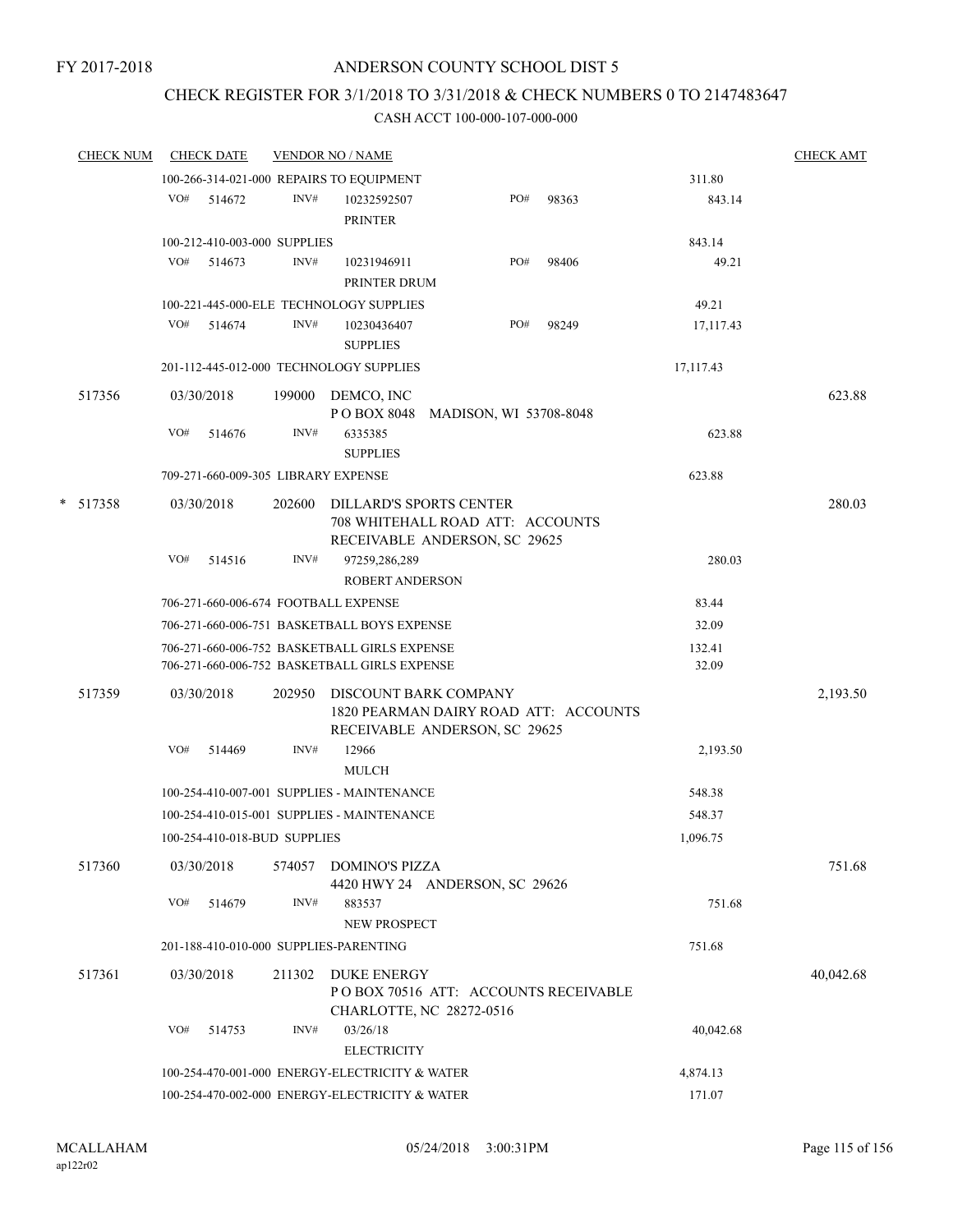## CHECK REGISTER FOR 3/1/2018 TO 3/31/2018 & CHECK NUMBERS 0 TO 2147483647

|        | <b>CHECK NUM</b> |     | <b>CHECK DATE</b> |                              | <b>VENDOR NO / NAME</b>                                                                             |                        |     |       |                 | <b>CHECK AMT</b> |
|--------|------------------|-----|-------------------|------------------------------|-----------------------------------------------------------------------------------------------------|------------------------|-----|-------|-----------------|------------------|
|        |                  |     |                   |                              | 100-266-314-021-000 REPAIRS TO EQUIPMENT                                                            |                        |     |       | 311.80          |                  |
|        |                  | VO# | 514672            | INV#                         | 10232592507<br><b>PRINTER</b>                                                                       |                        | PO# | 98363 | 843.14          |                  |
|        |                  |     |                   | 100-212-410-003-000 SUPPLIES |                                                                                                     |                        |     |       | 843.14          |                  |
|        |                  | VO# | 514673            | INV#                         | 10231946911<br>PRINTER DRUM                                                                         |                        | PO# | 98406 | 49.21           |                  |
|        |                  |     |                   |                              | 100-221-445-000-ELE TECHNOLOGY SUPPLIES                                                             |                        |     |       | 49.21           |                  |
|        |                  | VO# | 514674            | INV#                         | 10230436407<br><b>SUPPLIES</b>                                                                      |                        | PO# | 98249 | 17,117.43       |                  |
|        |                  |     |                   |                              | 201-112-445-012-000 TECHNOLOGY SUPPLIES                                                             |                        |     |       | 17,117.43       |                  |
|        | 517356           |     | 03/30/2018        |                              | 199000 DEMCO, INC<br>PO BOX 8048                                                                    | MADISON, WI 53708-8048 |     |       |                 | 623.88           |
|        |                  | VO# | 514676            | INV#                         | 6335385<br><b>SUPPLIES</b>                                                                          |                        |     |       | 623.88          |                  |
|        |                  |     |                   |                              | 709-271-660-009-305 LIBRARY EXPENSE                                                                 |                        |     |       | 623.88          |                  |
| $\ast$ | 517358           |     | 03/30/2018        | 202600                       | <b>DILLARD'S SPORTS CENTER</b><br>708 WHITEHALL ROAD ATT: ACCOUNTS<br>RECEIVABLE ANDERSON, SC 29625 |                        |     |       |                 | 280.03           |
|        |                  | VO# | 514516            | INV#                         | 97259,286,289<br><b>ROBERT ANDERSON</b>                                                             |                        |     |       | 280.03          |                  |
|        |                  |     |                   |                              | 706-271-660-006-674 FOOTBALL EXPENSE                                                                |                        |     |       | 83.44           |                  |
|        |                  |     |                   |                              | 706-271-660-006-751 BASKETBALL BOYS EXPENSE                                                         |                        |     |       | 32.09           |                  |
|        |                  |     |                   |                              | 706-271-660-006-752 BASKETBALL GIRLS EXPENSE<br>706-271-660-006-752 BASKETBALL GIRLS EXPENSE        |                        |     |       | 132.41<br>32.09 |                  |
|        | 517359           |     | 03/30/2018        | 202950                       | DISCOUNT BARK COMPANY<br>1820 PEARMAN DAIRY ROAD ATT: ACCOUNTS<br>RECEIVABLE ANDERSON, SC 29625     |                        |     |       |                 | 2,193.50         |
|        |                  | VO# | 514469            | INV#                         | 12966<br><b>MULCH</b>                                                                               |                        |     |       | 2,193.50        |                  |
|        |                  |     |                   |                              | 100-254-410-007-001 SUPPLIES - MAINTENANCE                                                          |                        |     |       | 548.38          |                  |
|        |                  |     |                   |                              | 100-254-410-015-001 SUPPLIES - MAINTENANCE                                                          |                        |     |       | 548.37          |                  |
|        |                  |     |                   | 100-254-410-018-BUD SUPPLIES |                                                                                                     |                        |     |       | 1,096.75        |                  |
|        | 517360           |     | 03/30/2018        | 574057                       | <b>DOMINO'S PIZZA</b><br>4420 HWY 24 ANDERSON, SC 29626                                             |                        |     |       |                 | 751.68           |
|        |                  | VO# | 514679            | INV#                         | 883537                                                                                              |                        |     |       | 751.68          |                  |
|        |                  |     |                   |                              | NEW PROSPECT                                                                                        |                        |     |       |                 |                  |
|        |                  |     |                   |                              | 201-188-410-010-000 SUPPLIES-PARENTING                                                              |                        |     |       | 751.68          |                  |
|        | 517361           |     | 03/30/2018        | 211302                       | <b>DUKE ENERGY</b><br>PO BOX 70516 ATT: ACCOUNTS RECEIVABLE<br>CHARLOTTE, NC 28272-0516             |                        |     |       |                 | 40,042.68        |
|        |                  | VO# | 514753            | INV#                         | 03/26/18<br><b>ELECTRICITY</b>                                                                      |                        |     |       | 40,042.68       |                  |
|        |                  |     |                   |                              | 100-254-470-001-000 ENERGY-ELECTRICITY & WATER                                                      |                        |     |       | 4,874.13        |                  |
|        |                  |     |                   |                              | 100-254-470-002-000 ENERGY-ELECTRICITY & WATER                                                      |                        |     |       | 171.07          |                  |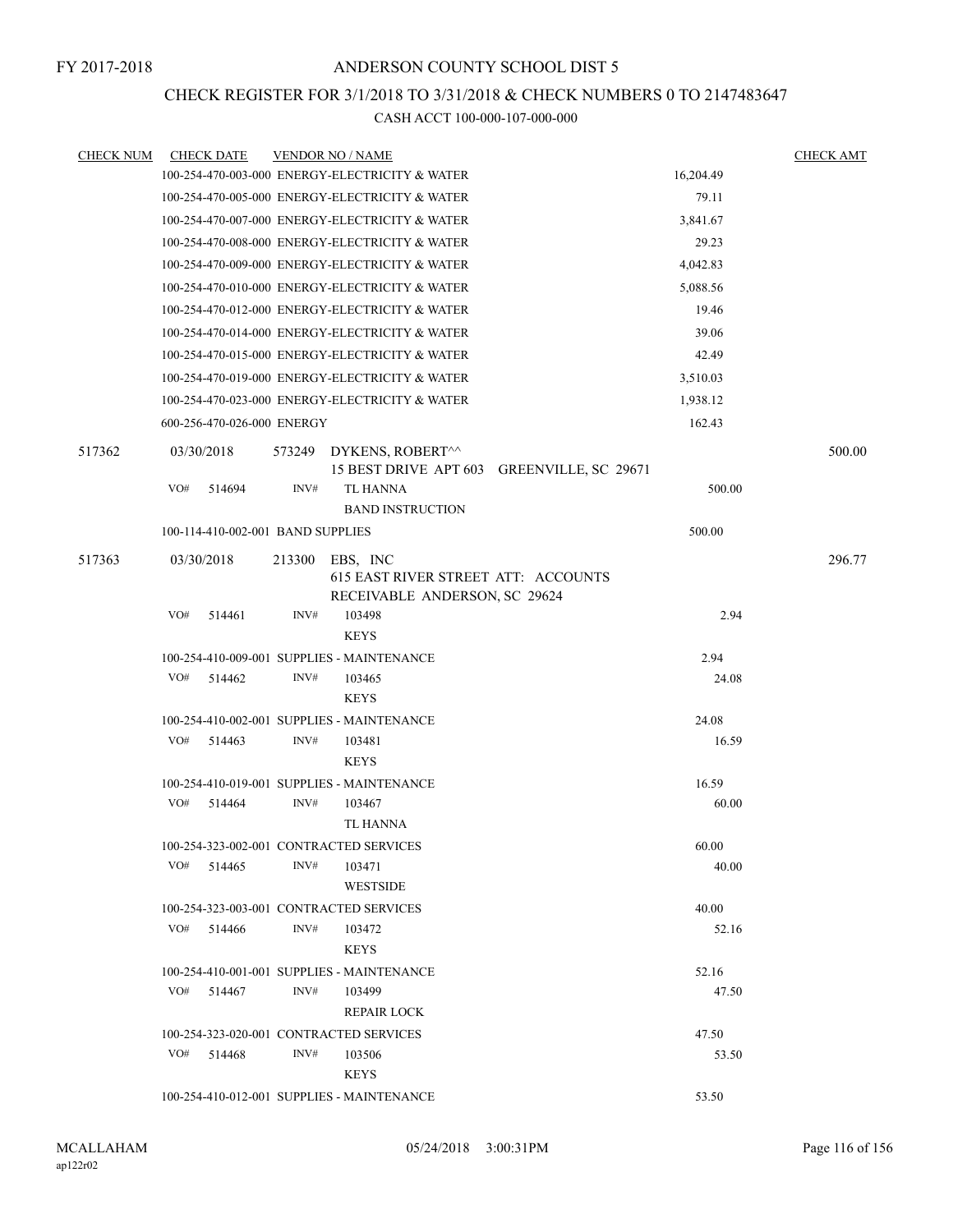### CHECK REGISTER FOR 3/1/2018 TO 3/31/2018 & CHECK NUMBERS 0 TO 2147483647

| <b>CHECK NUM</b> | <b>CHECK DATE</b>                       |        | <b>VENDOR NO / NAME</b>                        |           | <b>CHECK AMT</b> |
|------------------|-----------------------------------------|--------|------------------------------------------------|-----------|------------------|
|                  |                                         |        | 100-254-470-003-000 ENERGY-ELECTRICITY & WATER | 16,204.49 |                  |
|                  |                                         |        | 100-254-470-005-000 ENERGY-ELECTRICITY & WATER | 79.11     |                  |
|                  |                                         |        | 100-254-470-007-000 ENERGY-ELECTRICITY & WATER | 3,841.67  |                  |
|                  |                                         |        | 100-254-470-008-000 ENERGY-ELECTRICITY & WATER | 29.23     |                  |
|                  |                                         |        | 100-254-470-009-000 ENERGY-ELECTRICITY & WATER | 4,042.83  |                  |
|                  |                                         |        | 100-254-470-010-000 ENERGY-ELECTRICITY & WATER | 5,088.56  |                  |
|                  |                                         |        | 100-254-470-012-000 ENERGY-ELECTRICITY & WATER | 19.46     |                  |
|                  |                                         |        | 100-254-470-014-000 ENERGY-ELECTRICITY & WATER | 39.06     |                  |
|                  |                                         |        | 100-254-470-015-000 ENERGY-ELECTRICITY & WATER | 42.49     |                  |
|                  |                                         |        | 100-254-470-019-000 ENERGY-ELECTRICITY & WATER | 3,510.03  |                  |
|                  |                                         |        | 100-254-470-023-000 ENERGY-ELECTRICITY & WATER | 1,938.12  |                  |
|                  | 600-256-470-026-000 ENERGY              |        |                                                | 162.43    |                  |
| 517362           | 03/30/2018                              |        | 573249 DYKENS, ROBERT^^                        |           | 500.00           |
|                  |                                         |        | 15 BEST DRIVE APT 603 GREENVILLE, SC 29671     |           |                  |
|                  | VO#<br>514694                           | INV#   | <b>TL HANNA</b>                                | 500.00    |                  |
|                  |                                         |        | <b>BAND INSTRUCTION</b>                        |           |                  |
|                  | 100-114-410-002-001 BAND SUPPLIES       |        |                                                | 500.00    |                  |
| 517363           | 03/30/2018                              | 213300 | EBS, INC                                       |           | 296.77           |
|                  |                                         |        | <b>615 EAST RIVER STREET ATT: ACCOUNTS</b>     |           |                  |
|                  |                                         |        | RECEIVABLE ANDERSON, SC 29624                  |           |                  |
|                  | VO#<br>514461                           | INV#   | 103498                                         | 2.94      |                  |
|                  |                                         |        | <b>KEYS</b>                                    |           |                  |
|                  |                                         |        | 100-254-410-009-001 SUPPLIES - MAINTENANCE     | 2.94      |                  |
|                  | VO#<br>514462                           | INV#   | 103465                                         | 24.08     |                  |
|                  |                                         |        | <b>KEYS</b>                                    |           |                  |
|                  |                                         |        | 100-254-410-002-001 SUPPLIES - MAINTENANCE     | 24.08     |                  |
|                  | VO#<br>514463                           | INV#   | 103481<br><b>KEYS</b>                          | 16.59     |                  |
|                  |                                         |        | 100-254-410-019-001 SUPPLIES - MAINTENANCE     | 16.59     |                  |
|                  | VO#<br>514464                           | INV#   | 103467                                         | 60.00     |                  |
|                  |                                         |        | <b>TL HANNA</b>                                |           |                  |
|                  | 100-254-323-002-001 CONTRACTED SERVICES |        |                                                | 60.00     |                  |
|                  | $VO#$ 514465                            | INV#   | 103471                                         | 40.00     |                  |
|                  |                                         |        | <b>WESTSIDE</b>                                |           |                  |
|                  | 100-254-323-003-001 CONTRACTED SERVICES |        |                                                | 40.00     |                  |
|                  | VO#<br>514466                           | INV#   | 103472                                         | 52.16     |                  |
|                  |                                         |        | <b>KEYS</b>                                    |           |                  |
|                  |                                         |        | 100-254-410-001-001 SUPPLIES - MAINTENANCE     | 52.16     |                  |
|                  | VO#<br>514467                           | INV#   | 103499                                         | 47.50     |                  |
|                  |                                         |        | REPAIR LOCK                                    |           |                  |
|                  | 100-254-323-020-001 CONTRACTED SERVICES |        |                                                | 47.50     |                  |
|                  | VO#<br>514468                           | INV#   | 103506                                         | 53.50     |                  |
|                  |                                         |        | <b>KEYS</b>                                    |           |                  |
|                  |                                         |        | 100-254-410-012-001 SUPPLIES - MAINTENANCE     | 53.50     |                  |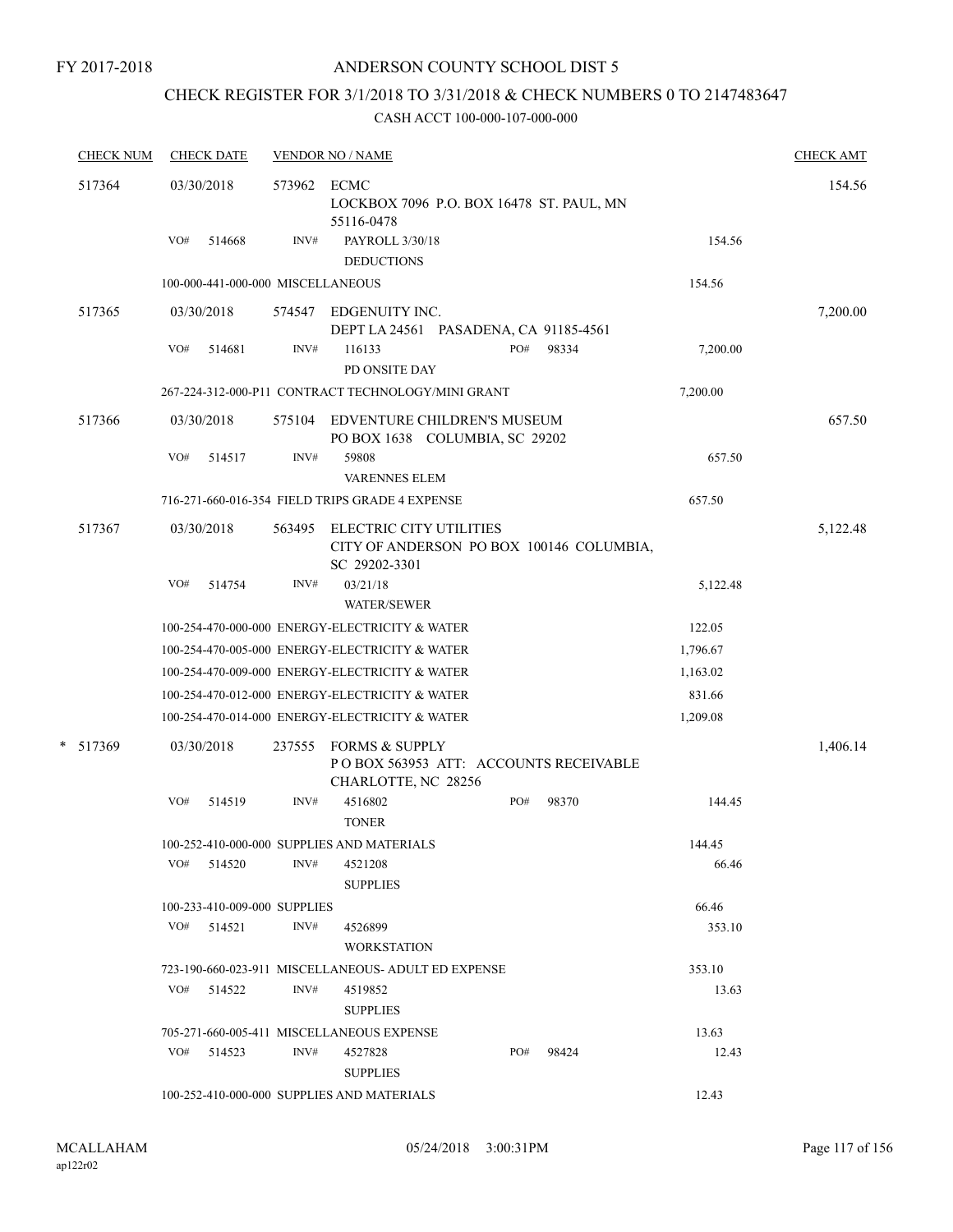# CHECK REGISTER FOR 3/1/2018 TO 3/31/2018 & CHECK NUMBERS 0 TO 2147483647

| <b>CHECK NUM</b> | <b>CHECK DATE</b>                 |        | <b>VENDOR NO / NAME</b>                                                                   |     |       |          | <b>CHECK AMT</b> |
|------------------|-----------------------------------|--------|-------------------------------------------------------------------------------------------|-----|-------|----------|------------------|
| 517364           | 03/30/2018                        | 573962 | <b>ECMC</b><br>LOCKBOX 7096 P.O. BOX 16478 ST. PAUL, MN<br>55116-0478                     |     |       | 154.56   |                  |
|                  | VO#<br>514668                     | INV#   | PAYROLL 3/30/18<br><b>DEDUCTIONS</b>                                                      |     |       | 154.56   |                  |
|                  | 100-000-441-000-000 MISCELLANEOUS |        |                                                                                           |     |       | 154.56   |                  |
| 517365           | 03/30/2018                        | 574547 | EDGENUITY INC.<br>DEPT LA 24561 PASADENA, CA 91185-4561                                   |     |       |          | 7,200.00         |
|                  | VO#<br>514681                     | INV#   | 116133<br>PD ONSITE DAY                                                                   | PO# | 98334 | 7,200.00 |                  |
|                  |                                   |        | 267-224-312-000-P11 CONTRACT TECHNOLOGY/MINI GRANT                                        |     |       | 7,200.00 |                  |
| 517366           | 03/30/2018                        | 575104 | EDVENTURE CHILDREN'S MUSEUM<br>PO BOX 1638 COLUMBIA, SC 29202                             |     |       |          | 657.50           |
|                  | VO#<br>514517                     | INV#   | 59808<br><b>VARENNES ELEM</b>                                                             |     |       | 657.50   |                  |
|                  |                                   |        | 716-271-660-016-354 FIELD TRIPS GRADE 4 EXPENSE                                           |     |       | 657.50   |                  |
| 517367           | 03/30/2018                        | 563495 | ELECTRIC CITY UTILITIES<br>CITY OF ANDERSON PO BOX 100146 COLUMBIA,<br>SC 29202-3301      |     |       |          | 5,122.48         |
|                  | VO#<br>514754                     | INV#   | 03/21/18<br><b>WATER/SEWER</b>                                                            |     |       | 5,122.48 |                  |
|                  |                                   |        | 100-254-470-000-000 ENERGY-ELECTRICITY & WATER                                            |     |       | 122.05   |                  |
|                  |                                   |        | 100-254-470-005-000 ENERGY-ELECTRICITY & WATER                                            |     |       | 1,796.67 |                  |
|                  |                                   |        | 100-254-470-009-000 ENERGY-ELECTRICITY & WATER                                            |     |       | 1,163.02 |                  |
|                  |                                   |        | 100-254-470-012-000 ENERGY-ELECTRICITY & WATER                                            |     |       | 831.66   |                  |
|                  |                                   |        | 100-254-470-014-000 ENERGY-ELECTRICITY & WATER                                            |     |       | 1,209.08 |                  |
| *<br>517369      | 03/30/2018                        | 237555 | <b>FORMS &amp; SUPPLY</b><br>POBOX 563953 ATT: ACCOUNTS RECEIVABLE<br>CHARLOTTE, NC 28256 |     |       |          | 1,406.14         |
|                  | VO#<br>514519                     | INV#   | 4516802<br><b>TONER</b>                                                                   | PO# | 98370 | 144.45   |                  |
|                  |                                   |        | 100-252-410-000-000 SUPPLIES AND MATERIALS                                                |     |       | 144.45   |                  |
|                  | $VO#$ 514520                      | INV#   | 4521208<br><b>SUPPLIES</b>                                                                |     |       | 66.46    |                  |
|                  | 100-233-410-009-000 SUPPLIES      |        |                                                                                           |     |       | 66.46    |                  |
|                  | $VO#$ 514521                      | INV#   | 4526899<br><b>WORKSTATION</b>                                                             |     |       | 353.10   |                  |
|                  |                                   |        | 723-190-660-023-911 MISCELLANEOUS- ADULT ED EXPENSE                                       |     |       | 353.10   |                  |
|                  | $VO#$ 514522                      | INV#   | 4519852<br><b>SUPPLIES</b>                                                                |     |       | 13.63    |                  |
|                  |                                   |        | 705-271-660-005-411 MISCELLANEOUS EXPENSE                                                 |     |       | 13.63    |                  |
|                  | $VO#$ 514523                      | INV#   | 4527828<br><b>SUPPLIES</b>                                                                | PO# | 98424 | 12.43    |                  |
|                  |                                   |        | 100-252-410-000-000 SUPPLIES AND MATERIALS                                                |     |       | 12.43    |                  |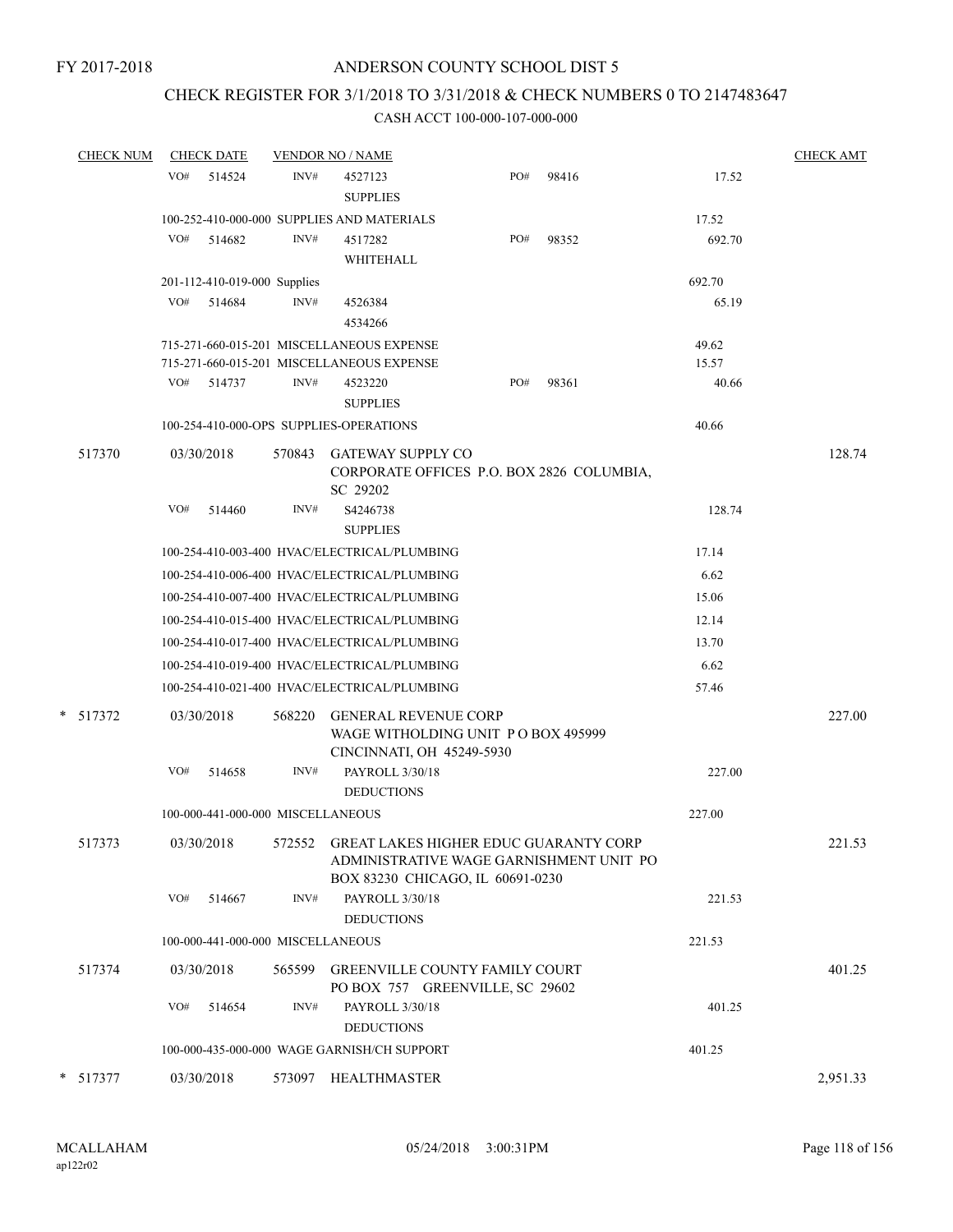# CHECK REGISTER FOR 3/1/2018 TO 3/31/2018 & CHECK NUMBERS 0 TO 2147483647

| <b>CHECK NUM</b> |     | <b>CHECK DATE</b>                 |        | <b>VENDOR NO / NAME</b>                                                                                                     |     |       |                | <b>CHECK AMT</b> |
|------------------|-----|-----------------------------------|--------|-----------------------------------------------------------------------------------------------------------------------------|-----|-------|----------------|------------------|
|                  | VO# | 514524                            | INV#   | 4527123<br><b>SUPPLIES</b>                                                                                                  | PO# | 98416 | 17.52          |                  |
|                  |     |                                   |        | 100-252-410-000-000 SUPPLIES AND MATERIALS                                                                                  |     |       | 17.52          |                  |
|                  | VO# | 514682                            | INV#   | 4517282<br>WHITEHALL                                                                                                        | PO# | 98352 | 692.70         |                  |
|                  |     | 201-112-410-019-000 Supplies      |        |                                                                                                                             |     |       | 692.70         |                  |
|                  | VO# | 514684                            | INV#   | 4526384<br>4534266                                                                                                          |     |       | 65.19          |                  |
|                  |     |                                   |        | 715-271-660-015-201 MISCELLANEOUS EXPENSE<br>715-271-660-015-201 MISCELLANEOUS EXPENSE                                      |     |       | 49.62<br>15.57 |                  |
|                  | VO# | 514737                            | INV#   | 4523220<br><b>SUPPLIES</b>                                                                                                  | PO# | 98361 | 40.66          |                  |
|                  |     |                                   |        | 100-254-410-000-OPS SUPPLIES-OPERATIONS                                                                                     |     |       | 40.66          |                  |
| 517370           |     | 03/30/2018                        | 570843 | <b>GATEWAY SUPPLY CO</b><br>CORPORATE OFFICES P.O. BOX 2826 COLUMBIA,                                                       |     |       |                | 128.74           |
|                  | VO# | 514460                            | INV#   | SC 29202<br>S4246738<br><b>SUPPLIES</b>                                                                                     |     |       | 128.74         |                  |
|                  |     |                                   |        | 100-254-410-003-400 HVAC/ELECTRICAL/PLUMBING                                                                                |     |       | 17.14          |                  |
|                  |     |                                   |        | 100-254-410-006-400 HVAC/ELECTRICAL/PLUMBING                                                                                |     |       | 6.62           |                  |
|                  |     |                                   |        | 100-254-410-007-400 HVAC/ELECTRICAL/PLUMBING                                                                                |     |       | 15.06          |                  |
|                  |     |                                   |        | 100-254-410-015-400 HVAC/ELECTRICAL/PLUMBING                                                                                |     |       | 12.14          |                  |
|                  |     |                                   |        | 100-254-410-017-400 HVAC/ELECTRICAL/PLUMBING                                                                                |     |       | 13.70          |                  |
|                  |     |                                   |        | 100-254-410-019-400 HVAC/ELECTRICAL/PLUMBING                                                                                |     |       | 6.62           |                  |
|                  |     |                                   |        | 100-254-410-021-400 HVAC/ELECTRICAL/PLUMBING                                                                                |     |       | 57.46          |                  |
| * 517372         |     | 03/30/2018                        | 568220 | <b>GENERAL REVENUE CORP</b><br>WAGE WITHOLDING UNIT PO BOX 495999<br>CINCINNATI, OH 45249-5930                              |     |       |                | 227.00           |
|                  | VO# | 514658                            | INV#   | PAYROLL 3/30/18<br><b>DEDUCTIONS</b>                                                                                        |     |       | 227.00         |                  |
|                  |     | 100-000-441-000-000 MISCELLANEOUS |        |                                                                                                                             |     |       | 227.00         |                  |
| 517373           |     | 03/30/2018                        |        | 572552 GREAT LAKES HIGHER EDUC GUARANTY CORP<br>ADMINISTRATIVE WAGE GARNISHMENT UNIT PO<br>BOX 83230 CHICAGO, IL 60691-0230 |     |       |                | 221.53           |
|                  | VO# | 514667                            | INV#   | PAYROLL 3/30/18<br><b>DEDUCTIONS</b>                                                                                        |     |       | 221.53         |                  |
|                  |     | 100-000-441-000-000 MISCELLANEOUS |        |                                                                                                                             |     |       | 221.53         |                  |
| 517374           |     | 03/30/2018                        |        | 565599 GREENVILLE COUNTY FAMILY COURT<br>PO BOX 757 GREENVILLE, SC 29602                                                    |     |       |                | 401.25           |
|                  | VO# | 514654                            | INV#   | PAYROLL 3/30/18<br><b>DEDUCTIONS</b>                                                                                        |     |       | 401.25         |                  |
|                  |     |                                   |        | 100-000-435-000-000 WAGE GARNISH/CH SUPPORT                                                                                 |     |       | 401.25         |                  |
| 517377           |     | 03/30/2018                        |        | 573097 HEALTHMASTER                                                                                                         |     |       |                | 2,951.33         |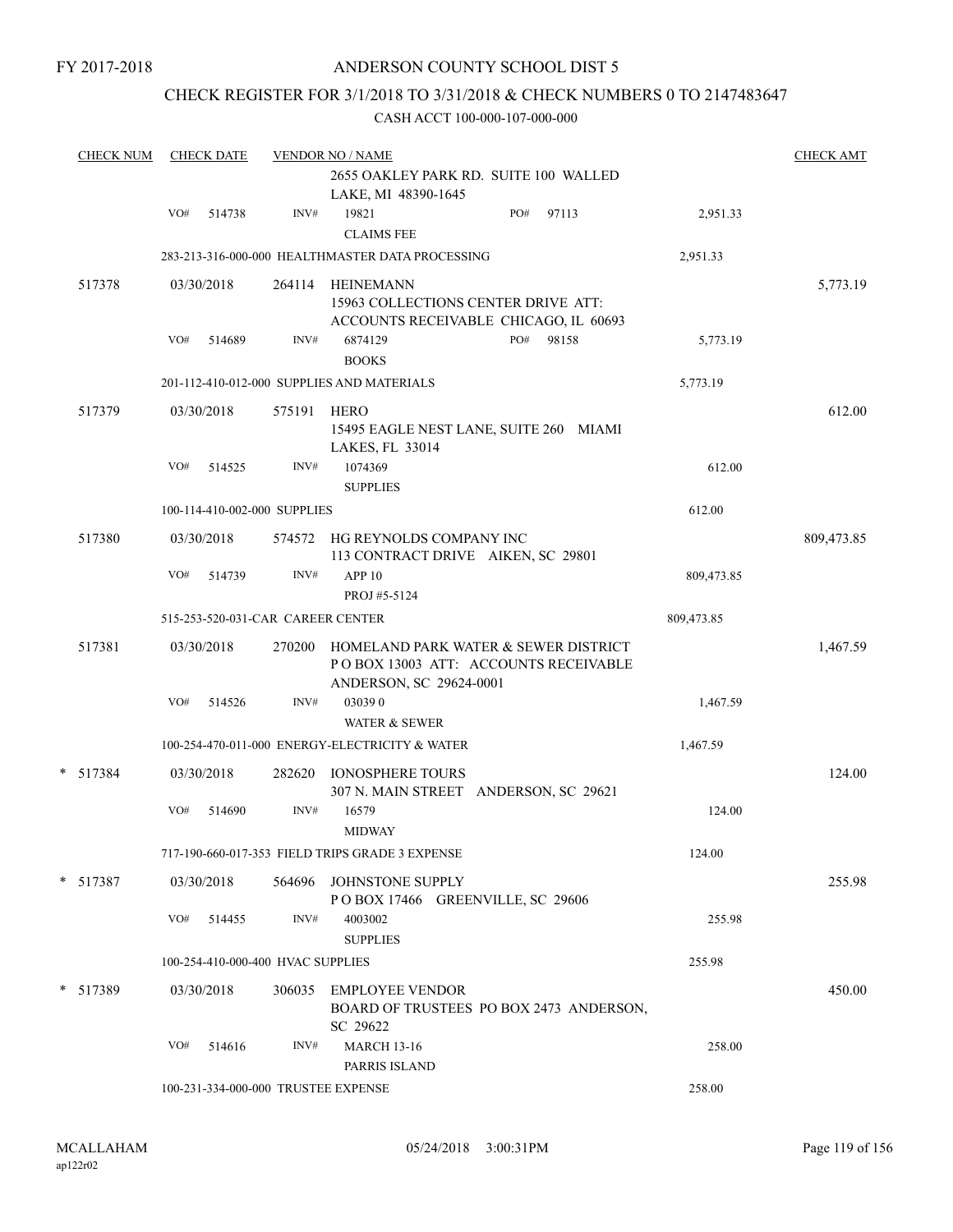### ANDERSON COUNTY SCHOOL DIST 5

### CHECK REGISTER FOR 3/1/2018 TO 3/31/2018 & CHECK NUMBERS 0 TO 2147483647

| <b>CHECK NUM</b> |     | <b>CHECK DATE</b> |                                   | <b>VENDOR NO / NAME</b>                                                                                 |            | <b>CHECK AMT</b> |
|------------------|-----|-------------------|-----------------------------------|---------------------------------------------------------------------------------------------------------|------------|------------------|
|                  |     |                   |                                   | 2655 OAKLEY PARK RD. SUITE 100 WALLED<br>LAKE, MI 48390-1645                                            |            |                  |
|                  | VO# | 514738            | INV#                              | PO#<br>19821<br>97113<br><b>CLAIMS FEE</b>                                                              | 2,951.33   |                  |
|                  |     |                   |                                   | 283-213-316-000-000 HEALTHMASTER DATA PROCESSING                                                        | 2,951.33   |                  |
| 517378           |     | 03/30/2018        |                                   | 264114 HEINEMANN<br>15963 COLLECTIONS CENTER DRIVE ATT:<br>ACCOUNTS RECEIVABLE CHICAGO, IL 60693        |            | 5,773.19         |
|                  | VO# | 514689            | INV#                              | 6874129<br>PO#<br>98158<br><b>BOOKS</b>                                                                 | 5,773.19   |                  |
|                  |     |                   |                                   | 201-112-410-012-000 SUPPLIES AND MATERIALS                                                              | 5,773.19   |                  |
| 517379           |     | 03/30/2018        | 575191                            | HERO<br>15495 EAGLE NEST LANE, SUITE 260 MIAMI<br>LAKES, FL 33014                                       |            | 612.00           |
|                  | VO# | 514525            | INV#                              | 1074369<br><b>SUPPLIES</b>                                                                              | 612.00     |                  |
|                  |     |                   | 100-114-410-002-000 SUPPLIES      |                                                                                                         | 612.00     |                  |
| 517380           |     | 03/30/2018        | 574572                            | HG REYNOLDS COMPANY INC<br>113 CONTRACT DRIVE AIKEN, SC 29801                                           |            | 809,473.85       |
|                  | VO# | 514739            | INV#                              | APP <sub>10</sub><br>PROJ #5-5124                                                                       | 809,473.85 |                  |
|                  |     |                   | 515-253-520-031-CAR CAREER CENTER |                                                                                                         | 809,473.85 |                  |
| 517381           |     | 03/30/2018        | 270200                            | HOMELAND PARK WATER & SEWER DISTRICT<br>POBOX 13003 ATT: ACCOUNTS RECEIVABLE<br>ANDERSON, SC 29624-0001 |            | 1,467.59         |
|                  | VO# | 514526            | INV#                              | 030390<br><b>WATER &amp; SEWER</b>                                                                      | 1,467.59   |                  |
|                  |     |                   |                                   | 100-254-470-011-000 ENERGY-ELECTRICITY & WATER                                                          | 1,467.59   |                  |
| $* 517384$       |     | 03/30/2018        | 282620                            | <b>IONOSPHERE TOURS</b><br>307 N. MAIN STREET ANDERSON, SC 29621                                        |            | 124.00           |
|                  | VO# | 514690            | INV#                              | 16579<br><b>MIDWAY</b>                                                                                  | 124.00     |                  |
|                  |     |                   |                                   | 717-190-660-017-353 FIELD TRIPS GRADE 3 EXPENSE                                                         | 124.00     |                  |
| $* 517387$       |     | 03/30/2018        |                                   | 564696 JOHNSTONE SUPPLY<br>POBOX 17466 GREENVILLE, SC 29606                                             |            | 255.98           |
|                  | VO# | 514455            | INV#                              | 4003002<br><b>SUPPLIES</b>                                                                              | 255.98     |                  |
|                  |     |                   | 100-254-410-000-400 HVAC SUPPLIES |                                                                                                         | 255.98     |                  |
| * 517389         |     | 03/30/2018        | 306035                            | <b>EMPLOYEE VENDOR</b><br>BOARD OF TRUSTEES PO BOX 2473 ANDERSON,<br>SC 29622                           |            | 450.00           |
|                  | VO# | 514616            | INV#                              | <b>MARCH 13-16</b><br>PARRIS ISLAND                                                                     | 258.00     |                  |
|                  |     |                   |                                   | 100-231-334-000-000 TRUSTEE EXPENSE                                                                     | 258.00     |                  |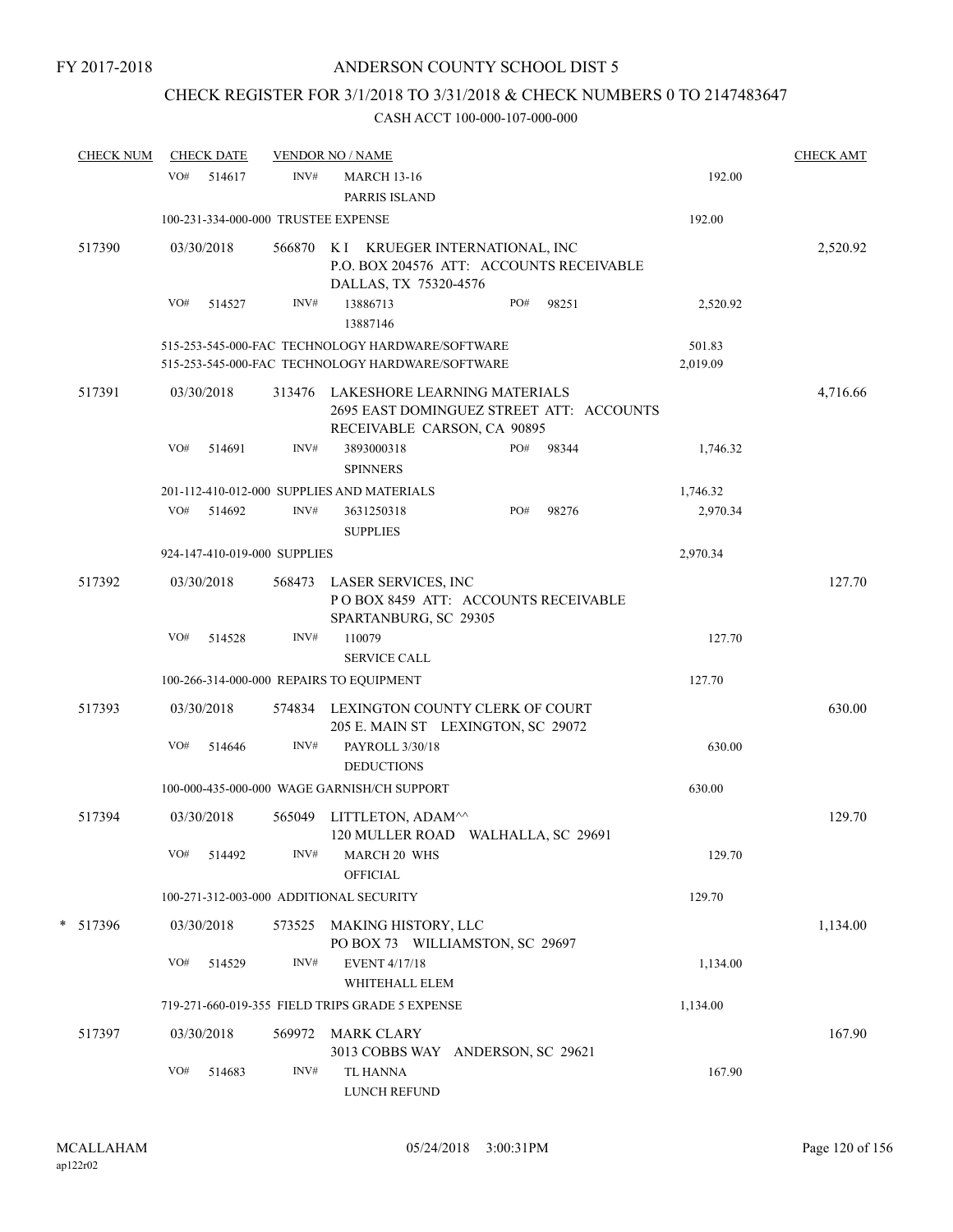# CHECK REGISTER FOR 3/1/2018 TO 3/31/2018 & CHECK NUMBERS 0 TO 2147483647

| <b>CHECK NUM</b> |     | <b>CHECK DATE</b> |                              | <b>VENDOR NO / NAME</b>                                                                                        |     |       |                    | <b>CHECK AMT</b> |
|------------------|-----|-------------------|------------------------------|----------------------------------------------------------------------------------------------------------------|-----|-------|--------------------|------------------|
|                  | VO# | 514617            | INV#                         | <b>MARCH 13-16</b><br>PARRIS ISLAND                                                                            |     |       | 192.00             |                  |
|                  |     |                   |                              | 100-231-334-000-000 TRUSTEE EXPENSE                                                                            |     |       | 192.00             |                  |
| 517390           |     | 03/30/2018        | 566870                       | KRUEGER INTERNATIONAL, INC<br>K I<br>P.O. BOX 204576 ATT: ACCOUNTS RECEIVABLE<br>DALLAS, TX 75320-4576         |     |       |                    | 2,520.92         |
|                  | VO# | 514527            | INV#                         | 13886713<br>13887146                                                                                           | PO# | 98251 | 2,520.92           |                  |
|                  |     |                   |                              | 515-253-545-000-FAC TECHNOLOGY HARDWARE/SOFTWARE<br>515-253-545-000-FAC TECHNOLOGY HARDWARE/SOFTWARE           |     |       | 501.83<br>2,019.09 |                  |
| 517391           |     | 03/30/2018        |                              | 313476 LAKESHORE LEARNING MATERIALS<br>2695 EAST DOMINGUEZ STREET ATT: ACCOUNTS<br>RECEIVABLE CARSON, CA 90895 |     |       |                    | 4,716.66         |
|                  | VO# | 514691            | INV#                         | 3893000318<br><b>SPINNERS</b>                                                                                  | PO# | 98344 | 1,746.32           |                  |
|                  |     |                   |                              | 201-112-410-012-000 SUPPLIES AND MATERIALS                                                                     |     |       | 1,746.32           |                  |
|                  |     | VO# 514692        | INV#                         | 3631250318<br><b>SUPPLIES</b>                                                                                  | PO# | 98276 | 2,970.34           |                  |
|                  |     |                   | 924-147-410-019-000 SUPPLIES |                                                                                                                |     |       | 2,970.34           |                  |
| 517392           |     | 03/30/2018        |                              | 568473 LASER SERVICES, INC<br>POBOX 8459 ATT: ACCOUNTS RECEIVABLE<br>SPARTANBURG, SC 29305                     |     |       |                    | 127.70           |
|                  | VO# | 514528            | INV#                         | 110079<br><b>SERVICE CALL</b>                                                                                  |     |       | 127.70             |                  |
|                  |     |                   |                              | 100-266-314-000-000 REPAIRS TO EQUIPMENT                                                                       |     |       | 127.70             |                  |
|                  |     |                   |                              |                                                                                                                |     |       |                    |                  |
| 517393           |     | 03/30/2018        |                              | 574834 LEXINGTON COUNTY CLERK OF COURT<br>205 E. MAIN ST LEXINGTON, SC 29072                                   |     |       |                    | 630.00           |
|                  | VO# | 514646            | INV#                         | PAYROLL 3/30/18<br><b>DEDUCTIONS</b>                                                                           |     |       | 630.00             |                  |
|                  |     |                   |                              | 100-000-435-000-000 WAGE GARNISH/CH SUPPORT                                                                    |     |       | 630.00             |                  |
| 517394           |     | 03/30/2018        | 565049                       | LITTLETON, ADAM^^<br>120 MULLER ROAD WALHALLA, SC 29691                                                        |     |       |                    | 129.70           |
|                  | VO# | 514492            | INV#                         | <b>MARCH 20 WHS</b><br><b>OFFICIAL</b>                                                                         |     |       | 129.70             |                  |
|                  |     |                   |                              | 100-271-312-003-000 ADDITIONAL SECURITY                                                                        |     |       | 129.70             |                  |
| * 517396         |     | 03/30/2018        | 573525                       | MAKING HISTORY, LLC<br>PO BOX 73 WILLIAMSTON, SC 29697                                                         |     |       |                    | 1,134.00         |
|                  | VO# | 514529            | INV#                         | <b>EVENT 4/17/18</b><br>WHITEHALL ELEM                                                                         |     |       | 1,134.00           |                  |
|                  |     |                   |                              | 719-271-660-019-355 FIELD TRIPS GRADE 5 EXPENSE                                                                |     |       | 1,134.00           |                  |
| 517397           |     | 03/30/2018        | 569972                       | MARK CLARY<br>3013 COBBS WAY ANDERSON, SC 29621                                                                |     |       |                    | 167.90           |
|                  | VO# | 514683            | INV#                         | TL HANNA<br>LUNCH REFUND                                                                                       |     |       | 167.90             |                  |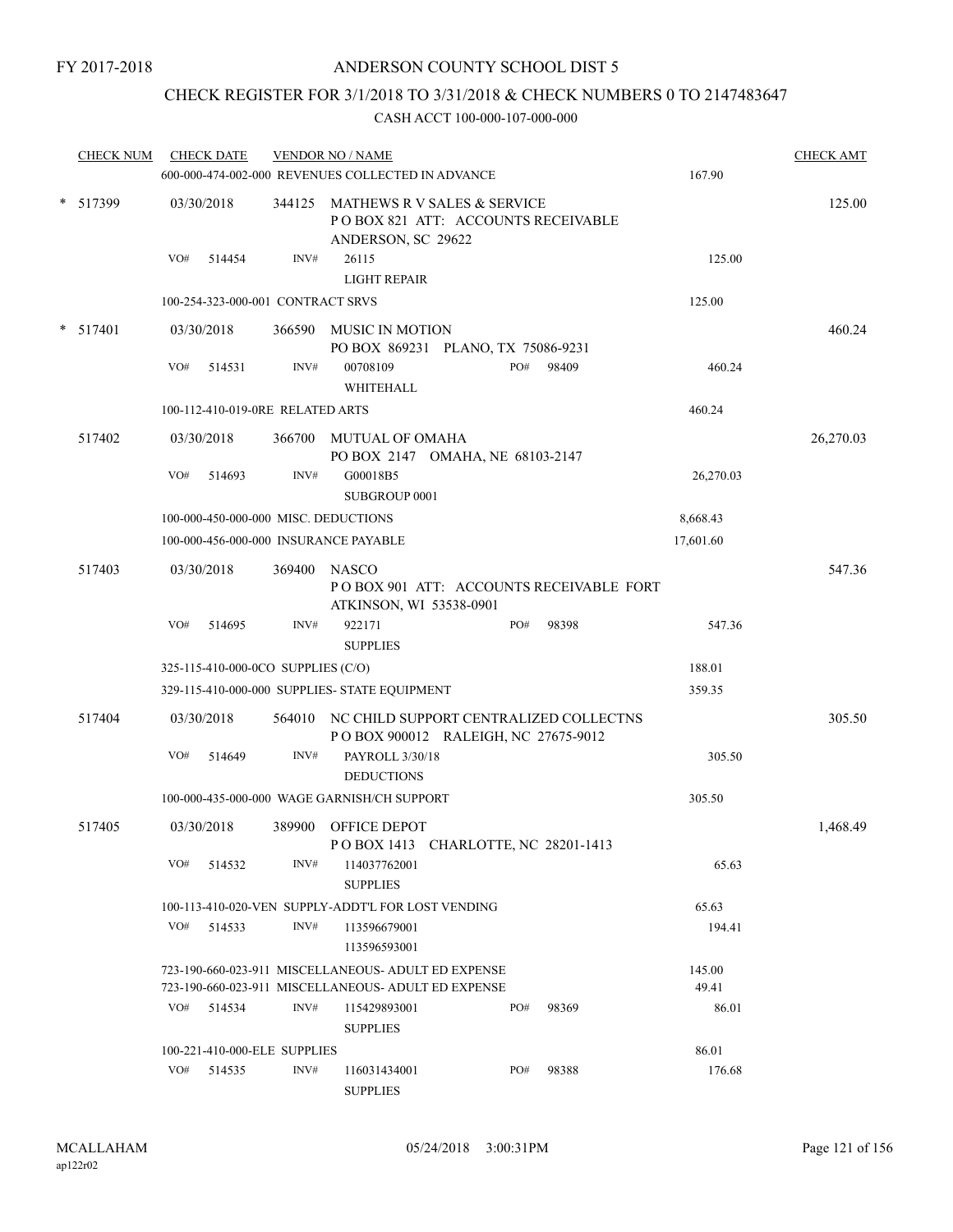# CHECK REGISTER FOR 3/1/2018 TO 3/31/2018 & CHECK NUMBERS 0 TO 2147483647

| <b>CHECK NUM</b> |     | <b>CHECK DATE</b> |                                    | <b>VENDOR NO / NAME</b><br>600-000-474-002-000 REVENUES COLLECTED IN ADVANCE                   |     |       | 167.90    | <b>CHECK AMT</b> |
|------------------|-----|-------------------|------------------------------------|------------------------------------------------------------------------------------------------|-----|-------|-----------|------------------|
| * 517399         |     | 03/30/2018        |                                    | 344125 MATHEWS R V SALES & SERVICE<br>POBOX 821 ATT: ACCOUNTS RECEIVABLE<br>ANDERSON, SC 29622 |     |       |           | 125.00           |
|                  | VO# | 514454            | INV#                               | 26115<br><b>LIGHT REPAIR</b>                                                                   |     |       | 125.00    |                  |
|                  |     |                   | 100-254-323-000-001 CONTRACT SRVS  |                                                                                                |     |       | 125.00    |                  |
| $*$ 517401       |     | 03/30/2018        |                                    | 366590 MUSIC IN MOTION<br>PO BOX 869231 PLANO, TX 75086-9231                                   |     |       |           | 460.24           |
|                  | VO# | 514531            | INV#                               | 00708109<br>WHITEHALL                                                                          | PO# | 98409 | 460.24    |                  |
|                  |     |                   | 100-112-410-019-0RE RELATED ARTS   |                                                                                                |     |       | 460.24    |                  |
| 517402           |     | 03/30/2018        | 366700                             | MUTUAL OF OMAHA<br>PO BOX 2147 OMAHA, NE 68103-2147                                            |     |       |           | 26,270.03        |
|                  | VO# | 514693            | INV#                               | G00018B5<br>SUBGROUP 0001                                                                      |     |       | 26,270.03 |                  |
|                  |     |                   |                                    | 100-000-450-000-000 MISC. DEDUCTIONS                                                           |     |       | 8,668.43  |                  |
|                  |     |                   |                                    | 100-000-456-000-000 INSURANCE PAYABLE                                                          |     |       | 17,601.60 |                  |
| 517403           |     | 03/30/2018        | 369400                             | <b>NASCO</b><br>POBOX 901 ATT: ACCOUNTS RECEIVABLE FORT<br>ATKINSON, WI 53538-0901             |     |       |           | 547.36           |
|                  | VO# | 514695            | INV#                               | 922171<br><b>SUPPLIES</b>                                                                      | PO# | 98398 | 547.36    |                  |
|                  |     |                   | 325-115-410-000-0CO SUPPLIES (C/O) |                                                                                                |     |       | 188.01    |                  |
|                  |     |                   |                                    | 329-115-410-000-000 SUPPLIES- STATE EQUIPMENT                                                  |     |       | 359.35    |                  |
| 517404           |     | 03/30/2018        | 564010                             | NC CHILD SUPPORT CENTRALIZED COLLECTNS<br>POBOX 900012 RALEIGH, NC 27675-9012                  |     |       |           | 305.50           |
|                  | VO# | 514649            | INV#                               | PAYROLL 3/30/18<br><b>DEDUCTIONS</b>                                                           |     |       | 305.50    |                  |
|                  |     |                   |                                    | 100-000-435-000-000 WAGE GARNISH/CH SUPPORT                                                    |     |       | 305.50    |                  |
| 517405           |     | 03/30/2018        |                                    | 389900 OFFICE DEPOT<br>POBOX 1413 CHARLOTTE, NC 28201-1413                                     |     |       |           | 1,468.49         |
|                  |     | $VO#$ 514532      | INV#                               | 114037762001<br><b>SUPPLIES</b>                                                                |     |       | 65.63     |                  |
|                  |     |                   |                                    | 100-113-410-020-VEN SUPPLY-ADDT'L FOR LOST VENDING                                             |     |       | 65.63     |                  |
|                  |     | $VO#$ 514533      | INV#                               | 113596679001<br>113596593001                                                                   |     |       | 194.41    |                  |
|                  |     |                   |                                    | 723-190-660-023-911 MISCELLANEOUS- ADULT ED EXPENSE                                            |     |       | 145.00    |                  |
|                  |     |                   |                                    | 723-190-660-023-911 MISCELLANEOUS- ADULT ED EXPENSE                                            |     |       | 49.41     |                  |
|                  |     | $VO#$ 514534      | INV#                               | 115429893001<br><b>SUPPLIES</b>                                                                | PO# | 98369 | 86.01     |                  |
|                  |     |                   | 100-221-410-000-ELE SUPPLIES       |                                                                                                |     |       | 86.01     |                  |
|                  | VO# | 514535            | INV#                               | 116031434001<br><b>SUPPLIES</b>                                                                | PO# | 98388 | 176.68    |                  |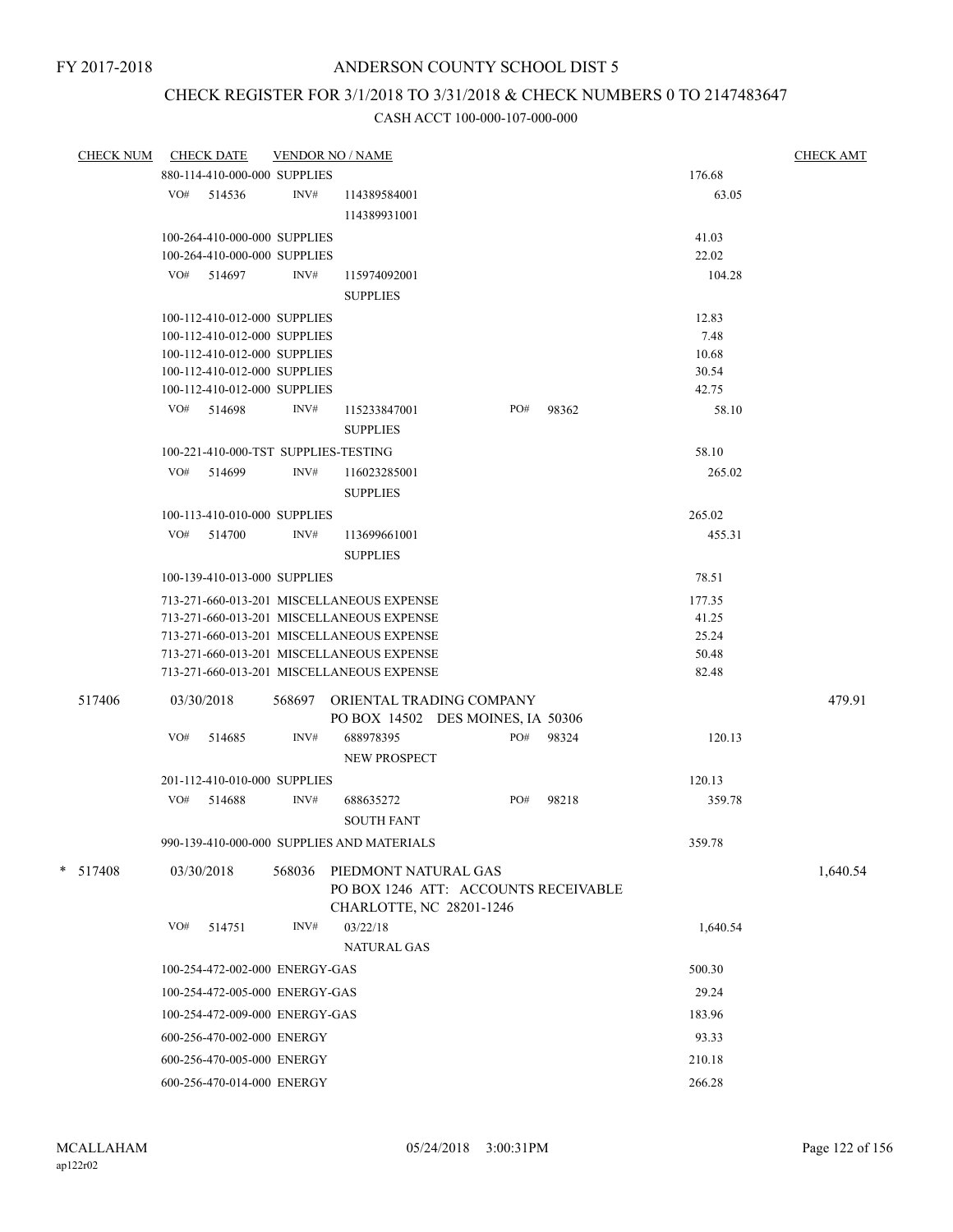# CHECK REGISTER FOR 3/1/2018 TO 3/31/2018 & CHECK NUMBERS 0 TO 2147483647

| CHECK NUM CHECK DATE |     |                                      |        | <b>VENDOR NO / NAME</b>                                                                  |     |           |          | <b>CHECK AMT</b> |
|----------------------|-----|--------------------------------------|--------|------------------------------------------------------------------------------------------|-----|-----------|----------|------------------|
|                      |     | 880-114-410-000-000 SUPPLIES         |        |                                                                                          |     |           | 176.68   |                  |
|                      |     | $VO#$ 514536                         | INV#   | 114389584001                                                                             |     |           | 63.05    |                  |
|                      |     |                                      |        | 114389931001                                                                             |     |           |          |                  |
|                      |     | 100-264-410-000-000 SUPPLIES         |        |                                                                                          |     |           | 41.03    |                  |
|                      |     | 100-264-410-000-000 SUPPLIES         |        |                                                                                          |     |           | 22.02    |                  |
|                      |     | VO# 514697                           | INV#   | 115974092001                                                                             |     |           | 104.28   |                  |
|                      |     |                                      |        | <b>SUPPLIES</b>                                                                          |     |           |          |                  |
|                      |     | 100-112-410-012-000 SUPPLIES         |        |                                                                                          |     |           | 12.83    |                  |
|                      |     | 100-112-410-012-000 SUPPLIES         |        |                                                                                          |     |           | 7.48     |                  |
|                      |     | 100-112-410-012-000 SUPPLIES         |        |                                                                                          |     |           | 10.68    |                  |
|                      |     | 100-112-410-012-000 SUPPLIES         |        |                                                                                          |     |           | 30.54    |                  |
|                      |     | 100-112-410-012-000 SUPPLIES         |        |                                                                                          |     |           | 42.75    |                  |
|                      |     | VO# 514698                           | INV#   | 115233847001<br><b>SUPPLIES</b>                                                          | PO# | 98362     | 58.10    |                  |
|                      |     | 100-221-410-000-TST SUPPLIES-TESTING |        |                                                                                          |     |           | 58.10    |                  |
|                      |     | VO# 514699                           | INV#   | 116023285001                                                                             |     |           | 265.02   |                  |
|                      |     |                                      |        | <b>SUPPLIES</b>                                                                          |     |           |          |                  |
|                      |     | 100-113-410-010-000 SUPPLIES         |        |                                                                                          |     |           | 265.02   |                  |
|                      |     | VO# 514700                           | INV#   | 113699661001                                                                             |     |           | 455.31   |                  |
|                      |     |                                      |        | <b>SUPPLIES</b>                                                                          |     |           |          |                  |
|                      |     | 100-139-410-013-000 SUPPLIES         |        |                                                                                          |     |           | 78.51    |                  |
|                      |     |                                      |        | 713-271-660-013-201 MISCELLANEOUS EXPENSE                                                |     |           | 177.35   |                  |
|                      |     |                                      |        | 713-271-660-013-201 MISCELLANEOUS EXPENSE                                                |     |           | 41.25    |                  |
|                      |     |                                      |        | 713-271-660-013-201 MISCELLANEOUS EXPENSE                                                |     |           | 25.24    |                  |
|                      |     |                                      |        | 713-271-660-013-201 MISCELLANEOUS EXPENSE                                                |     |           | 50.48    |                  |
|                      |     |                                      |        | 713-271-660-013-201 MISCELLANEOUS EXPENSE                                                |     |           | 82.48    |                  |
| 517406               |     | 03/30/2018                           |        | 568697 ORIENTAL TRADING COMPANY<br>PO BOX 14502 DES MOINES, IA 50306                     |     |           |          | 479.91           |
|                      | VO# | 514685                               | INV#   | 688978395                                                                                |     | PO# 98324 | 120.13   |                  |
|                      |     |                                      |        | NEW PROSPECT                                                                             |     |           |          |                  |
|                      |     | 201-112-410-010-000 SUPPLIES         |        |                                                                                          |     |           | 120.13   |                  |
|                      |     | VO# 514688                           | INV#   | 688635272                                                                                | PO# | 98218     | 359.78   |                  |
|                      |     |                                      |        | <b>SOUTH FANT</b>                                                                        |     |           |          |                  |
|                      |     |                                      |        | 990-139-410-000-000 SUPPLIES AND MATERIALS                                               |     |           | 359.78   |                  |
| $* 517408$           |     |                                      |        |                                                                                          |     |           |          | 1,640.54         |
|                      |     | 03/30/2018                           | 568036 | PIEDMONT NATURAL GAS<br>PO BOX 1246 ATT: ACCOUNTS RECEIVABLE<br>CHARLOTTE, NC 28201-1246 |     |           |          |                  |
|                      | VO# | 514751                               | INV#   | 03/22/18                                                                                 |     |           | 1,640.54 |                  |
|                      |     |                                      |        | <b>NATURAL GAS</b>                                                                       |     |           |          |                  |
|                      |     | 100-254-472-002-000 ENERGY-GAS       |        |                                                                                          |     |           | 500.30   |                  |
|                      |     | 100-254-472-005-000 ENERGY-GAS       |        |                                                                                          |     |           | 29.24    |                  |
|                      |     |                                      |        |                                                                                          |     |           |          |                  |
|                      |     | 100-254-472-009-000 ENERGY-GAS       |        |                                                                                          |     |           | 183.96   |                  |
|                      |     | 600-256-470-002-000 ENERGY           |        |                                                                                          |     |           | 93.33    |                  |
|                      |     | 600-256-470-005-000 ENERGY           |        |                                                                                          |     |           | 210.18   |                  |
|                      |     | 600-256-470-014-000 ENERGY           |        |                                                                                          |     |           | 266.28   |                  |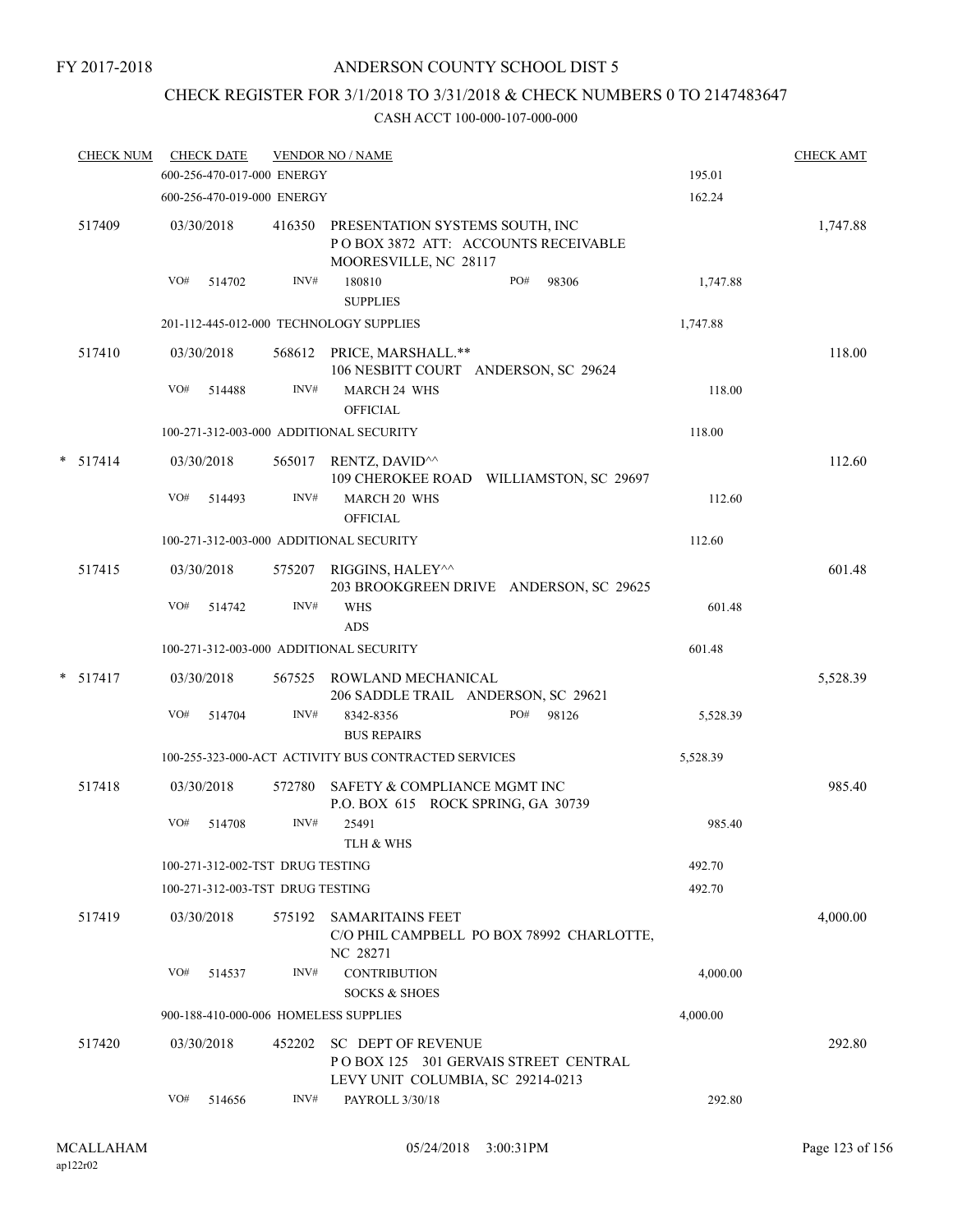# CHECK REGISTER FOR 3/1/2018 TO 3/31/2018 & CHECK NUMBERS 0 TO 2147483647

| <b>CHECK NUM</b> |     | <b>CHECK DATE</b><br>600-256-470-017-000 ENERGY |        | <b>VENDOR NO / NAME</b>                                                                         | 195.01   | <b>CHECK AMT</b> |
|------------------|-----|-------------------------------------------------|--------|-------------------------------------------------------------------------------------------------|----------|------------------|
|                  |     |                                                 |        |                                                                                                 |          |                  |
|                  |     | 600-256-470-019-000 ENERGY                      |        |                                                                                                 | 162.24   |                  |
| 517409           |     | 03/30/2018                                      | 416350 | PRESENTATION SYSTEMS SOUTH, INC<br>POBOX 3872 ATT: ACCOUNTS RECEIVABLE<br>MOORESVILLE, NC 28117 |          | 1,747.88         |
|                  | VO# | 514702                                          | INV#   | 180810<br>PO#<br>98306<br><b>SUPPLIES</b>                                                       | 1,747.88 |                  |
|                  |     |                                                 |        | 201-112-445-012-000 TECHNOLOGY SUPPLIES                                                         | 1,747.88 |                  |
| 517410           |     | 03/30/2018                                      |        | 568612 PRICE, MARSHALL.**<br>106 NESBITT COURT ANDERSON, SC 29624                               |          | 118.00           |
|                  | VO# | 514488                                          | INV#   | <b>MARCH 24 WHS</b><br><b>OFFICIAL</b>                                                          | 118.00   |                  |
|                  |     |                                                 |        | 100-271-312-003-000 ADDITIONAL SECURITY                                                         | 118.00   |                  |
| $* 517414$       |     | 03/30/2018                                      |        | 565017 RENTZ, DAVID <sup>^^</sup><br>109 CHEROKEE ROAD WILLIAMSTON, SC 29697                    |          | 112.60           |
|                  | VO# | 514493                                          | INV#   | MARCH 20 WHS<br><b>OFFICIAL</b>                                                                 | 112.60   |                  |
|                  |     |                                                 |        | 100-271-312-003-000 ADDITIONAL SECURITY                                                         | 112.60   |                  |
| 517415           |     | 03/30/2018                                      | 575207 | RIGGINS, HALEY^^<br>203 BROOKGREEN DRIVE ANDERSON, SC 29625                                     |          | 601.48           |
|                  | VO# | 514742                                          | INV#   | <b>WHS</b><br>ADS                                                                               | 601.48   |                  |
|                  |     |                                                 |        | 100-271-312-003-000 ADDITIONAL SECURITY                                                         | 601.48   |                  |
| $*$ 517417       |     | 03/30/2018                                      | 567525 | ROWLAND MECHANICAL<br>206 SADDLE TRAIL ANDERSON, SC 29621                                       |          | 5,528.39         |
|                  | VO# | 514704                                          | INV#   | PO#<br>98126<br>8342-8356<br><b>BUS REPAIRS</b>                                                 | 5,528.39 |                  |
|                  |     |                                                 |        | 100-255-323-000-ACT ACTIVITY BUS CONTRACTED SERVICES                                            | 5,528.39 |                  |
| 517418           |     | 03/30/2018                                      | 572780 | SAFETY & COMPLIANCE MGMT INC<br>P.O. BOX 615 ROCK SPRING, GA 30739                              |          | 985.40           |
|                  | VO# | 514708                                          | INV#   | 25491<br>TLH & WHS                                                                              | 985.40   |                  |
|                  |     | 100-271-312-002-TST DRUG TESTING                |        |                                                                                                 | 492.70   |                  |
|                  |     | 100-271-312-003-TST DRUG TESTING                |        |                                                                                                 | 492.70   |                  |
| 517419           |     | 03/30/2018                                      |        | 575192 SAMARITAINS FEET<br>C/O PHIL CAMPBELL PO BOX 78992 CHARLOTTE,<br>NC 28271                |          | 4,000.00         |
|                  | VO# | 514537                                          | INV#   | <b>CONTRIBUTION</b><br><b>SOCKS &amp; SHOES</b>                                                 | 4,000.00 |                  |
|                  |     |                                                 |        | 900-188-410-000-006 HOMELESS SUPPLIES                                                           | 4,000.00 |                  |
| 517420           |     | 03/30/2018                                      | 452202 | <b>SC DEPT OF REVENUE</b><br>POBOX 125 301 GERVAIS STREET CENTRAL                               |          | 292.80           |
|                  | VO# | 514656                                          | INV#   | LEVY UNIT COLUMBIA, SC 29214-0213<br>PAYROLL 3/30/18                                            | 292.80   |                  |
|                  |     |                                                 |        |                                                                                                 |          |                  |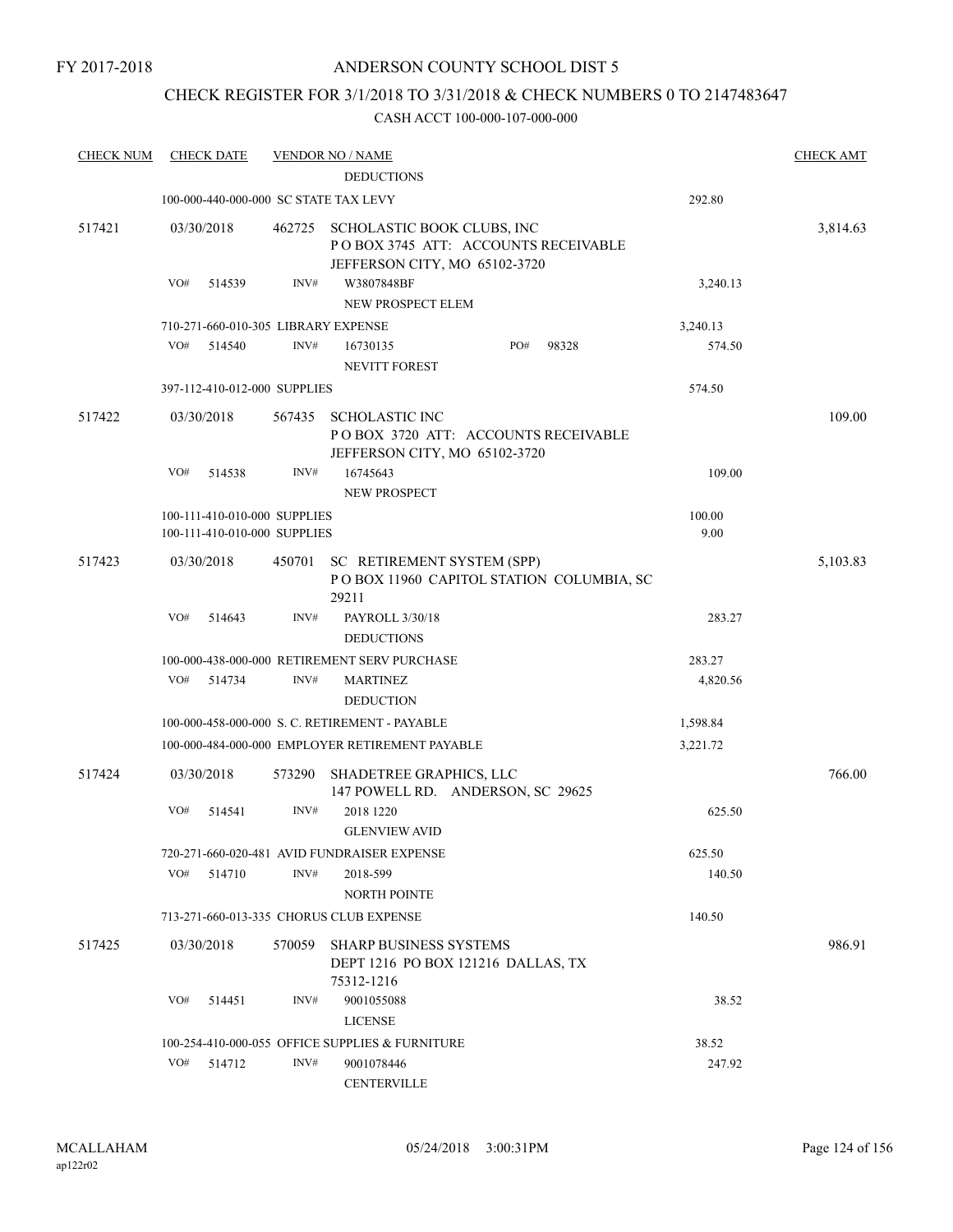### CHECK REGISTER FOR 3/1/2018 TO 3/31/2018 & CHECK NUMBERS 0 TO 2147483647

| <b>CHECK NUM</b> | <b>CHECK DATE</b>                     |        | <b>VENDOR NO / NAME</b>                                                                            |              |          | <b>CHECK AMT</b> |
|------------------|---------------------------------------|--------|----------------------------------------------------------------------------------------------------|--------------|----------|------------------|
|                  |                                       |        | <b>DEDUCTIONS</b>                                                                                  |              |          |                  |
|                  | 100-000-440-000-000 SC STATE TAX LEVY |        |                                                                                                    |              | 292.80   |                  |
| 517421           | 03/30/2018                            | 462725 | SCHOLASTIC BOOK CLUBS, INC<br>POBOX 3745 ATT: ACCOUNTS RECEIVABLE<br>JEFFERSON CITY, MO 65102-3720 |              |          | 3,814.63         |
|                  | VO#<br>514539                         | INV#   | W3807848BF<br>NEW PROSPECT ELEM                                                                    |              | 3,240.13 |                  |
|                  | 710-271-660-010-305 LIBRARY EXPENSE   |        |                                                                                                    |              | 3,240.13 |                  |
|                  | VO#<br>514540                         | INV#   | 16730135<br>NEVITT FOREST                                                                          | PO#<br>98328 | 574.50   |                  |
|                  | 397-112-410-012-000 SUPPLIES          |        |                                                                                                    |              | 574.50   |                  |
| 517422           | 03/30/2018                            | 567435 | <b>SCHOLASTIC INC</b><br>POBOX 3720 ATT: ACCOUNTS RECEIVABLE<br>JEFFERSON CITY, MO 65102-3720      |              |          | 109.00           |
|                  | VO#<br>514538                         | INV#   | 16745643<br>NEW PROSPECT                                                                           |              | 109.00   |                  |
|                  | 100-111-410-010-000 SUPPLIES          |        |                                                                                                    |              | 100.00   |                  |
|                  | 100-111-410-010-000 SUPPLIES          |        |                                                                                                    |              | 9.00     |                  |
| 517423           | 03/30/2018                            | 450701 | SC RETIREMENT SYSTEM (SPP)<br>POBOX 11960 CAPITOL STATION COLUMBIA, SC<br>29211                    |              |          | 5,103.83         |
|                  | VO#<br>514643                         | INV#   | PAYROLL 3/30/18<br><b>DEDUCTIONS</b>                                                               |              | 283.27   |                  |
|                  |                                       |        | 100-000-438-000-000 RETIREMENT SERV PURCHASE                                                       |              | 283.27   |                  |
|                  | VO#<br>514734                         | INV#   | <b>MARTINEZ</b>                                                                                    |              | 4,820.56 |                  |
|                  |                                       |        | <b>DEDUCTION</b>                                                                                   |              |          |                  |
|                  |                                       |        | 100-000-458-000-000 S. C. RETIREMENT - PAYABLE                                                     |              | 1,598.84 |                  |
|                  |                                       |        | 100-000-484-000-000 EMPLOYER RETIREMENT PAYABLE                                                    |              | 3,221.72 |                  |
| 517424           | 03/30/2018                            | 573290 | SHADETREE GRAPHICS, LLC<br>147 POWELL RD. ANDERSON, SC 29625                                       |              |          | 766.00           |
|                  | VO#<br>514541                         | INV#   | 2018 1220<br><b>GLENVIEW AVID</b>                                                                  |              | 625.50   |                  |
|                  |                                       |        | 720-271-660-020-481 AVID FUNDRAISER EXPENSE                                                        |              | 625.50   |                  |
|                  | VO#<br>514710                         | INV#   | 2018-599<br><b>NORTH POINTE</b>                                                                    |              | 140.50   |                  |
|                  |                                       |        | 713-271-660-013-335 CHORUS CLUB EXPENSE                                                            |              | 140.50   |                  |
| 517425           | 03/30/2018                            | 570059 | <b>SHARP BUSINESS SYSTEMS</b><br>DEPT 1216 PO BOX 121216 DALLAS, TX<br>75312-1216                  |              |          | 986.91           |
|                  | VO#<br>514451                         | INV#   | 9001055088<br><b>LICENSE</b>                                                                       |              | 38.52    |                  |
|                  |                                       |        | 100-254-410-000-055 OFFICE SUPPLIES & FURNITURE                                                    |              | 38.52    |                  |
|                  | VO#<br>514712                         | INV#   | 9001078446                                                                                         |              | 247.92   |                  |
|                  |                                       |        | <b>CENTERVILLE</b>                                                                                 |              |          |                  |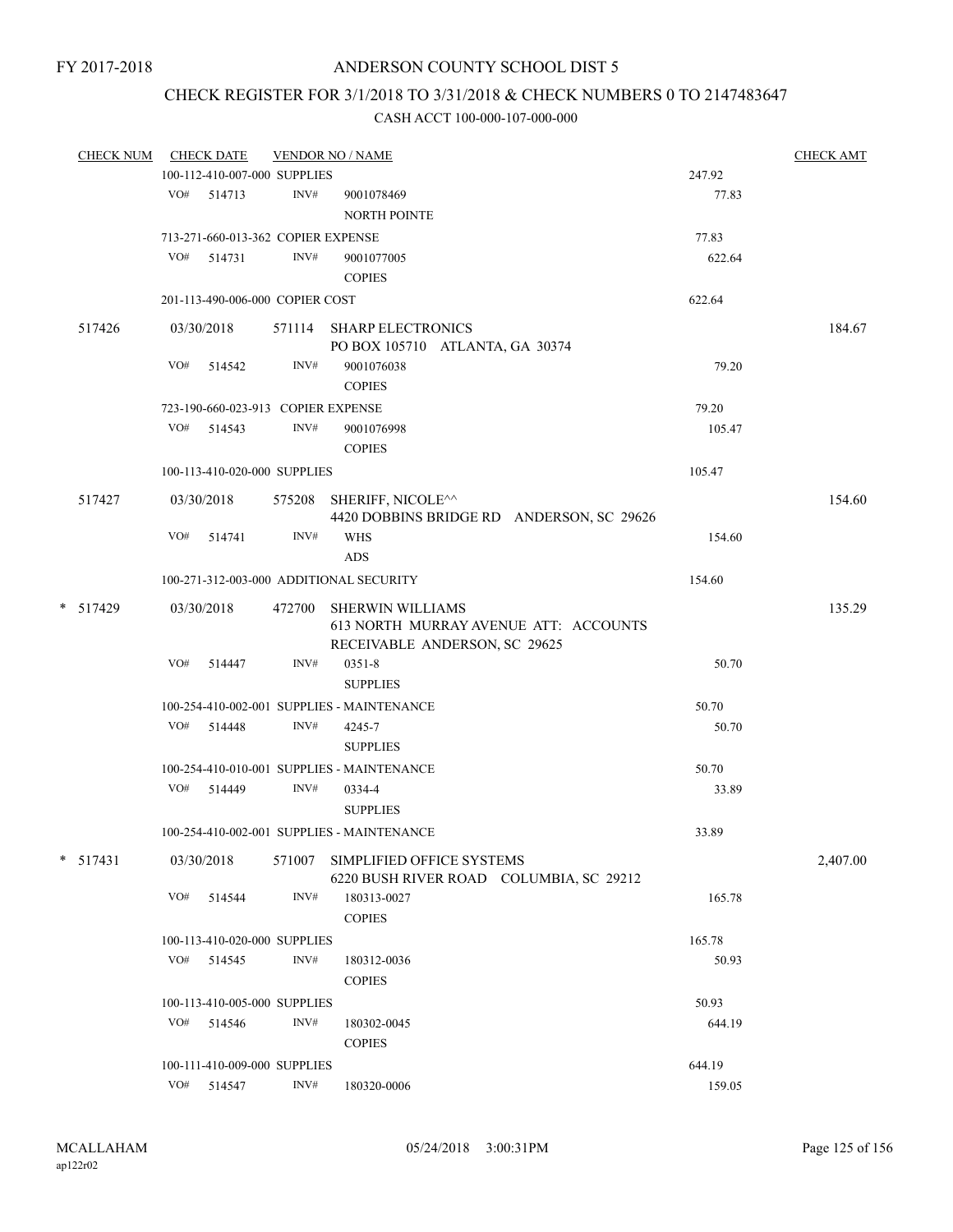# CHECK REGISTER FOR 3/1/2018 TO 3/31/2018 & CHECK NUMBERS 0 TO 2147483647

| <b>CHECK NUM</b> |     | <b>CHECK DATE</b>                  |        | <b>VENDOR NO / NAME</b>                                              |        | <b>CHECK AMT</b> |
|------------------|-----|------------------------------------|--------|----------------------------------------------------------------------|--------|------------------|
|                  |     | 100-112-410-007-000 SUPPLIES       |        |                                                                      | 247.92 |                  |
|                  |     | VO# 514713                         | INV#   | 9001078469<br><b>NORTH POINTE</b>                                    | 77.83  |                  |
|                  |     | 713-271-660-013-362 COPIER EXPENSE |        |                                                                      | 77.83  |                  |
|                  |     | $VO#$ 514731                       | INV#   | 9001077005                                                           | 622.64 |                  |
|                  |     |                                    |        | <b>COPIES</b>                                                        |        |                  |
|                  |     | 201-113-490-006-000 COPIER COST    |        |                                                                      | 622.64 |                  |
|                  |     |                                    |        |                                                                      |        |                  |
| 517426           |     | 03/30/2018                         |        | 571114 SHARP ELECTRONICS<br>PO BOX 105710 ATLANTA, GA 30374          |        | 184.67           |
|                  |     | VO# 514542                         | INV#   | 9001076038<br><b>COPIES</b>                                          | 79.20  |                  |
|                  |     | 723-190-660-023-913 COPIER EXPENSE |        |                                                                      | 79.20  |                  |
|                  |     | VO# 514543                         | INV#   | 9001076998                                                           | 105.47 |                  |
|                  |     |                                    |        | <b>COPIES</b>                                                        |        |                  |
|                  |     | 100-113-410-020-000 SUPPLIES       |        |                                                                      | 105.47 |                  |
| 517427           |     | 03/30/2018                         |        | 575208 SHERIFF, NICOLE^^                                             |        | 154.60           |
|                  |     |                                    |        | 4420 DOBBINS BRIDGE RD ANDERSON, SC 29626                            |        |                  |
|                  | VO# | 514741                             | INV#   | <b>WHS</b>                                                           | 154.60 |                  |
|                  |     |                                    |        | ADS                                                                  |        |                  |
|                  |     |                                    |        | 100-271-312-003-000 ADDITIONAL SECURITY                              | 154.60 |                  |
| * 517429         |     | 03/30/2018                         | 472700 | SHERWIN WILLIAMS                                                     |        | 135.29           |
|                  |     |                                    |        | 613 NORTH MURRAY AVENUE ATT: ACCOUNTS                                |        |                  |
|                  |     |                                    |        | RECEIVABLE ANDERSON, SC 29625                                        |        |                  |
|                  | VO# | 514447                             | INV#   | $0351 - 8$                                                           | 50.70  |                  |
|                  |     |                                    |        | <b>SUPPLIES</b>                                                      |        |                  |
|                  |     |                                    |        | 100-254-410-002-001 SUPPLIES - MAINTENANCE                           | 50.70  |                  |
|                  |     | VO# 514448                         | INV#   | 4245-7                                                               | 50.70  |                  |
|                  |     |                                    |        | <b>SUPPLIES</b>                                                      |        |                  |
|                  |     |                                    |        | 100-254-410-010-001 SUPPLIES - MAINTENANCE                           | 50.70  |                  |
|                  |     | VO# 514449                         | INV#   | 0334-4                                                               | 33.89  |                  |
|                  |     |                                    |        | <b>SUPPLIES</b>                                                      |        |                  |
|                  |     |                                    |        | 100-254-410-002-001 SUPPLIES - MAINTENANCE                           | 33.89  |                  |
| $*$ 517431       |     | 03/30/2018                         | 571007 | SIMPLIFIED OFFICE SYSTEMS<br>6220 BUSH RIVER ROAD COLUMBIA, SC 29212 |        | 2,407.00         |
|                  | VO# | 514544                             | INV#   | 180313-0027                                                          | 165.78 |                  |
|                  |     |                                    |        | <b>COPIES</b>                                                        |        |                  |
|                  |     | 100-113-410-020-000 SUPPLIES       |        |                                                                      | 165.78 |                  |
|                  |     | VO# 514545                         | INV#   | 180312-0036                                                          | 50.93  |                  |
|                  |     |                                    |        | <b>COPIES</b>                                                        |        |                  |
|                  |     | 100-113-410-005-000 SUPPLIES       |        |                                                                      | 50.93  |                  |
|                  |     | VO# 514546                         | INV#   | 180302-0045                                                          | 644.19 |                  |
|                  |     |                                    |        | <b>COPIES</b>                                                        |        |                  |
|                  |     | 100-111-410-009-000 SUPPLIES       |        |                                                                      | 644.19 |                  |
|                  |     | VO# 514547                         | INV#   | 180320-0006                                                          | 159.05 |                  |
|                  |     |                                    |        |                                                                      |        |                  |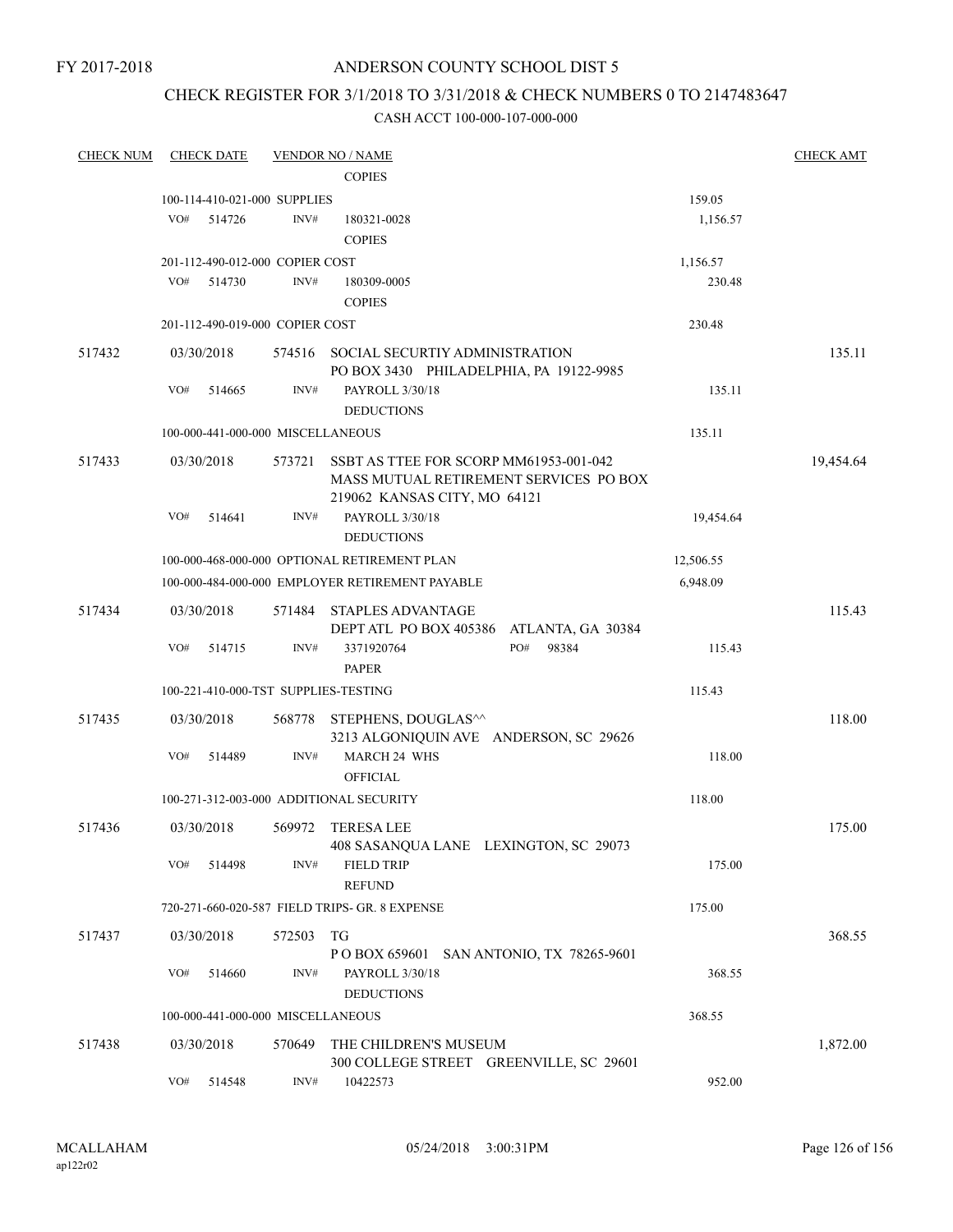### CHECK REGISTER FOR 3/1/2018 TO 3/31/2018 & CHECK NUMBERS 0 TO 2147483647

| <b>CHECK NUM</b> | <b>CHECK DATE</b>                       |        | <b>VENDOR NO / NAME</b>                                                                                          |           | <b>CHECK AMT</b> |
|------------------|-----------------------------------------|--------|------------------------------------------------------------------------------------------------------------------|-----------|------------------|
|                  |                                         |        | <b>COPIES</b>                                                                                                    |           |                  |
|                  | 100-114-410-021-000 SUPPLIES            |        |                                                                                                                  | 159.05    |                  |
|                  | VO#<br>514726                           | INV#   | 180321-0028                                                                                                      | 1,156.57  |                  |
|                  |                                         |        | <b>COPIES</b>                                                                                                    |           |                  |
|                  | 201-112-490-012-000 COPIER COST         |        |                                                                                                                  | 1,156.57  |                  |
|                  | VO#<br>514730                           | INV#   | 180309-0005                                                                                                      | 230.48    |                  |
|                  |                                         |        | <b>COPIES</b>                                                                                                    |           |                  |
|                  | 201-112-490-019-000 COPIER COST         |        |                                                                                                                  | 230.48    |                  |
| 517432           | 03/30/2018                              | 574516 | SOCIAL SECURTIY ADMINISTRATION<br>PO BOX 3430 PHILADELPHIA, PA 19122-9985                                        |           | 135.11           |
|                  | VO#<br>514665                           | INV#   | PAYROLL 3/30/18<br><b>DEDUCTIONS</b>                                                                             | 135.11    |                  |
|                  | 100-000-441-000-000 MISCELLANEOUS       |        |                                                                                                                  | 135.11    |                  |
|                  |                                         |        |                                                                                                                  |           |                  |
| 517433           | 03/30/2018                              | 573721 | SSBT AS TTEE FOR SCORP MM61953-001-042<br>MASS MUTUAL RETIREMENT SERVICES PO BOX<br>219062 KANSAS CITY, MO 64121 |           | 19,454.64        |
|                  | VO#<br>514641                           | INV#   | PAYROLL 3/30/18<br><b>DEDUCTIONS</b>                                                                             | 19,454.64 |                  |
|                  |                                         |        | 100-000-468-000-000 OPTIONAL RETIREMENT PLAN                                                                     | 12,506.55 |                  |
|                  |                                         |        | 100-000-484-000-000 EMPLOYER RETIREMENT PAYABLE                                                                  | 6,948.09  |                  |
|                  |                                         |        |                                                                                                                  |           |                  |
| 517434           | 03/30/2018                              | 571484 | <b>STAPLES ADVANTAGE</b><br>DEPT ATL PO BOX 405386 ATLANTA, GA 30384                                             |           | 115.43           |
|                  | VO#<br>514715                           | INV#   | PO#<br>3371920764<br>98384<br><b>PAPER</b>                                                                       | 115.43    |                  |
|                  | 100-221-410-000-TST SUPPLIES-TESTING    |        |                                                                                                                  | 115.43    |                  |
| 517435           | 03/30/2018                              |        | 568778 STEPHENS, DOUGLAS^^<br>3213 ALGONIQUIN AVE ANDERSON, SC 29626                                             |           | 118.00           |
|                  | VO#<br>514489                           | INV#   | <b>MARCH 24 WHS</b><br><b>OFFICIAL</b>                                                                           | 118.00    |                  |
|                  | 100-271-312-003-000 ADDITIONAL SECURITY |        |                                                                                                                  | 118.00    |                  |
|                  |                                         |        |                                                                                                                  |           |                  |
| 517436           | 03/30/2018                              | 569972 | <b>TERESA LEE</b>                                                                                                |           | 175.00           |
|                  | VO#<br>514498                           | INV#   | 408 SASANQUA LANE LEXINGTON, SC 29073<br><b>FIELD TRIP</b><br><b>REFUND</b>                                      | 175.00    |                  |
|                  |                                         |        | 720-271-660-020-587 FIELD TRIPS- GR. 8 EXPENSE                                                                   | 175.00    |                  |
| 517437           | 03/30/2018                              | 572503 | TG                                                                                                               |           | 368.55           |
|                  |                                         |        | P O BOX 659601 SAN ANTONIO, TX 78265-9601                                                                        |           |                  |
|                  | VO#<br>514660                           | INV#   | PAYROLL 3/30/18<br><b>DEDUCTIONS</b>                                                                             | 368.55    |                  |
|                  | 100-000-441-000-000 MISCELLANEOUS       |        |                                                                                                                  | 368.55    |                  |
| 517438           | 03/30/2018                              | 570649 | THE CHILDREN'S MUSEUM                                                                                            |           | 1,872.00         |
|                  |                                         |        | 300 COLLEGE STREET GREENVILLE, SC 29601                                                                          |           |                  |
|                  | VO#<br>514548                           | INV#   | 10422573                                                                                                         | 952.00    |                  |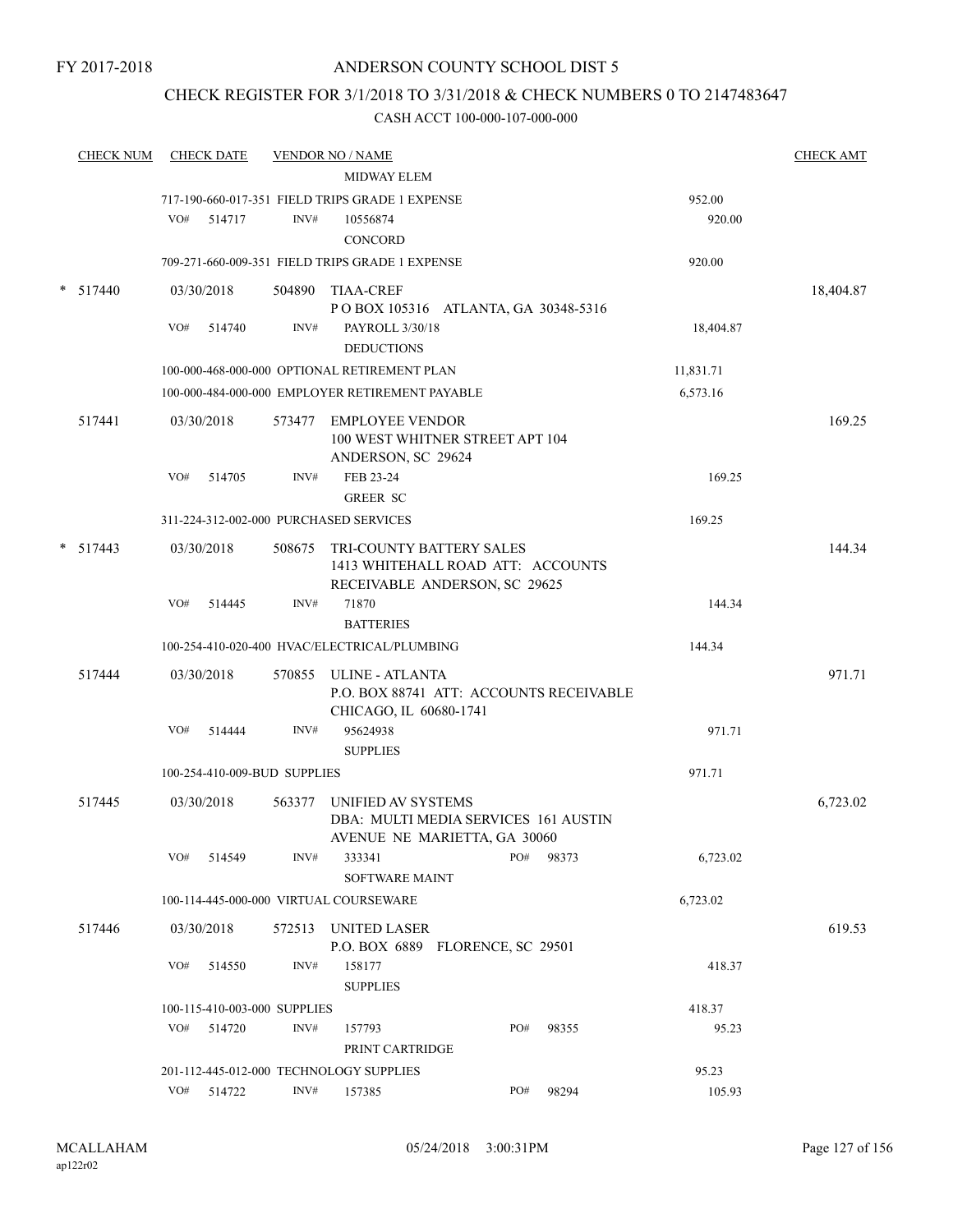### CHECK REGISTER FOR 3/1/2018 TO 3/31/2018 & CHECK NUMBERS 0 TO 2147483647

| <b>CHECK NUM</b> |     | <b>CHECK DATE</b>                      |        | <b>VENDOR NO / NAME</b>                         |                                                                      |       |                 | <b>CHECK AMT</b> |
|------------------|-----|----------------------------------------|--------|-------------------------------------------------|----------------------------------------------------------------------|-------|-----------------|------------------|
|                  |     |                                        |        | <b>MIDWAY ELEM</b>                              |                                                                      |       |                 |                  |
|                  |     |                                        |        | 717-190-660-017-351 FIELD TRIPS GRADE 1 EXPENSE |                                                                      |       | 952.00          |                  |
|                  | VO# | 514717                                 | INV#   | 10556874                                        |                                                                      |       | 920.00          |                  |
|                  |     |                                        |        | <b>CONCORD</b>                                  |                                                                      |       |                 |                  |
|                  |     |                                        |        | 709-271-660-009-351 FIELD TRIPS GRADE 1 EXPENSE |                                                                      |       | 920.00          |                  |
| 517440           |     | 03/30/2018                             |        | 504890 TIAA-CREF                                |                                                                      |       |                 | 18,404.87        |
|                  |     |                                        |        |                                                 | POBOX 105316 ATLANTA, GA 30348-5316                                  |       |                 |                  |
|                  | VO# | 514740                                 | INV#   | PAYROLL 3/30/18<br><b>DEDUCTIONS</b>            |                                                                      |       | 18,404.87       |                  |
|                  |     |                                        |        |                                                 |                                                                      |       |                 |                  |
|                  |     |                                        |        | 100-000-468-000-000 OPTIONAL RETIREMENT PLAN    |                                                                      |       | 11,831.71       |                  |
|                  |     |                                        |        | 100-000-484-000-000 EMPLOYER RETIREMENT PAYABLE |                                                                      |       | 6,573.16        |                  |
| 517441           |     | 03/30/2018                             |        | 573477 EMPLOYEE VENDOR                          | 100 WEST WHITNER STREET APT 104                                      |       |                 | 169.25           |
|                  | VO# | 514705                                 | INV#   | ANDERSON, SC 29624<br>FEB 23-24                 |                                                                      |       | 169.25          |                  |
|                  |     |                                        |        | <b>GREER SC</b>                                 |                                                                      |       |                 |                  |
|                  |     |                                        |        | 311-224-312-002-000 PURCHASED SERVICES          |                                                                      |       | 169.25          |                  |
|                  |     |                                        |        |                                                 |                                                                      |       |                 |                  |
| $* 517443$       |     | 03/30/2018                             | 508675 |                                                 | <b>TRI-COUNTY BATTERY SALES</b><br>1413 WHITEHALL ROAD ATT: ACCOUNTS |       |                 | 144.34           |
|                  |     |                                        |        |                                                 | RECEIVABLE ANDERSON, SC 29625                                        |       |                 |                  |
|                  | VO# | 514445                                 | INV#   | 71870                                           |                                                                      |       | 144.34          |                  |
|                  |     |                                        |        | <b>BATTERIES</b>                                |                                                                      |       |                 |                  |
|                  |     |                                        |        | 100-254-410-020-400 HVAC/ELECTRICAL/PLUMBING    |                                                                      |       | 144.34          |                  |
| 517444           |     | 03/30/2018                             |        | 570855 ULINE - ATLANTA                          |                                                                      |       |                 | 971.71           |
|                  |     |                                        |        |                                                 | P.O. BOX 88741 ATT: ACCOUNTS RECEIVABLE                              |       |                 |                  |
|                  |     |                                        |        | CHICAGO, IL 60680-1741                          |                                                                      |       |                 |                  |
|                  | VO# | 514444                                 | INV#   | 95624938                                        |                                                                      |       | 971.71          |                  |
|                  |     |                                        |        | <b>SUPPLIES</b>                                 |                                                                      |       |                 |                  |
|                  |     | 100-254-410-009-BUD SUPPLIES           |        |                                                 |                                                                      |       | 971.71          |                  |
| 517445           |     | 03/30/2018                             | 563377 | UNIFIED AV SYSTEMS                              |                                                                      |       |                 | 6,723.02         |
|                  |     |                                        |        |                                                 | DBA: MULTI MEDIA SERVICES 161 AUSTIN                                 |       |                 |                  |
|                  |     |                                        |        |                                                 | AVENUE NE MARIETTA, GA 30060                                         |       |                 |                  |
|                  | VO# | 514549                                 | INV#   | 333341                                          | PO#                                                                  | 98373 | 6,723.02        |                  |
|                  |     |                                        |        | SOFTWARE MAINT                                  |                                                                      |       |                 |                  |
|                  |     |                                        |        | 100-114-445-000-000 VIRTUAL COURSEWARE          |                                                                      |       | 6,723.02        |                  |
| 517446           |     | 03/30/2018                             |        | 572513 UNITED LASER                             |                                                                      |       |                 | 619.53           |
|                  |     |                                        |        |                                                 | P.O. BOX 6889 FLORENCE, SC 29501                                     |       |                 |                  |
|                  | VO# | 514550                                 | INV#   | 158177                                          |                                                                      |       | 418.37          |                  |
|                  |     |                                        |        | <b>SUPPLIES</b>                                 |                                                                      |       |                 |                  |
|                  | VO# | 100-115-410-003-000 SUPPLIES<br>514720 | INV#   | 157793                                          | PO#                                                                  | 98355 | 418.37<br>95.23 |                  |
|                  |     |                                        |        | PRINT CARTRIDGE                                 |                                                                      |       |                 |                  |
|                  |     |                                        |        | 201-112-445-012-000 TECHNOLOGY SUPPLIES         |                                                                      |       | 95.23           |                  |
|                  |     | VO# 514722                             | INV#   | 157385                                          | PO#                                                                  | 98294 | 105.93          |                  |
|                  |     |                                        |        |                                                 |                                                                      |       |                 |                  |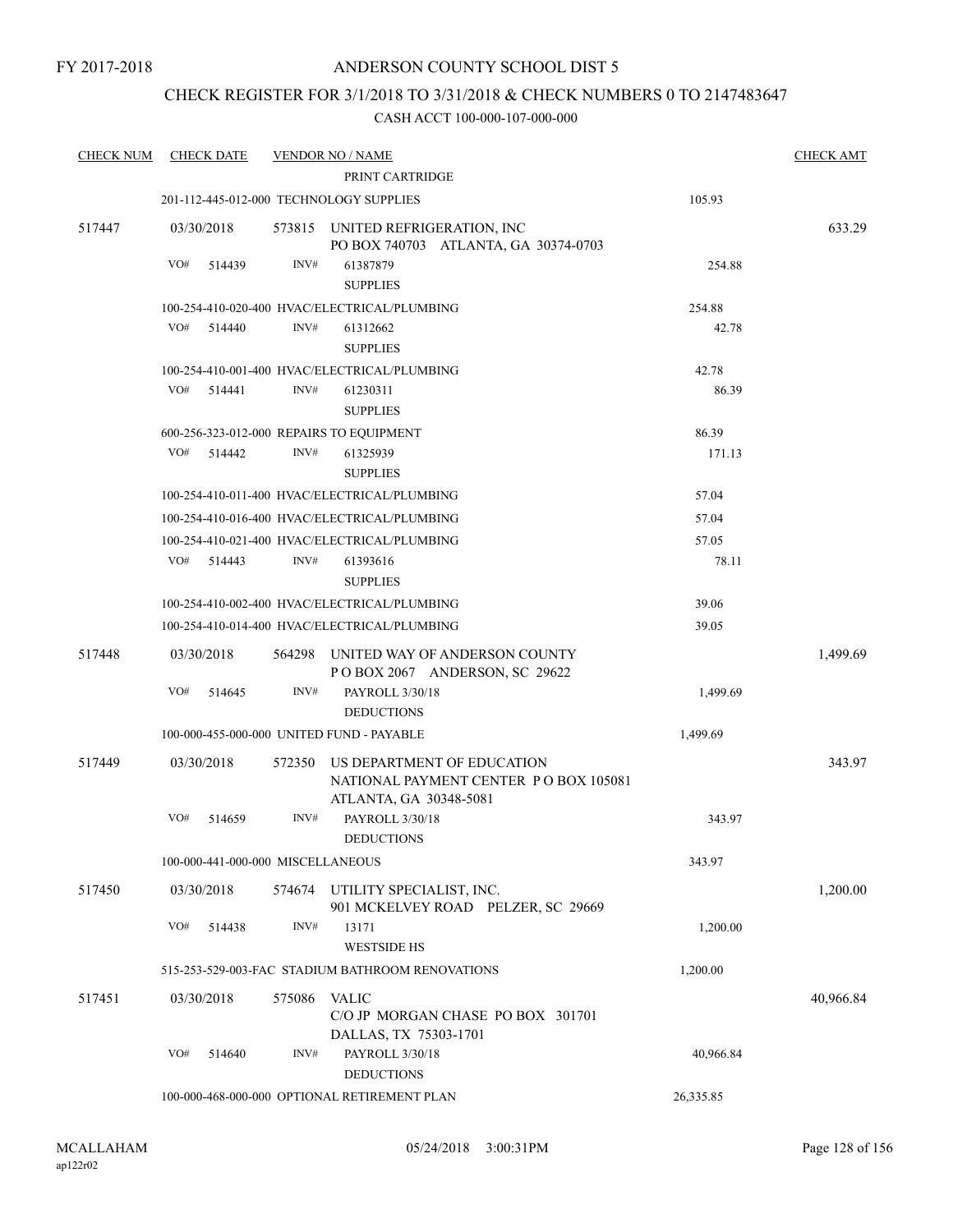### CHECK REGISTER FOR 3/1/2018 TO 3/31/2018 & CHECK NUMBERS 0 TO 2147483647

| <b>CHECK NUM</b> | <b>CHECK DATE</b>                 |        | <b>VENDOR NO / NAME</b><br>PRINT CARTRIDGE                               |           | <b>CHECK AMT</b> |
|------------------|-----------------------------------|--------|--------------------------------------------------------------------------|-----------|------------------|
|                  |                                   |        | 201-112-445-012-000 TECHNOLOGY SUPPLIES                                  | 105.93    |                  |
| 517447           | 03/30/2018                        |        | 573815 UNITED REFRIGERATION, INC<br>PO BOX 740703 ATLANTA, GA 30374-0703 |           | 633.29           |
|                  | VO#<br>514439                     | INV#   | 61387879<br><b>SUPPLIES</b>                                              | 254.88    |                  |
|                  |                                   |        | 100-254-410-020-400 HVAC/ELECTRICAL/PLUMBING                             | 254.88    |                  |
|                  | VO#<br>514440                     | INV#   | 61312662<br><b>SUPPLIES</b>                                              | 42.78     |                  |
|                  |                                   |        | 100-254-410-001-400 HVAC/ELECTRICAL/PLUMBING                             | 42.78     |                  |
|                  | VO#<br>514441                     | INV#   | 61230311<br><b>SUPPLIES</b>                                              | 86.39     |                  |
|                  |                                   |        | 600-256-323-012-000 REPAIRS TO EQUIPMENT                                 | 86.39     |                  |
|                  | VO#<br>514442                     | INV#   | 61325939<br><b>SUPPLIES</b>                                              | 171.13    |                  |
|                  |                                   |        | 100-254-410-011-400 HVAC/ELECTRICAL/PLUMBING                             | 57.04     |                  |
|                  |                                   |        | 100-254-410-016-400 HVAC/ELECTRICAL/PLUMBING                             | 57.04     |                  |
|                  |                                   |        | 100-254-410-021-400 HVAC/ELECTRICAL/PLUMBING                             | 57.05     |                  |
|                  | VO#<br>514443                     | INV#   | 61393616<br><b>SUPPLIES</b>                                              | 78.11     |                  |
|                  |                                   |        | 100-254-410-002-400 HVAC/ELECTRICAL/PLUMBING                             | 39.06     |                  |
|                  |                                   |        | 100-254-410-014-400 HVAC/ELECTRICAL/PLUMBING                             | 39.05     |                  |
| 517448           | 03/30/2018                        |        | 564298 UNITED WAY OF ANDERSON COUNTY<br>POBOX 2067 ANDERSON, SC 29622    |           | 1,499.69         |
|                  | VO#<br>514645                     | INV#   | PAYROLL 3/30/18<br><b>DEDUCTIONS</b>                                     | 1,499.69  |                  |
|                  |                                   |        | 100-000-455-000-000 UNITED FUND - PAYABLE                                | 1,499.69  |                  |
| 517449           | 03/30/2018                        | 572350 | US DEPARTMENT OF EDUCATION<br>NATIONAL PAYMENT CENTER PO BOX 105081      |           | 343.97           |
|                  | VO#<br>514659                     | INV#   | ATLANTA, GA 30348-5081<br>PAYROLL 3/30/18<br><b>DEDUCTIONS</b>           | 343.97    |                  |
|                  | 100-000-441-000-000 MISCELLANEOUS |        |                                                                          | 343.97    |                  |
| 517450           | 03/30/2018                        | 574674 | UTILITY SPECIALIST, INC.<br>901 MCKELVEY ROAD PELZER, SC 29669           |           | 1,200.00         |
|                  | VO#<br>514438                     | INV#   | 13171<br><b>WESTSIDE HS</b>                                              | 1,200.00  |                  |
|                  |                                   |        | 515-253-529-003-FAC STADIUM BATHROOM RENOVATIONS                         | 1,200.00  |                  |
| 517451           | 03/30/2018                        | 575086 | VALIC<br>C/O JP MORGAN CHASE PO BOX 301701                               |           | 40,966.84        |
|                  | VO#<br>514640                     | INV#   | DALLAS, TX 75303-1701<br>PAYROLL 3/30/18<br><b>DEDUCTIONS</b>            | 40,966.84 |                  |
|                  |                                   |        | 100-000-468-000-000 OPTIONAL RETIREMENT PLAN                             | 26,335.85 |                  |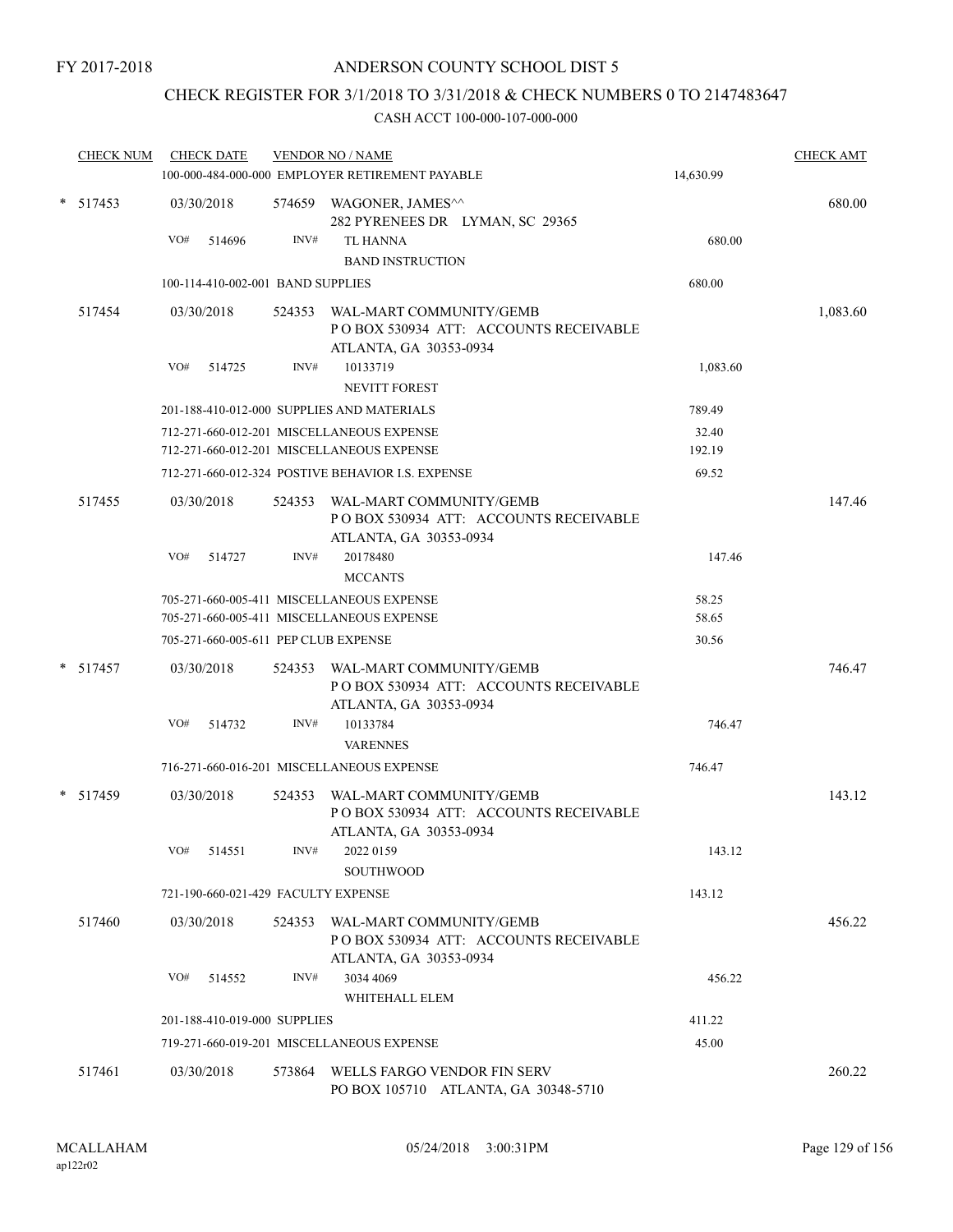### CHECK REGISTER FOR 3/1/2018 TO 3/31/2018 & CHECK NUMBERS 0 TO 2147483647

| <b>CHECK NUM</b> | <b>CHECK DATE</b>                    |        | <b>VENDOR NO / NAME</b><br>100-000-484-000-000 EMPLOYER RETIREMENT PAYABLE                         | 14,630.99      | <b>CHECK AMT</b> |
|------------------|--------------------------------------|--------|----------------------------------------------------------------------------------------------------|----------------|------------------|
|                  |                                      |        |                                                                                                    |                |                  |
| $* 517453$       | 03/30/2018                           |        | 574659 WAGONER, JAMES^^<br>282 PYRENEES DR LYMAN, SC 29365                                         |                | 680.00           |
|                  | VO#<br>514696                        | INV#   | <b>TL HANNA</b>                                                                                    | 680.00         |                  |
|                  |                                      |        | <b>BAND INSTRUCTION</b>                                                                            |                |                  |
|                  | 100-114-410-002-001 BAND SUPPLIES    |        |                                                                                                    | 680.00         |                  |
| 517454           | 03/30/2018                           |        | 524353 WAL-MART COMMUNITY/GEMB<br>POBOX 530934 ATT: ACCOUNTS RECEIVABLE<br>ATLANTA, GA 30353-0934  |                | 1,083.60         |
|                  | VO#<br>514725                        | INV#   | 10133719                                                                                           | 1,083.60       |                  |
|                  |                                      |        | NEVITT FOREST                                                                                      |                |                  |
|                  |                                      |        | 201-188-410-012-000 SUPPLIES AND MATERIALS                                                         | 789.49         |                  |
|                  |                                      |        | 712-271-660-012-201 MISCELLANEOUS EXPENSE                                                          | 32.40          |                  |
|                  |                                      |        | 712-271-660-012-201 MISCELLANEOUS EXPENSE                                                          | 192.19         |                  |
|                  |                                      |        | 712-271-660-012-324 POSTIVE BEHAVIOR I.S. EXPENSE                                                  | 69.52          |                  |
| 517455           | 03/30/2018                           |        | 524353 WAL-MART COMMUNITY/GEMB<br>PO BOX 530934 ATT: ACCOUNTS RECEIVABLE<br>ATLANTA, GA 30353-0934 |                | 147.46           |
|                  | VO#<br>514727                        | INV#   | 20178480<br><b>MCCANTS</b>                                                                         | 147.46         |                  |
|                  |                                      |        | 705-271-660-005-411 MISCELLANEOUS EXPENSE<br>705-271-660-005-411 MISCELLANEOUS EXPENSE             | 58.25<br>58.65 |                  |
|                  | 705-271-660-005-611 PEP CLUB EXPENSE |        |                                                                                                    | 30.56          |                  |
| $* 517457$       | 03/30/2018                           |        | 524353 WAL-MART COMMUNITY/GEMB<br>POBOX 530934 ATT: ACCOUNTS RECEIVABLE<br>ATLANTA, GA 30353-0934  |                | 746.47           |
|                  | VO#<br>514732                        | INV#   | 10133784<br><b>VARENNES</b>                                                                        | 746.47         |                  |
|                  |                                      |        | 716-271-660-016-201 MISCELLANEOUS EXPENSE                                                          | 746.47         |                  |
| $*$ 517459       | 03/30/2018                           | 524353 | WAL-MART COMMUNITY/GEMB<br>POBOX 530934 ATT: ACCOUNTS RECEIVABLE<br>ATLANTA, GA 30353-0934         |                | 143.12           |
|                  | VO#<br>514551                        | INV#   | 2022 0159<br>SOUTHWOOD                                                                             | 143.12         |                  |
|                  | 721-190-660-021-429 FACULTY EXPENSE  |        |                                                                                                    | 143.12         |                  |
| 517460           | 03/30/2018                           | 524353 | WAL-MART COMMUNITY/GEMB<br>PO BOX 530934 ATT: ACCOUNTS RECEIVABLE<br>ATLANTA, GA 30353-0934        |                | 456.22           |
|                  | VO#<br>514552                        | INV#   | 3034 4069                                                                                          | 456.22         |                  |
|                  |                                      |        | WHITEHALL ELEM                                                                                     |                |                  |
|                  | 201-188-410-019-000 SUPPLIES         |        |                                                                                                    | 411.22         |                  |
|                  |                                      |        | 719-271-660-019-201 MISCELLANEOUS EXPENSE                                                          | 45.00          |                  |
| 517461           | 03/30/2018                           | 573864 | WELLS FARGO VENDOR FIN SERV<br>PO BOX 105710 ATLANTA, GA 30348-5710                                |                | 260.22           |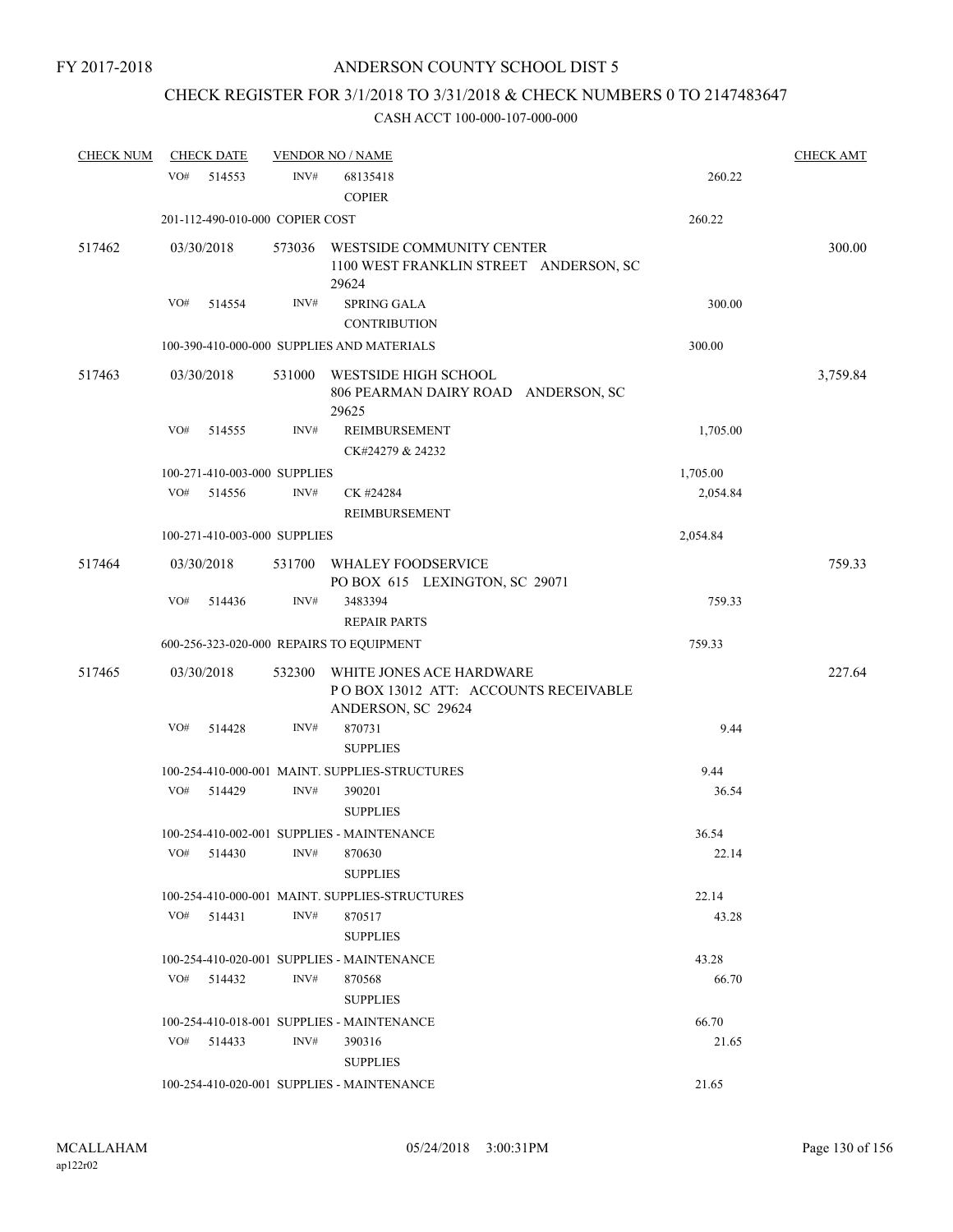# CHECK REGISTER FOR 3/1/2018 TO 3/31/2018 & CHECK NUMBERS 0 TO 2147483647

| <b>CHECK NUM</b> | <b>CHECK DATE</b> |                                 | <b>VENDOR NO / NAME</b>                        |                                        |          | <b>CHECK AMT</b> |
|------------------|-------------------|---------------------------------|------------------------------------------------|----------------------------------------|----------|------------------|
|                  | VO#               | INV#<br>514553                  | 68135418<br><b>COPIER</b>                      |                                        | 260.22   |                  |
|                  |                   | 201-112-490-010-000 COPIER COST |                                                |                                        | 260.22   |                  |
| 517462           | 03/30/2018        | 573036                          | WESTSIDE COMMUNITY CENTER<br>29624             | 1100 WEST FRANKLIN STREET ANDERSON, SC |          | 300.00           |
|                  | VO#               | INV#<br>514554                  | <b>SPRING GALA</b><br><b>CONTRIBUTION</b>      |                                        | 300.00   |                  |
|                  |                   |                                 | 100-390-410-000-000 SUPPLIES AND MATERIALS     |                                        | 300.00   |                  |
| 517463           | 03/30/2018        | 531000                          | WESTSIDE HIGH SCHOOL<br>29625                  | 806 PEARMAN DAIRY ROAD ANDERSON, SC    |          | 3,759.84         |
|                  | VO#               | 514555<br>INV#                  | REIMBURSEMENT<br>CK#24279 & 24232              |                                        | 1,705.00 |                  |
|                  |                   | 100-271-410-003-000 SUPPLIES    |                                                |                                        | 1,705.00 |                  |
|                  | VO#               | 514556<br>INV#                  | CK #24284<br>REIMBURSEMENT                     |                                        | 2,054.84 |                  |
|                  |                   | 100-271-410-003-000 SUPPLIES    |                                                |                                        | 2,054.84 |                  |
| 517464           | 03/30/2018        | 531700                          | WHALEY FOODSERVICE                             | PO BOX 615 LEXINGTON, SC 29071         |          | 759.33           |
|                  | VO#               | INV#<br>514436                  | 3483394<br><b>REPAIR PARTS</b>                 |                                        | 759.33   |                  |
|                  |                   |                                 | 600-256-323-020-000 REPAIRS TO EQUIPMENT       |                                        | 759.33   |                  |
| 517465           | 03/30/2018        | 532300                          | WHITE JONES ACE HARDWARE<br>ANDERSON, SC 29624 | POBOX 13012 ATT: ACCOUNTS RECEIVABLE   |          | 227.64           |
|                  | VO#               | INV#<br>514428                  | 870731<br><b>SUPPLIES</b>                      |                                        | 9.44     |                  |
|                  |                   |                                 | 100-254-410-000-001 MAINT. SUPPLIES-STRUCTURES |                                        | 9.44     |                  |
|                  | VO#               | 514429<br>INV#                  | 390201<br><b>SUPPLIES</b>                      |                                        | 36.54    |                  |
|                  |                   |                                 | 100-254-410-002-001 SUPPLIES - MAINTENANCE     |                                        | 36.54    |                  |
|                  | VO#               | 514430<br>INV#                  | 870630<br><b>SUPPLIES</b>                      |                                        | 22.14    |                  |
|                  |                   |                                 | 100-254-410-000-001 MAINT, SUPPLIES-STRUCTURES |                                        | 22.14    |                  |
|                  | VO#               | INV#<br>514431                  | 870517<br><b>SUPPLIES</b>                      |                                        | 43.28    |                  |
|                  |                   |                                 | 100-254-410-020-001 SUPPLIES - MAINTENANCE     |                                        | 43.28    |                  |
|                  | VO#               | INV#<br>514432                  | 870568<br><b>SUPPLIES</b>                      |                                        | 66.70    |                  |
|                  |                   |                                 | 100-254-410-018-001 SUPPLIES - MAINTENANCE     |                                        | 66.70    |                  |
|                  | VO#               | INV#<br>514433                  | 390316<br><b>SUPPLIES</b>                      |                                        | 21.65    |                  |
|                  |                   |                                 | 100-254-410-020-001 SUPPLIES - MAINTENANCE     |                                        | 21.65    |                  |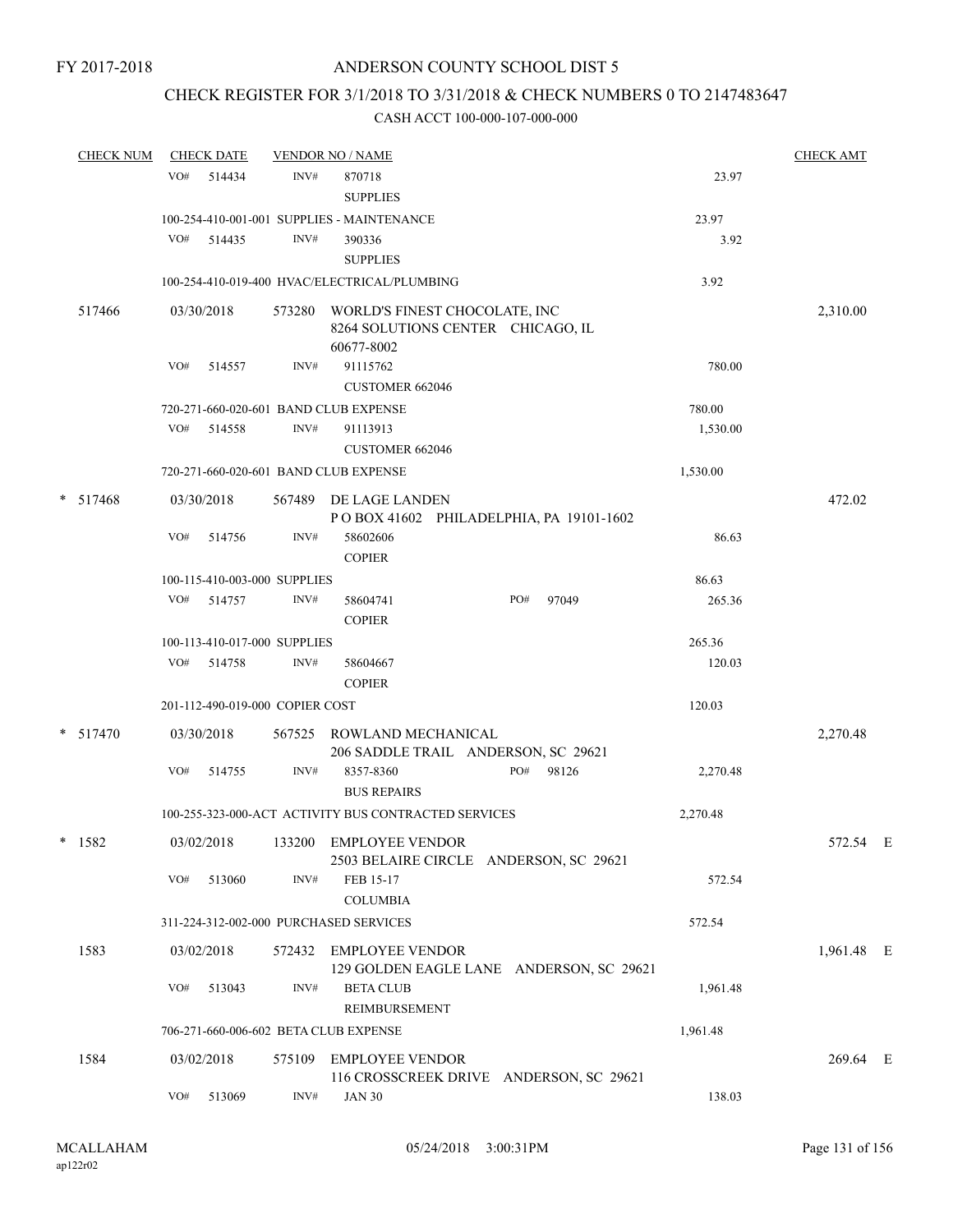# CHECK REGISTER FOR 3/1/2018 TO 3/31/2018 & CHECK NUMBERS 0 TO 2147483647

|   | <b>CHECK NUM</b> |     | <b>CHECK DATE</b>               |        | <b>VENDOR NO / NAME</b>                                                          |          | <b>CHECK AMT</b> |  |
|---|------------------|-----|---------------------------------|--------|----------------------------------------------------------------------------------|----------|------------------|--|
|   |                  | VO# | 514434                          | INV#   | 870718<br><b>SUPPLIES</b>                                                        | 23.97    |                  |  |
|   |                  |     |                                 |        | 100-254-410-001-001 SUPPLIES - MAINTENANCE                                       | 23.97    |                  |  |
|   |                  | VO# | 514435                          | INV#   | 390336<br><b>SUPPLIES</b>                                                        | 3.92     |                  |  |
|   |                  |     |                                 |        | 100-254-410-019-400 HVAC/ELECTRICAL/PLUMBING                                     | 3.92     |                  |  |
|   | 517466           |     | 03/30/2018                      | 573280 | WORLD'S FINEST CHOCOLATE, INC<br>8264 SOLUTIONS CENTER CHICAGO, IL<br>60677-8002 |          | 2,310.00         |  |
|   |                  | VO# | 514557                          | INV#   | 91115762<br><b>CUSTOMER 662046</b>                                               | 780.00   |                  |  |
|   |                  |     |                                 |        | 720-271-660-020-601 BAND CLUB EXPENSE                                            | 780.00   |                  |  |
|   |                  | VO# | 514558                          | INV#   | 91113913<br><b>CUSTOMER 662046</b>                                               | 1,530.00 |                  |  |
|   |                  |     |                                 |        | 720-271-660-020-601 BAND CLUB EXPENSE                                            | 1,530.00 |                  |  |
|   | $* 517468$       |     | 03/30/2018                      |        | 567489 DE LAGE LANDEN<br>POBOX 41602 PHILADELPHIA, PA 19101-1602                 |          | 472.02           |  |
|   |                  | VO# | 514756                          | INV#   | 58602606<br><b>COPIER</b>                                                        | 86.63    |                  |  |
|   |                  |     | 100-115-410-003-000 SUPPLIES    |        |                                                                                  | 86.63    |                  |  |
|   |                  |     | VO# 514757                      | INV#   | PO#<br>97049<br>58604741<br><b>COPIER</b>                                        | 265.36   |                  |  |
|   |                  |     | 100-113-410-017-000 SUPPLIES    |        |                                                                                  | 265.36   |                  |  |
|   |                  |     | VO# 514758                      | INV#   | 58604667<br><b>COPIER</b>                                                        | 120.03   |                  |  |
|   |                  |     | 201-112-490-019-000 COPIER COST |        |                                                                                  | 120.03   |                  |  |
|   | $*$ 517470       |     | 03/30/2018                      |        | 567525 ROWLAND MECHANICAL<br>206 SADDLE TRAIL ANDERSON, SC 29621                 |          | 2,270.48         |  |
|   |                  | VO# | 514755                          | INV#   | PO#<br>8357-8360<br>98126<br><b>BUS REPAIRS</b>                                  | 2,270.48 |                  |  |
|   |                  |     |                                 |        | 100-255-323-000-ACT ACTIVITY BUS CONTRACTED SERVICES                             | 2,270.48 |                  |  |
| * | 1582             |     | 03/02/2018                      |        | 133200 EMPLOYEE VENDOR<br>2503 BELAIRE CIRCLE ANDERSON, SC 29621                 |          | 572.54 E         |  |
|   |                  | VO# | 513060                          | INV#   | FEB 15-17<br><b>COLUMBIA</b>                                                     | 572.54   |                  |  |
|   |                  |     |                                 |        | 311-224-312-002-000 PURCHASED SERVICES                                           | 572.54   |                  |  |
|   | 1583             |     | 03/02/2018                      |        | 572432 EMPLOYEE VENDOR<br>129 GOLDEN EAGLE LANE ANDERSON, SC 29621               |          | 1,961.48 E       |  |
|   |                  | VO# | 513043                          | INV#   | <b>BETA CLUB</b><br>REIMBURSEMENT                                                | 1,961.48 |                  |  |
|   |                  |     |                                 |        | 706-271-660-006-602 BETA CLUB EXPENSE                                            | 1,961.48 |                  |  |
|   | 1584             |     | 03/02/2018                      | 575109 | <b>EMPLOYEE VENDOR</b><br>116 CROSSCREEK DRIVE ANDERSON, SC 29621                |          | 269.64 E         |  |
|   |                  | VO# | 513069                          | INV#   | <b>JAN 30</b>                                                                    | 138.03   |                  |  |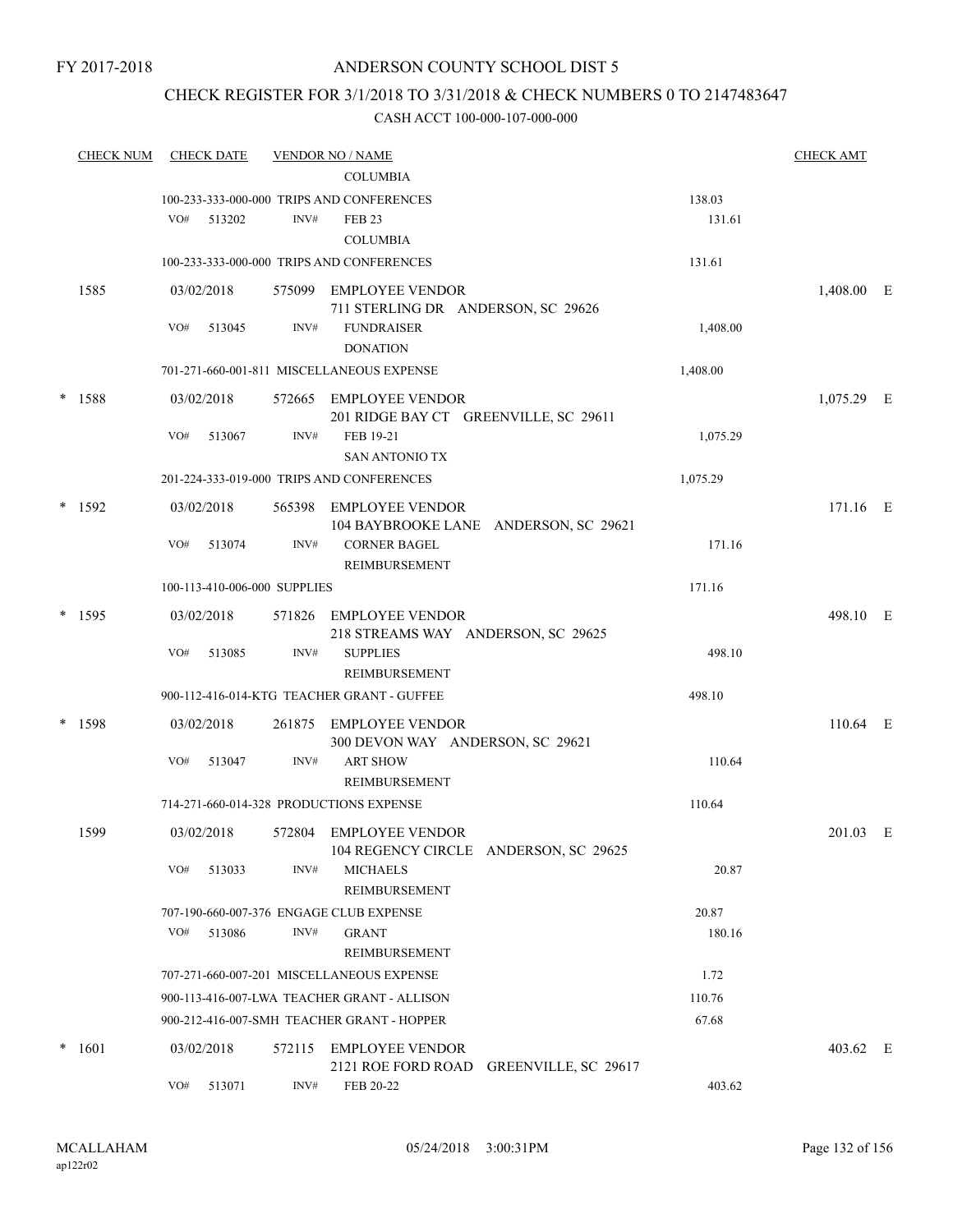### ANDERSON COUNTY SCHOOL DIST 5

### CHECK REGISTER FOR 3/1/2018 TO 3/31/2018 & CHECK NUMBERS 0 TO 2147483647

| <b>CHECK NUM</b> |     | <b>CHECK DATE</b> |                              | <b>VENDOR NO / NAME</b>                                         |                                         |          | <b>CHECK AMT</b> |  |
|------------------|-----|-------------------|------------------------------|-----------------------------------------------------------------|-----------------------------------------|----------|------------------|--|
|                  |     |                   |                              | <b>COLUMBIA</b>                                                 |                                         |          |                  |  |
|                  |     |                   |                              | 100-233-333-000-000 TRIPS AND CONFERENCES                       |                                         | 138.03   |                  |  |
|                  | VO# | 513202            | INV#                         | <b>FEB 23</b>                                                   |                                         | 131.61   |                  |  |
|                  |     |                   |                              | <b>COLUMBIA</b>                                                 |                                         |          |                  |  |
|                  |     |                   |                              | 100-233-333-000-000 TRIPS AND CONFERENCES                       |                                         | 131.61   |                  |  |
| 1585             |     | 03/02/2018        |                              | 575099 EMPLOYEE VENDOR<br>711 STERLING DR ANDERSON, SC 29626    |                                         |          | 1,408.00 E       |  |
|                  | VO# | 513045            | INV#                         | <b>FUNDRAISER</b><br><b>DONATION</b>                            |                                         | 1,408.00 |                  |  |
|                  |     |                   |                              | 701-271-660-001-811 MISCELLANEOUS EXPENSE                       |                                         | 1,408.00 |                  |  |
| $* 1588$         |     | 03/02/2018        |                              | 572665 EMPLOYEE VENDOR<br>201 RIDGE BAY CT GREENVILLE, SC 29611 |                                         |          | $1,075.29$ E     |  |
|                  | VO# | 513067            | INV#                         | FEB 19-21<br><b>SAN ANTONIO TX</b>                              |                                         | 1,075.29 |                  |  |
|                  |     |                   |                              | 201-224-333-019-000 TRIPS AND CONFERENCES                       |                                         | 1,075.29 |                  |  |
| * 1592           |     | 03/02/2018        |                              | 565398 EMPLOYEE VENDOR                                          | 104 BAYBROOKE LANE ANDERSON, SC 29621   |          | 171.16 E         |  |
|                  | VO# | 513074            | INV#                         | <b>CORNER BAGEL</b><br>REIMBURSEMENT                            |                                         | 171.16   |                  |  |
|                  |     |                   | 100-113-410-006-000 SUPPLIES |                                                                 |                                         | 171.16   |                  |  |
|                  |     |                   |                              |                                                                 |                                         |          |                  |  |
| $*$ 1595         |     | 03/02/2018        |                              | 571826 EMPLOYEE VENDOR<br>218 STREAMS WAY ANDERSON, SC 29625    |                                         |          | 498.10 E         |  |
|                  | VO# | 513085            | INV#                         | <b>SUPPLIES</b>                                                 |                                         | 498.10   |                  |  |
|                  |     |                   |                              | REIMBURSEMENT                                                   |                                         |          |                  |  |
|                  |     |                   |                              | 900-112-416-014-KTG TEACHER GRANT - GUFFEE                      |                                         | 498.10   |                  |  |
| $*$ 1598         |     | 03/02/2018        |                              | 261875 EMPLOYEE VENDOR<br>300 DEVON WAY ANDERSON, SC 29621      |                                         |          | 110.64 E         |  |
|                  | VO# | 513047            | INV#                         | <b>ART SHOW</b><br>REIMBURSEMENT                                |                                         | 110.64   |                  |  |
|                  |     |                   |                              | 714-271-660-014-328 PRODUCTIONS EXPENSE                         |                                         | 110.64   |                  |  |
| 1599             |     | 03/02/2018        |                              | 572804 EMPLOYEE VENDOR<br>104 REGENCY CIRCLE ANDERSON, SC 29625 |                                         |          | 201.03 E         |  |
|                  | VO# | 513033            | INV#                         | <b>MICHAELS</b><br>REIMBURSEMENT                                |                                         | 20.87    |                  |  |
|                  |     |                   |                              | 707-190-660-007-376 ENGAGE CLUB EXPENSE                         |                                         | 20.87    |                  |  |
|                  | VO# | 513086            | INV#                         | <b>GRANT</b><br>REIMBURSEMENT                                   |                                         | 180.16   |                  |  |
|                  |     |                   |                              | 707-271-660-007-201 MISCELLANEOUS EXPENSE                       |                                         | 1.72     |                  |  |
|                  |     |                   |                              | 900-113-416-007-LWA TEACHER GRANT - ALLISON                     |                                         | 110.76   |                  |  |
|                  |     |                   |                              | 900-212-416-007-SMH TEACHER GRANT - HOPPER                      |                                         | 67.68    |                  |  |
|                  |     |                   |                              |                                                                 |                                         |          |                  |  |
| $* 1601$         |     | 03/02/2018        | 572115                       | <b>EMPLOYEE VENDOR</b>                                          | 2121 ROE FORD ROAD GREENVILLE, SC 29617 |          | 403.62 E         |  |
|                  | VO# | 513071            | INV#                         | FEB 20-22                                                       |                                         | 403.62   |                  |  |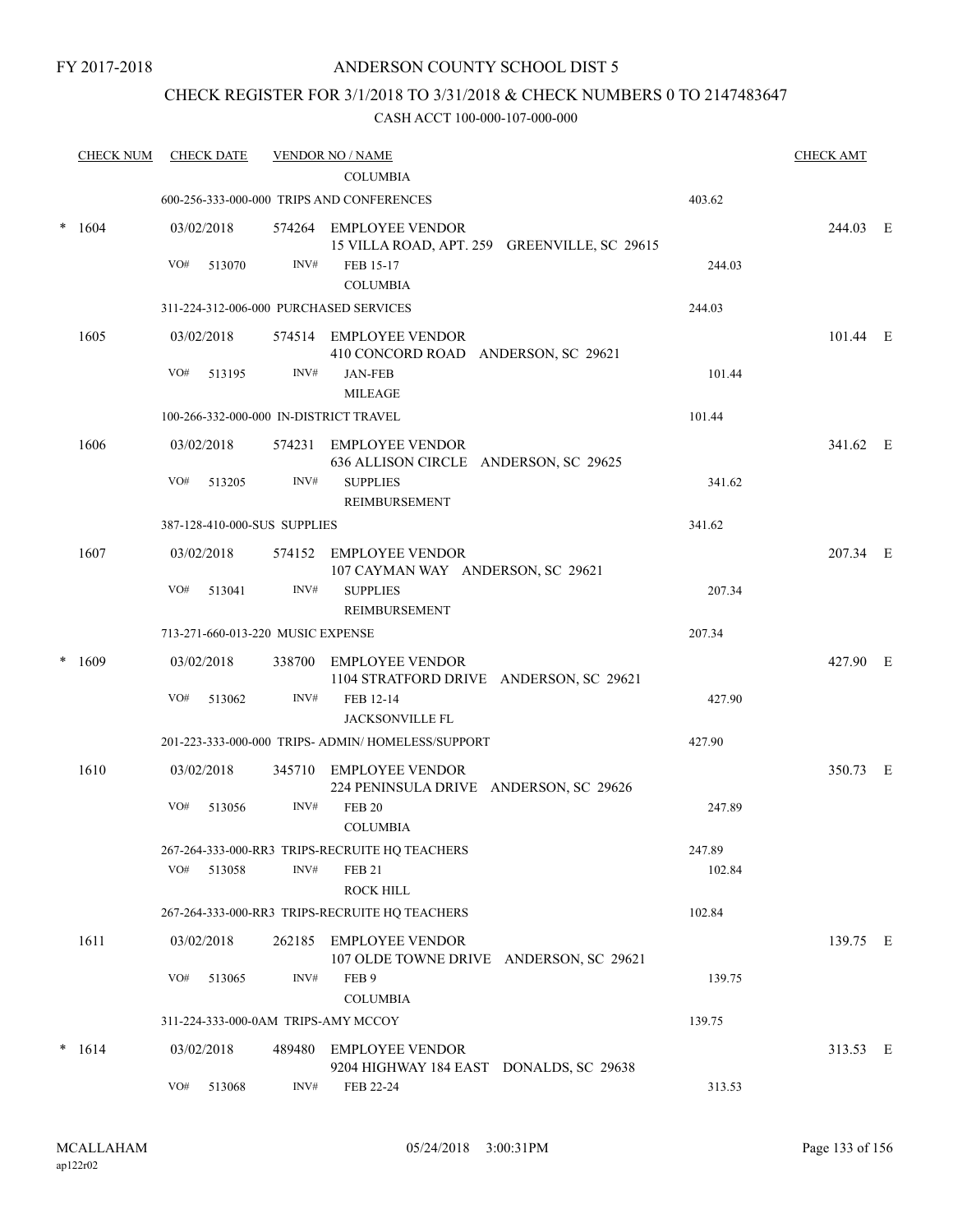### ANDERSON COUNTY SCHOOL DIST 5

### CHECK REGISTER FOR 3/1/2018 TO 3/31/2018 & CHECK NUMBERS 0 TO 2147483647

|   | <b>CHECK NUM</b> |            | <b>CHECK DATE</b> |                                   | <b>VENDOR NO / NAME</b>                                                |        | <b>CHECK AMT</b> |  |
|---|------------------|------------|-------------------|-----------------------------------|------------------------------------------------------------------------|--------|------------------|--|
|   |                  |            |                   |                                   | <b>COLUMBIA</b>                                                        |        |                  |  |
|   |                  |            |                   |                                   | 600-256-333-000-000 TRIPS AND CONFERENCES                              | 403.62 |                  |  |
| * | 1604             |            | 03/02/2018        |                                   | 574264 EMPLOYEE VENDOR<br>15 VILLA ROAD, APT. 259 GREENVILLE, SC 29615 |        | 244.03 E         |  |
|   |                  | VO#        | 513070            | INV#                              | FEB 15-17                                                              | 244.03 |                  |  |
|   |                  |            |                   |                                   | <b>COLUMBIA</b>                                                        |        |                  |  |
|   |                  |            |                   |                                   | 311-224-312-006-000 PURCHASED SERVICES                                 | 244.03 |                  |  |
|   | 1605             |            | 03/02/2018        |                                   | 574514 EMPLOYEE VENDOR<br>410 CONCORD ROAD ANDERSON, SC 29621          |        | 101.44 E         |  |
|   |                  | VO#        | 513195            | INV#                              | <b>JAN-FEB</b><br><b>MILEAGE</b>                                       | 101.44 |                  |  |
|   |                  |            |                   |                                   | 100-266-332-000-000 IN-DISTRICT TRAVEL                                 | 101.44 |                  |  |
|   | 1606             |            | 03/02/2018        |                                   | 574231 EMPLOYEE VENDOR                                                 |        | 341.62 E         |  |
|   |                  |            |                   |                                   | 636 ALLISON CIRCLE ANDERSON, SC 29625                                  |        |                  |  |
|   |                  | VO#        | 513205            | INV#                              | <b>SUPPLIES</b>                                                        | 341.62 |                  |  |
|   |                  |            |                   |                                   | REIMBURSEMENT                                                          |        |                  |  |
|   |                  |            |                   | 387-128-410-000-SUS SUPPLIES      |                                                                        | 341.62 |                  |  |
|   | 1607             |            | 03/02/2018        |                                   | 574152 EMPLOYEE VENDOR<br>107 CAYMAN WAY ANDERSON, SC 29621            |        | 207.34 E         |  |
|   |                  | VO#        | 513041            | INV#                              | <b>SUPPLIES</b><br>REIMBURSEMENT                                       | 207.34 |                  |  |
|   |                  |            |                   | 713-271-660-013-220 MUSIC EXPENSE |                                                                        | 207.34 |                  |  |
|   | 1609             | 03/02/2018 |                   |                                   | 338700 EMPLOYEE VENDOR<br>1104 STRATFORD DRIVE ANDERSON, SC 29621      |        | 427.90 E         |  |
|   |                  | VO#        | 513062            | INV#                              | FEB 12-14<br><b>JACKSONVILLE FL</b>                                    | 427.90 |                  |  |
|   |                  |            |                   |                                   | 201-223-333-000-000 TRIPS- ADMIN/ HOMELESS/SUPPORT                     | 427.90 |                  |  |
|   | 1610             |            | 03/02/2018        |                                   | 345710 EMPLOYEE VENDOR<br>224 PENINSULA DRIVE ANDERSON, SC 29626       |        | 350.73 E         |  |
|   |                  | VO#        | 513056            | INV#                              | <b>FEB 20</b>                                                          | 247.89 |                  |  |
|   |                  |            |                   |                                   | <b>COLUMBIA</b>                                                        |        |                  |  |
|   |                  |            |                   |                                   | 267-264-333-000-RR3 TRIPS-RECRUITE HQ TEACHERS                         | 247.89 |                  |  |
|   |                  | VO#        | 513058            | INV#                              | <b>FEB 21</b><br><b>ROCK HILL</b>                                      | 102.84 |                  |  |
|   |                  |            |                   |                                   | 267-264-333-000-RR3 TRIPS-RECRUITE HQ TEACHERS                         | 102.84 |                  |  |
|   | 1611             |            | 03/02/2018        |                                   | 262185 EMPLOYEE VENDOR<br>107 OLDE TOWNE DRIVE ANDERSON, SC 29621      |        | 139.75 E         |  |
|   |                  | VO#        | 513065            | INV#                              | FEB <sub>9</sub>                                                       | 139.75 |                  |  |
|   |                  |            |                   |                                   | <b>COLUMBIA</b><br>311-224-333-000-0AM TRIPS-AMY MCCOY                 | 139.75 |                  |  |
|   |                  |            |                   |                                   |                                                                        |        |                  |  |
|   | $* 1614$         |            | 03/02/2018        |                                   | 489480 EMPLOYEE VENDOR<br>9204 HIGHWAY 184 EAST DONALDS, SC 29638      |        | 313.53 E         |  |
|   |                  | VO#        | 513068            | $\text{INV}\#$                    | FEB 22-24                                                              | 313.53 |                  |  |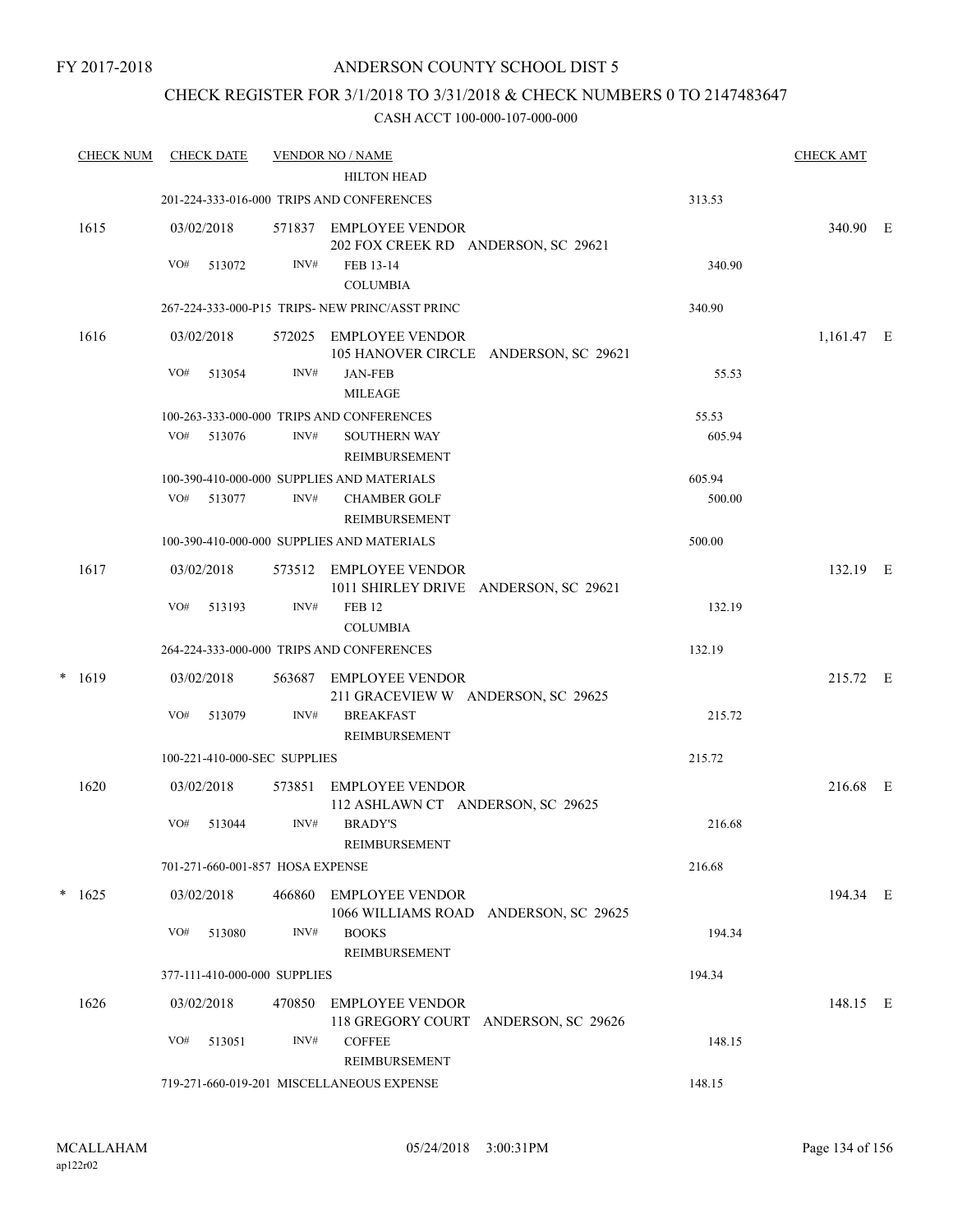### CHECK REGISTER FOR 3/1/2018 TO 3/31/2018 & CHECK NUMBERS 0 TO 2147483647

| <b>CHECK NUM</b> |            | <b>CHECK DATE</b>                |        | <b>VENDOR NO / NAME</b>                                         |        | <b>CHECK AMT</b> |  |
|------------------|------------|----------------------------------|--------|-----------------------------------------------------------------|--------|------------------|--|
|                  |            |                                  |        | <b>HILTON HEAD</b>                                              |        |                  |  |
|                  |            |                                  |        | 201-224-333-016-000 TRIPS AND CONFERENCES                       | 313.53 |                  |  |
| 1615             | 03/02/2018 |                                  |        | 571837 EMPLOYEE VENDOR<br>202 FOX CREEK RD ANDERSON, SC 29621   |        | 340.90 E         |  |
|                  | VO#        | 513072                           | INV#   | FEB 13-14                                                       | 340.90 |                  |  |
|                  |            |                                  |        | <b>COLUMBIA</b>                                                 |        |                  |  |
|                  |            |                                  |        | 267-224-333-000-P15 TRIPS- NEW PRINC/ASST PRINC                 | 340.90 |                  |  |
| 1616             | 03/02/2018 |                                  |        | 572025 EMPLOYEE VENDOR<br>105 HANOVER CIRCLE ANDERSON, SC 29621 |        | $1,161.47$ E     |  |
|                  | VO#        | 513054                           | INV#   | <b>JAN-FEB</b><br><b>MILEAGE</b>                                | 55.53  |                  |  |
|                  |            |                                  |        | 100-263-333-000-000 TRIPS AND CONFERENCES                       | 55.53  |                  |  |
|                  |            | VO# 513076                       | INV#   | <b>SOUTHERN WAY</b><br>REIMBURSEMENT                            | 605.94 |                  |  |
|                  |            |                                  |        | 100-390-410-000-000 SUPPLIES AND MATERIALS                      | 605.94 |                  |  |
|                  | VO#        | 513077                           | INV#   | <b>CHAMBER GOLF</b><br>REIMBURSEMENT                            | 500.00 |                  |  |
|                  |            |                                  |        | 100-390-410-000-000 SUPPLIES AND MATERIALS                      | 500.00 |                  |  |
| 1617             | 03/02/2018 |                                  |        | 573512 EMPLOYEE VENDOR<br>1011 SHIRLEY DRIVE ANDERSON, SC 29621 |        | 132.19 E         |  |
|                  | VO#        | 513193                           | INV#   | <b>FEB 12</b><br><b>COLUMBIA</b>                                | 132.19 |                  |  |
|                  |            |                                  |        | 264-224-333-000-000 TRIPS AND CONFERENCES                       | 132.19 |                  |  |
| $*$ 1619         | 03/02/2018 |                                  |        | 563687 EMPLOYEE VENDOR<br>211 GRACEVIEW W ANDERSON, SC 29625    |        | 215.72 E         |  |
|                  | VO#        | 513079                           | INV#   | <b>BREAKFAST</b><br>REIMBURSEMENT                               | 215.72 |                  |  |
|                  |            | 100-221-410-000-SEC SUPPLIES     |        |                                                                 | 215.72 |                  |  |
| 1620             | 03/02/2018 |                                  |        | 573851 EMPLOYEE VENDOR<br>112 ASHLAWN CT ANDERSON, SC 29625     |        | 216.68 E         |  |
|                  | VO#        | 513044                           | INV#   | <b>BRADY'S</b><br>REIMBURSEMENT                                 | 216.68 |                  |  |
|                  |            | 701-271-660-001-857 HOSA EXPENSE |        |                                                                 | 216.68 |                  |  |
| $*$ 1625         | 03/02/2018 |                                  | 466860 | EMPLOYEE VENDOR<br>1066 WILLIAMS ROAD ANDERSON, SC 29625        |        | 194.34 E         |  |
|                  | VO#        | 513080                           | INV#   | <b>BOOKS</b><br>REIMBURSEMENT                                   | 194.34 |                  |  |
|                  |            | 377-111-410-000-000 SUPPLIES     |        |                                                                 | 194.34 |                  |  |
| 1626             | 03/02/2018 |                                  | 470850 | EMPLOYEE VENDOR<br>118 GREGORY COURT ANDERSON, SC 29626         |        | 148.15 E         |  |
|                  | VO#        | 513051                           | INV#   | <b>COFFEE</b><br>REIMBURSEMENT                                  | 148.15 |                  |  |
|                  |            |                                  |        | 719-271-660-019-201 MISCELLANEOUS EXPENSE                       | 148.15 |                  |  |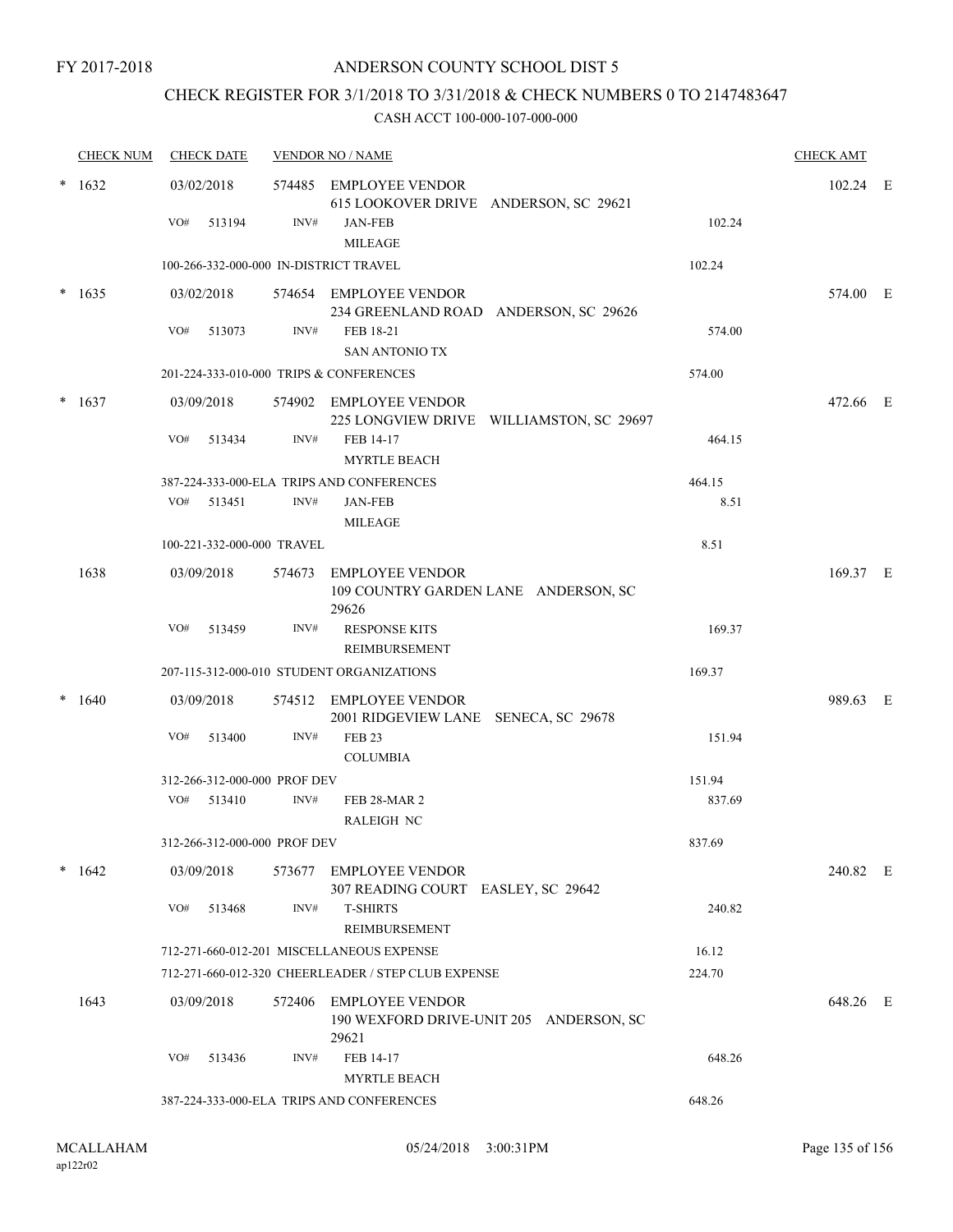### CHECK REGISTER FOR 3/1/2018 TO 3/31/2018 & CHECK NUMBERS 0 TO 2147483647

|        | <b>CHECK NUM</b> | <b>CHECK DATE</b>                       |        | <b>VENDOR NO / NAME</b>                                                    |        | <b>CHECK AMT</b> |  |
|--------|------------------|-----------------------------------------|--------|----------------------------------------------------------------------------|--------|------------------|--|
|        | $* 1632$         | 03/02/2018                              |        | 574485 EMPLOYEE VENDOR<br>615 LOOKOVER DRIVE ANDERSON, SC 29621            |        | 102.24 E         |  |
|        |                  | VO#<br>513194                           | INV#   | <b>JAN-FEB</b><br><b>MILEAGE</b>                                           | 102.24 |                  |  |
|        |                  | 100-266-332-000-000 IN-DISTRICT TRAVEL  |        |                                                                            | 102.24 |                  |  |
| $\ast$ | 1635             | 03/02/2018                              |        | 574654 EMPLOYEE VENDOR<br>234 GREENLAND ROAD ANDERSON, SC 29626            |        | 574.00 E         |  |
|        |                  | VO#<br>513073                           | INV#   | FEB 18-21<br><b>SAN ANTONIO TX</b>                                         | 574.00 |                  |  |
|        |                  | 201-224-333-010-000 TRIPS & CONFERENCES |        |                                                                            | 574.00 |                  |  |
|        | 1637             | 03/09/2018                              |        | 574902 EMPLOYEE VENDOR<br>225 LONGVIEW DRIVE WILLIAMSTON, SC 29697         |        | 472.66 E         |  |
|        |                  | VO#<br>513434                           | INV#   | FEB 14-17<br><b>MYRTLE BEACH</b>                                           | 464.15 |                  |  |
|        |                  |                                         |        | 387-224-333-000-ELA TRIPS AND CONFERENCES                                  | 464.15 |                  |  |
|        |                  | VO#<br>513451                           | INV#   | <b>JAN-FEB</b><br><b>MILEAGE</b>                                           | 8.51   |                  |  |
|        |                  | 100-221-332-000-000 TRAVEL              |        |                                                                            | 8.51   |                  |  |
|        | 1638             | 03/09/2018                              | 574673 | <b>EMPLOYEE VENDOR</b><br>109 COUNTRY GARDEN LANE ANDERSON, SC<br>29626    |        | 169.37 E         |  |
|        |                  | VO#<br>513459                           | INV#   | <b>RESPONSE KITS</b><br>REIMBURSEMENT                                      | 169.37 |                  |  |
|        |                  |                                         |        | 207-115-312-000-010 STUDENT ORGANIZATIONS                                  | 169.37 |                  |  |
|        | 1640             | 03/09/2018                              |        | 574512 EMPLOYEE VENDOR<br>2001 RIDGEVIEW LANE SENECA, SC 29678             |        | 989.63 E         |  |
|        |                  | VO#<br>513400                           | INV#   | <b>FEB 23</b><br><b>COLUMBIA</b>                                           | 151.94 |                  |  |
|        |                  | 312-266-312-000-000 PROF DEV            |        |                                                                            | 151.94 |                  |  |
|        |                  | VO# 513410                              | INV#   | FEB 28-MAR 2<br><b>RALEIGH NC</b>                                          | 837.69 |                  |  |
|        |                  | 312-266-312-000-000 PROF DEV            |        |                                                                            | 837.69 |                  |  |
|        | 1642             | 03/09/2018                              |        | 573677 EMPLOYEE VENDOR<br>307 READING COURT EASLEY, SC 29642               |        | 240.82 E         |  |
|        |                  | VO#<br>513468                           | INV#   | <b>T-SHIRTS</b><br>REIMBURSEMENT                                           | 240.82 |                  |  |
|        |                  |                                         |        | 712-271-660-012-201 MISCELLANEOUS EXPENSE                                  | 16.12  |                  |  |
|        |                  |                                         |        | 712-271-660-012-320 CHEERLEADER / STEP CLUB EXPENSE                        | 224.70 |                  |  |
|        | 1643             | 03/09/2018                              |        | 572406 EMPLOYEE VENDOR<br>190 WEXFORD DRIVE-UNIT 205 ANDERSON, SC<br>29621 |        | 648.26 E         |  |
|        |                  | VO#<br>513436                           | INV#   | FEB 14-17<br><b>MYRTLE BEACH</b>                                           | 648.26 |                  |  |
|        |                  |                                         |        | 387-224-333-000-ELA TRIPS AND CONFERENCES                                  | 648.26 |                  |  |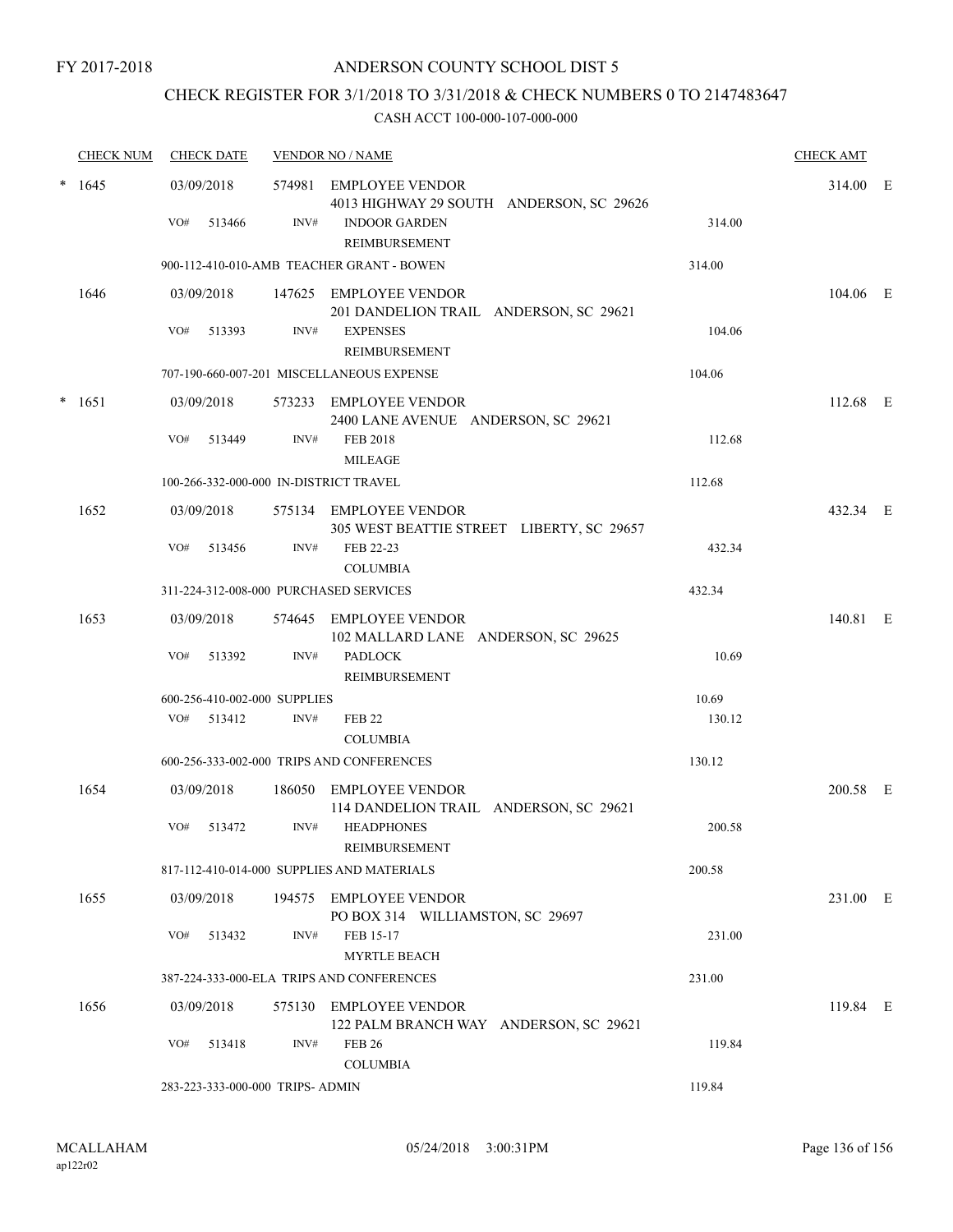# CHECK REGISTER FOR 3/1/2018 TO 3/31/2018 & CHECK NUMBERS 0 TO 2147483647

|        | <b>CHECK NUM</b> | <b>CHECK DATE</b>                      |      | <b>VENDOR NO / NAME</b>                                             |        | <b>CHECK AMT</b> |  |
|--------|------------------|----------------------------------------|------|---------------------------------------------------------------------|--------|------------------|--|
|        | $*1645$          | 03/09/2018                             |      | 574981 EMPLOYEE VENDOR<br>4013 HIGHWAY 29 SOUTH ANDERSON, SC 29626  |        | 314.00 E         |  |
|        |                  | VO#<br>513466                          | INV# | <b>INDOOR GARDEN</b><br>REIMBURSEMENT                               | 314.00 |                  |  |
|        |                  |                                        |      | 900-112-410-010-AMB TEACHER GRANT - BOWEN                           | 314.00 |                  |  |
|        | 1646             | 03/09/2018                             |      | 147625 EMPLOYEE VENDOR<br>201 DANDELION TRAIL ANDERSON, SC 29621    |        | 104.06 E         |  |
|        |                  | VO#<br>513393                          | INV# | <b>EXPENSES</b><br>REIMBURSEMENT                                    | 104.06 |                  |  |
|        |                  |                                        |      | 707-190-660-007-201 MISCELLANEOUS EXPENSE                           | 104.06 |                  |  |
| $\ast$ | 1651             | 03/09/2018                             |      | 573233 EMPLOYEE VENDOR<br>2400 LANE AVENUE ANDERSON, SC 29621       |        | 112.68 E         |  |
|        |                  | VO#<br>513449                          | INV# | <b>FEB 2018</b><br><b>MILEAGE</b>                                   | 112.68 |                  |  |
|        |                  | 100-266-332-000-000 IN-DISTRICT TRAVEL |      |                                                                     | 112.68 |                  |  |
|        | 1652             | 03/09/2018                             |      | 575134 EMPLOYEE VENDOR<br>305 WEST BEATTIE STREET LIBERTY, SC 29657 |        | 432.34 E         |  |
|        |                  | VO#<br>513456                          | INV# | FEB 22-23<br><b>COLUMBIA</b>                                        | 432.34 |                  |  |
|        |                  | 311-224-312-008-000 PURCHASED SERVICES |      |                                                                     | 432.34 |                  |  |
|        | 1653             | 03/09/2018                             |      | 574645 EMPLOYEE VENDOR<br>102 MALLARD LANE ANDERSON, SC 29625       |        | 140.81 E         |  |
|        |                  | VO#<br>513392                          | INV# | <b>PADLOCK</b><br>REIMBURSEMENT                                     | 10.69  |                  |  |
|        |                  | 600-256-410-002-000 SUPPLIES           |      |                                                                     | 10.69  |                  |  |
|        |                  | VO# 513412                             | INV# | <b>FEB 22</b><br><b>COLUMBIA</b>                                    | 130.12 |                  |  |
|        |                  |                                        |      | 600-256-333-002-000 TRIPS AND CONFERENCES                           | 130.12 |                  |  |
|        | 1654             | 03/09/2018                             |      | 186050 EMPLOYEE VENDOR<br>114 DANDELION TRAIL ANDERSON, SC 29621    |        | 200.58 E         |  |
|        |                  | VO#<br>513472                          | INV# | <b>HEADPHONES</b><br>REIMBURSEMENT                                  | 200.58 |                  |  |
|        |                  |                                        |      | 817-112-410-014-000 SUPPLIES AND MATERIALS                          | 200.58 |                  |  |
|        | 1655             | 03/09/2018                             |      | 194575 EMPLOYEE VENDOR<br>PO BOX 314 WILLIAMSTON, SC 29697          |        | 231.00 E         |  |
|        |                  | VO#<br>513432                          | INV# | FEB 15-17<br><b>MYRTLE BEACH</b>                                    | 231.00 |                  |  |
|        |                  |                                        |      | 387-224-333-000-ELA TRIPS AND CONFERENCES                           | 231.00 |                  |  |
|        | 1656             | 03/09/2018                             |      | 575130 EMPLOYEE VENDOR<br>122 PALM BRANCH WAY ANDERSON, SC 29621    |        | 119.84 E         |  |
|        |                  | VO#<br>513418                          | INV# | <b>FEB 26</b><br><b>COLUMBIA</b>                                    | 119.84 |                  |  |
|        |                  | 283-223-333-000-000 TRIPS- ADMIN       |      |                                                                     | 119.84 |                  |  |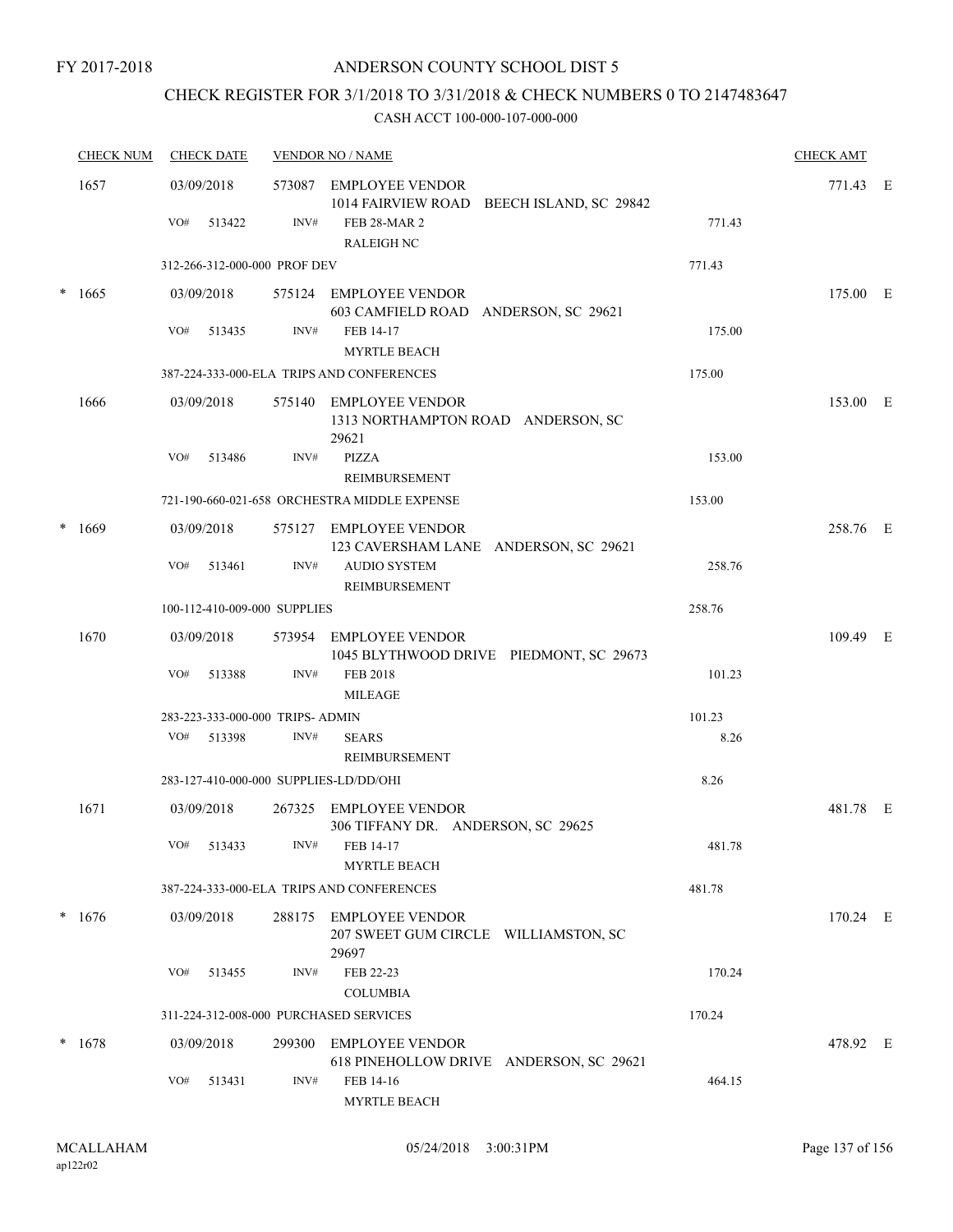### ANDERSON COUNTY SCHOOL DIST 5

# CHECK REGISTER FOR 3/1/2018 TO 3/31/2018 & CHECK NUMBERS 0 TO 2147483647

|        | <b>CHECK NUM</b> | <b>CHECK DATE</b>                      |      | <b>VENDOR NO / NAME</b>                                                 |        | <b>CHECK AMT</b> |  |
|--------|------------------|----------------------------------------|------|-------------------------------------------------------------------------|--------|------------------|--|
|        | 1657             | 03/09/2018                             |      | 573087 EMPLOYEE VENDOR<br>1014 FAIRVIEW ROAD BEECH ISLAND, SC 29842     |        | 771.43 E         |  |
|        |                  | VO#<br>513422                          | INV# | <b>FEB 28-MAR 2</b><br><b>RALEIGH NC</b>                                | 771.43 |                  |  |
|        |                  | 312-266-312-000-000 PROF DEV           |      |                                                                         | 771.43 |                  |  |
|        | $*1665$          | 03/09/2018                             |      | 575124 EMPLOYEE VENDOR<br>603 CAMFIELD ROAD ANDERSON, SC 29621          |        | 175.00 E         |  |
|        |                  | VO#<br>513435                          | INV# | FEB 14-17<br><b>MYRTLE BEACH</b>                                        | 175.00 |                  |  |
|        |                  |                                        |      | 387-224-333-000-ELA TRIPS AND CONFERENCES                               | 175.00 |                  |  |
|        | 1666             | 03/09/2018                             |      | 575140 EMPLOYEE VENDOR<br>1313 NORTHAMPTON ROAD ANDERSON, SC<br>29621   |        | 153.00 E         |  |
|        |                  | VO#<br>513486                          | INV# | <b>PIZZA</b><br><b>REIMBURSEMENT</b>                                    | 153.00 |                  |  |
|        |                  |                                        |      | 721-190-660-021-658 ORCHESTRA MIDDLE EXPENSE                            | 153.00 |                  |  |
| $\ast$ | 1669             | 03/09/2018                             |      | 575127 EMPLOYEE VENDOR<br>123 CAVERSHAM LANE ANDERSON, SC 29621         |        | 258.76 E         |  |
|        |                  | VO#<br>513461                          | INV# | <b>AUDIO SYSTEM</b><br>REIMBURSEMENT                                    | 258.76 |                  |  |
|        |                  | 100-112-410-009-000 SUPPLIES           |      |                                                                         | 258.76 |                  |  |
|        | 1670             | 03/09/2018                             |      | 573954 EMPLOYEE VENDOR<br>1045 BLYTHWOOD DRIVE PIEDMONT, SC 29673       |        | 109.49 E         |  |
|        |                  | VO#<br>513388                          | INV# | <b>FEB 2018</b><br><b>MILEAGE</b>                                       | 101.23 |                  |  |
|        |                  | 283-223-333-000-000 TRIPS- ADMIN       |      |                                                                         | 101.23 |                  |  |
|        |                  | VO#<br>513398                          | INV# | <b>SEARS</b><br><b>REIMBURSEMENT</b>                                    | 8.26   |                  |  |
|        |                  | 283-127-410-000-000 SUPPLIES-LD/DD/OHI |      |                                                                         | 8.26   |                  |  |
|        | 1671             | 03/09/2018                             |      | 267325 EMPLOYEE VENDOR<br>306 TIFFANY DR. ANDERSON, SC 29625            |        | 481.78 E         |  |
|        |                  | VO# 513433                             |      | INV# FEB 14-17<br><b>MYRTLE BEACH</b>                                   | 481.78 |                  |  |
|        |                  |                                        |      | 387-224-333-000-ELA TRIPS AND CONFERENCES                               | 481.78 |                  |  |
|        | $*1676$          | 03/09/2018                             |      | 288175 EMPLOYEE VENDOR<br>207 SWEET GUM CIRCLE WILLIAMSTON, SC<br>29697 |        | 170.24 E         |  |
|        |                  | VO#<br>513455                          | INV# | FEB 22-23<br><b>COLUMBIA</b>                                            | 170.24 |                  |  |
|        |                  | 311-224-312-008-000 PURCHASED SERVICES |      |                                                                         | 170.24 |                  |  |
|        | $* 1678$         | 03/09/2018                             |      | 299300 EMPLOYEE VENDOR<br>618 PINEHOLLOW DRIVE ANDERSON, SC 29621       |        | 478.92 E         |  |
|        |                  | VO#<br>513431                          | INV# | FEB 14-16<br>MYRTLE BEACH                                               | 464.15 |                  |  |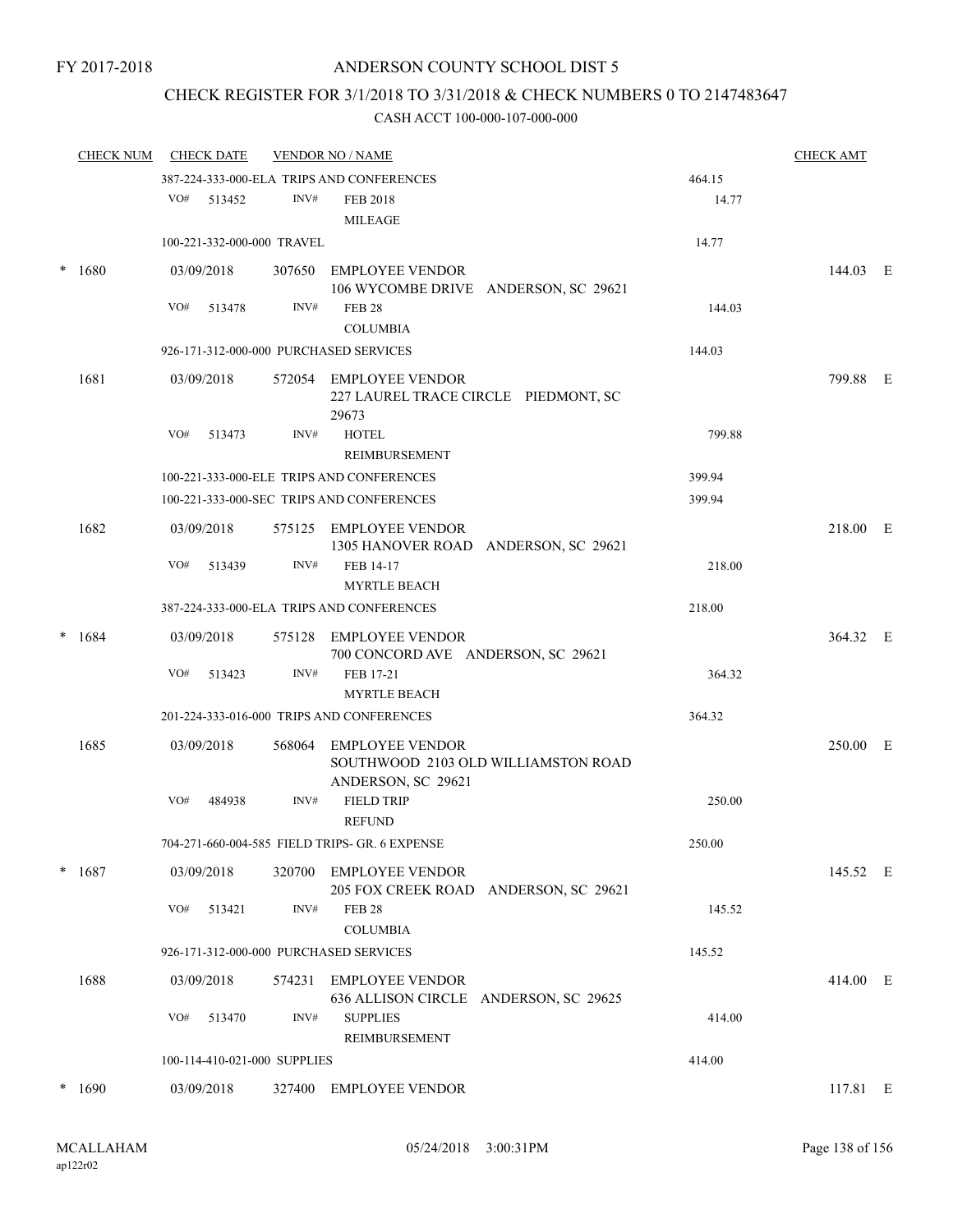# CHECK REGISTER FOR 3/1/2018 TO 3/31/2018 & CHECK NUMBERS 0 TO 2147483647

|        | <b>CHECK NUM</b> |            | <b>CHECK DATE</b>            |        | <b>VENDOR NO / NAME</b>                                                             |        | <b>CHECK AMT</b> |  |
|--------|------------------|------------|------------------------------|--------|-------------------------------------------------------------------------------------|--------|------------------|--|
|        |                  |            |                              |        | 387-224-333-000-ELA TRIPS AND CONFERENCES                                           | 464.15 |                  |  |
|        |                  | VO#        | 513452                       | INV#   | <b>FEB 2018</b><br><b>MILEAGE</b>                                                   | 14.77  |                  |  |
|        |                  |            | 100-221-332-000-000 TRAVEL   |        |                                                                                     | 14.77  |                  |  |
| $\ast$ | 1680             | 03/09/2018 |                              |        | 307650 EMPLOYEE VENDOR<br>106 WYCOMBE DRIVE ANDERSON, SC 29621                      |        | 144.03 E         |  |
|        |                  | VO#        | 513478                       | INV#   | <b>FEB 28</b><br><b>COLUMBIA</b>                                                    | 144.03 |                  |  |
|        |                  |            |                              |        | 926-171-312-000-000 PURCHASED SERVICES                                              | 144.03 |                  |  |
|        | 1681             | 03/09/2018 |                              |        | 572054 EMPLOYEE VENDOR<br>227 LAUREL TRACE CIRCLE PIEDMONT, SC<br>29673             |        | 799.88 E         |  |
|        |                  | VO#        | 513473                       | INV#   | <b>HOTEL</b><br><b>REIMBURSEMENT</b>                                                | 799.88 |                  |  |
|        |                  |            |                              |        | 100-221-333-000-ELE TRIPS AND CONFERENCES                                           | 399.94 |                  |  |
|        |                  |            |                              |        | 100-221-333-000-SEC TRIPS AND CONFERENCES                                           | 399.94 |                  |  |
|        | 1682             | 03/09/2018 |                              |        | 575125 EMPLOYEE VENDOR<br>1305 HANOVER ROAD ANDERSON, SC 29621                      |        | 218.00 E         |  |
|        |                  | VO#        | 513439                       | INV#   | FEB 14-17                                                                           | 218.00 |                  |  |
|        |                  |            |                              |        | <b>MYRTLE BEACH</b><br>387-224-333-000-ELA TRIPS AND CONFERENCES                    | 218.00 |                  |  |
|        |                  |            |                              |        |                                                                                     |        |                  |  |
|        | $*1684$          | 03/09/2018 |                              |        | 575128 EMPLOYEE VENDOR<br>700 CONCORD AVE ANDERSON, SC 29621                        |        | 364.32 E         |  |
|        |                  | VO#        | 513423                       | INV#   | FEB 17-21<br><b>MYRTLE BEACH</b>                                                    | 364.32 |                  |  |
|        |                  |            |                              |        | 201-224-333-016-000 TRIPS AND CONFERENCES                                           | 364.32 |                  |  |
|        | 1685             | 03/09/2018 |                              | 568064 | <b>EMPLOYEE VENDOR</b><br>SOUTHWOOD 2103 OLD WILLIAMSTON ROAD<br>ANDERSON, SC 29621 |        | 250.00 E         |  |
|        |                  | VO#        | 484938                       | INV#   | <b>FIELD TRIP</b><br><b>REFUND</b>                                                  | 250.00 |                  |  |
|        |                  |            |                              |        | 704-271-660-004-585 FIELD TRIPS- GR. 6 EXPENSE                                      | 250.00 |                  |  |
| $\ast$ | 1687             |            | 03/09/2018                   |        | 320700 EMPLOYEE VENDOR<br>205 FOX CREEK ROAD ANDERSON, SC 29621                     |        | 145.52 E         |  |
|        |                  | VO#        | 513421                       | INV#   | <b>FEB 28</b><br><b>COLUMBIA</b>                                                    | 145.52 |                  |  |
|        |                  |            |                              |        | 926-171-312-000-000 PURCHASED SERVICES                                              | 145.52 |                  |  |
|        | 1688             | 03/09/2018 |                              | 574231 | EMPLOYEE VENDOR<br>636 ALLISON CIRCLE ANDERSON, SC 29625                            |        | 414.00 E         |  |
|        |                  | VO#        | 513470                       | INV#   | <b>SUPPLIES</b><br>REIMBURSEMENT                                                    | 414.00 |                  |  |
|        |                  |            | 100-114-410-021-000 SUPPLIES |        |                                                                                     | 414.00 |                  |  |
|        | $*1690$          | 03/09/2018 |                              |        | 327400 EMPLOYEE VENDOR                                                              |        | 117.81 E         |  |
|        |                  |            |                              |        |                                                                                     |        |                  |  |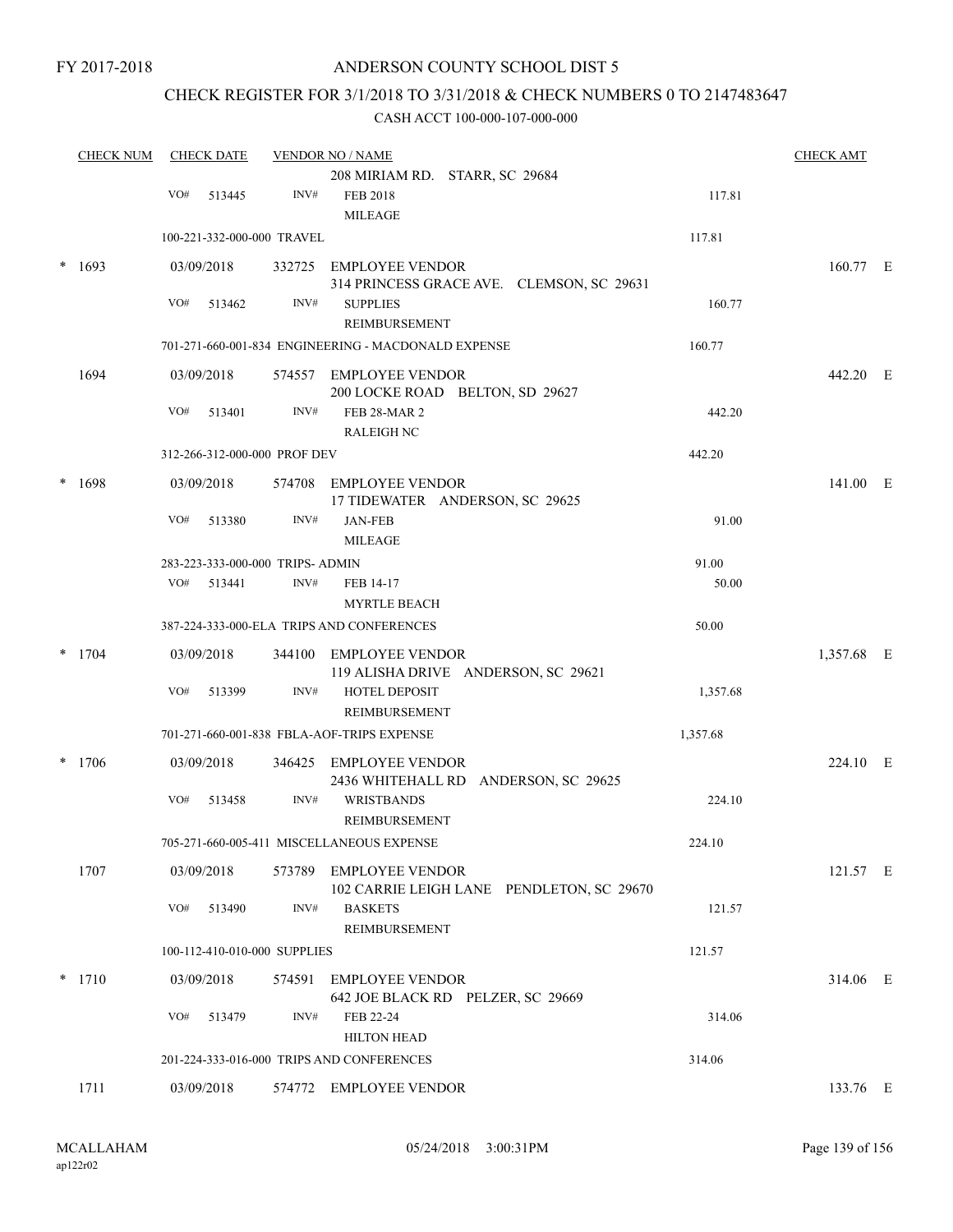### ANDERSON COUNTY SCHOOL DIST 5

# CHECK REGISTER FOR 3/1/2018 TO 3/31/2018 & CHECK NUMBERS 0 TO 2147483647

| <b>CHECK NUM</b> |     | <b>CHECK DATE</b>                |      | <b>VENDOR NO / NAME</b>                                     |          | <b>CHECK AMT</b> |  |
|------------------|-----|----------------------------------|------|-------------------------------------------------------------|----------|------------------|--|
|                  |     |                                  |      | 208 MIRIAM RD. STARR, SC 29684                              |          |                  |  |
|                  | VO# | 513445                           | INV# | <b>FEB 2018</b>                                             | 117.81   |                  |  |
|                  |     |                                  |      | <b>MILEAGE</b>                                              |          |                  |  |
|                  |     | 100-221-332-000-000 TRAVEL       |      |                                                             | 117.81   |                  |  |
| 1693             |     | 03/09/2018                       |      | 332725 EMPLOYEE VENDOR                                      |          | 160.77 E         |  |
|                  |     |                                  |      | 314 PRINCESS GRACE AVE. CLEMSON, SC 29631                   |          |                  |  |
|                  | VO# | 513462                           | INV# | <b>SUPPLIES</b>                                             | 160.77   |                  |  |
|                  |     |                                  |      | REIMBURSEMENT                                               |          |                  |  |
|                  |     |                                  |      | 701-271-660-001-834 ENGINEERING - MACDONALD EXPENSE         | 160.77   |                  |  |
| 1694             |     | 03/09/2018                       |      | 574557 EMPLOYEE VENDOR                                      |          | 442.20 E         |  |
|                  |     |                                  |      | 200 LOCKE ROAD BELTON, SD 29627                             |          |                  |  |
|                  | VO# | 513401                           | INV# | <b>FEB 28-MAR 2</b><br><b>RALEIGH NC</b>                    | 442.20   |                  |  |
|                  |     | 312-266-312-000-000 PROF DEV     |      |                                                             | 442.20   |                  |  |
|                  |     |                                  |      |                                                             |          |                  |  |
| 1698             |     | 03/09/2018                       |      | 574708 EMPLOYEE VENDOR<br>17 TIDEWATER ANDERSON, SC 29625   |          | 141.00 E         |  |
|                  | VO# | 513380                           | INV# | <b>JAN-FEB</b>                                              | 91.00    |                  |  |
|                  |     |                                  |      | <b>MILEAGE</b>                                              |          |                  |  |
|                  |     | 283-223-333-000-000 TRIPS- ADMIN |      |                                                             | 91.00    |                  |  |
|                  |     | VO# 513441                       | INV# | FEB 14-17                                                   | 50.00    |                  |  |
|                  |     |                                  |      | <b>MYRTLE BEACH</b>                                         |          |                  |  |
|                  |     |                                  |      | 387-224-333-000-ELA TRIPS AND CONFERENCES                   | 50.00    |                  |  |
| $*$ 1704         |     | 03/09/2018                       |      | 344100 EMPLOYEE VENDOR                                      |          | 1,357.68 E       |  |
|                  |     |                                  |      | 119 ALISHA DRIVE ANDERSON, SC 29621                         |          |                  |  |
|                  | VO# | 513399                           | INV# | HOTEL DEPOSIT                                               | 1,357.68 |                  |  |
|                  |     |                                  |      | REIMBURSEMENT                                               |          |                  |  |
|                  |     |                                  |      | 701-271-660-001-838 FBLA-AOF-TRIPS EXPENSE                  | 1,357.68 |                  |  |
| $*$ 1706         |     | 03/09/2018                       |      | 346425 EMPLOYEE VENDOR                                      |          | 224.10 E         |  |
|                  |     |                                  |      | 2436 WHITEHALL RD ANDERSON, SC 29625                        |          |                  |  |
|                  | VO# | 513458                           | INV# | <b>WRISTBANDS</b>                                           | 224.10   |                  |  |
|                  |     |                                  |      | <b>REIMBURSEMENT</b>                                        |          |                  |  |
|                  |     |                                  |      | 705-271-660-005-411 MISCELLANEOUS EXPENSE                   | 224.10   |                  |  |
| 1707             |     | 03/09/2018                       |      | 573789 EMPLOYEE VENDOR                                      |          | 121.57 E         |  |
|                  | VO# | 513490                           | INV# | 102 CARRIE LEIGH LANE PENDLETON, SC 29670<br><b>BASKETS</b> | 121.57   |                  |  |
|                  |     |                                  |      | <b>REIMBURSEMENT</b>                                        |          |                  |  |
|                  |     | 100-112-410-010-000 SUPPLIES     |      |                                                             | 121.57   |                  |  |
|                  |     |                                  |      |                                                             |          |                  |  |
| $*$ 1710         |     | 03/09/2018                       |      | 574591 EMPLOYEE VENDOR<br>642 JOE BLACK RD PELZER, SC 29669 |          | 314.06 E         |  |
|                  | VO# | 513479                           | INV# | FEB 22-24                                                   | 314.06   |                  |  |
|                  |     |                                  |      | <b>HILTON HEAD</b>                                          |          |                  |  |
|                  |     |                                  |      | 201-224-333-016-000 TRIPS AND CONFERENCES                   | 314.06   |                  |  |
| 1711             |     | 03/09/2018                       |      | 574772 EMPLOYEE VENDOR                                      |          | 133.76 E         |  |
|                  |     |                                  |      |                                                             |          |                  |  |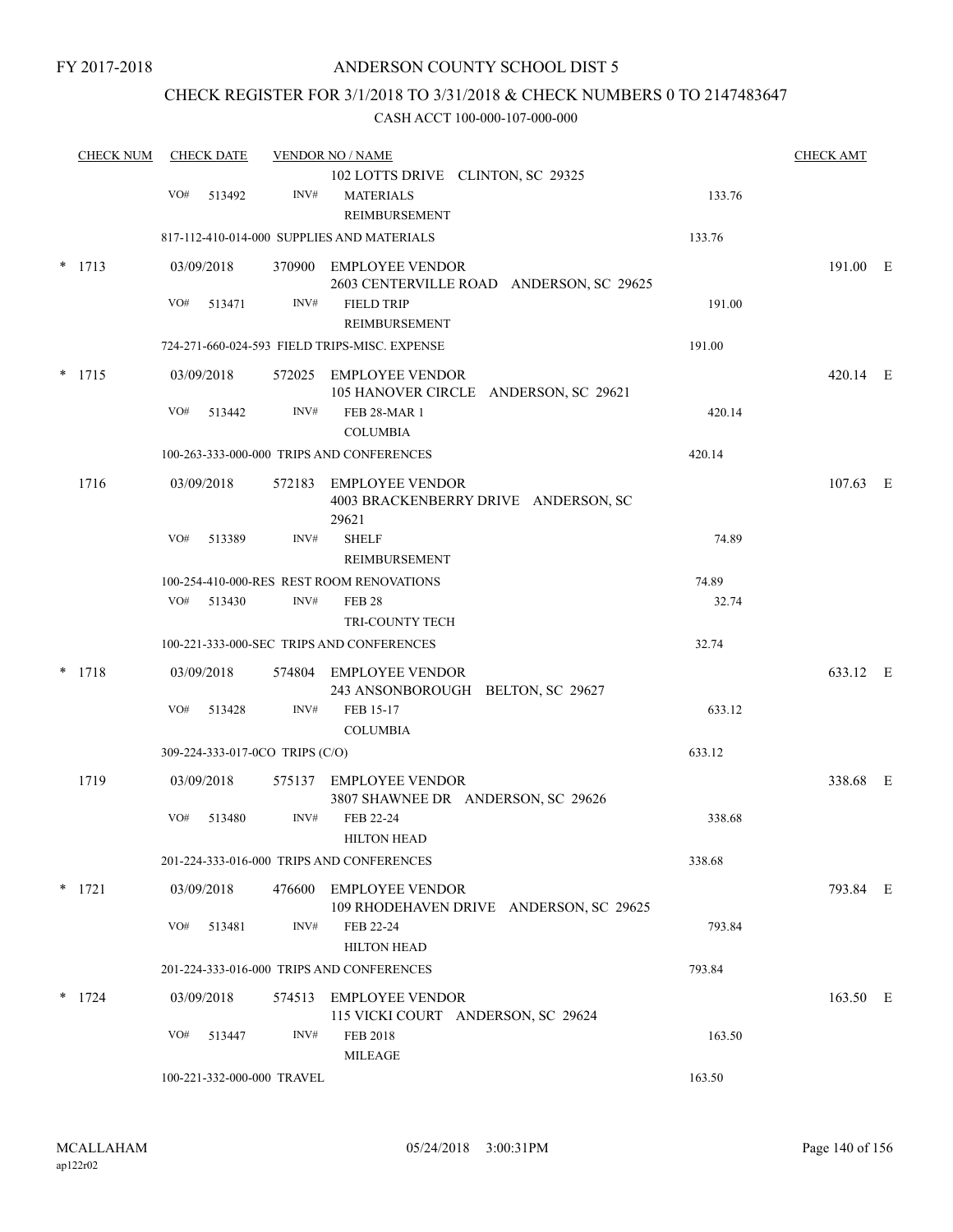### CHECK REGISTER FOR 3/1/2018 TO 3/31/2018 & CHECK NUMBERS 0 TO 2147483647

| <b>CHECK NUM</b> |          | <b>CHECK DATE</b> |            | <b>VENDOR NO / NAME</b>         |                                                                         | <b>CHECK AMT</b> |            |  |
|------------------|----------|-------------------|------------|---------------------------------|-------------------------------------------------------------------------|------------------|------------|--|
|                  |          | VO#               | 513492     | INV#                            | 102 LOTTS DRIVE CLINTON, SC 29325<br><b>MATERIALS</b>                   | 133.76           |            |  |
|                  |          |                   |            |                                 | REIMBURSEMENT<br>817-112-410-014-000 SUPPLIES AND MATERIALS             | 133.76           |            |  |
|                  | $*$ 1713 |                   | 03/09/2018 |                                 | 370900 EMPLOYEE VENDOR                                                  |                  | 191.00 E   |  |
|                  |          |                   |            |                                 | 2603 CENTERVILLE ROAD ANDERSON, SC 29625                                |                  |            |  |
|                  |          | VO#               | 513471     | INV#                            | <b>FIELD TRIP</b>                                                       | 191.00           |            |  |
|                  |          |                   |            |                                 | REIMBURSEMENT<br>724-271-660-024-593 FIELD TRIPS-MISC. EXPENSE          | 191.00           |            |  |
|                  | $*$ 1715 |                   | 03/09/2018 |                                 | 572025 EMPLOYEE VENDOR                                                  |                  | 420.14 E   |  |
|                  |          |                   |            |                                 | 105 HANOVER CIRCLE ANDERSON, SC 29621                                   |                  |            |  |
|                  |          | VO#               | 513442     | INV#                            | <b>FEB 28-MAR 1</b><br><b>COLUMBIA</b>                                  | 420.14           |            |  |
|                  |          |                   |            |                                 | 100-263-333-000-000 TRIPS AND CONFERENCES                               | 420.14           |            |  |
|                  | 1716     |                   | 03/09/2018 |                                 | 572183 EMPLOYEE VENDOR<br>4003 BRACKENBERRY DRIVE ANDERSON, SC<br>29621 |                  | $107.63$ E |  |
|                  |          | VO#               | 513389     | INV#                            | <b>SHELF</b><br>REIMBURSEMENT                                           | 74.89            |            |  |
|                  |          |                   |            |                                 | 100-254-410-000-RES REST ROOM RENOVATIONS                               | 74.89            |            |  |
|                  |          |                   | VO# 513430 | INV#                            | <b>FEB 28</b>                                                           | 32.74            |            |  |
|                  |          |                   |            |                                 | TRI-COUNTY TECH<br>100-221-333-000-SEC TRIPS AND CONFERENCES            | 32.74            |            |  |
|                  | $*$ 1718 |                   | 03/09/2018 |                                 | 574804 EMPLOYEE VENDOR                                                  |                  | 633.12 E   |  |
|                  |          | VO#               | 513428     | INV#                            | 243 ANSONBOROUGH BELTON, SC 29627<br>FEB 15-17<br><b>COLUMBIA</b>       | 633.12           |            |  |
|                  |          |                   |            | 309-224-333-017-0CO TRIPS (C/O) |                                                                         | 633.12           |            |  |
|                  | 1719     |                   | 03/09/2018 |                                 | 575137 EMPLOYEE VENDOR<br>3807 SHAWNEE DR ANDERSON, SC 29626            |                  | 338.68 E   |  |
|                  |          | VO#               | 513480     | INV#                            | FEB 22-24<br><b>HILTON HEAD</b>                                         | 338.68           |            |  |
|                  |          |                   |            |                                 | 201-224-333-016-000 TRIPS AND CONFERENCES                               | 338.68           |            |  |
|                  | $*$ 1721 |                   | 03/09/2018 |                                 | 476600 EMPLOYEE VENDOR<br>109 RHODEHAVEN DRIVE ANDERSON, SC 29625       |                  | 793.84 E   |  |
|                  |          | VO#               | 513481     | INV#                            | FEB 22-24<br><b>HILTON HEAD</b>                                         | 793.84           |            |  |
|                  |          |                   |            |                                 | 201-224-333-016-000 TRIPS AND CONFERENCES                               | 793.84           |            |  |
|                  | $*$ 1724 |                   | 03/09/2018 | 574513                          | <b>EMPLOYEE VENDOR</b><br>115 VICKI COURT ANDERSON, SC 29624            |                  | 163.50 E   |  |
|                  |          | VO#               | 513447     | INV#                            | <b>FEB 2018</b><br><b>MILEAGE</b>                                       | 163.50           |            |  |
|                  |          |                   |            | 100-221-332-000-000 TRAVEL      |                                                                         | 163.50           |            |  |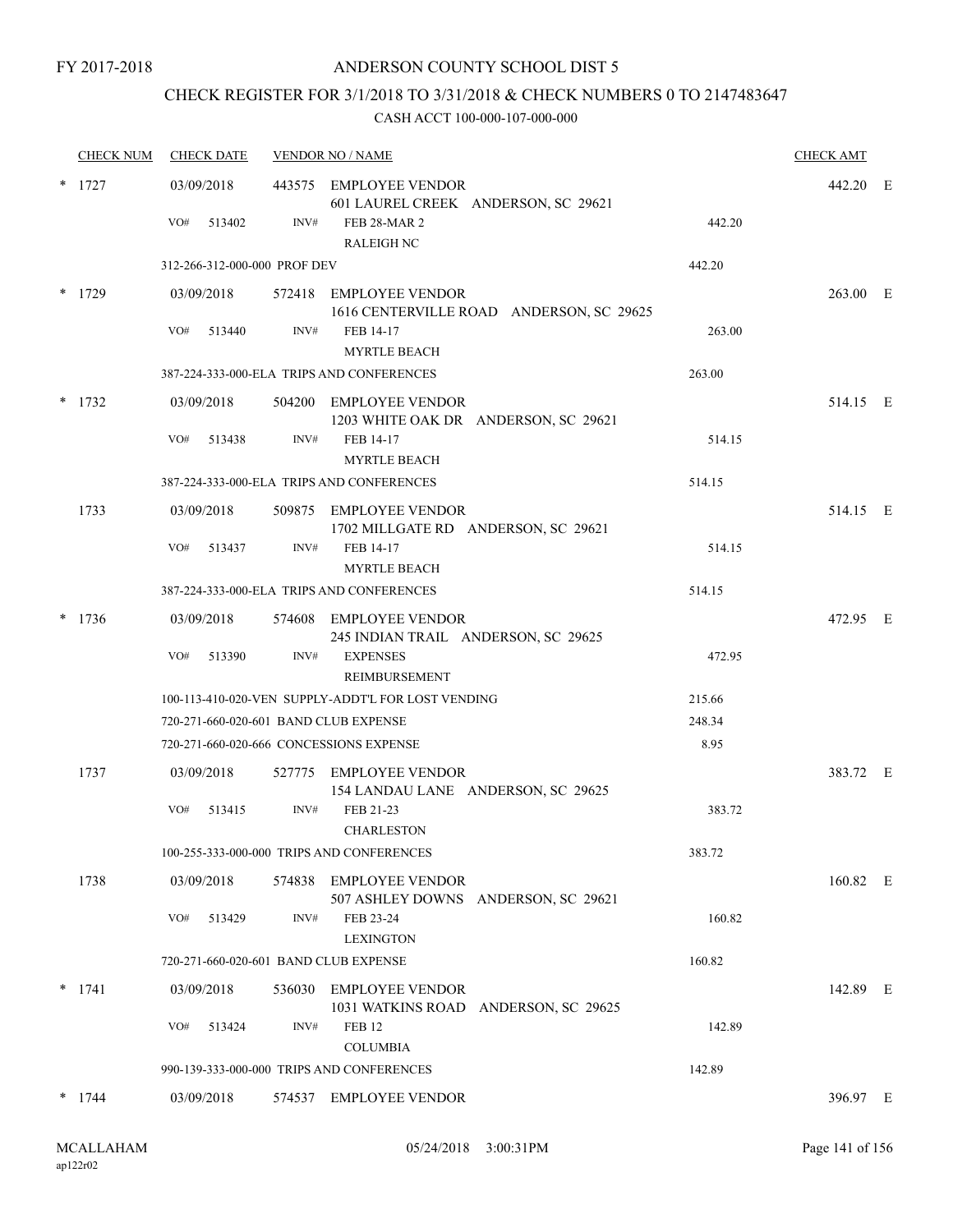### ANDERSON COUNTY SCHOOL DIST 5

# CHECK REGISTER FOR 3/1/2018 TO 3/31/2018 & CHECK NUMBERS 0 TO 2147483647

|   | <b>CHECK NUM</b> | <b>CHECK DATE</b>                     |      | <b>VENDOR NO / NAME</b>                                                          |        | <b>CHECK AMT</b> |  |
|---|------------------|---------------------------------------|------|----------------------------------------------------------------------------------|--------|------------------|--|
|   | $*$ 1727         | 03/09/2018                            |      | 443575 EMPLOYEE VENDOR<br>601 LAUREL CREEK ANDERSON, SC 29621                    |        | 442.20 E         |  |
|   |                  | VO#<br>513402                         | INV# | <b>FEB 28-MAR 2</b><br><b>RALEIGH NC</b>                                         | 442.20 |                  |  |
|   |                  | 312-266-312-000-000 PROF DEV          |      |                                                                                  | 442.20 |                  |  |
|   | $*$ 1729         | 03/09/2018                            |      | 572418 EMPLOYEE VENDOR<br>1616 CENTERVILLE ROAD ANDERSON, SC 29625               |        | 263.00 E         |  |
|   |                  | VO#<br>513440                         | INV# | FEB 14-17<br><b>MYRTLE BEACH</b>                                                 | 263.00 |                  |  |
|   |                  |                                       |      | 387-224-333-000-ELA TRIPS AND CONFERENCES                                        | 263.00 |                  |  |
| * | 1732             | 03/09/2018                            |      | 504200 EMPLOYEE VENDOR<br>1203 WHITE OAK DR ANDERSON, SC 29621                   |        | 514.15 E         |  |
|   |                  | VO#<br>513438                         | INV# | FEB 14-17<br><b>MYRTLE BEACH</b>                                                 | 514.15 |                  |  |
|   |                  |                                       |      | 387-224-333-000-ELA TRIPS AND CONFERENCES                                        | 514.15 |                  |  |
|   | 1733             | 03/09/2018                            |      | 509875 EMPLOYEE VENDOR<br>1702 MILLGATE RD ANDERSON, SC 29621                    |        | 514.15 E         |  |
|   |                  | VO#<br>513437                         | INV# | FEB 14-17<br><b>MYRTLE BEACH</b>                                                 | 514.15 |                  |  |
|   |                  |                                       |      | 387-224-333-000-ELA TRIPS AND CONFERENCES                                        | 514.15 |                  |  |
|   | 1736             | 03/09/2018<br>VO#<br>513390           | INV# | 574608 EMPLOYEE VENDOR<br>245 INDIAN TRAIL ANDERSON, SC 29625<br><b>EXPENSES</b> | 472.95 | 472.95 E         |  |
|   |                  |                                       |      | REIMBURSEMENT                                                                    |        |                  |  |
|   |                  |                                       |      | 100-113-410-020-VEN SUPPLY-ADDT'L FOR LOST VENDING                               | 215.66 |                  |  |
|   |                  | 720-271-660-020-601 BAND CLUB EXPENSE |      |                                                                                  | 248.34 |                  |  |
|   |                  |                                       |      | 720-271-660-020-666 CONCESSIONS EXPENSE                                          | 8.95   |                  |  |
|   | 1737             | 03/09/2018                            |      | 527775 EMPLOYEE VENDOR<br>154 LANDAU LANE ANDERSON, SC 29625                     |        | 383.72 E         |  |
|   |                  | VO#<br>513415                         | INV# | FEB 21-23<br><b>CHARLESTON</b>                                                   | 383.72 |                  |  |
|   |                  |                                       |      | 100-255-333-000-000 TRIPS AND CONFERENCES                                        | 383.72 |                  |  |
|   | 1738             | 03/09/2018                            |      | 574838 EMPLOYEE VENDOR<br>507 ASHLEY DOWNS ANDERSON, SC 29621                    |        | 160.82 E         |  |
|   |                  | VO#<br>513429                         | INV# | FEB 23-24<br><b>LEXINGTON</b>                                                    | 160.82 |                  |  |
|   |                  | 720-271-660-020-601 BAND CLUB EXPENSE |      |                                                                                  | 160.82 |                  |  |
|   | $*$ 1741         | 03/09/2018                            |      | 536030 EMPLOYEE VENDOR<br>1031 WATKINS ROAD ANDERSON, SC 29625                   |        | 142.89 E         |  |
|   |                  | VO#<br>513424                         | INV# | <b>FEB 12</b><br><b>COLUMBIA</b>                                                 | 142.89 |                  |  |
|   |                  |                                       |      | 990-139-333-000-000 TRIPS AND CONFERENCES                                        | 142.89 |                  |  |
|   | $*$ 1744         | 03/09/2018                            |      | 574537 EMPLOYEE VENDOR                                                           |        | 396.97 E         |  |
|   |                  |                                       |      |                                                                                  |        |                  |  |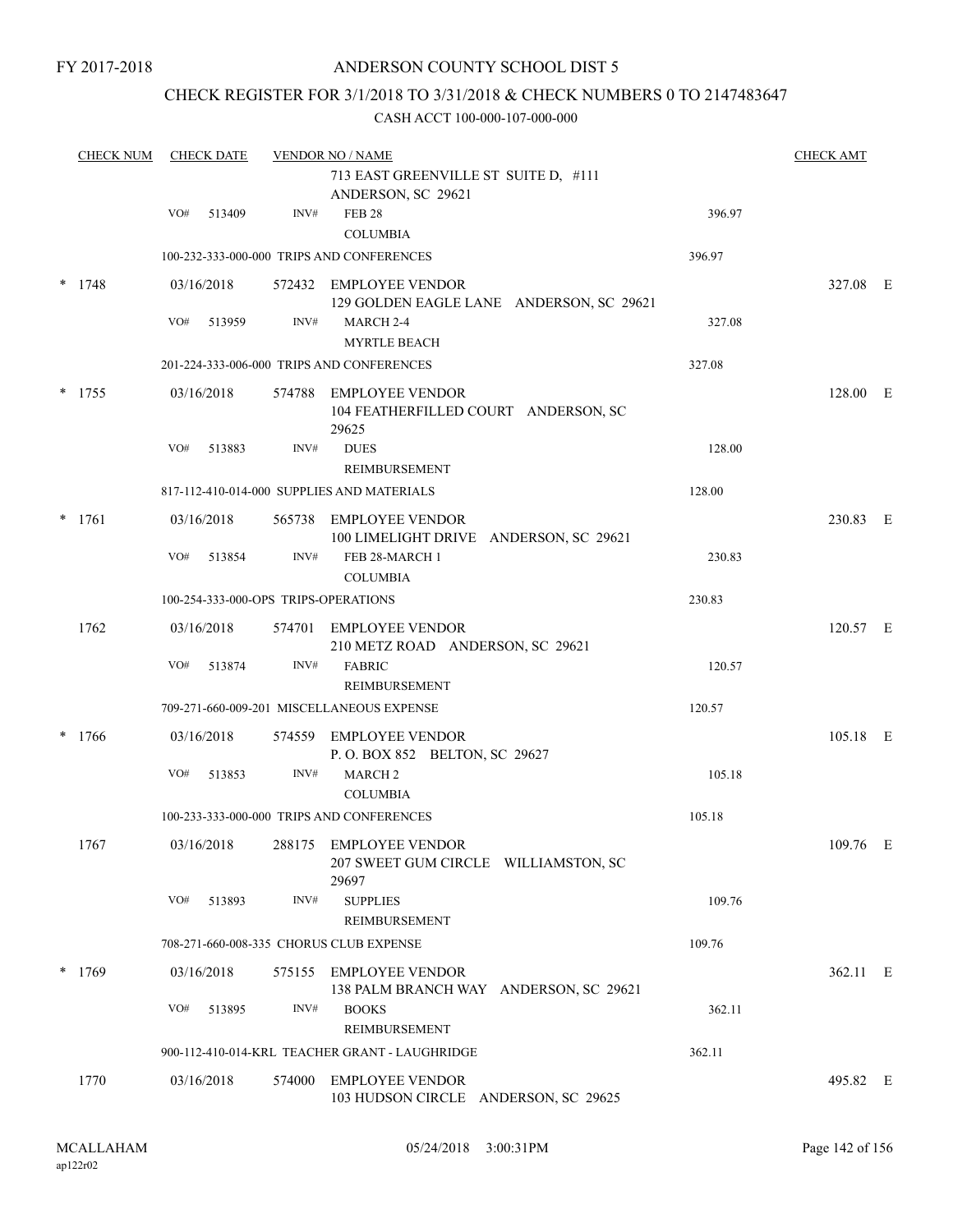### ANDERSON COUNTY SCHOOL DIST 5

### CHECK REGISTER FOR 3/1/2018 TO 3/31/2018 & CHECK NUMBERS 0 TO 2147483647

|        | <b>CHECK NUM</b> |     | <b>CHECK DATE</b> |      | <b>VENDOR NO / NAME</b><br>713 EAST GREENVILLE ST SUITE D, #111<br>ANDERSON, SC 29621 |        | <b>CHECK AMT</b> |  |
|--------|------------------|-----|-------------------|------|---------------------------------------------------------------------------------------|--------|------------------|--|
|        |                  | VO# | 513409            | INV# | <b>FEB 28</b>                                                                         | 396.97 |                  |  |
|        |                  |     |                   |      | <b>COLUMBIA</b>                                                                       |        |                  |  |
|        |                  |     |                   |      | 100-232-333-000-000 TRIPS AND CONFERENCES                                             | 396.97 |                  |  |
| $\ast$ | 1748             |     | 03/16/2018        |      | 572432 EMPLOYEE VENDOR<br>129 GOLDEN EAGLE LANE ANDERSON, SC 29621                    |        | 327.08 E         |  |
|        |                  | VO# | 513959            | INV# | MARCH 2-4<br><b>MYRTLE BEACH</b>                                                      | 327.08 |                  |  |
|        |                  |     |                   |      | 201-224-333-006-000 TRIPS AND CONFERENCES                                             | 327.08 |                  |  |
|        | $*$ 1755         |     | 03/16/2018        |      | 574788 EMPLOYEE VENDOR<br>104 FEATHERFILLED COURT ANDERSON, SC<br>29625               |        | 128.00 E         |  |
|        |                  | VO# | 513883            | INV# | <b>DUES</b><br><b>REIMBURSEMENT</b>                                                   | 128.00 |                  |  |
|        |                  |     |                   |      | 817-112-410-014-000 SUPPLIES AND MATERIALS                                            | 128.00 |                  |  |
|        | $*$ 1761         |     | 03/16/2018        |      | 565738 EMPLOYEE VENDOR<br>100 LIMELIGHT DRIVE ANDERSON, SC 29621                      |        | 230.83 E         |  |
|        |                  | VO# | 513854            | INV# | FEB 28-MARCH 1<br><b>COLUMBIA</b>                                                     | 230.83 |                  |  |
|        |                  |     |                   |      | 100-254-333-000-OPS TRIPS-OPERATIONS                                                  | 230.83 |                  |  |
|        | 1762             |     | 03/16/2018        |      | 574701 EMPLOYEE VENDOR<br>210 METZ ROAD ANDERSON, SC 29621                            |        | 120.57 E         |  |
|        |                  | VO# | 513874            | INV# | <b>FABRIC</b><br><b>REIMBURSEMENT</b>                                                 | 120.57 |                  |  |
|        |                  |     |                   |      | 709-271-660-009-201 MISCELLANEOUS EXPENSE                                             | 120.57 |                  |  |
| *      | 1766             |     | 03/16/2018        |      | 574559 EMPLOYEE VENDOR<br>P.O. BOX 852 BELTON, SC 29627                               |        | 105.18 E         |  |
|        |                  | VO# | 513853            | INV# | MARCH <sub>2</sub><br><b>COLUMBIA</b>                                                 | 105.18 |                  |  |
|        |                  |     |                   |      | 100-233-333-000-000 TRIPS AND CONFERENCES                                             | 105.18 |                  |  |
|        | 1767             |     | 03/16/2018        |      | 288175 EMPLOYEE VENDOR<br>207 SWEET GUM CIRCLE WILLIAMSTON, SC<br>29697               |        | 109.76 E         |  |
|        |                  | VO# | 513893            | INV# | <b>SUPPLIES</b><br>REIMBURSEMENT                                                      | 109.76 |                  |  |
|        |                  |     |                   |      | 708-271-660-008-335 CHORUS CLUB EXPENSE                                               | 109.76 |                  |  |
|        | $*$ 1769         |     | 03/16/2018        |      | 575155 EMPLOYEE VENDOR<br>138 PALM BRANCH WAY ANDERSON, SC 29621                      |        | 362.11 E         |  |
|        |                  | VO# | 513895            | INV# | <b>BOOKS</b><br><b>REIMBURSEMENT</b>                                                  | 362.11 |                  |  |
|        |                  |     |                   |      | 900-112-410-014-KRL TEACHER GRANT - LAUGHRIDGE                                        | 362.11 |                  |  |
|        | 1770             |     | 03/16/2018        |      | 574000 EMPLOYEE VENDOR<br>103 HUDSON CIRCLE ANDERSON, SC 29625                        |        | 495.82 E         |  |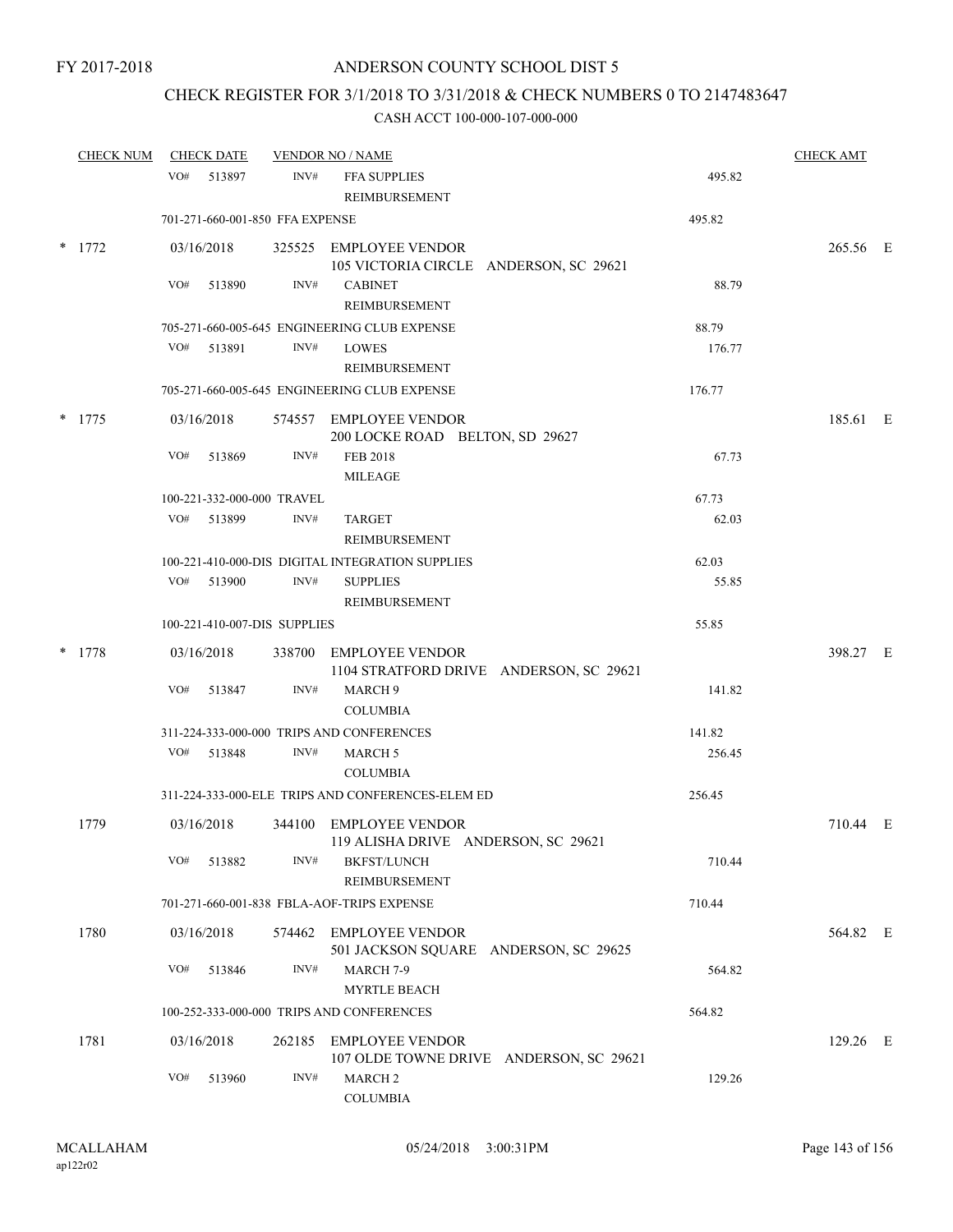## CHECK REGISTER FOR 3/1/2018 TO 3/31/2018 & CHECK NUMBERS 0 TO 2147483647

| <b>CHECK NUM</b> |     | <b>CHECK DATE</b> |                                 | <b>VENDOR NO / NAME</b>                                           |        | <b>CHECK AMT</b> |  |
|------------------|-----|-------------------|---------------------------------|-------------------------------------------------------------------|--------|------------------|--|
|                  |     | VO# 513897        | INV#                            | FFA SUPPLIES<br>REIMBURSEMENT                                     | 495.82 |                  |  |
|                  |     |                   | 701-271-660-001-850 FFA EXPENSE |                                                                   | 495.82 |                  |  |
| $*$ 1772         |     | 03/16/2018        |                                 | 325525 EMPLOYEE VENDOR<br>105 VICTORIA CIRCLE ANDERSON, SC 29621  |        | 265.56 E         |  |
|                  | VO# | 513890            | INV#                            | <b>CABINET</b><br><b>REIMBURSEMENT</b>                            | 88.79  |                  |  |
|                  |     |                   |                                 | 705-271-660-005-645 ENGINEERING CLUB EXPENSE                      | 88.79  |                  |  |
|                  | VO# | 513891            | INV#                            | <b>LOWES</b><br>REIMBURSEMENT                                     | 176.77 |                  |  |
|                  |     |                   |                                 | 705-271-660-005-645 ENGINEERING CLUB EXPENSE                      | 176.77 |                  |  |
| $*$ 1775         |     | 03/16/2018        |                                 | 574557 EMPLOYEE VENDOR<br>200 LOCKE ROAD BELTON, SD 29627         |        | 185.61 E         |  |
|                  | VO# | 513869            | INV#                            | FEB 2018<br><b>MILEAGE</b>                                        | 67.73  |                  |  |
|                  |     |                   | 100-221-332-000-000 TRAVEL      |                                                                   | 67.73  |                  |  |
|                  |     | VO# 513899        | INV#                            | TARGET<br><b>REIMBURSEMENT</b>                                    | 62.03  |                  |  |
|                  |     |                   |                                 | 100-221-410-000-DIS DIGITAL INTEGRATION SUPPLIES                  | 62.03  |                  |  |
|                  |     | VO# 513900        | INV#                            | <b>SUPPLIES</b><br>REIMBURSEMENT                                  | 55.85  |                  |  |
|                  |     |                   | 100-221-410-007-DIS SUPPLIES    |                                                                   | 55.85  |                  |  |
| $*$ 1778         |     | 03/16/2018        |                                 | 338700 EMPLOYEE VENDOR<br>1104 STRATFORD DRIVE ANDERSON, SC 29621 |        | 398.27 E         |  |
|                  | VO# | 513847            | INV#                            | MARCH <sub>9</sub><br><b>COLUMBIA</b>                             | 141.82 |                  |  |
|                  |     |                   |                                 | 311-224-333-000-000 TRIPS AND CONFERENCES                         | 141.82 |                  |  |
|                  |     | VO# 513848        | INV#                            | <b>MARCH 5</b><br><b>COLUMBIA</b>                                 | 256.45 |                  |  |
|                  |     |                   |                                 | 311-224-333-000-ELE TRIPS AND CONFERENCES-ELEM ED                 | 256.45 |                  |  |
| 1779             |     | 03/16/2018        |                                 | 344100 EMPLOYEE VENDOR<br>119 ALISHA DRIVE ANDERSON, SC 29621     |        | 710.44 E         |  |
|                  | VO# | 513882            | INV#                            | <b>BKFST/LUNCH</b><br>REIMBURSEMENT                               | 710.44 |                  |  |
|                  |     |                   |                                 | 701-271-660-001-838 FBLA-AOF-TRIPS EXPENSE                        | 710.44 |                  |  |
| 1780             |     | 03/16/2018        |                                 | 574462 EMPLOYEE VENDOR<br>501 JACKSON SQUARE ANDERSON, SC 29625   |        | 564.82 E         |  |
|                  | VO# | 513846            | INV#                            | MARCH 7-9<br><b>MYRTLE BEACH</b>                                  | 564.82 |                  |  |
|                  |     |                   |                                 | 100-252-333-000-000 TRIPS AND CONFERENCES                         | 564.82 |                  |  |
| 1781             |     | 03/16/2018        |                                 | 262185 EMPLOYEE VENDOR<br>107 OLDE TOWNE DRIVE ANDERSON, SC 29621 |        | 129.26 E         |  |
|                  | VO# | 513960            | INV#                            | MARCH <sub>2</sub><br><b>COLUMBIA</b>                             | 129.26 |                  |  |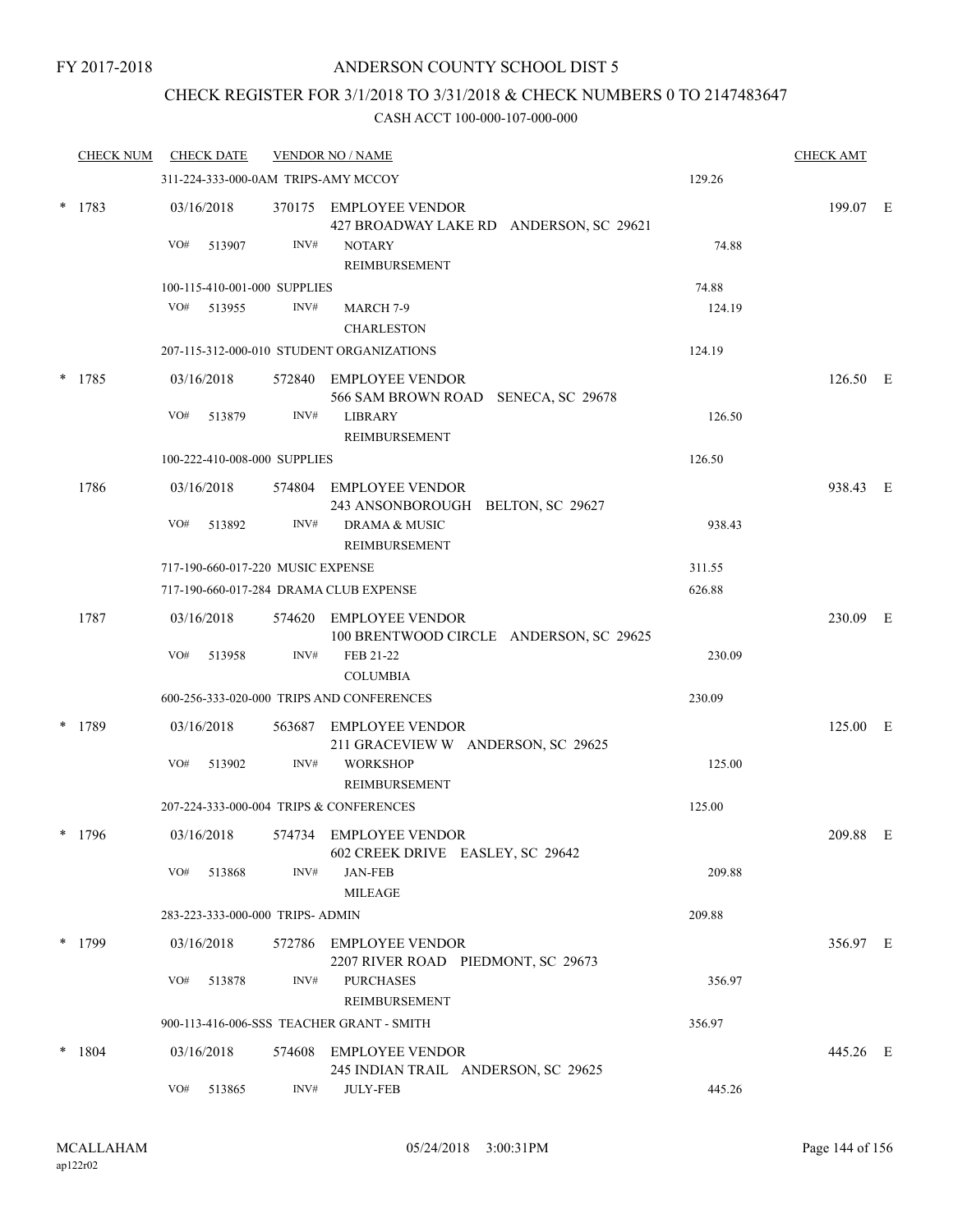### ANDERSON COUNTY SCHOOL DIST 5

# CHECK REGISTER FOR 3/1/2018 TO 3/31/2018 & CHECK NUMBERS 0 TO 2147483647

|   | <b>CHECK NUM</b> |     | <b>CHECK DATE</b> |                                   | <b>VENDOR NO / NAME</b>                                           |        | <b>CHECK AMT</b> |  |
|---|------------------|-----|-------------------|-----------------------------------|-------------------------------------------------------------------|--------|------------------|--|
|   |                  |     |                   |                                   | 311-224-333-000-0AM TRIPS-AMY MCCOY                               | 129.26 |                  |  |
| * | 1783             |     | 03/16/2018        |                                   | 370175 EMPLOYEE VENDOR<br>427 BROADWAY LAKE RD ANDERSON, SC 29621 |        | 199.07 E         |  |
|   |                  | VO# | 513907            | INV#                              | <b>NOTARY</b><br>REIMBURSEMENT                                    | 74.88  |                  |  |
|   |                  |     |                   | 100-115-410-001-000 SUPPLIES      |                                                                   | 74.88  |                  |  |
|   |                  | VO# | 513955            | INV#                              | MARCH 7-9<br><b>CHARLESTON</b>                                    | 124.19 |                  |  |
|   |                  |     |                   |                                   | 207-115-312-000-010 STUDENT ORGANIZATIONS                         | 124.19 |                  |  |
| * | 1785             |     | 03/16/2018        |                                   | 572840 EMPLOYEE VENDOR<br>566 SAM BROWN ROAD SENECA, SC 29678     |        | 126.50 E         |  |
|   |                  | VO# | 513879            | INV#                              | <b>LIBRARY</b><br>REIMBURSEMENT                                   | 126.50 |                  |  |
|   |                  |     |                   | 100-222-410-008-000 SUPPLIES      |                                                                   | 126.50 |                  |  |
|   | 1786             |     | 03/16/2018        |                                   | 574804 EMPLOYEE VENDOR<br>243 ANSONBOROUGH BELTON, SC 29627       |        | 938.43 E         |  |
|   |                  | VO# | 513892            | INV#                              | <b>DRAMA &amp; MUSIC</b><br>REIMBURSEMENT                         | 938.43 |                  |  |
|   |                  |     |                   | 717-190-660-017-220 MUSIC EXPENSE |                                                                   | 311.55 |                  |  |
|   |                  |     |                   |                                   | 717-190-660-017-284 DRAMA CLUB EXPENSE                            | 626.88 |                  |  |
|   | 1787             |     | 03/16/2018        |                                   | 574620 EMPLOYEE VENDOR<br>100 BRENTWOOD CIRCLE ANDERSON, SC 29625 |        | 230.09 E         |  |
|   |                  | VO# | 513958            | INV#                              | FEB 21-22<br><b>COLUMBIA</b>                                      | 230.09 |                  |  |
|   |                  |     |                   |                                   | 600-256-333-020-000 TRIPS AND CONFERENCES                         | 230.09 |                  |  |
| * | 1789             |     | 03/16/2018        |                                   | 563687 EMPLOYEE VENDOR<br>211 GRACEVIEW W ANDERSON, SC 29625      |        | 125.00 E         |  |
|   |                  | VO# | 513902            | INV#                              | <b>WORKSHOP</b><br><b>REIMBURSEMENT</b>                           | 125.00 |                  |  |
|   |                  |     |                   |                                   | 207-224-333-000-004 TRIPS & CONFERENCES                           | 125.00 |                  |  |
|   | $*$ 1796         |     | 03/16/2018        |                                   | 574734 EMPLOYEE VENDOR<br>602 CREEK DRIVE EASLEY, SC 29642        |        | 209.88 E         |  |
|   |                  | VO# | 513868            | INV#                              | <b>JAN-FEB</b><br><b>MILEAGE</b>                                  | 209.88 |                  |  |
|   |                  |     |                   | 283-223-333-000-000 TRIPS- ADMIN  |                                                                   | 209.88 |                  |  |
|   | $*$ 1799         |     | 03/16/2018        |                                   | 572786 EMPLOYEE VENDOR<br>2207 RIVER ROAD PIEDMONT, SC 29673      |        | 356.97 E         |  |
|   |                  | VO# | 513878            | INV#                              | <b>PURCHASES</b><br><b>REIMBURSEMENT</b>                          | 356.97 |                  |  |
|   |                  |     |                   |                                   | 900-113-416-006-SSS TEACHER GRANT - SMITH                         | 356.97 |                  |  |
|   | $*$ 1804         |     | 03/16/2018        |                                   | 574608 EMPLOYEE VENDOR<br>245 INDIAN TRAIL ANDERSON, SC 29625     |        | 445.26 E         |  |
|   |                  | VO# | 513865            | $\text{INV}\#$                    | <b>JULY-FEB</b>                                                   | 445.26 |                  |  |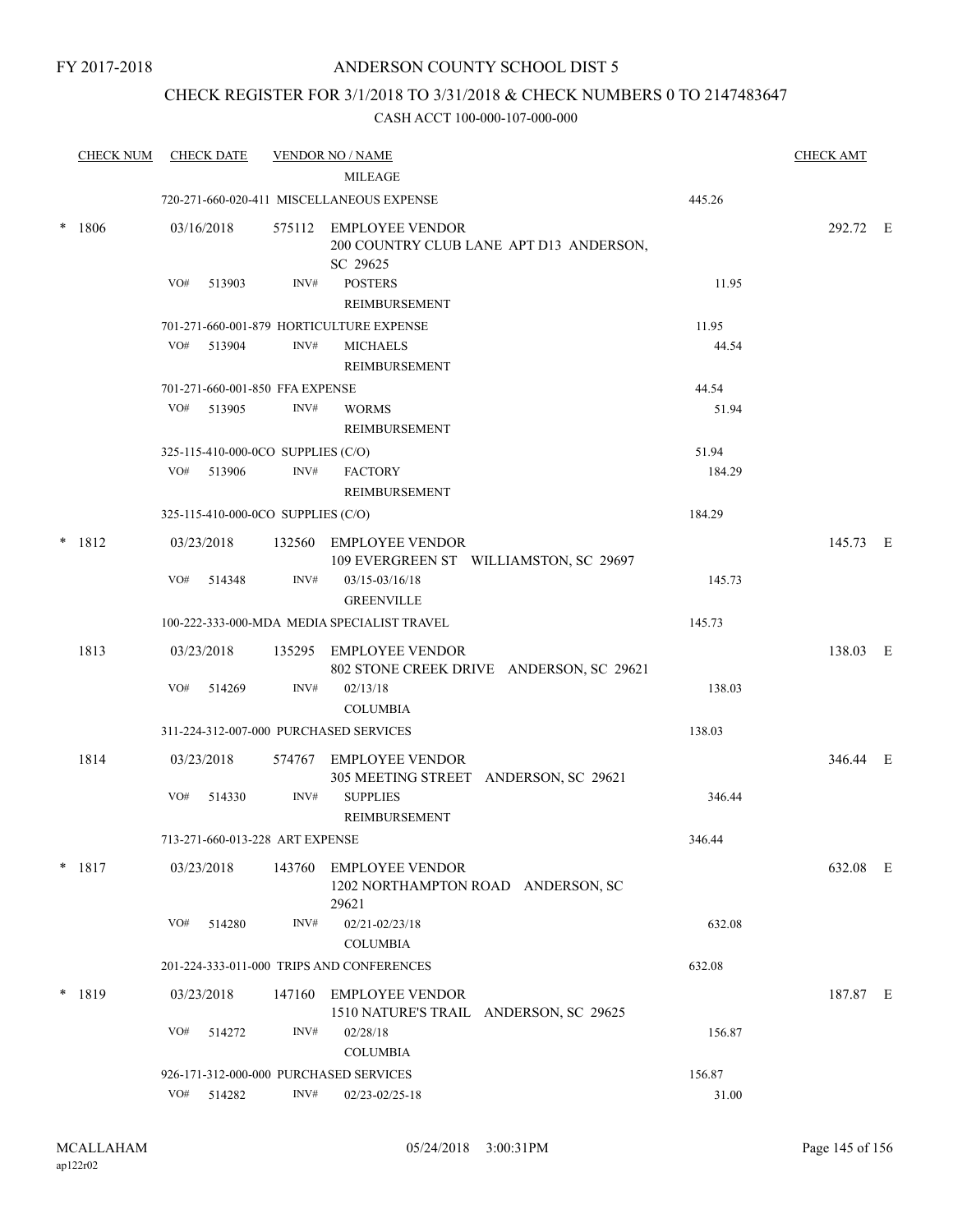FY 2017-2018

# ANDERSON COUNTY SCHOOL DIST 5

# CHECK REGISTER FOR 3/1/2018 TO 3/31/2018 & CHECK NUMBERS 0 TO 2147483647

|        | <b>CHECK NUM</b> | <b>CHECK DATE</b>                      |                | <b>VENDOR NO / NAME</b><br><b>MILEAGE</b>                                     |        | <b>CHECK AMT</b> |  |
|--------|------------------|----------------------------------------|----------------|-------------------------------------------------------------------------------|--------|------------------|--|
|        |                  |                                        |                | 720-271-660-020-411 MISCELLANEOUS EXPENSE                                     | 445.26 |                  |  |
| $\ast$ | 1806             | 03/16/2018                             |                | 575112 EMPLOYEE VENDOR<br>200 COUNTRY CLUB LANE APT D13 ANDERSON,<br>SC 29625 |        | 292.72 E         |  |
|        |                  | VO#<br>513903                          | INV#           | <b>POSTERS</b><br>REIMBURSEMENT                                               | 11.95  |                  |  |
|        |                  |                                        |                | 701-271-660-001-879 HORTICULTURE EXPENSE                                      | 11.95  |                  |  |
|        |                  | VO#<br>513904                          | INV#           | <b>MICHAELS</b><br>REIMBURSEMENT                                              | 44.54  |                  |  |
|        |                  | 701-271-660-001-850 FFA EXPENSE        |                |                                                                               | 44.54  |                  |  |
|        |                  | VO#<br>513905                          | INV#           | <b>WORMS</b><br>REIMBURSEMENT                                                 | 51.94  |                  |  |
|        |                  | 325-115-410-000-0CO SUPPLIES (C/O)     |                |                                                                               | 51.94  |                  |  |
|        |                  | VO# 513906                             | INV#           | <b>FACTORY</b><br>REIMBURSEMENT                                               | 184.29 |                  |  |
|        |                  | 325-115-410-000-0CO SUPPLIES (C/O)     |                |                                                                               | 184.29 |                  |  |
|        | $* 1812$         | 03/23/2018                             |                | 132560 EMPLOYEE VENDOR<br>109 EVERGREEN ST WILLIAMSTON, SC 29697              |        | 145.73 E         |  |
|        |                  | VO#<br>514348                          | INV#           | $03/15 - 03/16/18$<br><b>GREENVILLE</b>                                       | 145.73 |                  |  |
|        |                  |                                        |                | 100-222-333-000-MDA MEDIA SPECIALIST TRAVEL                                   | 145.73 |                  |  |
|        | 1813             | 03/23/2018                             |                | 135295 EMPLOYEE VENDOR<br>802 STONE CREEK DRIVE ANDERSON, SC 29621            |        | 138.03 E         |  |
|        |                  | VO#<br>514269                          | INV#           | 02/13/18<br><b>COLUMBIA</b>                                                   | 138.03 |                  |  |
|        |                  | 311-224-312-007-000 PURCHASED SERVICES |                |                                                                               | 138.03 |                  |  |
|        | 1814             | 03/23/2018                             |                | 574767 EMPLOYEE VENDOR<br>305 MEETING STREET ANDERSON, SC 29621               |        | 346.44 E         |  |
|        |                  | VO#<br>514330                          | INV#           | <b>SUPPLIES</b><br>REIMBURSEMENT                                              | 346.44 |                  |  |
|        |                  | 713-271-660-013-228 ART EXPENSE        |                |                                                                               | 346.44 |                  |  |
|        | $* 1817$         | 03/23/2018                             |                | 143760 EMPLOYEE VENDOR<br>1202 NORTHAMPTON ROAD ANDERSON, SC<br>29621         |        | 632.08 E         |  |
|        |                  | VO#<br>514280                          | INV#           | 02/21-02/23/18<br><b>COLUMBIA</b>                                             | 632.08 |                  |  |
|        |                  |                                        |                | 201-224-333-011-000 TRIPS AND CONFERENCES                                     | 632.08 |                  |  |
|        | $*$ 1819         | 03/23/2018                             |                | 147160 EMPLOYEE VENDOR<br>1510 NATURE'S TRAIL ANDERSON, SC 29625              |        | 187.87 E         |  |
|        |                  | VO#<br>514272                          | INV#           | 02/28/18<br><b>COLUMBIA</b>                                                   | 156.87 |                  |  |
|        |                  | 926-171-312-000-000 PURCHASED SERVICES |                |                                                                               | 156.87 |                  |  |
|        |                  | VO# 514282                             | $\text{INV}\#$ | 02/23-02/25-18                                                                | 31.00  |                  |  |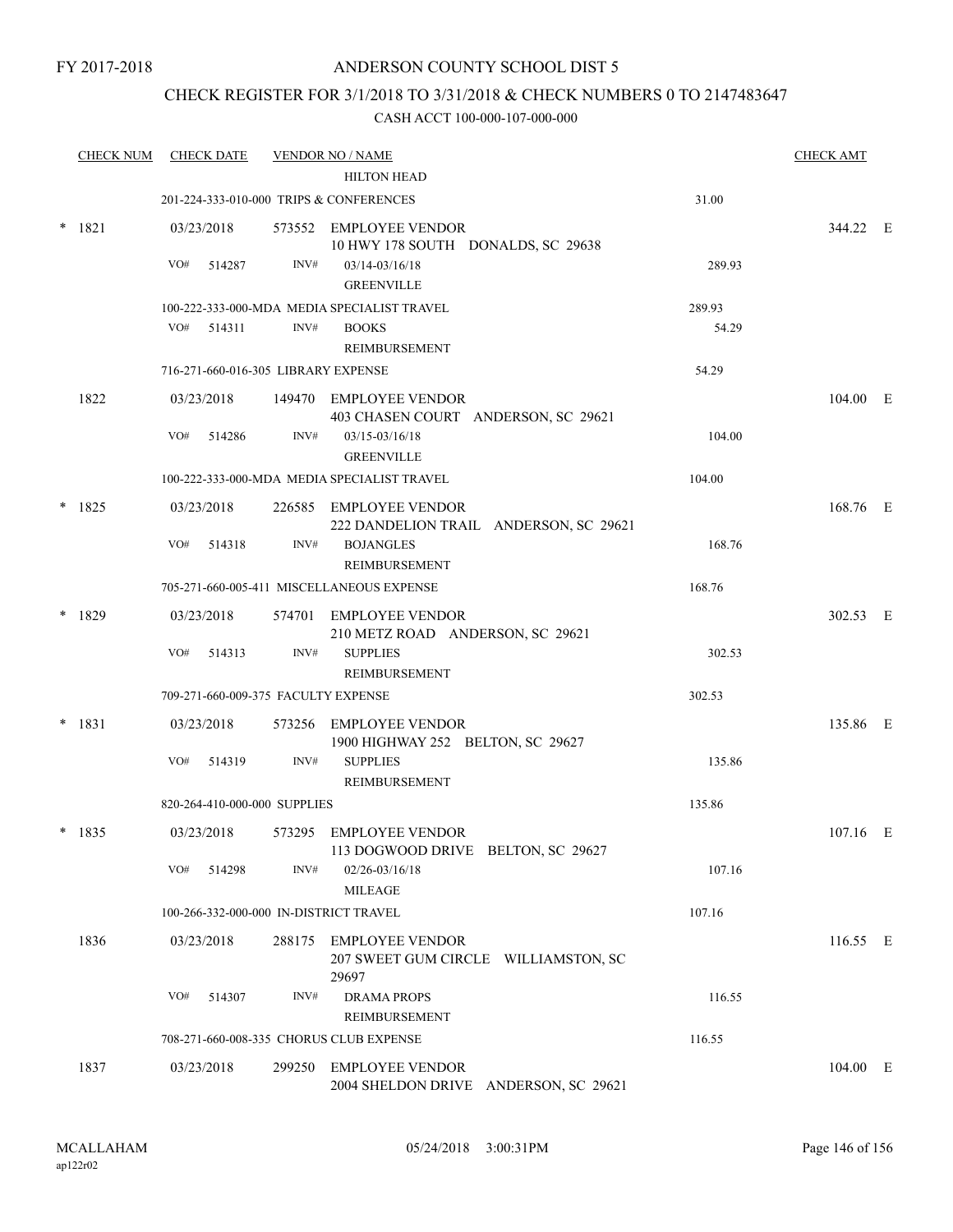# CHECK REGISTER FOR 3/1/2018 TO 3/31/2018 & CHECK NUMBERS 0 TO 2147483647

| <b>CHECK NUM</b> |     | <b>CHECK DATE</b> |                              | <b>VENDOR NO / NAME</b><br><b>HILTON HEAD</b>                           |        | <b>CHECK AMT</b> |  |
|------------------|-----|-------------------|------------------------------|-------------------------------------------------------------------------|--------|------------------|--|
|                  |     |                   |                              | 201-224-333-010-000 TRIPS & CONFERENCES                                 | 31.00  |                  |  |
| $* 1821$         |     | 03/23/2018        |                              | 573552 EMPLOYEE VENDOR<br>10 HWY 178 SOUTH DONALDS, SC 29638            |        | 344.22 E         |  |
|                  | VO# | 514287            | INV#                         | $03/14 - 03/16/18$<br><b>GREENVILLE</b>                                 | 289.93 |                  |  |
|                  |     |                   |                              | 100-222-333-000-MDA MEDIA SPECIALIST TRAVEL                             | 289.93 |                  |  |
|                  |     | $VO#$ 514311      | INV#                         | <b>BOOKS</b><br><b>REIMBURSEMENT</b>                                    | 54.29  |                  |  |
|                  |     |                   |                              | 716-271-660-016-305 LIBRARY EXPENSE                                     | 54.29  |                  |  |
| 1822             |     | 03/23/2018        |                              | 149470 EMPLOYEE VENDOR<br>403 CHASEN COURT ANDERSON, SC 29621           |        | 104.00 E         |  |
|                  | VO# | 514286            | INV#                         | 03/15-03/16/18<br><b>GREENVILLE</b>                                     | 104.00 |                  |  |
|                  |     |                   |                              | 100-222-333-000-MDA MEDIA SPECIALIST TRAVEL                             | 104.00 |                  |  |
| $*$ 1825         |     | 03/23/2018        |                              | 226585 EMPLOYEE VENDOR<br>222 DANDELION TRAIL ANDERSON, SC 29621        |        | 168.76 E         |  |
|                  | VO# | 514318            | INV#                         | <b>BOJANGLES</b><br>REIMBURSEMENT                                       | 168.76 |                  |  |
|                  |     |                   |                              | 705-271-660-005-411 MISCELLANEOUS EXPENSE                               | 168.76 |                  |  |
| 1829             |     | 03/23/2018        |                              | 574701 EMPLOYEE VENDOR<br>210 METZ ROAD ANDERSON, SC 29621              |        | 302.53 E         |  |
|                  | VO# | 514313            | INV#                         | <b>SUPPLIES</b><br>REIMBURSEMENT                                        | 302.53 |                  |  |
|                  |     |                   |                              | 709-271-660-009-375 FACULTY EXPENSE                                     | 302.53 |                  |  |
| $* 1831$         |     | 03/23/2018        |                              | 573256 EMPLOYEE VENDOR<br>1900 HIGHWAY 252 BELTON, SC 29627             |        | 135.86 E         |  |
|                  | VO# | 514319            | INV#                         | <b>SUPPLIES</b><br><b>REIMBURSEMENT</b>                                 | 135.86 |                  |  |
|                  |     |                   | 820-264-410-000-000 SUPPLIES |                                                                         | 135.86 |                  |  |
| $* 1835$         |     | 03/23/2018        |                              | 573295 EMPLOYEE VENDOR<br>113 DOGWOOD DRIVE BELTON, SC 29627            |        | $107.16$ E       |  |
|                  | VO# | 514298            | INV#                         | $02/26 - 03/16/18$<br>MILEAGE                                           | 107.16 |                  |  |
|                  |     |                   |                              | 100-266-332-000-000 IN-DISTRICT TRAVEL                                  | 107.16 |                  |  |
| 1836             |     | 03/23/2018        | 288175                       | <b>EMPLOYEE VENDOR</b><br>207 SWEET GUM CIRCLE WILLIAMSTON, SC<br>29697 |        | 116.55 E         |  |
|                  | VO# | 514307            | INV#                         | <b>DRAMA PROPS</b><br>REIMBURSEMENT                                     | 116.55 |                  |  |
|                  |     |                   |                              | 708-271-660-008-335 CHORUS CLUB EXPENSE                                 | 116.55 |                  |  |
| 1837             |     | 03/23/2018        | 299250                       | <b>EMPLOYEE VENDOR</b><br>2004 SHELDON DRIVE ANDERSON, SC 29621         |        | 104.00 E         |  |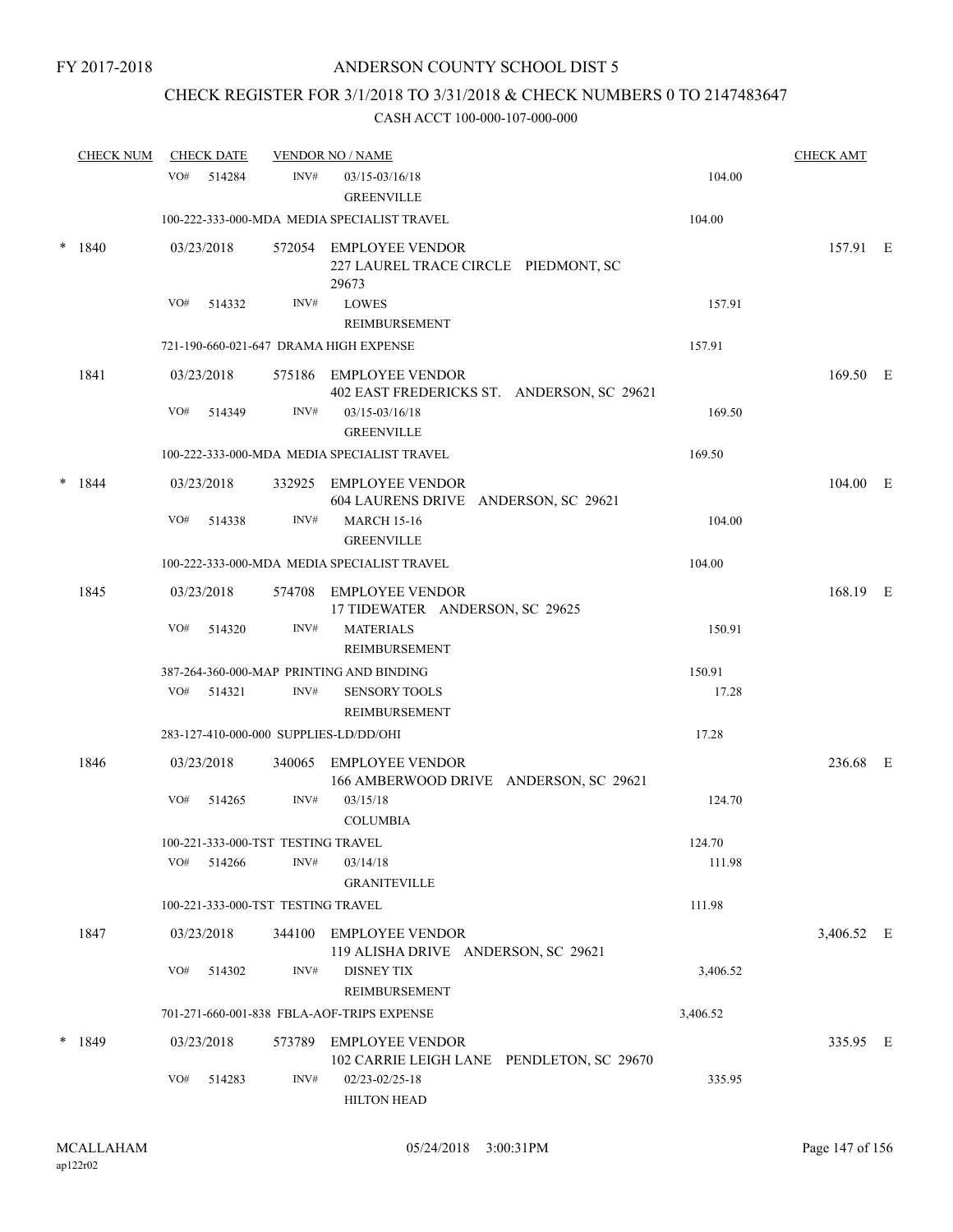# CHECK REGISTER FOR 3/1/2018 TO 3/31/2018 & CHECK NUMBERS 0 TO 2147483647

|        | <b>CHECK NUM</b> |            | <b>CHECK DATE</b> |                                    | <b>VENDOR NO / NAME</b>                                                 |                 | <b>CHECK AMT</b> |  |
|--------|------------------|------------|-------------------|------------------------------------|-------------------------------------------------------------------------|-----------------|------------------|--|
|        |                  | VO#        | 514284            | INV#                               | 03/15-03/16/18<br><b>GREENVILLE</b>                                     | 104.00          |                  |  |
|        |                  |            |                   |                                    | 100-222-333-000-MDA MEDIA SPECIALIST TRAVEL                             | 104.00          |                  |  |
| *      | 1840             | 03/23/2018 |                   |                                    | 572054 EMPLOYEE VENDOR<br>227 LAUREL TRACE CIRCLE PIEDMONT, SC<br>29673 |                 | 157.91 E         |  |
|        |                  | VO#        | 514332            | INV#                               | <b>LOWES</b><br>REIMBURSEMENT                                           | 157.91          |                  |  |
|        |                  |            |                   |                                    | 721-190-660-021-647 DRAMA HIGH EXPENSE                                  | 157.91          |                  |  |
|        | 1841             | 03/23/2018 |                   |                                    | 575186 EMPLOYEE VENDOR<br>402 EAST FREDERICKS ST. ANDERSON, SC 29621    |                 | 169.50 E         |  |
|        |                  | VO#        | 514349            | INV#                               | 03/15-03/16/18<br><b>GREENVILLE</b>                                     | 169.50          |                  |  |
|        |                  |            |                   |                                    | 100-222-333-000-MDA MEDIA SPECIALIST TRAVEL                             | 169.50          |                  |  |
| $\ast$ | 1844             | 03/23/2018 |                   |                                    | 332925 EMPLOYEE VENDOR<br>604 LAURENS DRIVE ANDERSON, SC 29621          |                 | 104.00 E         |  |
|        |                  | VO#        | 514338            | INV#                               | <b>MARCH 15-16</b><br><b>GREENVILLE</b>                                 | 104.00          |                  |  |
|        |                  |            |                   |                                    | 100-222-333-000-MDA MEDIA SPECIALIST TRAVEL                             | 104.00          |                  |  |
|        | 1845             | 03/23/2018 |                   |                                    | 574708 EMPLOYEE VENDOR<br>17 TIDEWATER ANDERSON, SC 29625               |                 | 168.19 E         |  |
|        |                  | VO#        | 514320            | INV#                               | <b>MATERIALS</b><br>REIMBURSEMENT                                       | 150.91          |                  |  |
|        |                  |            | $VO#$ 514321      | INV#                               | 387-264-360-000-MAP PRINTING AND BINDING<br><b>SENSORY TOOLS</b>        | 150.91<br>17.28 |                  |  |
|        |                  |            |                   |                                    | REIMBURSEMENT                                                           |                 |                  |  |
|        |                  |            |                   |                                    | 283-127-410-000-000 SUPPLIES-LD/DD/OHI                                  | 17.28           |                  |  |
|        | 1846             | 03/23/2018 |                   | 340065                             | EMPLOYEE VENDOR<br>166 AMBERWOOD DRIVE ANDERSON, SC 29621               |                 | 236.68 E         |  |
|        |                  | VO#        | 514265            | INV#                               | 03/15/18<br><b>COLUMBIA</b>                                             | 124.70          |                  |  |
|        |                  |            |                   | 100-221-333-000-TST TESTING TRAVEL |                                                                         | 124.70          |                  |  |
|        |                  |            | $VO#$ 514266      | INV#                               | 03/14/18<br><b>GRANITEVILLE</b>                                         | 111.98          |                  |  |
|        |                  |            |                   | 100-221-333-000-TST TESTING TRAVEL |                                                                         | 111.98          |                  |  |
|        | 1847             | 03/23/2018 |                   |                                    | 344100 EMPLOYEE VENDOR<br>119 ALISHA DRIVE ANDERSON, SC 29621           |                 | 3,406.52 E       |  |
|        |                  |            | VO# 514302        | INV#                               | <b>DISNEY TIX</b><br>REIMBURSEMENT                                      | 3,406.52        |                  |  |
|        |                  |            |                   |                                    | 701-271-660-001-838 FBLA-AOF-TRIPS EXPENSE                              | 3,406.52        |                  |  |
|        | $*$ 1849         | 03/23/2018 |                   |                                    | 573789 EMPLOYEE VENDOR<br>102 CARRIE LEIGH LANE PENDLETON, SC 29670     |                 | 335.95 E         |  |
|        |                  | VO#        | 514283            | INV#                               | $02/23 - 02/25 - 18$<br><b>HILTON HEAD</b>                              | 335.95          |                  |  |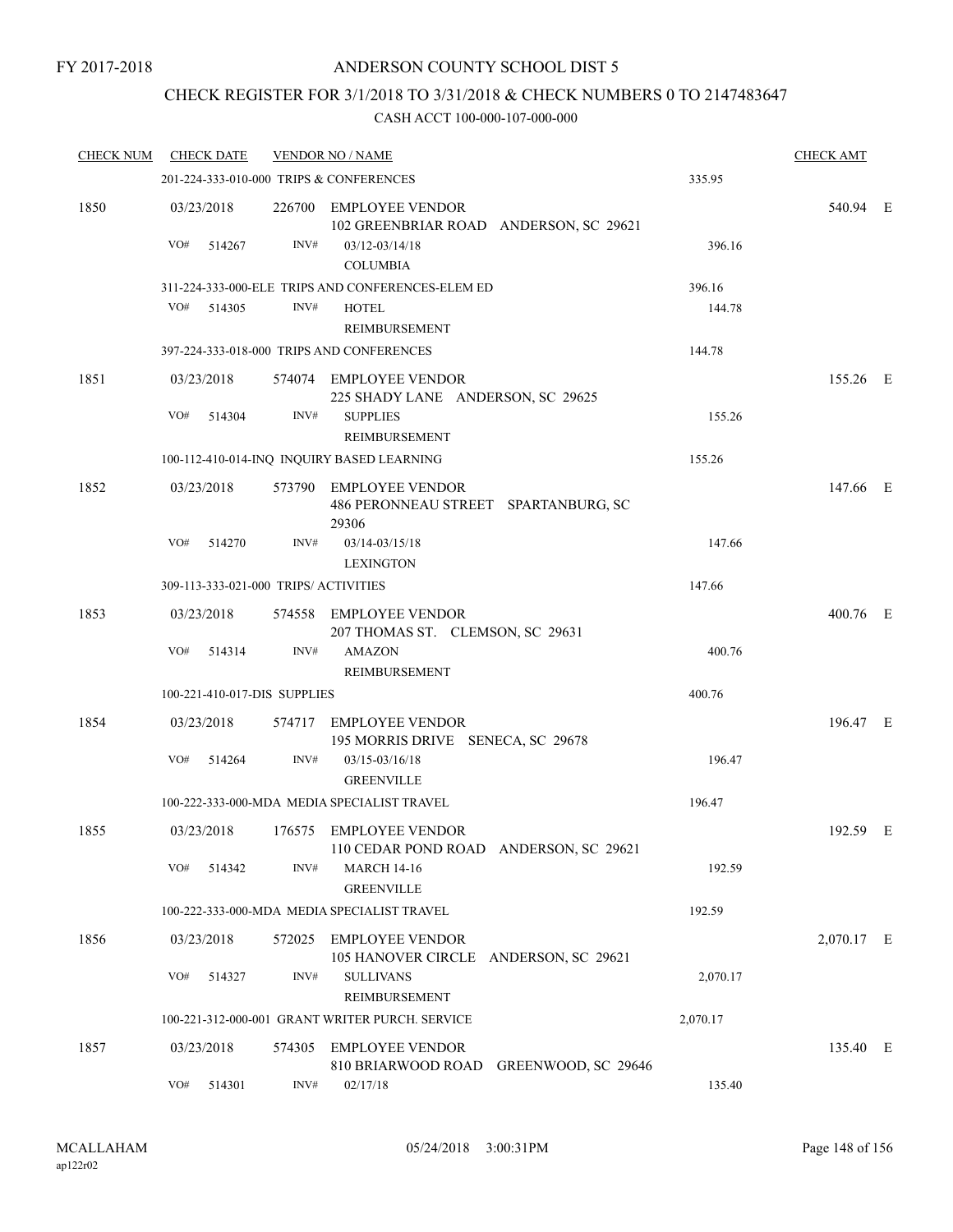# CHECK REGISTER FOR 3/1/2018 TO 3/31/2018 & CHECK NUMBERS 0 TO 2147483647

| <b>CHECK NUM</b> | <b>CHECK DATE</b> |        |                              | <b>VENDOR NO / NAME</b>                                                 |          | <b>CHECK AMT</b> |  |
|------------------|-------------------|--------|------------------------------|-------------------------------------------------------------------------|----------|------------------|--|
|                  |                   |        |                              | 201-224-333-010-000 TRIPS & CONFERENCES                                 | 335.95   |                  |  |
| 1850             | 03/23/2018        |        |                              | 226700 EMPLOYEE VENDOR<br>102 GREENBRIAR ROAD ANDERSON, SC 29621        |          | 540.94 E         |  |
|                  | VO#               | 514267 | INV#                         | 03/12-03/14/18<br><b>COLUMBIA</b>                                       | 396.16   |                  |  |
|                  |                   |        |                              | 311-224-333-000-ELE TRIPS AND CONFERENCES-ELEM ED                       | 396.16   |                  |  |
|                  | VO#               | 514305 | INV#                         | <b>HOTEL</b><br><b>REIMBURSEMENT</b>                                    | 144.78   |                  |  |
|                  |                   |        |                              | 397-224-333-018-000 TRIPS AND CONFERENCES                               | 144.78   |                  |  |
| 1851             | 03/23/2018        |        |                              | 574074 EMPLOYEE VENDOR<br>225 SHADY LANE ANDERSON, SC 29625             |          | 155.26 E         |  |
|                  | VO#               | 514304 | INV#                         | <b>SUPPLIES</b><br>REIMBURSEMENT                                        | 155.26   |                  |  |
|                  |                   |        |                              | 100-112-410-014-INQ INQUIRY BASED LEARNING                              | 155.26   |                  |  |
| 1852             | 03/23/2018        |        |                              | 573790 EMPLOYEE VENDOR<br>486 PERONNEAU STREET SPARTANBURG, SC<br>29306 |          | 147.66 E         |  |
|                  | VO#               | 514270 | INV#                         | 03/14-03/15/18<br><b>LEXINGTON</b>                                      | 147.66   |                  |  |
|                  |                   |        |                              | 309-113-333-021-000 TRIPS/ ACTIVITIES                                   | 147.66   |                  |  |
| 1853             | 03/23/2018        |        | 574558                       | EMPLOYEE VENDOR<br>207 THOMAS ST. CLEMSON, SC 29631                     |          | 400.76 E         |  |
|                  | VO#               | 514314 | INV#                         | <b>AMAZON</b><br>REIMBURSEMENT                                          | 400.76   |                  |  |
|                  |                   |        | 100-221-410-017-DIS SUPPLIES |                                                                         | 400.76   |                  |  |
| 1854             | 03/23/2018        |        | 574717                       | <b>EMPLOYEE VENDOR</b><br>195 MORRIS DRIVE SENECA, SC 29678             |          | 196.47 E         |  |
|                  | VO#               | 514264 | INV#                         | $03/15 - 03/16/18$<br><b>GREENVILLE</b>                                 | 196.47   |                  |  |
|                  |                   |        |                              | 100-222-333-000-MDA MEDIA SPECIALIST TRAVEL                             | 196.47   |                  |  |
| 1855             | 03/23/2018        |        |                              | 176575 EMPLOYEE VENDOR<br>110 CEDAR POND ROAD ANDERSON, SC 29621        |          | 192.59 E         |  |
|                  | VO#               | 514342 | INV#                         | <b>MARCH 14-16</b><br><b>GREENVILLE</b>                                 | 192.59   |                  |  |
|                  |                   |        |                              | 100-222-333-000-MDA MEDIA SPECIALIST TRAVEL                             | 192.59   |                  |  |
| 1856             | 03/23/2018        |        | 572025                       | <b>EMPLOYEE VENDOR</b><br>105 HANOVER CIRCLE ANDERSON, SC 29621         |          | 2,070.17 E       |  |
|                  | VO#               | 514327 | INV#                         | <b>SULLIVANS</b><br><b>REIMBURSEMENT</b>                                | 2,070.17 |                  |  |
|                  |                   |        |                              | 100-221-312-000-001 GRANT WRITER PURCH. SERVICE                         | 2,070.17 |                  |  |
| 1857             | 03/23/2018        |        | 574305                       | <b>EMPLOYEE VENDOR</b><br>810 BRIARWOOD ROAD<br>GREENWOOD, SC 29646     |          | 135.40 E         |  |
|                  | VO#               | 514301 | INV#                         | 02/17/18                                                                | 135.40   |                  |  |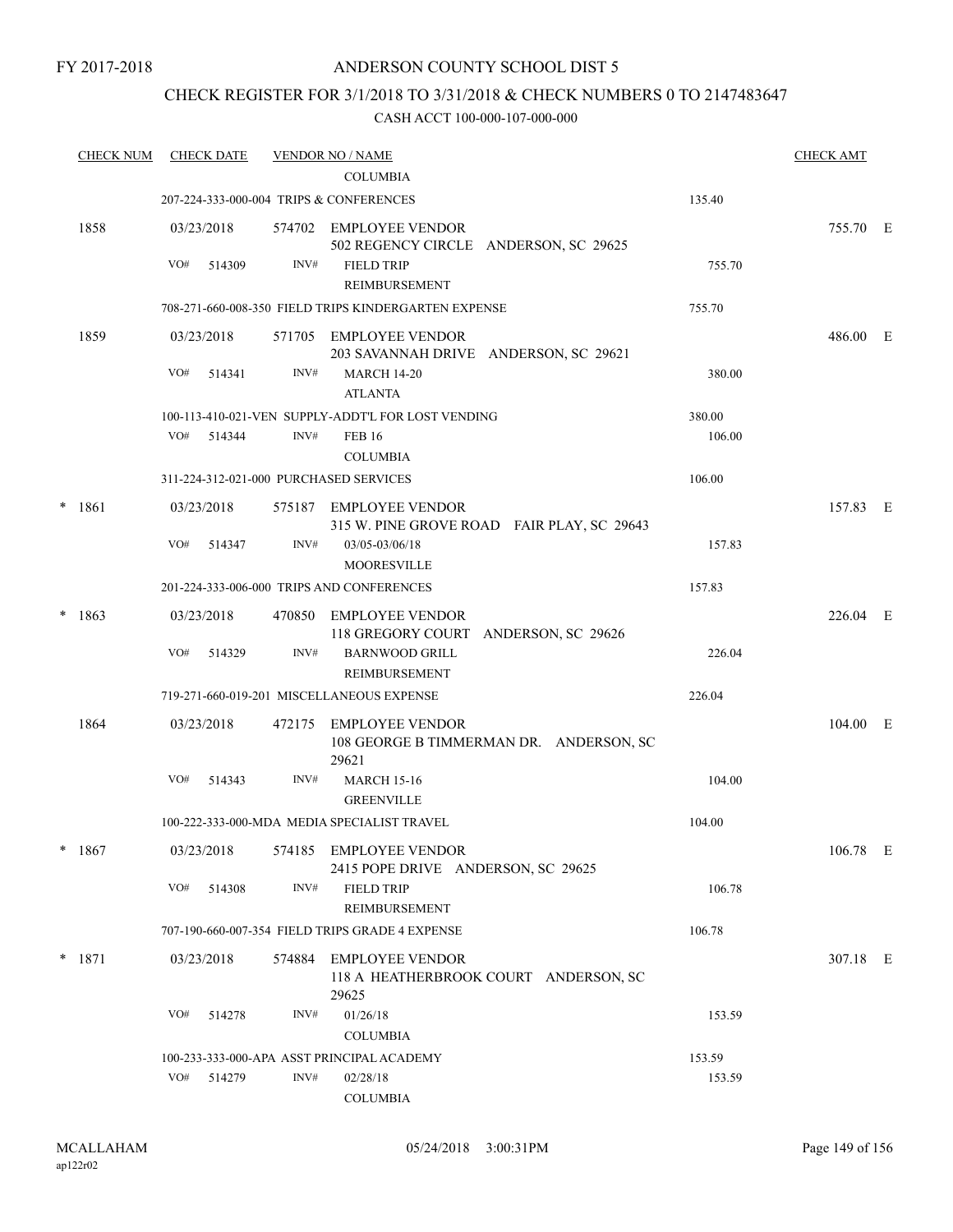# CHECK REGISTER FOR 3/1/2018 TO 3/31/2018 & CHECK NUMBERS 0 TO 2147483647

| <b>CHECK NUM</b> |          |        |                                                                                                                               |                                                  |                                                                                                                                                                                                                                                                                                                                                                                                                                                                                                                                                                                                                                                                                                                                                          | <b>CHECK AMT</b> |                                                                                  |
|------------------|----------|--------|-------------------------------------------------------------------------------------------------------------------------------|--------------------------------------------------|----------------------------------------------------------------------------------------------------------------------------------------------------------------------------------------------------------------------------------------------------------------------------------------------------------------------------------------------------------------------------------------------------------------------------------------------------------------------------------------------------------------------------------------------------------------------------------------------------------------------------------------------------------------------------------------------------------------------------------------------------------|------------------|----------------------------------------------------------------------------------|
|                  |          |        |                                                                                                                               | <b>COLUMBIA</b>                                  |                                                                                                                                                                                                                                                                                                                                                                                                                                                                                                                                                                                                                                                                                                                                                          |                  |                                                                                  |
|                  |          |        |                                                                                                                               |                                                  | 135.40                                                                                                                                                                                                                                                                                                                                                                                                                                                                                                                                                                                                                                                                                                                                                   |                  |                                                                                  |
| 1858             |          |        |                                                                                                                               | 502 REGENCY CIRCLE ANDERSON, SC 29625            |                                                                                                                                                                                                                                                                                                                                                                                                                                                                                                                                                                                                                                                                                                                                                          |                  |                                                                                  |
|                  | VO#      | 514309 | INV#                                                                                                                          | <b>FIELD TRIP</b>                                | 755.70                                                                                                                                                                                                                                                                                                                                                                                                                                                                                                                                                                                                                                                                                                                                                   |                  |                                                                                  |
|                  |          |        |                                                                                                                               | REIMBURSEMENT                                    |                                                                                                                                                                                                                                                                                                                                                                                                                                                                                                                                                                                                                                                                                                                                                          |                  |                                                                                  |
|                  |          |        |                                                                                                                               |                                                  | 755.70                                                                                                                                                                                                                                                                                                                                                                                                                                                                                                                                                                                                                                                                                                                                                   |                  |                                                                                  |
| 1859             |          |        |                                                                                                                               | 203 SAVANNAH DRIVE ANDERSON, SC 29621            |                                                                                                                                                                                                                                                                                                                                                                                                                                                                                                                                                                                                                                                                                                                                                          |                  |                                                                                  |
|                  | VO#      | 514341 | INV#                                                                                                                          | <b>MARCH 14-20</b><br><b>ATLANTA</b>             | 380.00                                                                                                                                                                                                                                                                                                                                                                                                                                                                                                                                                                                                                                                                                                                                                   |                  |                                                                                  |
|                  |          |        |                                                                                                                               |                                                  | 380.00                                                                                                                                                                                                                                                                                                                                                                                                                                                                                                                                                                                                                                                                                                                                                   |                  |                                                                                  |
|                  | VO#      |        | INV#                                                                                                                          | <b>FEB 16</b><br><b>COLUMBIA</b>                 | 106.00                                                                                                                                                                                                                                                                                                                                                                                                                                                                                                                                                                                                                                                                                                                                                   |                  |                                                                                  |
|                  |          |        |                                                                                                                               |                                                  | 106.00                                                                                                                                                                                                                                                                                                                                                                                                                                                                                                                                                                                                                                                                                                                                                   |                  |                                                                                  |
| $* 1861$         |          |        |                                                                                                                               |                                                  |                                                                                                                                                                                                                                                                                                                                                                                                                                                                                                                                                                                                                                                                                                                                                          |                  |                                                                                  |
|                  | VO#      | 514347 | INV#                                                                                                                          | 03/05-03/06/18<br><b>MOORESVILLE</b>             | 157.83                                                                                                                                                                                                                                                                                                                                                                                                                                                                                                                                                                                                                                                                                                                                                   |                  |                                                                                  |
|                  |          |        |                                                                                                                               |                                                  | 157.83                                                                                                                                                                                                                                                                                                                                                                                                                                                                                                                                                                                                                                                                                                                                                   |                  |                                                                                  |
| 1863             |          |        |                                                                                                                               |                                                  |                                                                                                                                                                                                                                                                                                                                                                                                                                                                                                                                                                                                                                                                                                                                                          |                  |                                                                                  |
|                  |          |        |                                                                                                                               | 118 GREGORY COURT ANDERSON, SC 29626             |                                                                                                                                                                                                                                                                                                                                                                                                                                                                                                                                                                                                                                                                                                                                                          |                  |                                                                                  |
|                  | VO#      | 514329 | INV#                                                                                                                          | <b>BARNWOOD GRILL</b><br>REIMBURSEMENT           | 226.04                                                                                                                                                                                                                                                                                                                                                                                                                                                                                                                                                                                                                                                                                                                                                   |                  |                                                                                  |
|                  |          |        |                                                                                                                               |                                                  | 226.04                                                                                                                                                                                                                                                                                                                                                                                                                                                                                                                                                                                                                                                                                                                                                   |                  |                                                                                  |
| 1864             |          |        | 472175                                                                                                                        | 108 GEORGE B TIMMERMAN DR. ANDERSON, SC<br>29621 |                                                                                                                                                                                                                                                                                                                                                                                                                                                                                                                                                                                                                                                                                                                                                          |                  |                                                                                  |
|                  | VO#      | 514343 | INV#                                                                                                                          | <b>MARCH 15-16</b><br><b>GREENVILLE</b>          | 104.00                                                                                                                                                                                                                                                                                                                                                                                                                                                                                                                                                                                                                                                                                                                                                   |                  |                                                                                  |
|                  |          |        |                                                                                                                               |                                                  | 104.00                                                                                                                                                                                                                                                                                                                                                                                                                                                                                                                                                                                                                                                                                                                                                   |                  |                                                                                  |
| $*1867$          |          |        |                                                                                                                               |                                                  |                                                                                                                                                                                                                                                                                                                                                                                                                                                                                                                                                                                                                                                                                                                                                          |                  |                                                                                  |
|                  | VO#      | 514308 | INV#                                                                                                                          | <b>FIELD TRIP</b>                                | 106.78                                                                                                                                                                                                                                                                                                                                                                                                                                                                                                                                                                                                                                                                                                                                                   |                  |                                                                                  |
|                  |          |        |                                                                                                                               |                                                  | 106.78                                                                                                                                                                                                                                                                                                                                                                                                                                                                                                                                                                                                                                                                                                                                                   |                  |                                                                                  |
|                  |          |        |                                                                                                                               |                                                  |                                                                                                                                                                                                                                                                                                                                                                                                                                                                                                                                                                                                                                                                                                                                                          |                  |                                                                                  |
|                  |          |        |                                                                                                                               | 118 A HEATHERBROOK COURT ANDERSON, SC<br>29625   |                                                                                                                                                                                                                                                                                                                                                                                                                                                                                                                                                                                                                                                                                                                                                          |                  |                                                                                  |
|                  | VO#      | 514278 | INV#                                                                                                                          | 01/26/18                                         | 153.59                                                                                                                                                                                                                                                                                                                                                                                                                                                                                                                                                                                                                                                                                                                                                   |                  |                                                                                  |
|                  |          |        |                                                                                                                               | <b>COLUMBIA</b>                                  |                                                                                                                                                                                                                                                                                                                                                                                                                                                                                                                                                                                                                                                                                                                                                          |                  |                                                                                  |
|                  |          |        |                                                                                                                               |                                                  | 153.59                                                                                                                                                                                                                                                                                                                                                                                                                                                                                                                                                                                                                                                                                                                                                   |                  |                                                                                  |
|                  | VO#      | 514279 | INV#                                                                                                                          | 02/28/18                                         | 153.59                                                                                                                                                                                                                                                                                                                                                                                                                                                                                                                                                                                                                                                                                                                                                   |                  |                                                                                  |
|                  |          |        |                                                                                                                               | <b>COLUMBIA</b>                                  |                                                                                                                                                                                                                                                                                                                                                                                                                                                                                                                                                                                                                                                                                                                                                          |                  |                                                                                  |
|                  | $*$ 1871 |        | <b>CHECK DATE</b><br>03/23/2018<br>03/23/2018<br>514344<br>03/23/2018<br>03/23/2018<br>03/23/2018<br>03/23/2018<br>03/23/2018 | 574884                                           | <b>VENDOR NO / NAME</b><br>207-224-333-000-004 TRIPS & CONFERENCES<br>574702 EMPLOYEE VENDOR<br>708-271-660-008-350 FIELD TRIPS KINDERGARTEN EXPENSE<br>571705 EMPLOYEE VENDOR<br>100-113-410-021-VEN SUPPLY-ADDT'L FOR LOST VENDING<br>311-224-312-021-000 PURCHASED SERVICES<br>575187 EMPLOYEE VENDOR<br>315 W. PINE GROVE ROAD FAIR PLAY, SC 29643<br>201-224-333-006-000 TRIPS AND CONFERENCES<br>470850 EMPLOYEE VENDOR<br>719-271-660-019-201 MISCELLANEOUS EXPENSE<br>EMPLOYEE VENDOR<br>100-222-333-000-MDA MEDIA SPECIALIST TRAVEL<br>574185 EMPLOYEE VENDOR<br>2415 POPE DRIVE ANDERSON, SC 29625<br>REIMBURSEMENT<br>707-190-660-007-354 FIELD TRIPS GRADE 4 EXPENSE<br><b>EMPLOYEE VENDOR</b><br>100-233-333-000-APA ASST PRINCIPAL ACADEMY |                  | 755.70 E<br>486.00 E<br>157.83 E<br>226.04 E<br>104.00 E<br>106.78 E<br>307.18 E |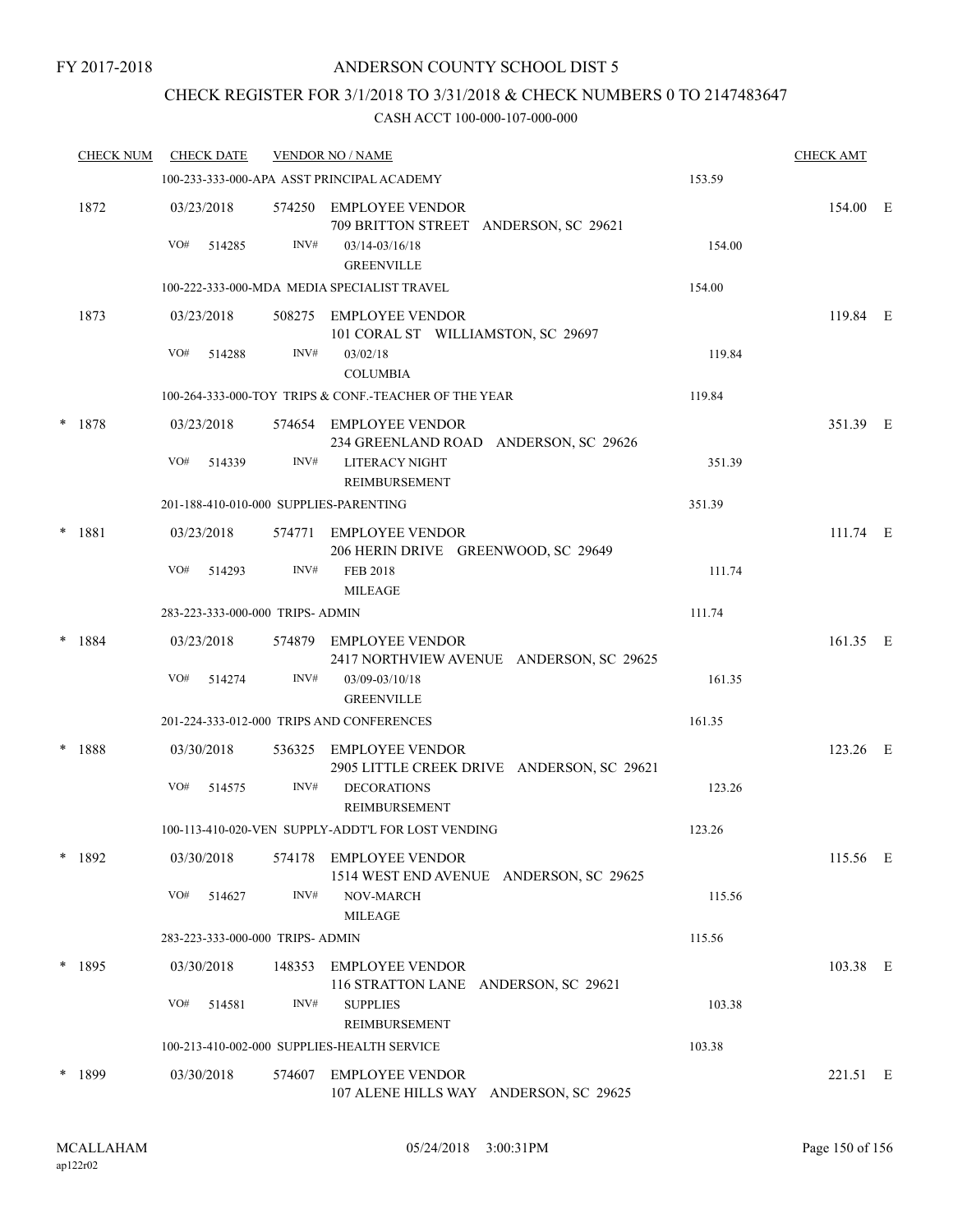# CHECK REGISTER FOR 3/1/2018 TO 3/31/2018 & CHECK NUMBERS 0 TO 2147483647

| <b>CHECK NUM</b> |     | <b>CHECK DATE</b>    |                                  | <b>VENDOR NO / NAME</b>                                                           |        | <b>CHECK AMT</b> |  |
|------------------|-----|----------------------|----------------------------------|-----------------------------------------------------------------------------------|--------|------------------|--|
|                  |     |                      |                                  | 100-233-333-000-APA ASST PRINCIPAL ACADEMY                                        | 153.59 |                  |  |
| 1872             | VO# | 03/23/2018<br>514285 | INV#                             | 574250 EMPLOYEE VENDOR<br>709 BRITTON STREET ANDERSON, SC 29621<br>03/14-03/16/18 | 154.00 | 154.00 E         |  |
|                  |     |                      |                                  | <b>GREENVILLE</b>                                                                 |        |                  |  |
|                  |     |                      |                                  | 100-222-333-000-MDA MEDIA SPECIALIST TRAVEL                                       | 154.00 |                  |  |
| 1873             |     | 03/23/2018           |                                  | 508275 EMPLOYEE VENDOR<br>101 CORAL ST WILLIAMSTON, SC 29697                      |        | 119.84 E         |  |
|                  | VO# | 514288               | INV#                             | 03/02/18<br><b>COLUMBIA</b>                                                       | 119.84 |                  |  |
|                  |     |                      |                                  | 100-264-333-000-TOY TRIPS & CONF.-TEACHER OF THE YEAR                             | 119.84 |                  |  |
| * 1878           |     | 03/23/2018           |                                  | 574654 EMPLOYEE VENDOR<br>234 GREENLAND ROAD ANDERSON, SC 29626                   |        | 351.39 E         |  |
|                  | VO# | 514339               | INV#                             | LITERACY NIGHT<br>REIMBURSEMENT                                                   | 351.39 |                  |  |
|                  |     |                      |                                  | 201-188-410-010-000 SUPPLIES-PARENTING                                            | 351.39 |                  |  |
| * 1881           |     | 03/23/2018           |                                  | 574771 EMPLOYEE VENDOR<br>206 HERIN DRIVE GREENWOOD, SC 29649                     |        | 111.74 E         |  |
|                  | VO# | 514293               | INV#                             | <b>FEB 2018</b><br><b>MILEAGE</b>                                                 | 111.74 |                  |  |
|                  |     |                      | 283-223-333-000-000 TRIPS- ADMIN |                                                                                   | 111.74 |                  |  |
| $* 1884$         |     | 03/23/2018           |                                  | 574879 EMPLOYEE VENDOR<br>2417 NORTHVIEW AVENUE ANDERSON, SC 29625                |        | 161.35 E         |  |
|                  | VO# | 514274               | INV#                             | 03/09-03/10/18<br><b>GREENVILLE</b>                                               | 161.35 |                  |  |
|                  |     |                      |                                  | 201-224-333-012-000 TRIPS AND CONFERENCES                                         | 161.35 |                  |  |
| * 1888           |     | 03/30/2018           |                                  | 536325 EMPLOYEE VENDOR<br>2905 LITTLE CREEK DRIVE ANDERSON, SC 29621              |        | 123.26 E         |  |
|                  | VO# | 514575               | INV#                             | <b>DECORATIONS</b><br>REIMBURSEMENT                                               | 123.26 |                  |  |
|                  |     |                      |                                  | 100-113-410-020-VEN SUPPLY-ADDT'L FOR LOST VENDING                                | 123.26 |                  |  |
| * 1892           |     | 03/30/2018           | 574178                           | EMPLOYEE VENDOR<br>1514 WEST END AVENUE ANDERSON, SC 29625                        |        | 115.56 E         |  |
|                  | VO# | 514627               | INV#                             | NOV-MARCH<br><b>MILEAGE</b>                                                       | 115.56 |                  |  |
|                  |     |                      | 283-223-333-000-000 TRIPS- ADMIN |                                                                                   | 115.56 |                  |  |
| * 1895           |     | 03/30/2018           |                                  | 148353 EMPLOYEE VENDOR<br>116 STRATTON LANE ANDERSON, SC 29621                    |        | 103.38 E         |  |
|                  | VO# | 514581               | INV#                             | <b>SUPPLIES</b><br>REIMBURSEMENT                                                  | 103.38 |                  |  |
|                  |     |                      |                                  | 100-213-410-002-000 SUPPLIES-HEALTH SERVICE                                       | 103.38 |                  |  |
| $*$ 1899         |     | 03/30/2018           |                                  | 574607 EMPLOYEE VENDOR<br>107 ALENE HILLS WAY ANDERSON, SC 29625                  |        | 221.51 E         |  |
|                  |     |                      |                                  |                                                                                   |        |                  |  |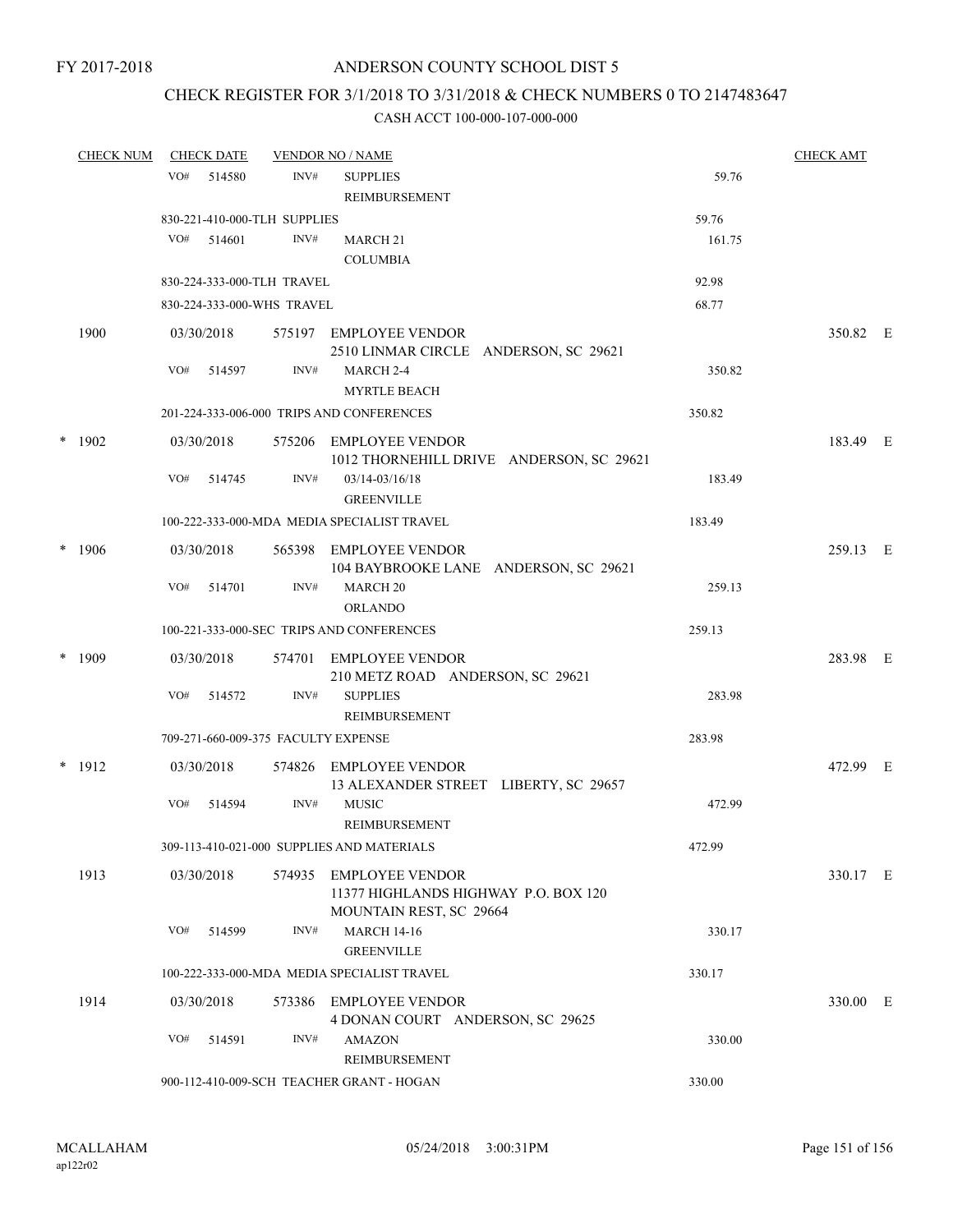# CHECK REGISTER FOR 3/1/2018 TO 3/31/2018 & CHECK NUMBERS 0 TO 2147483647

| <b>CHECK NUM</b> |     | <b>CHECK DATE</b> |                                     | <b>VENDOR NO / NAME</b>                                            |        | <b>CHECK AMT</b> |  |
|------------------|-----|-------------------|-------------------------------------|--------------------------------------------------------------------|--------|------------------|--|
|                  | VO# | 514580            | INV#                                | <b>SUPPLIES</b>                                                    | 59.76  |                  |  |
|                  |     |                   |                                     | REIMBURSEMENT                                                      |        |                  |  |
|                  |     |                   | 830-221-410-000-TLH SUPPLIES        |                                                                    | 59.76  |                  |  |
|                  | VO# | 514601            | INV#                                | MARCH 21                                                           | 161.75 |                  |  |
|                  |     |                   |                                     | <b>COLUMBIA</b>                                                    |        |                  |  |
|                  |     |                   | 830-224-333-000-TLH TRAVEL          |                                                                    | 92.98  |                  |  |
|                  |     |                   | 830-224-333-000-WHS TRAVEL          |                                                                    | 68.77  |                  |  |
| 1900             |     | 03/30/2018        |                                     | 575197 EMPLOYEE VENDOR<br>2510 LINMAR CIRCLE ANDERSON, SC 29621    |        | 350.82 E         |  |
|                  | VO# | 514597            | INV#                                | MARCH 2-4<br><b>MYRTLE BEACH</b>                                   | 350.82 |                  |  |
|                  |     |                   |                                     | 201-224-333-006-000 TRIPS AND CONFERENCES                          | 350.82 |                  |  |
| $*$ 1902         |     | 03/30/2018        |                                     | 575206 EMPLOYEE VENDOR<br>1012 THORNEHILL DRIVE ANDERSON, SC 29621 |        | 183.49 E         |  |
|                  | VO# | 514745            | INV#                                | $03/14 - 03/16/18$<br><b>GREENVILLE</b>                            | 183.49 |                  |  |
|                  |     |                   |                                     | 100-222-333-000-MDA MEDIA SPECIALIST TRAVEL                        | 183.49 |                  |  |
| * 1906           |     | 03/30/2018        |                                     | 565398 EMPLOYEE VENDOR<br>104 BAYBROOKE LANE ANDERSON, SC 29621    |        | 259.13 E         |  |
|                  | VO# | 514701            | INV#                                | <b>MARCH 20</b><br><b>ORLANDO</b>                                  | 259.13 |                  |  |
|                  |     |                   |                                     | 100-221-333-000-SEC TRIPS AND CONFERENCES                          | 259.13 |                  |  |
| $*$ 1909         |     | 03/30/2018        |                                     | 574701 EMPLOYEE VENDOR                                             |        | 283.98 E         |  |
|                  |     |                   |                                     | 210 METZ ROAD ANDERSON, SC 29621                                   |        |                  |  |
|                  | VO# | 514572            | INV#                                | <b>SUPPLIES</b><br>REIMBURSEMENT                                   | 283.98 |                  |  |
|                  |     |                   | 709-271-660-009-375 FACULTY EXPENSE |                                                                    | 283.98 |                  |  |
| $*$ 1912         |     | 03/30/2018        |                                     | 574826 EMPLOYEE VENDOR<br>13 ALEXANDER STREET LIBERTY, SC 29657    |        | 472.99 E         |  |
|                  | VO# | 514594            | INV#                                | <b>MUSIC</b><br>REIMBURSEMENT                                      | 472.99 |                  |  |
|                  |     |                   |                                     | 309-113-410-021-000 SUPPLIES AND MATERIALS                         | 472.99 |                  |  |
| 1913             |     | 03/30/2018        | 574935                              | <b>EMPLOYEE VENDOR</b><br>11377 HIGHLANDS HIGHWAY P.O. BOX 120     |        | 330.17 E         |  |
|                  | VO# | 514599            | INV#                                | MOUNTAIN REST, SC 29664<br><b>MARCH 14-16</b><br><b>GREENVILLE</b> | 330.17 |                  |  |
|                  |     |                   |                                     | 100-222-333-000-MDA MEDIA SPECIALIST TRAVEL                        | 330.17 |                  |  |
|                  |     |                   |                                     |                                                                    |        |                  |  |
| 1914             |     | 03/30/2018        |                                     | 573386 EMPLOYEE VENDOR<br>4 DONAN COURT ANDERSON, SC 29625         |        | 330.00 E         |  |
|                  | VO# | 514591            | INV#                                | <b>AMAZON</b><br>REIMBURSEMENT                                     | 330.00 |                  |  |
|                  |     |                   |                                     | 900-112-410-009-SCH TEACHER GRANT - HOGAN                          | 330.00 |                  |  |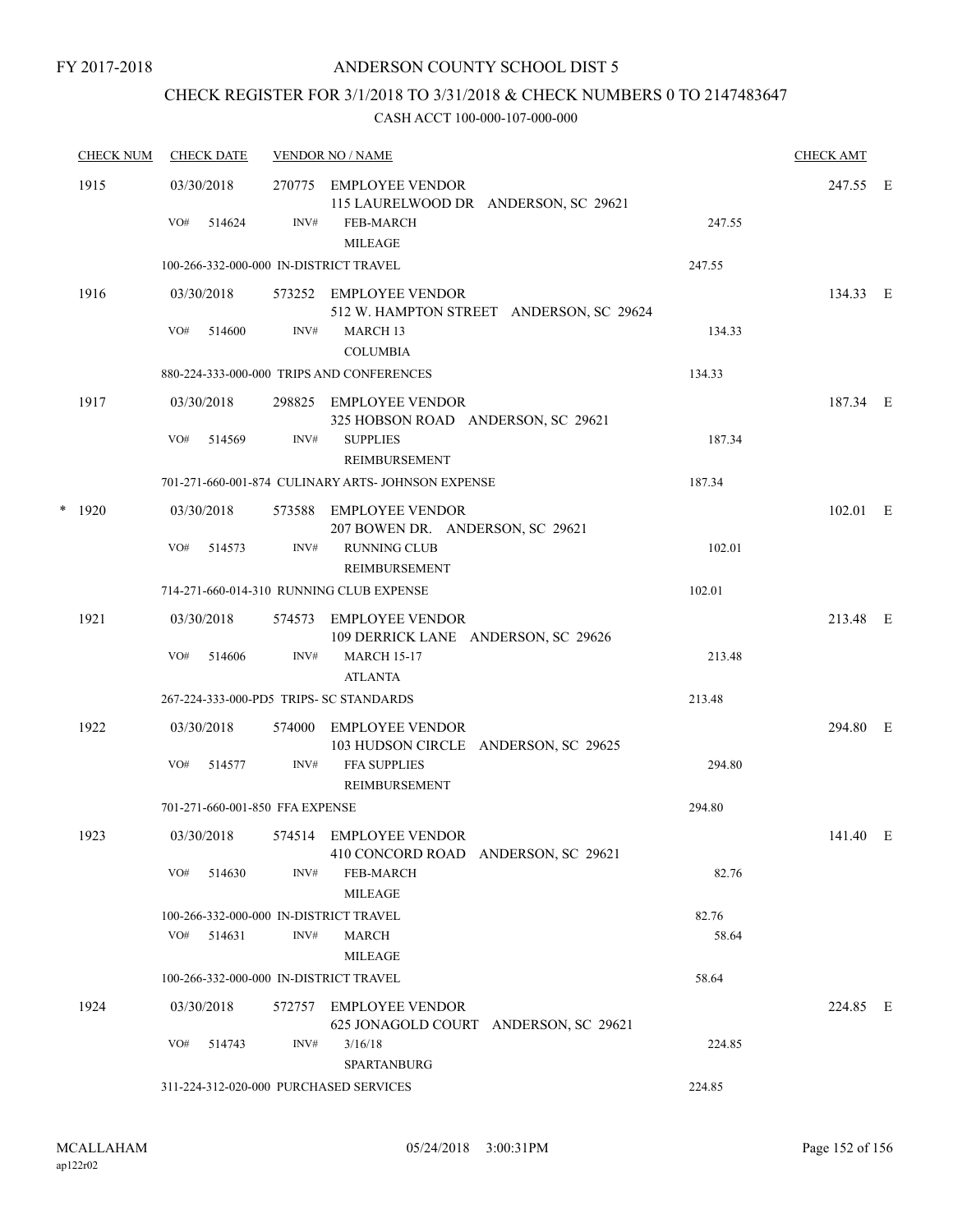# CHECK REGISTER FOR 3/1/2018 TO 3/31/2018 & CHECK NUMBERS 0 TO 2147483647

|   | <b>CHECK NUM</b> | <b>CHECK DATE</b>                       |        | <b>VENDOR NO / NAME</b>                                                            |        | <b>CHECK AMT</b> |  |
|---|------------------|-----------------------------------------|--------|------------------------------------------------------------------------------------|--------|------------------|--|
|   | 1915             | 03/30/2018<br>VO#<br>514624             | INV#   | 270775 EMPLOYEE VENDOR<br>115 LAURELWOOD DR ANDERSON, SC 29621<br><b>FEB-MARCH</b> | 247.55 | 247.55 E         |  |
|   |                  |                                         |        | <b>MILEAGE</b>                                                                     |        |                  |  |
|   |                  | 100-266-332-000-000 IN-DISTRICT TRAVEL  |        |                                                                                    | 247.55 |                  |  |
|   | 1916             | 03/30/2018                              |        | 573252 EMPLOYEE VENDOR<br>512 W. HAMPTON STREET ANDERSON, SC 29624                 |        | 134.33 E         |  |
|   |                  | VO#<br>514600                           | INV#   | MARCH 13<br><b>COLUMBIA</b>                                                        | 134.33 |                  |  |
|   |                  |                                         |        | 880-224-333-000-000 TRIPS AND CONFERENCES                                          | 134.33 |                  |  |
|   | 1917             | 03/30/2018                              |        | 298825 EMPLOYEE VENDOR<br>325 HOBSON ROAD ANDERSON, SC 29621                       |        | 187.34 E         |  |
|   |                  | VO#<br>514569                           | INV#   | <b>SUPPLIES</b><br>REIMBURSEMENT                                                   | 187.34 |                  |  |
|   |                  |                                         |        | 701-271-660-001-874 CULINARY ARTS- JOHNSON EXPENSE                                 | 187.34 |                  |  |
| * | 1920             | 03/30/2018                              |        | 573588 EMPLOYEE VENDOR<br>207 BOWEN DR. ANDERSON, SC 29621                         |        | $102.01$ E       |  |
|   |                  | VO#<br>514573                           | INV#   | <b>RUNNING CLUB</b><br><b>REIMBURSEMENT</b>                                        | 102.01 |                  |  |
|   |                  |                                         |        | 714-271-660-014-310 RUNNING CLUB EXPENSE                                           | 102.01 |                  |  |
|   | 1921             | 03/30/2018                              |        | 574573 EMPLOYEE VENDOR<br>109 DERRICK LANE ANDERSON, SC 29626                      |        | 213.48 E         |  |
|   |                  | VO#<br>514606                           | INV#   | <b>MARCH 15-17</b><br><b>ATLANTA</b>                                               | 213.48 |                  |  |
|   |                  | 267-224-333-000-PD5 TRIPS- SC STANDARDS |        |                                                                                    | 213.48 |                  |  |
|   | 1922             | 03/30/2018                              | 574000 | EMPLOYEE VENDOR<br>103 HUDSON CIRCLE ANDERSON, SC 29625                            |        | 294.80 E         |  |
|   |                  | VO#<br>514577                           | INV#   | FFA SUPPLIES<br><b>REIMBURSEMENT</b>                                               | 294.80 |                  |  |
|   |                  | 701-271-660-001-850 FFA EXPENSE         |        |                                                                                    | 294.80 |                  |  |
|   | 1923             | 03/30/2018                              |        | 574514 EMPLOYEE VENDOR<br>410 CONCORD ROAD ANDERSON, SC 29621                      |        | 141.40 E         |  |
|   |                  | VO#<br>514630                           | INV#   | <b>FEB-MARCH</b><br><b>MILEAGE</b>                                                 | 82.76  |                  |  |
|   |                  | 100-266-332-000-000 IN-DISTRICT TRAVEL  |        |                                                                                    | 82.76  |                  |  |
|   |                  | VO#<br>514631                           | INV#   | MARCH<br><b>MILEAGE</b>                                                            | 58.64  |                  |  |
|   |                  | 100-266-332-000-000 IN-DISTRICT TRAVEL  |        |                                                                                    | 58.64  |                  |  |
|   | 1924             | 03/30/2018                              | 572757 | <b>EMPLOYEE VENDOR</b><br>625 JONAGOLD COURT ANDERSON, SC 29621                    |        | 224.85 E         |  |
|   |                  | VO#<br>514743                           | INV#   | 3/16/18<br>SPARTANBURG                                                             | 224.85 |                  |  |
|   |                  | 311-224-312-020-000 PURCHASED SERVICES  |        |                                                                                    | 224.85 |                  |  |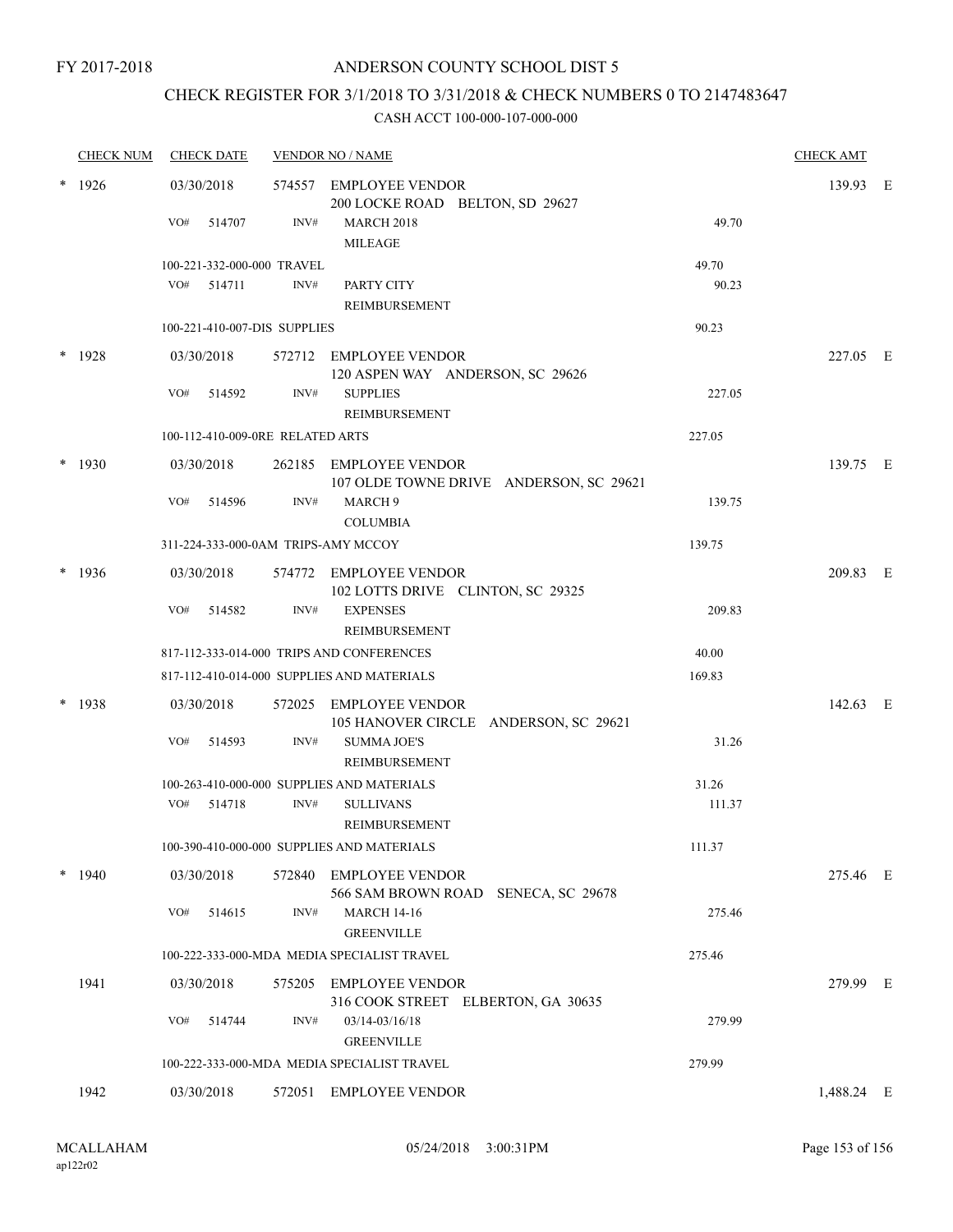### FY 2017-2018

# ANDERSON COUNTY SCHOOL DIST 5

# CHECK REGISTER FOR 3/1/2018 TO 3/31/2018 & CHECK NUMBERS 0 TO 2147483647

|        | <b>CHECK NUM</b> |     | <b>CHECK DATE</b>                |        | <b>VENDOR NO / NAME</b>                                           |        | <b>CHECK AMT</b> |  |
|--------|------------------|-----|----------------------------------|--------|-------------------------------------------------------------------|--------|------------------|--|
|        | $*$ 1926         |     | 03/30/2018                       |        | 574557 EMPLOYEE VENDOR<br>200 LOCKE ROAD BELTON, SD 29627         |        | 139.93 E         |  |
|        |                  | VO# | 514707                           | INV#   | <b>MARCH 2018</b><br><b>MILEAGE</b>                               | 49.70  |                  |  |
|        |                  |     | 100-221-332-000-000 TRAVEL       |        |                                                                   | 49.70  |                  |  |
|        |                  |     | $VO#$ 514711                     | INV#   | PARTY CITY<br>REIMBURSEMENT                                       | 90.23  |                  |  |
|        |                  |     | 100-221-410-007-DIS SUPPLIES     |        |                                                                   | 90.23  |                  |  |
|        | $*$ 1928         |     | 03/30/2018                       |        | 572712 EMPLOYEE VENDOR<br>120 ASPEN WAY ANDERSON, SC 29626        |        | 227.05 E         |  |
|        |                  | VO# | 514592                           | INV#   | <b>SUPPLIES</b><br>REIMBURSEMENT                                  | 227.05 |                  |  |
|        |                  |     | 100-112-410-009-0RE RELATED ARTS |        |                                                                   | 227.05 |                  |  |
| $\ast$ | 1930             |     | 03/30/2018                       |        | 262185 EMPLOYEE VENDOR<br>107 OLDE TOWNE DRIVE ANDERSON, SC 29621 |        | 139.75 E         |  |
|        |                  | VO# | 514596                           | INV#   | MARCH <sub>9</sub><br><b>COLUMBIA</b>                             | 139.75 |                  |  |
|        |                  |     |                                  |        | 311-224-333-000-0AM TRIPS-AMY MCCOY                               | 139.75 |                  |  |
|        | $*$ 1936         |     | 03/30/2018                       |        | 574772 EMPLOYEE VENDOR<br>102 LOTTS DRIVE CLINTON, SC 29325       |        | 209.83 E         |  |
|        |                  | VO# | 514582                           | INV#   | <b>EXPENSES</b><br>REIMBURSEMENT                                  | 209.83 |                  |  |
|        |                  |     |                                  |        | 817-112-333-014-000 TRIPS AND CONFERENCES                         | 40.00  |                  |  |
|        |                  |     |                                  |        | 817-112-410-014-000 SUPPLIES AND MATERIALS                        | 169.83 |                  |  |
| $\ast$ | 1938             |     | 03/30/2018                       |        | 572025 EMPLOYEE VENDOR<br>105 HANOVER CIRCLE ANDERSON, SC 29621   |        | 142.63 E         |  |
|        |                  | VO# | 514593                           | INV#   | <b>SUMMA JOE'S</b><br>REIMBURSEMENT                               | 31.26  |                  |  |
|        |                  |     |                                  |        | 100-263-410-000-000 SUPPLIES AND MATERIALS                        | 31.26  |                  |  |
|        |                  |     | VO# 514718                       | INV#   | <b>SULLIVANS</b><br>REIMBURSEMENT                                 | 111.37 |                  |  |
|        |                  |     |                                  |        | 100-390-410-000-000 SUPPLIES AND MATERIALS                        | 111.37 |                  |  |
|        | 1940             |     | 03/30/2018                       |        | 572840 EMPLOYEE VENDOR<br>566 SAM BROWN ROAD SENECA, SC 29678     |        | 275.46 E         |  |
|        |                  | VO# | 514615                           | INV#   | <b>MARCH 14-16</b><br><b>GREENVILLE</b>                           | 275.46 |                  |  |
|        |                  |     |                                  |        | 100-222-333-000-MDA MEDIA SPECIALIST TRAVEL                       | 275.46 |                  |  |
|        | 1941             |     | 03/30/2018                       |        | 575205 EMPLOYEE VENDOR<br>316 COOK STREET ELBERTON, GA 30635      |        | 279.99 E         |  |
|        |                  | VO# | 514744                           | INV#   | 03/14-03/16/18<br><b>GREENVILLE</b>                               | 279.99 |                  |  |
|        |                  |     |                                  |        | 100-222-333-000-MDA MEDIA SPECIALIST TRAVEL                       | 279.99 |                  |  |
|        | 1942             |     | 03/30/2018                       | 572051 | <b>EMPLOYEE VENDOR</b>                                            |        | 1,488.24 E       |  |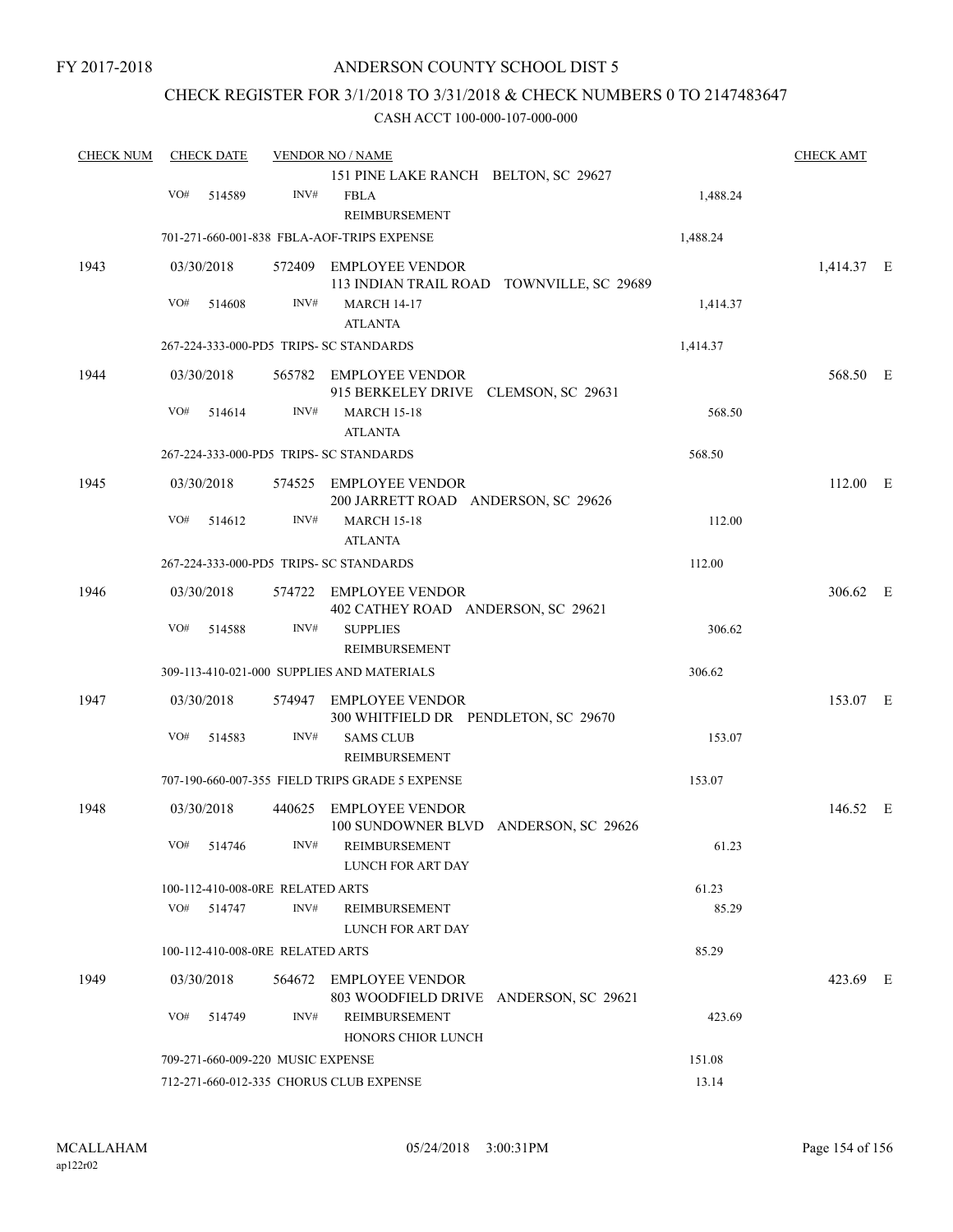FY 2017-2018

# ANDERSON COUNTY SCHOOL DIST 5

# CHECK REGISTER FOR 3/1/2018 TO 3/31/2018 & CHECK NUMBERS 0 TO 2147483647

| <b>CHECK NUM</b> |     | <b>CHECK DATE</b> |                                   | <b>VENDOR NO / NAME</b>                                                           |          | <b>CHECK AMT</b> |  |
|------------------|-----|-------------------|-----------------------------------|-----------------------------------------------------------------------------------|----------|------------------|--|
|                  |     |                   |                                   | 151 PINE LAKE RANCH BELTON, SC 29627                                              |          |                  |  |
|                  | VO# | 514589            | INV#                              | <b>FBLA</b><br>REIMBURSEMENT                                                      | 1,488.24 |                  |  |
|                  |     |                   |                                   | 701-271-660-001-838 FBLA-AOF-TRIPS EXPENSE                                        | 1,488.24 |                  |  |
| 1943             |     | 03/30/2018        |                                   | 572409 EMPLOYEE VENDOR                                                            |          | 1,414.37 E       |  |
|                  | VO# | 514608            | INV#                              | 113 INDIAN TRAIL ROAD TOWNVILLE, SC 29689<br><b>MARCH 14-17</b><br><b>ATLANTA</b> | 1,414.37 |                  |  |
|                  |     |                   |                                   | 267-224-333-000-PD5 TRIPS- SC STANDARDS                                           | 1,414.37 |                  |  |
| 1944             |     | 03/30/2018        |                                   | 565782 EMPLOYEE VENDOR<br>915 BERKELEY DRIVE CLEMSON, SC 29631                    |          | 568.50 E         |  |
|                  | VO# | 514614            | INV#                              | <b>MARCH 15-18</b><br><b>ATLANTA</b>                                              | 568.50   |                  |  |
|                  |     |                   |                                   | 267-224-333-000-PD5 TRIPS- SC STANDARDS                                           | 568.50   |                  |  |
| 1945             |     | 03/30/2018        |                                   | 574525 EMPLOYEE VENDOR<br>200 JARRETT ROAD ANDERSON, SC 29626                     |          | 112.00 E         |  |
|                  | VO# | 514612            | INV#                              | <b>MARCH 15-18</b><br><b>ATLANTA</b>                                              | 112.00   |                  |  |
|                  |     |                   |                                   | 267-224-333-000-PD5 TRIPS- SC STANDARDS                                           | 112.00   |                  |  |
| 1946             |     | 03/30/2018        |                                   | 574722 EMPLOYEE VENDOR<br>402 CATHEY ROAD ANDERSON, SC 29621                      |          | 306.62 E         |  |
|                  | VO# | 514588            | INV#                              | <b>SUPPLIES</b><br>REIMBURSEMENT                                                  | 306.62   |                  |  |
|                  |     |                   |                                   | 309-113-410-021-000 SUPPLIES AND MATERIALS                                        | 306.62   |                  |  |
| 1947             |     | 03/30/2018        |                                   | 574947 EMPLOYEE VENDOR<br>300 WHITFIELD DR PENDLETON, SC 29670                    |          | 153.07 E         |  |
|                  | VO# | 514583            | INV#                              | <b>SAMS CLUB</b><br>REIMBURSEMENT                                                 | 153.07   |                  |  |
|                  |     |                   |                                   | 707-190-660-007-355 FIELD TRIPS GRADE 5 EXPENSE                                   | 153.07   |                  |  |
| 1948             |     | 03/30/2018        |                                   | 440625 EMPLOYEE VENDOR<br>100 SUNDOWNER BLVD ANDERSON, SC 29626                   |          | 146.52 E         |  |
|                  |     | VO# 514746        | INV#                              | REIMBURSEMENT<br>LUNCH FOR ART DAY                                                | 61.23    |                  |  |
|                  |     |                   | 100-112-410-008-0RE RELATED ARTS  |                                                                                   | 61.23    |                  |  |
|                  |     | VO# 514747        | INV#                              | REIMBURSEMENT<br>LUNCH FOR ART DAY                                                | 85.29    |                  |  |
|                  |     |                   | 100-112-410-008-0RE RELATED ARTS  |                                                                                   | 85.29    |                  |  |
| 1949             |     | 03/30/2018        |                                   | 564672 EMPLOYEE VENDOR<br>803 WOODFIELD DRIVE ANDERSON, SC 29621                  |          | 423.69 E         |  |
|                  | VO# | 514749            | INV#                              | REIMBURSEMENT<br>HONORS CHIOR LUNCH                                               | 423.69   |                  |  |
|                  |     |                   | 709-271-660-009-220 MUSIC EXPENSE |                                                                                   | 151.08   |                  |  |
|                  |     |                   |                                   | 712-271-660-012-335 CHORUS CLUB EXPENSE                                           | 13.14    |                  |  |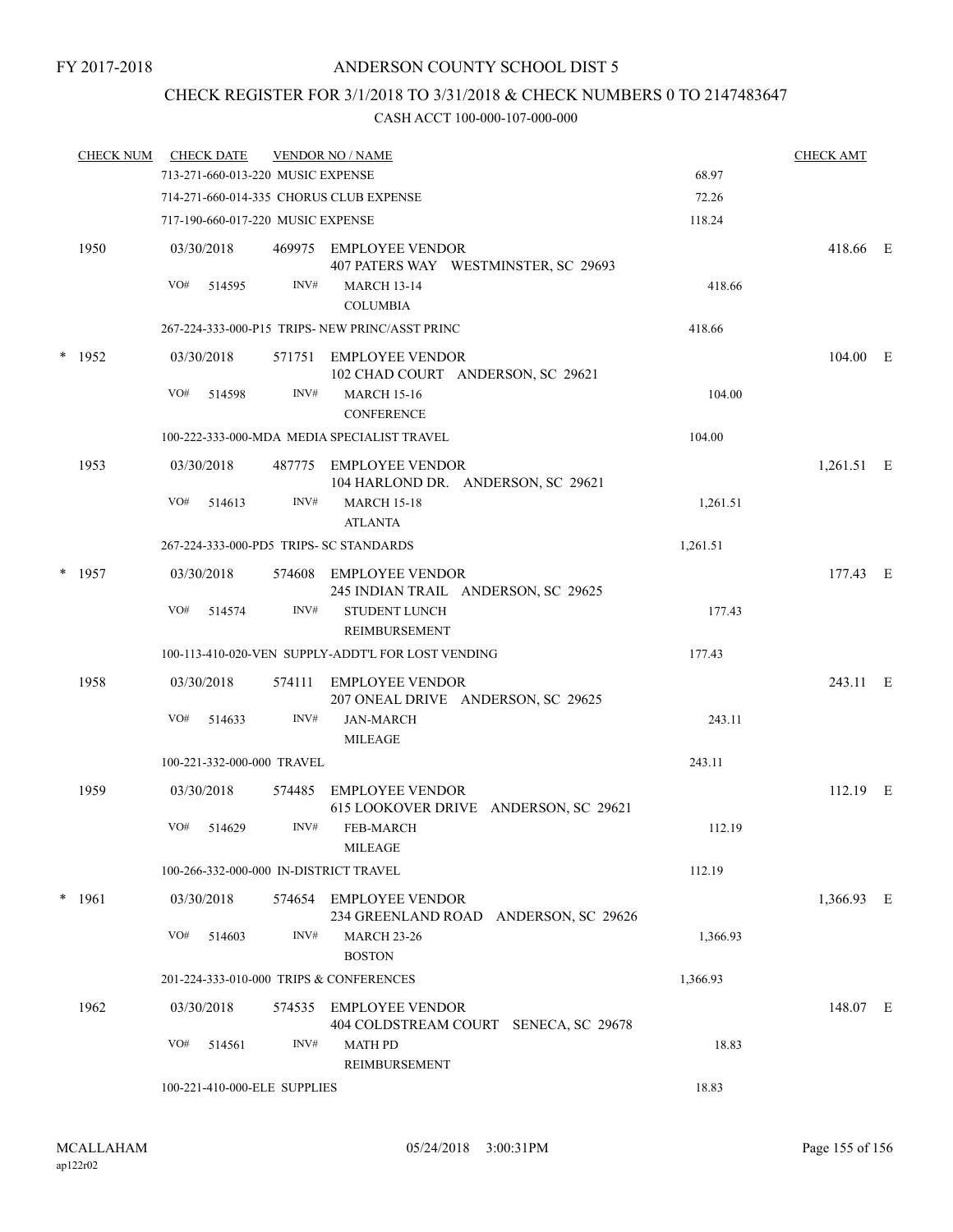# CHECK REGISTER FOR 3/1/2018 TO 3/31/2018 & CHECK NUMBERS 0 TO 2147483647

| <b>CHECK NUM</b> |     | <b>CHECK DATE</b> |                                   | <b>VENDOR NO / NAME</b>                                         |          | <b>CHECK AMT</b> |  |
|------------------|-----|-------------------|-----------------------------------|-----------------------------------------------------------------|----------|------------------|--|
|                  |     |                   | 713-271-660-013-220 MUSIC EXPENSE |                                                                 | 68.97    |                  |  |
|                  |     |                   |                                   | 714-271-660-014-335 CHORUS CLUB EXPENSE                         | 72.26    |                  |  |
|                  |     |                   | 717-190-660-017-220 MUSIC EXPENSE |                                                                 | 118.24   |                  |  |
| 1950             |     | 03/30/2018        |                                   | 469975 EMPLOYEE VENDOR<br>407 PATERS WAY WESTMINSTER, SC 29693  |          | 418.66 E         |  |
|                  | VO# | 514595            | INV#                              | <b>MARCH 13-14</b><br><b>COLUMBIA</b>                           | 418.66   |                  |  |
|                  |     |                   |                                   | 267-224-333-000-P15 TRIPS- NEW PRINC/ASST PRINC                 | 418.66   |                  |  |
| $*$ 1952         |     | 03/30/2018        |                                   | 571751 EMPLOYEE VENDOR<br>102 CHAD COURT ANDERSON, SC 29621     |          | 104.00 E         |  |
|                  | VO# | 514598            | INV#                              | <b>MARCH 15-16</b><br><b>CONFERENCE</b>                         | 104.00   |                  |  |
|                  |     |                   |                                   | 100-222-333-000-MDA MEDIA SPECIALIST TRAVEL                     | 104.00   |                  |  |
| 1953             |     | 03/30/2018        |                                   | 487775 EMPLOYEE VENDOR<br>104 HARLOND DR. ANDERSON, SC 29621    |          | 1,261.51 E       |  |
|                  | VO# | 514613            | INV#                              | <b>MARCH 15-18</b><br><b>ATLANTA</b>                            | 1,261.51 |                  |  |
|                  |     |                   |                                   | 267-224-333-000-PD5 TRIPS- SC STANDARDS                         | 1,261.51 |                  |  |
| $*$ 1957         |     | 03/30/2018        |                                   | 574608 EMPLOYEE VENDOR<br>245 INDIAN TRAIL ANDERSON, SC 29625   |          | 177.43 E         |  |
|                  | VO# | 514574            | INV#                              | <b>STUDENT LUNCH</b><br>REIMBURSEMENT                           | 177.43   |                  |  |
|                  |     |                   |                                   | 100-113-410-020-VEN SUPPLY-ADDT'L FOR LOST VENDING              | 177.43   |                  |  |
| 1958             |     | 03/30/2018        | 574111                            | EMPLOYEE VENDOR<br>207 ONEAL DRIVE ANDERSON, SC 29625           |          | 243.11 E         |  |
|                  | VO# | 514633            | INV#                              | <b>JAN-MARCH</b><br><b>MILEAGE</b>                              | 243.11   |                  |  |
|                  |     |                   | 100-221-332-000-000 TRAVEL        |                                                                 | 243.11   |                  |  |
| 1959             |     | 03/30/2018        | 574485                            | <b>EMPLOYEE VENDOR</b><br>615 LOOKOVER DRIVE ANDERSON, SC 29621 |          | $112.19$ E       |  |
|                  | VO# | 514629            | INV#                              | <b>FEB-MARCH</b><br><b>MILEAGE</b>                              | 112.19   |                  |  |
|                  |     |                   |                                   | 100-266-332-000-000 IN-DISTRICT TRAVEL                          | 112.19   |                  |  |
| $*$ 1961         |     | 03/30/2018        |                                   | 574654 EMPLOYEE VENDOR<br>234 GREENLAND ROAD ANDERSON, SC 29626 |          | 1,366.93 E       |  |
|                  | VO# | 514603            | INV#                              | <b>MARCH 23-26</b><br><b>BOSTON</b>                             | 1,366.93 |                  |  |
|                  |     |                   |                                   | 201-224-333-010-000 TRIPS & CONFERENCES                         | 1,366.93 |                  |  |
| 1962             |     | 03/30/2018        |                                   | 574535 EMPLOYEE VENDOR<br>404 COLDSTREAM COURT SENECA, SC 29678 |          | 148.07 E         |  |
|                  | VO# | 514561            | INV#                              | <b>MATH PD</b><br><b>REIMBURSEMENT</b>                          | 18.83    |                  |  |
|                  |     |                   | 100-221-410-000-ELE SUPPLIES      |                                                                 | 18.83    |                  |  |